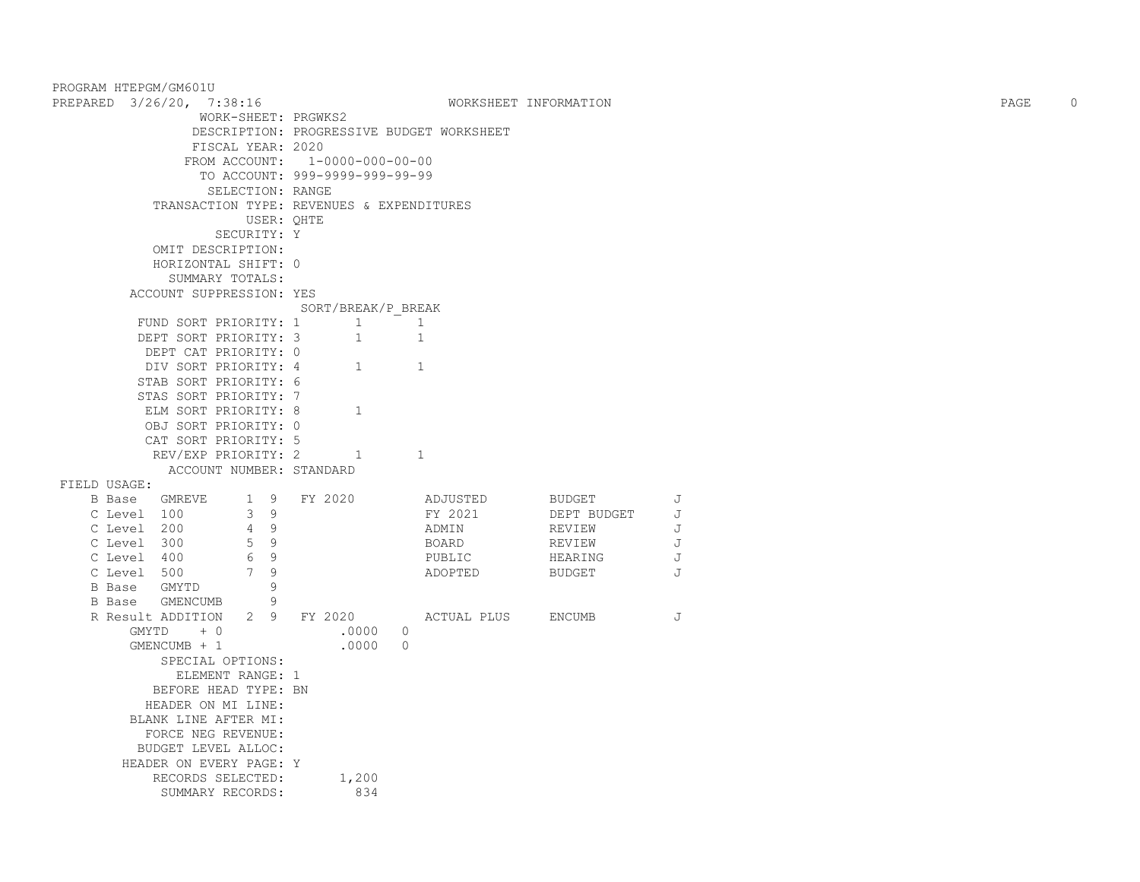|              | PROGRAM HTEPGM/GM601U            |                                           |          |                       |   |      |             |
|--------------|----------------------------------|-------------------------------------------|----------|-----------------------|---|------|-------------|
|              | PREPARED 3/26/20, 7:38:16        |                                           |          | WORKSHEET INFORMATION |   | PAGE | $\mathbf 0$ |
|              | WORK-SHEET: PRGWKS2              |                                           |          |                       |   |      |             |
|              |                                  | DESCRIPTION: PROGRESSIVE BUDGET WORKSHEET |          |                       |   |      |             |
|              | FISCAL YEAR: 2020                |                                           |          |                       |   |      |             |
|              |                                  | FROM ACCOUNT: 1-0000-000-00-00            |          |                       |   |      |             |
|              |                                  | TO ACCOUNT: 999-9999-999-99-99            |          |                       |   |      |             |
|              | SELECTION: RANGE                 |                                           |          |                       |   |      |             |
|              |                                  | TRANSACTION TYPE: REVENUES & EXPENDITURES |          |                       |   |      |             |
|              | USER: QHTE                       |                                           |          |                       |   |      |             |
|              | SECURITY: Y                      |                                           |          |                       |   |      |             |
|              | OMIT DESCRIPTION:                |                                           |          |                       |   |      |             |
|              | HORIZONTAL SHIFT: 0              |                                           |          |                       |   |      |             |
|              | SUMMARY TOTALS:                  |                                           |          |                       |   |      |             |
|              | ACCOUNT SUPPRESSION: YES         |                                           |          |                       |   |      |             |
|              |                                  | SORT/BREAK/P BREAK                        |          |                       |   |      |             |
|              | FUND SORT PRIORITY: 1            | $\mathbf{1}$<br>$\sim$ 1                  |          |                       |   |      |             |
|              | DEPT SORT PRIORITY: 3            | $\mathbf{1}$<br>1                         |          |                       |   |      |             |
|              | DEPT CAT PRIORITY: 0             |                                           |          |                       |   |      |             |
|              | DIV SORT PRIORITY: 4             | 1<br>1                                    |          |                       |   |      |             |
|              | STAB SORT PRIORITY: 6            |                                           |          |                       |   |      |             |
|              | STAS SORT PRIORITY: 7            |                                           |          |                       |   |      |             |
|              | ELM SORT PRIORITY: 8             | 1                                         |          |                       |   |      |             |
|              | OBJ SORT PRIORITY: 0             |                                           |          |                       |   |      |             |
|              | CAT SORT PRIORITY: 5             |                                           |          |                       |   |      |             |
|              | REV/EXP PRIORITY: 2              | 1<br>1                                    |          |                       |   |      |             |
|              | ACCOUNT NUMBER: STANDARD         |                                           |          |                       |   |      |             |
| FIELD USAGE: |                                  |                                           |          |                       |   |      |             |
|              | B Base GMREVE<br>1 9             | FY 2020                                   | ADJUSTED | BUDGET                | J |      |             |
|              | 3 <sup>9</sup><br>C Level 100    |                                           | FY 2021  | DEPT BUDGET           | J |      |             |
|              | 4 9<br>C Level 200               |                                           | ADMIN    | REVIEW                | J |      |             |
|              | 5 9<br>C Level 300               |                                           | BOARD    | REVIEW                | J |      |             |
|              | 6 9<br>C Level 400               |                                           | PUBLIC   | HEARING               | J |      |             |
|              | 7 9<br>C Level 500               |                                           | ADOPTED  | <b>BUDGET</b>         | J |      |             |
|              | B Base GMYTD<br>9                |                                           |          |                       |   |      |             |
|              | B Base GMENCUMB<br>9             |                                           |          |                       |   |      |             |
|              | R Result ADDITION<br>$2^{\circ}$ | FY 2020 ACTUAL PLUS                       |          | ENCUMB                | J |      |             |
|              | GMYTD<br>$+ 0$                   | .0000<br>$\Omega$                         |          |                       |   |      |             |
|              | GMENCUMB + 1                     | .0000<br>$\overline{0}$                   |          |                       |   |      |             |
|              | SPECIAL OPTIONS:                 |                                           |          |                       |   |      |             |
|              | ELEMENT RANGE: 1                 |                                           |          |                       |   |      |             |
|              | BEFORE HEAD TYPE: BN             |                                           |          |                       |   |      |             |
|              | HEADER ON MI LINE:               |                                           |          |                       |   |      |             |
|              | BLANK LINE AFTER MI:             |                                           |          |                       |   |      |             |
|              | FORCE NEG REVENUE:               |                                           |          |                       |   |      |             |
|              | BUDGET LEVEL ALLOC:              |                                           |          |                       |   |      |             |
|              | HEADER ON EVERY PAGE: Y          |                                           |          |                       |   |      |             |
|              | RECORDS SELECTED:                | 1,200                                     |          |                       |   |      |             |
|              | SUMMARY RECORDS:                 | 834                                       |          |                       |   |      |             |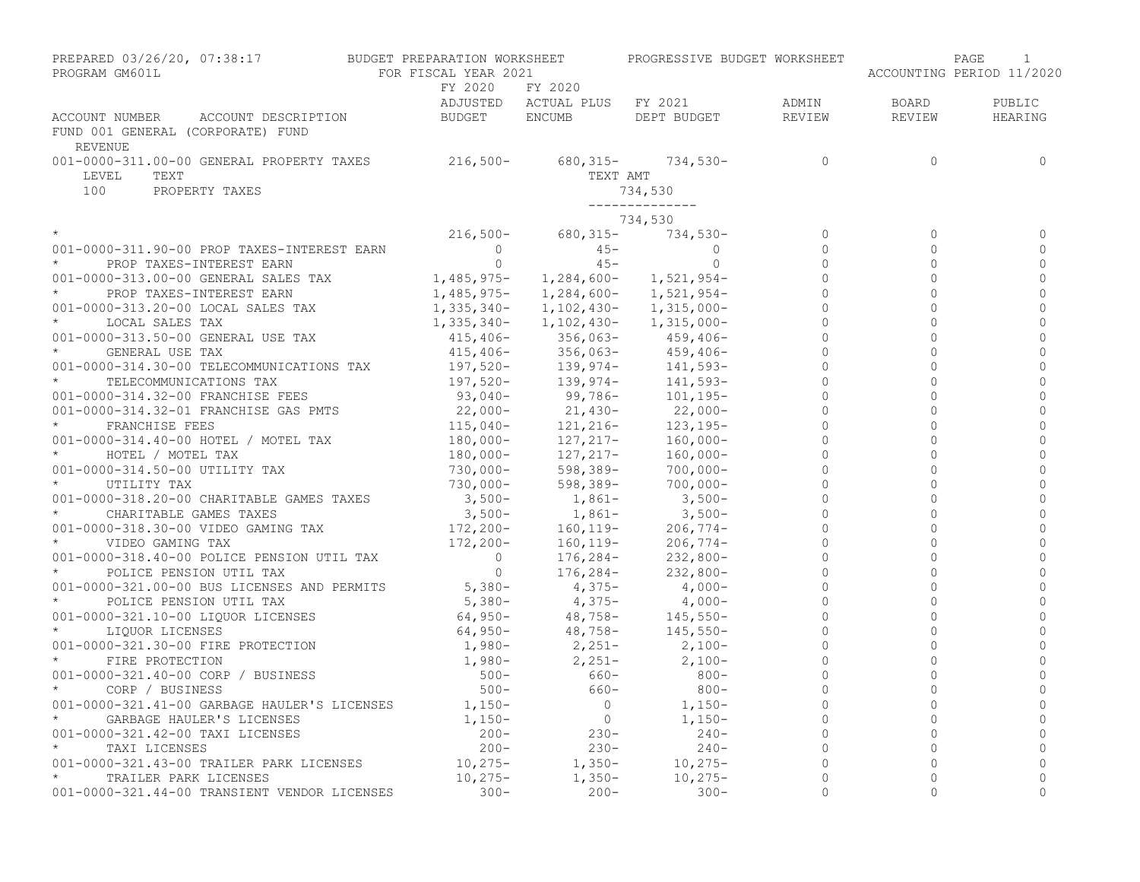| PREPARED 03/26/20, 07:38:17<br>PROGRAM GM601L                                                | BUDGET PREPARATION WORKSHEET<br>FOR FISCAL YEAR 2021 |                                                                    | PROGRESSIVE BUDGET WORKSHEET |                |                | PAGE<br>1<br>ACCOUNTING PERIOD 11/2020 |
|----------------------------------------------------------------------------------------------|------------------------------------------------------|--------------------------------------------------------------------|------------------------------|----------------|----------------|----------------------------------------|
|                                                                                              | FY 2020<br>ADJUSTED                                  | FY 2020<br>ACTUAL PLUS FY 2021                                     |                              | ADMIN          | BOARD          | PUBLIC                                 |
| ACCOUNT NUMBER<br>ACCOUNT DESCRIPTION<br>FUND 001 GENERAL (CORPORATE) FUND<br><b>REVENUE</b> | BUDGET                                               | <b>ENCUMB</b>                                                      | DEPT BUDGET                  | REVIEW         | REVIEW         | HEARING                                |
| 001-0000-311.00-00 GENERAL PROPERTY TAXES<br>TEXT<br>LEVEL                                   | $216,500-$                                           | 680, 315-<br>TEXT AMT                                              | $734,530-$                   | $\Omega$       | $\Omega$       | $\Omega$                               |
| 100<br>PROPERTY TAXES                                                                        |                                                      |                                                                    | 734,530<br>______________    |                |                |                                        |
|                                                                                              |                                                      |                                                                    | 734,530                      |                |                |                                        |
|                                                                                              | $216,500-$                                           | $680,315-$                                                         | $734,530-$                   | $\mathbf 0$    | $\Omega$       | $\Omega$                               |
| 001-0000-311.90-00 PROP TAXES-INTEREST EARN                                                  | $\circ$                                              | $45 -$                                                             | $\Omega$                     | $\Omega$       | $\Omega$       | $\Omega$                               |
| $\star$<br>PROP TAXES-INTEREST EARN                                                          | $\circ$                                              | $45 -$                                                             | $\circ$                      | $\Omega$       | $\Omega$       | $\Omega$                               |
| 001-0000-313.00-00 GENERAL SALES TAX                                                         | $1,485,975-$                                         | 1,284,600-                                                         | 1,521,954-                   | $\circ$        | $\circ$        | $\mathbf{0}$                           |
| $\star$<br>PROP TAXES-INTEREST EARN                                                          | 1,485,975-                                           | 1,284,600-                                                         | 1,521,954-                   | $\Omega$       | $\Omega$       | $\Omega$                               |
| 001-0000-313.20-00 LOCAL SALES TAX                                                           | $1,335,340-$                                         | 1,102,430-                                                         | 1,315,000-                   | $\mathbf 0$    | $\Omega$       | $\Omega$                               |
| $\star$<br>LOCAL SALES TAX                                                                   | 1,335,340-                                           | 1,102,430-                                                         | 1,315,000-                   | $\Omega$       | $\Omega$       | $\Omega$                               |
| 001-0000-313.50-00 GENERAL USE TAX                                                           | $415,406-$                                           |                                                                    | $459, 406 -$                 |                | $\Omega$       | $\Omega$                               |
| $\star$<br>GENERAL USE TAX                                                                   | $415,406-$                                           | $356,063-$ $356,063-$ $139,974-$ $139,974-$ $0.976-$<br>$356,063-$ | $459,406-$                   | $\Omega$       | $\Omega$       | $\Omega$                               |
| 001-0000-314.30-00 TELECOMMUNICATIONS TAX                                                    | $197,520-$                                           |                                                                    | $141,593-$                   | $\Omega$       | $\Omega$       | $\Omega$                               |
| TELECOMMUNICATIONS TAX                                                                       |                                                      | 139,974-<br>139,974-<br>99,786-                                    | $141,593-$                   | $\Omega$       | $\Omega$       | $\Omega$                               |
| 001-0000-314.32-00 FRANCHISE FEES                                                            | 197,520-<br>93,040-                                  |                                                                    | $101, 195 -$                 | $\circ$        | $\Omega$       | $\Omega$                               |
| 001-0000-314.32-01 FRANCHISE GAS PMTS                                                        |                                                      |                                                                    | $22,000-$                    | $\circ$        | $\overline{0}$ | $\mathbf{0}$                           |
| $\star$<br>FRANCHISE FEES                                                                    | $22,000-$<br>115,040-                                | 21,430-<br>121,216-                                                | $123, 195 -$                 | $\Omega$       | $\Omega$       | $\Omega$                               |
| 001-0000-314.40-00 HOTEL / MOTEL TAX                                                         |                                                      |                                                                    | $160,000 -$                  | $\circ$        | $\overline{0}$ | $\mathbf{0}$                           |
| $\star$<br>HOTEL / MOTEL TAX                                                                 | 180,000-<br>180,000-                                 | 127, 217-<br>127, 217-                                             | $160,000-$                   | $\Omega$       | $\Omega$       | $\Omega$                               |
| 001-0000-314.50-00 UTILITY TAX                                                               | 730,000-                                             | 598,389-                                                           | $700,000 -$                  | $\circ$        | $\Omega$       | $\Omega$                               |
| $\star$<br>UTILITY TAX                                                                       | 730,000-                                             | 598,389-                                                           | $700,000 -$                  | $\Omega$       | $\Omega$       | $\Omega$                               |
| 001-0000-318.20-00 CHARITABLE GAMES TAXES                                                    | $3,500-$                                             | 1,861-                                                             | $3,500-$                     | $\mathbf 0$    | $\Omega$       | $\Omega$                               |
| $\star$<br>CHARITABLE GAMES TAXES                                                            | $3,500-$                                             | $1,861-$                                                           | $3,500-$                     | $\Omega$       | $\Omega$       | $\Omega$                               |
| 001-0000-318.30-00 VIDEO GAMING TAX                                                          | 172,200-                                             | 160, 119-                                                          | $206,774-$                   |                | $\Omega$       | $\Omega$                               |
| $\star$<br>VIDEO GAMING TAX                                                                  | $172,200-$                                           | $160, 119-$                                                        | $206,774-$                   | $\mathbf 0$    | $\overline{0}$ | $\mathbf{0}$                           |
| 001-0000-318.40-00 POLICE PENSION UTIL TAX                                                   | $\overline{0}$                                       | $176,284-$                                                         | $232,800-$                   | $\mathbf 0$    | $\overline{0}$ | $\Omega$                               |
| POLICE PENSION UTIL TAX                                                                      | $\overline{0}$                                       | $176,284-$                                                         | $232,800-$                   | $\Omega$       | $\Omega$       | $\Omega$                               |
| 001-0000-321.00-00 BUS LICENSES AND PERMITS                                                  | $5,380-$                                             | $4,375-$                                                           | $4,000-$                     | $\Omega$       | $\Omega$       | $\Omega$                               |
| $\star$<br>POLICE PENSION UTIL TAX                                                           | $5,380-$                                             | $4,375-$                                                           | $4,000-$                     | $\circ$        | $\Omega$       | $\mathbf{0}$                           |
| 001-0000-321.10-00 LIQUOR LICENSES                                                           | $64,950-$                                            | 48,758-                                                            | $145,550-$                   | $\circ$        | $\Omega$       | $\Omega$                               |
| $\star$<br>LIQUOR LICENSES                                                                   | $64,950-$                                            | 48,758-                                                            | $145,550-$                   | $\circ$        | $\mathbf{0}$   | $\Omega$                               |
| 001-0000-321.30-00 FIRE PROTECTION                                                           | $1,980-$                                             | $2,251-$                                                           | $2,100-$                     | $\circ$        | $\Omega$       | $\cap$                                 |
| FIRE PROTECTION                                                                              | $1,980-$                                             | $2,251-$                                                           | $2,100-$                     | $\overline{0}$ | $\mathbf{0}$   | $\Omega$                               |
| 001-0000-321.40-00 CORP / BUSINESS                                                           | $500 -$                                              | 660-                                                               | $800 -$                      | $\Omega$       | $\Omega$       | $\cap$                                 |
| $\star$<br>CORP / BUSINESS                                                                   | $500 -$                                              | 660-                                                               | $800 -$                      |                |                | $\Omega$                               |
| 001-0000-321.41-00 GARBAGE HAULER'S LICENSES                                                 | $1,150-$                                             | $\circ$                                                            | $1,150-$                     | $\circ$        | $\mathbf{0}$   | $\Omega$                               |
| GARBAGE HAULER'S LICENSES                                                                    | $1,150-$                                             | $\overline{0}$                                                     | $1,150-$                     | $\mathbf{0}$   | $\mathbf{0}$   | $\Omega$                               |
| 001-0000-321.42-00 TAXI LICENSES                                                             | $200 -$                                              | $230 -$                                                            | $240-$                       | $\mathbf{0}$   | $\Omega$       | $\mathbf{0}$                           |
| TAXI LICENSES                                                                                | $200 -$                                              | $230 -$                                                            | $240-$                       | $\mathbf{0}$   | $\Omega$       | $\Omega$                               |
| 001-0000-321.43-00 TRAILER PARK LICENSES                                                     | $10, 275 -$                                          | $1,350-$                                                           | $10,275-$                    | $\mathbb O$    | $\mathbf{0}$   | $\circ$                                |
| $\star$<br>TRAILER PARK LICENSES                                                             | $10,275-$                                            | $1,350-$                                                           | $10, 275 -$                  | $\mathbf 0$    | $\mathbf{0}$   | $\Omega$                               |
| 001-0000-321.44-00 TRANSIENT VENDOR LICENSES                                                 | $300 -$                                              | $200 -$                                                            | $300 -$                      | $\Omega$       | $\Omega$       | $\Omega$                               |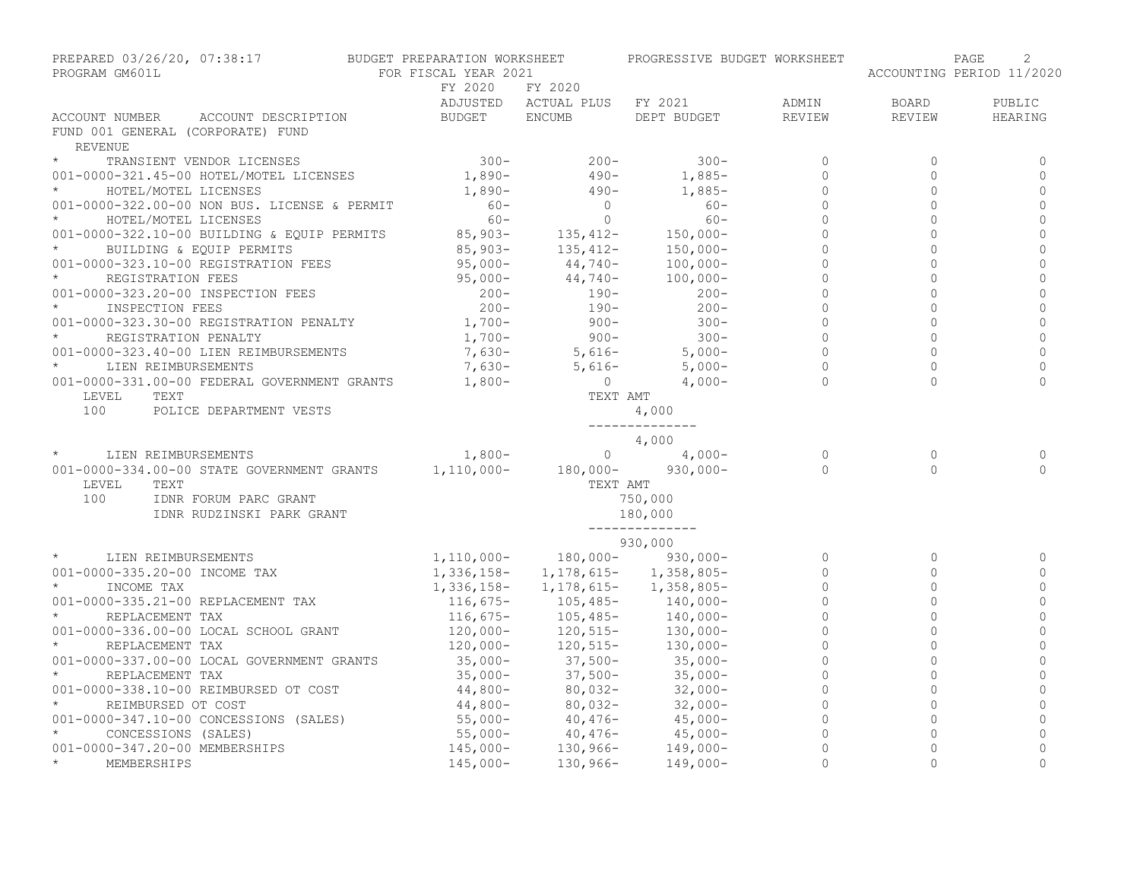| PREPARED 03/26/20, 07:38:17<br>PROGRAM GM601L                                                  | BUDGET PREPARATION WORKSHEET<br>FOR FISCAL YEAR 2021 |                                               | PROGRESSIVE BUDGET WORKSHEET                                                   |                      |                        | 2<br>PAGE<br>ACCOUNTING PERIOD 11/2020 |
|------------------------------------------------------------------------------------------------|------------------------------------------------------|-----------------------------------------------|--------------------------------------------------------------------------------|----------------------|------------------------|----------------------------------------|
|                                                                                                | FY 2020                                              | FY 2020                                       |                                                                                |                      |                        |                                        |
| ACCOUNT NUMBER<br>ACCOUNT DESCRIPTION                                                          | <b>BUDGET</b>                                        | ADJUSTED ACTUAL PLUS FY 2021<br><b>ENCUMB</b> | DEPT BUDGET                                                                    | ADMIN<br>REVIEW      | <b>BOARD</b><br>REVIEW | PUBLIC<br>HEARING                      |
| FUND 001 GENERAL (CORPORATE) FUND<br>REVENUE                                                   |                                                      |                                               |                                                                                |                      |                        |                                        |
| $\star$<br>TRANSIENT VENDOR LICENSES                                                           | $300 -$                                              | $200 -$                                       | $300 -$                                                                        | $\Omega$             | $\Omega$               | 0                                      |
| 001-0000-321.45-00 HOTEL/MOTEL LICENSES                                                        | $1,890-$                                             | $490 -$                                       | $1,885-$                                                                       | $\Omega$             | $\Omega$               | $\circ$                                |
| $\star$<br>HOTEL/MOTEL LICENSES                                                                | 1,890-                                               | $490 -$                                       | $1,885-$                                                                       | $\Omega$             | $\Omega$               | $\mathbf 0$                            |
| 001-0000-322.00-00 NON BUS. LICENSE & PERMIT                                                   | $60 -$                                               | $\circ$                                       | $60 -$                                                                         | $\mathbf{0}$         | $\Omega$               | $\overline{0}$                         |
| HOTEL/MOTEL LICENSES                                                                           | $60 -$                                               | $\circ$                                       | $60 -$                                                                         | $\Omega$             | $\Omega$               | $\mathbf{0}$                           |
| 001-0000-322.10-00 BUILDING & EQUIP PERMITS                                                    | $85,903-$                                            | $135, 412 -$<br>$135, 412 -$                  | $150,000-$                                                                     | $\Omega$             | $\Omega$               | $\mathbf 0$                            |
| BUILDING & EQUIP PERMITS                                                                       | 85,903-                                              |                                               | $150,000-$                                                                     | $\Omega$             | $\Omega$               | $\mathbf{0}$                           |
| 001-0000-323.10-00 REGISTRATION FEES                                                           | 95,000-                                              | $44,740-$<br>$44,740-$                        | $100,000 -$                                                                    | $\Omega$             | $\Omega$               | $\overline{0}$                         |
| $\star$<br>REGISTRATION FEES                                                                   | $95,000-$                                            |                                               | $100,000 -$                                                                    | $\Omega$             | $\Omega$               | $\overline{0}$                         |
| 001-0000-323.20-00 INSPECTION FEES                                                             | $200 -$                                              | $190 -$                                       | $200 -$                                                                        | $\Omega$             | $\Omega$               | $\overline{0}$                         |
| $\star$<br>INSPECTION FEES                                                                     | $200 -$                                              | 190-                                          | $200 -$                                                                        | $\circ$              | $\mathbf 0$            | $\mathbf 0$                            |
| 001-0000-323.30-00 REGISTRATION PENALTY                                                        | $1,700-$                                             | $900 -$                                       | $300 -$                                                                        | $\mathbf 0$          | $\Omega$               | $\mathbf 0$                            |
| $\star$<br>REGISTRATION PENALTY                                                                | $1,700-$                                             | $900 -$                                       | $300 -$                                                                        | $\Omega$             | $\Omega$               | $\mathbf{0}$                           |
| 001-0000-323.40-00 LIEN REIMBURSEMENTS                                                         | $7,630-$                                             | $5,616-$                                      | $5,000-$                                                                       | $\Omega$             | $\Omega$               | $\Omega$                               |
| $\star$<br>LIEN REIMBURSEMENTS                                                                 | 7,630-                                               | 5,616-                                        | 5,000-                                                                         | $\mathbf{0}$         | $\circ$                | $\mathbf 0$                            |
| 001-0000-331.00-00 FEDERAL GOVERNMENT GRANTS 1,800-                                            |                                                      | $\overline{0}$                                | $4,000-$                                                                       | $\Omega$             | $\Omega$               | $\Omega$                               |
| LEVEL<br>TEXT                                                                                  |                                                      | TEXT AMT                                      |                                                                                |                      |                        |                                        |
| 100<br>POLICE DEPARTMENT VESTS                                                                 |                                                      |                                               | 4,000                                                                          |                      |                        |                                        |
|                                                                                                |                                                      |                                               | --------------<br>4,000                                                        |                      |                        |                                        |
|                                                                                                |                                                      | $\overline{0}$                                | $4,000-$                                                                       | $\Omega$             | $\Omega$               | 0                                      |
| * LIEN REIMBURSEMENTS 1,800-<br>001-0000-334.00-00 STATE GOVERNMENT GRANTS 1,110,000- 180,000- |                                                      |                                               | $930,000 -$                                                                    | $\Omega$             | $\Omega$               | $\Omega$                               |
| LEVEL<br>TEXT                                                                                  |                                                      | TEXT AMT                                      |                                                                                |                      |                        |                                        |
| 100<br>IDNR FORUM PARC GRANT                                                                   |                                                      |                                               | 750,000                                                                        |                      |                        |                                        |
| IDNR RUDZINSKI PARK GRANT                                                                      |                                                      |                                               | 180,000                                                                        |                      |                        |                                        |
|                                                                                                |                                                      |                                               | --------------                                                                 |                      |                        |                                        |
|                                                                                                |                                                      |                                               | 930,000                                                                        |                      |                        |                                        |
| $\star$<br>LIEN REIMBURSEMENTS                                                                 |                                                      |                                               | $1,110,000 - 180,000 - 930,000 -$                                              | $\Omega$             | $\circ$                | 0                                      |
| 001-0000-335.20-00 INCOME TAX                                                                  |                                                      |                                               | $1, 336, 158 - 1, 178, 615 - 1, 358, 805 -$                                    | $\Omega$             | $\Omega$               | $\circ$                                |
| $\star$<br>INCOME TAX                                                                          |                                                      |                                               | $1,336,158$ - 1,178,615- 1,358,805-                                            | $\Omega$             | $\mathbf{0}$           | $\mathbf{0}$                           |
| 001-0000-335.21-00 REPLACEMENT TAX                                                             | $116,675-$                                           |                                               | $105,485 140,000-$                                                             | $\Omega$             | $\mathbf 0$            | $\mathbf{0}$                           |
| REPLACEMENT TAX                                                                                | $116,675-$                                           | $105,485-$                                    | $140,000-$                                                                     | $\Omega$<br>$\Omega$ | $\Omega$<br>$\Omega$   | $\Omega$                               |
| 001-0000-336.00-00 LOCAL SCHOOL GRANT<br>$\star$                                               | $120,000-$                                           |                                               | $120,000-120,515-130,000-120,000-$<br>35,000-<br>37,500-<br>37,500-<br>35,000- |                      |                        | $\Omega$                               |
| REPLACEMENT TAX                                                                                |                                                      |                                               |                                                                                | $\Omega$             | $\Omega$               | $\mathbf{0}$                           |
| 001-0000-337.00-00 LOCAL GOVERNMENT GRANTS<br>$\star$                                          | $35,000-$                                            |                                               |                                                                                | $\mathbf{0}$         | $\Omega$               | $\overline{0}$                         |
| REPLACEMENT TAX                                                                                | $35,000-$                                            | 37,500-                                       | $35,000-$                                                                      | $\circ$              | $\mathbf 0$            | $\mathbf 0$                            |
| 001-0000-338.10-00 REIMBURSED OT COST                                                          | $44,800-$                                            | 80,032-                                       | $32,000-$                                                                      | $\mathbf{0}$         | $\mathbf{0}$           | $\mathbf 0$                            |
| $\star$<br>REIMBURSED OT COST                                                                  | $44,800-$<br>55,000-                                 | $80,032-$<br>80,032-<br>40,476-               | $32,000-$                                                                      | $\mathbf{0}$         | $\mathbf{0}$           | $\mathbb O$                            |
| 001-0000-347.10-00 CONCESSIONS (SALES)                                                         |                                                      |                                               | $45,000-$                                                                      | $\mathbf{0}$         | $\Omega$               | $\overline{0}$                         |
| $\star$<br>CONCESSIONS (SALES)                                                                 | $55,000-145,000-$                                    | $40,476-$<br>$130,966-$                       | $45,000-$                                                                      | $\circ$              | $\mathbf{0}$           | $\mathbf 0$                            |
| 001-0000-347.20-00 MEMBERSHIPS                                                                 |                                                      |                                               | $149,000-$                                                                     | $\mathbf{0}$         | $\overline{0}$         | $\mathbf{0}$                           |
| $\star$<br>MEMBERSHIPS                                                                         | $145,000-$                                           | $130,966-$                                    | $149,000-$                                                                     | $\Omega$             | $\Omega$               | $\Omega$                               |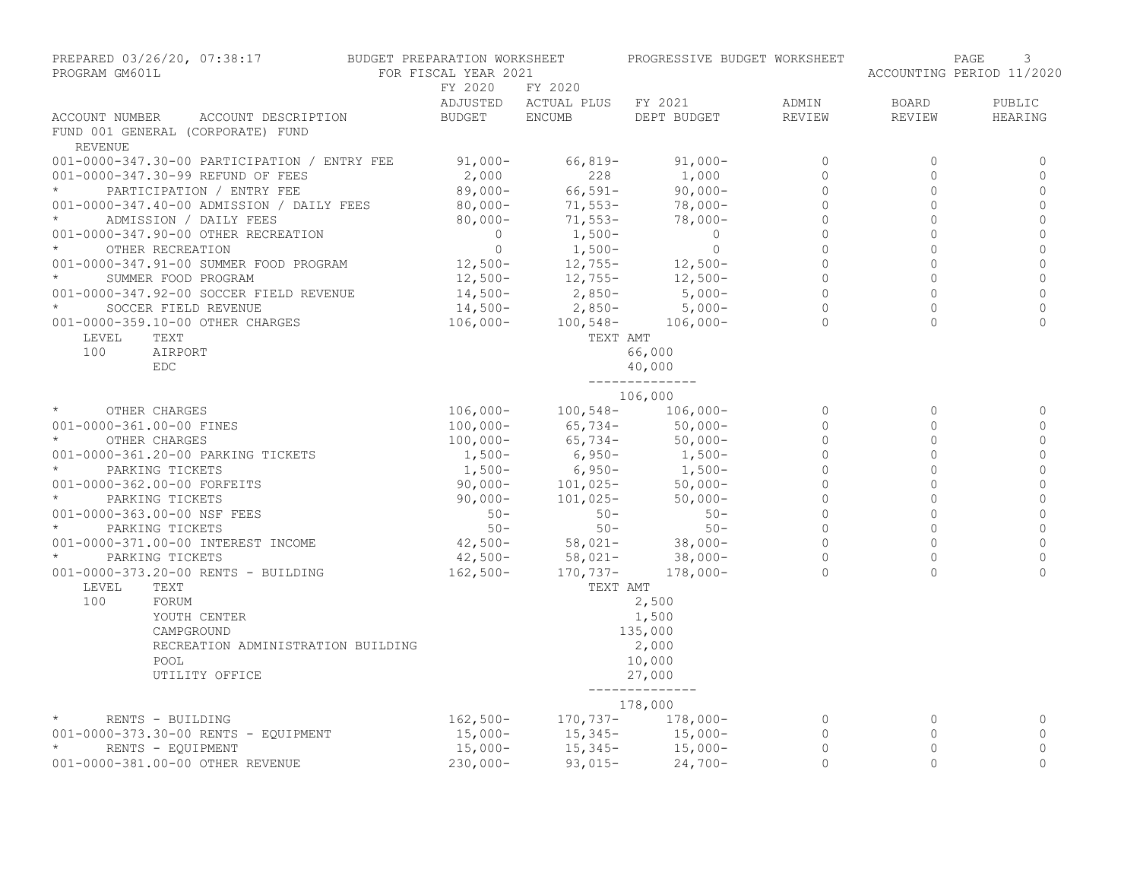| PREPARED 03/26/20, 07:38:17<br>PROGRAM GM601L                                         | BUDGET PREPARATION WORKSHEET<br>FOR FISCAL YEAR 2021        |                              | PROGRESSIVE BUDGET WORKSHEET                        |                |          | 3<br>PAGE<br>ACCOUNTING PERIOD 11/2020 |
|---------------------------------------------------------------------------------------|-------------------------------------------------------------|------------------------------|-----------------------------------------------------|----------------|----------|----------------------------------------|
|                                                                                       | FY 2020                                                     | FY 2020                      |                                                     |                |          |                                        |
|                                                                                       |                                                             | ADJUSTED ACTUAL PLUS FY 2021 |                                                     | ADMIN          | BOARD    | PUBLIC                                 |
| ACCOUNT NUMBER<br>ACCOUNT DESCRIPTION<br>FUND 001 GENERAL (CORPORATE) FUND<br>REVENUE | BUDGET                                                      | ENCUMB                       | DEPT BUDGET                                         | REVIEW         | REVIEW   | HEARING                                |
| 001-0000-347.30-00 PARTICIPATION / ENTRY FEE 91,000-                                  |                                                             | 66,819-                      | $91,000 -$                                          | $\mathbf 0$    | $\Omega$ | 0                                      |
| 001-0000-347.30-99 REFUND OF FEES                                                     | 2,000                                                       | 228                          | 1,000                                               | $\circ$        | $\circ$  | $\mathbf{0}$                           |
| $\star$<br>PARTICIPATION / ENTRY FEE                                                  | $89,000-$                                                   | $66,591-$                    | $90,000 -$                                          | $\mathbf{0}$   | $\circ$  | $\mathbf{0}$                           |
| 001-0000-347.40-00 ADMISSION / DAILY FEES                                             | $80,000 -$                                                  | $71,553-$                    | 78,000-                                             | $\mathbf 0$    | $\circ$  | $\mathbf 0$                            |
| ADMISSION / DAILY FEES                                                                | $80,000-$                                                   | 71,553-                      | 78,000-                                             | $\mathbf 0$    | $\circ$  | $\mathbf 0$                            |
| 001-0000-347.90-00 OTHER RECREATION                                                   | $\overline{0}$                                              | $1,500-$                     | $\overline{0}$                                      | $\Omega$       | $\Omega$ | $\mathsf{O}\xspace$                    |
| OTHER RECREATION                                                                      | $\overline{0}$                                              | $1,500-$                     | $\overline{0}$                                      | $\Omega$       | $\Omega$ | $\mathbb O$                            |
| 001-0000-347.91-00 SUMMER FOOD PROGRAM 12,500-                                        |                                                             |                              | $12,755 12,500-$                                    | $\Omega$       | $\Omega$ | $\overline{0}$                         |
| $\star$<br>SUMMER FOOD PROGRAM                                                        | $12,500-$<br>$14,500-$<br>$14,500-$<br>$2,850-$<br>$2,850-$ |                              | $12,500-$                                           | $\Omega$       | $\Omega$ | $\mathbf 0$                            |
| 001-0000-347.92-00 SOCCER FIELD REVENUE                                               |                                                             |                              | $5,000-$                                            | $\Omega$       | $\Omega$ | $\mathbf 0$                            |
| $\star$<br>SOCCER FIELD REVENUE                                                       |                                                             |                              |                                                     | $\mathbf 0$    | $\circ$  | $\mathbf 0$                            |
| 001-0000-359.10-00 OTHER CHARGES                                                      |                                                             |                              | $14,500-$<br>$106,000-$<br>$100,548-$<br>$106,000-$ | $\cap$         |          | $\Omega$                               |
| LEVEL<br>TEXT                                                                         |                                                             | TEXT AMT                     |                                                     |                |          |                                        |
| 100<br>AIRPORT                                                                        |                                                             |                              | 66,000                                              |                |          |                                        |
| EDC.                                                                                  |                                                             |                              | 40,000                                              |                |          |                                        |
|                                                                                       |                                                             |                              | --------------                                      |                |          |                                        |
|                                                                                       |                                                             |                              | 106,000                                             |                |          |                                        |
| $\star$ and $\star$<br>OTHER CHARGES                                                  | $106,000 - 100,548 - 106,000 -$                             |                              |                                                     | $\circ$        | 0        | 0                                      |
| 001-0000-361.00-00 FINES                                                              | 100,000-<br>100,000-                                        |                              | 65,734- 50,000-<br>65,734- 50,000-                  | $\circ$        | $\Omega$ | 0                                      |
| $\star$<br>OTHER CHARGES                                                              |                                                             |                              |                                                     | $\Omega$       | $\Omega$ | $\mathbf{0}$                           |
| 001-0000-361.20-00 PARKING TICKETS                                                    | 1,500-<br>1,500-                                            |                              | $6,950-$<br>$6,950-$<br>$1,500-$                    | $\mathbf 0$    | $\circ$  | $\mathbb O$                            |
| $\star$<br>PARKING TICKETS                                                            |                                                             |                              |                                                     | $\mathbf{0}$   | $\Omega$ | $\circ$                                |
| 001-0000-362.00-00 FORFEITS                                                           |                                                             |                              | $50,000-$                                           | $\mathbf 0$    | $\circ$  | $\mathsf{O}\xspace$                    |
| $\star$<br>PARKING TICKETS                                                            |                                                             |                              | $50,000-$                                           | $\mathbf{0}$   | $\circ$  | $\mathbf 0$                            |
| 001-0000-363.00-00 NSF FEES                                                           | $50 -$<br>$50 -$                                            | $50 -$                       | $50 -$                                              | $\overline{0}$ | $\circ$  | $\mathbf 0$                            |
| PARKING TICKETS                                                                       |                                                             | $50 -$                       | $50 -$                                              | $\Omega$       | $\Omega$ | $\mathbf{0}$                           |
| 001-0000-371.00-00 INTEREST INCOME                                                    |                                                             |                              | $38,000-$                                           | $\Omega$       | $\Omega$ | $\mathbf 0$                            |
| $\star$<br>PARKING TICKETS                                                            | $42,500 58,021-$<br>$42,500 58,021-$<br>$162,500 170,737-$  |                              | $38,000-$                                           | $\Omega$       | $\Omega$ | $\mathbf{0}$                           |
| 001-0000-373.20-00 RENTS - BUILDING                                                   | $162,500-$                                                  | $170, 737 -$                 | $178,000-$                                          | $\Omega$       | $\Omega$ | $\Omega$                               |
| LEVEL<br>TEXT                                                                         |                                                             | TEXT AMT                     |                                                     |                |          |                                        |
| 100<br>FORUM                                                                          |                                                             |                              | 2,500                                               |                |          |                                        |
| YOUTH CENTER                                                                          |                                                             |                              | 1,500                                               |                |          |                                        |
| CAMPGROUND                                                                            |                                                             |                              | 135,000                                             |                |          |                                        |
| RECREATION ADMINISTRATION BUILDING                                                    |                                                             |                              | 2,000                                               |                |          |                                        |
| POOL                                                                                  |                                                             |                              | 10,000                                              |                |          |                                        |
| UTILITY OFFICE                                                                        |                                                             |                              | 27,000<br>--------------                            |                |          |                                        |
|                                                                                       |                                                             |                              | 178,000                                             |                |          |                                        |
| $\star$<br>RENTS - BUILDING                                                           | $162,500-$                                                  |                              | $170,737-178,000-$                                  | $\circ$        | 0        | 0                                      |
| 001-0000-373.30-00 RENTS - EQUIPMENT                                                  |                                                             |                              |                                                     | $\circ$        | $\circ$  | 0                                      |
| $\star$<br>RENTS - EQUIPMENT                                                          | 15,000-<br>15,000-                                          |                              | $15,345 15,000-$<br>$15,345 15,000-$                | $\mathbf{0}$   | $\circ$  | $\circ$                                |
| 001-0000-381.00-00 OTHER REVENUE                                                      | $230,000-$                                                  | $93,015-$                    | $24,700-$                                           | $\Omega$       | $\Omega$ | $\mathbf 0$                            |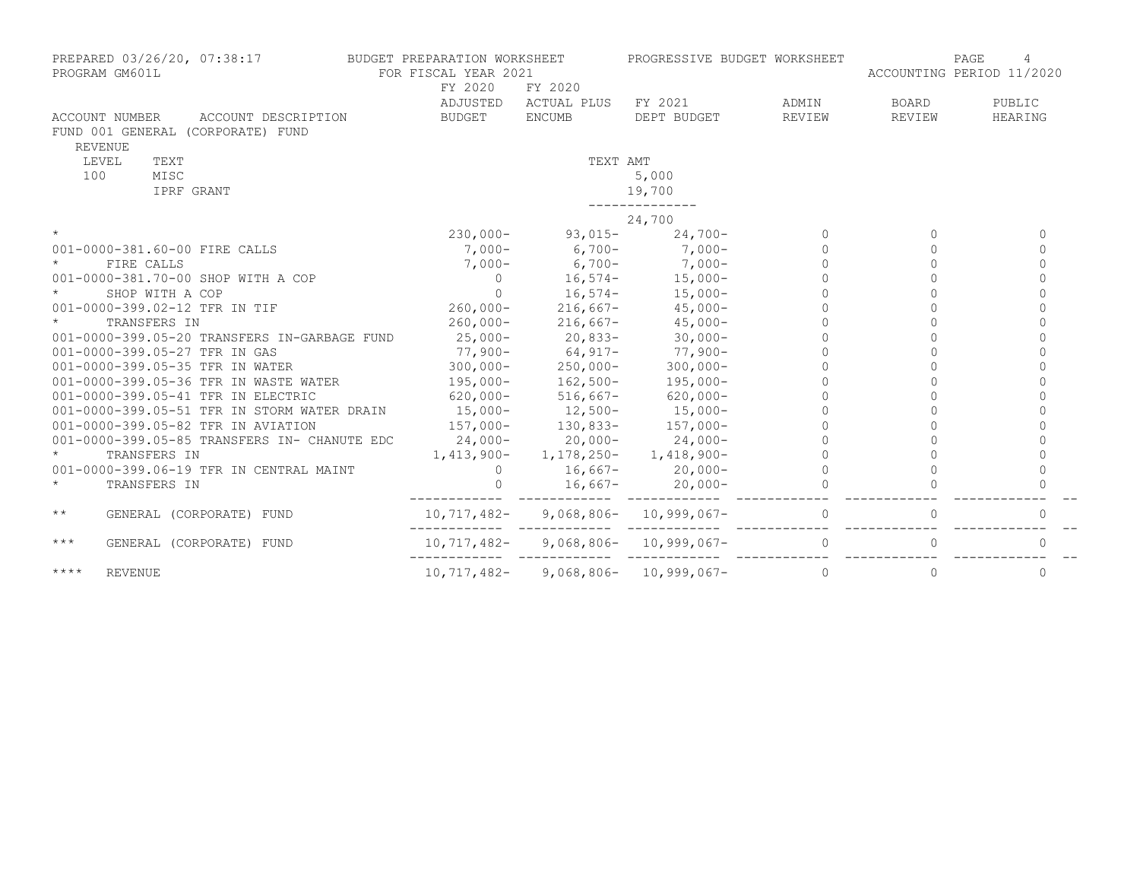| PREPARED 03/26/20, 07:38:17<br>PROGRAM GM601L                                                | BUDGET PREPARATION WORKSHEET<br>FOR FISCAL YEAR 2021 |               | PROGRESSIVE BUDGET WORKSHEET  |          | ACCOUNTING PERIOD 11/2020 | PAGE         |
|----------------------------------------------------------------------------------------------|------------------------------------------------------|---------------|-------------------------------|----------|---------------------------|--------------|
|                                                                                              | FY 2020                                              | FY 2020       |                               |          |                           |              |
|                                                                                              | ADJUSTED                                             | ACTUAL PLUS   | FY 2021                       | ADMIN    | BOARD                     | PUBLIC       |
| ACCOUNT NUMBER<br>ACCOUNT DESCRIPTION<br>FUND 001 GENERAL (CORPORATE) FUND<br><b>REVENUE</b> | <b>BUDGET</b>                                        | <b>ENCUMB</b> | DEPT BUDGET                   | REVIEW   | REVIEW                    | HEARING      |
| LEVEL<br>TEXT                                                                                |                                                      | TEXT AMT      |                               |          |                           |              |
| 100<br>MISC                                                                                  |                                                      |               | 5,000                         |          |                           |              |
| IPRF GRANT                                                                                   |                                                      |               | 19,700                        |          |                           |              |
|                                                                                              |                                                      |               | 24,700                        |          |                           |              |
| $\star$                                                                                      | $230,000-$                                           | $93,015-$     | $24,700-$                     | $\Omega$ | $\Omega$                  | $\Omega$     |
| 001-0000-381.60-00 FIRE CALLS                                                                | $7,000-$                                             | $6,700-$      | $7,000-$                      | $\cap$   | $\Omega$                  | $\Omega$     |
| FIRE CALLS                                                                                   | $7,000-$                                             | $6,700-$      | $7,000-$                      | $\cap$   | $\bigcap$                 | $\bigcap$    |
| 001-0000-381.70-00 SHOP WITH A COP                                                           | $\circ$                                              |               | $16,574-15,000-$              |          |                           | $\cap$       |
| $\star$<br>SHOP WITH A COP                                                                   | $\Omega$                                             |               | $16,574-15,000-$              |          |                           |              |
| 001-0000-399.02-12 TFR IN TIF                                                                | $260,000 -$                                          |               | $216,667 - 45,000 -$          |          |                           |              |
| $\star$<br>TRANSFERS IN                                                                      | $260,000 -$                                          | $216,667-$    | $45,000-$                     |          |                           |              |
| 001-0000-399.05-20 TRANSFERS IN-GARBAGE FUND                                                 | $25,000-$                                            | $20,833-$     | $30,000 -$                    |          |                           |              |
| 001-0000-399.05-27 TFR IN GAS                                                                | 77,900-                                              | $64, 917 -$   | $77,900-$                     |          |                           | $\bigcap$    |
| 001-0000-399.05-35 TFR IN WATER                                                              | $300,000 -$                                          | $250,000-$    | $300,000 -$                   |          |                           | $\cap$       |
| 001-0000-399.05-36 TFR IN WASTE WATER                                                        | 195,000-                                             | $162,500-$    | $195,000-$                    |          |                           | $\Omega$     |
| 001-0000-399.05-41 TFR IN ELECTRIC                                                           | $620,000 -$                                          | $516,667-$    | $620,000-$                    |          |                           | $\Omega$     |
| 001-0000-399.05-51 TFR IN STORM WATER DRAIN                                                  | $15,000-$                                            | $12,500-$     | $15,000-$                     |          |                           |              |
| 001-0000-399.05-82 TFR IN AVIATION                                                           | $157,000-$                                           | $130,833-$    | $157,000-$                    |          |                           |              |
| 001-0000-399.05-85 TRANSFERS IN- CHANUTE EDC                                                 | $24,000-$                                            | $20,000-$     | $24,000-$                     |          |                           | $\Omega$     |
| TRANSFERS IN                                                                                 | $1,413,900-$                                         |               | $1, 178, 250 - 1, 418, 900 -$ |          |                           | $\Omega$     |
| 001-0000-399.06-19 TFR IN CENTRAL MAINT                                                      | $\Omega$                                             | 16,667-       | $20,000-$                     |          |                           | $\Omega$     |
| $\star$<br>TRANSFERS IN                                                                      | $\Omega$                                             | $16,667-$     | $20,000-$                     |          |                           |              |
| $\star\star$<br>GENERAL (CORPORATE) FUND                                                     | 10,717,482-                                          |               | $9,068,806 - 10,999,067 -$    |          |                           | $\Omega$     |
| $***$<br>GENERAL (CORPORATE) FUND                                                            | 10,717,482-                                          |               | $9,068,806 - 10,999,067 -$    | $\Omega$ |                           | 0            |
| $***$ *<br><b>REVENUE</b>                                                                    | 10,717,482-                                          |               | $9,068,806 - 10,999,067 -$    | $\Omega$ | $\circ$                   | $\mathbf{0}$ |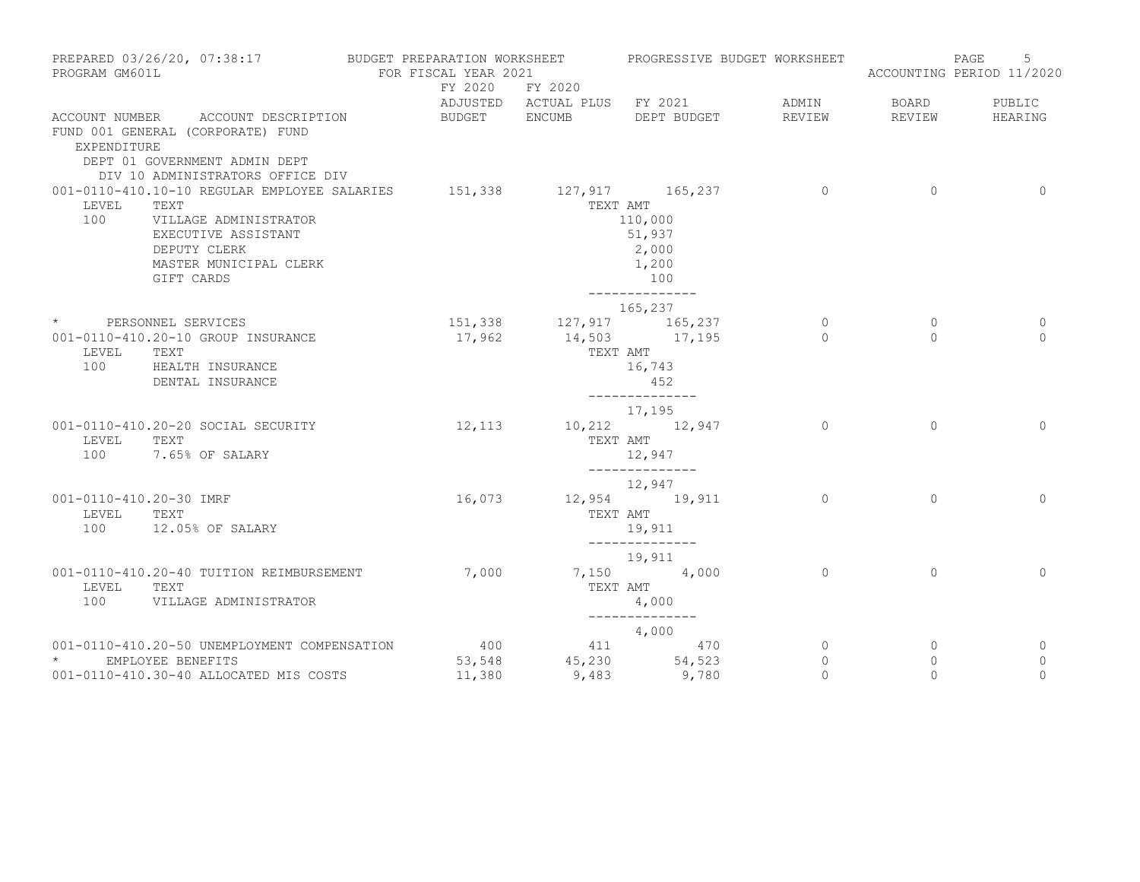| PROGRAM GM601L          | PREPARED 03/26/20, 07:38:17                                                                            | BUDGET PREPARATION WORKSHEET<br>FOR FISCAL YEAR 2021 |                         | PROGRESSIVE BUDGET WORKSHEET                |                    |                     | 5<br>PAGE<br>ACCOUNTING PERIOD 11/2020 |
|-------------------------|--------------------------------------------------------------------------------------------------------|------------------------------------------------------|-------------------------|---------------------------------------------|--------------------|---------------------|----------------------------------------|
|                         |                                                                                                        |                                                      | FY 2020 FY 2020         |                                             |                    |                     |                                        |
|                         | ACCOUNT NUMBER ACCOUNT DESCRIPTION                                                                     | BUDGET ENCUMB                                        |                         | ADJUSTED ACTUAL PLUS FY 2021<br>DEPT BUDGET | ADMIN<br>REVIEW    | BOARD<br>REVIEW     | PUBLIC<br>HEARING                      |
| EXPENDITURE             | FUND 001 GENERAL (CORPORATE) FUND<br>DEPT 01 GOVERNMENT ADMIN DEPT<br>DIV 10 ADMINISTRATORS OFFICE DIV |                                                      |                         |                                             |                    |                     |                                        |
|                         | 001-0110-410.10-10 REGULAR EMPLOYEE SALARIES 151,338 127,917 165,237                                   |                                                      |                         |                                             | $\overline{0}$     | $\circ$             | $\circ$                                |
| LEVEL                   | TEXT                                                                                                   |                                                      | TEXT AMT                |                                             |                    |                     |                                        |
| 100                     | VILLAGE ADMINISTRATOR<br>EXECUTIVE ASSISTANT                                                           |                                                      |                         | 110,000<br>51,937                           |                    |                     |                                        |
|                         | DEPUTY CLERK                                                                                           |                                                      |                         | 2,000                                       |                    |                     |                                        |
|                         | MASTER MUNICIPAL CLERK                                                                                 |                                                      |                         | 1,200                                       |                    |                     |                                        |
|                         | GIFT CARDS                                                                                             |                                                      |                         | 100                                         |                    |                     |                                        |
|                         |                                                                                                        |                                                      |                         | ______________<br>165,237                   |                    |                     |                                        |
|                         | * PERSONNEL SERVICES                                                                                   |                                                      | 151,338 127,917 165,237 |                                             | $\circ$            | 0                   | 0                                      |
|                         | 001-0110-410.20-10 GROUP INSURANCE                                                                     | 17,962                                               |                         | 14,503 17,195                               | $\Omega$           | $\Omega$            | $\Omega$                               |
| LEVEL<br>100            | TEXT<br>HEALTH INSURANCE                                                                               |                                                      | TEXT AMT                | 16,743                                      |                    |                     |                                        |
|                         | DENTAL INSURANCE                                                                                       |                                                      |                         | 452                                         |                    |                     |                                        |
|                         |                                                                                                        |                                                      |                         | --------------                              |                    |                     |                                        |
|                         | 001-0110-410.20-20 SOCIAL SECURITY                                                                     | 12, 113                                              |                         | 17,195<br>10,212 12,947                     | $\Omega$           | $\Omega$            | $\Omega$                               |
| LEVEL                   | TEXT                                                                                                   |                                                      |                         | TEXT AMT                                    |                    |                     |                                        |
| 100                     | 7.65% OF SALARY                                                                                        |                                                      |                         | 12,947                                      |                    |                     |                                        |
|                         |                                                                                                        |                                                      |                         | --------------<br>12,947                    |                    |                     |                                        |
| 001-0110-410.20-30 IMRF |                                                                                                        | 16,073                                               |                         | 12,954 19,911                               | $\circ$            | $\circ$             | $\mathbf{0}$                           |
| LEVEL                   | TEXT                                                                                                   |                                                      | TEXT AMT                |                                             |                    |                     |                                        |
| 100                     | 12.05% OF SALARY                                                                                       |                                                      |                         | 19,911<br>--------------                    |                    |                     |                                        |
|                         |                                                                                                        |                                                      |                         | 19,911                                      |                    |                     |                                        |
|                         | 001-0110-410.20-40 TUITION REIMBURSEMENT                                                               | 7,000                                                |                         | 7,150 4,000                                 | $\Omega$           | $\Omega$            | $\Omega$                               |
| LEVEL<br>100            | TEXT<br>VILLAGE ADMINISTRATOR                                                                          |                                                      |                         | TEXT AMT<br>4,000                           |                    |                     |                                        |
|                         |                                                                                                        |                                                      |                         | ______________                              |                    |                     |                                        |
|                         |                                                                                                        |                                                      |                         | 4,000                                       |                    |                     |                                        |
|                         | 001-0110-410.20-50 UNEMPLOYMENT COMPENSATION                                                           | 400                                                  |                         | 4 1 1 4 7 0                                 | $\circ$            | 0                   | 0                                      |
| * EMPLOYEE BENEFITS     | 001-0110-410.30-40 ALLOCATED MIS COSTS                                                                 | 53,548<br>11,380                                     |                         | 45,230 54,523<br>9,483 9,780                | $\circ$<br>$\circ$ | $\circ$<br>$\Omega$ | 0<br>$\circ$                           |
|                         |                                                                                                        |                                                      |                         |                                             |                    |                     |                                        |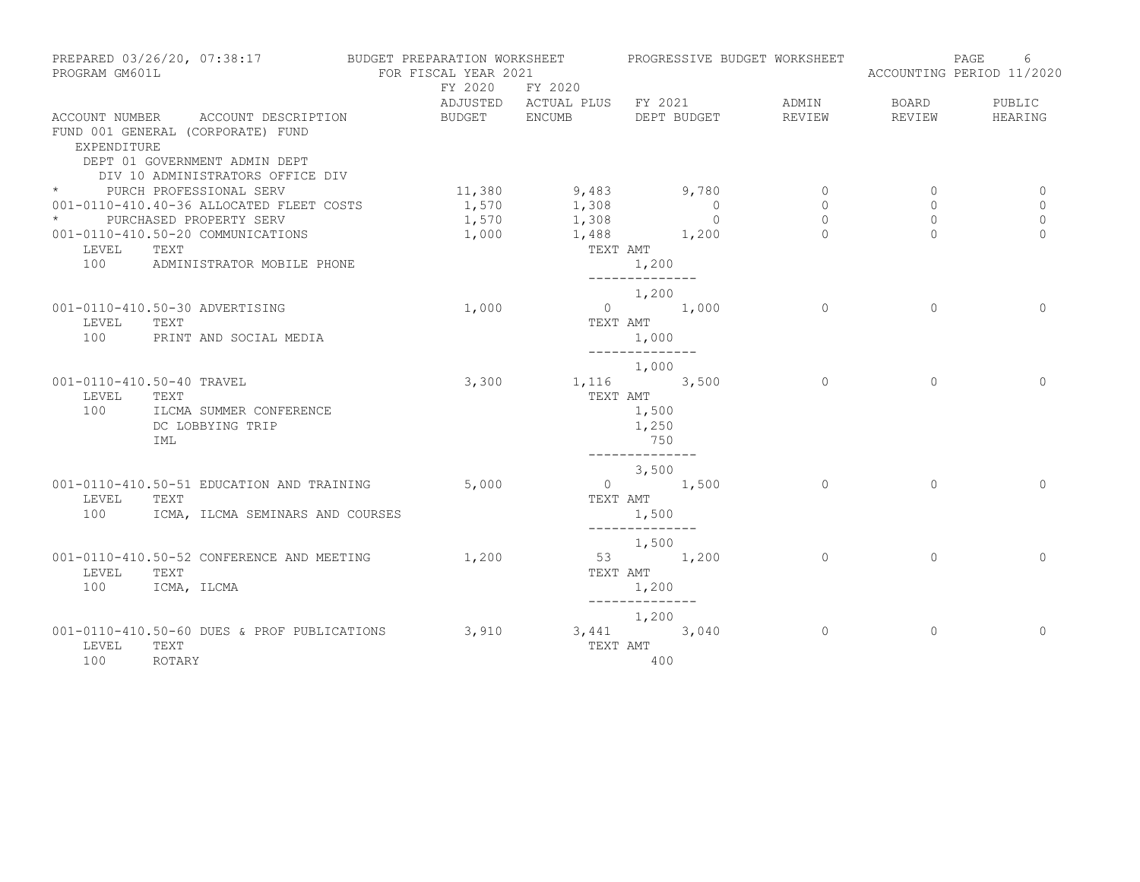| PROGRAM GM601L | PREPARED 03/26/20, 07:38:17                                           | BUDGET PREPARATION WORKSHEET<br>FOR FISCAL YEAR 2021<br>FY 2020 | FY 2020                      |                         |                                                     | PROGRESSIVE BUDGET WORKSHEET | PAGE<br>ACCOUNTING PERIOD 11/2020 | 6                |
|----------------|-----------------------------------------------------------------------|-----------------------------------------------------------------|------------------------------|-------------------------|-----------------------------------------------------|------------------------------|-----------------------------------|------------------|
|                |                                                                       |                                                                 | ADJUSTED ACTUAL PLUS FY 2021 |                         |                                                     | ADMIN                        | BOARD                             | PUBLIC           |
|                | ACCOUNT NUMBER ACCOUNT DESCRIPTION                                    |                                                                 | BUDGET ENCUMB DEPT BUDGET    |                         |                                                     | REVIEW                       | REVIEW                            | HEARING          |
| EXPENDITURE    | FUND 001 GENERAL (CORPORATE) FUND<br>DEPT 01 GOVERNMENT ADMIN DEPT    |                                                                 |                              |                         |                                                     |                              |                                   |                  |
|                | DIV 10 ADMINISTRATORS OFFICE DIV                                      |                                                                 |                              |                         |                                                     |                              |                                   |                  |
|                | * PURCH PROFESSIONAL SERV<br>001-0110-410.40-36 ALLOCATED FLEET COSTS |                                                                 | $11,380$ 9,483 9,780         |                         |                                                     | $\circ$<br>$\circ$           | 0<br>$\mathbf 0$                  | $\mathbf 0$<br>0 |
| $\star$        | PURCHASED PROPERTY SERV                                               |                                                                 | $1,570$ $1,308$              |                         | $\begin{array}{c} 0 \\ 0 \end{array}$<br>$\bigcirc$ | $\circ$                      | $\Omega$                          | $\Omega$         |
|                | 001-0110-410.50-20 COMMUNICATIONS                                     | 1,570                                                           | 1,308<br>1,488 1,200         |                         |                                                     | $\Omega$                     | $\Omega$                          | $\Omega$         |
| LEVEL          |                                                                       | 1,000                                                           |                              |                         |                                                     |                              |                                   |                  |
|                | TEXT<br>100 ADMINISTRATOR MOBILE PHONE                                |                                                                 | TEXT AMT                     | 1,200<br>-------------- |                                                     |                              |                                   |                  |
|                |                                                                       |                                                                 |                              | 1,200                   |                                                     |                              |                                   |                  |
|                | 001-0110-410.50-30 ADVERTISING                                        | 1,000                                                           |                              | $0 \t 1,000$            |                                                     | $\Omega$                     | $\Omega$                          | $\Omega$         |
| LEVEL          | TEXT                                                                  |                                                                 | TEXT AMT                     |                         |                                                     |                              |                                   |                  |
| 100            | PRINT AND SOCIAL MEDIA                                                |                                                                 |                              | 1,000<br>______________ |                                                     |                              |                                   |                  |
|                | 001-0110-410.50-40 TRAVEL                                             | 3,300                                                           |                              | 1,000<br>1,116 3,500    |                                                     | $\Omega$                     | $\Omega$                          | $\Omega$         |
| LEVEL          | TEXT                                                                  |                                                                 |                              | TEXT AMT                |                                                     |                              |                                   |                  |
| 100            | ILCMA SUMMER CONFERENCE                                               |                                                                 |                              | 1,500                   |                                                     |                              |                                   |                  |
|                | DC LOBBYING TRIP                                                      |                                                                 |                              | 1,250                   |                                                     |                              |                                   |                  |
|                | IML                                                                   |                                                                 |                              | 750                     |                                                     |                              |                                   |                  |
|                |                                                                       |                                                                 |                              | --------------          |                                                     |                              |                                   |                  |
|                | 001-0110-410.50-51 EDUCATION AND TRAINING                             | 5,000                                                           |                              | 3,500<br>$0 \t 1,500$   |                                                     | $\Omega$                     | $\Omega$                          | $\Omega$         |
| LEVEL          | TEXT                                                                  |                                                                 | TEXT AMT                     |                         |                                                     |                              |                                   |                  |
| 100            | ICMA, ILCMA SEMINARS AND COURSES                                      |                                                                 |                              | 1,500                   |                                                     |                              |                                   |                  |
|                |                                                                       |                                                                 |                              | --------------          |                                                     |                              |                                   |                  |
|                |                                                                       |                                                                 |                              | 1,500                   |                                                     |                              |                                   |                  |
|                | 001-0110-410.50-52 CONFERENCE AND MEETING                             | 1,200                                                           |                              | 53 1,200                |                                                     | $\Omega$                     | $\Omega$                          | $\Omega$         |
| LEVEL          | TEXT                                                                  |                                                                 | TEXT AMT                     |                         |                                                     |                              |                                   |                  |
| 100            | ICMA, ILCMA                                                           |                                                                 |                              | 1,200<br>-------------- |                                                     |                              |                                   |                  |
|                |                                                                       |                                                                 |                              | 1,200                   |                                                     |                              |                                   |                  |
|                | 001-0110-410.50-60 DUES & PROF PUBLICATIONS                           | 3,910                                                           |                              | $3,441$ $3,040$         |                                                     | $\Omega$                     | $\Omega$                          | $\Omega$         |
| LEVEL          | TEXT                                                                  |                                                                 | TEXT AMT                     |                         |                                                     |                              |                                   |                  |
| 100            | ROTARY                                                                |                                                                 |                              | 400                     |                                                     |                              |                                   |                  |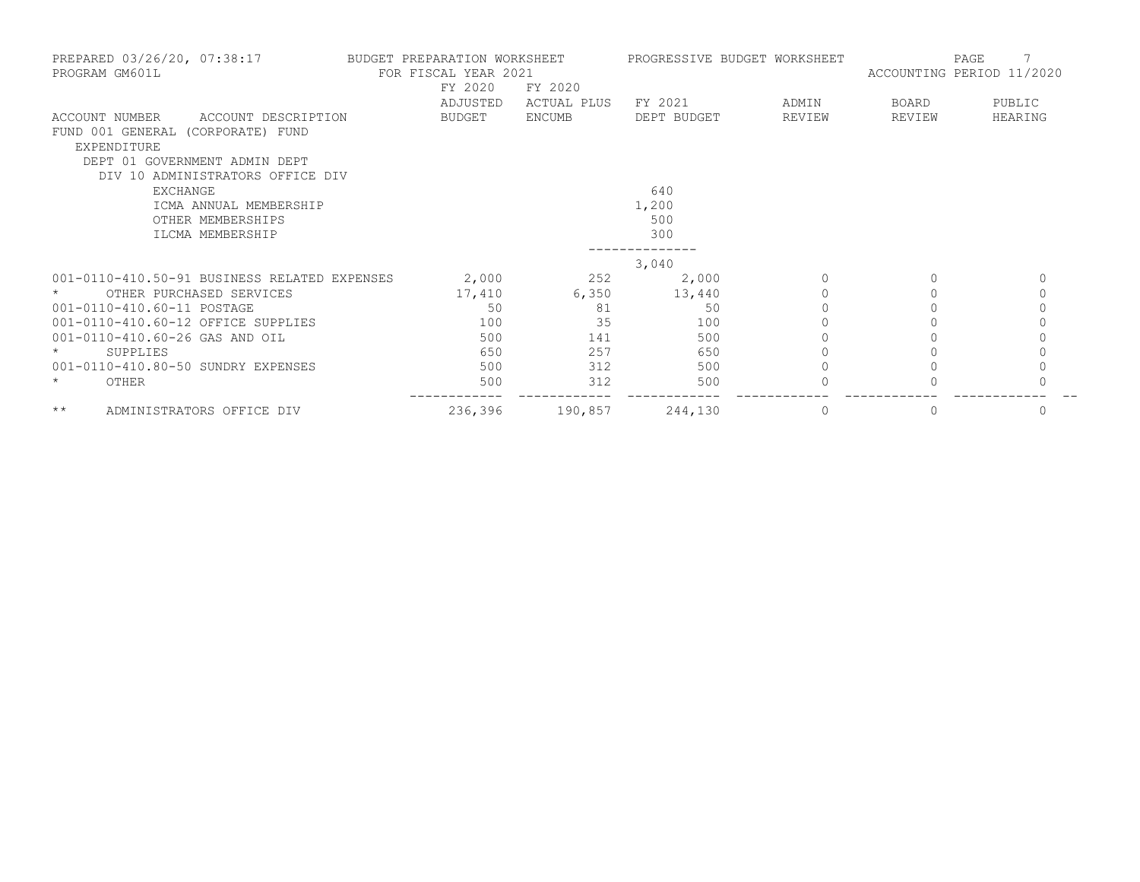| PREPARED 03/26/20, 07:38:17<br>PROGRAM GM601L                                                                                                                  | BUDGET PREPARATION WORKSHEET<br>FOR FISCAL YEAR 2021<br>FY 2020 | FY 2020       |             | PROGRESSIVE BUDGET WORKSHEET | PAGE<br>ACCOUNTING PERIOD 11/2020 |              |  |
|----------------------------------------------------------------------------------------------------------------------------------------------------------------|-----------------------------------------------------------------|---------------|-------------|------------------------------|-----------------------------------|--------------|--|
|                                                                                                                                                                | ADJUSTED                                                        | ACTUAL PLUS   | FY 2021     | ADMIN                        | BOARD                             | PUBLIC       |  |
| ACCOUNT DESCRIPTION<br>ACCOUNT NUMBER<br>FUND 001 GENERAL (CORPORATE) FUND<br>EXPENDITURE<br>DEPT 01 GOVERNMENT ADMIN DEPT<br>DIV 10 ADMINISTRATORS OFFICE DIV | BUDGET                                                          | <b>ENCUMB</b> | DEPT BUDGET | REVIEW                       | REVIEW                            | HEARING      |  |
| <b>EXCHANGE</b>                                                                                                                                                |                                                                 |               | 640         |                              |                                   |              |  |
| ICMA ANNUAL MEMBERSHIP                                                                                                                                         |                                                                 |               | 1,200       |                              |                                   |              |  |
| OTHER MEMBERSHIPS                                                                                                                                              |                                                                 |               | 500         |                              |                                   |              |  |
| ILCMA MEMBERSHIP                                                                                                                                               |                                                                 |               | 300         |                              |                                   |              |  |
|                                                                                                                                                                |                                                                 |               |             |                              |                                   |              |  |
|                                                                                                                                                                |                                                                 |               | 3,040       |                              |                                   |              |  |
| 001-0110-410.50-91 BUSINESS RELATED EXPENSES                                                                                                                   | 2,000                                                           | 252           | 2,000       | $\Omega$                     | $\Omega$                          | $\mathbf{0}$ |  |
| OTHER PURCHASED SERVICES                                                                                                                                       | 17,410                                                          | 6,350         | 13,440      | $\Omega$                     |                                   | 0            |  |
| 001-0110-410.60-11 POSTAGE                                                                                                                                     | 50                                                              | 81            | 50          | $\Omega$                     |                                   | $\Omega$     |  |
| 001-0110-410.60-12 OFFICE SUPPLIES                                                                                                                             | 100                                                             | 35            | 100         |                              |                                   | $\mathbf 0$  |  |
| 001-0110-410.60-26 GAS AND OIL                                                                                                                                 | 500                                                             | 141           | 500         |                              |                                   |              |  |
| $^\star$<br>SUPPLIES                                                                                                                                           | 650                                                             | 257           | 650         |                              |                                   | 0            |  |
| 001-0110-410.80-50 SUNDRY EXPENSES                                                                                                                             | 500                                                             | 312           | 500         |                              |                                   |              |  |
| $\star$<br>OTHER                                                                                                                                               | 500                                                             | 312           | 500         |                              |                                   |              |  |
| $\star\star$<br>ADMINISTRATORS OFFICE DIV                                                                                                                      | 236,396                                                         | 190,857       | 244,130     | $\circ$                      | 0                                 | $\mathbf{0}$ |  |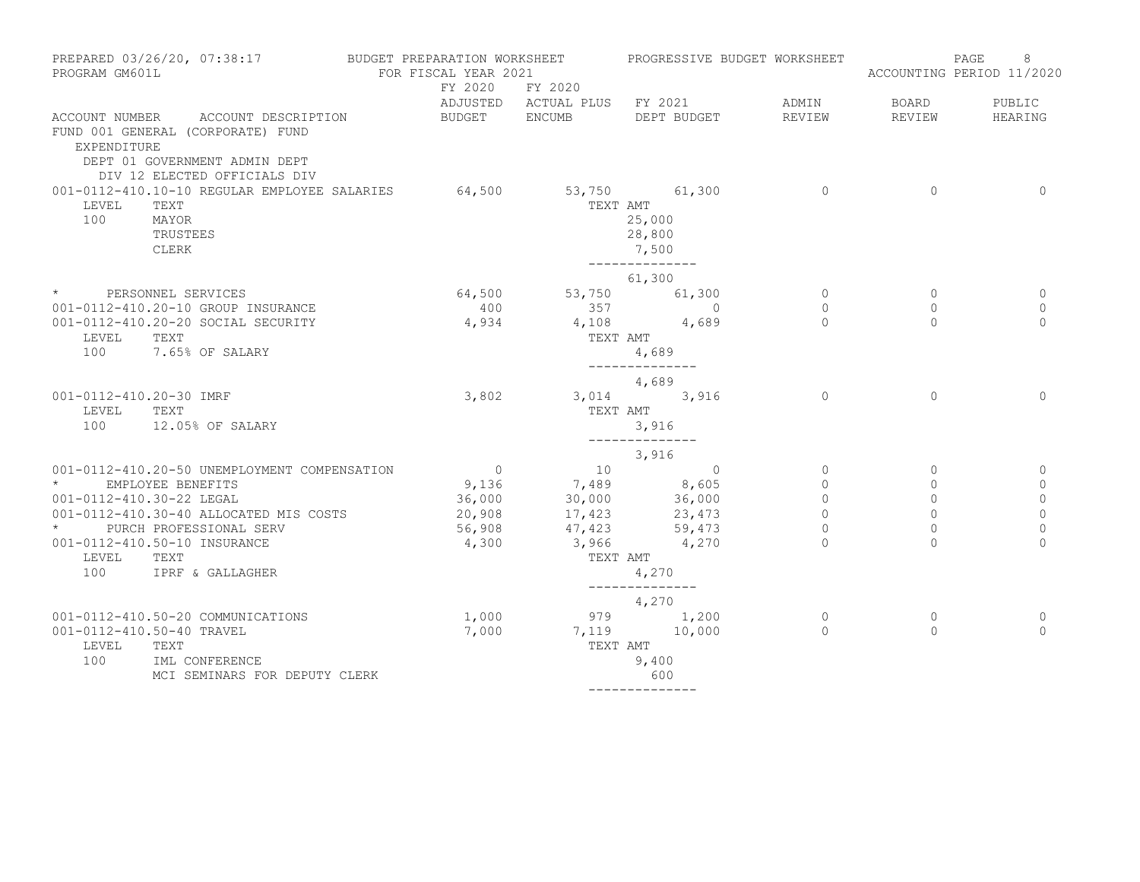| PREPARED 03/26/20, 07:38:17<br>PROGRAM GM601L                                                      |                                                                                                                                          | BUDGET PREPARATION WORKSHEET<br>FOR FISCAL YEAR 2021 |                |                         |                                                              | PROGRESSIVE BUDGET WORKSHEET | 8<br>PAGE<br>ACCOUNTING PERIOD 11/2020 |              |  |
|----------------------------------------------------------------------------------------------------|------------------------------------------------------------------------------------------------------------------------------------------|------------------------------------------------------|----------------|-------------------------|--------------------------------------------------------------|------------------------------|----------------------------------------|--------------|--|
|                                                                                                    |                                                                                                                                          |                                                      | FY 2020        | FY 2020                 | ADJUSTED ACTUAL PLUS FY 2021                                 | ADMIN                        | BOARD                                  | PUBLIC       |  |
| EXPENDITURE                                                                                        | ACCOUNT NUMBER ACCOUNT DESCRIPTION<br>FUND 001 GENERAL (CORPORATE) FUND<br>DEPT 01 GOVERNMENT ADMIN DEPT<br>DIV 12 ELECTED OFFICIALS DIV |                                                      | BUDGET ENCUMB  |                         | DEPT BUDGET                                                  | REVIEW                       | REVIEW                                 | HEARING      |  |
| 001-0112-410.10-10 REGULAR EMPLOYEE SALARIES<br>LEVEL<br>TEXT<br>100<br>MAYOR<br>TRUSTEES<br>CLERK |                                                                                                                                          | 64,500                                               |                | TEXT AMT                | 53,750 61,300<br>25,000<br>28,800<br>7,500<br>-------------- | $\overline{0}$               | $\Omega$                               | $\Omega$     |  |
|                                                                                                    |                                                                                                                                          |                                                      |                |                         | 61,300                                                       |                              |                                        |              |  |
|                                                                                                    | * PERSONNEL SERVICES                                                                                                                     |                                                      |                | 64,500 53,750 61,300    |                                                              | $\circ$                      | 0                                      | 0            |  |
|                                                                                                    | 001-0112-410.20-10 GROUP INSURANCE                                                                                                       |                                                      | 400            | 357                     | $\overline{0}$                                               | $\circ$                      | $\circ$                                | 0            |  |
| LEVEL                                                                                              | 001-0112-410.20-20 SOCIAL SECURITY<br>TEXT<br>100 7.65% OF SALARY                                                                        |                                                      | 4,934          | TEXT AMT                | 4,108 4,689<br>4,689                                         | $\Omega$                     | $\Omega$                               | $\Omega$     |  |
|                                                                                                    |                                                                                                                                          |                                                      |                |                         | --------------                                               |                              |                                        |              |  |
|                                                                                                    |                                                                                                                                          |                                                      |                |                         | 4,689                                                        |                              |                                        |              |  |
| 001-0112-410.20-30 IMRF<br>LEVEL                                                                   | TEXT<br>100 12.05% OF SALARY                                                                                                             |                                                      | 3,802          | TEXT AMT                | 3,014 3,916<br>3,916                                         | $\Omega$                     | $\Omega$                               | $\Omega$     |  |
|                                                                                                    |                                                                                                                                          |                                                      |                | ______________<br>3,916 |                                                              |                              |                                        |              |  |
|                                                                                                    | 001-0112-410.20-50 UNEMPLOYMENT COMPENSATION                                                                                             |                                                      | $\overline{0}$ |                         | $\begin{array}{c c} 10 & 0 \\ \hline \end{array}$            | $\mathbf{0}$                 | $\Omega$                               | 0            |  |
| $\star$ and $\star$                                                                                | EMPLOYEE BENEFITS                                                                                                                        |                                                      | 9,136          | 7,489 8,605             |                                                              | $\mathbf{0}$                 | $\circ$                                | 0            |  |
| 001-0112-410.30-22 LEGAL                                                                           |                                                                                                                                          |                                                      | 36,000         | 30,000                  | 36,000                                                       | $\circ$                      | $\mathbf{0}$                           | $\mathbf 0$  |  |
|                                                                                                    | 001-0112-410.30-40 ALLOCATED MIS COSTS                                                                                                   |                                                      | 20,908         | 17,423                  | 23,473                                                       | $\mathbf{0}$                 | $\circ$                                | $\mathbb O$  |  |
|                                                                                                    | * PURCH PROFESSIONAL SERV                                                                                                                |                                                      | 56,908         | 47,423                  | 59,473                                                       | $\Omega$                     | $\Omega$                               | $\mathbf{0}$ |  |
|                                                                                                    | 001-0112-410.50-10 INSURANCE                                                                                                             |                                                      | 4,300          | 3,966                   | 4,270                                                        | $\cap$                       | $\Omega$                               | $\Omega$     |  |
| LEVEL                                                                                              | TEXT                                                                                                                                     |                                                      |                | TEXT AMT                |                                                              |                              |                                        |              |  |
| 100                                                                                                | IPRF & GALLAGHER                                                                                                                         |                                                      |                |                         | 4,270<br>--------------                                      |                              |                                        |              |  |
|                                                                                                    |                                                                                                                                          |                                                      |                |                         | 4,270                                                        |                              |                                        |              |  |
|                                                                                                    | 001-0112-410.50-20 COMMUNICATIONS                                                                                                        |                                                      | 1,000          |                         | $979$ 1,200                                                  | $\overline{0}$               | $\circ$                                | 0            |  |
|                                                                                                    | 001-0112-410.50-40 TRAVEL                                                                                                                |                                                      | 7,000          | 7,119                   | 10,000                                                       | $\Omega$                     | $\Omega$                               | $\cap$       |  |
| LEVEL                                                                                              | TEXT                                                                                                                                     |                                                      |                | TEXT AMT                |                                                              |                              |                                        |              |  |
| 100                                                                                                | IML CONFERENCE<br>MCI SEMINARS FOR DEPUTY CLERK                                                                                          |                                                      |                |                         | 9,400<br>600                                                 |                              |                                        |              |  |
|                                                                                                    |                                                                                                                                          |                                                      |                |                         | --------------                                               |                              |                                        |              |  |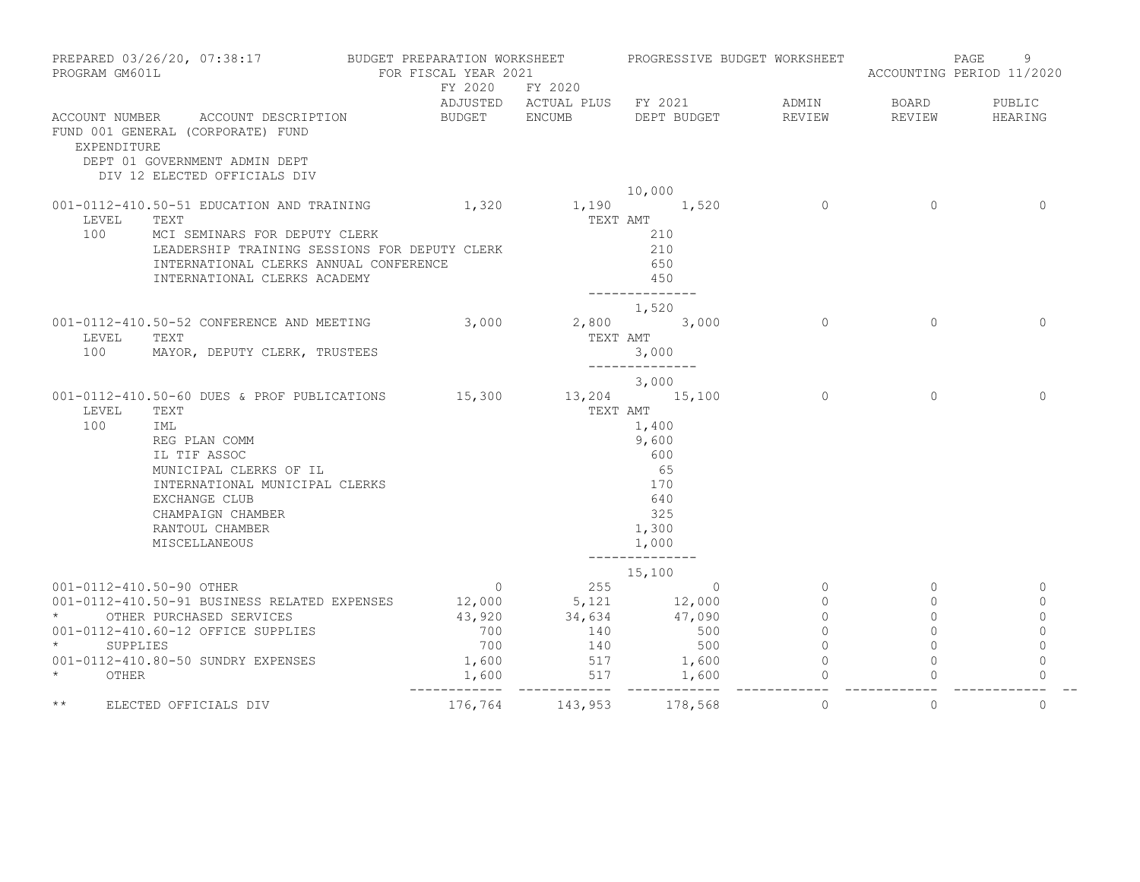| PREPARED 03/26/20, 07:38:17 BUDGET PREPARATION WORKSHEET PROGRESSIVE BUDGET WORKSHEET<br>PROGRAM GM601L |                                                                                                                                                                                                                                                               | FOR FISCAL YEAR 2021<br>FY 2020<br>FY 2020     |                                                                             |                                                                              |                                                                                  | PAGE<br>9<br>ACCOUNTING PERIOD 11/2020                  |                                                                        |  |
|---------------------------------------------------------------------------------------------------------|---------------------------------------------------------------------------------------------------------------------------------------------------------------------------------------------------------------------------------------------------------------|------------------------------------------------|-----------------------------------------------------------------------------|------------------------------------------------------------------------------|----------------------------------------------------------------------------------|---------------------------------------------------------|------------------------------------------------------------------------|--|
| EXPENDITURE                                                                                             | ACCOUNT NUMBER ACCOUNT DESCRIPTION<br>FUND 001 GENERAL (CORPORATE) FUND<br>DEPT 01 GOVERNMENT ADMIN DEPT<br>DIV 12 ELECTED OFFICIALS DIV                                                                                                                      |                                                |                                                                             | ADJUSTED ACTUAL PLUS FY 2021 ADMIN BOARD<br>BUDGET ENCUMB DEPT BUDGET REVIEW |                                                                                  | REVIEW                                                  | PUBLIC<br>HEARING                                                      |  |
|                                                                                                         |                                                                                                                                                                                                                                                               |                                                |                                                                             | 10,000                                                                       |                                                                                  |                                                         |                                                                        |  |
| LEVEL<br>100                                                                                            | 001-0112-410.50-51 EDUCATION AND TRAINING 1,320<br>TEXT<br>MCI SEMINARS FOR DEPUTY CLERK<br>LEADERSHIP TRAINING SESSIONS FOR DEPUTY CLERK<br>INTERNATIONAL CLERKS ANNUAL CONFERENCE<br>INTERNATIONAL CLERKS ACADEMY                                           |                                                | TEXT AMT                                                                    | 1,190 1,520<br>210<br>210<br>650<br>450<br>--------------                    | $\circ$                                                                          | $\Omega$                                                | $\mathbf{0}$                                                           |  |
| LEVEL<br>100                                                                                            | 001-0112-410.50-52 CONFERENCE AND MEETING 3,000 2,800 3,000<br>TEXT<br>MAYOR, DEPUTY CLERK, TRUSTEES                                                                                                                                                          |                                                | TEXT AMT                                                                    | 1,520<br>3,000<br>--------------                                             | $\cap$                                                                           | $\Omega$                                                | $\Omega$                                                               |  |
| LEVEL<br>100                                                                                            | 001-0112-410.50-60 DUES & PROF PUBLICATIONS 15,300 13,204 15,100<br>TEXT<br>IML<br>REG PLAN COMM<br>IL TIF ASSOC<br>MUNICIPAL CLERKS OF IL<br>INTERNATIONAL MUNICIPAL CLERKS<br><b>EXCHANGE CLUB</b><br>CHAMPAIGN CHAMBER<br>RANTOUL CHAMBER<br>MISCELLANEOUS |                                                | TEXT AMT                                                                    | 3,000<br>1,400<br>9,600<br>600<br>65<br>170<br>640<br>325<br>1,300<br>1,000  | $\Omega$                                                                         | $\Omega$                                                | $\Omega$                                                               |  |
| $\star$<br>SUPPLIES<br>$\star$<br>OTHER                                                                 | 001-0112-410.50-90 OTHER<br>001-0112-410.50-91 BUSINESS RELATED EXPENSES 12,000 5,121 12,000<br>* OTHER PURCHASED SERVICES<br>001-0112-410.60-12 OFFICE SUPPLIES<br>001-0112-410.80-50 SUNDRY EXPENSES                                                        | $\overline{0}$<br>700<br>700<br>1,600<br>1,600 | 255<br>43,920 34,634 47,090<br>140<br>140<br>$517$ $1,600$<br>$517$ $1,600$ | 15,100<br>$\sim$ 0<br>500<br>500                                             | $\circ$<br>$\Omega$<br>$\circ$<br>$\circ$<br>$\Omega$<br>$\circ$<br>------------ | $\circ$<br>$\Omega$<br>$\Omega$<br>$\Omega$<br>$\Omega$ | $\circ$<br>$\Omega$<br>$\mathbf{0}$<br>$\circ$<br>$\Omega$<br>$\Omega$ |  |
| $\star\star$                                                                                            | ELECTED OFFICIALS DIV                                                                                                                                                                                                                                         | 176,764 143,953 178,568                        |                                                                             |                                                                              | $\Omega$                                                                         | $\Omega$                                                | $\Omega$                                                               |  |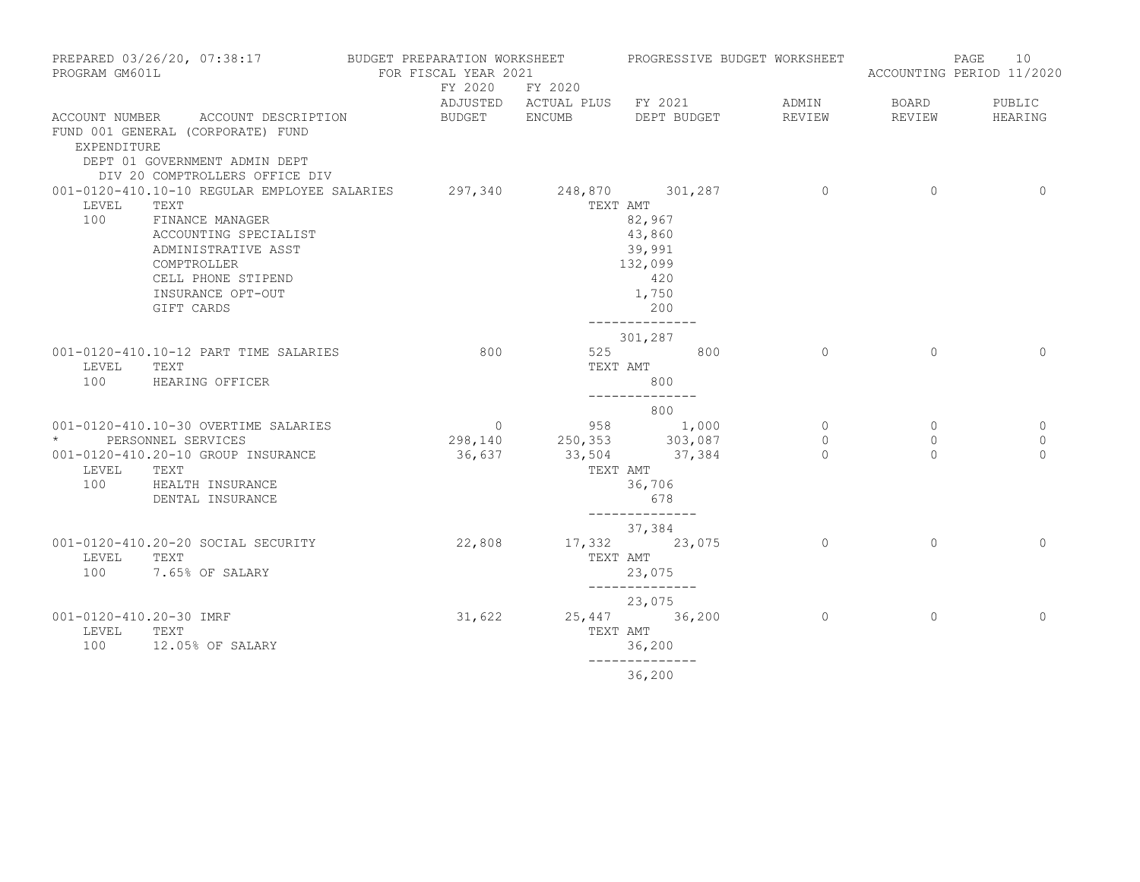| PREPARED 03/26/20, 07:38:17<br>PROGRAM GM601L |                                                                                                                                                                                                                         | FOR FISCAL YEAR 2021 |                         |                                                                                            |                |              | 10<br>PAGE<br>ACCOUNTING PERIOD 11/2020 |
|-----------------------------------------------|-------------------------------------------------------------------------------------------------------------------------------------------------------------------------------------------------------------------------|----------------------|-------------------------|--------------------------------------------------------------------------------------------|----------------|--------------|-----------------------------------------|
|                                               |                                                                                                                                                                                                                         |                      | FY 2020 FY 2020         | ADJUSTED ACTUAL PLUS FY 2021                                                               | ADMIN          | <b>BOARD</b> | PUBLIC                                  |
| EXPENDITURE                                   | ACCOUNT NUMBER ACCOUNT DESCRIPTION<br>FUND 001 GENERAL (CORPORATE) FUND<br>DEPT 01 GOVERNMENT ADMIN DEPT<br>DIV 20 COMPTROLLERS OFFICE DIV                                                                              | BUDGET ENCUMB        |                         | DEPT BUDGET                                                                                | REVIEW         | REVIEW       | HEARING                                 |
| LEVEL<br>100                                  | 001-0120-410.10-10 REGULAR EMPLOYEE SALARIES 297,340 248,870 301,287<br>TEXT<br>FINANCE MANAGER<br>ACCOUNTING SPECIALIST<br>ADMINISTRATIVE ASST<br>COMPTROLLER<br>CELL PHONE STIPEND<br>INSURANCE OPT-OUT<br>GIFT CARDS |                      |                         | TEXT AMT<br>82,967<br>43,860<br>39,991<br>132,099<br>420<br>1,750<br>200<br>-------------- | $\overline{0}$ | $\Omega$     | $\Omega$                                |
| LEVEL<br>100                                  | 001-0120-410.10-12 PART TIME SALARIES<br>TEXT<br>HEARING OFFICER                                                                                                                                                        | 800                  |                         | 301,287<br>525 800<br>TEXT AMT<br>800<br>--------------                                    | $\circ$        | $\Omega$     | $\Omega$                                |
|                                               | 001-0120-410.10-30 OVERTIME SALARIES                                                                                                                                                                                    |                      | $\overline{0}$          | 800<br>958 1,000                                                                           | $\circ$        | $\mathbf{0}$ | 0                                       |
|                                               | * PERSONNEL SERVICES                                                                                                                                                                                                    |                      | 298,140 250,353 303,087 |                                                                                            | $\Omega$       | $\Omega$     | $\Omega$                                |
| LEVEL                                         | 001-0120-410.20-10 GROUP INSURANCE<br>TEXT<br>100 HEALTH INSURANCE<br>DENTAL INSURANCE                                                                                                                                  | 36,637               |                         | 33,504 37,384<br>TEXT AMT<br>36,706<br>678<br>______________                               | $\Omega$       | $\Omega$     | $\Omega$                                |
| LEVEL                                         | 001-0120-410.20-20 SOCIAL SECURITY<br>TEXT<br>100 7.65% OF SALARY                                                                                                                                                       | 22,808               |                         | 37,384<br>17,332 23,075<br>TEXT AMT<br>23,075<br>______________                            | $\Omega$       | $\Omega$     | $\Omega$                                |
| 001-0120-410.20-30 IMRF<br>LEVEL<br>100       | TEXT<br>12.05% OF SALARY                                                                                                                                                                                                | 31,622               |                         | 23,075<br>25,447 36,200<br>TEXT AMT<br>36,200<br>--------------                            | $\overline{0}$ | $\Omega$     | $\Omega$                                |
|                                               |                                                                                                                                                                                                                         |                      |                         | 36,200                                                                                     |                |              |                                         |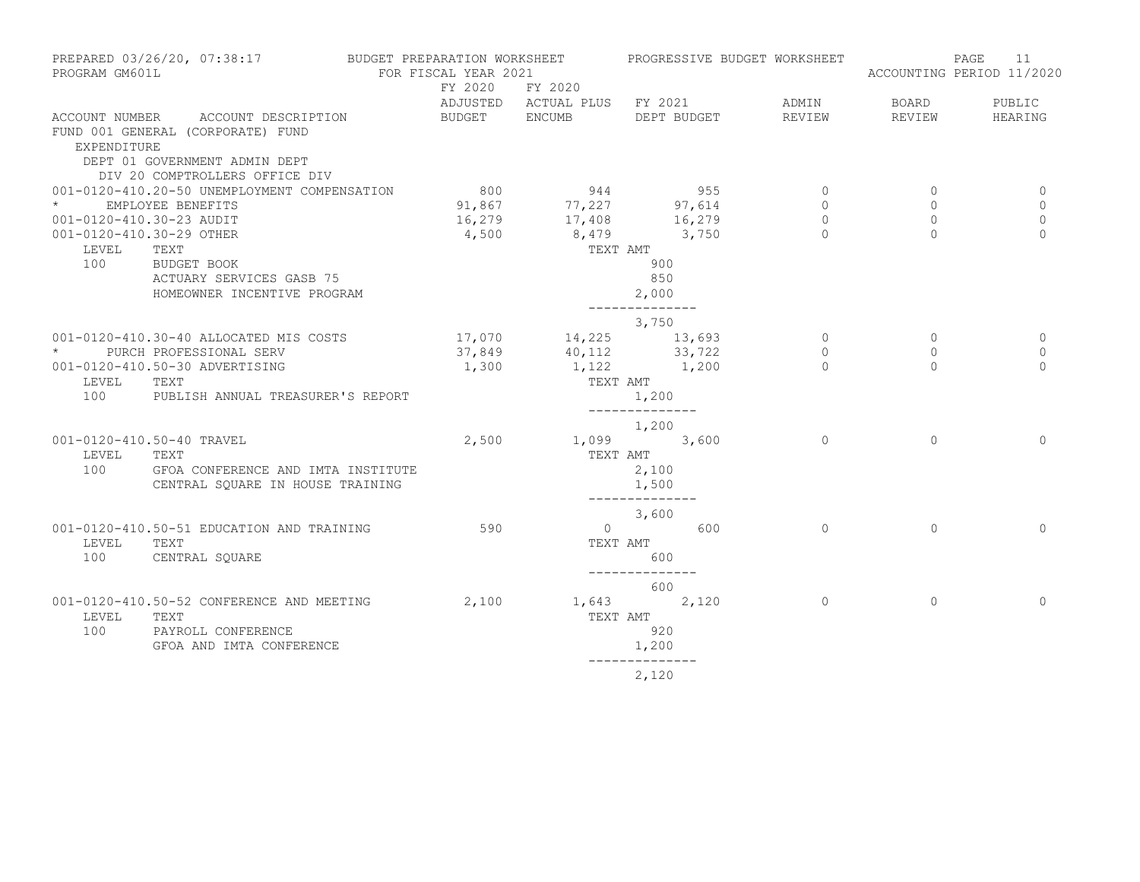| PREPARED 03/26/20, 07:38:17 BUDGET PREPARATION WORKSHEET PROGRESSIVE BUDGET WORKSHEET<br>PROGRAM GM601L |                                                                    | FOR FISCAL YEAR 2021 |                                                                                     |                          |     |                |                | PAGE<br>11<br>ACCOUNTING PERIOD 11/2020 |
|---------------------------------------------------------------------------------------------------------|--------------------------------------------------------------------|----------------------|-------------------------------------------------------------------------------------|--------------------------|-----|----------------|----------------|-----------------------------------------|
|                                                                                                         |                                                                    | FY 2020 FY 2020      |                                                                                     |                          |     |                |                |                                         |
|                                                                                                         |                                                                    |                      | ADJUSTED ACTUAL PLUS FY 2021                                                        |                          |     | ADMIN          | <b>BOARD</b>   | PUBLIC                                  |
|                                                                                                         | ACCOUNT NUMBER ACCOUNT DESCRIPTION                                 |                      | BUDGET ENCUMB DEPT BUDGET REVIEW                                                    |                          |     |                |                | REVIEW HEARING                          |
| <b>EXPENDITURE</b>                                                                                      | FUND 001 GENERAL (CORPORATE) FUND<br>DEPT 01 GOVERNMENT ADMIN DEPT |                      |                                                                                     |                          |     |                |                |                                         |
|                                                                                                         | DIV 20 COMPTROLLERS OFFICE DIV                                     |                      |                                                                                     |                          |     |                |                |                                         |
|                                                                                                         | 001-0120-410.20-50 UNEMPLOYMENT COMPENSATION                       | 800                  | 944                                                                                 |                          | 955 | $\overline{0}$ | $\circ$        | 0                                       |
| * EMPLOYEE BENEFITS                                                                                     |                                                                    |                      | $91,867$ $77,227$ $97,614$                                                          |                          |     | $\circ$        | $\circ$        | $\mathbf 0$                             |
| 001-0120-410.30-23 AUDIT                                                                                |                                                                    |                      | 16,279 17,408 16,279                                                                |                          |     | $\circ$        | $\overline{0}$ | $\mathbf{0}$                            |
| 001-0120-410.30-29 OTHER                                                                                |                                                                    | 4,500                | 8,479 3,750                                                                         |                          |     | $\Omega$       | $\Omega$       | $\Omega$                                |
| LEVEL                                                                                                   | TEXT                                                               |                      | TEXT AMT                                                                            |                          |     |                |                |                                         |
|                                                                                                         | 100 BUDGET BOOK                                                    |                      |                                                                                     | 900                      |     |                |                |                                         |
|                                                                                                         | ACTUARY SERVICES GASB 75                                           |                      |                                                                                     | 850                      |     |                |                |                                         |
|                                                                                                         | HOMEOWNER INCENTIVE PROGRAM                                        |                      |                                                                                     | 2,000                    |     |                |                |                                         |
|                                                                                                         |                                                                    |                      |                                                                                     | 3,750                    |     |                |                |                                         |
|                                                                                                         | 001-0120-410.30-40 ALLOCATED MIS COSTS                             |                      |                                                                                     |                          |     | $\circ$        | $\circ$        | 0                                       |
|                                                                                                         | * PURCH PROFESSIONAL SERV                                          |                      |                                                                                     |                          |     | $\circ$        | $\circ$        | 0                                       |
|                                                                                                         | 001-0120-410.50-30 ADVERTISING                                     |                      | $17,070$ $14,225$ $13,693$<br>$37,849$ $40,112$ $33,722$<br>$1,300$ $1,122$ $1,200$ |                          |     | $\Omega$       | $\Omega$       | $\Omega$                                |
| LEVEL TEXT                                                                                              |                                                                    |                      | TEXT AMT                                                                            |                          |     |                |                |                                         |
|                                                                                                         | 100 PUBLISH ANNUAL TREASURER'S REPORT                              |                      |                                                                                     | 1,200<br>_______________ |     |                |                |                                         |
|                                                                                                         |                                                                    |                      |                                                                                     | 1,200                    |     |                |                |                                         |
|                                                                                                         | 001-0120-410.50-40 TRAVEL                                          |                      | 2,500 1,099 3,600                                                                   |                          |     | $\Omega$       | $\Omega$       | $\Omega$                                |
| LEVEL TEXT                                                                                              |                                                                    |                      |                                                                                     | TEXT AMT                 |     |                |                |                                         |
| 100                                                                                                     | GFOA CONFERENCE AND IMTA INSTITUTE                                 |                      |                                                                                     | 2,100                    |     |                |                |                                         |
|                                                                                                         | CENTRAL SQUARE IN HOUSE TRAINING                                   |                      |                                                                                     | 1,500<br>_______________ |     |                |                |                                         |
|                                                                                                         |                                                                    |                      | $3,600$ 600                                                                         |                          |     |                |                |                                         |
|                                                                                                         | 001-0120-410.50-51 EDUCATION AND TRAINING                          | 590                  |                                                                                     |                          |     | $\Omega$       | $\Omega$       | $\Omega$                                |
| LEVEL                                                                                                   | TEXT                                                               |                      |                                                                                     | TEXT AMT                 |     |                |                |                                         |
| 100                                                                                                     | CENTRAL SQUARE                                                     |                      |                                                                                     | 600<br>--------------    |     |                |                |                                         |
|                                                                                                         |                                                                    |                      |                                                                                     | 600                      |     |                |                |                                         |
|                                                                                                         | 001-0120-410.50-52 CONFERENCE AND MEETING                          |                      | 2,100 1,643 2,120                                                                   |                          |     | $\circ$        | $\mathbf{0}$   | $\Omega$                                |
| LEVEL                                                                                                   | TEXT                                                               |                      | TEXT AMT                                                                            |                          |     |                |                |                                         |
| 100                                                                                                     | PAYROLL CONFERENCE                                                 |                      |                                                                                     | 920                      |     |                |                |                                         |
|                                                                                                         | GFOA AND IMTA CONFERENCE                                           |                      |                                                                                     | 1,200                    |     |                |                |                                         |
|                                                                                                         |                                                                    |                      |                                                                                     | 2,120                    |     |                |                |                                         |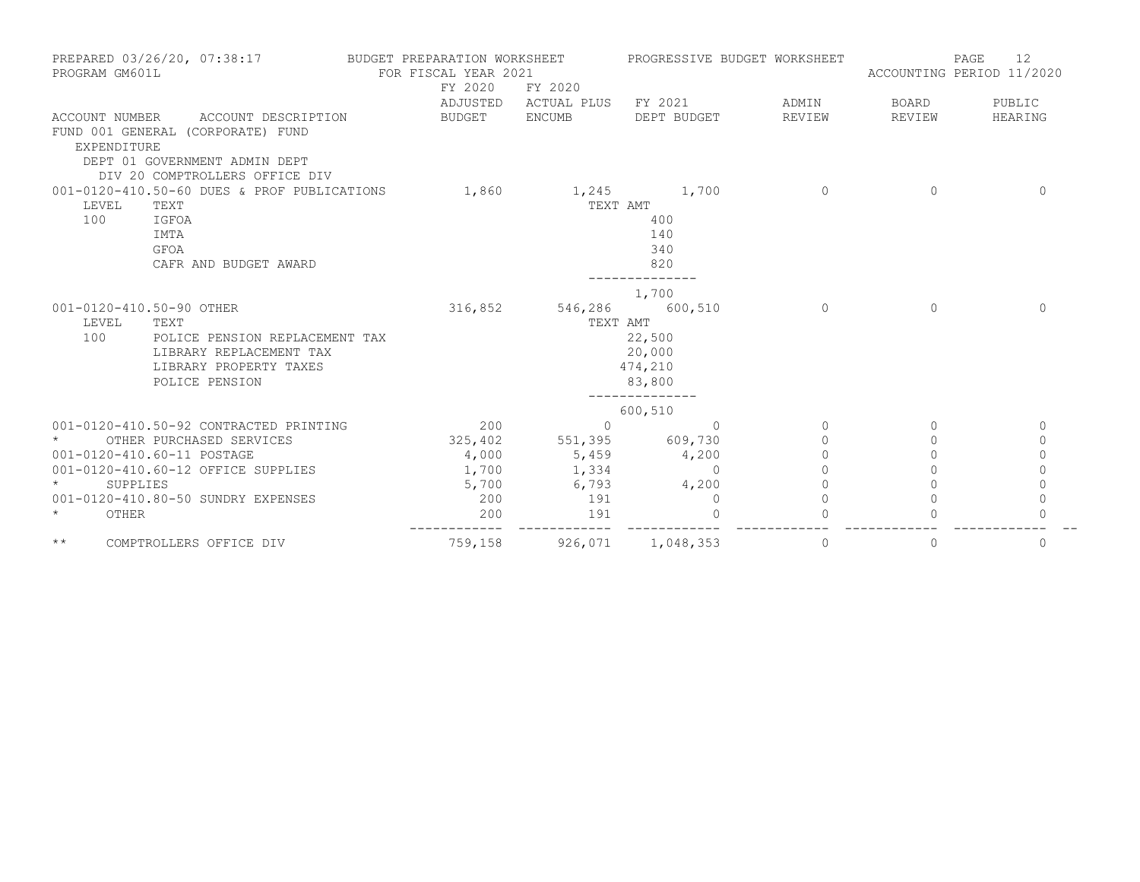| PREPARED 03/26/20, 07:38:17<br>PROGRAM GM601L |                                                                                                                             | BUDGET PREPARATION WORKSHEET<br>FOR FISCAL YEAR 2021<br>FY 2020 | FY 2020                      | PROGRESSIVE BUDGET WORKSHEET                          |          | 12<br>PAGE<br>ACCOUNTING PERIOD 11/2020 |             |  |
|-----------------------------------------------|-----------------------------------------------------------------------------------------------------------------------------|-----------------------------------------------------------------|------------------------------|-------------------------------------------------------|----------|-----------------------------------------|-------------|--|
|                                               |                                                                                                                             |                                                                 | ADJUSTED ACTUAL PLUS FY 2021 |                                                       | ADMIN    | BOARD                                   | PUBLIC      |  |
| ACCOUNT NUMBER<br>EXPENDITURE                 | ACCOUNT DESCRIPTION<br>FUND 001 GENERAL (CORPORATE) FUND<br>DEPT 01 GOVERNMENT ADMIN DEPT<br>DIV 20 COMPTROLLERS OFFICE DIV | BUDGET                                                          | ENCUMB                       | DEPT BUDGET                                           | REVIEW   | REVIEW                                  | HEARING     |  |
|                                               | 001-0120-410.50-60 DUES & PROF PUBLICATIONS                                                                                 | 1,860                                                           |                              | 1,245 1,700                                           | $\Omega$ | $\Omega$                                | $\Omega$    |  |
| LEVEL<br>100                                  | TEXT<br>IGFOA<br><b>IMTA</b><br>GFOA<br>CAFR AND BUDGET AWARD                                                               |                                                                 | TEXT AMT                     | 400<br>140<br>340<br>820                              |          |                                         |             |  |
| 001-0120-410.50-90 OTHER                      |                                                                                                                             |                                                                 | 316,852 546,286 600,510      | 1,700                                                 | $\Omega$ | $\Omega$                                | $\Omega$    |  |
| LEVEL<br>100                                  | TEXT<br>POLICE PENSION REPLACEMENT TAX<br>LIBRARY REPLACEMENT TAX<br>LIBRARY PROPERTY TAXES<br>POLICE PENSION               |                                                                 | TEXT AMT                     | 22,500<br>20,000<br>474,210<br>83,800<br>------------ |          |                                         |             |  |
|                                               |                                                                                                                             |                                                                 |                              | 600,510                                               |          |                                         |             |  |
|                                               | 001-0120-410.50-92 CONTRACTED PRINTING                                                                                      | 200                                                             | $\Omega$                     | $\Omega$                                              | $\Omega$ | $\Omega$                                | $\mathbf 0$ |  |
|                                               | OTHER PURCHASED SERVICES                                                                                                    | 325,402                                                         | 551,395 609,730              |                                                       | $\circ$  | $\Omega$                                | $\circ$     |  |
|                                               | 001-0120-410.60-11 POSTAGE                                                                                                  | 4,000                                                           | 5,459                        | 4,200                                                 | $\Omega$ | $\Omega$                                | $\Omega$    |  |
|                                               | 001-0120-410.60-12 OFFICE SUPPLIES                                                                                          | 1,700                                                           | 1,334                        | $\Omega$                                              | $\cap$   | $\Omega$                                | $\Omega$    |  |
| $\star$<br>SUPPLIES                           |                                                                                                                             | 5,700                                                           | 6,793                        | 4,200                                                 | $\Omega$ |                                         | $\Omega$    |  |
|                                               | 001-0120-410.80-50 SUNDRY EXPENSES                                                                                          | 200                                                             | 191                          | $\mathbf 0$                                           | $\Omega$ |                                         | $\mathbf 0$ |  |
| $\star$<br>OTHER                              |                                                                                                                             | 200<br>-----------                                              | 191                          | $\Omega$                                              | $\Omega$ |                                         | $\Omega$    |  |
| $\star\star$                                  | COMPTROLLERS OFFICE DIV                                                                                                     | 759,158                                                         | 926,071 1,048,353            |                                                       | 0        | 0                                       | 0           |  |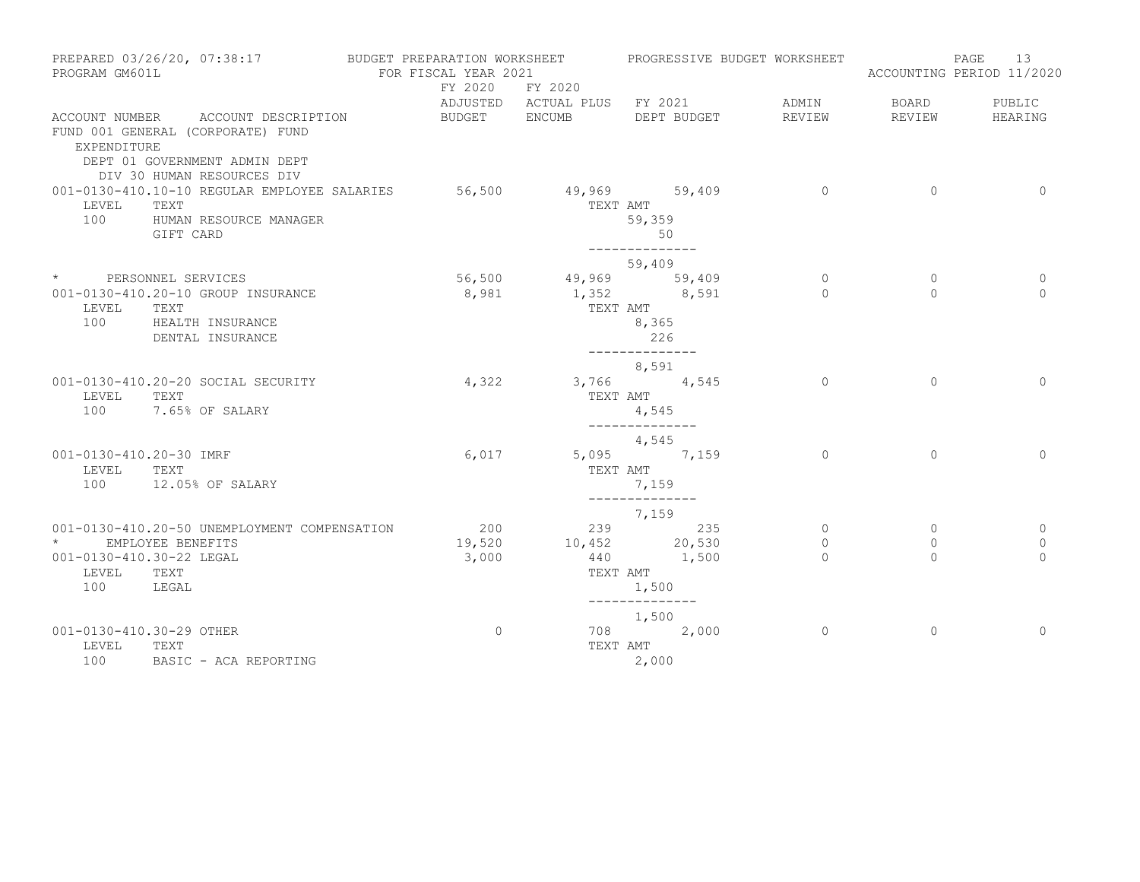| PROGRAM GM601L                                                       | PREPARED 03/26/20, 07:38:17                                                                                                            | BUDGET PREPARATION WORKSHEET<br>FOR FISCAL YEAR 2021 |                      | PROGRESSIVE BUDGET WORKSHEET                                              |                                |                                | PAGE<br>13<br>ACCOUNTING PERIOD 11/2020    |
|----------------------------------------------------------------------|----------------------------------------------------------------------------------------------------------------------------------------|------------------------------------------------------|----------------------|---------------------------------------------------------------------------|--------------------------------|--------------------------------|--------------------------------------------|
|                                                                      |                                                                                                                                        |                                                      | FY 2020 FY 2020      | ADJUSTED ACTUAL PLUS FY 2021                                              | ADMIN                          | <b>BOARD</b>                   | PUBLIC                                     |
| EXPENDITURE                                                          | ACCOUNT NUMBER ACCOUNT DESCRIPTION<br>FUND 001 GENERAL (CORPORATE) FUND<br>DEPT 01 GOVERNMENT ADMIN DEPT<br>DIV 30 HUMAN RESOURCES DIV | BUDGET ENCUMB                                        |                      | DEPT BUDGET                                                               | REVIEW                         | REVIEW                         | HEARING                                    |
| LEVEL<br>100                                                         | 001-0130-410.10-10 REGULAR EMPLOYEE SALARIES 56,500 49,969 59,409<br>TEXT<br>HUMAN RESOURCE MANAGER<br>GIFT CARD                       |                                                      |                      | TEXT AMT<br>59,359<br>50<br>--------------                                | $\sim$ 0                       | $\overline{0}$                 | $\overline{0}$                             |
|                                                                      |                                                                                                                                        |                                                      |                      | 59,409                                                                    |                                |                                |                                            |
| LEVEL<br>100                                                         | * PERSONNEL SERVICES<br>001-0130-410.20-10 GROUP INSURANCE<br>TEXT<br>HEALTH INSURANCE<br>DENTAL INSURANCE                             | 8,981                                                | 56,500 49,969 59,409 | 1,352 8,591<br>TEXT AMT<br>8,365<br>226<br>--------------                 | $\circ$<br>$\Omega$            | $\mathbf{0}$<br>$\Omega$       | 0<br>$\Omega$                              |
| LEVEL<br>100                                                         | 001-0130-410.20-20 SOCIAL SECURITY<br>TEXT<br>7.65% OF SALARY                                                                          | 4,322                                                |                      | 8,591<br>3,766 4,545<br>TEXT AMT<br>4,545<br>--------------               | $\Omega$                       | $\Omega$                       | $\Omega$                                   |
| 001-0130-410.20-30 IMRF<br>LEVEL TEXT                                | 100 12.05% OF SALARY                                                                                                                   | 6,017                                                |                      | 4,545<br>5,095 7,159<br>TEXT AMT<br>7,159<br>______________               | $\Omega$                       | $\Omega$                       | $\Omega$                                   |
| $\star$ and $\star$<br>001-0130-410.30-22 LEGAL<br>LEVEL TEXT<br>100 | 001-0130-410.20-50 UNEMPLOYMENT COMPENSATION<br>EMPLOYEE BENEFITS<br>LEGAL                                                             | 200<br>19,520<br>3,000                               |                      | $7,159$<br>239 235<br>10,452 20,530<br>$440$ $1,500$<br>TEXT AMT<br>1,500 | $\circ$<br>$\circ$<br>$\Omega$ | $\circ$<br>$\circ$<br>$\Omega$ | $\overline{0}$<br>$\mathbf{0}$<br>$\Omega$ |
| 001-0130-410.30-29 OTHER<br>LEVEL<br>100                             | TEXT<br>BASIC - ACA REPORTING                                                                                                          | $\circ$                                              |                      | ______________<br>1,500<br>708 2,000<br>TEXT AMT<br>2,000                 | $\circ$                        | $\mathbf{0}$                   | $\Omega$                                   |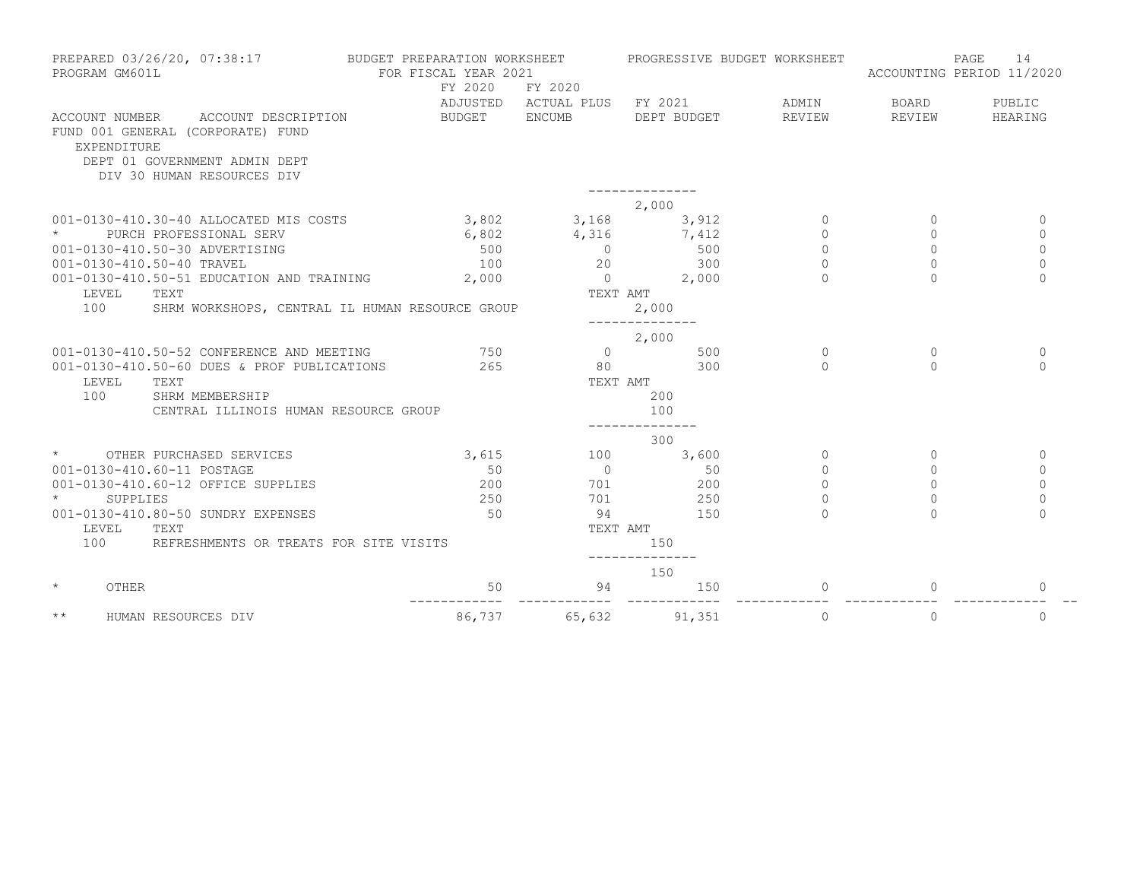| PREPARED 03/26/20, 07:38:17<br>PROGRAM GM601L |                                                             | BUDGET PREPARATION WORKSHEET<br>FOR FISCAL YEAR 2021<br>FY 2020 | FY 2020                      | PROGRESSIVE BUDGET WORKSHEET |          | 14<br>PAGE<br>ACCOUNTING PERIOD 11/2020 |              |  |
|-----------------------------------------------|-------------------------------------------------------------|-----------------------------------------------------------------|------------------------------|------------------------------|----------|-----------------------------------------|--------------|--|
|                                               |                                                             |                                                                 | ADJUSTED ACTUAL PLUS FY 2021 |                              | ADMIN    | BOARD                                   | PUBLIC       |  |
| ACCOUNT NUMBER<br>EXPENDITURE                 | ACCOUNT DESCRIPTION<br>FUND 001 GENERAL (CORPORATE) FUND    | BUDGET ENCUMB                                                   |                              | DEPT BUDGET                  | REVIEW   | REVIEW                                  | HEARING      |  |
|                                               | DEPT 01 GOVERNMENT ADMIN DEPT<br>DIV 30 HUMAN RESOURCES DIV |                                                                 |                              |                              |          |                                         |              |  |
|                                               |                                                             |                                                                 |                              |                              |          |                                         |              |  |
|                                               |                                                             |                                                                 |                              | 2,000                        |          |                                         |              |  |
|                                               | 001-0130-410.30-40 ALLOCATED MIS COSTS                      | 3,802                                                           | 3,168                        | 3,912                        | $\Omega$ | $\Omega$                                | $\mathbf 0$  |  |
|                                               | PURCH PROFESSIONAL SERV                                     | 6,802                                                           | 4,316                        | 7,412                        | $\Omega$ | $\Omega$                                | $\Omega$     |  |
|                                               | 001-0130-410.50-30 ADVERTISING                              | 500                                                             | $\bigcirc$                   | 500                          | $\circ$  | $\Omega$                                | $\Omega$     |  |
|                                               | 001-0130-410.50-40 TRAVEL                                   | 100                                                             | 20                           | 300                          | $\Omega$ | $\Omega$                                | $\mathbf 0$  |  |
|                                               | 001-0130-410.50-51 EDUCATION AND TRAINING                   | 2,000                                                           | $\overline{0}$               | 2,000                        | $\Omega$ | $\Omega$                                | $\circ$      |  |
| LEVEL                                         | TEXT                                                        |                                                                 | TEXT AMT                     |                              |          |                                         |              |  |
| 100                                           | SHRM WORKSHOPS, CENTRAL IL HUMAN RESOURCE GROUP             |                                                                 |                              | 2,000                        |          |                                         |              |  |
|                                               |                                                             |                                                                 |                              |                              |          |                                         |              |  |
|                                               |                                                             |                                                                 |                              | 2,000                        |          |                                         |              |  |
|                                               | 001-0130-410.50-52 CONFERENCE AND MEETING                   | 750                                                             | $\overline{0}$               | 500                          | $\Omega$ | $\Omega$                                | $\mathbf{0}$ |  |
|                                               | 001-0130-410.50-60 DUES & PROF PUBLICATIONS                 | 265                                                             | 80                           | 300                          | $\cap$   | $\Omega$                                | $\Omega$     |  |
| LEVEL                                         | TEXT                                                        |                                                                 | TEXT AMT                     |                              |          |                                         |              |  |
| 100                                           | SHRM MEMBERSHIP                                             |                                                                 |                              | 200                          |          |                                         |              |  |
|                                               | CENTRAL ILLINOIS HUMAN RESOURCE GROUP                       |                                                                 |                              | 100                          |          |                                         |              |  |
|                                               |                                                             |                                                                 |                              | 300                          |          |                                         |              |  |
|                                               | OTHER PURCHASED SERVICES                                    | 3,615                                                           | 100                          | 3,600                        | $\Omega$ | $\Omega$                                | $\mathbf{0}$ |  |
|                                               | 001-0130-410.60-11 POSTAGE                                  | 50                                                              | $\overline{0}$               | 50                           | $\Omega$ | $\Omega$                                | $\Omega$     |  |
|                                               | 001-0130-410.60-12 OFFICE SUPPLIES                          | 200                                                             | 701                          | 200                          | $\Omega$ | $\Omega$                                | $\Omega$     |  |
| <b>SUPPLIES</b>                               |                                                             | 250                                                             | 701                          | 250                          | $\Omega$ |                                         | $\Omega$     |  |
|                                               | 001-0130-410.80-50 SUNDRY EXPENSES                          | 50                                                              | 94                           | 150                          | $\cap$   |                                         | $\cap$       |  |
| LEVEL                                         | TEXT                                                        |                                                                 | TEXT AMT                     |                              |          |                                         |              |  |
| 100                                           | REFRESHMENTS OR TREATS FOR SITE VISITS                      |                                                                 |                              | 150                          |          |                                         |              |  |
|                                               |                                                             |                                                                 |                              | 150                          |          |                                         |              |  |
| $\star$<br>OTHER                              |                                                             | 50                                                              | 94                           | 150                          | $\Omega$ | $\Omega$                                | $\Omega$     |  |
| $\star\star$                                  | HUMAN RESOURCES DIV                                         | 86,737                                                          | 65,632                       | 91,351                       | $\circ$  | $\circ$                                 | $\mathbf{0}$ |  |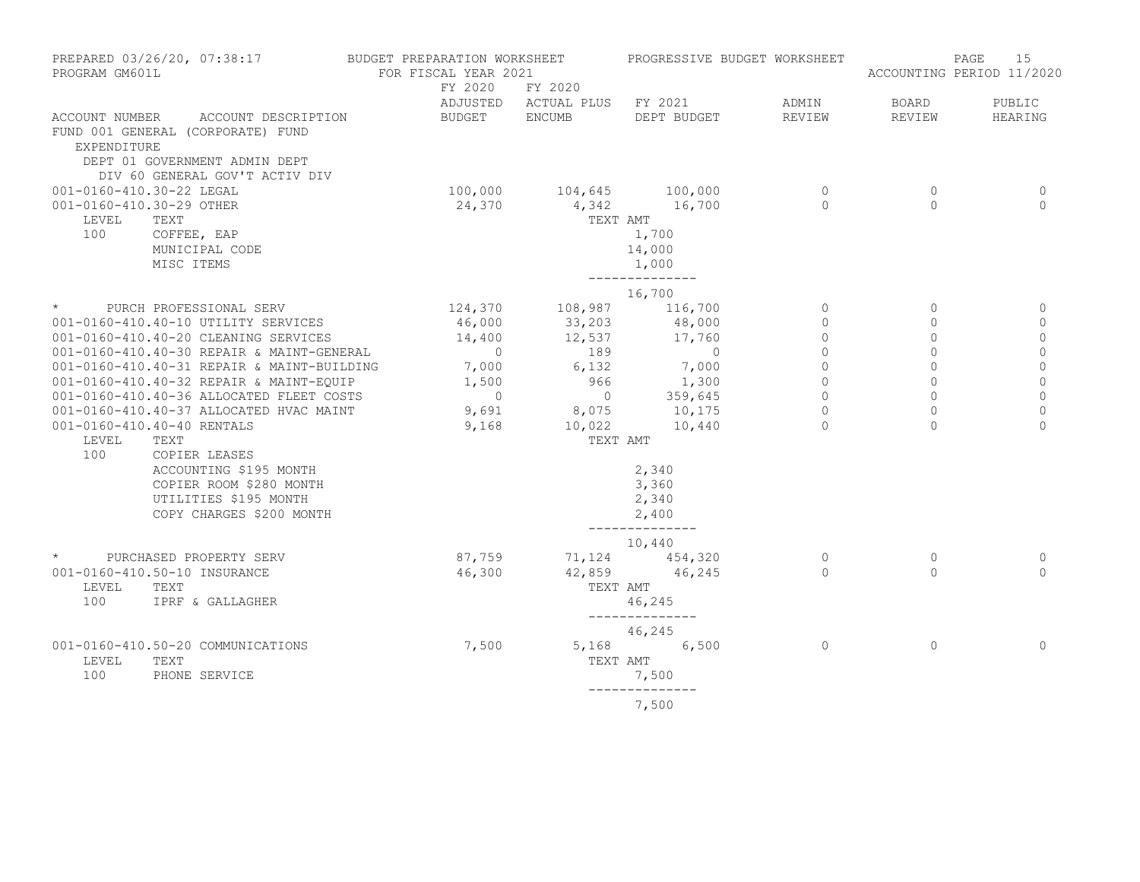| PREPARED 03/26/20, 07:38:17 BUDGET PREPARATION WORKSHEET<br>PROGRAM GM601L                                                                                                                                                                                                                                                                                                                                                                                                                                             | FOR FISCAL YEAR 2021               |                                                                                                                               | PROGRESSIVE BUDGET WORKSHEET                                                                                                                                       |                                                                                                 |                                                                                                       | PAGE<br>15<br>ACCOUNTING PERIOD 11/2020                                                                     |
|------------------------------------------------------------------------------------------------------------------------------------------------------------------------------------------------------------------------------------------------------------------------------------------------------------------------------------------------------------------------------------------------------------------------------------------------------------------------------------------------------------------------|------------------------------------|-------------------------------------------------------------------------------------------------------------------------------|--------------------------------------------------------------------------------------------------------------------------------------------------------------------|-------------------------------------------------------------------------------------------------|-------------------------------------------------------------------------------------------------------|-------------------------------------------------------------------------------------------------------------|
|                                                                                                                                                                                                                                                                                                                                                                                                                                                                                                                        |                                    | FY 2020 FY 2020                                                                                                               | ADJUSTED ACTUAL PLUS FY 2021                                                                                                                                       | ADMIN                                                                                           | <b>BOARD</b>                                                                                          | PUBLIC                                                                                                      |
| ACCOUNT NUMBER ACCOUNT DESCRIPTION<br>FUND 001 GENERAL (CORPORATE) FUND<br>EXPENDITURE<br>DEPT 01 GOVERNMENT ADMIN DEPT<br>DIV 60 GENERAL GOV'T ACTIV DIV                                                                                                                                                                                                                                                                                                                                                              | BUDGET ENCUMB                      |                                                                                                                               | DEPT BUDGET                                                                                                                                                        | REVIEW                                                                                          | REVIEW                                                                                                | HEARING                                                                                                     |
| 001-0160-410.30-22 LEGAL<br>001-0160-410.30-29 OTHER<br>LEVEL<br>TEXT<br>100<br>COFFEE, EAP<br>MUNICIPAL CODE<br>MISC ITEMS                                                                                                                                                                                                                                                                                                                                                                                            | 24,370                             | 100,000 104,645 100,000<br>TEXT AMT                                                                                           | 4,342 16,700<br>1,700<br>14,000<br>1,000<br>--------------                                                                                                         | $\overline{0}$<br>$\Omega$                                                                      | $\circ$<br>$\Omega$                                                                                   | 0<br>$\Omega$                                                                                               |
| * PURCH PROFESSIONAL SERV<br>001-0160-410.40-10 UTILITY SERVICES<br>001-0160-410.40-20 CLEANING SERVICES<br>001-0160-410.40-30 REPAIR & MAINT-GENERAL<br>001-0160-410.40-31 REPAIR & MAINT-BUILDING<br>001-0160-410.40-32 REPAIR & MAINT-EQUIP<br>001-0160-410.40-36 ALLOCATED FLEET COSTS<br>001-0160-410.40-37 ALLOCATED HVAC MAINT<br>001-0160-410.40-40 RENTALS<br>LEVEL<br>TEXT<br>100<br>COPIER LEASES<br>ACCOUNTING \$195 MONTH<br>COPIER ROOM \$280 MONTH<br>UTILITIES \$195 MONTH<br>COPY CHARGES \$200 MONTH | 46,000<br>14,400<br>9,691<br>9,168 | $7,000$<br>$12,537$<br>$0$<br>$1,500$<br>$0$<br>$0$<br>$0$<br>$0$<br>$0$ 359,645<br>8,075 10,175<br>10,022 10,440<br>TEXT AMT | 16,700<br>124,370 108,987 116,700<br>$33, 203$<br>$12, 537$<br>$17, 760$<br>$\overline{0}$<br>7,000<br>1,300<br>2,340<br>3,360<br>2,340<br>2,400<br>-------------- | $\circ$<br>$\circ$<br>$\circ$<br>$\circ$<br>$\circ$<br>$\Omega$<br>$\circ$<br>$\circ$<br>$\cap$ | $\mathbf{0}$<br>0<br>$\mathbf{0}$<br>$\Omega$<br>$\circ$<br>$\Omega$<br>$\Omega$<br>$\circ$<br>$\cap$ | 0<br>$\mathbf 0$<br>$\circ$<br>$\mathbf 0$<br>$\mathbb O$<br>$\circ$<br>$\Omega$<br>$\mathbb O$<br>$\Omega$ |
| * PURCHASED PROPERTY SERV<br>001-0160-410.50-10 INSURANCE<br>LEVEL<br>TEXT<br>100<br>IPRF & GALLAGHER                                                                                                                                                                                                                                                                                                                                                                                                                  | 87,759<br>46,300                   |                                                                                                                               | 10,440<br>71, 124 454, 320<br>42,859 46,245<br>TEXT AMT<br>46,245<br>--------------                                                                                | $\overline{0}$<br>$\overline{0}$                                                                | $\circ$<br>$\Omega$                                                                                   | 0<br>$\Omega$                                                                                               |
| 001-0160-410.50-20 COMMUNICATIONS<br>LEVEL<br>TEXT<br>100<br>PHONE SERVICE                                                                                                                                                                                                                                                                                                                                                                                                                                             | 7,500                              |                                                                                                                               | 46,245<br>$5,168$ 6,500<br>TEXT AMT<br>7,500<br>7,500                                                                                                              | $\overline{0}$                                                                                  | $\circ$                                                                                               | $\mathbf{0}$                                                                                                |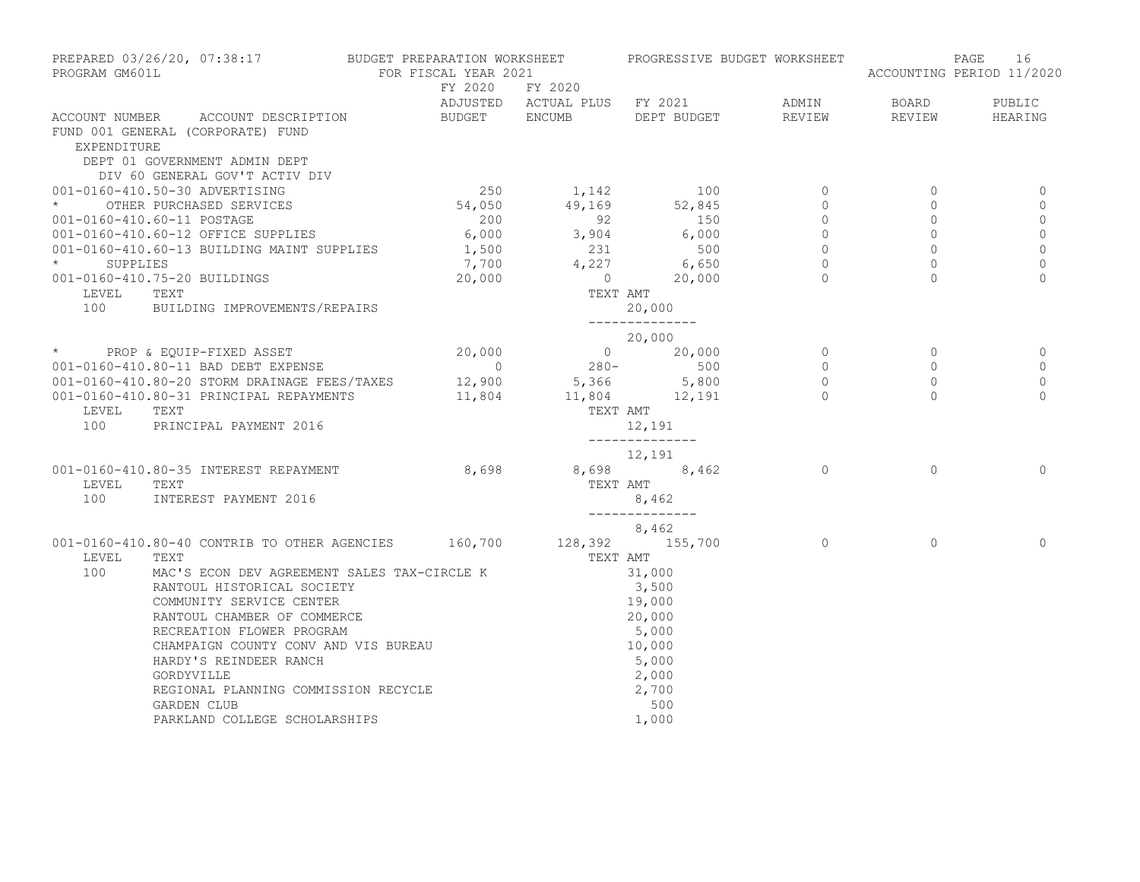| PREPARED 03/26/20, 07:38:17 BUDGET PREPARATION WORKSHEET PROGRESSIVE BUDGET WORKSHEET<br>PROGRAM GM601L |                                                                                                             | FOR FISCAL YEAR 2021 |                                                                                                           |                         |                                                        |                           | PAGE<br>16<br>ACCOUNTING PERIOD 11/2020 |  |
|---------------------------------------------------------------------------------------------------------|-------------------------------------------------------------------------------------------------------------|----------------------|-----------------------------------------------------------------------------------------------------------|-------------------------|--------------------------------------------------------|---------------------------|-----------------------------------------|--|
|                                                                                                         |                                                                                                             |                      | FY 2020 FY 2020                                                                                           |                         |                                                        | BOARD                     | PUBLIC                                  |  |
|                                                                                                         | ACCOUNT NUMBER ACCOUNT DESCRIPTION                                                                          |                      |                                                                                                           |                         | REVIEW                                                 | REVIEW                    | HEARING                                 |  |
|                                                                                                         | FUND 001 GENERAL (CORPORATE) FUND                                                                           |                      |                                                                                                           |                         |                                                        |                           |                                         |  |
| EXPENDITURE                                                                                             |                                                                                                             |                      |                                                                                                           |                         |                                                        |                           |                                         |  |
|                                                                                                         | DEPT 01 GOVERNMENT ADMIN DEPT                                                                               |                      |                                                                                                           |                         |                                                        |                           |                                         |  |
|                                                                                                         | DIV 60 GENERAL GOV'T ACTIV DIV                                                                              |                      |                                                                                                           |                         |                                                        |                           |                                         |  |
|                                                                                                         | 001-0160-410.50-30 ADVERTISING                                                                              |                      | 250 1,142                                                                                                 | 100                     | $\circ$                                                | $\circ$                   | 0                                       |  |
| $\star$                                                                                                 | OTHER PURCHASED SERVICES                                                                                    |                      | 54,050 49,169 52,845                                                                                      |                         | $\circ$                                                | $\Omega$                  | $\Omega$                                |  |
|                                                                                                         | 001-0160-410.60-11 POSTAGE                                                                                  |                      | $200$ $92$ $150$<br>6,000 $3,904$ 6,000                                                                   |                         | $\begin{array}{c}\n 0 \\  0 \\  0 \\  0\n \end{array}$ | $\circ$                   | $\mathbf 0$                             |  |
|                                                                                                         | 001-0160-410.60-12 OFFICE SUPPLIES                                                                          |                      |                                                                                                           |                         |                                                        | $\circ$<br>$\overline{0}$ | $\circ$<br>$\circ$                      |  |
|                                                                                                         |                                                                                                             |                      |                                                                                                           |                         | $\sim$ 0                                               | $\Omega$                  | $\mathbb O$                             |  |
|                                                                                                         | 001-0160-410.60-13 BUILDING MAINT SUPPLIES<br>* SUPPLIES<br>001-0160-410.75-20 BUILDINGS<br>20,000 0 20,000 |                      |                                                                                                           |                         |                                                        | $\cap$                    | $\Omega$                                |  |
|                                                                                                         |                                                                                                             |                      |                                                                                                           |                         |                                                        |                           |                                         |  |
| LEVEL<br>100                                                                                            | TEXT<br>BUILDING IMPROVEMENTS/REPAIRS                                                                       |                      |                                                                                                           | TEXT AMT<br>20,000      |                                                        |                           |                                         |  |
|                                                                                                         |                                                                                                             |                      |                                                                                                           | --------------          |                                                        |                           |                                         |  |
|                                                                                                         |                                                                                                             |                      |                                                                                                           | 20,000                  |                                                        |                           |                                         |  |
|                                                                                                         | * PROP & EQUIP-FIXED ASSET                                                                                  |                      | $20,000$<br>$20,000$<br>$0$<br>$280-$<br>$5,366$<br>$12,900$<br>$280-$<br>$5,800$<br>$11,804$<br>$12,191$ |                         | $\begin{matrix} 0 \\ 0 \\ 0 \end{matrix}$              | $\overline{0}$            | 0                                       |  |
|                                                                                                         | 001-0160-410.80-11 BAD DEBT EXPENSE                                                                         |                      |                                                                                                           |                         |                                                        | $\circ$                   | $\mathbf 0$                             |  |
|                                                                                                         | 001-0160-410.80-20 STORM DRAINAGE FEES/TAXES                                                                |                      |                                                                                                           |                         | $\overline{0}$                                         | $\circ$                   | $\mathbf 0$                             |  |
|                                                                                                         | 001-0160-410.80-31 PRINCIPAL REPAYMENTS                                                                     |                      |                                                                                                           |                         | $\overline{a}$                                         | $\cap$                    | $\Omega$                                |  |
| LEVEL                                                                                                   | TEXT                                                                                                        |                      |                                                                                                           | TEXT AMT                |                                                        |                           |                                         |  |
|                                                                                                         | 100 PRINCIPAL PAYMENT 2016                                                                                  |                      |                                                                                                           | 12,191                  |                                                        |                           |                                         |  |
|                                                                                                         |                                                                                                             |                      |                                                                                                           | --------------          |                                                        |                           |                                         |  |
|                                                                                                         |                                                                                                             |                      |                                                                                                           | 12,191                  |                                                        |                           |                                         |  |
|                                                                                                         | 001-0160-410.80-35 INTEREST REPAYMENT                                                                       | 8,698 8,698 8,462    |                                                                                                           |                         | $\overline{0}$                                         | $\Omega$                  | $\Omega$                                |  |
| LEVEL                                                                                                   | TEXT                                                                                                        |                      |                                                                                                           | TEXT AMT                |                                                        |                           |                                         |  |
| 100                                                                                                     | INTEREST PAYMENT 2016                                                                                       |                      |                                                                                                           | 8,462<br>______________ |                                                        |                           |                                         |  |
|                                                                                                         |                                                                                                             |                      |                                                                                                           | 8,462                   |                                                        |                           |                                         |  |
|                                                                                                         | 001-0160-410.80-40 CONTRIB TO OTHER AGENCIES 160,700 128,392 155,700                                        |                      |                                                                                                           |                         | $\overline{a}$                                         | $\Omega$                  | $\Omega$                                |  |
| LEVEL                                                                                                   | TEXT                                                                                                        |                      |                                                                                                           | TEXT AMT                |                                                        |                           |                                         |  |
| 100                                                                                                     | MAC'S ECON DEV AGREEMENT SALES TAX-CIRCLE K                                                                 |                      |                                                                                                           | 31,000                  |                                                        |                           |                                         |  |
|                                                                                                         | RANTOUL HISTORICAL SOCIETY                                                                                  |                      |                                                                                                           | 3,500                   |                                                        |                           |                                         |  |
|                                                                                                         | COMMUNITY SERVICE CENTER                                                                                    |                      |                                                                                                           |                         |                                                        |                           |                                         |  |
|                                                                                                         | RANTOUL CHAMBER OF COMMERCE                                                                                 |                      |                                                                                                           | 19,000<br>20,000        |                                                        |                           |                                         |  |
|                                                                                                         | RECREATION FLOWER PROGRAM                                                                                   |                      |                                                                                                           | 5,000                   |                                                        |                           |                                         |  |
|                                                                                                         | CHAMPAIGN COUNTY CONV AND VIS BUREAU                                                                        |                      |                                                                                                           | 10,000                  |                                                        |                           |                                         |  |
|                                                                                                         | HARDY'S REINDEER RANCH                                                                                      |                      |                                                                                                           | 5,000                   |                                                        |                           |                                         |  |
|                                                                                                         | GORDYVILLE                                                                                                  |                      |                                                                                                           | 2,000                   |                                                        |                           |                                         |  |
|                                                                                                         | REGIONAL PLANNING COMMISSION RECYCLE                                                                        |                      |                                                                                                           | 2,700                   |                                                        |                           |                                         |  |
|                                                                                                         | GARDEN CLUB                                                                                                 |                      |                                                                                                           | 500                     |                                                        |                           |                                         |  |
|                                                                                                         | PARKLAND COLLEGE SCHOLARSHIPS                                                                               |                      |                                                                                                           | 1,000                   |                                                        |                           |                                         |  |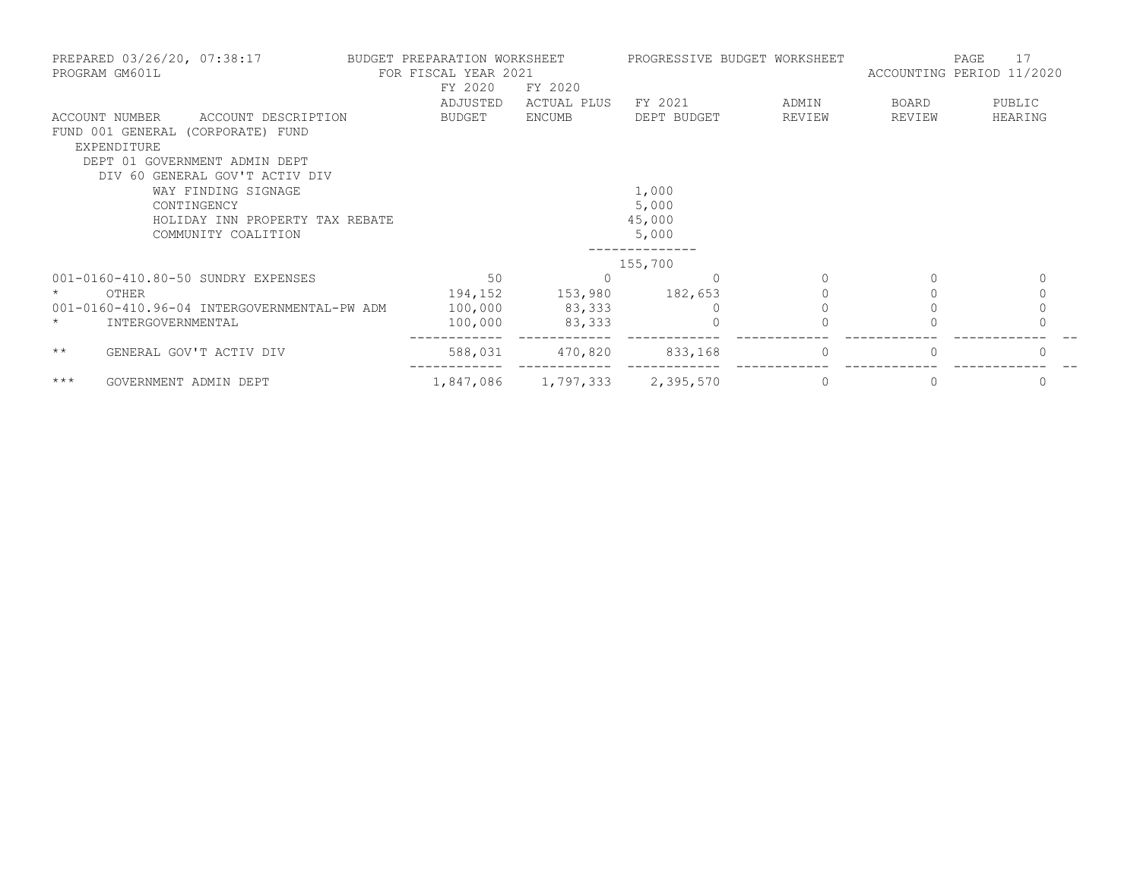| PREPARED 03/26/20, 07:38:17<br>PROGRAM GM601L | BUDGET PREPARATION WORKSHEET<br>FOR FISCAL YEAR 2021 |             | PROGRESSIVE BUDGET WORKSHEET |          | 17<br>PAGE<br>ACCOUNTING PERIOD 11/2020 |             |  |
|-----------------------------------------------|------------------------------------------------------|-------------|------------------------------|----------|-----------------------------------------|-------------|--|
|                                               | FY 2020                                              | FY 2020     |                              |          |                                         |             |  |
|                                               | ADJUSTED                                             | ACTUAL PLUS | FY 2021                      | ADMIN    | BOARD                                   | PUBLIC      |  |
| ACCOUNT NUMBER<br>ACCOUNT DESCRIPTION         | BUDGET                                               | ENCUMB      | DEPT BUDGET                  | REVIEW   | REVIEW                                  | HEARING     |  |
| FUND 001 GENERAL (CORPORATE) FUND             |                                                      |             |                              |          |                                         |             |  |
| EXPENDITURE                                   |                                                      |             |                              |          |                                         |             |  |
| DEPT 01 GOVERNMENT ADMIN DEPT                 |                                                      |             |                              |          |                                         |             |  |
| DIV 60 GENERAL GOV'T ACTIV DIV                |                                                      |             |                              |          |                                         |             |  |
| WAY FINDING SIGNAGE                           |                                                      |             | 1,000                        |          |                                         |             |  |
| CONTINGENCY                                   |                                                      |             | 5,000                        |          |                                         |             |  |
| HOLIDAY INN PROPERTY TAX REBATE               |                                                      |             | 45,000                       |          |                                         |             |  |
| COMMUNITY COALITION                           |                                                      |             | 5,000                        |          |                                         |             |  |
|                                               |                                                      |             | 155,700                      |          |                                         |             |  |
| 001-0160-410.80-50 SUNDRY EXPENSES            | 50                                                   | $\Omega$    | $\Omega$                     |          |                                         | 0           |  |
| OTHER                                         | 194,152                                              | 153,980     | 182,653                      |          |                                         | $\mathbf 0$ |  |
| 001-0160-410.96-04 INTERGOVERNMENTAL-PW ADM   | 100,000                                              | 83,333      |                              |          |                                         |             |  |
| INTERGOVERNMENTAL<br>$\star$                  | 100,000                                              | 83,333      |                              |          |                                         |             |  |
|                                               |                                                      |             |                              |          |                                         |             |  |
| $\star\star$<br>GENERAL GOV'T ACTIV DIV       | 588,031                                              | 470,820     | 833,168                      | $\Omega$ |                                         |             |  |
| $***$<br>GOVERNMENT ADMIN DEPT                | 1,847,086                                            | 1,797,333   | 2,395,570                    | $\Omega$ |                                         | 0           |  |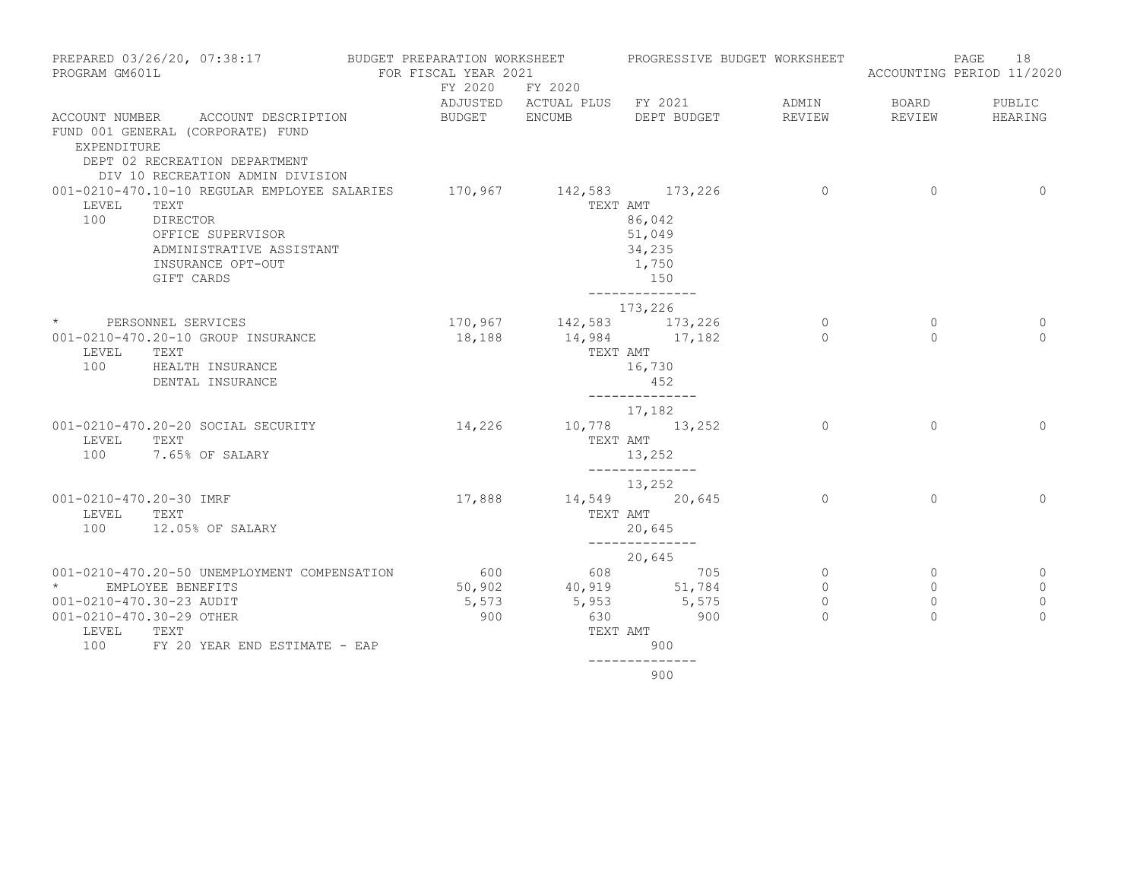| PREPARED 03/26/20, 07:38:17 BUDGET PREPARATION WORKSHEET PROGRESSIVE BUDGET WORKSHEET<br>PROGRAM GM601L |                                                                                                        | FOR FISCAL YEAR 2021 |        |                              |                                                  |                | 18<br>PAGE<br>ACCOUNTING PERIOD 11/2020 |              |
|---------------------------------------------------------------------------------------------------------|--------------------------------------------------------------------------------------------------------|----------------------|--------|------------------------------|--------------------------------------------------|----------------|-----------------------------------------|--------------|
|                                                                                                         |                                                                                                        |                      |        | FY 2020 FY 2020              |                                                  |                |                                         |              |
|                                                                                                         |                                                                                                        |                      |        | ADJUSTED ACTUAL PLUS FY 2021 |                                                  | ADMIN          | BOARD                                   | PUBLIC       |
|                                                                                                         | ACCOUNT NUMBER ACCOUNT DESCRIPTION                                                                     | BUDGET ENCUMB        |        |                              | DEPT BUDGET                                      | REVIEW         | REVIEW                                  | HEARING      |
| EXPENDITURE                                                                                             | FUND 001 GENERAL (CORPORATE) FUND<br>DEPT 02 RECREATION DEPARTMENT<br>DIV 10 RECREATION ADMIN DIVISION |                      |        |                              |                                                  |                |                                         |              |
|                                                                                                         | 001-0210-470.10-10 REGULAR EMPLOYEE SALARIES 170,967 142,583 173,226                                   |                      |        |                              |                                                  | $\overline{0}$ | $\overline{0}$                          | $\circ$      |
| LEVEL<br>100                                                                                            | TEXT<br>DIRECTOR<br>OFFICE SUPERVISOR<br>ADMINISTRATIVE ASSISTANT<br>INSURANCE OPT-OUT<br>GIFT CARDS   |                      |        | TEXT AMT                     | 86,042<br>51,049<br>34,235<br>1,750<br>150       |                |                                         |              |
|                                                                                                         |                                                                                                        |                      |        |                              | ______________                                   |                |                                         |              |
|                                                                                                         |                                                                                                        |                      |        |                              | 173,226                                          |                |                                         |              |
|                                                                                                         | * PERSONNEL SERVICES                                                                                   |                      |        | 170, 967 142, 583 173, 226   |                                                  | $\overline{0}$ | $\mathbf{0}$                            | $\circ$      |
| LEVEL<br>100                                                                                            | 001-0210-470.20-10 GROUP INSURANCE<br>TEXT<br>HEALTH INSURANCE<br>DENTAL INSURANCE                     |                      | 18,188 | TEXT AMT                     | 14,984 17,182<br>16,730<br>452<br>-------------- | $\Omega$       | $\Omega$                                | $\Omega$     |
|                                                                                                         |                                                                                                        |                      |        |                              | 17,182                                           |                |                                         |              |
| LEVEL<br>100                                                                                            | 001-0210-470.20-20 SOCIAL SECURITY<br>TEXT<br>7.65% OF SALARY                                          |                      | 14,226 | TEXT AMT                     | 10,778 13,252<br>13,252<br>______________        | $\Omega$       | $\Omega$                                | $\Omega$     |
|                                                                                                         |                                                                                                        |                      |        |                              | 13,252                                           |                |                                         |              |
| 001-0210-470.20-30 IMRF                                                                                 |                                                                                                        |                      | 17,888 |                              | 14,549 20,645                                    | $\Omega$       | $\Omega$                                | $\Omega$     |
| LEVEL TEXT                                                                                              |                                                                                                        |                      |        |                              | TEXT AMT                                         |                |                                         |              |
|                                                                                                         | 100 12.05% OF SALARY                                                                                   |                      |        |                              | 20,645                                           |                |                                         |              |
|                                                                                                         |                                                                                                        |                      |        |                              | --------------<br>20,645                         |                |                                         |              |
|                                                                                                         | 001-0210-470.20-50 UNEMPLOYMENT COMPENSATION                                                           |                      |        | 600 608 705                  |                                                  | $\circ$        | $\Omega$                                | 0            |
|                                                                                                         | EMPLOYEE BENEFITS                                                                                      |                      |        | 50,902 40,919 51,784         |                                                  | $\circ$        | $\circ$                                 | $\mathbf{0}$ |
| 001-0210-470.30-23 AUDIT                                                                                |                                                                                                        |                      | 5,573  |                              |                                                  | $\circ$        | $\mathbf 0$                             | $\mathbf 0$  |
| 001-0210-470.30-29 OTHER                                                                                |                                                                                                        |                      | 900    | $5,953$ $5,575$<br>630       | 900                                              | $\Omega$       | $\Omega$                                | $\Omega$     |
| LEVEL                                                                                                   | TEXT                                                                                                   |                      |        |                              | TEXT AMT                                         |                |                                         |              |
| 100                                                                                                     | FY 20 YEAR END ESTIMATE - EAP                                                                          |                      |        |                              | 900                                              |                |                                         |              |
|                                                                                                         |                                                                                                        |                      |        |                              |                                                  |                |                                         |              |

900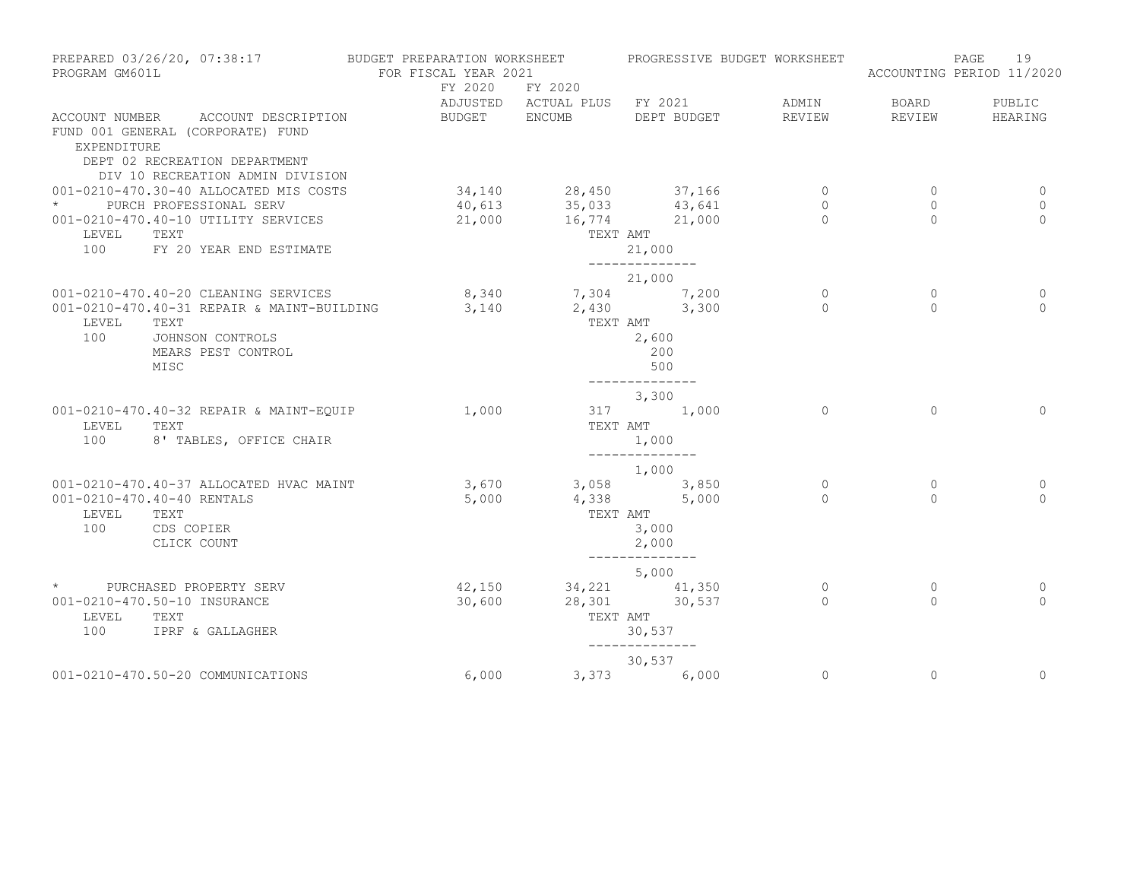| PREPARED 03/26/20, 07:38:17<br>PROGRAM GM601L                                                                                           |                         | BUDGET PREPARATION WORKSHEET<br>FOR FISCAL YEAR 2021 |                   | PROGRESSIVE BUDGET WORKSHEET   |          |              | 19<br>PAGE<br>ACCOUNTING PERIOD 11/2020 |
|-----------------------------------------------------------------------------------------------------------------------------------------|-------------------------|------------------------------------------------------|-------------------|--------------------------------|----------|--------------|-----------------------------------------|
|                                                                                                                                         |                         | FY 2020                                              | FY 2020           | ADJUSTED ACTUAL PLUS FY 2021   | ADMIN    | BOARD        | PUBLIC                                  |
| ACCOUNT NUMBER<br>FUND 001 GENERAL (CORPORATE) FUND<br>EXPENDITURE<br>DEPT 02 RECREATION DEPARTMENT<br>DIV 10 RECREATION ADMIN DIVISION | ACCOUNT DESCRIPTION     | BUDGET ENCUMB                                        |                   | DEPT BUDGET                    | REVIEW   | REVIEW       | HEARING                                 |
| 001-0210-470.30-40 ALLOCATED MIS COSTS                                                                                                  |                         | 34,140                                               |                   | 28,450 37,166                  | $\circ$  | $\circ$      | 0                                       |
| * PURCH PROFESSIONAL SERV                                                                                                               |                         | 40,613                                               |                   | 35,033 43,641                  | $\circ$  | 0            | $\mathbf 0$                             |
| 001-0210-470.40-10 UTILITY SERVICES                                                                                                     |                         | 21,000                                               |                   | 16,774 21,000                  | $\Omega$ | $\Omega$     | $\Omega$                                |
| LEVEL<br>TEXT                                                                                                                           |                         |                                                      |                   | TEXT AMT                       |          |              |                                         |
| 100                                                                                                                                     | FY 20 YEAR END ESTIMATE |                                                      |                   | 21,000<br>--------------       |          |              |                                         |
|                                                                                                                                         |                         |                                                      |                   | 21,000                         |          |              |                                         |
| 001-0210-470.40-20 CLEANING SERVICES                                                                                                    |                         | 8,340                                                |                   |                                | $\circ$  | $\circ$      | 0                                       |
| 001-0210-470.40-31 REPAIR & MAINT-BUILDING                                                                                              |                         | 3,140                                                |                   | 7, 304 7, 200<br>2, 430 3, 300 | $\Omega$ | $\Omega$     | $\Omega$                                |
| LEVEL<br>TEXT                                                                                                                           |                         |                                                      | TEXT AMT          |                                |          |              |                                         |
| 100<br>JOHNSON CONTROLS                                                                                                                 |                         |                                                      |                   | 2,600                          |          |              |                                         |
| MEARS PEST CONTROL                                                                                                                      |                         |                                                      |                   | 200                            |          |              |                                         |
| MISC                                                                                                                                    |                         |                                                      |                   | 500                            |          |              |                                         |
|                                                                                                                                         |                         |                                                      |                   | --------------<br>3,300        |          |              |                                         |
| 001-0210-470.40-32 REPAIR & MAINT-EQUIP                                                                                                 |                         | 1,000                                                |                   | 317 1,000                      | $\Omega$ | $\Omega$     | $\Omega$                                |
| LEVEL<br>TEXT                                                                                                                           |                         |                                                      | TEXT AMT          |                                |          |              |                                         |
| 100                                                                                                                                     | 8' TABLES, OFFICE CHAIR |                                                      |                   | 1,000                          |          |              |                                         |
|                                                                                                                                         |                         |                                                      |                   | --------------                 |          |              |                                         |
| 001-0210-470.40-37 ALLOCATED HVAC MAINT                                                                                                 |                         |                                                      | 3,670 3,058 3,850 | 1,000                          | 0        | $\mathbf{0}$ | 0                                       |
| 001-0210-470.40-40 RENTALS                                                                                                              |                         | 5,000                                                |                   | 4,338 5,000                    | $\Omega$ | $\Omega$     | $\Omega$                                |
| LEVEL<br>TEXT                                                                                                                           |                         |                                                      | TEXT AMT          |                                |          |              |                                         |
| 100<br>CDS COPIER                                                                                                                       |                         |                                                      |                   | 3,000                          |          |              |                                         |
| CLICK COUNT                                                                                                                             |                         |                                                      |                   | 2,000                          |          |              |                                         |
|                                                                                                                                         |                         |                                                      |                   | --------------<br>5,000        |          |              |                                         |
| PURCHASED PROPERTY SERV<br>$\star$                                                                                                      |                         | 42,150                                               |                   | 34, 221 41, 350                | $\circ$  | $\circ$      | 0                                       |
| 001-0210-470.50-10 INSURANCE                                                                                                            |                         | 30,600                                               | 28,301            | 30,537                         | $\Omega$ | $\Omega$     | $\Omega$                                |
| LEVEL<br>TEXT                                                                                                                           |                         |                                                      |                   | TEXT AMT                       |          |              |                                         |
| 100<br>IPRF & GALLAGHER                                                                                                                 |                         |                                                      |                   | 30,537                         |          |              |                                         |
|                                                                                                                                         |                         |                                                      |                   | --------------<br>30,537       |          |              |                                         |
| 001-0210-470.50-20 COMMUNICATIONS                                                                                                       |                         | 6,000                                                |                   | 3,373<br>6,000                 | $\circ$  | $\mathbf{0}$ | $\mathbf{0}$                            |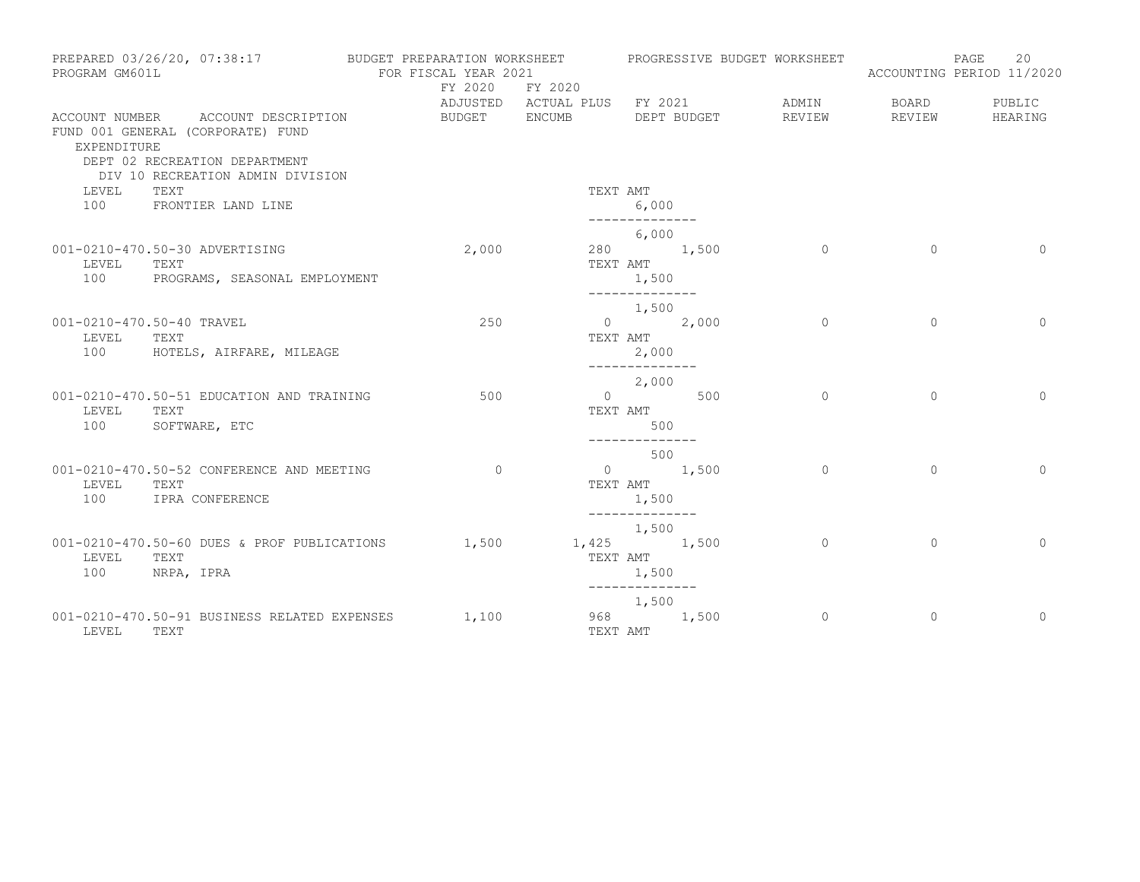| PROGRAM GM601L                            | PREPARED 03/26/20, 07:38:17                                                                     | BUDGET PREPARATION WORKSHEET<br>FOR FISCAL YEAR 2021 |                                                          |                                                              |             | PROGRESSIVE BUDGET WORKSHEET |                 | 20<br>PAGE<br>ACCOUNTING PERIOD 11/2020 |
|-------------------------------------------|-------------------------------------------------------------------------------------------------|------------------------------------------------------|----------------------------------------------------------|--------------------------------------------------------------|-------------|------------------------------|-----------------|-----------------------------------------|
| EXPENDITURE                               | ACCOUNT NUMBER ACCOUNT DESCRIPTION<br>FUND 001 GENERAL (CORPORATE) FUND                         | FY 2020<br>BUDGET                                    | FY 2020<br>ADJUSTED ACTUAL PLUS FY 2021<br><b>ENCUMB</b> |                                                              | DEPT BUDGET | ADMIN<br>REVIEW              | BOARD<br>REVIEW | PUBLIC<br>HEARING                       |
| LEVEL<br>100                              | DEPT 02 RECREATION DEPARTMENT<br>DIV 10 RECREATION ADMIN DIVISION<br>TEXT<br>FRONTIER LAND LINE |                                                      |                                                          | TEXT AMT<br>6,000                                            |             |                              |                 |                                         |
| LEVEL<br>100                              | 001-0210-470.50-30 ADVERTISING<br>TEXT<br>PROGRAMS, SEASONAL EMPLOYMENT                         | 2,000                                                |                                                          | 6,000<br>280 1,500<br>TEXT AMT<br>1,500                      |             | $\circ$                      | $\mathbf{0}$    | $\mathbf{0}$                            |
| 001-0210-470.50-40 TRAVEL<br>LEVEL<br>100 | TEXT<br>HOTELS, AIRFARE, MILEAGE                                                                | 250                                                  |                                                          | ______________<br>1,500<br>$0 \t 2,000$<br>TEXT AMT<br>2,000 |             | $\circ$                      | $\circ$         | $\Omega$                                |
| LEVEL<br>100                              | 001-0210-470.50-51 EDUCATION AND TRAINING<br>TEXT<br>SOFTWARE, ETC                              | 500                                                  | TEXT AMT                                                 | --------------<br>2,000<br>0 500<br>500                      |             | $\Omega$                     | $\circ$         | $\mathbf 0$                             |
| LEVEL<br>100                              | 001-0210-470.50-52 CONFERENCE AND MEETING<br>TEXT<br>IPRA CONFERENCE                            | $\circ$                                              |                                                          | --------------<br>500<br>$0 \t 1,500$<br>TEXT AMT<br>1,500   |             | $\mathbf{0}$                 | $\circ$         | $\Omega$                                |
| LEVEL<br>100                              | 001-0210-470.50-60 DUES & PROF PUBLICATIONS<br>TEXT<br>NRPA, IPRA                               | 1,500                                                |                                                          | --------------<br>1,500<br>1,425 1,500<br>TEXT AMT<br>1,500  |             | $\circ$                      | $\circ$         | $\circ$                                 |
| LEVEL                                     | 001-0210-470.50-91 BUSINESS RELATED EXPENSES<br>TEXT                                            | 1,100                                                |                                                          | --------------<br>1,500<br>968 1,500<br>TEXT AMT             |             | $\circ$                      | $\circ$         | $\overline{0}$                          |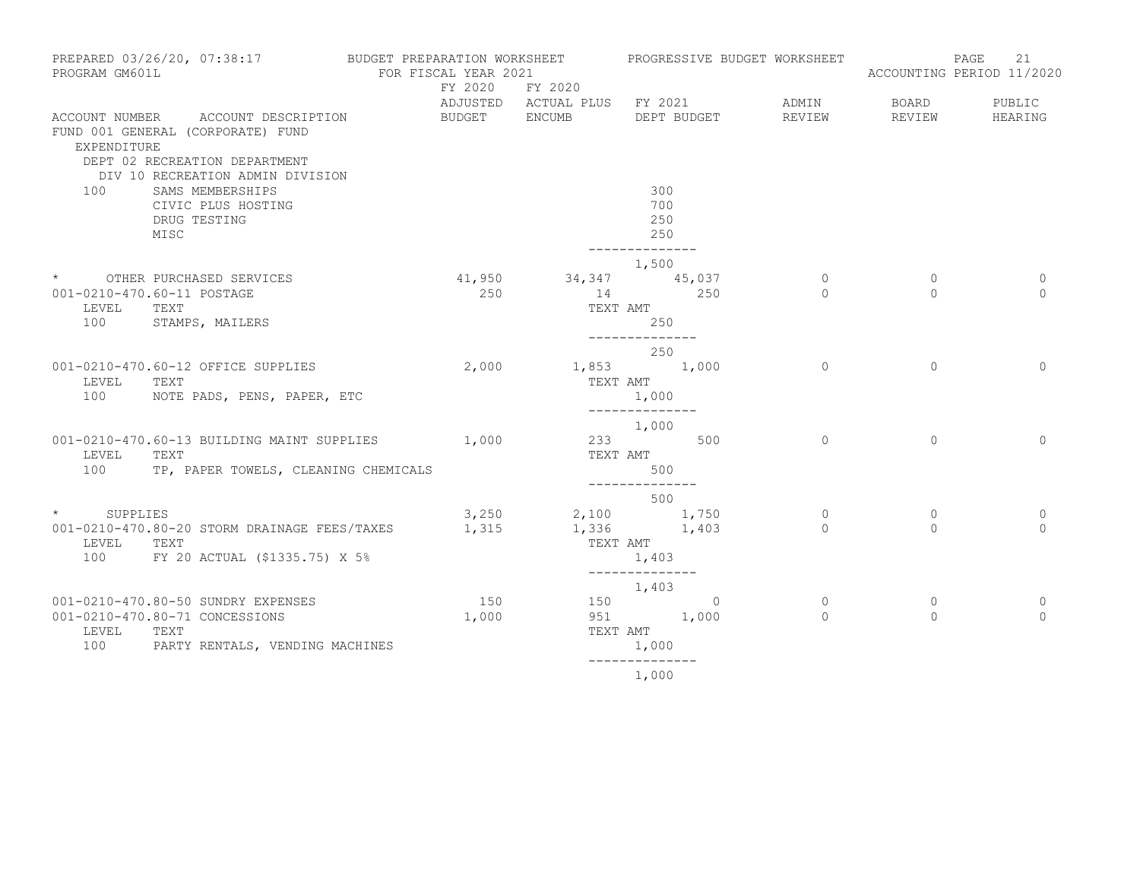| PREPARED 03/26/20, 07:38:17<br>PROGRAM GM601L |                                                                                                                                     | BUDGET PREPARATION WORKSHEET<br>FOR FISCAL YEAR 2021 |                          |                                         | PROGRESSIVE BUDGET WORKSHEET               |             |                     | ACCOUNTING PERIOD 11/2020 | 21 |                   |
|-----------------------------------------------|-------------------------------------------------------------------------------------------------------------------------------------|------------------------------------------------------|--------------------------|-----------------------------------------|--------------------------------------------|-------------|---------------------|---------------------------|----|-------------------|
| ACCOUNT NUMBER                                | ACCOUNT DESCRIPTION<br>FUND 001 GENERAL (CORPORATE) FUND                                                                            |                                                      | FY 2020<br>BUDGET ENCUMB | FY 2020<br>ADJUSTED ACTUAL PLUS FY 2021 |                                            | DEPT BUDGET | ADMIN<br>REVIEW     | BOARD<br>REVIEW           |    | PUBLIC<br>HEARING |
| EXPENDITURE<br>100                            | DEPT 02 RECREATION DEPARTMENT<br>DIV 10 RECREATION ADMIN DIVISION<br>SAMS MEMBERSHIPS<br>CIVIC PLUS HOSTING<br>DRUG TESTING<br>MISC |                                                      |                          |                                         | 300<br>700<br>250<br>250<br>-------------- |             |                     |                           |    |                   |
|                                               | * OTHER PURCHASED SERVICES                                                                                                          |                                                      | 41,950                   |                                         | 1,500                                      |             | $\circ$             | $\circ$                   |    | 0                 |
| LEVEL<br>100                                  | 001-0210-470.60-11 POSTAGE<br>TEXT<br>STAMPS, MAILERS                                                                               |                                                      | 250                      | 34, 347 45, 037<br>14<br>TEXT AMT       | 250<br>--------------                      | 250         | $\Omega$            | $\Omega$                  |    | $\Omega$          |
|                                               |                                                                                                                                     |                                                      |                          |                                         | 250                                        |             |                     |                           |    |                   |
| LEVEL                                         | 001-0210-470.60-12 OFFICE SUPPLIES<br>TEXT<br>100 NOTE PADS, PENS, PAPER, ETC                                                       |                                                      | 2,000                    | $1,853$ 1,000<br>TEXT AMT               | 1,000<br>--------------                    |             | $\Omega$            | $\Omega$                  |    | $\Omega$          |
|                                               | 001-0210-470.60-13 BUILDING MAINT SUPPLIES                                                                                          |                                                      | 1,000                    |                                         | 1,000<br>233 500                           |             | $\circ$             | $\mathbf{0}$              |    | $\mathbf{0}$      |
| LEVEL<br>100                                  | TEXT<br>TP, PAPER TOWELS, CLEANING CHEMICALS                                                                                        |                                                      |                          |                                         | TEXT AMT<br>500<br>--------------          |             |                     |                           |    |                   |
|                                               |                                                                                                                                     |                                                      |                          |                                         | 500                                        |             |                     |                           |    |                   |
| * SUPPLIES<br>LEVEL                           | 001-0210-470.80-20 STORM DRAINAGE FEES/TAXES<br>TEXT<br>100 FY 20 ACTUAL (\$1335.75) X 5%                                           |                                                      | 3,250<br>1,315           | 2,100 1,750<br>1,336 1,403<br>TEXT AMT  | 1,403                                      |             | $\circ$<br>$\Omega$ | $\circ$<br>$\Omega$       |    | 0<br>$\Omega$     |
|                                               |                                                                                                                                     |                                                      |                          |                                         | ______________<br>1,403                    |             |                     |                           |    |                   |
| LEVEL<br>100                                  | 001-0210-470.80-50 SUNDRY EXPENSES<br>001-0210-470.80-71 CONCESSIONS<br>TEXT<br>PARTY RENTALS, VENDING MACHINES                     |                                                      | 150<br>1,000             | TEXT AMT                                | 150 0<br>951 1,000<br>1,000                |             | $\circ$<br>$\Omega$ | $\circ$<br>$\Omega$       |    | 0<br>$\Omega$     |
|                                               |                                                                                                                                     |                                                      |                          |                                         |                                            |             |                     |                           |    |                   |

1,000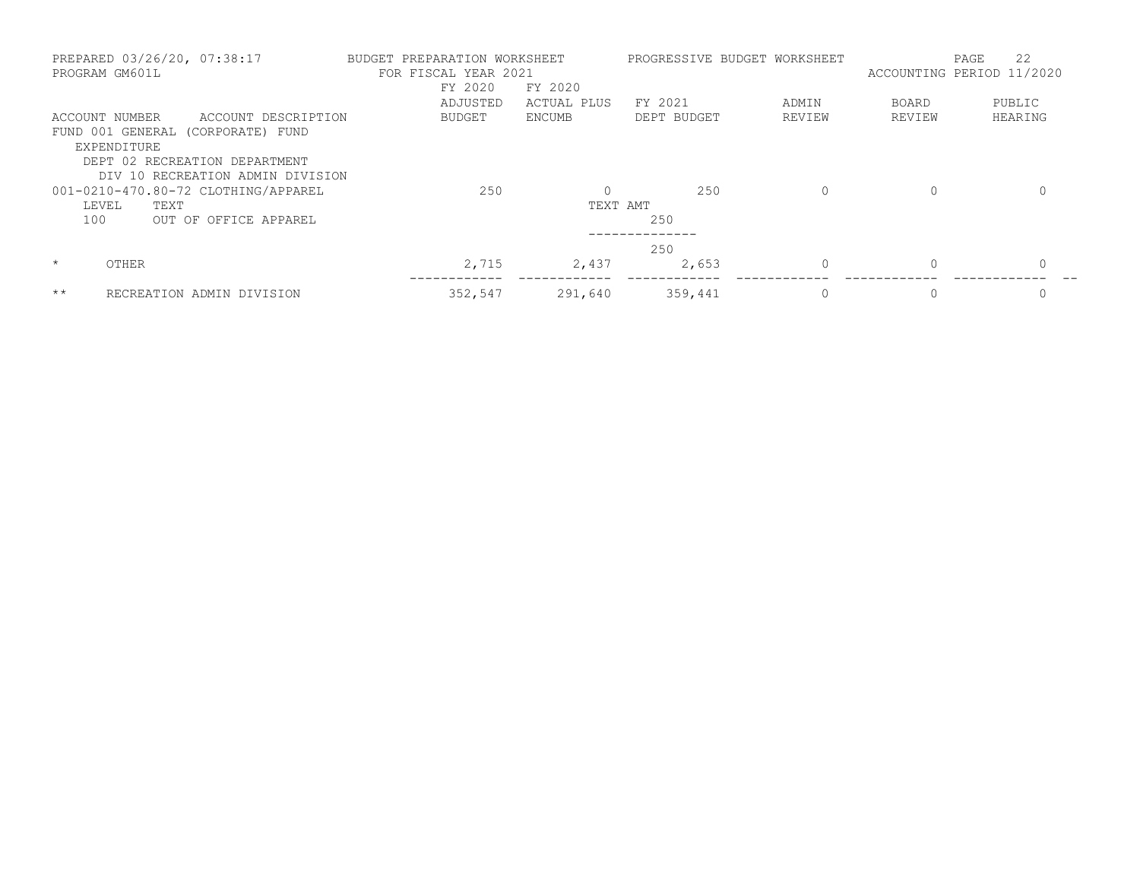| PREPARED 03/26/20, 07:38:17<br>PROGRAM GM601L                     | BUDGET PREPARATION WORKSHEET<br>FOR FISCAL YEAR 2021<br>FY 2020 | FY 2020     | PROGRESSIVE BUDGET WORKSHEET |          | 22<br>PAGE<br>ACCOUNTING PERIOD 11/2020 |          |  |
|-------------------------------------------------------------------|-----------------------------------------------------------------|-------------|------------------------------|----------|-----------------------------------------|----------|--|
|                                                                   | ADJUSTED                                                        | ACTUAL PLUS | FY 2021                      | ADMIN    | <b>BOARD</b>                            | PUBLIC   |  |
| ACCOUNT NUMBER<br>ACCOUNT DESCRIPTION                             | <b>BUDGET</b>                                                   | ENCUMB      | DEPT BUDGET                  | REVIEW   | REVIEW                                  | HEARING  |  |
| FUND 001 GENERAL (CORPORATE) FUND<br>EXPENDITURE                  |                                                                 |             |                              |          |                                         |          |  |
| DEPT 02 RECREATION DEPARTMENT<br>DIV 10 RECREATION ADMIN DIVISION |                                                                 |             |                              |          |                                         |          |  |
| 001-0210-470.80-72 CLOTHING/APPAREL                               | 250                                                             |             | 250                          | 0        | $\Omega$                                | 0        |  |
| LEVEL<br>TEXT                                                     |                                                                 | TEXT AMT    |                              |          |                                         |          |  |
| 100<br>OUT OF OFFICE APPAREL                                      |                                                                 |             | 250                          |          |                                         |          |  |
|                                                                   |                                                                 |             | 250                          |          |                                         |          |  |
| $\star$<br>OTHER                                                  | 2,715                                                           | 2,437       | 2,653                        | $\Omega$ | $\Omega$                                | $\Omega$ |  |
| $***$<br>RECREATION ADMIN DIVISION                                | 352,547                                                         | 291,640     | 359,441                      | 0        | 0                                       | 0        |  |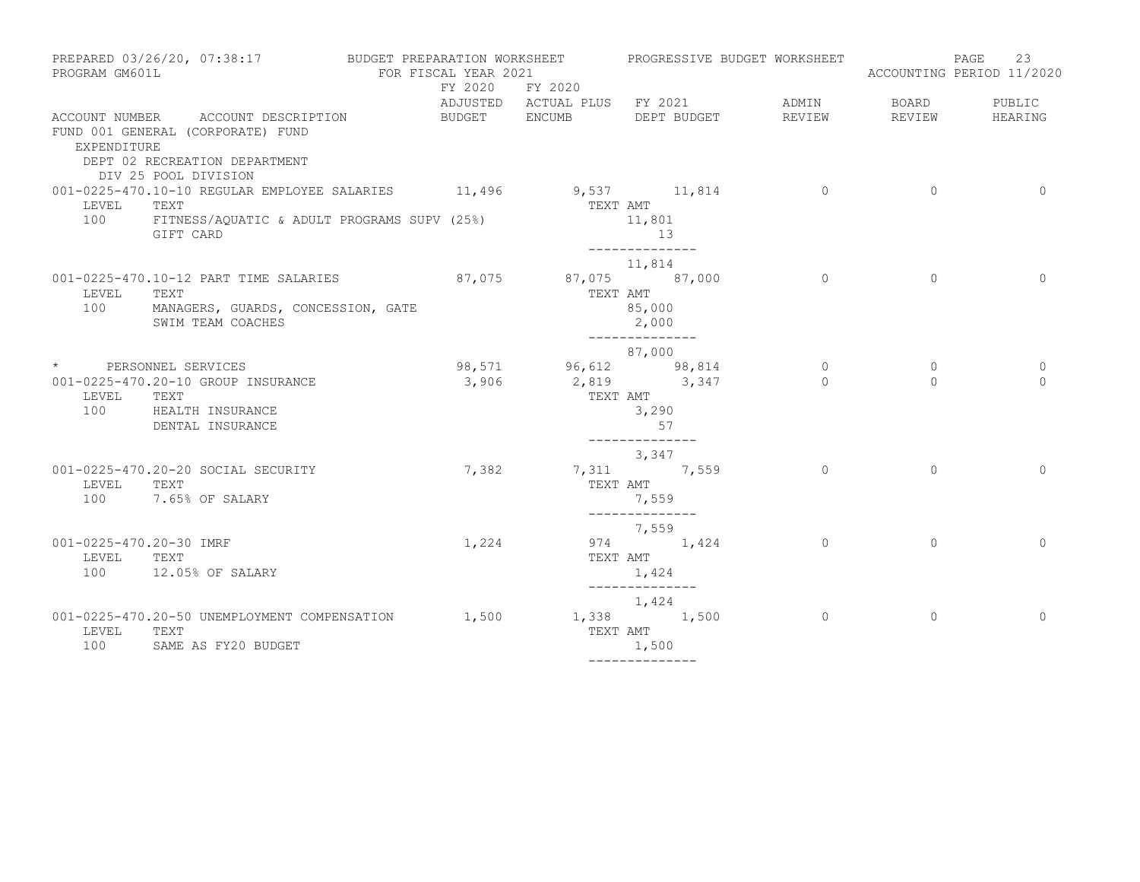| PREPARED 03/26/20, 07:38:17 BUDGET PREPARATION WORKSHEET PROGRESSIVE BUDGET WORKSHEET<br>PROGRAM GM601L |                                                                                                                                  | FOR FISCAL YEAR 2021      |                                                 |                                                                             |                     |                     | 23<br>PAGE<br>ACCOUNTING PERIOD 11/2020 |
|---------------------------------------------------------------------------------------------------------|----------------------------------------------------------------------------------------------------------------------------------|---------------------------|-------------------------------------------------|-----------------------------------------------------------------------------|---------------------|---------------------|-----------------------------------------|
|                                                                                                         |                                                                                                                                  |                           | FY 2020 FY 2020<br>ADJUSTED ACTUAL PLUS FY 2021 |                                                                             | ADMIN               | BOARD               | PUBLIC                                  |
| EXPENDITURE                                                                                             | ACCOUNT NUMBER ACCOUNT DESCRIPTION<br>FUND 001 GENERAL (CORPORATE) FUND<br>DEPT 02 RECREATION DEPARTMENT<br>DIV 25 POOL DIVISION | BUDGET ENCUMB DEPT BUDGET |                                                 |                                                                             | REVIEW              | REVIEW              | HEARING                                 |
| LEVEL TEXT<br>100                                                                                       | 001-0225-470.10-10 REGULAR EMPLOYEE SALARIES 11,496 9,537 11,814 0<br>FITNESS/AQUATIC & ADULT PROGRAMS SUPV (25%)<br>GIFT CARD   |                           | TEXT AMT                                        | 11,801<br>13<br>______________                                              |                     | $\overline{0}$      | $\overline{0}$                          |
| LEVEL                                                                                                   | 001-0225-470.10-12 PART TIME SALARIES<br>TEXT<br>100 MANAGERS, GUARDS, CONCESSION, GATE<br>SWIM TEAM COACHES                     | 87,075 87,075 87,000      | TEXT AMT                                        | 11,814<br>85,000<br>2,000                                                   | $\Omega$            | $\circ$             | $\Omega$                                |
| LEVEL TEXT                                                                                              | * PERSONNEL SERVICES<br>001-0225-470.20-10 GROUP INSURANCE<br>100 HEALTH INSURANCE<br>DENTAL INSURANCE                           |                           | 98,571 96,612 98,814<br>3,906 2,819 3,347       | --------------<br>87,000<br>TEXT AMT<br>3,290<br>57                         | $\circ$<br>$\Omega$ | $\circ$<br>$\Omega$ | 0<br>$\Omega$                           |
| LEVEL<br>100                                                                                            | 001-0225-470.20-20 SOCIAL SECURITY<br>TEXT<br>7.65% OF SALARY                                                                    | 7,382                     | TEXT AMT                                        | --------------<br>3,347<br>7,311 7,559<br>7,559                             | $\Omega$            | $\Omega$            | $\Omega$                                |
| 001-0225-470.20-30 IMRF<br>LEVEL TEXT                                                                   | 100 12.05% OF SALARY                                                                                                             | 1,224                     |                                                 | --------------<br>7,559<br>974 1,424<br>TEXT AMT<br>1,424<br>______________ | $\overline{0}$      | $\mathbf{0}$        | $\Omega$                                |
| LEVEL TEXT<br>100                                                                                       | 001-0225-470.20-50 UNEMPLOYMENT COMPENSATION<br>SAME AS FY20 BUDGET                                                              | 1,500                     | TEXT AMT                                        | 1,424<br>1,338 1,500<br>1,500                                               | $\overline{0}$      | $\circ$             | $\mathbf{0}$                            |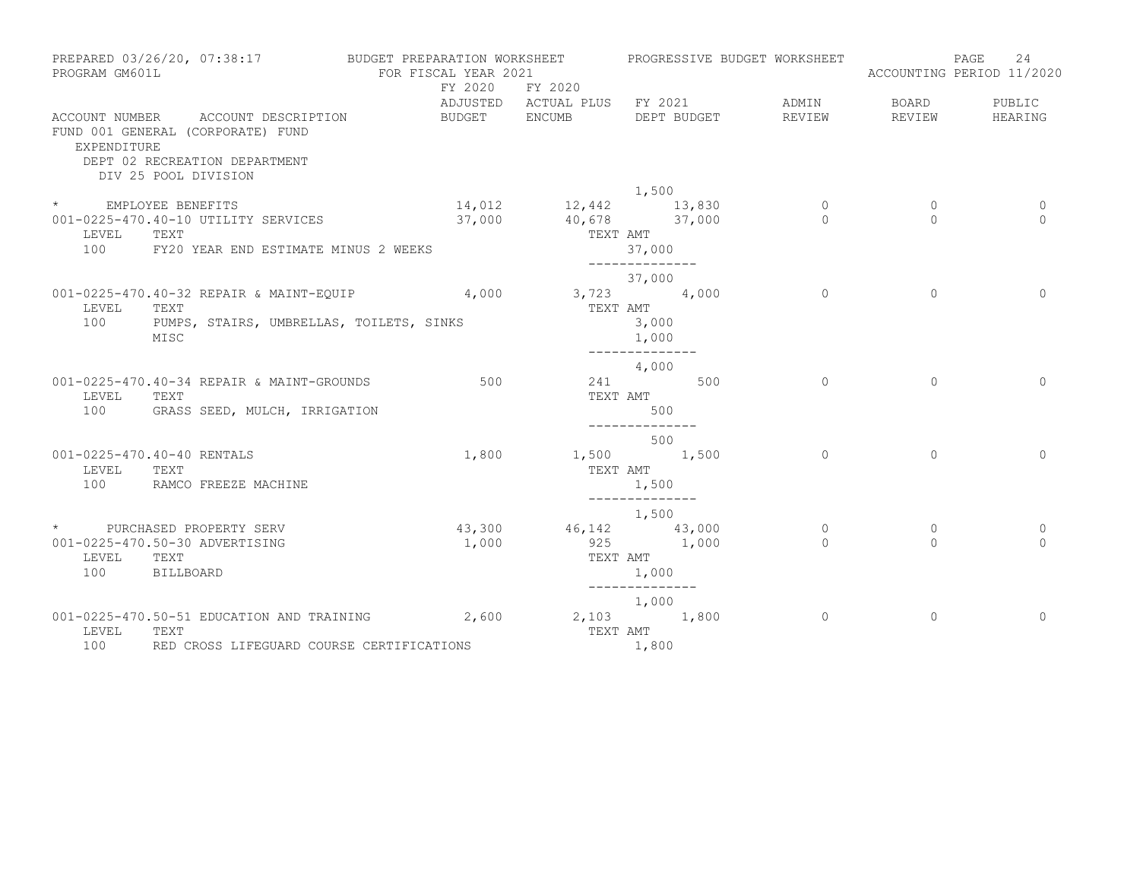| PROGRAM GM601L      | PREPARED 03/26/20, 07:38:17                                                                              | BUDGET PREPARATION WORKSHEET<br>FOR FISCAL YEAR 2021<br>FY 2020 | FY 2020              | PROGRESSIVE BUDGET WORKSHEET                |                     |                          | 24<br>PAGE<br>ACCOUNTING PERIOD 11/2020 |
|---------------------|----------------------------------------------------------------------------------------------------------|-----------------------------------------------------------------|----------------------|---------------------------------------------|---------------------|--------------------------|-----------------------------------------|
| EXPENDITURE         | ACCOUNT NUMBER ACCOUNT DESCRIPTION<br>FUND 001 GENERAL (CORPORATE) FUND<br>DEPT 02 RECREATION DEPARTMENT | BUDGET ENCUMB                                                   |                      | ADJUSTED ACTUAL PLUS FY 2021<br>DEPT BUDGET | ADMIN<br>REVIEW     | BOARD<br>REVIEW          | PUBLIC<br>HEARING                       |
|                     | DIV 25 POOL DIVISION                                                                                     |                                                                 |                      |                                             |                     |                          |                                         |
|                     |                                                                                                          |                                                                 |                      | 1,500                                       |                     |                          |                                         |
| * EMPLOYEE BENEFITS |                                                                                                          |                                                                 | 37,000 40,678 37,000 | 14,012 12,442 13,830                        | $\circ$<br>$\Omega$ | $\mathbf{0}$<br>$\Omega$ | 0<br>$\Omega$                           |
| LEVEL               | 001-0225-470.40-10 UTILITY SERVICES<br>TEXT                                                              |                                                                 | TEXT AMT             |                                             |                     |                          |                                         |
| 100                 | FY20 YEAR END ESTIMATE MINUS 2 WEEKS                                                                     |                                                                 |                      | 37,000                                      |                     |                          |                                         |
|                     |                                                                                                          |                                                                 |                      |                                             |                     |                          |                                         |
|                     |                                                                                                          |                                                                 |                      | 37,000                                      |                     |                          |                                         |
|                     | 001-0225-470.40-32 REPAIR & MAINT-EQUIP 4,000 3,723 4,000                                                |                                                                 |                      |                                             | $\Omega$            | $\Omega$                 | $\Omega$                                |
| LEVEL<br>100        | TEXT<br>PUMPS, STAIRS, UMBRELLAS, TOILETS, SINKS                                                         |                                                                 |                      | TEXT AMT                                    |                     |                          |                                         |
|                     | MISC                                                                                                     |                                                                 |                      | 3,000<br>1,000                              |                     |                          |                                         |
|                     |                                                                                                          |                                                                 |                      | ______________                              |                     |                          |                                         |
|                     |                                                                                                          |                                                                 |                      | 4,000                                       |                     |                          |                                         |
|                     | 001-0225-470.40-34 REPAIR & MAINT-GROUNDS                                                                | 500                                                             |                      | 241 500                                     | $\circ$             | $\Omega$                 | $\Omega$                                |
| LEVEL               | TEXT                                                                                                     |                                                                 |                      | TEXT AMT                                    |                     |                          |                                         |
| 100                 | GRASS SEED, MULCH, IRRIGATION                                                                            |                                                                 |                      | 500<br>--------------                       |                     |                          |                                         |
|                     |                                                                                                          |                                                                 |                      | 500                                         |                     |                          |                                         |
|                     | 001-0225-470.40-40 RENTALS                                                                               | 1,800                                                           |                      | 1,500 1,500                                 | $\circ$             | $\Omega$                 | $\Omega$                                |
| LEVEL               | TEXT                                                                                                     |                                                                 |                      | TEXT AMT                                    |                     |                          |                                         |
| 100                 | RAMCO FREEZE MACHINE                                                                                     |                                                                 |                      | 1,500                                       |                     |                          |                                         |
|                     |                                                                                                          |                                                                 |                      | ______________<br>1,500                     |                     |                          |                                         |
|                     | * PURCHASED PROPERTY SERV                                                                                |                                                                 | 43,300 46,142 43,000 |                                             | $\circ$             | $\circ$                  | 0                                       |
|                     | 001-0225-470.50-30 ADVERTISING                                                                           | 1,000                                                           |                      | 925 1,000                                   | $\Omega$            | $\Omega$                 | $\Omega$                                |
| LEVEL               | TEXT                                                                                                     |                                                                 |                      | TEXT AMT                                    |                     |                          |                                         |
| 100                 | BILLBOARD                                                                                                |                                                                 |                      | 1,000                                       |                     |                          |                                         |
|                     |                                                                                                          |                                                                 |                      | 1,000                                       |                     |                          |                                         |
|                     | 001-0225-470.50-51 EDUCATION AND TRAINING                                                                | 2,600                                                           |                      | 2,103 1,800                                 | $\circ$             | $\circ$                  | $\Omega$                                |
| LEVEL               | TEXT                                                                                                     |                                                                 |                      | TEXT AMT                                    |                     |                          |                                         |
| 100                 | RED CROSS LIFEGUARD COURSE CERTIFICATIONS                                                                |                                                                 |                      | 1,800                                       |                     |                          |                                         |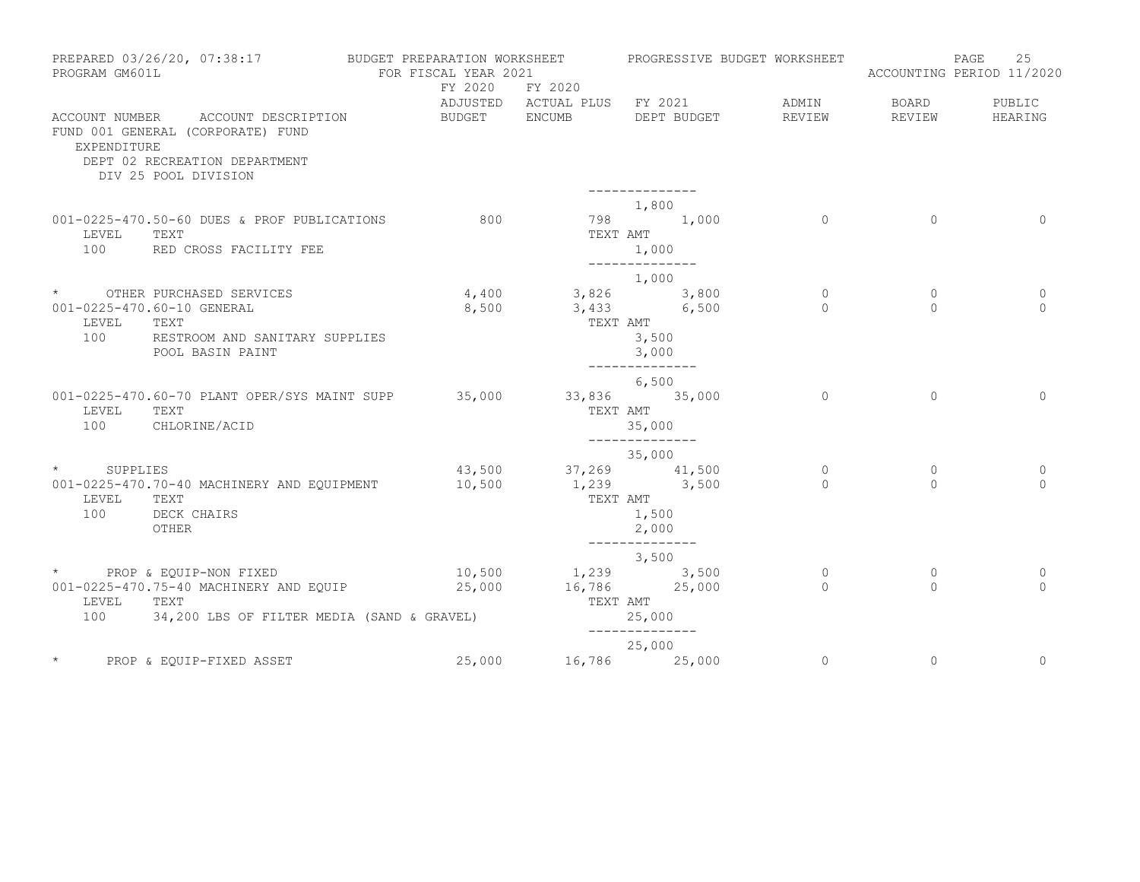| PROGRAM GM601L | PREPARED 03/26/20, 07:38:17                                             | BUDGET PREPARATION WORKSHEET<br>FOR FISCAL YEAR 2021 | FY 2020       | FY 2020                                                |                          | PROGRESSIVE BUDGET WORKSHEET |                     | ACCOUNTING PERIOD 11/2020 | PAGE | 25                      |
|----------------|-------------------------------------------------------------------------|------------------------------------------------------|---------------|--------------------------------------------------------|--------------------------|------------------------------|---------------------|---------------------------|------|-------------------------|
|                | ACCOUNT NUMBER ACCOUNT DESCRIPTION<br>FUND 001 GENERAL (CORPORATE) FUND |                                                      | BUDGET ENCUMB | ADJUSTED ACTUAL PLUS FY 2021                           |                          | DEPT BUDGET                  | ADMIN<br>REVIEW     | BOARD<br>REVIEW           |      | PUBLIC<br>HEARING       |
| EXPENDITURE    | DEPT 02 RECREATION DEPARTMENT<br>DIV 25 POOL DIVISION                   |                                                      |               |                                                        | --------------           |                              |                     |                           |      |                         |
|                |                                                                         |                                                      |               |                                                        | 1,800                    |                              |                     |                           |      |                         |
|                | 001-0225-470.50-60 DUES & PROF PUBLICATIONS                             |                                                      | 800           |                                                        | 798 1,000                |                              | $\Omega$            | $\Omega$                  |      | $\Omega$                |
| LEVEL<br>100   | TEXT<br>RED CROSS FACILITY FEE                                          |                                                      |               | TEXT AMT                                               | 1,000<br>--------------  |                              |                     |                           |      |                         |
|                |                                                                         |                                                      |               |                                                        | 1,000                    |                              |                     |                           |      |                         |
|                | * OTHER PURCHASED SERVICES                                              |                                                      |               | 4,400 3,826 3,800                                      |                          |                              | $\circ$             | $\mathbf{0}$              |      | 0                       |
|                | 001-0225-470.60-10 GENERAL                                              |                                                      | 8,500         | $3,433$ 6,500                                          |                          |                              | $\Omega$            | $\Omega$                  |      | $\Omega$                |
| LEVEL<br>100   | TEXT<br>RESTROOM AND SANITARY SUPPLIES                                  |                                                      |               | TEXT AMT                                               | 3,500                    |                              |                     |                           |      |                         |
|                | POOL BASIN PAINT                                                        |                                                      |               |                                                        | 3,000<br>--------------  |                              |                     |                           |      |                         |
|                |                                                                         |                                                      |               |                                                        | 6,500                    |                              |                     |                           |      |                         |
|                | 001-0225-470.60-70 PLANT OPER/SYS MAINT SUPP                            |                                                      | 35,000        | 33,836 35,000                                          |                          |                              | $\Omega$            | $\Omega$                  |      | $\Omega$                |
| LEVEL          | TEXT                                                                    |                                                      |               |                                                        | TEXT AMT                 |                              |                     |                           |      |                         |
| 100            | CHLORINE/ACID                                                           |                                                      |               |                                                        | 35,000<br>______________ |                              |                     |                           |      |                         |
|                |                                                                         |                                                      |               |                                                        | 35,000                   |                              |                     |                           |      |                         |
| * SUPPLIES     |                                                                         |                                                      |               | $43,500$ $37,269$ $41,500$<br>$10,500$ $1,239$ $3,500$ |                          |                              | $\circ$<br>$\Omega$ | 0<br>$\Omega$             |      | $\mathbf 0$<br>$\Omega$ |
| LEVEL          | 001-0225-470.70-40 MACHINERY AND EQUIPMENT<br>TEXT                      |                                                      |               | TEXT AMT                                               |                          |                              |                     |                           |      |                         |
| 100            | DECK CHAIRS                                                             |                                                      |               |                                                        | 1,500                    |                              |                     |                           |      |                         |
|                | OTHER                                                                   |                                                      |               |                                                        | 2,000                    |                              |                     |                           |      |                         |
|                |                                                                         |                                                      |               |                                                        | ______________<br>3,500  |                              |                     |                           |      |                         |
|                | * PROP & EQUIP-NON FIXED<br>10,500 1,239 3,500                          |                                                      |               |                                                        |                          |                              | $\mathbf{0}$        | $\Omega$                  |      | $\mathbf 0$             |
|                | 001-0225-470.75-40 MACHINERY AND EQUIP 25,000                           |                                                      |               | 16,786 25,000                                          |                          |                              | $\Omega$            | $\Omega$                  |      | $\Omega$                |
| LEVEL<br>100   | TEXT<br>34,200 LBS OF FILTER MEDIA (SAND & GRAVEL)                      |                                                      |               | TEXT AMT                                               | 25,000                   |                              |                     |                           |      |                         |
|                |                                                                         |                                                      |               |                                                        | --------------           |                              |                     |                           |      |                         |
|                |                                                                         |                                                      |               |                                                        | 25,000                   |                              |                     |                           |      |                         |
|                | PROP & EQUIP-FIXED ASSET                                                |                                                      | 25,000        | 16,786 25,000                                          |                          |                              | $\circ$             | $\mathbf{0}$              |      | $\mathbf{0}$            |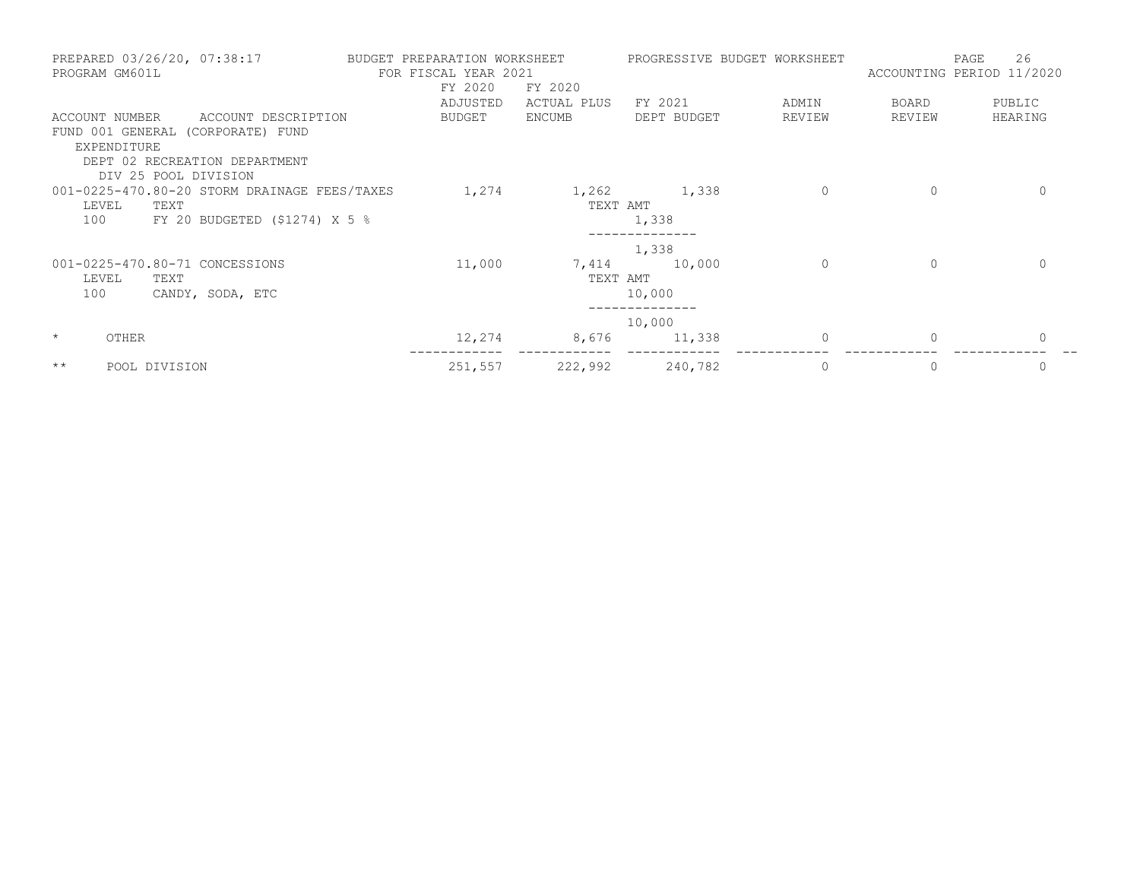| PREPARED 03/26/20, 07:38:17<br>PROGRAM GM601L | BUDGET PREPARATION WORKSHEET<br>FOR FISCAL YEAR 2021 |             | PROGRESSIVE BUDGET WORKSHEET |         | PAGE<br>ACCOUNTING PERIOD 11/2020 | 26           |
|-----------------------------------------------|------------------------------------------------------|-------------|------------------------------|---------|-----------------------------------|--------------|
|                                               | FY 2020                                              | FY 2020     |                              |         |                                   |              |
|                                               | ADJUSTED                                             | ACTUAL PLUS | FY 2021                      | ADMIN   | BOARD                             | PUBLIC       |
| ACCOUNT DESCRIPTION<br>ACCOUNT NUMBER         | BUDGET                                               | ENCUMB      | DEPT BUDGET                  | REVIEW  | REVIEW                            | HEARING      |
| FUND 001 GENERAL (CORPORATE) FUND             |                                                      |             |                              |         |                                   |              |
| EXPENDITURE                                   |                                                      |             |                              |         |                                   |              |
| DEPT 02 RECREATION DEPARTMENT                 |                                                      |             |                              |         |                                   |              |
| DIV 25 POOL DIVISION                          |                                                      |             |                              |         |                                   |              |
| 001-0225-470.80-20 STORM DRAINAGE FEES/TAXES  | 1,274                                                |             | 1,262 1,338                  | $\circ$ | $\mathbf{0}$                      | $\Omega$     |
| LEVEL<br>TEXT                                 |                                                      | TEXT AMT    |                              |         |                                   |              |
| 100 - 100<br>FY 20 BUDGETED $(51274)$ X 5 %   |                                                      |             | 1,338                        |         |                                   |              |
|                                               |                                                      |             | 1,338                        |         |                                   |              |
| 001-0225-470.80-71 CONCESSIONS                | 11,000                                               | 7,414       | 10,000                       | $\circ$ | $\mathbf{0}$                      | $\Omega$     |
| LEVEL<br>TEXT                                 |                                                      | TEXT AMT    |                              |         |                                   |              |
| 100<br>CANDY, SODA, ETC                       |                                                      |             | 10,000                       |         |                                   |              |
|                                               |                                                      |             | 10,000                       |         |                                   |              |
| $\star$<br>OTHER                              | 12,274                                               |             | 8,676 11,338                 | 0       | $\mathbf{0}$                      | $\mathbf{0}$ |
| $\star\star$<br>POOL DIVISION                 | 251,557                                              | 222,992     | 240,782                      | $\circ$ | $\mathbf{0}$                      | $\mathbf{0}$ |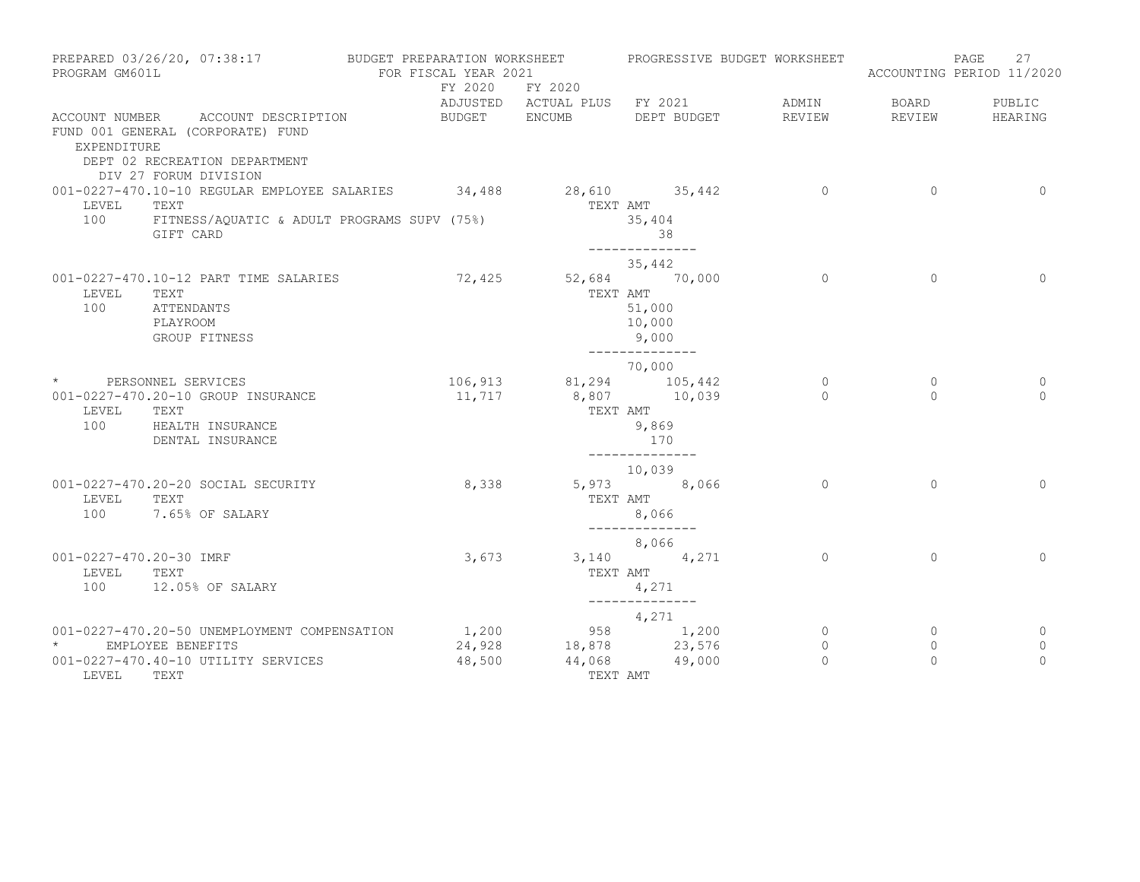| PROGRAM GM601L                          | PREPARED 03/26/20, 07:38:17                                                                                                           | BUDGET PREPARATION WORKSHEET<br>FOR FISCAL YEAR 2021 |                                    | PROGRESSIVE BUDGET WORKSHEET                                      |                                |                                | 27<br>PAGE<br>ACCOUNTING PERIOD 11/2020 |
|-----------------------------------------|---------------------------------------------------------------------------------------------------------------------------------------|------------------------------------------------------|------------------------------------|-------------------------------------------------------------------|--------------------------------|--------------------------------|-----------------------------------------|
|                                         |                                                                                                                                       | FY 2020                                              | FY 2020                            | ADJUSTED ACTUAL PLUS FY 2021                                      | ADMIN                          | BOARD                          | PUBLIC                                  |
| EXPENDITURE                             | ACCOUNT NUMBER ACCOUNT DESCRIPTION<br>FUND 001 GENERAL (CORPORATE) FUND<br>DEPT 02 RECREATION DEPARTMENT<br>DIV 27 FORUM DIVISION     | BUDGET ENCUMB                                        |                                    | DEPT BUDGET                                                       | REVIEW                         | REVIEW                         | HEARING                                 |
| LEVEL<br>100                            | 001-0227-470.10-10 REGULAR EMPLOYEE SALARIES 34,488 28,610 35,442<br>TEXT<br>FITNESS/AQUATIC & ADULT PROGRAMS SUPV (75%)<br>GIFT CARD |                                                      | TEXT AMT                           | 35,404<br>38                                                      | $\overline{0}$                 | $\Omega$                       | $\Omega$                                |
| LEVEL<br>100                            | 001-0227-470.10-12 PART TIME SALARIES<br>TEXT<br>ATTENDANTS<br>PLAYROOM<br>GROUP FITNESS                                              |                                                      | 72,425 52,684 70,000<br>TEXT AMT   | --------------<br>35,442<br>51,000<br>10,000<br>9,000             | $\circ$                        | $\circ$                        | $\circ$                                 |
| LEVEL<br>100                            | * PERSONNEL SERVICES<br>001-0227-470.20-10 GROUP INSURANCE<br>TEXT<br>HEALTH INSURANCE<br>DENTAL INSURANCE                            | 11,717                                               | 106,913 81,294 105,442<br>TEXT AMT | --------------<br>70,000<br>8,807 10,039<br>9,869<br>170          | $\overline{0}$<br>$\Omega$     | $\circ$<br>$\Omega$            | 0<br>$\Omega$                           |
| LEVEL<br>100                            | 001-0227-470.20-20 SOCIAL SECURITY<br>TEXT<br>7.65% OF SALARY                                                                         | 8,338                                                |                                    | --------------<br>10,039<br>5,973 8,066<br>TEXT AMT<br>8,066      | $\Omega$                       | $\Omega$                       | $\Omega$                                |
| 001-0227-470.20-30 IMRF<br>LEVEL<br>100 | TEXT<br>12.05% OF SALARY                                                                                                              | 3,673                                                | TEXT AMT                           | --------------<br>8,066<br>3,140 4,271<br>4,271<br>-------------- | $\Omega$                       | $\Omega$                       | $\Omega$                                |
| $\star$<br>LEVEL TEXT                   | 001-0227-470.20-50 UNEMPLOYMENT COMPENSATION<br>EMPLOYEE BENEFITS<br>001-0227-470.40-10 UTILITY SERVICES                              | 1,200<br>24,928<br>48,500                            | 44,068<br>TEXT AMT                 | 4,271<br>958 1,200<br>18,878 23,576<br>49,000                     | $\circ$<br>$\circ$<br>$\Omega$ | $\circ$<br>$\circ$<br>$\Omega$ | 0<br>0<br>$\Omega$                      |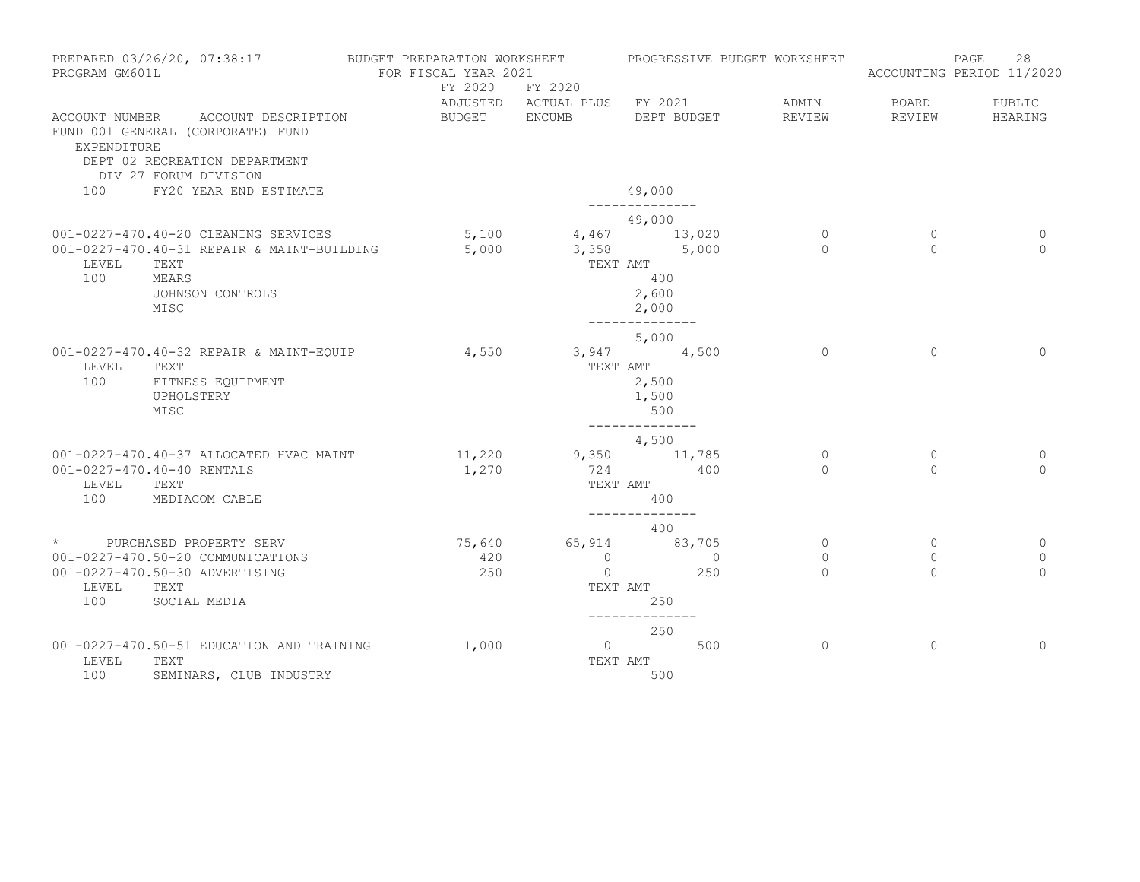| PREPARED 03/26/20, 07:38:17<br>PROGRAM GM601L                                                                                                    | BUDGET PREPARATION WORKSHEET<br>FOR FISCAL YEAR 2021<br>FY 2020 | FY 2020                                      | PROGRESSIVE BUDGET WORKSHEET                                                         |                                |                                     | 28<br>PAGE<br>ACCOUNTING PERIOD 11/2020 |
|--------------------------------------------------------------------------------------------------------------------------------------------------|-----------------------------------------------------------------|----------------------------------------------|--------------------------------------------------------------------------------------|--------------------------------|-------------------------------------|-----------------------------------------|
| ACCOUNT NUMBER ACCOUNT DESCRIPTION<br>FUND 001 GENERAL (CORPORATE) FUND<br>EXPENDITURE<br>DEPT 02 RECREATION DEPARTMENT<br>DIV 27 FORUM DIVISION | BUDGET ENCUMB                                                   |                                              | ADJUSTED ACTUAL PLUS FY 2021<br>DEPT BUDGET                                          | ADMIN<br>REVIEW                | BOARD<br>REVIEW                     | PUBLIC<br>HEARING                       |
| FY20 YEAR END ESTIMATE<br>100                                                                                                                    |                                                                 |                                              | 49,000                                                                               |                                |                                     |                                         |
| 001-0227-470.40-20 CLEANING SERVICES<br>001-0227-470.40-31 REPAIR & MAINT-BUILDING<br>LEVEL<br>TEXT<br>100<br>MEARS<br>JOHNSON CONTROLS<br>MISC  | 5,100<br>5,000                                                  | TEXT AMT                                     | 49,000<br>4,467 13,020<br>$3,358$ $5,000$<br>400<br>2,600<br>2,000<br>-------------- | $\circ$<br>$\Omega$            | $\mathbf{0}$<br>$\Omega$            | 0<br>$\Omega$                           |
| 001-0227-470.40-32 REPAIR & MAINT-EQUIP<br>LEVEL<br>TEXT<br>100<br>FITNESS EQUIPMENT<br>UPHOLSTERY<br>MISC                                       | 4,550                                                           | TEXT AMT                                     | 5,000<br>$3,947$ $4,500$<br>2,500<br>1,500<br>500                                    | $\circ$                        | $\Omega$                            | $\mathbf{0}$                            |
| 001-0227-470.40-37 ALLOCATED HVAC MAINT<br>001-0227-470.40-40 RENTALS<br>LEVEL<br>TEXT<br>100<br>MEDIACOM CABLE                                  | 11,220<br>1,270                                                 | 724<br>TEXT AMT                              | --------------<br>4,500<br>$9,350$ 11,785<br>400<br>400<br>--------------            | $\circ$<br>$\Omega$            | $\circ$<br>$\Omega$                 | 0<br>$\Omega$                           |
| * PURCHASED PROPERTY SERV<br>001-0227-470.50-20 COMMUNICATIONS<br>001-0227-470.50-30 ADVERTISING<br>LEVEL<br>TEXT<br>100<br>SOCIAL MEDIA         | 75,640<br>420<br>250                                            | $\overline{0}$<br>$\overline{0}$<br>TEXT AMT | 400<br>65,914 83,705<br>$\overline{0}$<br>250<br>250                                 | $\circ$<br>$\circ$<br>$\Omega$ | $\mathbf{0}$<br>$\circ$<br>$\Omega$ | 0<br>0<br>$\Omega$                      |
| 001-0227-470.50-51 EDUCATION AND TRAINING<br>LEVEL<br>TEXT<br>100<br>SEMINARS, CLUB INDUSTRY                                                     | 1,000                                                           | $\overline{0}$<br>TEXT AMT                   | --------------<br>250<br>500<br>500                                                  | $\Omega$                       | $\Omega$                            | $\Omega$                                |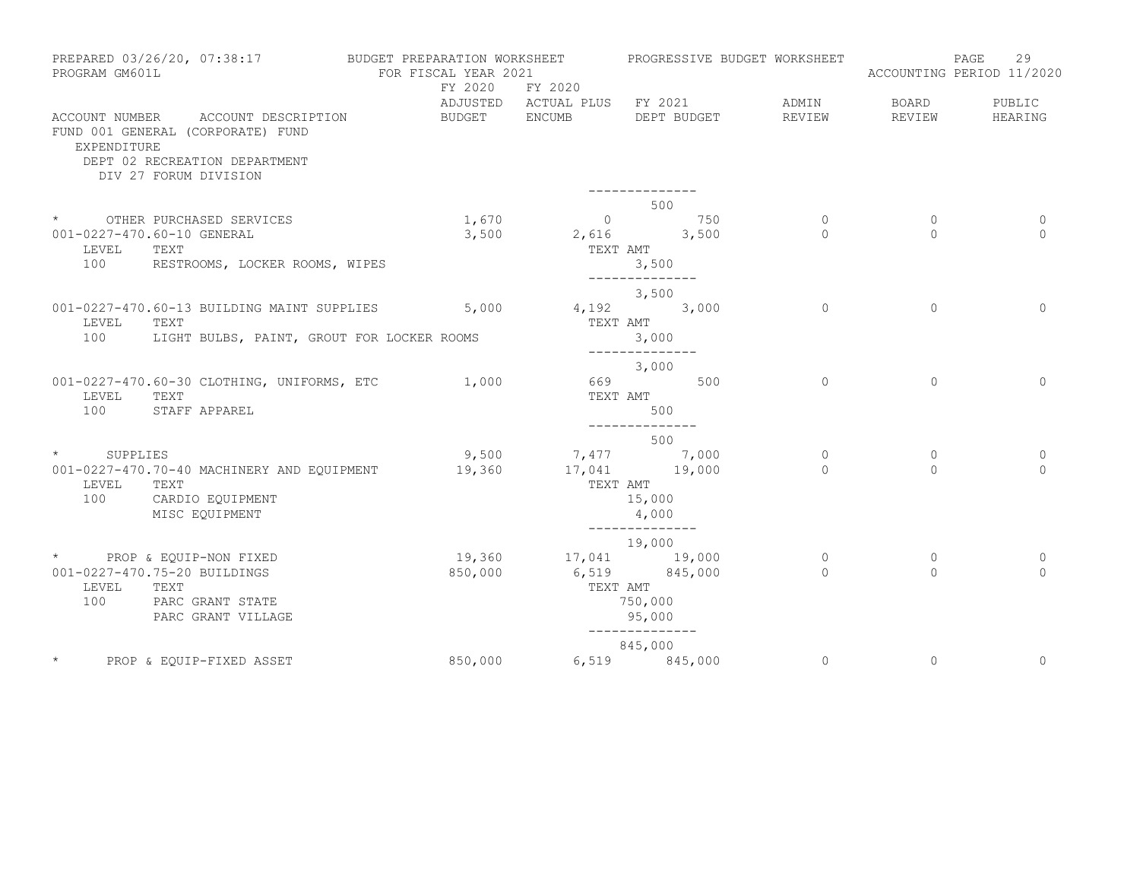| PROGRAM GM601L | PREPARED 03/26/20, 07:38:17                                                                                                       | BUDGET PREPARATION WORKSHEET<br>FOR FISCAL YEAR 2021<br>FY 2020 | FY 2020                      | PROGRESSIVE BUDGET WORKSHEET                                  |                 |                 | 29<br>PAGE<br>ACCOUNTING PERIOD 11/2020 |
|----------------|-----------------------------------------------------------------------------------------------------------------------------------|-----------------------------------------------------------------|------------------------------|---------------------------------------------------------------|-----------------|-----------------|-----------------------------------------|
| EXPENDITURE    | ACCOUNT NUMBER ACCOUNT DESCRIPTION<br>FUND 001 GENERAL (CORPORATE) FUND<br>DEPT 02 RECREATION DEPARTMENT<br>DIV 27 FORUM DIVISION | BUDGET ENCUMB                                                   | ADJUSTED ACTUAL PLUS FY 2021 | DEPT BUDGET                                                   | ADMIN<br>REVIEW | BOARD<br>REVIEW | PUBLIC<br>HEARING                       |
|                |                                                                                                                                   |                                                                 |                              |                                                               |                 |                 |                                         |
|                | * OTHER PURCHASED SERVICES                                                                                                        | 1,670                                                           |                              | 500                                                           | $\circ$         | $\circ$         | $\circ$                                 |
| LEVEL          | 001-0227-470.60-10 GENERAL<br>TEXT                                                                                                | 3,500                                                           | TEXT AMT                     | $\begin{array}{ccc} & 0 & 750 \\ 2,616 & & 3,500 \end{array}$ | $\Omega$        | $\Omega$        | $\Omega$                                |
|                | 100 RESTROOMS, LOCKER ROOMS, WIPES                                                                                                |                                                                 |                              | 3,500<br>--------------                                       |                 |                 |                                         |
|                |                                                                                                                                   |                                                                 |                              | 3,500                                                         |                 |                 |                                         |
| LEVEL          | 001-0227-470.60-13 BUILDING MAINT SUPPLIES<br>TEXT                                                                                |                                                                 | $5,000$ $4,192$ $3,000$      | TEXT AMT                                                      | $\circ$         | $\Omega$        | $\Omega$                                |
| 100            | LIGHT BULBS, PAINT, GROUT FOR LOCKER ROOMS                                                                                        |                                                                 |                              | 3,000<br>--------------                                       |                 |                 |                                         |
|                |                                                                                                                                   |                                                                 |                              | 3,000                                                         |                 |                 |                                         |
| LEVEL<br>100   | 001-0227-470.60-30 CLOTHING, UNIFORMS, ETC<br>TEXT<br>STAFF APPAREL                                                               | 1,000                                                           |                              | 669 500<br>TEXT AMT<br>500                                    | $\circ$         | $\Omega$        | $\circ$                                 |
|                |                                                                                                                                   |                                                                 |                              | --------------                                                |                 |                 |                                         |
| * SUPPLIES     |                                                                                                                                   | 9,500                                                           |                              | 500                                                           | $\circ$         | $\mathbf{0}$    | $\circ$                                 |
|                | 001-0227-470.70-40 MACHINERY AND EQUIPMENT                                                                                        | 19,360                                                          |                              | $7,477$<br>$17,041$<br>$19,000$                               | $\bigcap$       | $\Omega$        | $\Omega$                                |
| LEVEL<br>100   | TEXT<br>CARDIO EQUIPMENT<br>MISC EQUIPMENT                                                                                        |                                                                 | TEXT AMT                     | 15,000<br>4,000                                               |                 |                 |                                         |
|                |                                                                                                                                   |                                                                 |                              | --------------<br>19,000                                      |                 |                 |                                         |
|                | * PROP & EQUIP-NON FIXED                                                                                                          |                                                                 | 19,360 17,041 19,000         |                                                               | $\circ$         | $\mathbf{0}$    | 0                                       |
| LEVEL          | 001-0227-470.75-20 BUILDINGS<br>TEXT                                                                                              | 850,000                                                         | TEXT AMT                     | 6,519 845,000                                                 | $\Omega$        | $\Omega$        | $\Omega$                                |
| 100            | PARC GRANT STATE<br>PARC GRANT VILLAGE                                                                                            |                                                                 |                              | 750,000<br>95,000                                             |                 |                 |                                         |
|                |                                                                                                                                   |                                                                 |                              | --------------<br>845,000                                     |                 |                 |                                         |
|                | PROP & EQUIP-FIXED ASSET                                                                                                          | 850,000                                                         |                              | 6,519 845,000                                                 | $\overline{0}$  | $\circ$         | $\mathbf 0$                             |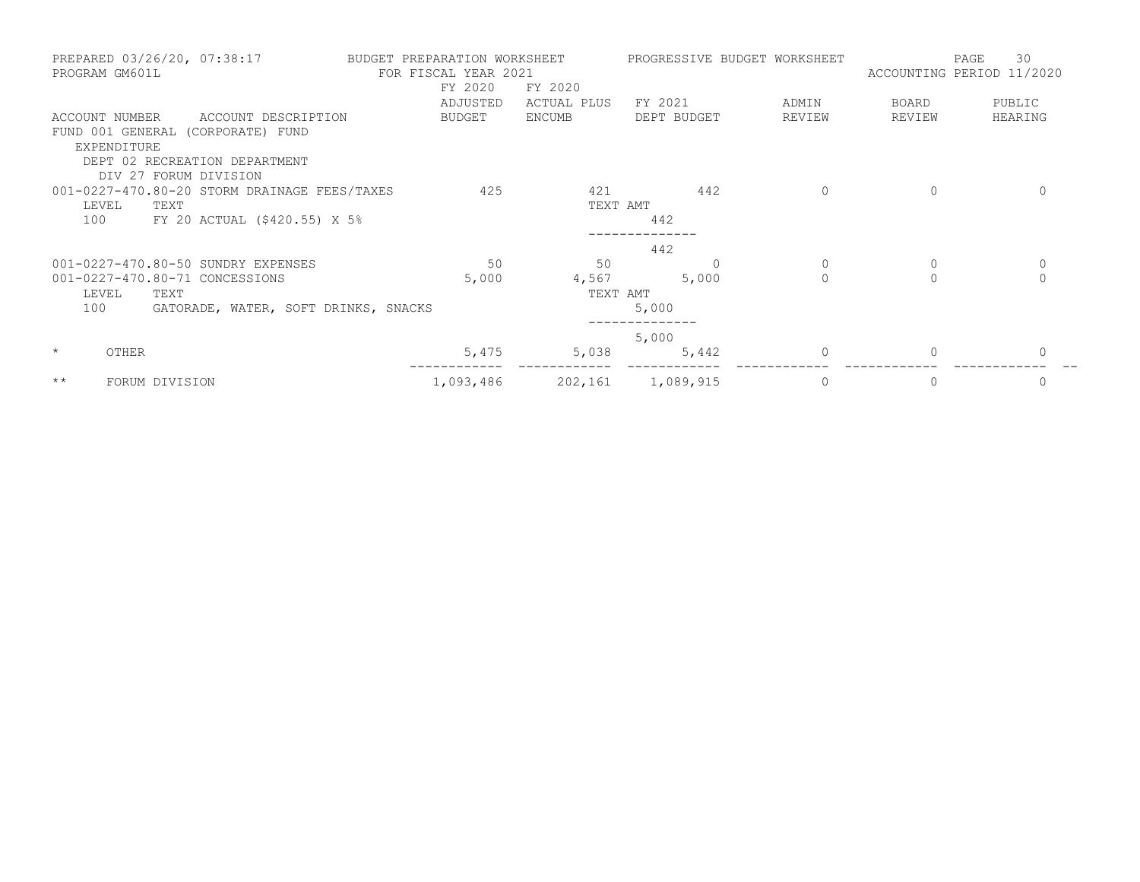| PREPARED 03/26/20, 07:38:17<br>PROGRAM GM601L | BUDGET PREPARATION WORKSHEET<br>FOR FISCAL YEAR 2021 |             | PROGRESSIVE BUDGET WORKSHEET |          | ACCOUNTING PERIOD 11/2020 | 30<br>PAGE  |
|-----------------------------------------------|------------------------------------------------------|-------------|------------------------------|----------|---------------------------|-------------|
|                                               | FY 2020                                              | FY 2020     |                              |          |                           |             |
|                                               | ADJUSTED                                             | ACTUAL PLUS | FY 2021                      | ADMIN    | BOARD                     | PUBLIC      |
| ACCOUNT NUMBER<br>ACCOUNT DESCRIPTION         | BUDGET                                               | ENCUMB      | DEPT BUDGET                  | REVIEW   | REVIEW                    | HEARING     |
| FUND 001 GENERAL (CORPORATE) FUND             |                                                      |             |                              |          |                           |             |
| EXPENDITURE                                   |                                                      |             |                              |          |                           |             |
| DEPT 02 RECREATION DEPARTMENT                 |                                                      |             |                              |          |                           |             |
| DIV 27 FORUM DIVISION                         |                                                      |             |                              |          |                           |             |
| 001-0227-470.80-20 STORM DRAINAGE FEES/TAXES  | 425                                                  | 421         | 442                          | $\Omega$ | $\Omega$                  | $\Omega$    |
| LEVEL<br>TEXT                                 |                                                      | TEXT AMT    |                              |          |                           |             |
| 100<br>FY 20 ACTUAL (\$420.55) X 5%           |                                                      |             | 442                          |          |                           |             |
|                                               |                                                      |             | 442                          |          |                           |             |
| 001-0227-470.80-50 SUNDRY EXPENSES            | 50                                                   | 50          |                              |          | 0                         | $\mathbf 0$ |
| 001-0227-470.80-71 CONCESSIONS                | 5,000                                                | 4,567       | 5,000                        | $\Omega$ | $\Omega$                  | $\Omega$    |
| LEVEL<br>TEXT                                 |                                                      | TEXT AMT    |                              |          |                           |             |
| 100<br>GATORADE, WATER, SOFT DRINKS, SNACKS   |                                                      |             | 5,000                        |          |                           |             |
|                                               |                                                      |             | 5,000                        |          |                           |             |
| $\star$<br>OTHER                              | 5,475                                                | 5,038       | 5,442                        |          | $\Omega$                  |             |
| $\star\star$<br>FORUM DIVISION                | 1,093,486                                            |             | 202,161 1,089,915            | 0        | 0                         | 0           |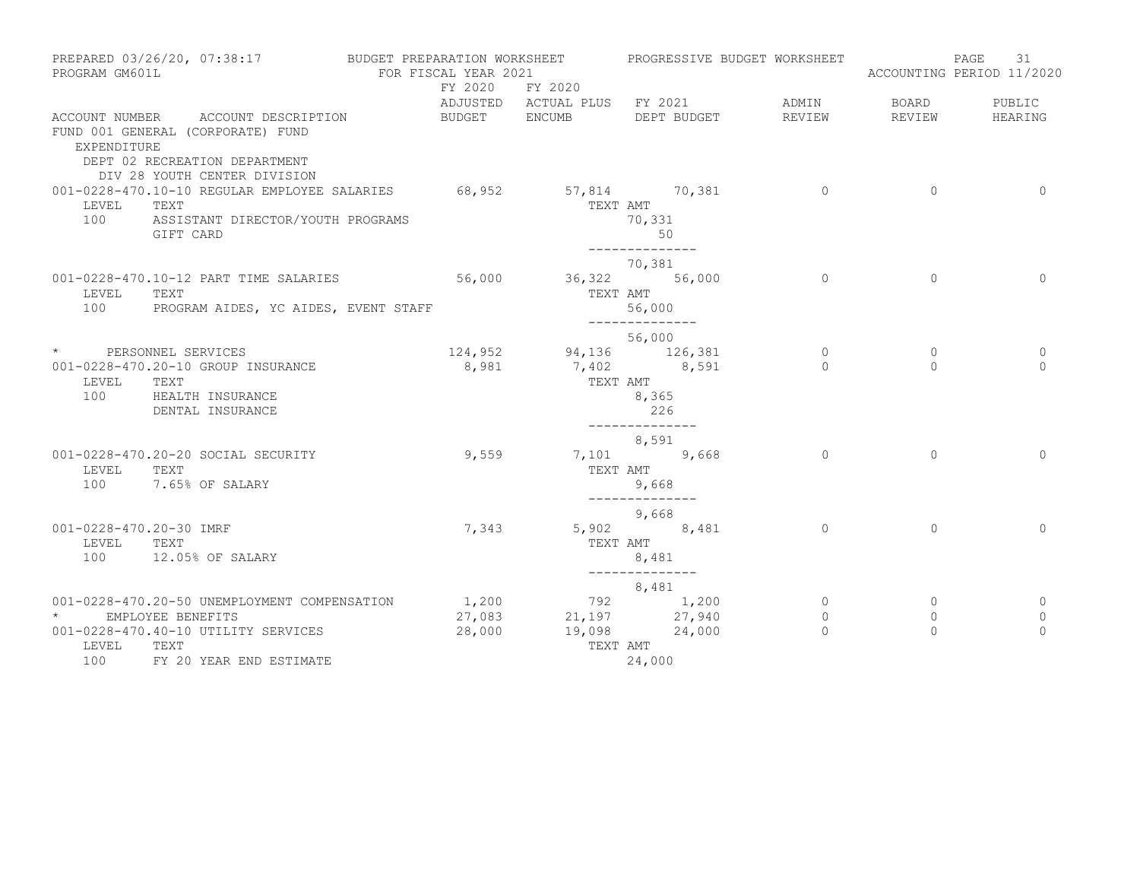| PREPARED 03/26/20, 07:38:17<br>PROGRAM GM601L                                                                                                                                      | BUDGET PREPARATION WORKSHEET<br>FOR FISCAL YEAR 2021 |                                             | PROGRESSIVE BUDGET WORKSHEET                                       |                                     |                                | 31<br>PAGE<br>ACCOUNTING PERIOD 11/2020 |
|------------------------------------------------------------------------------------------------------------------------------------------------------------------------------------|------------------------------------------------------|---------------------------------------------|--------------------------------------------------------------------|-------------------------------------|--------------------------------|-----------------------------------------|
|                                                                                                                                                                                    | FY 2020 FY 2020                                      |                                             | ADJUSTED ACTUAL PLUS FY 2021                                       | ADMIN                               | <b>BOARD</b>                   | PUBLIC                                  |
| ACCOUNT NUMBER ACCOUNT DESCRIPTION<br>FUND 001 GENERAL (CORPORATE) FUND<br>EXPENDITURE<br>DEPT 02 RECREATION DEPARTMENT<br>DIV 28 YOUTH CENTER DIVISION                            | BUDGET ENCUMB                                        |                                             | DEPT BUDGET                                                        | REVIEW                              | REVIEW                         | HEARING                                 |
| 001-0228-470.10-10 REGULAR EMPLOYEE SALARIES 68,952 57,814 70,381<br>LEVEL<br>TEXT<br>100<br>ASSISTANT DIRECTOR/YOUTH PROGRAMS<br>GIFT CARD                                        |                                                      |                                             | TEXT AMT<br>70,331<br>50<br>--------------                         | $\overline{0}$                      | $\overline{0}$                 | $\circ$                                 |
| 001-0228-470.10-12 PART TIME SALARIES<br>TEXT<br>LEVEL<br>100<br>PROGRAM AIDES, YC AIDES, EVENT STAFF                                                                              | 56,000                                               | TEXT AMT                                    | 70,381<br>36,322 56,000<br>56,000                                  | $\circ$                             | $\mathbf{0}$                   | $\mathbf{0}$                            |
| * PERSONNEL SERVICES<br>001-0228-470.20-10 GROUP INSURANCE<br>LEVEL<br>TEXT<br>100<br>HEALTH INSURANCE<br>DENTAL INSURANCE                                                         |                                                      | 124,952 94,136 126,381<br>8,981 7,402 8,591 | ______________<br>56,000<br>TEXT AMT<br>8,365<br>226               | $\circ$<br>$\Omega$                 | $\circ$<br>$\Omega$            | 0<br>$\Omega$                           |
| 001-0228-470.20-20 SOCIAL SECURITY<br>LEVEL<br>TEXT<br>7.65% OF SALARY<br>100                                                                                                      | 9,559                                                | TEXT AMT                                    | --------------<br>8,591<br>7,101 9,668<br>9,668<br>--------------  | $\Omega$                            | $\Omega$                       | $\Omega$                                |
| 001-0228-470.20-30 IMRF<br>LEVEL<br>TEXT<br>12.05% OF SALARY<br>100                                                                                                                | 7,343                                                | TEXT AMT                                    | 9,668<br>5,902 8,481<br>8,481<br>______________                    | $\Omega$                            | $\Omega$                       | $\Omega$                                |
| 001-0228-470.20-50 UNEMPLOYMENT COMPENSATION<br>$\star$ and $\star$<br>EMPLOYEE BENEFITS<br>001-0228-470.40-10 UTILITY SERVICES<br>LEVEL<br>TEXT<br>100<br>FY 20 YEAR END ESTIMATE | 1,200<br>27,083<br>28,000                            | TEXT AMT                                    | 8,481<br>792 1,200<br>$21,197$ $27,940$<br>19,098 24,000<br>24,000 | $\circ$<br>$\mathbf{0}$<br>$\Omega$ | $\circ$<br>$\circ$<br>$\Omega$ | 0<br>$\mathbf{0}$<br>$\Omega$           |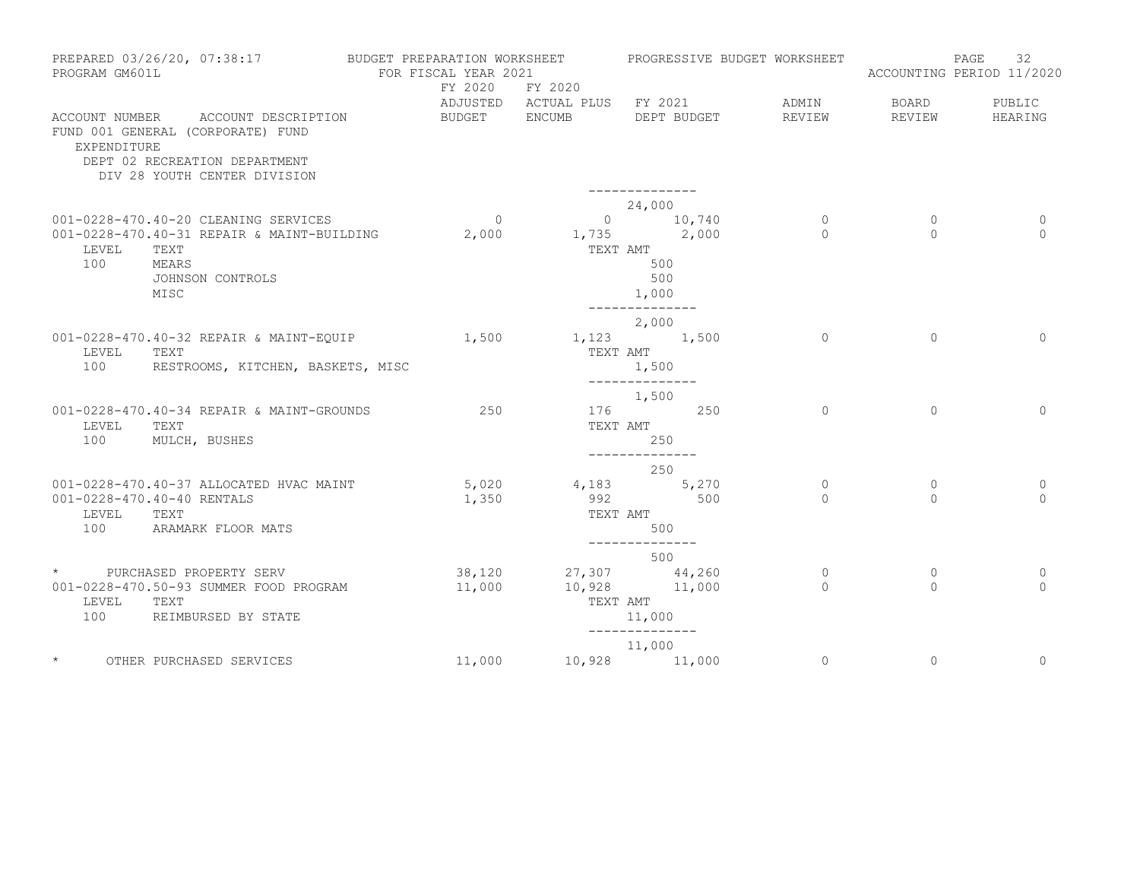| PROGRAM GM601L          | PREPARED 03/26/20, 07:38:17                                                                                                              | BUDGET PREPARATION WORKSHEET<br>FOR FISCAL YEAR 2021<br>FY 2020 | FY 2020                                | PROGRESSIVE BUDGET WORKSHEET                                         |                          |                          | 32<br>PAGE<br>ACCOUNTING PERIOD 11/2020 |
|-------------------------|------------------------------------------------------------------------------------------------------------------------------------------|-----------------------------------------------------------------|----------------------------------------|----------------------------------------------------------------------|--------------------------|--------------------------|-----------------------------------------|
| EXPENDITURE             | ACCOUNT NUMBER ACCOUNT DESCRIPTION<br>FUND 001 GENERAL (CORPORATE) FUND<br>DEPT 02 RECREATION DEPARTMENT<br>DIV 28 YOUTH CENTER DIVISION | BUDGET                                                          | ADJUSTED ACTUAL PLUS FY 2021<br>ENCUMB | DEPT BUDGET                                                          | ADMIN<br>REVIEW          | BOARD<br>REVIEW          | PUBLIC<br>HEARING                       |
|                         | 001-0228-470.40-20 CLEANING SERVICES                                                                                                     | $\overline{0}$                                                  |                                        | 24,000<br>$0 \t 10,740$                                              | $\circ$                  | $\circ$                  | 0                                       |
| LEVEL<br>100            | 001-0228-470.40-31 REPAIR & MAINT-BUILDING<br>TEXT<br>MEARS<br>JOHNSON CONTROLS<br>MISC                                                  | 2,000                                                           |                                        | $1,735$ $2,000$<br>TEXT AMT<br>500<br>500<br>1,000<br>-------------- | $\Omega$                 | $\Omega$                 | $\Omega$                                |
| LEVEL<br>100            | 001-0228-470.40-32 REPAIR & MAINT-EQUIP<br>TEXT<br>RESTROOMS, KITCHEN, BASKETS, MISC                                                     | 1,500                                                           | TEXT AMT                               | 2,000<br>1,123 1,500<br>1,500<br>--------------                      | $\Omega$                 | $\Omega$                 | $\Omega$                                |
| LEVEL<br>100            | 001-0228-470.40-34 REPAIR & MAINT-GROUNDS<br>TEXT<br>MULCH, BUSHES                                                                       | 250                                                             |                                        | 1,500<br>176 250<br>TEXT AMT<br>250                                  | $\Omega$                 | $\Omega$                 | $\Omega$                                |
|                         |                                                                                                                                          |                                                                 |                                        | --------------<br>250                                                |                          |                          |                                         |
| LEVEL<br>100            | 001-0228-470.40-37 ALLOCATED HVAC MAINT<br>001-0228-470.40-40 RENTALS<br>TEXT<br>ARAMARK FLOOR MATS                                      | 5,020<br>1,350                                                  | 992                                    | 4,183 5,270<br>500<br>TEXT AMT<br>500<br>--------------              | $\circ$<br>$\Omega$      | $\mathbf{0}$<br>$\Omega$ | 0<br>$\Omega$                           |
|                         |                                                                                                                                          |                                                                 |                                        | 500                                                                  |                          |                          |                                         |
| $\star$<br>LEVEL<br>100 | PURCHASED PROPERTY SERV<br>001-0228-470.50-93 SUMMER FOOD PROGRAM<br>TEXT<br>REIMBURSED BY STATE                                         | 38,120<br>11,000                                                |                                        | 27,307 44,260<br>10,928 11,000<br>TEXT AMT<br>11,000                 | $\mathbf{0}$<br>$\Omega$ | $\mathbf{0}$<br>$\Omega$ | 0<br>$\Omega$                           |
|                         |                                                                                                                                          |                                                                 |                                        | --------------<br>11,000                                             |                          |                          |                                         |
| $\star$                 | OTHER PURCHASED SERVICES                                                                                                                 | 11,000                                                          |                                        | 10,928 11,000                                                        | $\circ$                  | $\mathbf{0}$             | $\circ$                                 |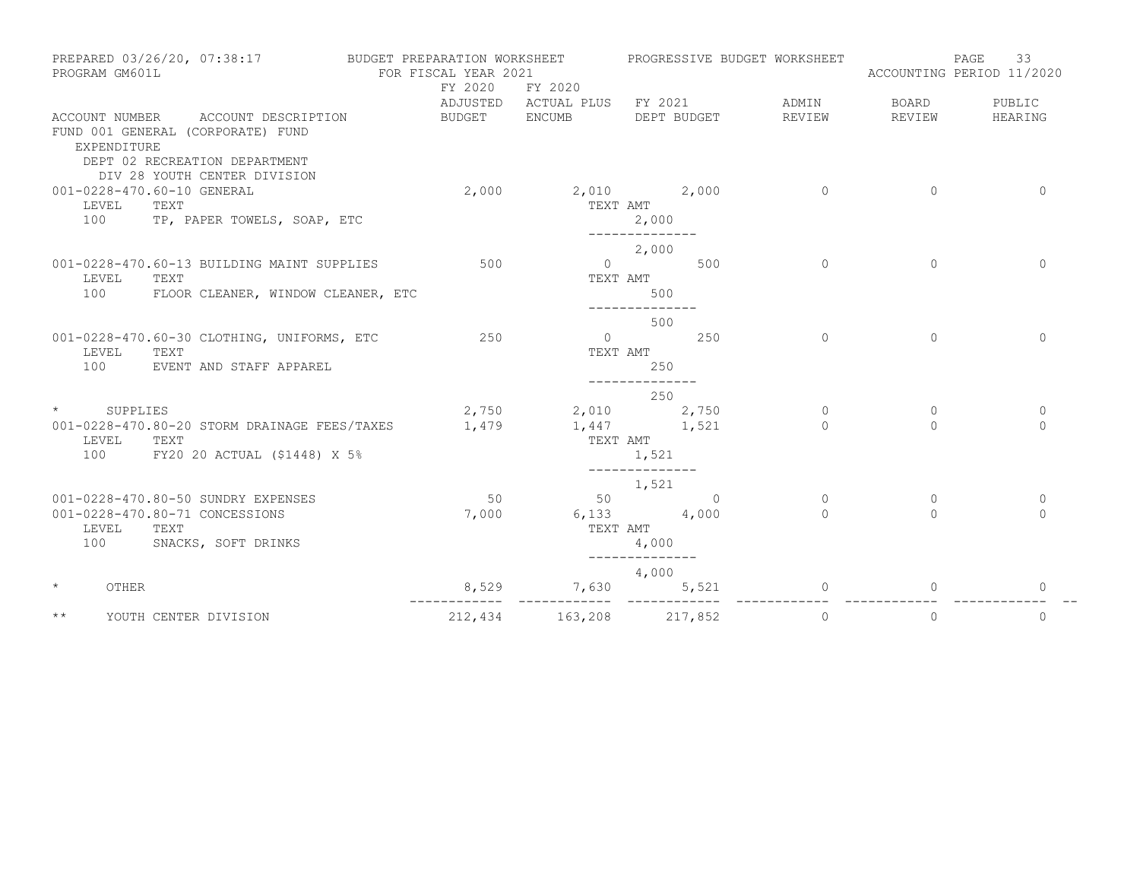| PREPARED 03/26/20, 07:38:17<br>PROGRAM GM601L   |                                                                                           | BUDGET PREPARATION WORKSHEET<br>FOR FISCAL YEAR 2021 |                                               |                                                    |          | PROGRESSIVE BUDGET WORKSHEET | ACCOUNTING PERIOD 11/2020 | 33<br>PAGE    |
|-------------------------------------------------|-------------------------------------------------------------------------------------------|------------------------------------------------------|-----------------------------------------------|----------------------------------------------------|----------|------------------------------|---------------------------|---------------|
|                                                 |                                                                                           | FY 2020                                              | FY 2020<br>ADJUSTED ACTUAL PLUS FY 2021 ADMIN |                                                    |          |                              | BOARD                     | PUBLIC        |
| ACCOUNT NUMBER<br>EXPENDITURE                   | ACCOUNT DESCRIPTION<br>FUND 001 GENERAL (CORPORATE) FUND<br>DEPT 02 RECREATION DEPARTMENT | BUDGET                                               | ENCUMB                                        | DEPT BUDGET                                        |          | REVIEW                       | REVIEW                    | HEARING       |
|                                                 | DIV 28 YOUTH CENTER DIVISION                                                              |                                                      |                                               |                                                    |          |                              |                           |               |
| 001-0228-470.60-10 GENERAL<br>TEXT<br>LEVEL     | 100 TP, PAPER TOWELS, SOAP, ETC                                                           | 2,000                                                | TEXT AMT                                      | 2,010 2,000<br>2,000                               |          | $\Omega$                     | $\Omega$                  | $\Omega$      |
|                                                 |                                                                                           |                                                      |                                               | --------------                                     |          |                              |                           |               |
|                                                 | 001-0228-470.60-13 BUILDING MAINT SUPPLIES                                                | 500                                                  |                                               | 2,000<br>$\overline{0}$                            | 500      | $\circ$                      | $\circ$                   | $\mathbf{0}$  |
| LEVEL<br>TEXT<br>100                            | FLOOR CLEANER, WINDOW CLEANER, ETC                                                        |                                                      | TEXT AMT                                      | 500<br>-------------                               |          |                              |                           |               |
|                                                 |                                                                                           |                                                      |                                               | 500                                                |          |                              |                           |               |
| LEVEL<br>TEXT                                   | 001-0228-470.60-30 CLOTHING, UNIFORMS, ETC                                                | 250                                                  | TEXT AMT                                      | $\overline{0}$                                     | 250      | $\Omega$                     | $\Omega$                  | $\Omega$      |
| 100                                             | EVENT AND STAFF APPAREL                                                                   |                                                      |                                               | 250<br>--------------                              |          |                              |                           |               |
| $\star$                                         |                                                                                           |                                                      |                                               | 250                                                |          |                              |                           |               |
| SUPPLIES                                        | 001-0228-470.80-20 STORM DRAINAGE FEES/TAXES                                              | 2,750<br>1,479                                       | 1,447 1,521                                   | 2,010 2,750                                        |          | $\mathbf{0}$<br>$\Omega$     | $\mathbf{0}$<br>$\bigcap$ | 0<br>$\Omega$ |
| LEVEL<br>TEXT<br>100                            | FY20 20 ACTUAL (\$1448) X 5%                                                              |                                                      | TEXT AMT                                      | 1,521                                              |          |                              |                           |               |
|                                                 |                                                                                           |                                                      |                                               |                                                    |          |                              |                           |               |
|                                                 | 001-0228-470.80-50 SUNDRY EXPENSES                                                        | 50                                                   |                                               | 1,521<br>50 30 30 31 32 33 43 44 50 31 45 45 46 47 | $\Omega$ | $\Omega$                     | $\mathbf{0}$              | $\mathbf{0}$  |
| 001-0228-470.80-71 CONCESSIONS<br>LEVEL<br>TEXT |                                                                                           | 7,000                                                | TEXT AMT                                      | $6,133$ $4,000$                                    |          | $\Omega$                     | $\Omega$                  | $\bigcap$     |
| 100                                             | SNACKS, SOFT DRINKS                                                                       |                                                      |                                               | 4,000<br>--------------                            |          |                              |                           |               |
|                                                 |                                                                                           |                                                      |                                               | 4,000                                              |          |                              |                           |               |
| $\star$<br>OTHER                                |                                                                                           | 8,529                                                | 7,630                                         |                                                    | 5,521    | 0                            | $\Omega$                  | 0             |
| $\star\star$                                    | YOUTH CENTER DIVISION                                                                     | 212,434                                              | 163,208 217,852                               |                                                    |          | $\circ$                      | $\circ$                   | $\mathbf{0}$  |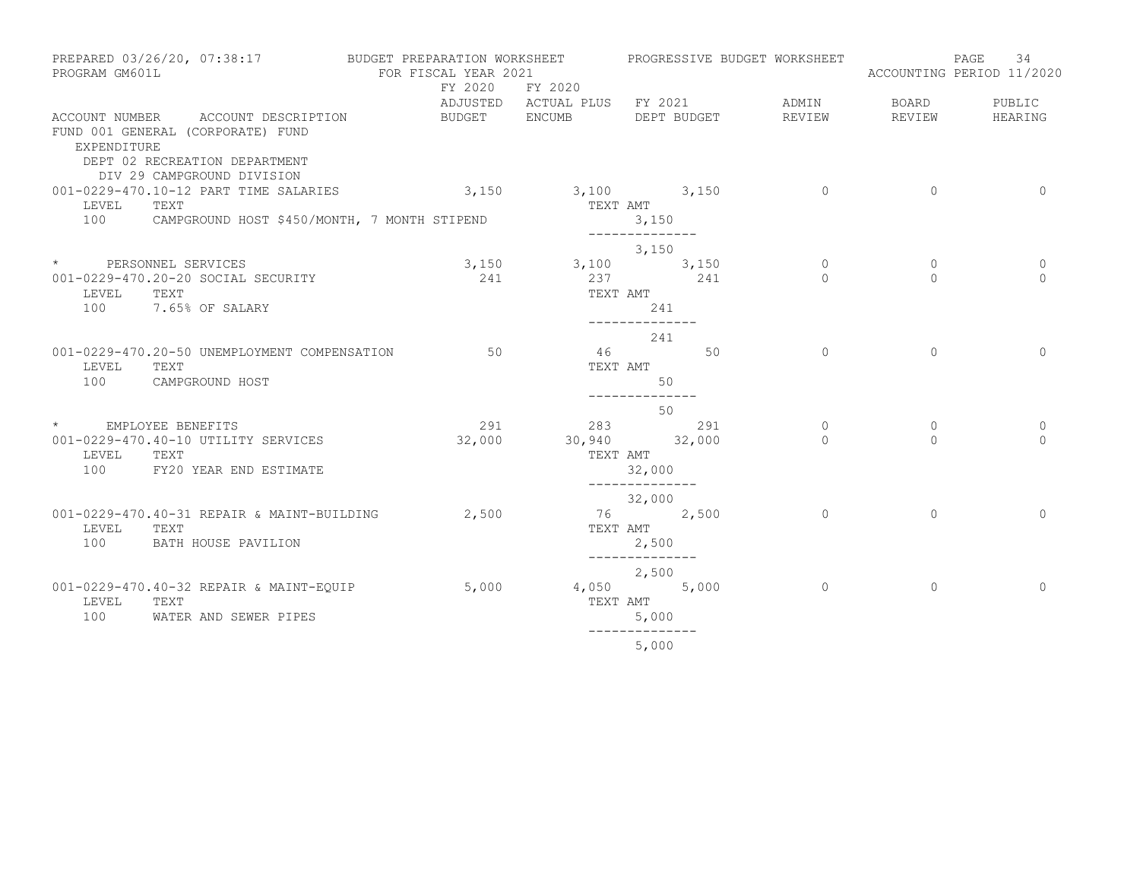| PREPARED 03/26/20, 07:38:17<br>PROGRAM GM601L |                                                                                                                                        | BUDGET PREPARATION WORKSHEET<br>FOR FISCAL YEAR 2021 |                              | PROGRESSIVE BUDGET WORKSHEET |             |                | 34<br>PAGE<br>ACCOUNTING PERIOD 11/2020 |  |              |
|-----------------------------------------------|----------------------------------------------------------------------------------------------------------------------------------------|------------------------------------------------------|------------------------------|------------------------------|-------------|----------------|-----------------------------------------|--|--------------|
|                                               |                                                                                                                                        | FY 2020                                              | FY 2020                      |                              |             |                |                                         |  |              |
|                                               |                                                                                                                                        |                                                      | ADJUSTED ACTUAL PLUS FY 2021 |                              |             | ADMIN          | BOARD                                   |  | PUBLIC       |
| EXPENDITURE                                   | ACCOUNT NUMBER ACCOUNT DESCRIPTION<br>FUND 001 GENERAL (CORPORATE) FUND<br>DEPT 02 RECREATION DEPARTMENT<br>DIV 29 CAMPGROUND DIVISION | BUDGET                                               | ENCUMB                       |                              | DEPT BUDGET | REVIEW         | REVIEW                                  |  | HEARING      |
|                                               | 001-0229-470.10-12 PART TIME SALARIES                                                                                                  | $3,150$ $3,100$ $3,150$                              |                              |                              |             | $\overline{0}$ | $\circ$                                 |  | $\mathbf 0$  |
| LEVEL                                         | TEXT                                                                                                                                   |                                                      | TEXT AMT                     |                              |             |                |                                         |  |              |
| 100                                           | CAMPGROUND HOST \$450/MONTH, 7 MONTH STIPEND                                                                                           |                                                      |                              | 3,150                        |             |                |                                         |  |              |
|                                               |                                                                                                                                        |                                                      |                              | --------------<br>3,150      |             |                |                                         |  |              |
|                                               | * PERSONNEL SERVICES                                                                                                                   |                                                      | 3,150                        | 3,100 3,150                  |             | $\circ$        | $\circ$                                 |  | $\mathbf{0}$ |
|                                               | 001-0229-470.20-20 SOCIAL SECURITY                                                                                                     | 241                                                  |                              | 237 241                      |             | $\Omega$       | $\Omega$                                |  | $\Omega$     |
| LEVEL                                         | TEXT                                                                                                                                   |                                                      |                              | TEXT AMT                     |             |                |                                         |  |              |
| 100                                           | 7.65% OF SALARY                                                                                                                        |                                                      |                              | 241<br>--------------        |             |                |                                         |  |              |
|                                               |                                                                                                                                        |                                                      |                              | 241                          |             |                |                                         |  |              |
| LEVEL<br>100                                  | 001-0229-470.20-50 UNEMPLOYMENT COMPENSATION<br>TEXT<br>CAMPGROUND HOST                                                                | 50                                                   | 46                           | TEXT AMT<br>50               | 50          | $\Omega$       | $\Omega$                                |  | $\Omega$     |
|                                               |                                                                                                                                        |                                                      |                              | --------------               |             |                |                                         |  |              |
| $\star$                                       | EMPLOYEE BENEFITS                                                                                                                      |                                                      | 291                          | 50<br>283                    | 291         | $\circ$        | $\circ$                                 |  | $\mathbf{0}$ |
|                                               | 001-0229-470.40-10 UTILITY SERVICES                                                                                                    | 32,000                                               |                              | 30,940 32,000                |             | $\Omega$       | $\Omega$                                |  | $\Omega$     |
| LEVEL                                         | TEXT                                                                                                                                   |                                                      |                              | TEXT AMT                     |             |                |                                         |  |              |
| 100                                           | FY20 YEAR END ESTIMATE                                                                                                                 |                                                      |                              | 32,000                       |             |                |                                         |  |              |
|                                               |                                                                                                                                        |                                                      |                              | --------------<br>32,000     |             |                |                                         |  |              |
|                                               | 001-0229-470.40-31 REPAIR & MAINT-BUILDING                                                                                             | 2,500                                                |                              | 76 2,500                     |             | $\circ$        | $\circ$                                 |  | $\Omega$     |
| LEVEL                                         | TEXT                                                                                                                                   |                                                      |                              | TEXT AMT                     |             |                |                                         |  |              |
| 100                                           | BATH HOUSE PAVILION                                                                                                                    |                                                      |                              | 2,500<br>--------------      |             |                |                                         |  |              |
|                                               |                                                                                                                                        |                                                      |                              | 2,500                        |             |                |                                         |  |              |
|                                               | 001-0229-470.40-32 REPAIR & MAINT-EQUIP                                                                                                | 5,000                                                |                              | 4,050 5,000                  |             | $\circ$        | $\circ$                                 |  | $\mathbf{0}$ |
| LEVEL<br>100                                  | TEXT                                                                                                                                   |                                                      |                              | TEXT AMT                     |             |                |                                         |  |              |
|                                               | WATER AND SEWER PIPES                                                                                                                  |                                                      |                              | 5,000                        |             |                |                                         |  |              |
|                                               |                                                                                                                                        |                                                      |                              | 5,000                        |             |                |                                         |  |              |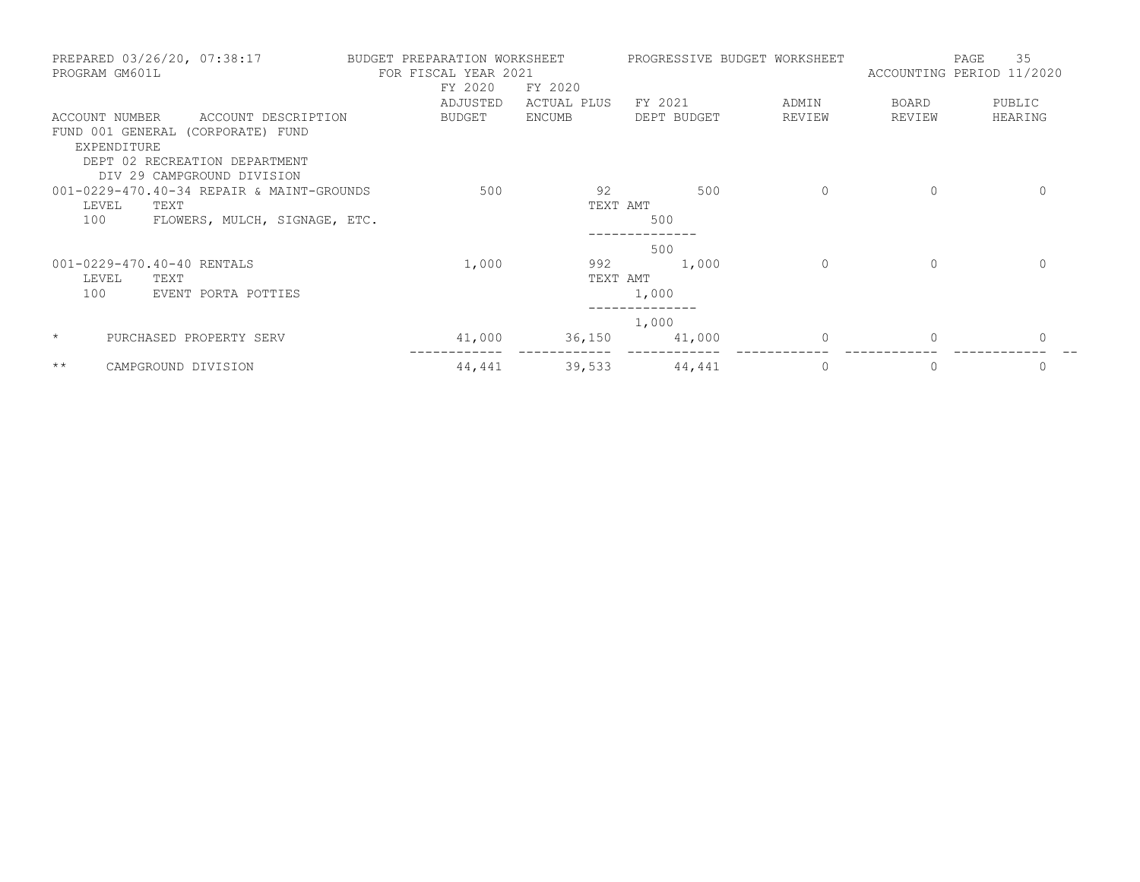| PREPARED 03/26/20, 07:38:17<br>PROGRAM GM601L | BUDGET PREPARATION WORKSHEET<br>FOR FISCAL YEAR 2021 |               | PROGRESSIVE BUDGET WORKSHEET |             | PAGE<br>ACCOUNTING PERIOD 11/2020 | 35           |
|-----------------------------------------------|------------------------------------------------------|---------------|------------------------------|-------------|-----------------------------------|--------------|
|                                               | FY 2020                                              | FY 2020       |                              |             |                                   |              |
|                                               | ADJUSTED                                             | ACTUAL PLUS   | FY 2021                      | ADMIN       | BOARD                             | PUBLIC       |
| ACCOUNT NUMBER<br>ACCOUNT DESCRIPTION         | <b>BUDGET</b>                                        | <b>ENCUMB</b> | DEPT BUDGET                  | REVIEW      | REVIEW                            | HEARING      |
| FUND 001 GENERAL (CORPORATE) FUND             |                                                      |               |                              |             |                                   |              |
| EXPENDITURE                                   |                                                      |               |                              |             |                                   |              |
| DEPT 02 RECREATION DEPARTMENT                 |                                                      |               |                              |             |                                   |              |
| DIV 29 CAMPGROUND DIVISION                    |                                                      |               |                              |             |                                   |              |
| 001-0229-470.40-34 REPAIR & MAINT-GROUNDS     | 500                                                  | 92            | 500                          | $\circ$     | $\mathbf{0}$                      | $\mathbf{0}$ |
| LEVEL<br>TEXT                                 |                                                      | TEXT AMT      |                              |             |                                   |              |
| 100<br>FLOWERS, MULCH, SIGNAGE, ETC.          |                                                      |               | 500                          |             |                                   |              |
|                                               |                                                      |               | 500                          |             |                                   |              |
| 001-0229-470.40-40 RENTALS                    | 1,000                                                | 992           | 1,000                        | 0           | $\mathbf{0}$                      | 0            |
| LEVEL<br>TEXT                                 |                                                      | TEXT AMT      |                              |             |                                   |              |
| 100<br>EVENT PORTA POTTIES                    |                                                      |               | 1,000                        |             |                                   |              |
|                                               |                                                      |               | 1,000                        |             |                                   |              |
| $\star$<br>PURCHASED PROPERTY SERV            | 41,000                                               | 36,150        | 41,000                       | $\mathbf 0$ | $\mathbf{0}$                      | $\mathbf 0$  |
| $\star\star$<br>CAMPGROUND DIVISION           | 44,441                                               | 39,533        | 44,441                       | $\mathbf 0$ | $\mathbf{0}$                      | 0            |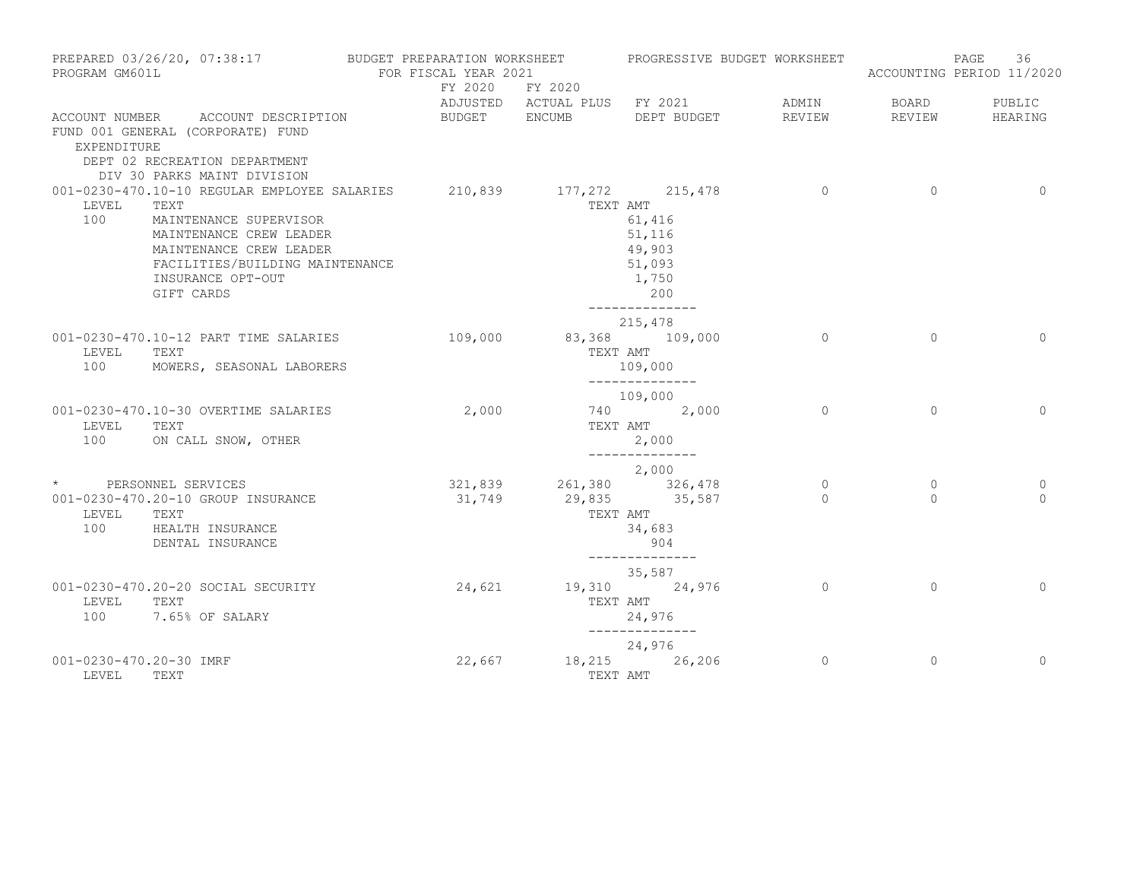| PROGRAM GM601L                   | PREPARED 03/26/20, 07:38:17                                                                                                                                                                                                        | BUDGET PREPARATION WORKSHEET<br>FOR FISCAL YEAR 2021 |                                                 | PROGRESSIVE BUDGET WORKSHEET                                           |                     |                          | 36<br>PAGE<br>ACCOUNTING PERIOD 11/2020 |
|----------------------------------|------------------------------------------------------------------------------------------------------------------------------------------------------------------------------------------------------------------------------------|------------------------------------------------------|-------------------------------------------------|------------------------------------------------------------------------|---------------------|--------------------------|-----------------------------------------|
|                                  |                                                                                                                                                                                                                                    |                                                      | FY 2020 FY 2020                                 | ADJUSTED ACTUAL PLUS FY 2021                                           | ADMIN               | BOARD                    | PUBLIC                                  |
| EXPENDITURE                      | ACCOUNT NUMBER ACCOUNT DESCRIPTION<br>FUND 001 GENERAL (CORPORATE) FUND<br>DEPT 02 RECREATION DEPARTMENT<br>DIV 30 PARKS MAINT DIVISION                                                                                            | BUDGET ENCUMB                                        |                                                 | DEPT BUDGET                                                            | REVIEW              | REVIEW                   | HEARING                                 |
| LEVEL<br>100                     | 001-0230-470.10-10 REGULAR EMPLOYEE SALARIES 210,839 177,272 215,478<br>TEXT<br>MAINTENANCE SUPERVISOR<br>MAINTENANCE CREW LEADER<br>MAINTENANCE CREW LEADER<br>FACILITIES/BUILDING MAINTENANCE<br>INSURANCE OPT-OUT<br>GIFT CARDS |                                                      | TEXT AMT                                        | 61,416<br>51,116<br>49,903<br>51,093<br>1,750<br>200<br>-------------- | $\overline{0}$      | $\circ$                  | $\Omega$                                |
| LEVEL<br>100                     | 001-0230-470.10-12 PART TIME SALARIES<br>TEXT<br>MOWERS, SEASONAL LABORERS                                                                                                                                                         | 109,000                                              |                                                 | 215,478<br>83,368 109,000<br>TEXT AMT<br>109,000<br>______________     | $\Omega$            | $\Omega$                 | $\Omega$                                |
| LEVEL<br>100                     | 001-0230-470.10-30 OVERTIME SALARIES<br>TEXT<br>ON CALL SNOW, OTHER                                                                                                                                                                | 2,000                                                |                                                 | 109,000<br>740 2,000<br>TEXT AMT<br>2,000                              | $\Omega$            | $\Omega$                 | $\Omega$                                |
| LEVEL<br>100                     | * PERSONNEL SERVICES<br>001-0230-470.20-10 GROUP INSURANCE<br>TEXT<br>HEALTH INSURANCE<br>DENTAL INSURANCE                                                                                                                         |                                                      | 321,839 261,380 326,478<br>31,749 29,835 35,587 | --------------<br>2,000<br>TEXT AMT<br>34,683<br>904                   | $\circ$<br>$\Omega$ | $\mathbf{0}$<br>$\Omega$ | $\circ$<br>$\Omega$                     |
| LEVEL<br>100                     | 001-0230-470.20-20 SOCIAL SECURITY<br>TEXT<br>7.65% OF SALARY                                                                                                                                                                      | 24,621                                               |                                                 | --------------<br>35,587<br>19,310 24,976<br>TEXT AMT<br>24,976        | $\overline{0}$      | $\Omega$                 | $\Omega$                                |
| 001-0230-470.20-30 IMRF<br>LEVEL | TEXT                                                                                                                                                                                                                               | 22,667                                               |                                                 | 24,976<br>18,215 26,206<br>TEXT AMT                                    | $\circ$             | $\circ$                  | $\Omega$                                |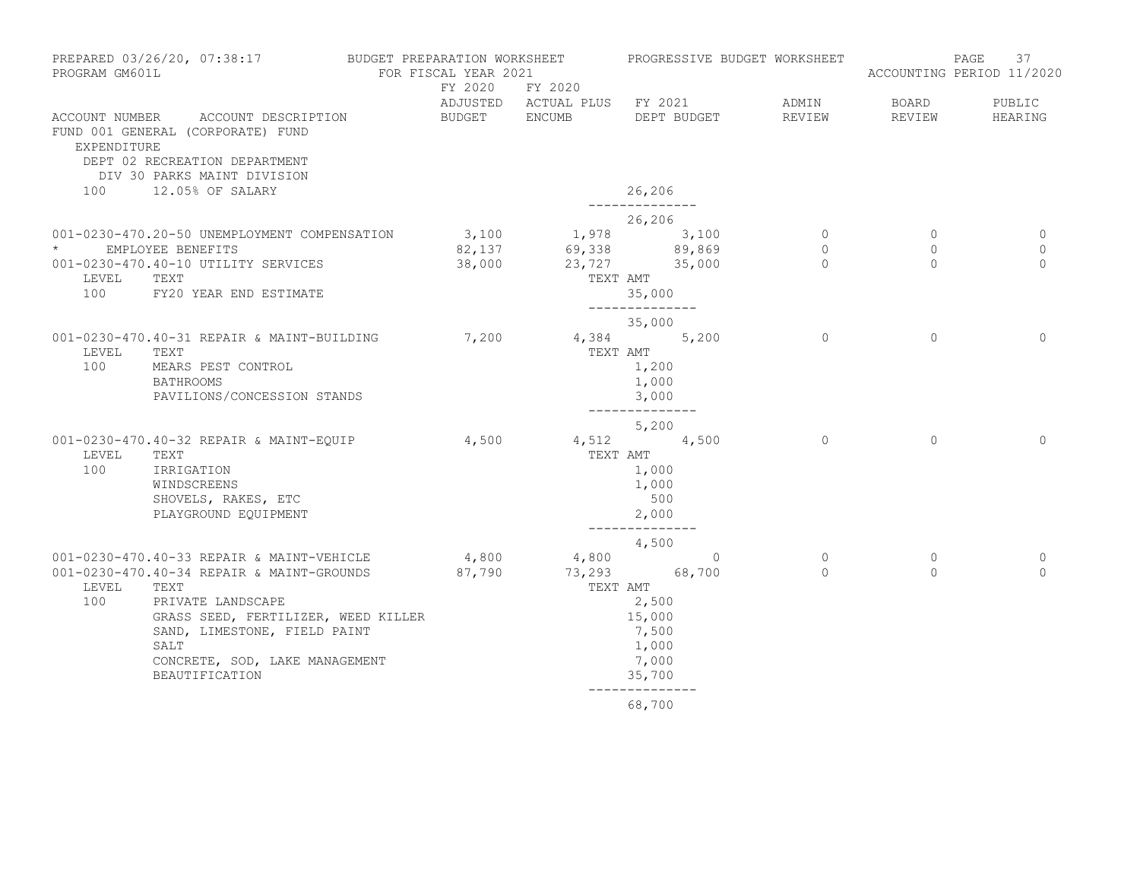| PROGRAM GM601L   | PREPARED 03/26/20, 07:38:17                                                                                                                                                                                                                                   | BUDGET PREPARATION WORKSHEET<br>FOR FISCAL YEAR 2021 | FY 2020 FY 2020                                                |                                                                                                   |             | PROGRESSIVE BUDGET WORKSHEET          |                                            | 37<br>PAGE<br>ACCOUNTING PERIOD 11/2020 |
|------------------|---------------------------------------------------------------------------------------------------------------------------------------------------------------------------------------------------------------------------------------------------------------|------------------------------------------------------|----------------------------------------------------------------|---------------------------------------------------------------------------------------------------|-------------|---------------------------------------|--------------------------------------------|-----------------------------------------|
| EXPENDITURE      | ACCOUNT NUMBER ACCOUNT DESCRIPTION<br>FUND 001 GENERAL (CORPORATE) FUND<br>DEPT 02 RECREATION DEPARTMENT<br>DIV 30 PARKS MAINT DIVISION                                                                                                                       | BUDGET ENCUMB                                        | ADJUSTED ACTUAL PLUS FY 2021                                   |                                                                                                   | DEPT BUDGET | ADMIN<br>REVIEW                       | <b>BOARD</b><br>REVIEW                     | PUBLIC<br>HEARING                       |
| 100              | 12.05% OF SALARY                                                                                                                                                                                                                                              |                                                      |                                                                | 26,206<br>______________                                                                          |             |                                       |                                            |                                         |
| $\star$<br>LEVEL | 001-0230-470.20-50 UNEMPLOYMENT COMPENSATION<br>EMPLOYEE BENEFITS<br>001-0230-470.40-10 UTILITY SERVICES<br>TEXT<br>100 FY20 YEAR END ESTIMATE                                                                                                                | 38,000                                               | 3,100 1,978 3,100<br>82,137 69,338 89,869<br>$23,727$ $35,000$ | 26,206<br>TEXT AMT<br>35,000<br>______________                                                    |             | $\overline{0}$<br>$\circ$<br>$\Omega$ | $\overline{0}$<br>$\mathbf{0}$<br>$\Omega$ | 0<br>$\mathbf{0}$<br>$\Omega$           |
| LEVEL<br>100     | 001-0230-470.40-31 REPAIR & MAINT-BUILDING<br>TEXT<br>MEARS PEST CONTROL<br><b>BATHROOMS</b><br>PAVILIONS/CONCESSION STANDS                                                                                                                                   | 7,200                                                | $4,384$ 5,200<br>TEXT AMT                                      | 35,000<br>1,200<br>1,000<br>3,000                                                                 |             | $\Omega$                              | $\Omega$                                   | $\Omega$                                |
| LEVEL<br>100     | 001-0230-470.40-32 REPAIR & MAINT-EQUIP<br>TEXT<br>IRRIGATION<br>WINDSCREENS<br>SHOVELS, RAKES, ETC<br>PLAYGROUND EQUIPMENT                                                                                                                                   | $4,500$ $4,512$ $4,500$                              |                                                                | ______________<br>5,200<br>TEXT AMT<br>1,000<br>1,000<br>500<br>2,000                             |             | $\Omega$                              | $\Omega$                                   | $\Omega$                                |
| LEVEL<br>100     | 001-0230-470.40-33 REPAIR & MAINT-VEHICLE<br>001-0230-470.40-34 REPAIR & MAINT-GROUNDS<br>TEXT<br>PRIVATE LANDSCAPE<br>GRASS SEED, FERTILIZER, WEED KILLER<br>SAND, LIMESTONE, FIELD PAINT<br>SALT<br>CONCRETE, SOD, LAKE MANAGEMENT<br><b>BEAUTIFICATION</b> | 87,790                                               | $4,800$ $4,800$ 0<br>73,293 68,700<br>TEXT AMT                 | --------------<br>4,500<br>2,500<br>15,000<br>7,500<br>1,000<br>7,000<br>35,700<br>-------------- |             | $\overline{0}$<br>$\bigcap$           | $\circ$<br>$\Omega$                        | 0<br>$\Omega$                           |
|                  |                                                                                                                                                                                                                                                               |                                                      |                                                                | 68,700                                                                                            |             |                                       |                                            |                                         |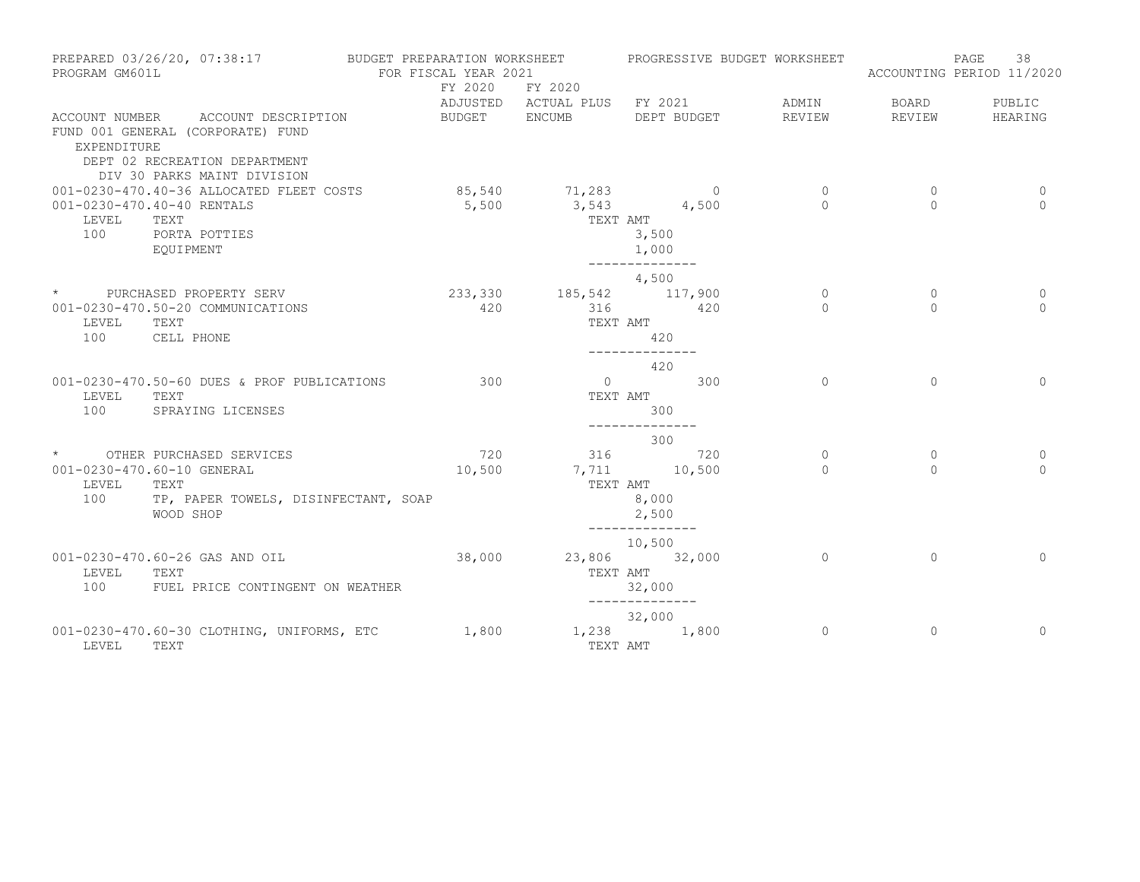| PROGRAM GM601L | PREPARED 03/26/20, 07:38:17                                                                                                             | BUDGET PREPARATION WORKSHEET<br>FOR FISCAL YEAR 2021 |                                         |                          | PROGRESSIVE BUDGET WORKSHEET |              | 38<br>PAGE<br>ACCOUNTING PERIOD 11/2020 |
|----------------|-----------------------------------------------------------------------------------------------------------------------------------------|------------------------------------------------------|-----------------------------------------|--------------------------|------------------------------|--------------|-----------------------------------------|
|                |                                                                                                                                         | FY 2020                                              | FY 2020<br>ADJUSTED ACTUAL PLUS FY 2021 |                          | ADMIN                        | BOARD        | PUBLIC                                  |
| EXPENDITURE    | ACCOUNT NUMBER ACCOUNT DESCRIPTION<br>FUND 001 GENERAL (CORPORATE) FUND<br>DEPT 02 RECREATION DEPARTMENT<br>DIV 30 PARKS MAINT DIVISION | BUDGET ENCUMB                                        |                                         | DEPT BUDGET              | REVIEW                       | REVIEW       | HEARING                                 |
|                | 001-0230-470.40-36 ALLOCATED FLEET COSTS                                                                                                |                                                      | 85,540 71,283 0                         |                          | $\overline{0}$               | 0            | 0                                       |
|                | 001-0230-470.40-40 RENTALS                                                                                                              |                                                      | $5,500$ $3,543$ $4,500$                 |                          | $\Omega$                     | $\Omega$     | $\Omega$                                |
| LEVEL<br>100   | TEXT                                                                                                                                    |                                                      |                                         | TEXT AMT<br>3,500        |                              |              |                                         |
|                | PORTA POTTIES<br>EOUIPMENT                                                                                                              |                                                      |                                         | 1,000                    |                              |              |                                         |
|                |                                                                                                                                         |                                                      |                                         | --------------           |                              |              |                                         |
|                |                                                                                                                                         |                                                      |                                         | 4,500                    |                              |              |                                         |
|                | * PURCHASED PROPERTY SERV                                                                                                               |                                                      | 233, 330 185, 542 117, 900              |                          | $\circ$                      | $\mathbf{0}$ | 0                                       |
|                | 001-0230-470.50-20 COMMUNICATIONS                                                                                                       | 420                                                  | 316                                     | 420                      | $\Omega$                     | $\Omega$     | $\Omega$                                |
| LEVEL<br>100   | TEXT                                                                                                                                    |                                                      |                                         | TEXT AMT                 |                              |              |                                         |
|                | CELL PHONE                                                                                                                              |                                                      |                                         | 420<br>______________    |                              |              |                                         |
|                |                                                                                                                                         |                                                      |                                         | 420                      |                              |              |                                         |
|                | 001-0230-470.50-60 DUES & PROF PUBLICATIONS                                                                                             | 300                                                  |                                         | $\overline{0}$ 300       | $\Omega$                     | $\Omega$     | $\Omega$                                |
| LEVEL          | TEXT                                                                                                                                    |                                                      |                                         | TEXT AMT                 |                              |              |                                         |
| 100            | SPRAYING LICENSES                                                                                                                       |                                                      |                                         | 300                      |                              |              |                                         |
|                |                                                                                                                                         |                                                      |                                         | ______________<br>300    |                              |              |                                         |
|                | * OTHER PURCHASED SERVICES                                                                                                              | 720                                                  |                                         | 316 720                  | $\circ$                      | $\circ$      | 0                                       |
|                | 001-0230-470.60-10 GENERAL                                                                                                              | 10,500                                               | 7,711 10,500                            |                          | $\Omega$                     | $\Omega$     | $\Omega$                                |
| LEVEL          | TEXT                                                                                                                                    |                                                      |                                         | TEXT AMT                 |                              |              |                                         |
| 100            | TP, PAPER TOWELS, DISINFECTANT, SOAP                                                                                                    |                                                      |                                         | 8,000                    |                              |              |                                         |
|                | WOOD SHOP                                                                                                                               |                                                      |                                         | 2,500                    |                              |              |                                         |
|                |                                                                                                                                         |                                                      |                                         | ______________<br>10,500 |                              |              |                                         |
|                | 001-0230-470.60-26 GAS AND OIL                                                                                                          | 38,000                                               |                                         | 23,806 32,000            | $\Omega$                     | $\Omega$     | $\Omega$                                |
| LEVEL          | TEXT                                                                                                                                    |                                                      |                                         | TEXT AMT                 |                              |              |                                         |
| 100            | FUEL PRICE CONTINGENT ON WEATHER                                                                                                        |                                                      |                                         | 32,000                   |                              |              |                                         |
|                |                                                                                                                                         |                                                      |                                         | --------------           |                              |              |                                         |
|                |                                                                                                                                         |                                                      |                                         | 32,000                   |                              |              |                                         |
| LEVEL          | 001-0230-470.60-30 CLOTHING, UNIFORMS, ETC<br>TEXT                                                                                      | 1,800                                                | 1,238 1,800                             | TEXT AMT                 | $\overline{0}$               | $\mathbf{0}$ | $\circ$                                 |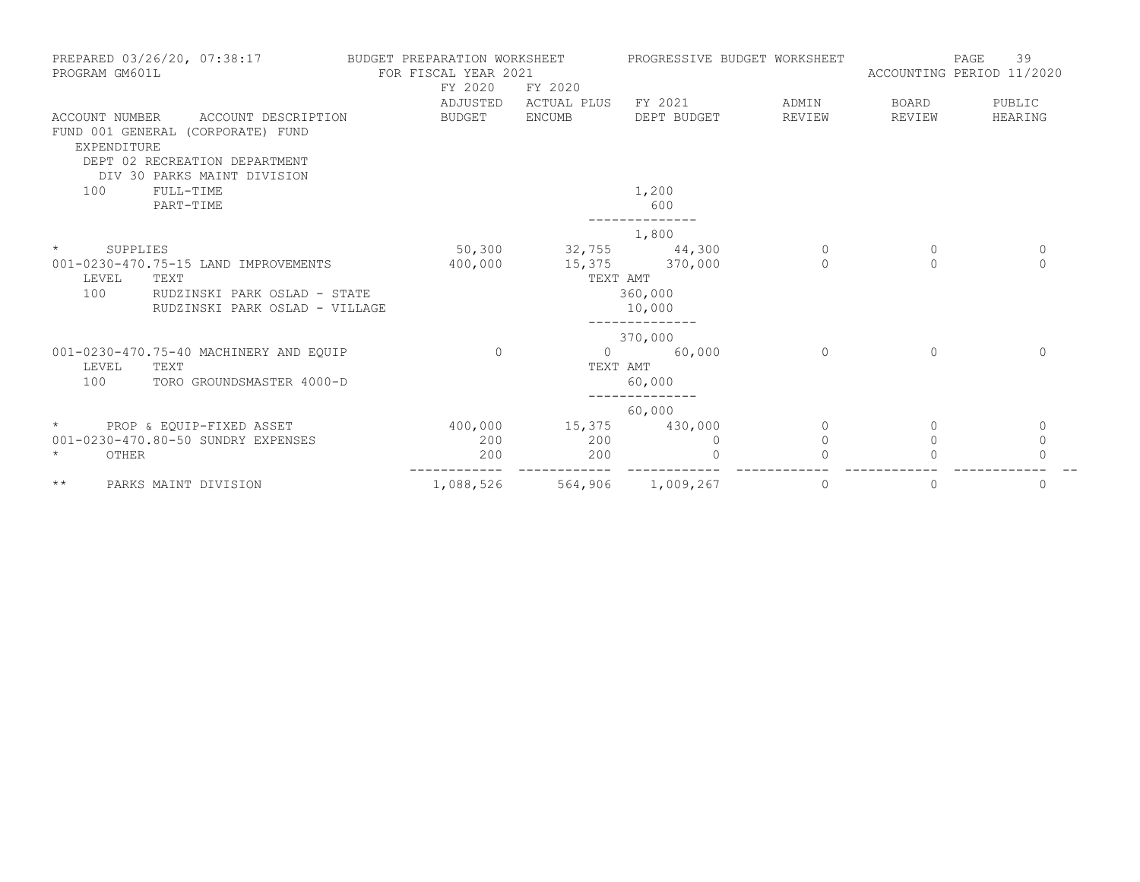| PREPARED 03/26/20, 07:38:17<br>PROGRAM GM601L                                                                                                             | BUDGET PREPARATION WORKSHEET<br>FOR FISCAL YEAR 2021<br>FY 2020<br>ADJUSTED | FY 2020<br>ACTUAL PLUS                             | PROGRESSIVE BUDGET WORKSHEET<br>FY 2021 | ADMIN                    | <b>PAGE</b><br>ACCOUNTING PERIOD 11/2020<br>BOARD | 39<br>PUBLIC            |
|-----------------------------------------------------------------------------------------------------------------------------------------------------------|-----------------------------------------------------------------------------|----------------------------------------------------|-----------------------------------------|--------------------------|---------------------------------------------------|-------------------------|
| ACCOUNT DESCRIPTION<br>ACCOUNT NUMBER<br>FUND 001 GENERAL (CORPORATE) FUND<br>EXPENDITURE<br>DEPT 02 RECREATION DEPARTMENT<br>DIV 30 PARKS MAINT DIVISION | <b>BUDGET</b>                                                               | <b>ENCUMB</b>                                      | DEPT BUDGET                             | REVIEW                   | REVIEW                                            | HEARING                 |
| FULL-TIME<br>100<br>PART-TIME                                                                                                                             |                                                                             |                                                    | 1,200<br>600                            |                          |                                                   |                         |
| $\star$                                                                                                                                                   |                                                                             |                                                    | 1,800                                   |                          |                                                   |                         |
| SUPPLIES<br>001-0230-470.75-15 LAND IMPROVEMENTS<br>LEVEL<br>TEXT<br>100<br>RUDZINSKI PARK OSLAD - STATE<br>RUDZINSKI PARK OSLAD - VILLAGE                | 400,000                                                                     | 50,300 32,755 44,300<br>15,375 370,000<br>TEXT AMT | 360,000<br>10,000<br>----------         | $\overline{0}$<br>$\cap$ | 0<br>$\Omega$                                     | $\mathbf 0$<br>$\Omega$ |
| 001-0230-470.75-40 MACHINERY AND EQUIP<br>LEVEL<br>TEXT<br>100<br>TORO GROUNDSMASTER 4000-D                                                               | $\Omega$                                                                    | $\circ$<br>TEXT AMT                                | 370,000<br>60,000<br>60,000             | $\Omega$                 | $\Omega$                                          | $\Omega$                |
|                                                                                                                                                           |                                                                             |                                                    | 60,000                                  |                          |                                                   |                         |
| $\star$<br>PROP & EOUIP-FIXED ASSET<br>001-0230-470.80-50 SUNDRY EXPENSES                                                                                 | 400,000<br>200                                                              | 15,375 430,000<br>200                              | 0                                       | $\Omega$<br>$\circ$      | $\Omega$<br>$\mathbf{0}$                          | $\mathbf 0$<br>$\circ$  |
| $\star$<br>OTHER                                                                                                                                          | 200                                                                         | 200                                                | $\Omega$                                | $\Omega$                 |                                                   | $\Omega$                |
| $\star\star$<br>PARKS MAINT DIVISION                                                                                                                      | 1,088,526                                                                   |                                                    | 564,906 1,009,267                       | 0                        | 0                                                 | 0                       |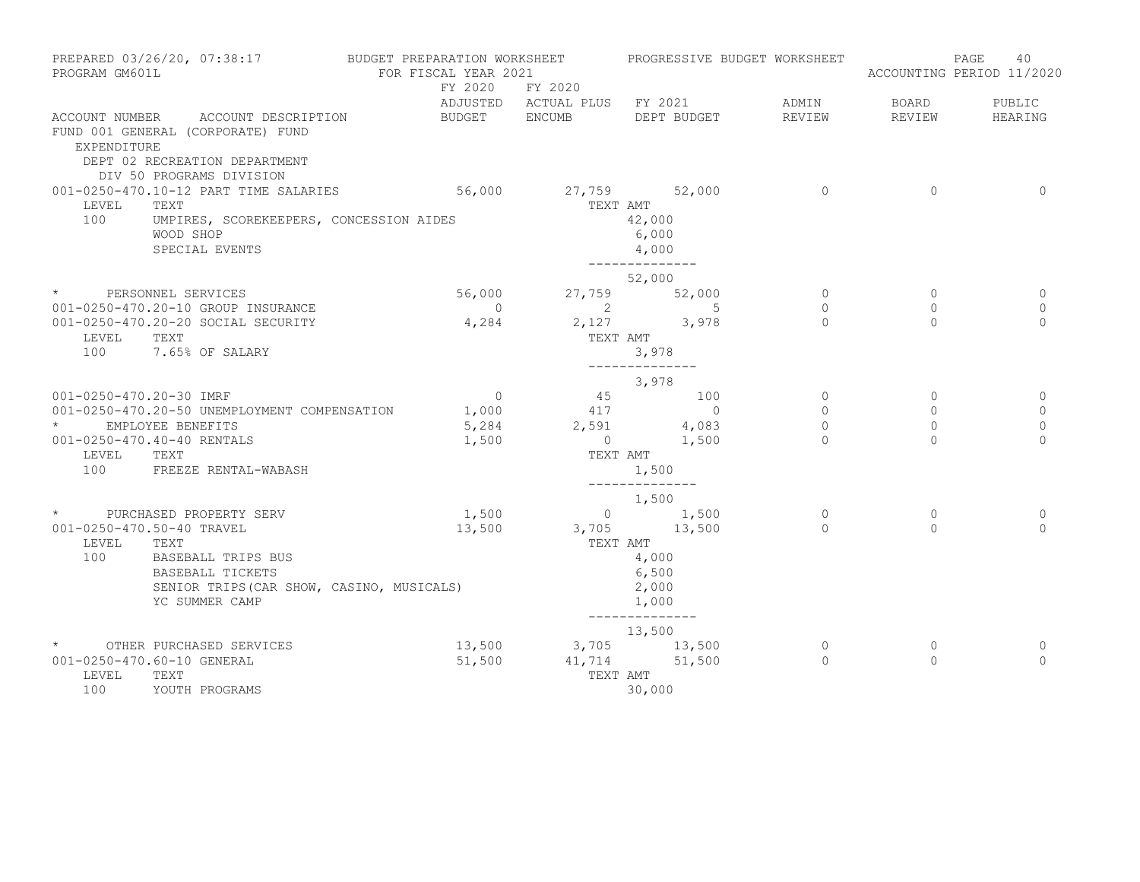| PROGRAM GM601L                            | PREPARED 03/26/20, 07:38:17                                                                                                                | BUDGET PREPARATION WORKSHEET<br>FOR FISCAL YEAR 2021 |                                 | PROGRESSIVE BUDGET WORKSHEET                                                   |                      |                      | PAGE<br>40<br>ACCOUNTING PERIOD 11/2020 |
|-------------------------------------------|--------------------------------------------------------------------------------------------------------------------------------------------|------------------------------------------------------|---------------------------------|--------------------------------------------------------------------------------|----------------------|----------------------|-----------------------------------------|
|                                           |                                                                                                                                            | FY 2020                                              | FY 2020                         | ADJUSTED ACTUAL PLUS FY 2021                                                   | ADMIN                | BOARD                | PUBLIC                                  |
| EXPENDITURE                               | ACCOUNT NUMBER ACCOUNT DESCRIPTION<br>FUND 001 GENERAL (CORPORATE) FUND<br>DEPT 02 RECREATION DEPARTMENT<br>DIV 50 PROGRAMS DIVISION       | BUDGET ENCUMB                                        |                                 | DEPT BUDGET                                                                    | REVIEW               | REVIEW               | HEARING                                 |
| LEVEL<br>100                              | 001-0250-470.10-12 PART TIME SALARIES<br>TEXT<br>UMPIRES, SCOREKEEPERS, CONCESSION AIDES<br>WOOD SHOP<br>SPECIAL EVENTS                    | 56,000                                               | TEXT AMT                        | 27,759 52,000<br>42,000<br>6,000<br>4,000<br>--------------                    | $\overline{0}$       | $\Omega$             | $\Omega$                                |
|                                           | * PERSONNEL SERVICES                                                                                                                       | 56,000                                               |                                 | 52,000<br>27,759 52,000                                                        | $\circ$              | $\circ$              | 0                                       |
| LEVEL<br>100                              | 001-0250-470.20-10 GROUP INSURANCE<br>001-0250-470.20-20 SOCIAL SECURITY<br>TEXT<br>7.65% OF SALARY                                        | $\overline{0}$<br>4,284                              | TEXT AMT                        | $2 \t 5$<br>2,127 3,978<br>3,978<br>--------------                             | $\Omega$<br>$\Omega$ | $\Omega$<br>$\Omega$ | $\Omega$<br>$\Omega$                    |
|                                           |                                                                                                                                            |                                                      |                                 | 3,978                                                                          |                      |                      |                                         |
| 001-0250-470.20-30 IMRF                   | 001-0250-470.20-50 UNEMPLOYMENT COMPENSATION                                                                                               | $\overline{0}$<br>1,000                              | 417                             | 45 100<br>$\overline{0}$                                                       | $\circ$<br>$\circ$   | $\circ$<br>$\circ$   | 0<br>$\mathbf{0}$                       |
| $\star$ and $\star$<br>LEVEL TEXT         | EMPLOYEE BENEFITS<br>001-0250-470.40-40 RENTALS<br>100 FREEZE RENTAL-WABASH                                                                | 5,284<br>1,500                                       | TEXT AMT                        | $2,591$ $4,083$<br>$0 \t 1,500$<br>1,500                                       | $\circ$<br>$\bigcap$ | $\Omega$<br>$\Omega$ | $\circ$<br>$\Omega$                     |
|                                           |                                                                                                                                            |                                                      |                                 | ______________<br>1,500                                                        |                      |                      |                                         |
| 001-0250-470.50-40 TRAVEL<br>LEVEL<br>100 | * PURCHASED PROPERTY SERV<br>TEXT<br>BASEBALL TRIPS BUS<br>BASEBALL TICKETS<br>SENIOR TRIPS (CAR SHOW, CASINO, MUSICALS)<br>YC SUMMER CAMP | 1,500<br>13,500                                      | $3,705$ 13,500                  | $0 \t 1,500$<br>TEXT AMT<br>4,000<br>6,500<br>2,000<br>1,000<br>-------------- | $\circ$<br>$\Omega$  | $\circ$<br>$\Omega$  | 0<br>$\Omega$                           |
| LEVEL<br>100                              | * OTHER PURCHASED SERVICES<br>001-0250-470.60-10 GENERAL<br>TEXT<br>YOUTH PROGRAMS                                                         | 51,500                                               | 13,500 3,705 13,500<br>TEXT AMT | 13,500<br>41,714 51,500<br>30,000                                              | $\circ$<br>$\Omega$  | 0<br>$\Omega$        | 0<br>$\Omega$                           |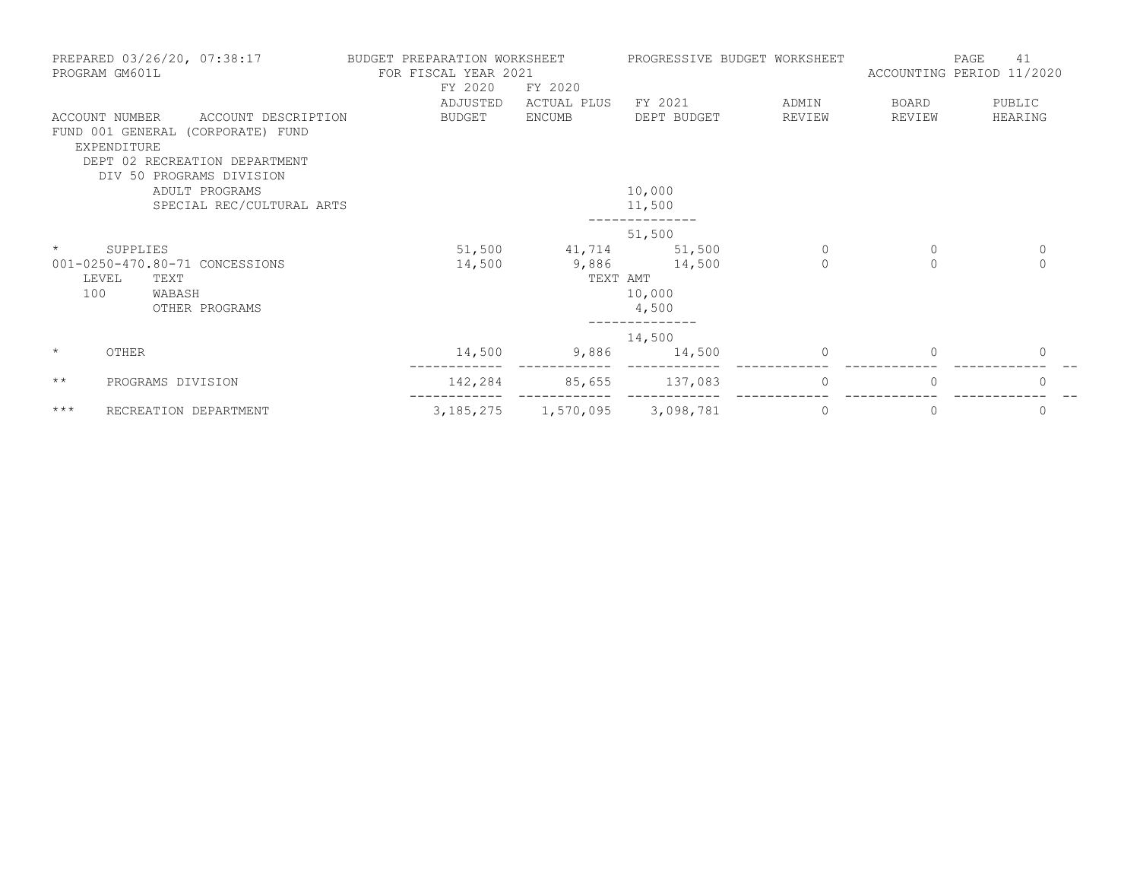|              | PREPARED 03/26/20, 07:38:17<br>PROGRAM GM601L                                                                              | BUDGET PREPARATION WORKSHEET<br>FOR FISCAL YEAR 2021<br>FY 2020 | FY 2020       | PROGRESSIVE BUDGET WORKSHEET |          | ACCOUNTING PERIOD 11/2020 | 41<br>PAGE  |
|--------------|----------------------------------------------------------------------------------------------------------------------------|-----------------------------------------------------------------|---------------|------------------------------|----------|---------------------------|-------------|
|              |                                                                                                                            | ADJUSTED                                                        | ACTUAL PLUS   | FY 2021                      | ADMIN    | BOARD                     | PUBLIC      |
|              | ACCOUNT DESCRIPTION<br>ACCOUNT NUMBER<br>FUND 001 GENERAL (CORPORATE) FUND<br>EXPENDITURE<br>DEPT 02 RECREATION DEPARTMENT | BUDGET                                                          | <b>ENCUMB</b> | DEPT BUDGET                  | REVIEW   | REVIEW                    | HEARING     |
|              | DIV 50 PROGRAMS DIVISION                                                                                                   |                                                                 |               |                              |          |                           |             |
|              | ADULT PROGRAMS                                                                                                             |                                                                 |               | 10,000                       |          |                           |             |
|              | SPECIAL REC/CULTURAL ARTS                                                                                                  |                                                                 |               | 11,500                       |          |                           |             |
|              |                                                                                                                            |                                                                 |               | 51,500                       |          |                           |             |
| $\star$      | SUPPLIES                                                                                                                   | 51,500                                                          | 41,714        | 51,500                       | 0        | 0                         | $\mathbf 0$ |
|              | 001-0250-470.80-71 CONCESSIONS                                                                                             | 14,500                                                          |               | 9,886 14,500                 | $\circ$  | $\circ$                   | $\circ$     |
|              | LEVEL<br>TEXT                                                                                                              |                                                                 | TEXT AMT      |                              |          |                           |             |
| 100          | WABASH                                                                                                                     |                                                                 |               | 10,000                       |          |                           |             |
|              | OTHER PROGRAMS                                                                                                             |                                                                 |               | 4,500                        |          |                           |             |
|              |                                                                                                                            |                                                                 |               | 14,500                       |          |                           |             |
| $\star$      | <b>OTHER</b>                                                                                                               | 14,500                                                          | 9,886         | 14,500                       | $\Omega$ | $\Omega$                  | 0           |
| $\star\star$ | PROGRAMS DIVISION                                                                                                          | 142,284                                                         | 85,655        | 137,083                      | $\circ$  | 0                         | 0           |
| $***$        | RECREATION DEPARTMENT                                                                                                      | 3, 185, 275                                                     | 1,570,095     | 3,098,781                    | 0        | 0                         | 0           |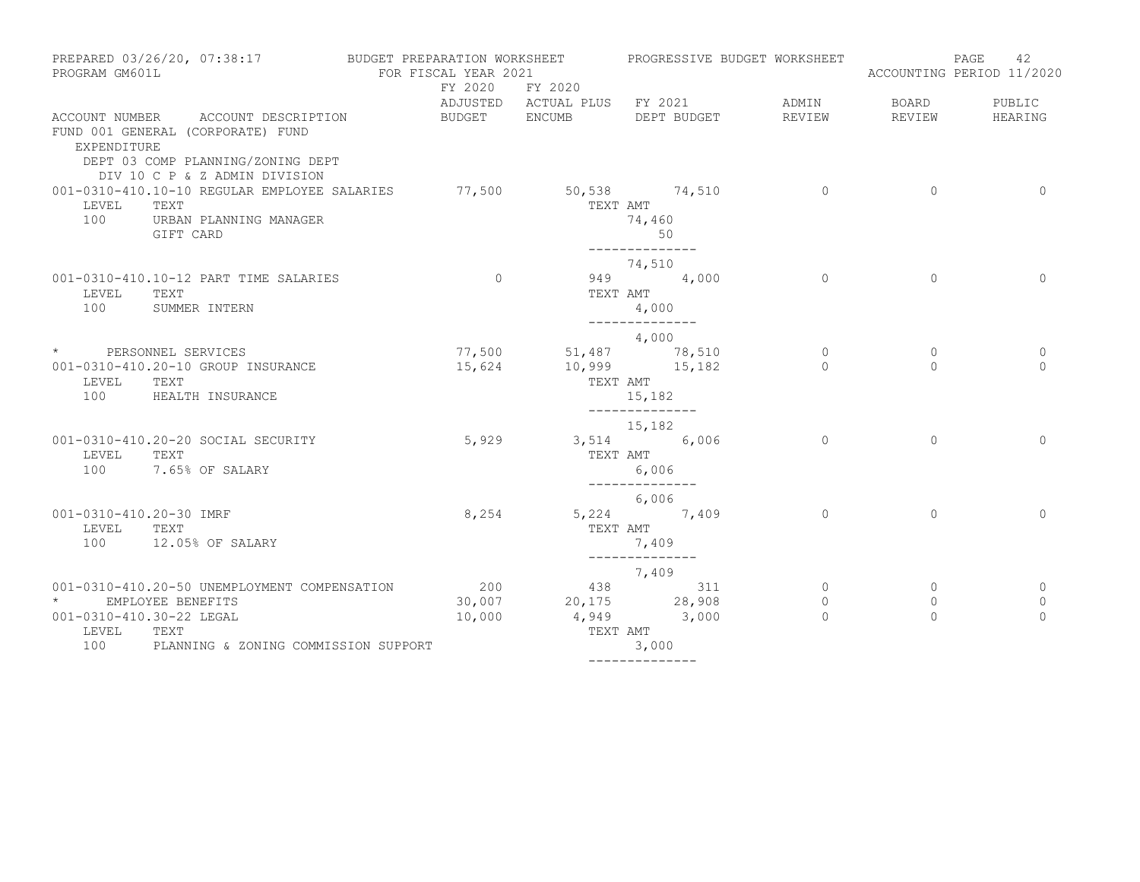| PREPARED 03/26/20, 07:38:17<br>PROGRAM GM601L                                                                                                                 | BUDGET PREPARATION WORKSHEET<br>FOR FISCAL YEAR 2021 |                 | PROGRESSIVE BUDGET WORKSHEET                                            |                                       |                                | 42<br>PAGE<br>ACCOUNTING PERIOD 11/2020 |
|---------------------------------------------------------------------------------------------------------------------------------------------------------------|------------------------------------------------------|-----------------|-------------------------------------------------------------------------|---------------------------------------|--------------------------------|-----------------------------------------|
|                                                                                                                                                               |                                                      | FY 2020 FY 2020 | ADJUSTED ACTUAL PLUS FY 2021                                            | ADMIN                                 | BOARD                          | PUBLIC                                  |
| ACCOUNT NUMBER ACCOUNT DESCRIPTION<br>FUND 001 GENERAL (CORPORATE) FUND<br>EXPENDITURE<br>DEPT 03 COMP PLANNING/ZONING DEPT<br>DIV 10 C P & Z ADMIN DIVISION  | BUDGET ENCUMB                                        |                 | DEPT BUDGET                                                             | REVIEW                                | REVIEW                         | HEARING                                 |
| 001-0310-410.10-10 REGULAR EMPLOYEE SALARIES<br>LEVEL<br>TEXT<br>100<br>URBAN PLANNING MANAGER<br>GIFT CARD                                                   | 77,500                                               | 50,538 74,510   | TEXT AMT<br>74,460<br>50<br>--------------                              | $\overline{0}$                        | $\circ$                        | $\overline{0}$                          |
| 001-0310-410.10-12 PART TIME SALARIES<br>LEVEL<br>TEXT<br>100<br>SUMMER INTERN                                                                                | $\overline{0}$                                       |                 | 74,510<br>949 4,000<br>TEXT AMT<br>4,000<br>______________              | $\Omega$                              | $\Omega$                       | $\Omega$                                |
| * PERSONNEL SERVICES<br>001-0310-410.20-10 GROUP INSURANCE<br>LEVEL<br>TEXT<br>100<br>HEALTH INSURANCE                                                        | 77,500<br>15,624                                     | TEXT AMT        | 4,000<br>51,487 78,510<br>$10,999$ $15,182$<br>15,182<br>-------------- | $\overline{0}$<br>$\Omega$            | $\circ$<br>$\Omega$            | 0<br>$\Omega$                           |
| 001-0310-410.20-20 SOCIAL SECURITY<br>LEVEL<br>TEXT<br>100<br>7.65% OF SALARY                                                                                 | 5,929                                                |                 | 15,182<br>3,514 6,006<br>TEXT AMT<br>6,006<br>______________            | $\circ$                               | $\Omega$                       | $\Omega$                                |
| 001-0310-410.20-30 IMRF<br>LEVEL<br>TEXT<br>100<br>12.05% OF SALARY                                                                                           | 8,254                                                |                 | 6,006<br>5,224 7,409<br>TEXT AMT<br>7,409<br>______________             | $\Omega$                              | $\Omega$                       | $\Omega$                                |
| 001-0310-410.20-50 UNEMPLOYMENT COMPENSATION<br>EMPLOYEE BENEFITS<br>001-0310-410.30-22 LEGAL<br>LEVEL<br>TEXT<br>100<br>PLANNING & ZONING COMMISSION SUPPORT | 200<br>30,007<br>10,000                              | TEXT AMT        | 7,409<br>438 311<br>20,175 28,908<br>4,949 3,000<br>3,000               | $\overline{0}$<br>$\circ$<br>$\Omega$ | $\circ$<br>$\circ$<br>$\Omega$ | $\circ$<br>0<br>$\Omega$                |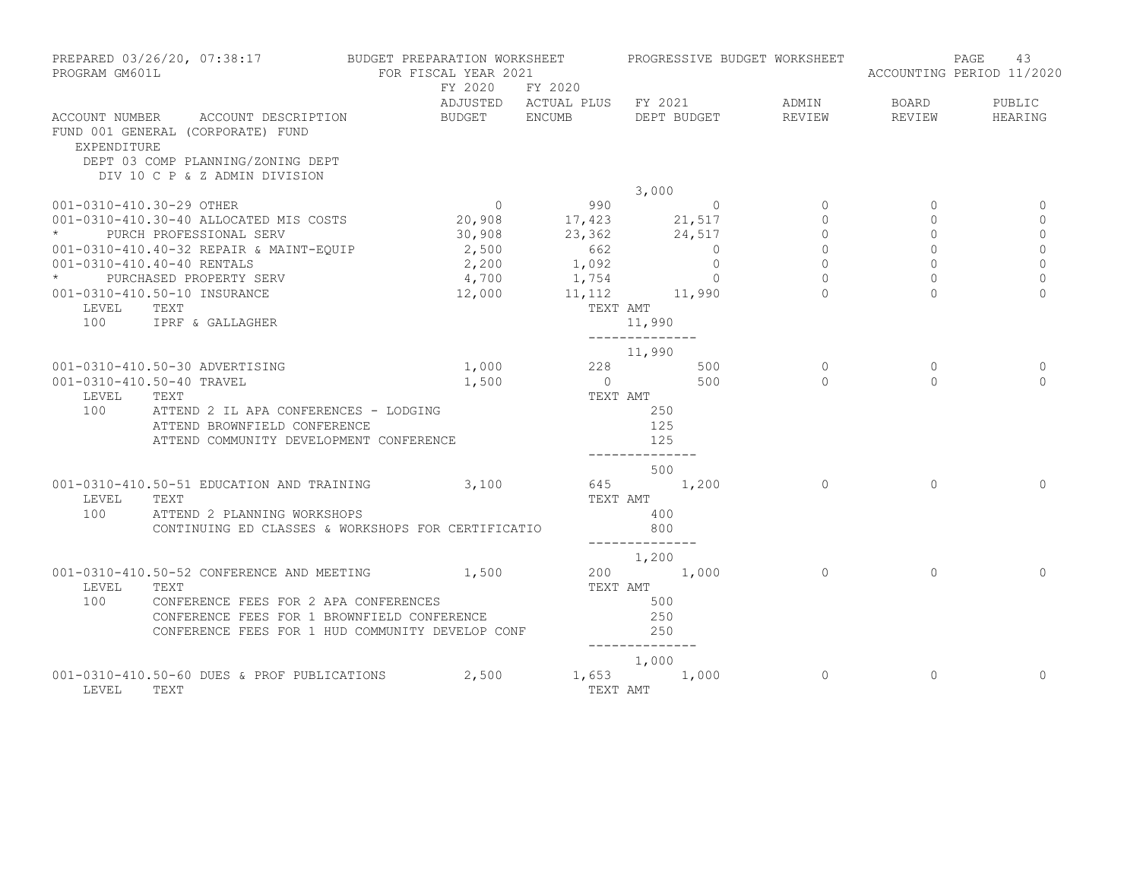| PROGRAM GM601L           | PREPARED 03/26/20, 07:38:17 BUDGET PREPARATION WORKSHEET           | FOR FISCAL YEAR 2021 |                              |                       |                | PROGRESSIVE BUDGET WORKSHEET |           | 43<br>PAGE<br>ACCOUNTING PERIOD 11/2020 |
|--------------------------|--------------------------------------------------------------------|----------------------|------------------------------|-----------------------|----------------|------------------------------|-----------|-----------------------------------------|
|                          |                                                                    |                      | FY 2020 FY 2020              |                       |                |                              |           |                                         |
|                          |                                                                    |                      | ADJUSTED ACTUAL PLUS FY 2021 |                       |                | ADMIN                        | BOARD     | PUBLIC                                  |
|                          | ACCOUNT NUMBER ACCOUNT DESCRIPTION                                 | BUDGET ENCUMB        |                              |                       | DEPT BUDGET    | REVIEW                       | REVIEW    | HEARING                                 |
|                          | FUND 001 GENERAL (CORPORATE) FUND                                  |                      |                              |                       |                |                              |           |                                         |
| EXPENDITURE              |                                                                    |                      |                              |                       |                |                              |           |                                         |
|                          | DEPT 03 COMP PLANNING/ZONING DEPT<br>DIV 10 C P & Z ADMIN DIVISION |                      |                              |                       |                |                              |           |                                         |
|                          |                                                                    |                      |                              | 3,000                 |                |                              |           |                                         |
| 001-0310-410.30-29 OTHER |                                                                    | $\overline{0}$       |                              |                       |                | $\Omega$                     | $\Omega$  |                                         |
|                          | 001-0310-410.30-40 ALLOCATED MIS COSTS                             | 20,908               | $990$ 0<br>17,423 21,517     |                       |                | $\Omega$                     | $\Omega$  | $\Omega$                                |
|                          | PURCH PROFESSIONAL SERV                                            |                      | 30,908 23,362 24,517         |                       |                | $\Omega$                     | $\Omega$  | $\circ$                                 |
|                          | 001-0310-410.40-32 REPAIR & MAINT-EQUIP                            | 2,500                |                              |                       | $\overline{0}$ | $\overline{0}$               | $\Omega$  | $\mathbf{0}$                            |
|                          | 001-0310-410.40-40 RENTALS                                         | 2,200                | $662$<br>1,092               |                       | $\circ$        | $\circ$                      | $\Omega$  | $\mathbf 0$                             |
|                          | * PURCHASED PROPERTY SERV                                          |                      | $4,700$ $1,754$              |                       | $\Omega$       | $\Omega$                     | $\Omega$  | $\mathbf 0$                             |
|                          | 001-0310-410.50-10 INSURANCE                                       | 12,000               | 11, 112 11, 990              |                       |                | $\cap$                       | $\cap$    | $\Omega$                                |
| LEVEL                    | TEXT                                                               |                      | TEXT AMT                     |                       |                |                              |           |                                         |
|                          | 100 IPRF & GALLAGHER                                               |                      |                              | 11,990                |                |                              |           |                                         |
|                          |                                                                    |                      |                              | ______________        |                |                              |           |                                         |
|                          |                                                                    |                      |                              | 11,990                |                |                              |           |                                         |
|                          | 001-0310-410.50-30 ADVERTISING                                     | 1,000                |                              | 228                   | 500            | $\Omega$                     | $\Omega$  | $\Omega$                                |
|                          | 001-0310-410.50-40 TRAVEL                                          | 1,500                | $\overline{0}$               |                       | 500            | $\Omega$                     | $\Omega$  | $\bigcap$                               |
| LEVEL                    | TEXT                                                               |                      | TEXT AMT                     |                       |                |                              |           |                                         |
| 100                      | ATTEND 2 IL APA CONFERENCES - LODGING                              |                      |                              | 250                   |                |                              |           |                                         |
|                          | ATTEND BROWNFIELD CONFERENCE                                       |                      |                              | 125                   |                |                              |           |                                         |
|                          | ATTEND COMMUNITY DEVELOPMENT CONFERENCE                            |                      |                              | 125                   |                |                              |           |                                         |
|                          |                                                                    |                      |                              | --------------        |                |                              |           |                                         |
|                          |                                                                    |                      |                              | 500                   |                |                              |           |                                         |
|                          | 001-0310-410.50-51 EDUCATION AND TRAINING                          | 3,100                |                              | 645 1,200             |                | $\Omega$                     | $\bigcap$ | $\Omega$                                |
| LEVEL                    | TEXT                                                               |                      |                              | TEXT AMT              |                |                              |           |                                         |
| 100                      | ATTEND 2 PLANNING WORKSHOPS                                        |                      |                              | 400                   |                |                              |           |                                         |
|                          | CONTINUING ED CLASSES & WORKSHOPS FOR CERTIFICATIO                 |                      |                              | 800<br>-------------- |                |                              |           |                                         |
|                          |                                                                    |                      |                              | 1,200                 |                |                              |           |                                         |
|                          | 001-0310-410.50-52 CONFERENCE AND MEETING 1,500                    |                      |                              | 200 1,000             |                | $\Omega$                     | $\Omega$  | $\Omega$                                |
| LEVEL                    | TEXT                                                               |                      |                              | TEXT AMT              |                |                              |           |                                         |
| 100                      | CONFERENCE FEES FOR 2 APA CONFERENCES                              |                      |                              | 500                   |                |                              |           |                                         |
|                          | CONFERENCE FEES FOR 1 BROWNFIELD CONFERENCE                        |                      |                              | 250                   |                |                              |           |                                         |
|                          | CONFERENCE FEES FOR 1 HUD COMMUNITY DEVELOP CONF                   |                      |                              | 250                   |                |                              |           |                                         |
|                          |                                                                    |                      |                              | ______________        |                |                              |           |                                         |
|                          |                                                                    |                      |                              | 1,000                 |                |                              |           |                                         |
|                          | 001-0310-410.50-60 DUES & PROF PUBLICATIONS                        | 2,500                |                              | 1,653 1,000           |                | $\Omega$                     | $\Omega$  | $\Omega$                                |
| LEVEL                    | TEXT                                                               |                      | TEXT AMT                     |                       |                |                              |           |                                         |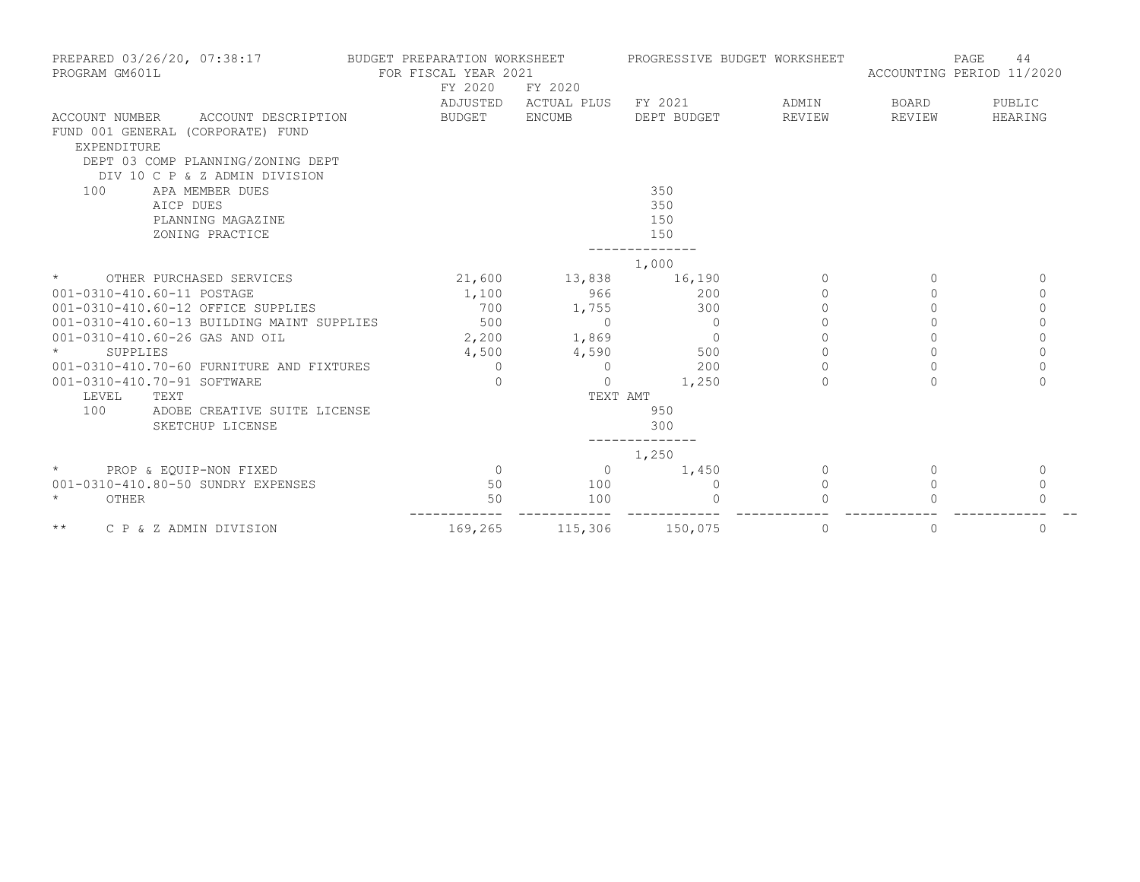| PREPARED 03/26/20, 07:38:17<br>PROGRAM GM601L                                                    | BUDGET PREPARATION WORKSHEET<br>FOR FISCAL YEAR 2021<br>FY 2020 | FY 2020              | PROGRESSIVE BUDGET WORKSHEET |           | PAGE<br>44<br>ACCOUNTING PERIOD 11/2020 |          |
|--------------------------------------------------------------------------------------------------|-----------------------------------------------------------------|----------------------|------------------------------|-----------|-----------------------------------------|----------|
|                                                                                                  |                                                                 | ADJUSTED ACTUAL PLUS | FY 2021                      | ADMIN     | <b>BOARD</b>                            | PUBLIC   |
| ACCOUNT DESCRIPTION<br>ACCOUNT NUMBER<br>FUND 001 GENERAL (CORPORATE) FUND<br><b>EXPENDITURE</b> | BUDGET                                                          | ENCUMB               | DEPT BUDGET                  | REVIEW    | REVIEW                                  | HEARING  |
| DEPT 03 COMP PLANNING/ZONING DEPT<br>DIV 10 C P & Z ADMIN DIVISION                               |                                                                 |                      |                              |           |                                         |          |
| 100<br>APA MEMBER DUES                                                                           |                                                                 |                      | 350                          |           |                                         |          |
| AICP DUES                                                                                        |                                                                 |                      | 350                          |           |                                         |          |
| PLANNING MAGAZINE                                                                                |                                                                 |                      | 150                          |           |                                         |          |
| ZONING PRACTICE                                                                                  |                                                                 |                      | 150                          |           |                                         |          |
|                                                                                                  |                                                                 |                      | 1,000                        |           |                                         |          |
| $\star$<br>OTHER PURCHASED SERVICES                                                              |                                                                 | 21,600 13,838 16,190 |                              | $\Omega$  | $\Omega$                                | $\Omega$ |
| 001-0310-410.60-11 POSTAGE                                                                       | 1,100                                                           | 966                  | 200                          | $\bigcap$ | $\Omega$                                | 0        |
| 001-0310-410.60-12 OFFICE SUPPLIES                                                               | 700                                                             | 1,755                | 300                          | $\Omega$  | $\Omega$                                | $\circ$  |
| 001-0310-410.60-13 BUILDING MAINT SUPPLIES                                                       | 500                                                             | $\Omega$             | $\Omega$                     | $\Omega$  |                                         | $\circ$  |
| 001-0310-410.60-26 GAS AND OIL                                                                   | 2,200                                                           | 1,869                | $\Omega$                     | $\Omega$  | $\Omega$                                | $\Omega$ |
| SUPPLIES                                                                                         | 4,500                                                           | 4,590                | 500                          |           |                                         | $\Omega$ |
| 001-0310-410.70-60 FURNITURE AND FIXTURES                                                        | $\Omega$                                                        | $\mathbf{0}$         | 200                          | $\Omega$  | $\Omega$                                | $\Omega$ |
| 001-0310-410.70-91 SOFTWARE                                                                      | $\Omega$                                                        | $\Omega$             | 1,250                        | $\Omega$  | $\Omega$                                | $\Omega$ |
| LEVEL<br>TEXT                                                                                    |                                                                 | TEXT AMT             |                              |           |                                         |          |
| 100<br>ADOBE CREATIVE SUITE LICENSE                                                              |                                                                 |                      | 950                          |           |                                         |          |
| SKETCHUP LICENSE                                                                                 |                                                                 |                      | 300                          |           |                                         |          |
|                                                                                                  |                                                                 |                      | 1,250                        |           |                                         |          |
| PROP & EOUIP-NON FIXED<br>$\star$                                                                | $\overline{0}$                                                  | $\Omega$             | 1,450                        | $\Omega$  | $\Omega$                                | $\Omega$ |
| 001-0310-410.80-50 SUNDRY EXPENSES                                                               | 50                                                              | 100                  | $\Omega$                     | $\Omega$  | $\Omega$                                | 0        |
| $\star$<br>OTHER                                                                                 | 50                                                              | 100                  |                              |           |                                         | $\Omega$ |
| $\star\star$<br>C P & Z ADMIN DIVISION                                                           | 169,265                                                         | 115,306              | 150,075                      | 0         | 0                                       | 0        |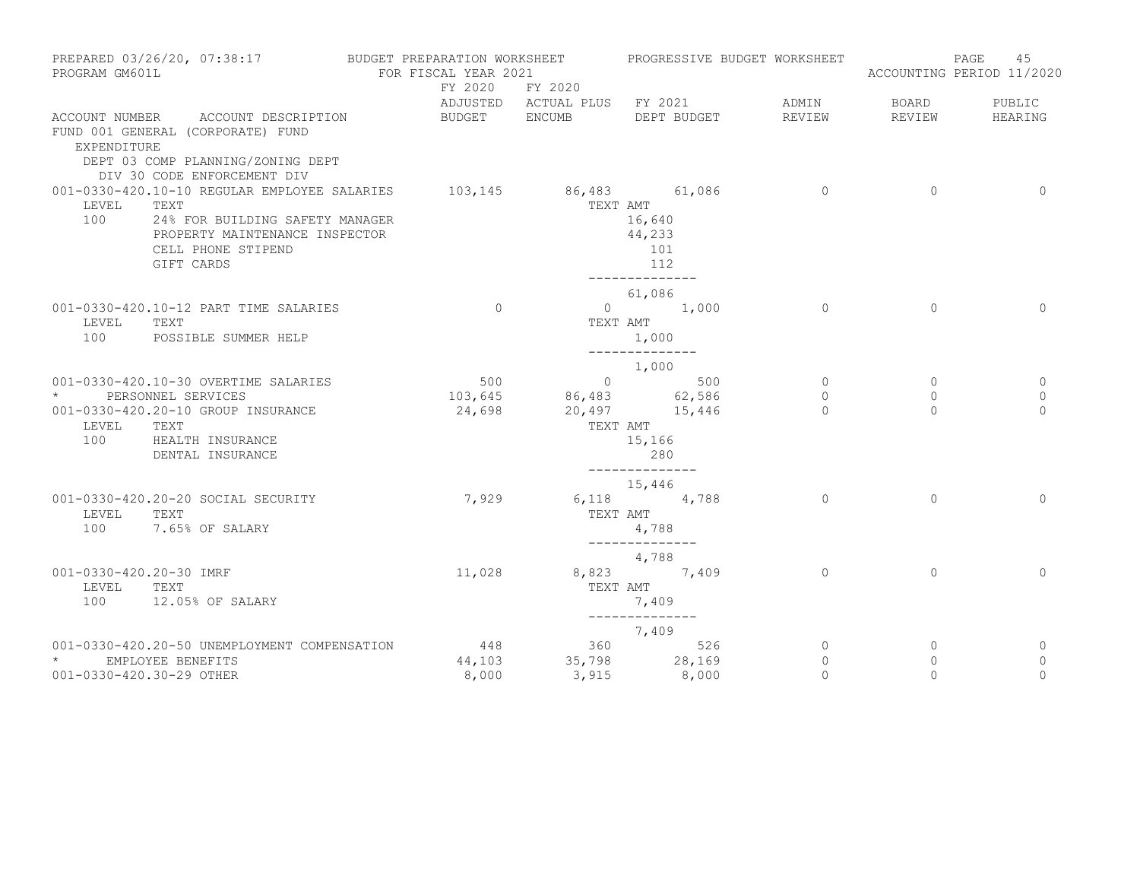| PREPARED 03/26/20, 07:38:17<br>PROGRAM GM601L                                                                                                                                                                | BUDGET PREPARATION WORKSHEET<br>FOR FISCAL YEAR 2021 |                                   | PROGRESSIVE BUDGET WORKSHEET                                  |                             |                         | 45<br>PAGE<br>ACCOUNTING PERIOD 11/2020 |
|--------------------------------------------------------------------------------------------------------------------------------------------------------------------------------------------------------------|------------------------------------------------------|-----------------------------------|---------------------------------------------------------------|-----------------------------|-------------------------|-----------------------------------------|
|                                                                                                                                                                                                              |                                                      | FY 2020 FY 2020                   | ADJUSTED ACTUAL PLUS FY 2021                                  | ADMIN                       | BOARD                   | PUBLIC                                  |
| ACCOUNT NUMBER ACCOUNT DESCRIPTION<br>FUND 001 GENERAL (CORPORATE) FUND<br>EXPENDITURE<br>DEPT 03 COMP PLANNING/ZONING DEPT                                                                                  | BUDGET ENCUMB                                        |                                   | DEPT BUDGET                                                   | REVIEW                      | REVIEW                  | HEARING                                 |
| DIV 30 CODE ENFORCEMENT DIV<br>001-0330-420.10-10 REGULAR EMPLOYEE SALARIES<br>LEVEL<br>TEXT<br>100<br>24% FOR BUILDING SAFETY MANAGER<br>PROPERTY MAINTENANCE INSPECTOR<br>CELL PHONE STIPEND<br>GIFT CARDS |                                                      | 103,145 86,483 61,086<br>TEXT AMT | 16,640<br>44,233<br>101<br>112<br>--------------              | $\overline{0}$              | $\Omega$                | $\Omega$                                |
| 001-0330-420.10-12 PART TIME SALARIES<br>LEVEL<br>TEXT<br>100<br>POSSIBLE SUMMER HELP                                                                                                                        | $\Omega$                                             |                                   | 61,086<br>$0 \t 1,000$<br>TEXT AMT<br>1,000<br>______________ | $\Omega$                    | $\Omega$                | $\Omega$                                |
| 001-0330-420.10-30 OVERTIME SALARIES                                                                                                                                                                         | 500                                                  |                                   | 1,000                                                         | $\circ$                     | $\circ$                 | $\circ$                                 |
| PERSONNEL SERVICES<br>001-0330-420.20-10 GROUP INSURANCE<br>LEVEL<br>TEXT<br>100<br>HEALTH INSURANCE<br>DENTAL INSURANCE                                                                                     | 103,645<br>24,698                                    | TEXT AMT                          | $86,483$<br>$20,497$<br>$15,446$<br>15,166<br>280             | $\circ$<br>$\Omega$         | $\circ$<br>$\Omega$     | $\mathbf 0$<br>$\Omega$                 |
| 001-0330-420.20-20 SOCIAL SECURITY<br>LEVEL<br>TEXT<br>100<br>7.65% OF SALARY                                                                                                                                | 7,929                                                | TEXT AMT                          | ______________<br>15,446<br>6,118 4,788<br>4,788              | $\Omega$                    | $\Omega$                | $\circ$                                 |
| 001-0330-420.20-30 IMRF<br>LEVEL<br>TEXT<br>100<br>12.05% OF SALARY                                                                                                                                          | 11,028                                               |                                   | --------------<br>4,788<br>8,823 7,409<br>TEXT AMT<br>7,409   | $\Omega$                    | $\Omega$                | $\Omega$                                |
|                                                                                                                                                                                                              |                                                      |                                   | $7,409$<br>360 526                                            |                             |                         |                                         |
| 001-0330-420.20-50 UNEMPLOYMENT COMPENSATION                                                                                                                                                                 | 448                                                  |                                   |                                                               | 0                           | $\mathbf 0$             | 0                                       |
| * EMPLOYEE BENEFITS<br>001-0330-420.30-29 OTHER                                                                                                                                                              | 44,103<br>8,000                                      | 3,915                             | 35,798 28,169<br>8,000                                        | $\mathbf{0}$<br>$\mathbf 0$ | $\mathbf{0}$<br>$\circ$ | 0<br>$\mathbf 0$                        |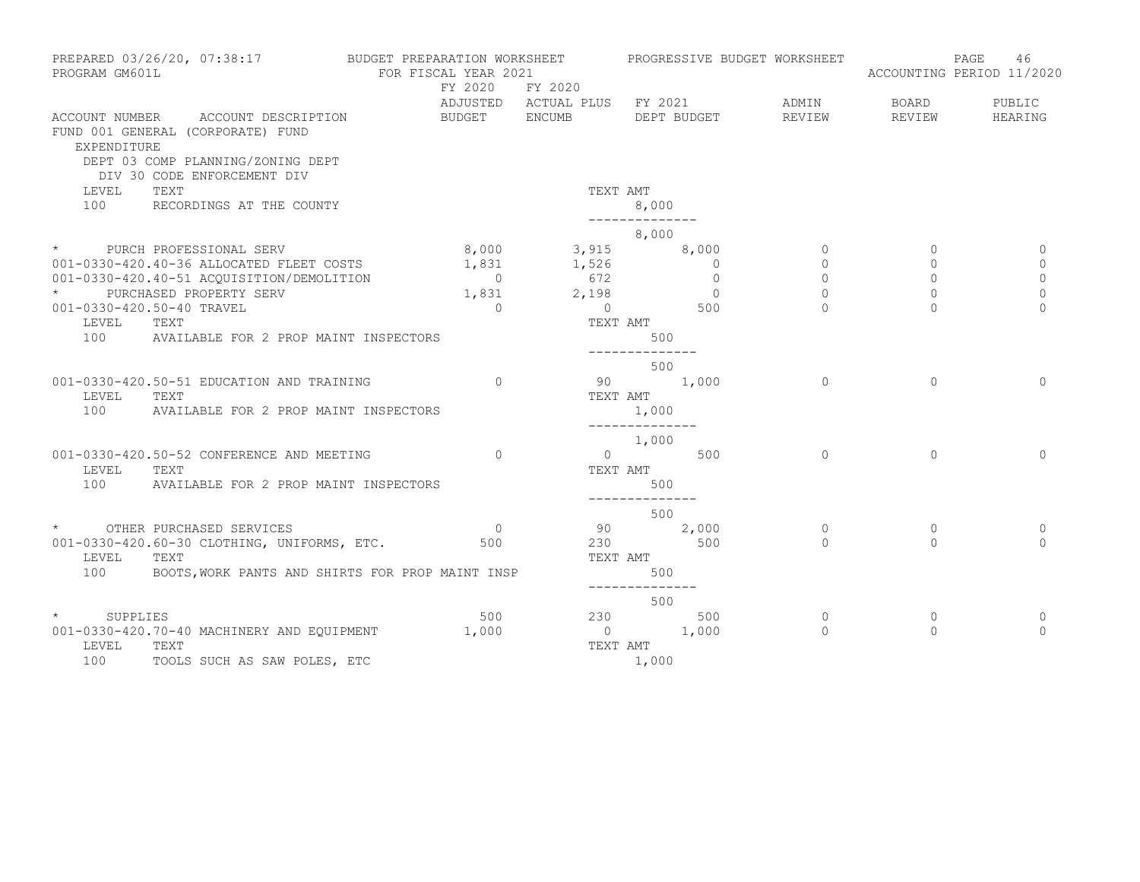| PROGRAM GM601L            | PREPARED 03/26/20, 07:38:17                                                                                  | BUDGET PREPARATION WORKSHEET<br>FOR FISCAL YEAR 2021 |                        | PROGRESSIVE BUDGET WORKSHEET |                     |              | 46<br>PAGE<br>ACCOUNTING PERIOD 11/2020 |
|---------------------------|--------------------------------------------------------------------------------------------------------------|------------------------------------------------------|------------------------|------------------------------|---------------------|--------------|-----------------------------------------|
|                           |                                                                                                              |                                                      | FY 2020 FY 2020        | ADJUSTED ACTUAL PLUS FY 2021 | ADMIN               | BOARD        | PUBLIC                                  |
| EXPENDITURE               | ACCOUNT NUMBER ACCOUNT DESCRIPTION<br>FUND 001 GENERAL (CORPORATE) FUND<br>DEPT 03 COMP PLANNING/ZONING DEPT | BUDGET ENCUMB                                        |                        | DEPT BUDGET                  | REVIEW              | REVIEW       | HEARING                                 |
| LEVEL                     | DIV 30 CODE ENFORCEMENT DIV<br>TEXT                                                                          |                                                      |                        | TEXT AMT                     |                     |              |                                         |
| 100                       | RECORDINGS AT THE COUNTY                                                                                     |                                                      |                        | 8,000<br>--------------      |                     |              |                                         |
|                           |                                                                                                              |                                                      |                        | 8,000                        |                     |              |                                         |
| $\star$ and $\star$       | PURCH PROFESSIONAL SERV 8,000 8,000 3,915 8,000                                                              |                                                      |                        |                              | $\circ$             | $\mathbf{0}$ |                                         |
|                           | 001-0330-420.40-36 ALLOCATED FLEET COSTS                                                                     |                                                      | $1,831$ $1,526$ 0      |                              | $\circ$             | $\Omega$     | 0                                       |
|                           | 001-0330-420.40-51 ACQUISITION/DEMOLITION                                                                    |                                                      | $0$ 672<br>1,831 2,198 | $\overline{0}$               | $\circ$             | 0            | $\mathbf 0$                             |
|                           | PURCHASED PROPERTY SERV                                                                                      |                                                      |                        | $\overline{0}$               | $\Omega$            | $\Omega$     | 0                                       |
| 001-0330-420.50-40 TRAVEL |                                                                                                              | $\Omega$                                             | $\overline{0}$         | 500                          |                     |              | $\Omega$                                |
| LEVEL                     | TEXT                                                                                                         |                                                      |                        | TEXT AMT                     |                     |              |                                         |
| 100                       | AVAILABLE FOR 2 PROP MAINT INSPECTORS                                                                        |                                                      |                        | 500<br>--------------        |                     |              |                                         |
|                           |                                                                                                              |                                                      |                        | 500                          |                     |              |                                         |
|                           | 001-0330-420.50-51 EDUCATION AND TRAINING                                                                    | $\Omega$                                             |                        | 90 1,000                     | $\Omega$            | $\Omega$     | $\Omega$                                |
| LEVEL                     | TEXT                                                                                                         |                                                      |                        | TEXT AMT                     |                     |              |                                         |
| 100                       | AVAILABLE FOR 2 PROP MAINT INSPECTORS                                                                        |                                                      |                        | 1,000                        |                     |              |                                         |
|                           |                                                                                                              |                                                      |                        | ______________<br>1,000      |                     |              |                                         |
|                           | 001-0330-420.50-52 CONFERENCE AND MEETING                                                                    | $\Omega$                                             |                        | $0 \qquad \qquad 500$        | $\circ$             | $\Omega$     | $\Omega$                                |
| LEVEL                     | TEXT                                                                                                         |                                                      |                        | TEXT AMT                     |                     |              |                                         |
| 100                       | AVAILABLE FOR 2 PROP MAINT INSPECTORS                                                                        |                                                      |                        | 500                          |                     |              |                                         |
|                           |                                                                                                              |                                                      |                        |                              |                     |              |                                         |
|                           |                                                                                                              | $\overline{0}$                                       |                        | 500                          |                     | $\mathbf{0}$ |                                         |
|                           | * OTHER PURCHASED SERVICES<br>001-0330-420.60-30 CLOTHING, UNIFORMS, ETC.                                    | 500                                                  | 90<br>230              | 2,000<br>500                 | $\circ$<br>$\Omega$ | $\Omega$     | 0<br>$\Omega$                           |
| LEVEL                     | TEXT                                                                                                         |                                                      |                        | TEXT AMT                     |                     |              |                                         |
|                           | 100 BOOTS, WORK PANTS AND SHIRTS FOR PROP MAINT INSP                                                         |                                                      |                        | 500                          |                     |              |                                         |
|                           |                                                                                                              |                                                      |                        | --------------               |                     |              |                                         |
|                           |                                                                                                              |                                                      |                        | 500                          |                     |              |                                         |
| $\star$<br>SUPPLIES       |                                                                                                              | 500                                                  |                        | 230<br>500                   | $\circ$             | 0            | 0                                       |
|                           | 001-0330-420.70-40 MACHINERY AND EQUIPMENT                                                                   | 1,000                                                |                        | $\frac{1}{2}$ , 000          | $\Omega$            | $\Omega$     | $\Omega$                                |
| LEVEL                     | TEXT                                                                                                         |                                                      |                        | TEXT AMT                     |                     |              |                                         |
| 100                       | TOOLS SUCH AS SAW POLES, ETC                                                                                 |                                                      |                        | 1,000                        |                     |              |                                         |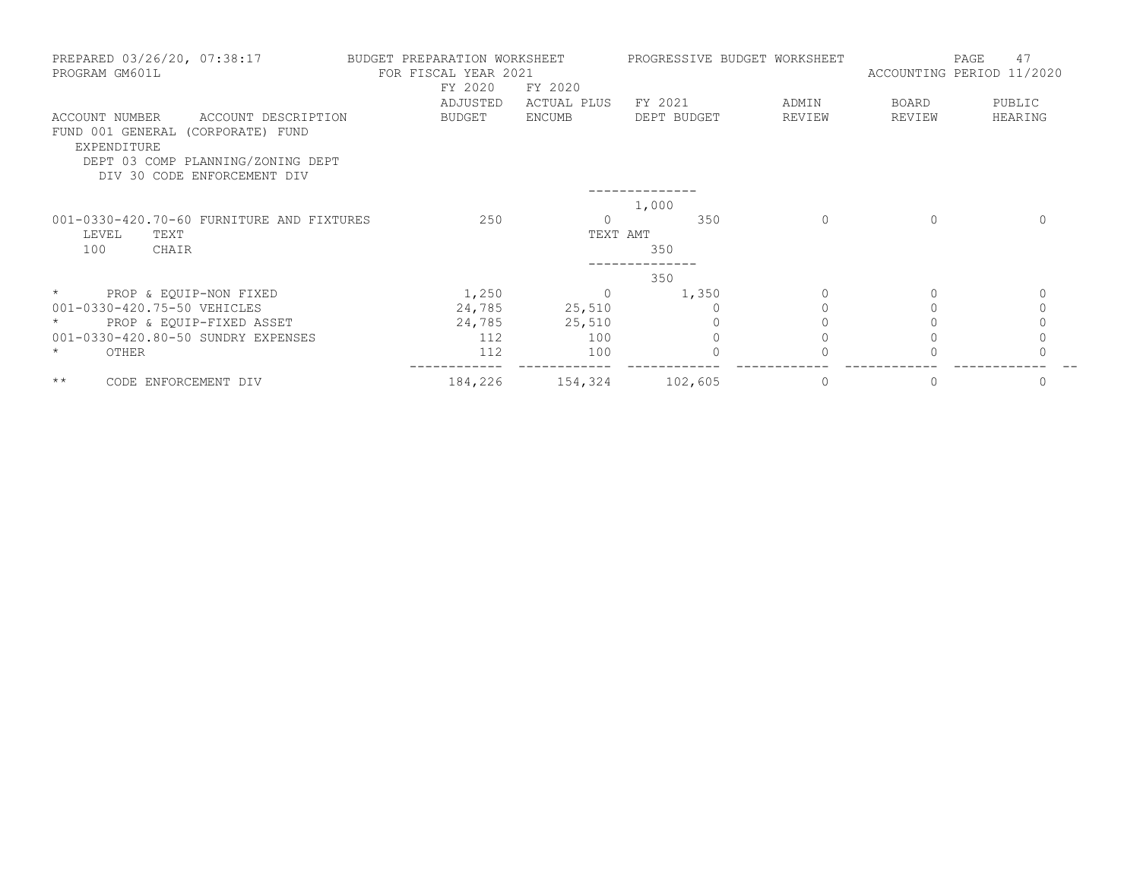| PREPARED 03/26/20, 07:38:17<br>PROGRAM GM601L                                                                                                                 | BUDGET PREPARATION WORKSHEET<br>FOR FISCAL YEAR 2021<br>FY 2020<br>ADJUSTED | FY 2020<br>ACTUAL PLUS | PROGRESSIVE BUDGET WORKSHEET<br>FY 2021 | ADMIN        | ACCOUNTING PERIOD 11/2020<br>BOARD | 47<br>PAGE<br>PUBLIC |
|---------------------------------------------------------------------------------------------------------------------------------------------------------------|-----------------------------------------------------------------------------|------------------------|-----------------------------------------|--------------|------------------------------------|----------------------|
| ACCOUNT NUMBER<br>ACCOUNT DESCRIPTION<br>FUND 001 GENERAL (CORPORATE) FUND<br>EXPENDITURE<br>DEPT 03 COMP PLANNING/ZONING DEPT<br>DIV 30 CODE ENFORCEMENT DIV | BUDGET                                                                      | ENCUMB                 | DEPT BUDGET                             | REVIEW       | REVIEW                             | HEARING              |
|                                                                                                                                                               |                                                                             |                        | 1,000                                   |              |                                    |                      |
| 001-0330-420.70-60 FURNITURE AND FIXTURES<br>LEVEL<br>TEXT<br>100<br>CHAIR                                                                                    | 250                                                                         | TEXT AMT               | 350<br>350                              | $\mathbf{0}$ |                                    |                      |
|                                                                                                                                                               |                                                                             |                        | 350                                     |              |                                    |                      |
| PROP & EQUIP-NON FIXED<br>$\star$                                                                                                                             | 1,250                                                                       |                        | 1,350                                   | $\Omega$     | 0                                  | 0                    |
| 001-0330-420.75-50 VEHICLES                                                                                                                                   | 24,785                                                                      | 25,510                 |                                         |              |                                    | $\mathbf{0}$         |
| PROP & EQUIP-FIXED ASSET<br>$\star$                                                                                                                           | 24,785                                                                      | 25,510                 |                                         |              |                                    | $\Omega$             |
| 001-0330-420.80-50 SUNDRY EXPENSES                                                                                                                            | 112                                                                         | 100                    |                                         |              |                                    |                      |
| OTHER<br>$\star$                                                                                                                                              | 112                                                                         | 100                    |                                         |              |                                    |                      |
| $\star\star$<br>CODE ENFORCEMENT DIV                                                                                                                          | 184,226                                                                     | 154,324                | 102,605                                 | 0            |                                    | $\mathbf{0}$         |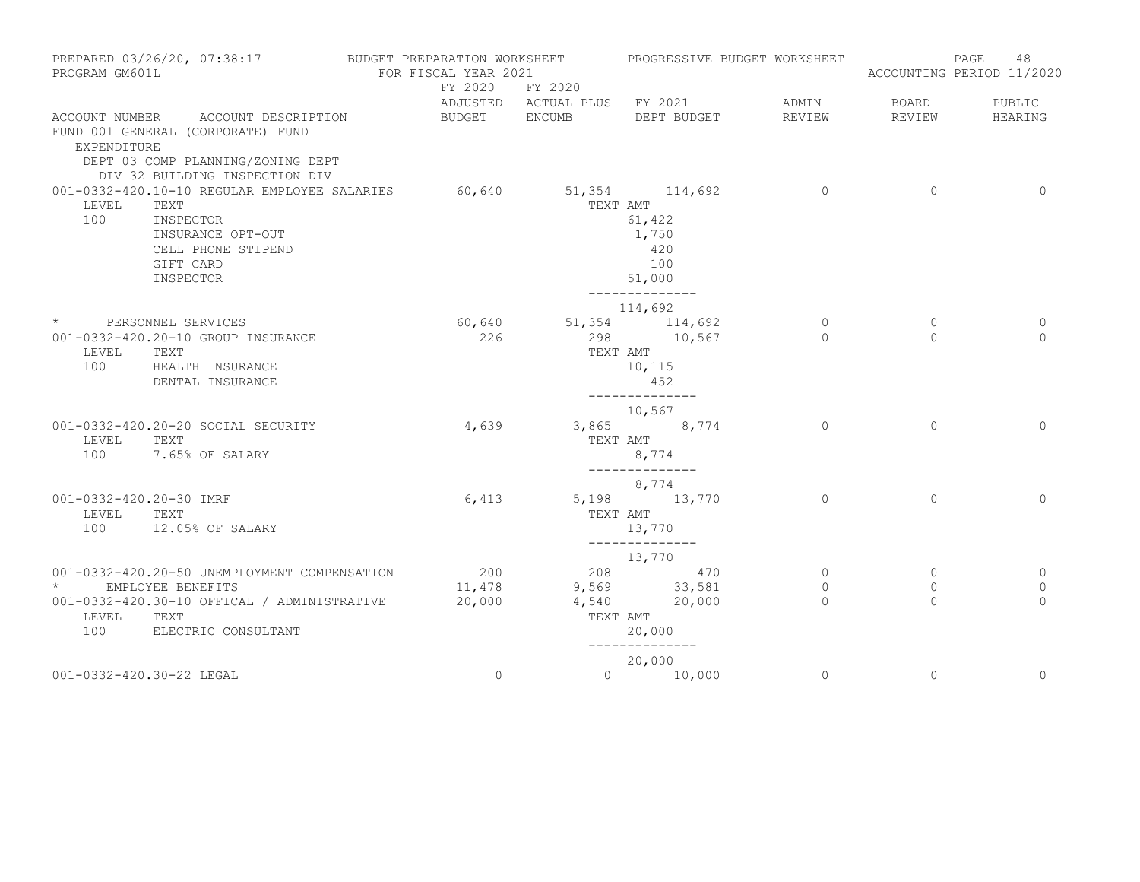| PREPARED 03/26/20, 07:38:17<br>PROGRAM GM601L                                                                                                                 | BUDGET PREPARATION WORKSHEET<br>FOR FISCAL YEAR 2021 |                                   | PROGRESSIVE BUDGET WORKSHEET                                 |                        |                         | 48<br>PAGE<br>ACCOUNTING PERIOD 11/2020 |
|---------------------------------------------------------------------------------------------------------------------------------------------------------------|------------------------------------------------------|-----------------------------------|--------------------------------------------------------------|------------------------|-------------------------|-----------------------------------------|
|                                                                                                                                                               | FY 2020 FY 2020                                      |                                   | ADJUSTED ACTUAL PLUS FY 2021                                 | ADMIN                  | BOARD                   | PUBLIC                                  |
| ACCOUNT NUMBER ACCOUNT DESCRIPTION<br>FUND 001 GENERAL (CORPORATE) FUND<br>EXPENDITURE<br>DEPT 03 COMP PLANNING/ZONING DEPT<br>DIV 32 BUILDING INSPECTION DIV | BUDGET ENCUMB                                        |                                   | DEPT BUDGET                                                  | REVIEW                 | REVIEW                  | HEARING                                 |
| 001-0332-420.10-10 REGULAR EMPLOYEE SALARIES<br>LEVEL<br>TEXT<br>100<br>INSPECTOR<br>INSURANCE OPT-OUT<br>CELL PHONE STIPEND<br>GIFT CARD<br>INSPECTOR        |                                                      | 60,640 51,354 114,692<br>TEXT AMT | 61,422<br>1,750<br>420<br>100<br>51,000<br>--------------    | $\overline{0}$         | $\overline{0}$          | $\circ$                                 |
| * PERSONNEL SERVICES                                                                                                                                          | 60,640                                               |                                   | 114,692<br>51,354 114,692                                    | 0                      | $\mathbf{0}$            | 0                                       |
| 001-0332-420.20-10 GROUP INSURANCE<br>LEVEL<br>TEXT<br>100<br>HEALTH INSURANCE<br>DENTAL INSURANCE                                                            | 226                                                  | TEXT AMT                          | 298 10,567<br>10,115<br>452<br>______________                | $\Omega$               | $\Omega$                | $\Omega$                                |
| 001-0332-420.20-20 SOCIAL SECURITY<br>LEVEL<br>TEXT<br>100<br>7.65% OF SALARY                                                                                 | 4,639                                                |                                   | 10,567<br>3,865 8,774<br>TEXT AMT<br>8,774<br>______________ | $\Omega$               | $\Omega$                | $\Omega$                                |
|                                                                                                                                                               |                                                      |                                   | 8,774                                                        |                        |                         |                                         |
| 001-0332-420.20-30 IMRF<br>LEVEL<br>TEXT<br>100<br>12.05% OF SALARY                                                                                           | 6,413                                                | TEXT AMT                          | 5,198 13,770<br>13,770<br>--------------                     | $\Omega$               | $\Omega$                | $\Omega$                                |
|                                                                                                                                                               |                                                      |                                   | 13,770                                                       |                        |                         |                                         |
| 001-0332-420.20-50 UNEMPLOYMENT COMPENSATION<br>$\star$ and $\star$<br>EMPLOYEE BENEFITS                                                                      | 200<br>11,478                                        | 9,569 33,581                      | 208 470                                                      | $\circ$<br>$\mathbf 0$ | $\mathbf{0}$<br>$\circ$ | 0<br>0                                  |
| 001-0332-420.30-10 OFFICAL / ADMINISTRATIVE<br>LEVEL<br>TEXT<br>100<br>ELECTRIC CONSULTANT                                                                    | 20,000                                               | TEXT AMT                          | 4,540 20,000<br>20,000                                       | $\Omega$               | $\Omega$                | $\cap$                                  |
|                                                                                                                                                               |                                                      |                                   | --------------<br>20,000                                     |                        |                         |                                         |
| 001-0332-420.30-22 LEGAL                                                                                                                                      | $\mathbf{0}$                                         |                                   | $0 \t 10,000$                                                | $\circ$                | $\circ$                 | $\mathbf 0$                             |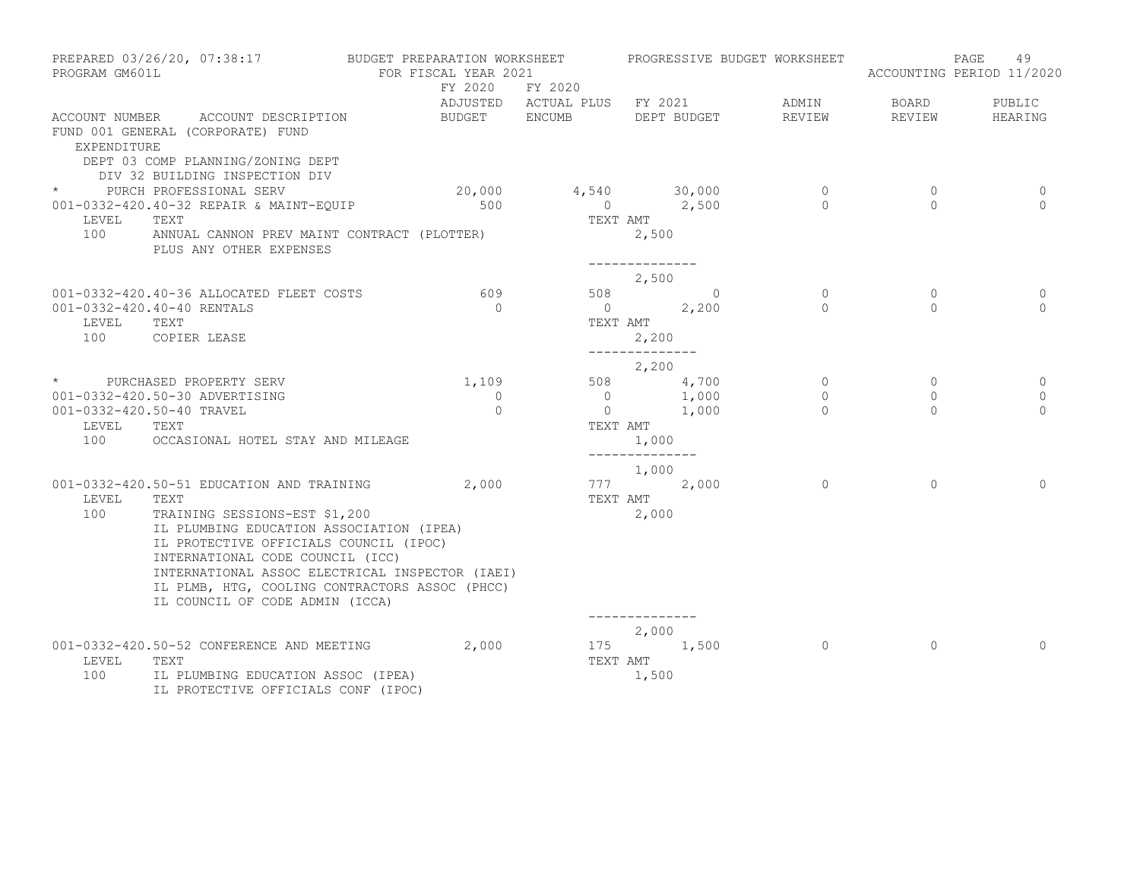| PROGRAM GM601L | PREPARED 03/26/20, 07:38:17                                                                                  | BUDGET PREPARATION WORKSHEET<br>FOR FISCAL YEAR 2021 |                                                 |                                     |                                                             | PROGRESSIVE BUDGET WORKSHEET |                | PAGE<br>49<br>ACCOUNTING PERIOD 11/2020 |
|----------------|--------------------------------------------------------------------------------------------------------------|------------------------------------------------------|-------------------------------------------------|-------------------------------------|-------------------------------------------------------------|------------------------------|----------------|-----------------------------------------|
|                |                                                                                                              |                                                      | FY 2020 FY 2020<br>ADJUSTED ACTUAL PLUS FY 2021 |                                     |                                                             | ADMIN                        | <b>BOARD</b>   | PUBLIC                                  |
| EXPENDITURE    | ACCOUNT NUMBER ACCOUNT DESCRIPTION<br>FUND 001 GENERAL (CORPORATE) FUND<br>DEPT 03 COMP PLANNING/ZONING DEPT | BUDGET ENCUMB                                        |                                                 |                                     | DEPT BUDGET                                                 | REVIEW                       | REVIEW         | HEARING                                 |
|                | DIV 32 BUILDING INSPECTION DIV<br>* PURCH PROFESSIONAL SERV                                                  |                                                      | 20,000 4,540 30,000 0                           |                                     |                                                             |                              | $\overline{0}$ | 0                                       |
| LEVEL          | 001-0332-420.40-32 REPAIR & MAINT-EQUIP<br>TEXT                                                              | 500                                                  |                                                 | TEXT AMT                            | 0 $2,500$                                                   | $\overline{0}$               | $\bigcap$      | $\Omega$                                |
|                | 100 ANNUAL CANNON PREV MAINT CONTRACT (PLOTTER)<br>PLUS ANY OTHER EXPENSES                                   |                                                      |                                                 | 2,500                               |                                                             |                              |                |                                         |
|                |                                                                                                              |                                                      |                                                 | 2,500                               |                                                             |                              |                |                                         |
|                | 001-0332-420.40-36 ALLOCATED FLEET COSTS                                                                     | 609                                                  |                                                 |                                     | 508 0                                                       | $\Omega$                     | $\Omega$       | $\Omega$                                |
|                | 001-0332-420.40-40 RENTALS                                                                                   | $\bigcirc$                                           |                                                 |                                     | $0 \t 2,200$                                                | $\Omega$                     | $\Omega$       | $\Omega$                                |
| LEVEL<br>100   | TEXT<br>COPIER LEASE                                                                                         |                                                      |                                                 | TEXT AMT<br>2,200<br>-------------- |                                                             |                              |                |                                         |
|                |                                                                                                              |                                                      |                                                 | 2,200                               |                                                             |                              |                |                                         |
|                | * PURCHASED PROPERTY SERV                                                                                    | 1,109                                                |                                                 |                                     | 508 4,700                                                   | $\circ$                      | $\circ$        | 0                                       |
|                | 001-0332-420.50-30 ADVERTISING                                                                               | $\Omega$                                             |                                                 |                                     | $\begin{array}{ccc} 0 & & 1,000 \\ 0 & & 1,000 \end{array}$ | $\circ$                      | $\Omega$       | 0                                       |
|                | 001-0332-420.50-40 TRAVEL                                                                                    | $\Omega$                                             |                                                 |                                     |                                                             | $\Omega$                     | $\Omega$       | $\Omega$                                |
| LEVEL          | TEXT<br>100 OCCASIONAL HOTEL STAY AND MILEAGE                                                                |                                                      |                                                 | TEXT AMT<br>1,000<br>-------------- |                                                             |                              |                |                                         |
|                |                                                                                                              |                                                      |                                                 | 1,000                               |                                                             |                              |                |                                         |
|                | 001-0332-420.50-51 EDUCATION AND TRAINING 2,000                                                              |                                                      | 777 2,000                                       |                                     |                                                             | $\Omega$                     | $\Omega$       | $\Omega$                                |
| LEVEL<br>100   | TEXT<br>TRAINING SESSIONS-EST \$1,200                                                                        |                                                      |                                                 | TEXT AMT<br>2,000                   |                                                             |                              |                |                                         |
|                | IL PLUMBING EDUCATION ASSOCIATION (IPEA)<br>IL PROTECTIVE OFFICIALS COUNCIL (IPOC)                           |                                                      |                                                 |                                     |                                                             |                              |                |                                         |
|                | INTERNATIONAL CODE COUNCIL (ICC)<br>INTERNATIONAL ASSOC ELECTRICAL INSPECTOR (IAEI)                          |                                                      |                                                 |                                     |                                                             |                              |                |                                         |
|                | IL PLMB, HTG, COOLING CONTRACTORS ASSOC (PHCC)                                                               |                                                      |                                                 |                                     |                                                             |                              |                |                                         |
|                | IL COUNCIL OF CODE ADMIN (ICCA)                                                                              |                                                      |                                                 |                                     |                                                             |                              |                |                                         |
|                |                                                                                                              |                                                      |                                                 | --------------<br>2,000             |                                                             |                              |                |                                         |
|                | 001-0332-420.50-52 CONFERENCE AND MEETING 2,000                                                              |                                                      | 175 1,500                                       |                                     |                                                             | $\overline{0}$               | $\circ$        | $\Omega$                                |
| LEVEL          | TEXT                                                                                                         |                                                      | TEXT AMT                                        |                                     |                                                             |                              |                |                                         |
| 100            | IL PLUMBING EDUCATION ASSOC (IPEA)<br>IL PROTECTIVE OFFICIALS CONF (IPOC)                                    |                                                      |                                                 | 1,500                               |                                                             |                              |                |                                         |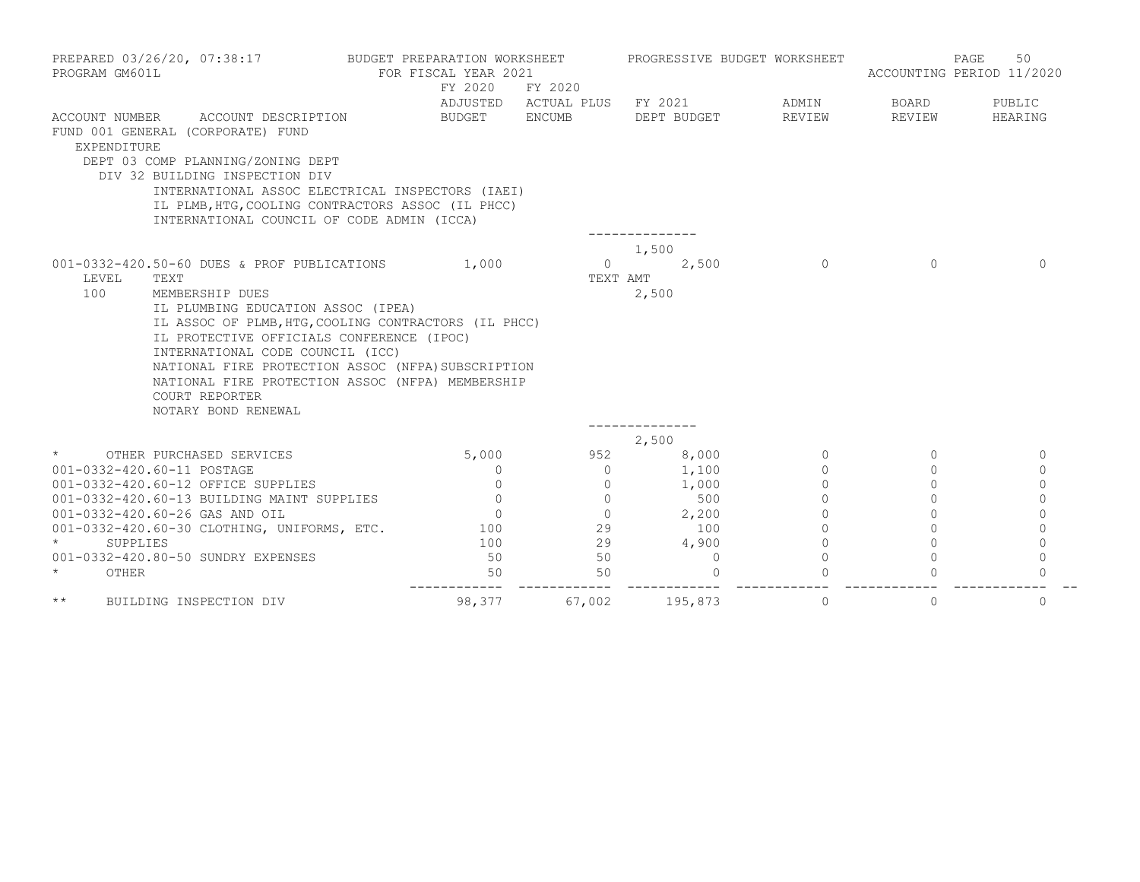| PROGRAM GM601L<br>ACCOUNT NUMBER | PREPARED 03/26/20, 07:38:17<br>ACCOUNT DESCRIPTION                                                                                                                                                                                                                                                                                                                                                       | BUDGET PREPARATION WORKSHEET<br>FOR FISCAL YEAR 2021<br>FY 2020<br>BUDGET ENCUMB | FY 2020<br>ADJUSTED ACTUAL PLUS FY 2021 | PROGRESSIVE BUDGET WORKSHEET<br>DEPT BUDGET | ADMIN<br>REVIEW | PAGE<br>ACCOUNTING PERIOD 11/2020<br>BOARD<br>REVIEW | 50<br>PUBLIC<br>HEARING |
|----------------------------------|----------------------------------------------------------------------------------------------------------------------------------------------------------------------------------------------------------------------------------------------------------------------------------------------------------------------------------------------------------------------------------------------------------|----------------------------------------------------------------------------------|-----------------------------------------|---------------------------------------------|-----------------|------------------------------------------------------|-------------------------|
| EXPENDITURE                      | FUND 001 GENERAL (CORPORATE) FUND<br>DEPT 03 COMP PLANNING/ZONING DEPT<br>DIV 32 BUILDING INSPECTION DIV<br>INTERNATIONAL ASSOC ELECTRICAL INSPECTORS (IAEI)<br>IL PLMB, HTG, COOLING CONTRACTORS ASSOC (IL PHCC)<br>INTERNATIONAL COUNCIL OF CODE ADMIN (ICCA)                                                                                                                                          |                                                                                  |                                         |                                             |                 |                                                      |                         |
| LEVEL<br>100                     | 001-0332-420.50-60 DUES & PROF PUBLICATIONS<br>TEXT<br>MEMBERSHIP DUES<br>IL PLUMBING EDUCATION ASSOC (IPEA)<br>IL ASSOC OF PLMB, HTG, COOLING CONTRACTORS (IL PHCC)<br>IL PROTECTIVE OFFICIALS CONFERENCE (IPOC)<br>INTERNATIONAL CODE COUNCIL (ICC)<br>NATIONAL FIRE PROTECTION ASSOC (NFPA) SUBSCRIPTION<br>NATIONAL FIRE PROTECTION ASSOC (NFPA) MEMBERSHIP<br>COURT REPORTER<br>NOTARY BOND RENEWAL | 1,000                                                                            | $\Omega$<br>TEXT AMT                    | 1,500<br>2,500<br>2,500<br>------------     | $\Omega$        | $\Omega$                                             | $\Omega$                |
|                                  |                                                                                                                                                                                                                                                                                                                                                                                                          |                                                                                  |                                         | 2,500                                       |                 |                                                      |                         |
| $\star$                          | OTHER PURCHASED SERVICES                                                                                                                                                                                                                                                                                                                                                                                 | 5,000                                                                            | 952                                     | 8,000                                       | $\circ$         | $\Omega$                                             | 0                       |
|                                  | 001-0332-420.60-11 POSTAGE                                                                                                                                                                                                                                                                                                                                                                               | $\Omega$                                                                         | $\Omega$                                | 1,100                                       | $\Omega$        | $\Omega$                                             | $\Omega$                |
|                                  | 001-0332-420.60-12 OFFICE SUPPLIES                                                                                                                                                                                                                                                                                                                                                                       | $\circ$                                                                          | $\circ$                                 | 1,000                                       | $\circ$         | 0                                                    | $\Omega$                |
|                                  | 001-0332-420.60-13 BUILDING MAINT SUPPLIES                                                                                                                                                                                                                                                                                                                                                               | $\circ$                                                                          | $\circ$                                 | 500                                         | $\circ$         | 0                                                    | $\Omega$                |
|                                  | 001-0332-420.60-26 GAS AND OIL                                                                                                                                                                                                                                                                                                                                                                           | $\circ$                                                                          | $\circ$                                 | 2,200                                       | $\circ$         | $\circ$                                              | $\circ$                 |
|                                  | 001-0332-420.60-30 CLOTHING, UNIFORMS, ETC.                                                                                                                                                                                                                                                                                                                                                              | 100                                                                              | 29                                      | 100                                         | $\Omega$        | $\Omega$                                             | $\Omega$                |
| $\star$                          | SUPPLIES                                                                                                                                                                                                                                                                                                                                                                                                 | 100                                                                              | 29                                      | 4,900                                       | $\Omega$        | $\Omega$                                             | $\mathbf{0}$            |
| $\star$                          | 001-0332-420.80-50 SUNDRY EXPENSES<br>OTHER                                                                                                                                                                                                                                                                                                                                                              | 50<br>50                                                                         | 50<br>50                                | $\overline{0}$<br>$\Omega$                  | $\Omega$        | $\Omega$                                             | $\Omega$<br>$\Omega$    |
| $\star\star$                     | BUILDING INSPECTION DIV                                                                                                                                                                                                                                                                                                                                                                                  | 98,377                                                                           | 67,002                                  | 195,873                                     | $\mathbf 0$     | $\mathbf{0}$                                         | $\mathbf 0$             |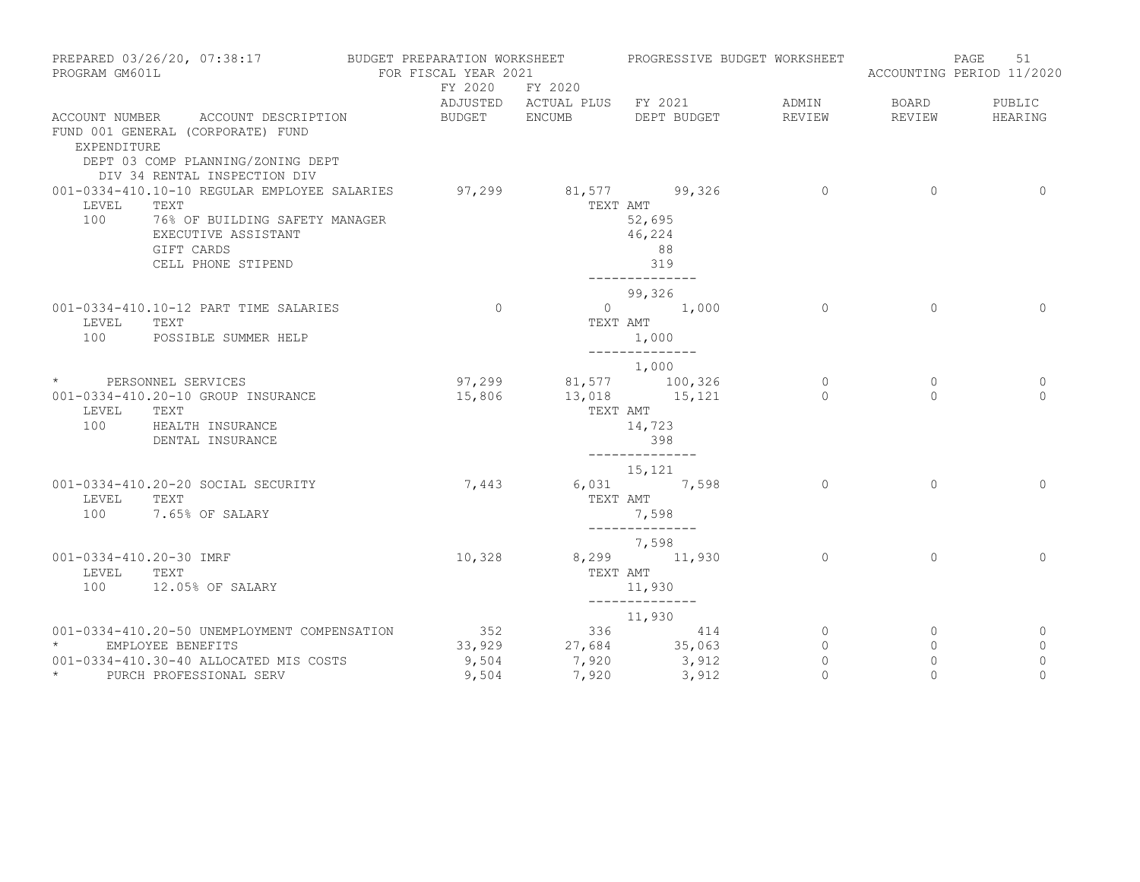| PREPARED 03/26/20, 07:38:17<br>PROGRAM GM601L                                                                                                                     | BUDGET PREPARATION WORKSHEET<br>FOR FISCAL YEAR 2021 |                                         | PROGRESSIVE BUDGET WORKSHEET                                                   |                       | 51<br>PAGE<br>ACCOUNTING PERIOD 11/2020 |                       |  |
|-------------------------------------------------------------------------------------------------------------------------------------------------------------------|------------------------------------------------------|-----------------------------------------|--------------------------------------------------------------------------------|-----------------------|-----------------------------------------|-----------------------|--|
|                                                                                                                                                                   | FY 2020                                              | FY 2020                                 | ADJUSTED ACTUAL PLUS FY 2021                                                   | ADMIN                 | BOARD                                   | PUBLIC                |  |
| ACCOUNT DESCRIPTION<br>ACCOUNT NUMBER<br>FUND 001 GENERAL (CORPORATE) FUND<br>EXPENDITURE<br>DEPT 03 COMP PLANNING/ZONING DEPT<br>DIV 34 RENTAL INSPECTION DIV    | BUDGET ENCUMB                                        |                                         | DEPT BUDGET                                                                    | REVIEW                | REVIEW                                  | HEARING               |  |
| 001-0334-410.10-10 REGULAR EMPLOYEE SALARIES<br>LEVEL<br>TEXT<br>100<br>76% OF BUILDING SAFETY MANAGER<br>EXECUTIVE ASSISTANT<br>GIFT CARDS<br>CELL PHONE STIPEND |                                                      | $97,299$ $81,577$ $99,326$<br>TEXT AMT  | 52,695<br>46,224<br>88<br>319                                                  | $\overline{0}$        | $\overline{0}$                          | $\overline{0}$        |  |
| 001-0334-410.10-12 PART TIME SALARIES<br>LEVEL<br>TEXT<br>100<br>POSSIBLE SUMMER HELP                                                                             | $\overline{0}$                                       | TEXT AMT                                | 99,326<br>$0 \t 1,000$<br>1,000                                                | $\circ$               | $\mathbf{0}$                            | $\circ$               |  |
| * PERSONNEL SERVICES<br>001-0334-410.20-10 GROUP INSURANCE<br>LEVEL<br>TEXT<br>100<br>HEALTH INSURANCE<br>DENTAL INSURANCE                                        | 15,806                                               | $97,299$ $81,577$ $100,326$<br>TEXT AMT | ______________<br>1,000<br>13,018 15,121<br>14,723<br>398                      | $\circ$<br>$\Omega$   | $\circ$<br>$\Omega$                     | 0<br>$\Omega$         |  |
| 001-0334-410.20-20 SOCIAL SECURITY<br>LEVEL<br>TEXT<br>100<br>7.65% OF SALARY                                                                                     | 7,443                                                |                                         | --------------<br>15,121<br>6,031 7,598<br>TEXT AMT<br>7,598<br>-------------- | $\circ$               | $\Omega$                                | $\mathbf{0}$          |  |
| 001-0334-410.20-30 IMRF<br>TEXT<br>LEVEL<br>100<br>12.05% OF SALARY                                                                                               | 10,328                                               | TEXT AMT                                | 7,598<br>8,299 11,930<br>11,930<br>______________                              | $\circ$               | $\Omega$                                | $\Omega$              |  |
| 001-0334-410.20-50 UNEMPLOYMENT COMPENSATION<br>$\star$<br>EMPLOYEE BENEFITS<br>001-0334-410.30-40 ALLOCATED MIS COSTS                                            | 352<br>33,929<br>9,504                               | 7,920                                   | 11,930<br>336 — 1<br>414<br>27,684 35,063<br>3,912                             | 0<br>0<br>$\mathbf 0$ | $\mathbf{0}$<br>0<br>$\mathbf{0}$       | 0<br>0<br>$\mathbf 0$ |  |
| $\star$ and $\star$<br>PURCH PROFESSIONAL SERV                                                                                                                    | 9,504                                                | 7,920                                   | 3,912                                                                          | $\circ$               | $\circ$                                 | $\circ$               |  |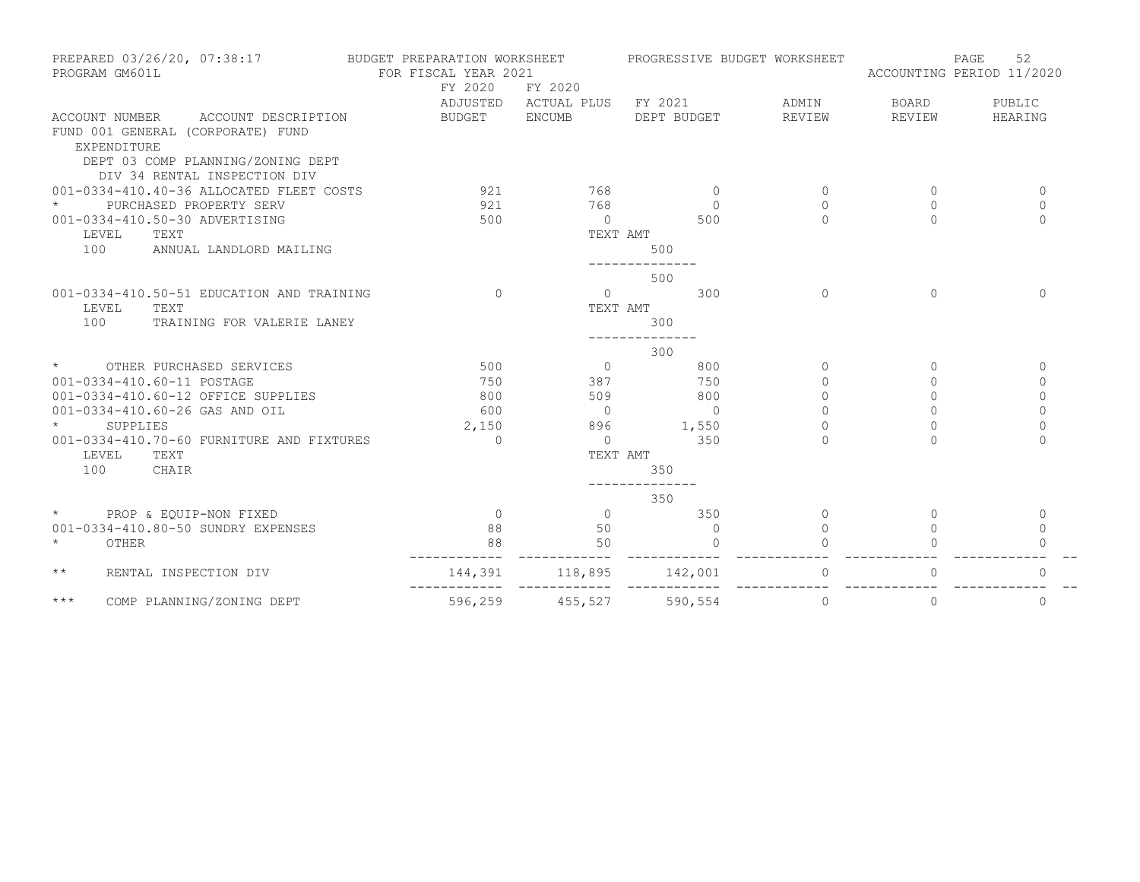| PREPARED 03/26/20, 07:38:17<br>PROGRAM GM601L                                             | BUDGET PREPARATION WORKSHEET<br>FOR FISCAL YEAR 2021<br>FY 2020 | FY 2020                                       | PROGRESSIVE BUDGET WORKSHEET |                 | ACCOUNTING PERIOD 11/2020 | 52<br>PAGE        |
|-------------------------------------------------------------------------------------------|-----------------------------------------------------------------|-----------------------------------------------|------------------------------|-----------------|---------------------------|-------------------|
| ACCOUNT DESCRIPTION<br>ACCOUNT NUMBER<br>FUND 001 GENERAL (CORPORATE) FUND<br>EXPENDITURE | <b>BUDGET</b>                                                   | ADJUSTED ACTUAL PLUS FY 2021<br><b>ENCUMB</b> | DEPT BUDGET                  | ADMIN<br>REVIEW | BOARD<br>REVIEW           | PUBLIC<br>HEARING |
| DEPT 03 COMP PLANNING/ZONING DEPT                                                         |                                                                 |                                               |                              |                 |                           |                   |
| DIV 34 RENTAL INSPECTION DIV                                                              |                                                                 |                                               |                              |                 |                           |                   |
| 001-0334-410.40-36 ALLOCATED FLEET COSTS                                                  | 921                                                             | 768                                           | $\overline{0}$               | $\circ$         | $\circ$                   | $\mathbf{0}$      |
| $\star$<br>PURCHASED PROPERTY SERV                                                        | 921                                                             | 768                                           | $\Omega$                     | $\Omega$        | 0                         | $\mathbf{0}$      |
| 001-0334-410.50-30 ADVERTISING                                                            | 500                                                             | $\bigcirc$                                    | 500                          | $\bigcap$       | $\Omega$                  | $\Omega$          |
| TEXT<br>LEVEL                                                                             |                                                                 | TEXT AMT                                      |                              |                 |                           |                   |
| 100<br>ANNUAL LANDLORD MAILING                                                            |                                                                 |                                               | 500                          |                 |                           |                   |
|                                                                                           |                                                                 |                                               | 500                          |                 |                           |                   |
| 001-0334-410.50-51 EDUCATION AND TRAINING                                                 | $\cap$                                                          | $\Omega$                                      | 300                          | $\Omega$        | $\Omega$                  | $\Omega$          |
| LEVEL<br>TEXT                                                                             |                                                                 | TEXT AMT                                      |                              |                 |                           |                   |
| 100<br>TRAINING FOR VALERIE LANEY                                                         |                                                                 |                                               | 300                          |                 |                           |                   |
|                                                                                           |                                                                 |                                               | 300                          |                 |                           |                   |
| $\star$<br>OTHER PURCHASED SERVICES                                                       | 500                                                             | $\Omega$                                      | 800                          | $\Omega$        | $\Omega$                  | $\Omega$          |
| 001-0334-410.60-11 POSTAGE                                                                | 750                                                             | 387                                           | 750                          | $\Omega$        | $\cap$                    | $\Omega$          |
| 001-0334-410.60-12 OFFICE SUPPLIES                                                        | 800                                                             | 509                                           | 800                          | $\Omega$        | $\Omega$                  | $\Omega$          |
| 001-0334-410.60-26 GAS AND OIL                                                            | 600                                                             | $\bigcirc$                                    | $\Omega$                     | $\Omega$        | $\Omega$                  | $\Omega$          |
|                                                                                           |                                                                 |                                               |                              | $\Omega$        |                           |                   |
| SUPPLIES                                                                                  | 2,150                                                           | 896                                           | 1,550                        |                 | $\Omega$                  | $\Omega$          |
| 001-0334-410.70-60 FURNITURE AND FIXTURES                                                 | $\bigcap$                                                       | $\overline{0}$                                | 350                          | $\Omega$        | $\cap$                    | $\Omega$          |
| TEXT<br>LEVEL                                                                             |                                                                 | TEXT AMT                                      |                              |                 |                           |                   |
| 100<br>CHAIR                                                                              |                                                                 |                                               | 350                          |                 |                           |                   |
|                                                                                           |                                                                 |                                               | 350                          |                 |                           |                   |
| * PROP & EQUIP-NON FIXED                                                                  | $\Omega$                                                        | $\Omega$                                      | 350                          | $\Omega$        | $\Omega$                  | 0                 |
| 001-0334-410.80-50 SUNDRY EXPENSES                                                        | 88                                                              | 50                                            | $\overline{0}$               | $\Omega$        | $\Omega$                  | $\mathbf 0$       |
| $\star$<br>OTHER                                                                          | 88                                                              | 50                                            | $\Omega$                     |                 |                           | $\Omega$          |
| $\star\star$<br>RENTAL INSPECTION DIV                                                     | 144,391                                                         | 118,895                                       | 142,001                      | $\mathbf 0$     | $\mathbf{0}$              | 0                 |
| $***$<br>COMP PLANNING/ZONING DEPT                                                        | 596,259                                                         | 455,527                                       | 590,554                      | $\circ$         | $\circ$                   | $\mathbf{0}$      |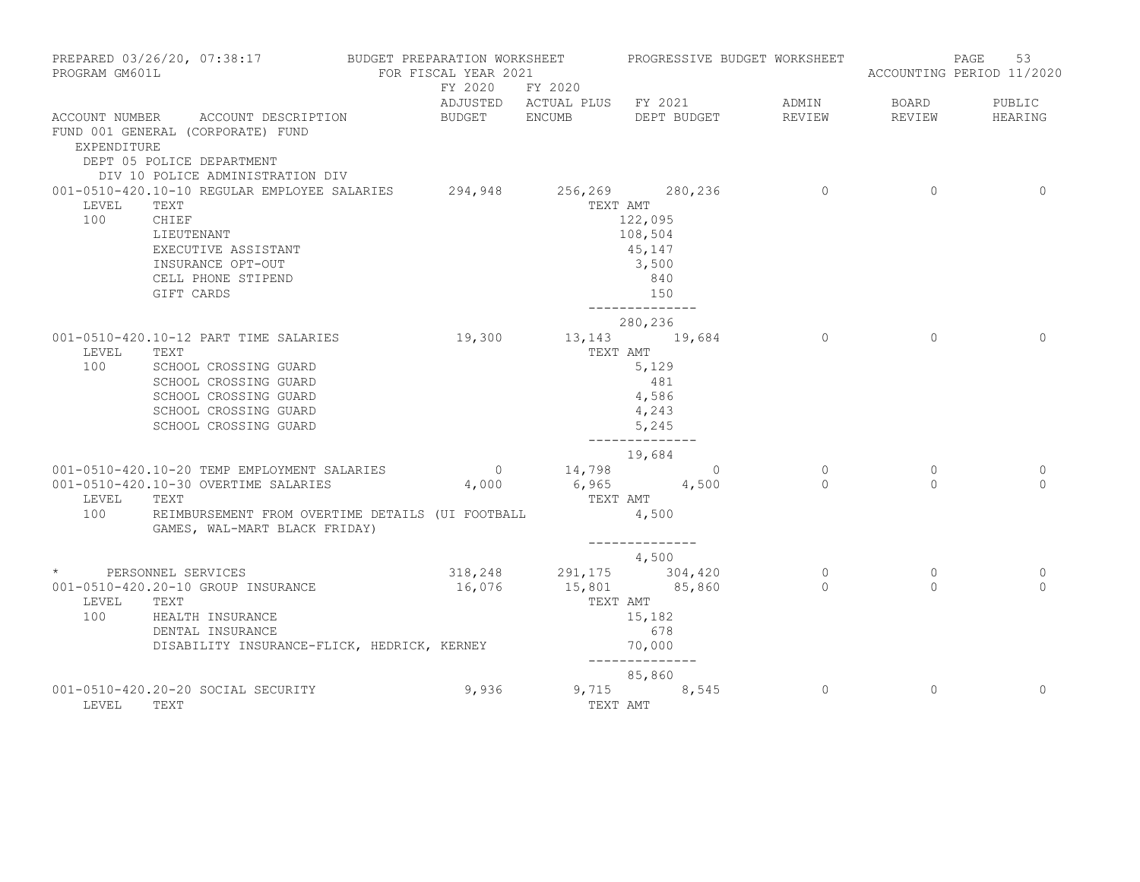| PREPARED 03/26/20, 07:38:17 BUDGET PREPARATION WORKSHEET PROGRESSIVE BUDGET WORKSHEET<br>PROGRAM GM601L |                                                                                                                                                                                             | FOR FISCAL YEAR 2021 |                                                       |                                                                                       |                                  |                     | PAGE<br>53<br>ACCOUNTING PERIOD 11/2020 |
|---------------------------------------------------------------------------------------------------------|---------------------------------------------------------------------------------------------------------------------------------------------------------------------------------------------|----------------------|-------------------------------------------------------|---------------------------------------------------------------------------------------|----------------------------------|---------------------|-----------------------------------------|
|                                                                                                         |                                                                                                                                                                                             |                      | FY 2020 FY 2020<br>ADJUSTED ACTUAL PLUS FY 2021 ADMIN |                                                                                       |                                  | BOARD               | PUBLIC                                  |
| EXPENDITURE                                                                                             | ACCOUNT NUMBER ACCOUNT DESCRIPTION<br>FUND 001 GENERAL (CORPORATE) FUND<br>DEPT 05 POLICE DEPARTMENT<br>DIV 10 POLICE ADMINISTRATION DIV                                                    |                      | BUDGET ENCUMB                                         | DEPT BUDGET                                                                           | REVIEW                           | REVIEW              | HEARING                                 |
| LEVEL<br>100                                                                                            | 001-0510-420.10-10 REGULAR EMPLOYEE SALARIES 294,948 256,269 280,236<br>TEXT<br>CHIEF<br>LIEUTENANT<br>EXECUTIVE ASSISTANT<br>INSURANCE OPT-OUT<br>CELL PHONE STIPEND<br>GIFT CARDS         |                      |                                                       | TEXT AMT<br>122,095<br>108,504<br>45,147<br>3,500<br>840<br>150<br>--------------     | $\overline{0}$                   | $\Omega$            | $\Omega$                                |
| LEVEL<br>100                                                                                            | 001-0510-420.10-12 PART TIME SALARIES<br>TEXT<br>SCHOOL CROSSING GUARD<br>SCHOOL CROSSING GUARD<br>SCHOOL CROSSING GUARD<br>SCHOOL CROSSING GUARD<br>SCHOOL CROSSING GUARD                  | 19,300 13,143 19,684 | TEXT AMT                                              | 280,236<br>5,129<br>481<br>4,586<br>4,243<br>5,245<br>--------------                  | $\overline{0}$                   | $\Omega$            | $\Omega$                                |
| LEVEL<br>100                                                                                            | 001-0510-420.10-20 TEMP EMPLOYMENT SALARIES 0 14,798 0<br>001-0510-420.10-30 OVERTIME SALARIES<br>TEXT<br>REIMBURSEMENT FROM OVERTIME DETAILS (UI FOOTBALL<br>GAMES, WAL-MART BLACK FRIDAY) | 4,000                | $6,965$ $4,500$<br>TEXT AMT                           | 19,684<br>4,500                                                                       | $\overline{0}$<br>$\overline{a}$ | $\circ$<br>$\Omega$ | 0<br>$\Omega$                           |
| LEVEL<br>100                                                                                            | * PERSONNEL SERVICES<br>001-0510-420.20-10 GROUP INSURANCE<br>TEXT<br>HEALTH INSURANCE<br>DENTAL INSURANCE<br>DISABILITY INSURANCE-FLICK, HEDRICK, KERNEY                                   | 16,076               | $318,248$ $291,175$ $304,420$<br>TEXT AMT             | --------------<br>4,500<br>15,801 85,860<br>15,182<br>678<br>70,000<br>-------------- | $\overline{0}$<br>$\Omega$       | $\circ$<br>$\Omega$ | 0<br>$\Omega$                           |
| LEVEL                                                                                                   | 001-0510-420.20-20 SOCIAL SECURITY<br>TEXT                                                                                                                                                  | 9,936                |                                                       | 85,860<br>9,715 8,545<br>TEXT AMT                                                     | $\circ$                          | $\circ$             | $\Omega$                                |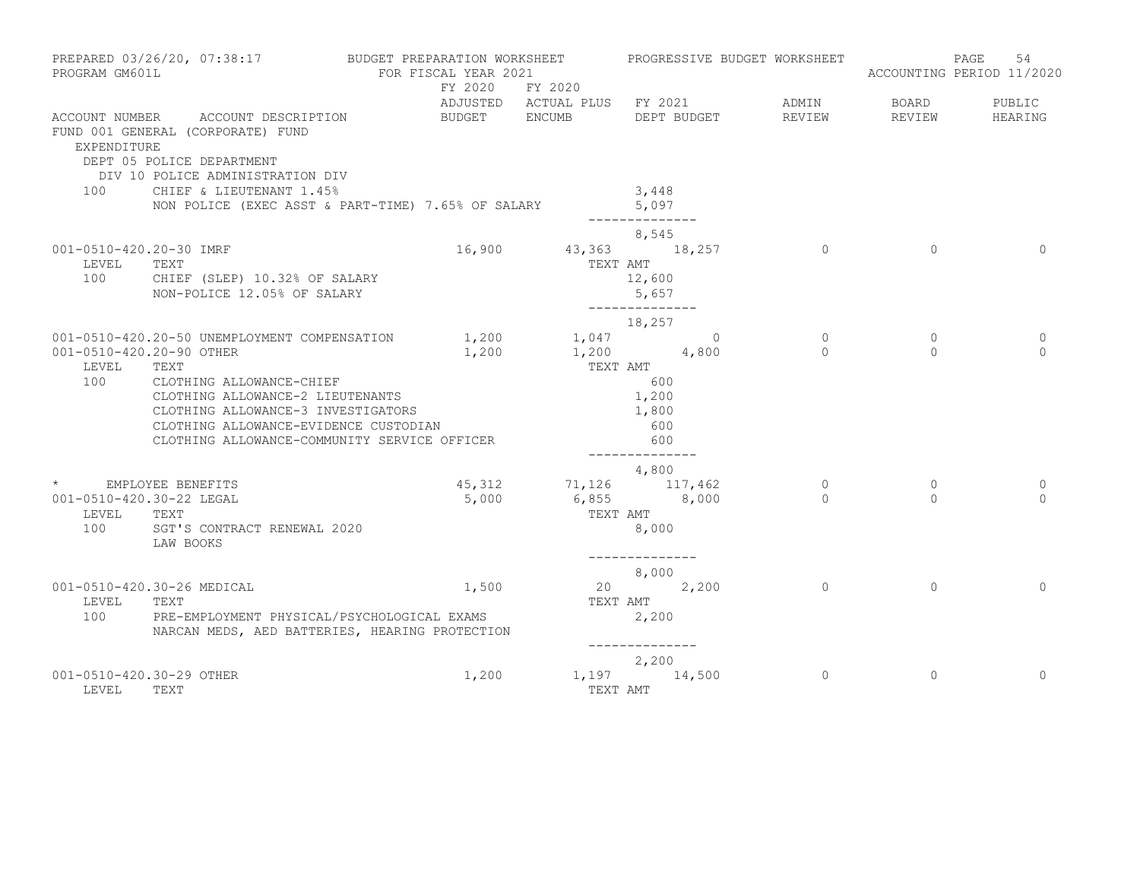| PROGRAM GM601L                                                  | PREPARED 03/26/20, 07:38:17 BUDGET PREPARATION WORKSHEET                                                                                                                                            | FOR FISCAL YEAR 2021<br>FY 2020 FY 2020 |          | PROGRESSIVE BUDGET WORKSHEET                         |                     |                      | 54<br>PAGE<br>ACCOUNTING PERIOD 11/2020 |
|-----------------------------------------------------------------|-----------------------------------------------------------------------------------------------------------------------------------------------------------------------------------------------------|-----------------------------------------|----------|------------------------------------------------------|---------------------|----------------------|-----------------------------------------|
|                                                                 |                                                                                                                                                                                                     |                                         |          | ADJUSTED ACTUAL PLUS FY 2021                         | ADMIN               | <b>BOARD</b>         | PUBLIC                                  |
| EXPENDITURE                                                     | ACCOUNT NUMBER ACCOUNT DESCRIPTION<br>FUND 001 GENERAL (CORPORATE) FUND<br>DEPT 05 POLICE DEPARTMENT<br>DIV 10 POLICE ADMINISTRATION DIV                                                            | BUDGET ENCUMB                           |          | DEPT BUDGET                                          | REVIEW              | REVIEW               | HEARING                                 |
| 100                                                             | CHIEF & LIEUTENANT 1.45%<br>NON POLICE (EXEC ASST & PART-TIME) 7.65% OF SALARY                                                                                                                      |                                         |          | 3,448<br>5,097<br>--------------                     |                     |                      |                                         |
| 001-0510-420.20-30 IMRF<br>LEVEL<br>100                         | TEXT<br>CHIEF (SLEP) 10.32% OF SALARY<br>NON-POLICE 12.05% OF SALARY                                                                                                                                |                                         | TEXT AMT | 8,545<br>16,900 43,363 18,257<br>12,600<br>5,657     | $\sim$ 0            | $\overline{0}$       | $\Omega$                                |
|                                                                 |                                                                                                                                                                                                     |                                         |          | --------------                                       |                     |                      |                                         |
| 001-0510-420.20-90 OTHER                                        | 001-0510-420.20-50 UNEMPLOYMENT COMPENSATION                                                                                                                                                        | $1,200$ $1,047$ 0<br>1,200              |          | 18,257<br>$1,200$ 4,800                              | $\circ$<br>$\Omega$ | $\circ$<br>$\bigcap$ | 0<br>$\Omega$                           |
| LEVEL<br>100                                                    | TEXT<br>CLOTHING ALLOWANCE-CHIEF<br>CLOTHING ALLOWANCE-2 LIEUTENANTS<br>CLOTHING ALLOWANCE-3 INVESTIGATORS<br>CLOTHING ALLOWANCE-EVIDENCE CUSTODIAN<br>CLOTHING ALLOWANCE-COMMUNITY SERVICE OFFICER |                                         | TEXT AMT | 600<br>1,200<br>1,800<br>600<br>600                  |                     |                      |                                         |
|                                                                 |                                                                                                                                                                                                     |                                         |          | --------------<br>4,800                              |                     |                      |                                         |
| * EMPLOYEE BENEFITS<br>001-0510-420.30-22 LEGAL<br>LEVEL<br>100 | TEXT<br>SGT'S CONTRACT RENEWAL 2020<br>LAW BOOKS                                                                                                                                                    | 5,000                                   | TEXT AMT | 45, 312 71, 126 117, 462<br>$6,855$ $8,000$<br>8,000 | $\circ$<br>$\Omega$ | $\circ$<br>$\Omega$  | $\Omega$<br>$\Omega$                    |
|                                                                 |                                                                                                                                                                                                     |                                         |          | --------------<br>8,000                              |                     |                      |                                         |
| LEVEL<br>100                                                    | 001-0510-420.30-26 MEDICAL<br>TEXT<br>PRE-EMPLOYMENT PHYSICAL/PSYCHOLOGICAL EXAMS<br>NARCAN MEDS, AED BATTERIES, HEARING PROTECTION                                                                 | 1,500                                   | TEXT AMT | 20 2,200<br>2,200                                    | $\Omega$            | $\Omega$             | $\Omega$                                |
|                                                                 |                                                                                                                                                                                                     |                                         |          | 2,200                                                |                     |                      |                                         |
| 001-0510-420.30-29 OTHER<br>LEVEL                               | TEXT                                                                                                                                                                                                | 1,200                                   |          | 1,197 14,500<br>TEXT AMT                             | $\Omega$            | $\Omega$             | $\Omega$                                |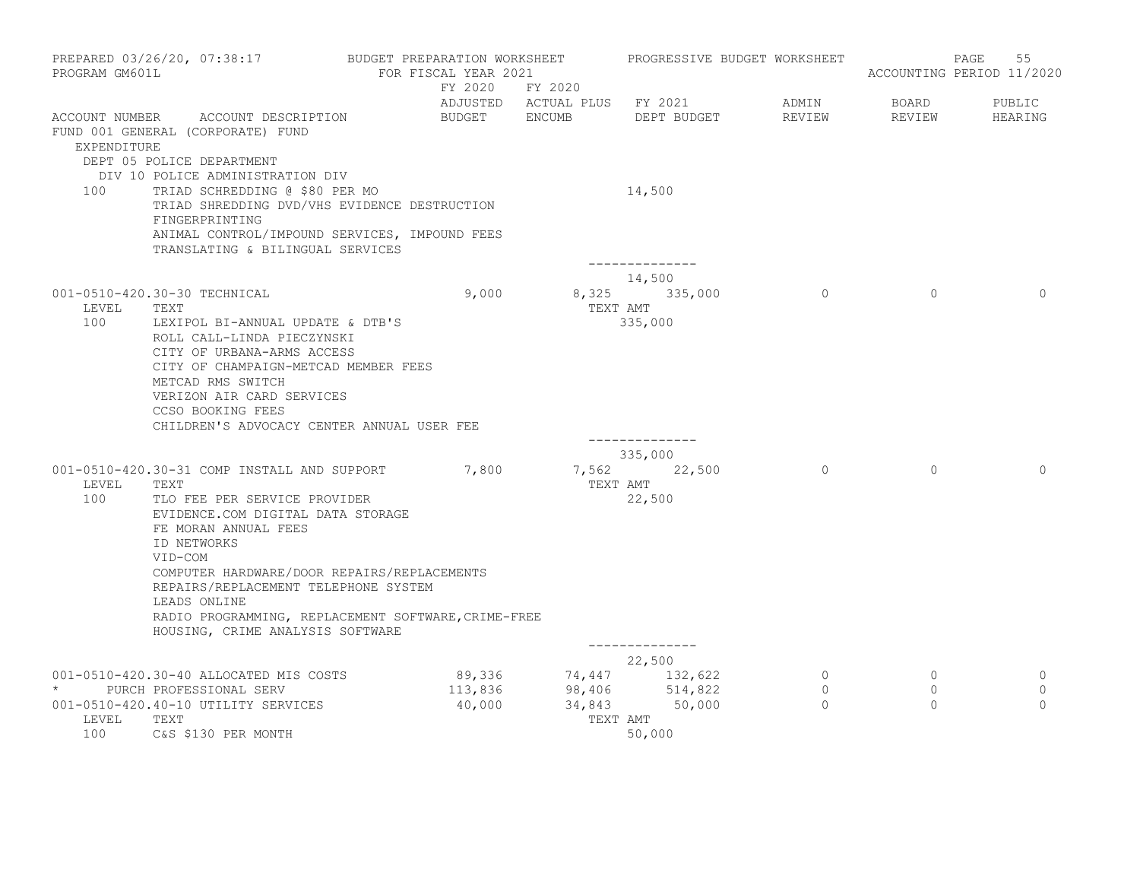| PREPARED 03/26/20, 07:38:17<br>PROGRAM GM601L                                                                                                                                                                                                                       | BUDGET PREPARATION WORKSHEET<br>FOR FISCAL YEAR 2021 |                                                                                                    | PROGRESSIVE BUDGET WORKSHEET          |                                        | PAGE<br>55<br>ACCOUNTING PERIOD 11/2020 |
|---------------------------------------------------------------------------------------------------------------------------------------------------------------------------------------------------------------------------------------------------------------------|------------------------------------------------------|----------------------------------------------------------------------------------------------------|---------------------------------------|----------------------------------------|-----------------------------------------|
| ACCOUNT NUMBER ACCOUNT DESCRIPTION<br>FUND 001 GENERAL (CORPORATE) FUND<br><b>EXPENDITURE</b>                                                                                                                                                                       | FY 2020 FY 2020<br>BUDGET ENCUMB                     | ADJUSTED ACTUAL PLUS FY 2021<br>DEPT BUDGET                                                        | ADMIN<br>REVIEW                       | BOARD<br>REVIEW                        | PUBLIC<br>HEARING                       |
| DEPT 05 POLICE DEPARTMENT<br>DIV 10 POLICE ADMINISTRATION DIV<br>TRIAD SCHREDDING @ \$80 PER MO<br>100<br>TRIAD SHREDDING DVD/VHS EVIDENCE DESTRUCTION<br>FINGERPRINTING<br>ANIMAL CONTROL/IMPOUND SERVICES, IMPOUND FEES<br>TRANSLATING & BILINGUAL SERVICES       |                                                      | 14,500<br>--------------                                                                           |                                       |                                        |                                         |
| 001-0510-420.30-30 TECHNICAL<br>LEVEL<br>TEXT<br>100<br>LEXIPOL BI-ANNUAL UPDATE & DTB'S<br>ROLL CALL-LINDA PIECZYNSKI<br>CITY OF URBANA-ARMS ACCESS<br>CITY OF CHAMPAIGN-METCAD MEMBER FEES<br>METCAD RMS SWITCH<br>VERIZON AIR CARD SERVICES<br>CCSO BOOKING FEES | 9,000                                                | 14,500<br>8,325 335,000<br>TEXT AMT<br>335,000                                                     | $\overline{0}$                        | $\Omega$                               | $\Omega$                                |
| CHILDREN'S ADVOCACY CENTER ANNUAL USER FEE                                                                                                                                                                                                                          |                                                      | --------------                                                                                     |                                       |                                        |                                         |
| 001-0510-420.30-31 COMP INSTALL AND SUPPORT 7,800<br>LEVEL<br>TEXT<br>100<br>TLO FEE PER SERVICE PROVIDER<br>EVIDENCE.COM DIGITAL DATA STORAGE<br>FE MORAN ANNUAL FEES<br>ID NETWORKS                                                                               |                                                      | 335,000<br>7,562 22,500<br>TEXT AMT<br>22,500                                                      | $\overline{0}$                        | $\circ$                                | $\Omega$                                |
| VID-COM<br>COMPUTER HARDWARE/DOOR REPAIRS/REPLACEMENTS<br>REPAIRS/REPLACEMENT TELEPHONE SYSTEM<br>LEADS ONLINE<br>RADIO PROGRAMMING, REPLACEMENT SOFTWARE, CRIME-FREE<br>HOUSING, CRIME ANALYSIS SOFTWARE                                                           |                                                      | ______________                                                                                     |                                       |                                        |                                         |
|                                                                                                                                                                                                                                                                     |                                                      | 22,500                                                                                             |                                       |                                        |                                         |
| 001-0510-420.30-40 ALLOCATED MIS COSTS<br>PURCH PROFESSIONAL SERV<br>$\star$<br>001-0510-420.40-10 UTILITY SERVICES<br>LEVEL<br>TEXT<br>100<br>C&S \$130 PER MONTH                                                                                                  | 40,000                                               | $89,336$ $74,447$ $132,622$<br>$113,836$ $98,406$ $514,822$<br>34,843 50,000<br>TEXT AMT<br>50,000 | $\overline{0}$<br>$\circ$<br>$\Omega$ | $\overline{0}$<br>$\Omega$<br>$\Omega$ | 0<br>$\mathbf 0$<br>$\Omega$            |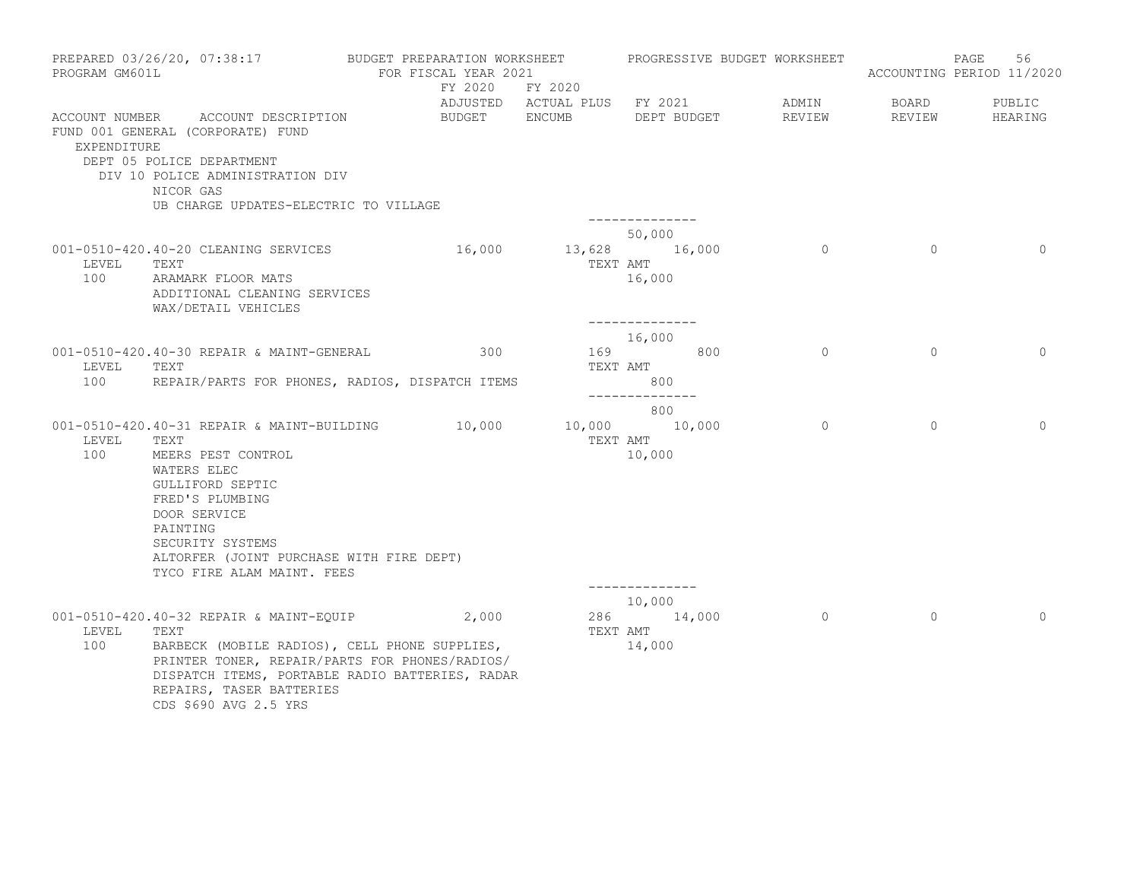| PREPARED 03/26/20, 07:38:17<br>PROGRAM GM601L                                                                                                                                                  |                                                                                                                                                                                                         | BUDGET PREPARATION WORKSHEET<br>FOR FISCAL YEAR 2021<br>FY 2020 FY 2020 |          |                                                                       | PROGRESSIVE BUDGET WORKSHEET |                        | PAGE<br>56<br>ACCOUNTING PERIOD 11/2020 |
|------------------------------------------------------------------------------------------------------------------------------------------------------------------------------------------------|---------------------------------------------------------------------------------------------------------------------------------------------------------------------------------------------------------|-------------------------------------------------------------------------|----------|-----------------------------------------------------------------------|------------------------------|------------------------|-----------------------------------------|
| ACCOUNT NUMBER ACCOUNT DESCRIPTION<br>FUND 001 GENERAL (CORPORATE) FUND<br>EXPENDITURE<br>DEPT 05 POLICE DEPARTMENT<br>DIV 10 POLICE ADMINISTRATION DIV<br>NICOR GAS                           | UB CHARGE UPDATES-ELECTRIC TO VILLAGE                                                                                                                                                                   | BUDGET ENCUMB                                                           |          | ADJUSTED ACTUAL PLUS FY 2021<br>DEPT BUDGET                           | ADMIN<br>REVIEW              | <b>BOARD</b><br>REVIEW | PUBLIC<br>HEARING                       |
| 001-0510-420.40-20 CLEANING SERVICES<br>LEVEL<br>TEXT<br>100<br>ARAMARK FLOOR MATS                                                                                                             | ADDITIONAL CLEANING SERVICES<br>WAX/DETAIL VEHICLES                                                                                                                                                     | 16,000                                                                  | TEXT AMT | --------------<br>50,000<br>13,628 16,000<br>16,000<br>-------------- | $\overline{0}$               | $\circ$                | $\Omega$                                |
| 001-0510-420.40-30 REPAIR & MAINT-GENERAL<br>LEVEL<br>TEXT<br>100                                                                                                                              | REPAIR/PARTS FOR PHONES, RADIOS, DISPATCH ITEMS                                                                                                                                                         | 300                                                                     | TEXT AMT | 16,000<br>169 800<br>800<br>--------------                            | $\Omega$                     | $\Omega$               | $\Omega$                                |
| 001-0510-420.40-31 REPAIR & MAINT-BUILDING<br>LEVEL<br>TEXT<br>100<br>MEERS PEST CONTROL<br>WATERS ELEC<br>GULLIFORD SEPTIC<br>FRED'S PLUMBING<br>DOOR SERVICE<br>PAINTING<br>SECURITY SYSTEMS | ALTORFER (JOINT PURCHASE WITH FIRE DEPT)<br>TYCO FIRE ALAM MAINT. FEES                                                                                                                                  | 10,000                                                                  | TEXT AMT | 800<br>10,000 10,000<br>10,000                                        | $\circ$                      | $\Omega$               | $\Omega$                                |
| 001-0510-420.40-32 REPAIR & MAINT-EQUIP 2,000<br>LEVEL<br>TEXT<br>100                                                                                                                          | BARBECK (MOBILE RADIOS), CELL PHONE SUPPLIES,<br>PRINTER TONER, REPAIR/PARTS FOR PHONES/RADIOS/<br>DISPATCH ITEMS, PORTABLE RADIO BATTERIES, RADAR<br>REPAIRS, TASER BATTERIES<br>CDS \$690 AVG 2.5 YRS |                                                                         | TEXT AMT | ______________<br>10,000<br>286 14,000<br>14,000                      | $\overline{0}$               | $\Omega$               | $\Omega$                                |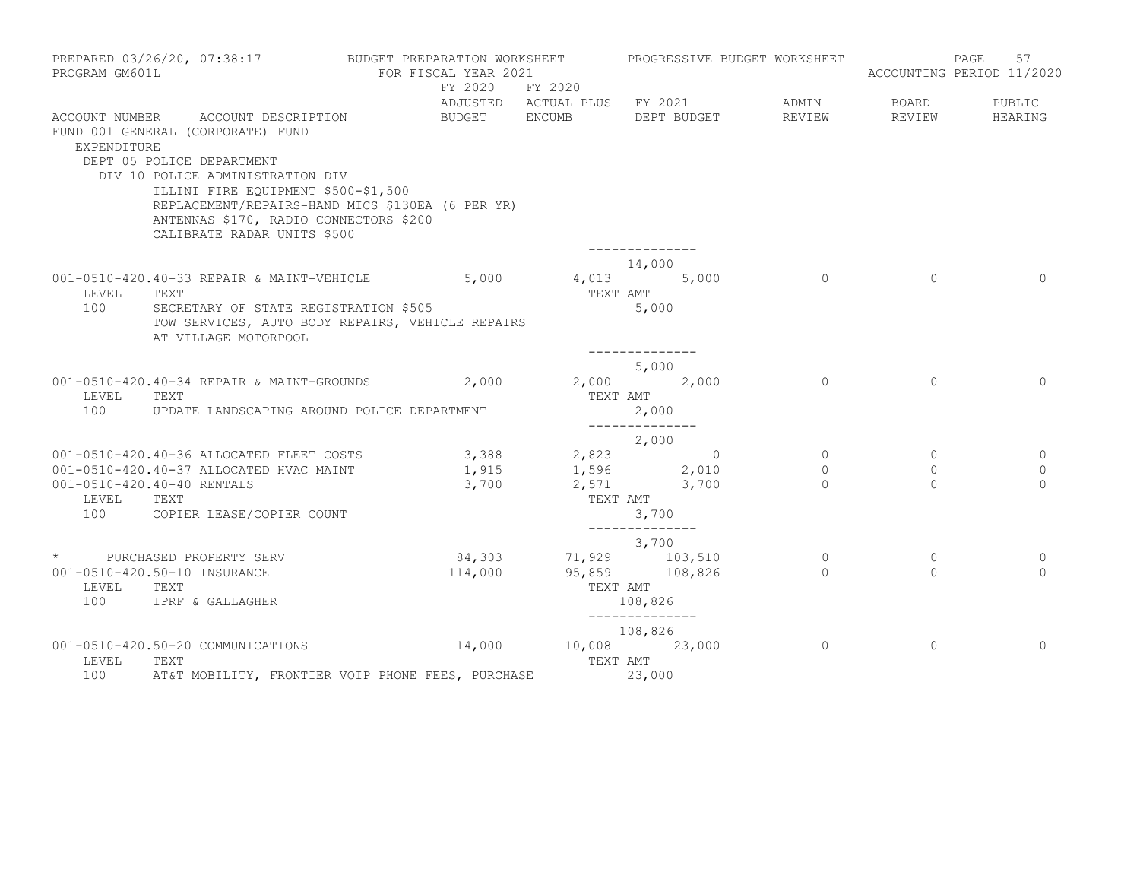| PROGRAM GM601L | PREPARED 03/26/20, 07:38:17                                                                                                                                                                                                                                                                                  | BUDGET PREPARATION WORKSHEET<br>FOR FISCAL YEAR 2021 |                            |                                                            |                         |             | PROGRESSIVE BUDGET WORKSHEET | ACCOUNTING PERIOD 11/2020  | PAGE | 57                 |
|----------------|--------------------------------------------------------------------------------------------------------------------------------------------------------------------------------------------------------------------------------------------------------------------------------------------------------------|------------------------------------------------------|----------------------------|------------------------------------------------------------|-------------------------|-------------|------------------------------|----------------------------|------|--------------------|
|                |                                                                                                                                                                                                                                                                                                              |                                                      |                            | FY 2020 FY 2020<br>ADJUSTED ACTUAL PLUS FY 2021            |                         |             | ADMIN                        | BOARD                      |      | PUBLIC             |
| EXPENDITURE    | ACCOUNT NUMBER ACCOUNT DESCRIPTION<br>FUND 001 GENERAL (CORPORATE) FUND<br>DEPT 05 POLICE DEPARTMENT<br>DIV 10 POLICE ADMINISTRATION DIV<br>ILLINI FIRE EQUIPMENT \$500-\$1,500<br>REPLACEMENT/REPAIRS-HAND MICS \$130EA (6 PER YR)<br>ANTENNAS \$170, RADIO CONNECTORS \$200<br>CALIBRATE RADAR UNITS \$500 | BUDGET ENCUMB                                        |                            |                                                            | --------------          | DEPT BUDGET | REVIEW                       | REVIEW                     |      | HEARING            |
|                |                                                                                                                                                                                                                                                                                                              |                                                      |                            |                                                            | 14,000                  |             |                              |                            |      |                    |
| LEVEL<br>100   | 001-0510-420.40-33 REPAIR & MAINT-VEHICLE 5,000<br>TEXT<br>SECRETARY OF STATE REGISTRATION \$505<br>TOW SERVICES, AUTO BODY REPAIRS, VEHICLE REPAIRS<br>AT VILLAGE MOTORPOOL                                                                                                                                 |                                                      |                            | $4,013$ 5,000<br>TEXT AMT                                  | 5,000                   |             | $\sim$ 0                     | $\overline{0}$             |      | $\Omega$           |
|                |                                                                                                                                                                                                                                                                                                              |                                                      |                            |                                                            | --------------<br>5,000 |             |                              |                            |      |                    |
| LEVEL<br>100   | 001-0510-420.40-34 REPAIR & MAINT-GROUNDS 2,000 2,000 2,000 2,000<br>TEXT<br>UPDATE LANDSCAPING AROUND POLICE DEPARTMENT                                                                                                                                                                                     |                                                      |                            | TEXT AMT                                                   | 2,000                   |             | $\Omega$                     | $\Omega$                   |      | $\Omega$           |
|                |                                                                                                                                                                                                                                                                                                              |                                                      |                            |                                                            | --------------<br>2,000 |             |                              |                            |      |                    |
|                | 001-0510-420.40-36 ALLOCATED FLEET COSTS<br>001-0510-420.40-37 ALLOCATED HVAC MAINT                                                                                                                                                                                                                          |                                                      |                            | $3,388$ $2,823$ 0<br>1,915 1,596 2,010                     |                         |             | $\overline{0}$<br>$\Omega$   | $\overline{0}$<br>$\Omega$ |      | $\circ$<br>$\circ$ |
| LEVEL<br>100   | 001-0510-420.40-40 RENTALS<br>TEXT<br>COPIER LEASE/COPIER COUNT                                                                                                                                                                                                                                              |                                                      |                            | $3,700$ $2,571$ $3,700$<br>TEXT AMT                        | 3,700                   |             | $\Omega$                     | $\Omega$                   |      | $\Omega$           |
|                |                                                                                                                                                                                                                                                                                                              |                                                      |                            |                                                            | --------------          |             |                              |                            |      |                    |
|                | * PURCHASED PROPERTY SERV                                                                                                                                                                                                                                                                                    |                                                      |                            |                                                            | 3,700                   |             | $\overline{0}$               | $\circ$                    |      | $\circ$            |
| LEVEL<br>100   | 001-0510-420.50-10 INSURANCE<br>TEXT<br>IPRF & GALLAGHER                                                                                                                                                                                                                                                     |                                                      |                            | $84,303$<br>$114,000$<br>$95,859$<br>$108,826$<br>TEXT AMT | 108,826                 |             | $\Omega$                     | $\Omega$                   |      | $\Omega$           |
|                |                                                                                                                                                                                                                                                                                                              |                                                      | _______________<br>108,826 |                                                            |                         |             |                              |                            |      |                    |
| LEVEL<br>100   | 001-0510-420.50-20 COMMUNICATIONS<br>TEXT<br>AT&T MOBILITY, FRONTIER VOIP PHONE FEES, PURCHASE 23,000                                                                                                                                                                                                        | $14,000$ $10,008$ $23,000$                           |                            | TEXT AMT                                                   |                         |             | $\circ$                      | $\circ$                    |      | $\Omega$           |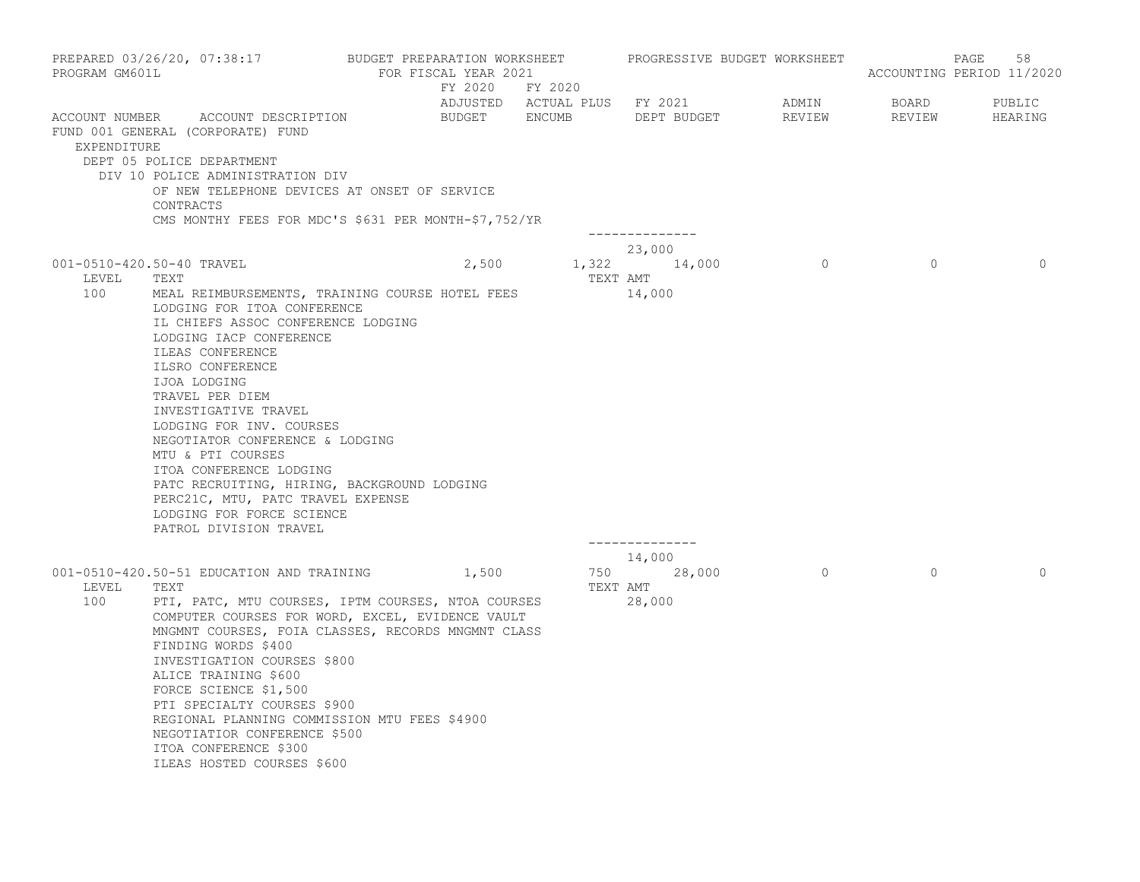| PROGRAM GM601L                | PREPARED 03/26/20, 07:38:17                                                                                                                                                                                                                                                                                                                                                                                                                               | BUDGET PREPARATION WORKSHEET | FOR FISCAL YEAR 2021<br>FY 2020 FY 2020 |                              |                        | PROGRESSIVE BUDGET WORKSHEET |                 | 58<br>PAGE<br>ACCOUNTING PERIOD 11/2020 |
|-------------------------------|-----------------------------------------------------------------------------------------------------------------------------------------------------------------------------------------------------------------------------------------------------------------------------------------------------------------------------------------------------------------------------------------------------------------------------------------------------------|------------------------------|-----------------------------------------|------------------------------|------------------------|------------------------------|-----------------|-----------------------------------------|
| ACCOUNT NUMBER<br>EXPENDITURE | ACCOUNT DESCRIPTION<br>FUND 001 GENERAL (CORPORATE) FUND                                                                                                                                                                                                                                                                                                                                                                                                  |                              | BUDGET ENCUMB                           | ADJUSTED ACTUAL PLUS FY 2021 | DEPT BUDGET            | ADMIN<br>REVIEW              | BOARD<br>REVIEW | PUBLIC<br>HEARING                       |
|                               | DEPT 05 POLICE DEPARTMENT<br>DIV 10 POLICE ADMINISTRATION DIV<br>OF NEW TELEPHONE DEVICES AT ONSET OF SERVICE<br>CONTRACTS<br>CMS MONTHY FEES FOR MDC'S \$631 PER MONTH-\$7,752/YR                                                                                                                                                                                                                                                                        |                              |                                         |                              | --------------         |                              |                 |                                         |
|                               |                                                                                                                                                                                                                                                                                                                                                                                                                                                           |                              |                                         |                              | 23,000                 |                              |                 |                                         |
| LEVEL<br>100                  | 001-0510-420.50-40 TRAVEL<br>TEXT<br>MEAL REIMBURSEMENTS, TRAINING COURSE HOTEL FEES                                                                                                                                                                                                                                                                                                                                                                      |                              | 2,500                                   | TEXT AMT                     | 1,322 14,000<br>14,000 | $\circ$                      | $\mathbf{0}$    | $\Omega$                                |
|                               | LODGING FOR ITOA CONFERENCE<br>IL CHIEFS ASSOC CONFERENCE LODGING<br>LODGING IACP CONFERENCE<br>ILEAS CONFERENCE<br>ILSRO CONFERENCE<br>IJOA LODGING<br>TRAVEL PER DIEM<br>INVESTIGATIVE TRAVEL<br>LODGING FOR INV. COURSES<br>NEGOTIATOR CONFERENCE & LODGING<br>MTU & PTI COURSES<br>ITOA CONFERENCE LODGING<br>PATC RECRUITING, HIRING, BACKGROUND LODGING<br>PERC21C, MTU, PATC TRAVEL EXPENSE<br>LODGING FOR FORCE SCIENCE<br>PATROL DIVISION TRAVEL |                              |                                         |                              | --------------         |                              |                 |                                         |
| LEVEL<br>100                  | 001-0510-420.50-51 EDUCATION AND TRAINING<br>TEXT<br>PTI, PATC, MTU COURSES, IPTM COURSES, NTOA COURSES<br>COMPUTER COURSES FOR WORD, EXCEL, EVIDENCE VAULT<br>MNGMNT COURSES, FOIA CLASSES, RECORDS MNGMNT CLASS<br>FINDING WORDS \$400<br>INVESTIGATION COURSES \$800<br>ALICE TRAINING \$600<br>FORCE SCIENCE \$1,500<br>PTI SPECIALTY COURSES \$900<br>REGIONAL PLANNING COMMISSION MTU FEES \$4900<br>NEGOTIATIOR CONFERENCE \$500                   |                              | 1,500                                   | 750<br>TEXT AMT<br>28,000    | 14,000<br>28,000       | $\overline{0}$               | $\circ$         | $\Omega$                                |
|                               | ITOA CONFERENCE \$300<br>ILEAS HOSTED COURSES \$600                                                                                                                                                                                                                                                                                                                                                                                                       |                              |                                         |                              |                        |                              |                 |                                         |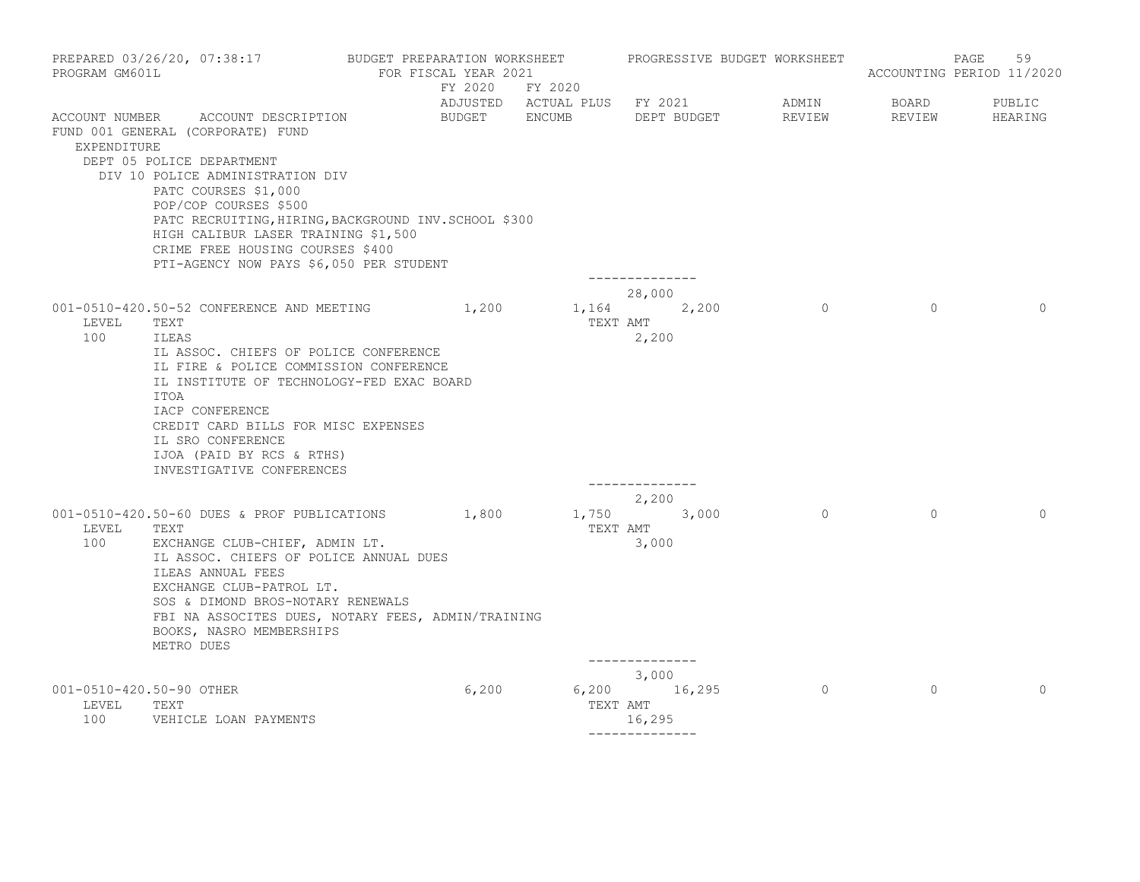| PROGRAM GM601L                           | PREPARED 03/26/20, 07:38:17 BUDGET PREPARATION WORKSHEET PROGRESSIVE BUDGET WORKSHEET                                                                                                                                                                                                                                                                                    | FOR FISCAL YEAR 2021 |       | FY 2020 FY 2020                                           |                                   |                 |                 | 59<br>PAGE<br>ACCOUNTING PERIOD 11/2020 |
|------------------------------------------|--------------------------------------------------------------------------------------------------------------------------------------------------------------------------------------------------------------------------------------------------------------------------------------------------------------------------------------------------------------------------|----------------------|-------|-----------------------------------------------------------|-----------------------------------|-----------------|-----------------|-----------------------------------------|
| EXPENDITURE                              | ACCOUNT NUMBER ACCOUNT DESCRIPTION<br>FUND 001 GENERAL (CORPORATE) FUND<br>DEPT 05 POLICE DEPARTMENT<br>DIV 10 POLICE ADMINISTRATION DIV<br>PATC COURSES \$1,000<br>POP/COP COURSES \$500<br>PATC RECRUITING, HIRING, BACKGROUND INV. SCHOOL \$300<br>HIGH CALIBUR LASER TRAINING \$1,500<br>CRIME FREE HOUSING COURSES \$400<br>PTI-AGENCY NOW PAYS \$6,050 PER STUDENT |                      |       | ADJUSTED ACTUAL PLUS FY 2021<br>BUDGET ENCUMB DEPT BUDGET | --------------                    | ADMIN<br>REVIEW | BOARD<br>REVIEW | PUBLIC<br>HEARING                       |
| LEVEL<br>100                             | 001-0510-420.50-52 CONFERENCE AND MEETING 1,200<br>TEXT<br>ILEAS<br>IL ASSOC. CHIEFS OF POLICE CONFERENCE<br>IL FIRE & POLICE COMMISSION CONFERENCE<br>IL INSTITUTE OF TECHNOLOGY-FED EXAC BOARD<br>ITOA<br>IACP CONFERENCE<br>CREDIT CARD BILLS FOR MISC EXPENSES<br>IL SRO CONFERENCE<br>IJOA (PAID BY RCS & RTHS)<br>INVESTIGATIVE CONFERENCES                        |                      |       | 1,164 2,200<br>TEXT AMT                                   | 28,000<br>2,200<br>-------------- | $\overline{a}$  | $\Omega$        | $\Omega$                                |
| LEVEL<br>100                             | 001-0510-420.50-60 DUES & PROF PUBLICATIONS 1,800<br>TEXT<br>EXCHANGE CLUB-CHIEF, ADMIN LT.<br>IL ASSOC. CHIEFS OF POLICE ANNUAL DUES<br>ILEAS ANNUAL FEES<br>EXCHANGE CLUB-PATROL LT.<br>SOS & DIMOND BROS-NOTARY RENEWALS<br>FBI NA ASSOCITES DUES, NOTARY FEES, ADMIN/TRAINING<br>BOOKS, NASRO MEMBERSHIPS<br>METRO DUES                                              |                      |       | 1,750 3,000<br>TEXT AMT                                   | 2,200<br>3,000<br>--------------  | $\overline{0}$  | $\Omega$        | $\Omega$                                |
| 001-0510-420.50-90 OTHER<br>LEVEL<br>100 | TEXT<br>VEHICLE LOAN PAYMENTS                                                                                                                                                                                                                                                                                                                                            |                      | 6,200 | $6,200$ 16,295<br>TEXT AMT                                | 3,000<br>16,295<br>-------------- | $\overline{0}$  | $\circ$         | $\Omega$                                |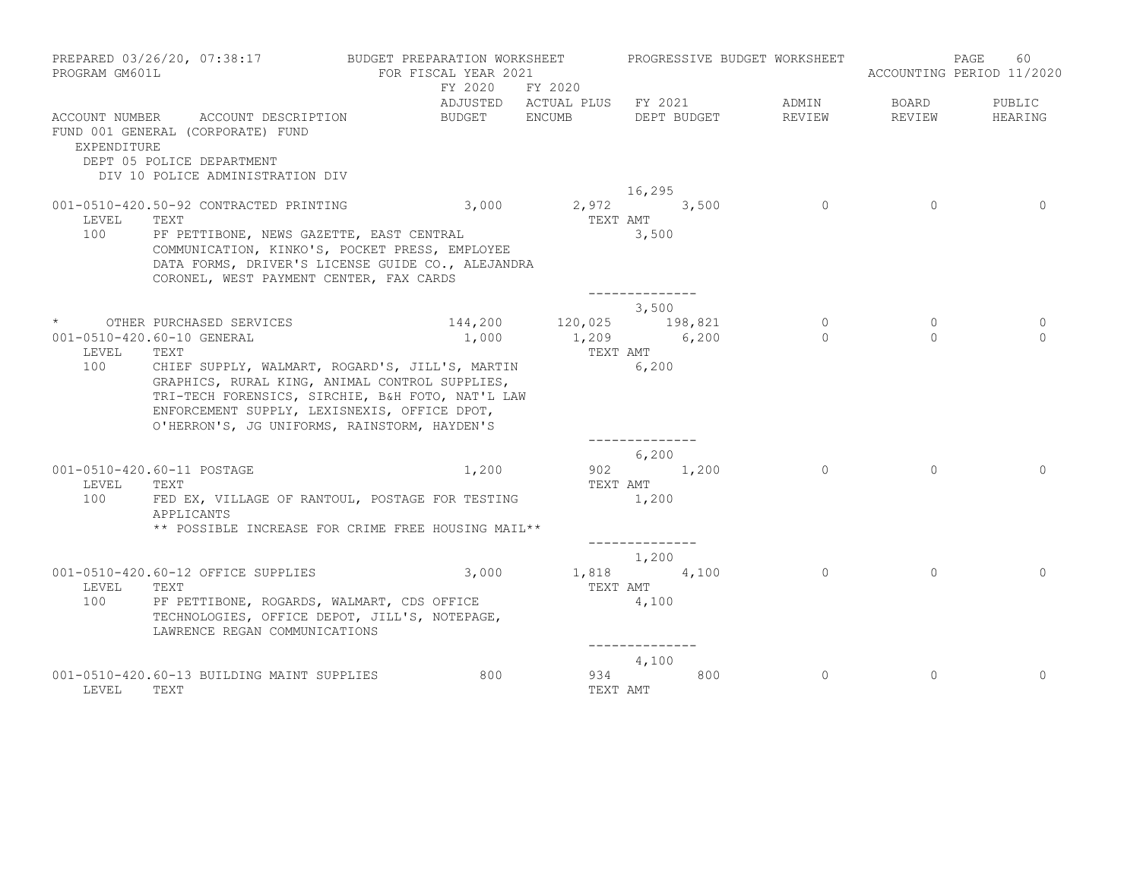| PROGRAM GM601L | PREPARED 03/26/20, 07:38:17                                                                                                                                                                                                                                                                                               | BUDGET PREPARATION WORKSHEET<br>FOR FISCAL YEAR 2021 |                 | PROGRESSIVE BUDGET WORKSHEET                                  |                            |                     | 60<br>PAGE<br>ACCOUNTING PERIOD 11/2020 |
|----------------|---------------------------------------------------------------------------------------------------------------------------------------------------------------------------------------------------------------------------------------------------------------------------------------------------------------------------|------------------------------------------------------|-----------------|---------------------------------------------------------------|----------------------------|---------------------|-----------------------------------------|
|                |                                                                                                                                                                                                                                                                                                                           | FY 2020 FY 2020                                      |                 | ADJUSTED ACTUAL PLUS FY 2021                                  | ADMIN                      | BOARD               | PUBLIC                                  |
| EXPENDITURE    | ACCOUNT NUMBER ACCOUNT DESCRIPTION<br>FUND 001 GENERAL (CORPORATE) FUND<br>DEPT 05 POLICE DEPARTMENT<br>DIV 10 POLICE ADMINISTRATION DIV                                                                                                                                                                                  | BUDGET ENCUMB                                        |                 | DEPT BUDGET                                                   | REVIEW                     | REVIEW              | HEARING                                 |
| LEVEL<br>100   | 001-0510-420.50-92 CONTRACTED PRINTING<br>TEXT<br>PF PETTIBONE, NEWS GAZETTE, EAST CENTRAL<br>COMMUNICATION, KINKO'S, POCKET PRESS, EMPLOYEE<br>DATA FORMS, DRIVER'S LICENSE GUIDE CO., ALEJANDRA<br>CORONEL, WEST PAYMENT CENTER, FAX CARDS                                                                              | 3,000                                                | TEXT AMT        | 16,295<br>2,972 3,500<br>3,500<br>. _ _ _ _ _ _ _ _ _ _ _ _ _ | $\overline{0}$             | $\Omega$            | $\Omega$                                |
| LEVEL<br>100   | * OTHER PURCHASED SERVICES<br>001-0510-420.60-10 GENERAL<br>TEXT<br>CHIEF SUPPLY, WALMART, ROGARD'S, JILL'S, MARTIN<br>GRAPHICS, RURAL KING, ANIMAL CONTROL SUPPLIES,<br>TRI-TECH FORENSICS, SIRCHIE, B&H FOTO, NAT'L LAW<br>ENFORCEMENT SUPPLY, LEXISNEXIS, OFFICE DPOT,<br>O'HERRON'S, JG UNIFORMS, RAINSTORM, HAYDEN'S | 1,000                                                | TEXT AMT        | 3,500<br>144,200 120,025 198,821<br>1,209 6,200<br>6,200      | $\overline{0}$<br>$\Omega$ | $\circ$<br>$\Omega$ | 0<br>$\cap$                             |
| LEVEL<br>100   | 001-0510-420.60-11 POSTAGE<br>TEXT<br>FED EX, VILLAGE OF RANTOUL, POSTAGE FOR TESTING<br>APPLICANTS<br>** POSSIBLE INCREASE FOR CRIME FREE HOUSING MAIL**                                                                                                                                                                 | 1,200                                                | TEXT AMT        | 6,200<br>902 1,200<br>1,200                                   | $\Omega$                   | $\Omega$            | $\Omega$                                |
| LEVEL<br>100   | 001-0510-420.60-12 OFFICE SUPPLIES<br>TEXT<br>PF PETTIBONE, ROGARDS, WALMART, CDS OFFICE<br>TECHNOLOGIES, OFFICE DEPOT, JILL'S, NOTEPAGE,<br>LAWRENCE REGAN COMMUNICATIONS                                                                                                                                                | 3,000                                                | TEXT AMT        | 1,200<br>1,818 4,100<br>4,100                                 | $\Omega$                   | $\Omega$            | $\Omega$                                |
| LEVEL          | 001-0510-420.60-13 BUILDING MAINT SUPPLIES<br>TEXT                                                                                                                                                                                                                                                                        | 800                                                  | 934<br>TEXT AMT | 4,100<br>800                                                  | $\Omega$                   | $\Omega$            | $\Omega$                                |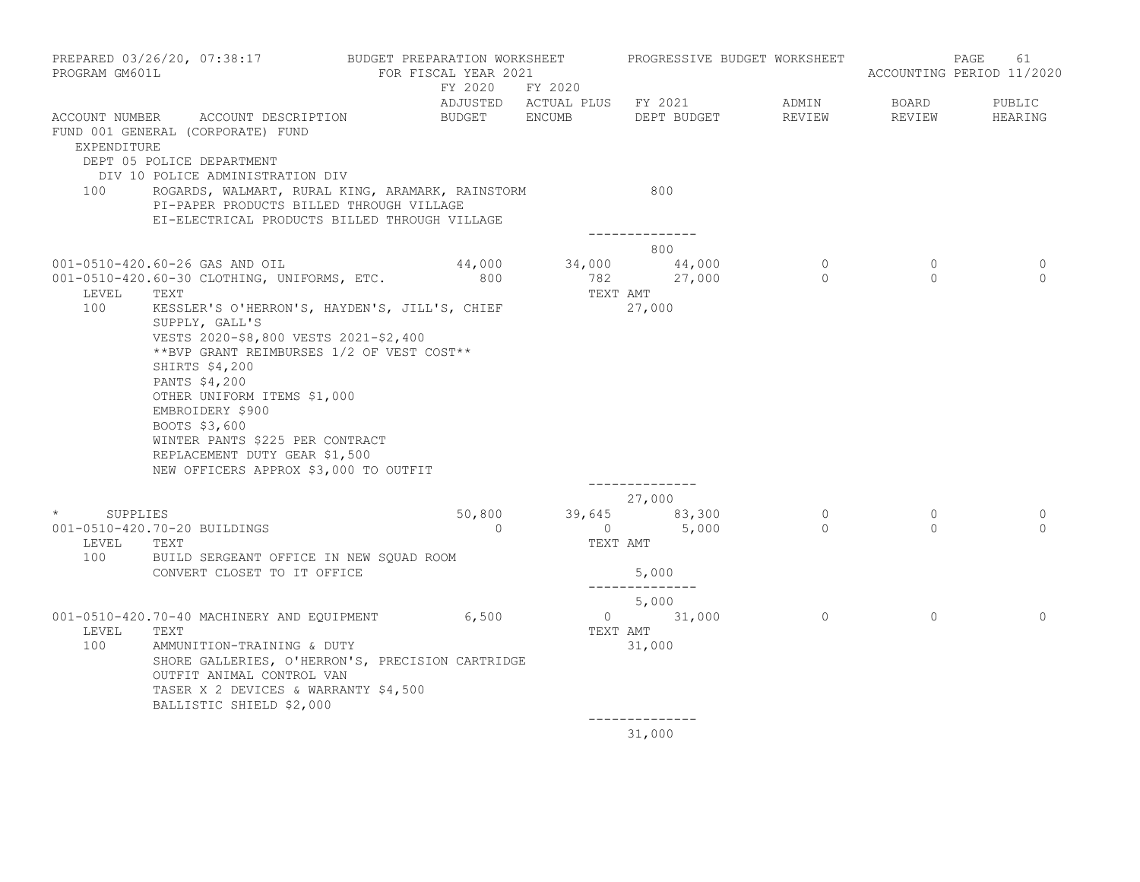| PROGRAM GM601L                                  | PREPARED 03/26/20, 07:38:17                                                                                                                                                                                                                                                                                                                                                                                                                                        | BUDGET PREPARATION WORKSHEET<br>FOR FISCAL YEAR 2021 |                            | PROGRESSIVE BUDGET WORKSHEET                                |                              |                     | 61<br>PAGE<br>ACCOUNTING PERIOD 11/2020 |
|-------------------------------------------------|--------------------------------------------------------------------------------------------------------------------------------------------------------------------------------------------------------------------------------------------------------------------------------------------------------------------------------------------------------------------------------------------------------------------------------------------------------------------|------------------------------------------------------|----------------------------|-------------------------------------------------------------|------------------------------|---------------------|-----------------------------------------|
| EXPENDITURE                                     | ACCOUNT NUMBER ACCOUNT DESCRIPTION<br>FUND 001 GENERAL (CORPORATE) FUND                                                                                                                                                                                                                                                                                                                                                                                            | BUDGET ENCUMB                                        | FY 2020 FY 2020            | DEPT BUDGET                                                 | ADMIN<br>REVIEW              | BOARD<br>REVIEW     | PUBLIC<br>HEARING                       |
| 100                                             | DEPT 05 POLICE DEPARTMENT<br>DIV 10 POLICE ADMINISTRATION DIV<br>ROGARDS, WALMART, RURAL KING, ARAMARK, RAINSTORM<br>PI-PAPER PRODUCTS BILLED THROUGH VILLAGE<br>EI-ELECTRICAL PRODUCTS BILLED THROUGH VILLAGE                                                                                                                                                                                                                                                     |                                                      |                            | 800                                                         |                              |                     |                                         |
|                                                 |                                                                                                                                                                                                                                                                                                                                                                                                                                                                    |                                                      |                            | --------------<br>800                                       |                              |                     |                                         |
| LEVEL<br>100                                    | 001-0510-420.60-26 GAS AND OIL<br>001-0510-420.60-30 CLOTHING, UNIFORMS, ETC.<br>TEXT<br>KESSLER'S O'HERRON'S, HAYDEN'S, JILL'S, CHIEF<br>SUPPLY, GALL'S<br>VESTS 2020-\$8,800 VESTS 2021-\$2,400<br>**BVP GRANT REIMBURSES 1/2 OF VEST COST**<br>SHIRTS \$4,200<br>PANTS \$4,200<br>OTHER UNIFORM ITEMS \$1,000<br>EMBROIDERY \$900<br>BOOTS \$3,600<br>WINTER PANTS \$225 PER CONTRACT<br>REPLACEMENT DUTY GEAR \$1,500<br>NEW OFFICERS APPROX \$3,000 TO OUTFIT | 44,000<br>800                                        | TEXT AMT                   | $34,000$ $44,000$<br>782 27,000<br>27,000<br>______________ | $\overline{0}$<br>$\bigcirc$ | $\circ$<br>$\Omega$ | 0<br>$\Omega$                           |
| $\star$ and $\star$<br>SUPPLIES<br>LEVEL<br>100 | 001-0510-420.70-20 BUILDINGS<br>TEXT<br>BUILD SERGEANT OFFICE IN NEW SQUAD ROOM<br>CONVERT CLOSET TO IT OFFICE                                                                                                                                                                                                                                                                                                                                                     | 50,800<br>$\overline{0}$                             | $\overline{0}$<br>TEXT AMT | 27,000<br>39,645 83,300<br>5,000<br>5,000                   | $\overline{0}$<br>$\Omega$   | $\circ$<br>$\Omega$ | $\mathbf{0}$<br>$\Omega$                |
|                                                 |                                                                                                                                                                                                                                                                                                                                                                                                                                                                    |                                                      |                            | --------------<br>5,000                                     |                              |                     |                                         |
| LEVEL<br>100                                    | 001-0510-420.70-40 MACHINERY AND EQUIPMENT 6,500<br>TEXT<br>AMMUNITION-TRAINING & DUTY<br>SHORE GALLERIES, O'HERRON'S, PRECISION CARTRIDGE<br>OUTFIT ANIMAL CONTROL VAN<br>TASER X 2 DEVICES & WARRANTY \$4,500<br>BALLISTIC SHIELD \$2,000                                                                                                                                                                                                                        |                                                      | TEXT AMT                   | 0 31,000<br>31,000                                          | $\circ$                      | $\circ$             | $\Omega$                                |
|                                                 |                                                                                                                                                                                                                                                                                                                                                                                                                                                                    |                                                      |                            | --------------<br>31,000                                    |                              |                     |                                         |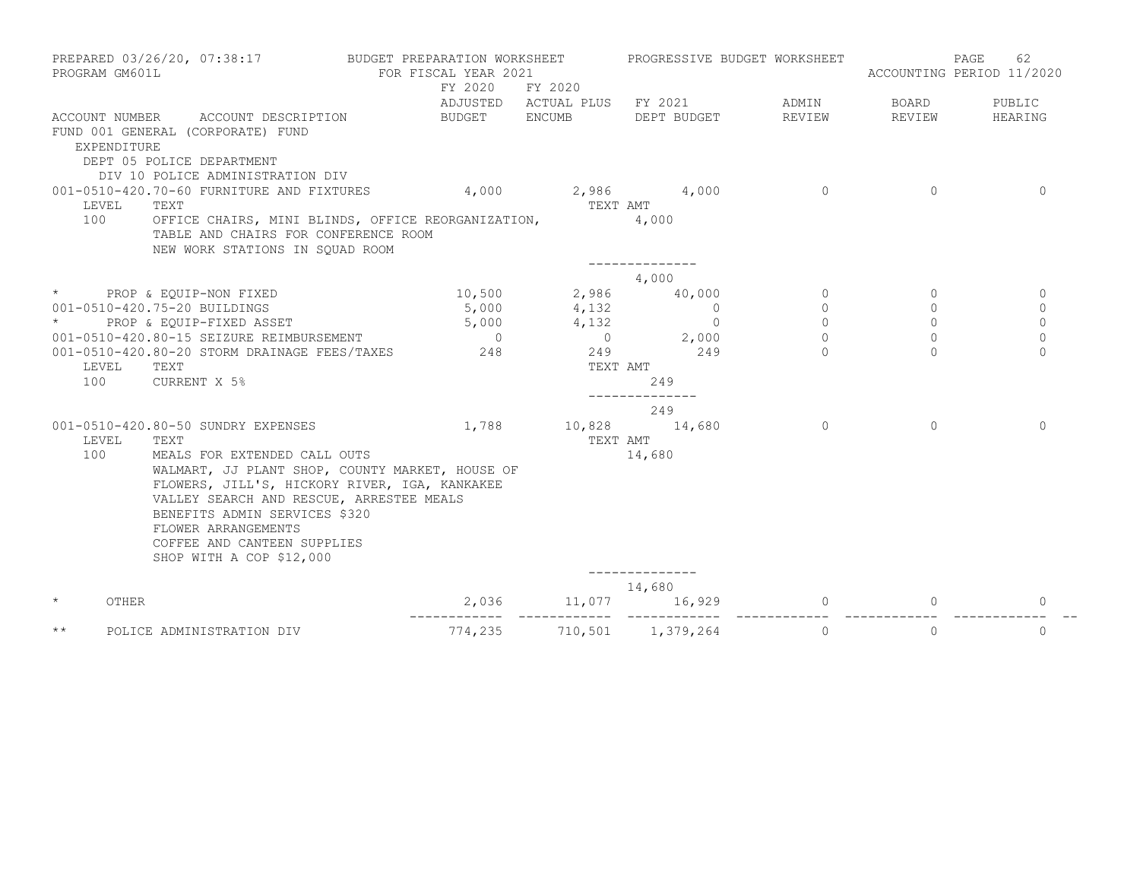| PREPARED 03/26/20, 07:38:17<br>PROGRAM GM601L |                                                                                                                                                   | BUDGET PREPARATION WORKSHEET<br>FOR FISCAL YEAR 2021<br>FY 2020<br>FY 2020 |                           | PROGRESSIVE BUDGET WORKSHEET       |          | 62<br>PAGE<br>ACCOUNTING PERIOD 11/2020 |              |
|-----------------------------------------------|---------------------------------------------------------------------------------------------------------------------------------------------------|----------------------------------------------------------------------------|---------------------------|------------------------------------|----------|-----------------------------------------|--------------|
|                                               |                                                                                                                                                   |                                                                            |                           | ADJUSTED ACTUAL PLUS FY 2021 ADMIN |          | BOARD                                   | PUBLIC       |
|                                               | ACCOUNT NUMBER ACCOUNT DESCRIPTION                                                                                                                |                                                                            | BUDGET ENCUMB DEPT BUDGET |                                    | REVIEW   | REVIEW                                  | HEARING      |
| EXPENDITURE                                   | FUND 001 GENERAL (CORPORATE) FUND<br>DEPT 05 POLICE DEPARTMENT                                                                                    |                                                                            |                           |                                    |          |                                         |              |
|                                               | DIV 10 POLICE ADMINISTRATION DIV                                                                                                                  |                                                                            |                           |                                    | $\Omega$ | $\Omega$                                | $\Omega$     |
| LEVEL                                         | 001-0510-420.70-60 FURNITURE AND FIXTURES 4,000 2,986 4,000<br>TEXT                                                                               |                                                                            | TEXT AMT                  |                                    |          |                                         |              |
| 100                                           | OFFICE CHAIRS, MINI BLINDS, OFFICE REORGANIZATION,<br>TABLE AND CHAIRS FOR CONFERENCE ROOM<br>NEW WORK STATIONS IN SOUAD ROOM                     |                                                                            |                           | 4,000                              |          |                                         |              |
|                                               |                                                                                                                                                   |                                                                            |                           | --------------<br>4,000            |          |                                         |              |
|                                               | * PROP & EQUIP-NON FIXED                                                                                                                          |                                                                            | 10,500 2,986 40,000       |                                    | $\circ$  | $\Omega$                                | $\Omega$     |
|                                               | 001-0510-420.75-20 BUILDINGS                                                                                                                      | 5,000                                                                      |                           | $\overline{0}$                     | $\circ$  | $\circ$                                 | $\mathbf{0}$ |
| $\star$ and $\star$                           | PROP & EQUIP-FIXED ASSET                                                                                                                          |                                                                            | 4,132<br>4,132            |                                    | $\Omega$ | $\Omega$                                | $\Omega$     |
|                                               | 001-0510-420.80-15 SEIZURE REIMBURSEMENT                                                                                                          | $5,000$ 0                                                                  |                           | $4,132$ 0<br>0 2,000               | $\Omega$ | $\Omega$                                | $\Omega$     |
|                                               | 001-0510-420.80-20 STORM DRAINAGE FEES/TAXES 248                                                                                                  |                                                                            |                           | 249 249                            | $\Omega$ | $\Omega$                                | $\Omega$     |
| LEVEL                                         | TEXT                                                                                                                                              |                                                                            |                           | TEXT AMT                           |          |                                         |              |
| 100                                           | CURRENT X 5%                                                                                                                                      |                                                                            |                           | 249                                |          |                                         |              |
|                                               |                                                                                                                                                   |                                                                            |                           | --------------<br>249              |          |                                         |              |
| LEVEL                                         | 001-0510-420.80-50 SUNDRY EXPENSES<br>TEXT                                                                                                        | 1,788                                                                      | 10,828 14,680<br>TEXT AMT |                                    | $\circ$  | $\mathbf{0}$                            | $\Omega$     |
| 100                                           | MEALS FOR EXTENDED CALL OUTS<br>WALMART, JJ PLANT SHOP, COUNTY MARKET, HOUSE OF                                                                   |                                                                            |                           | 14,680                             |          |                                         |              |
|                                               | FLOWERS, JILL'S, HICKORY RIVER, IGA, KANKAKEE<br>VALLEY SEARCH AND RESCUE, ARRESTEE MEALS<br>BENEFITS ADMIN SERVICES \$320<br>FLOWER ARRANGEMENTS |                                                                            |                           |                                    |          |                                         |              |
|                                               | COFFEE AND CANTEEN SUPPLIES<br>SHOP WITH A COP \$12,000                                                                                           |                                                                            |                           |                                    |          |                                         |              |
|                                               |                                                                                                                                                   |                                                                            |                           | 14,680                             |          |                                         |              |
| $\star$<br>OTHER                              |                                                                                                                                                   |                                                                            | 2,036 11,077              | 16,929                             | $\Omega$ | $\mathbf{0}$                            | 0            |
| $\star\star$                                  | POLICE ADMINISTRATION DIV                                                                                                                         | 774,235                                                                    |                           | 710,501 1,379,264                  | $\Omega$ | $\Omega$                                | $\Omega$     |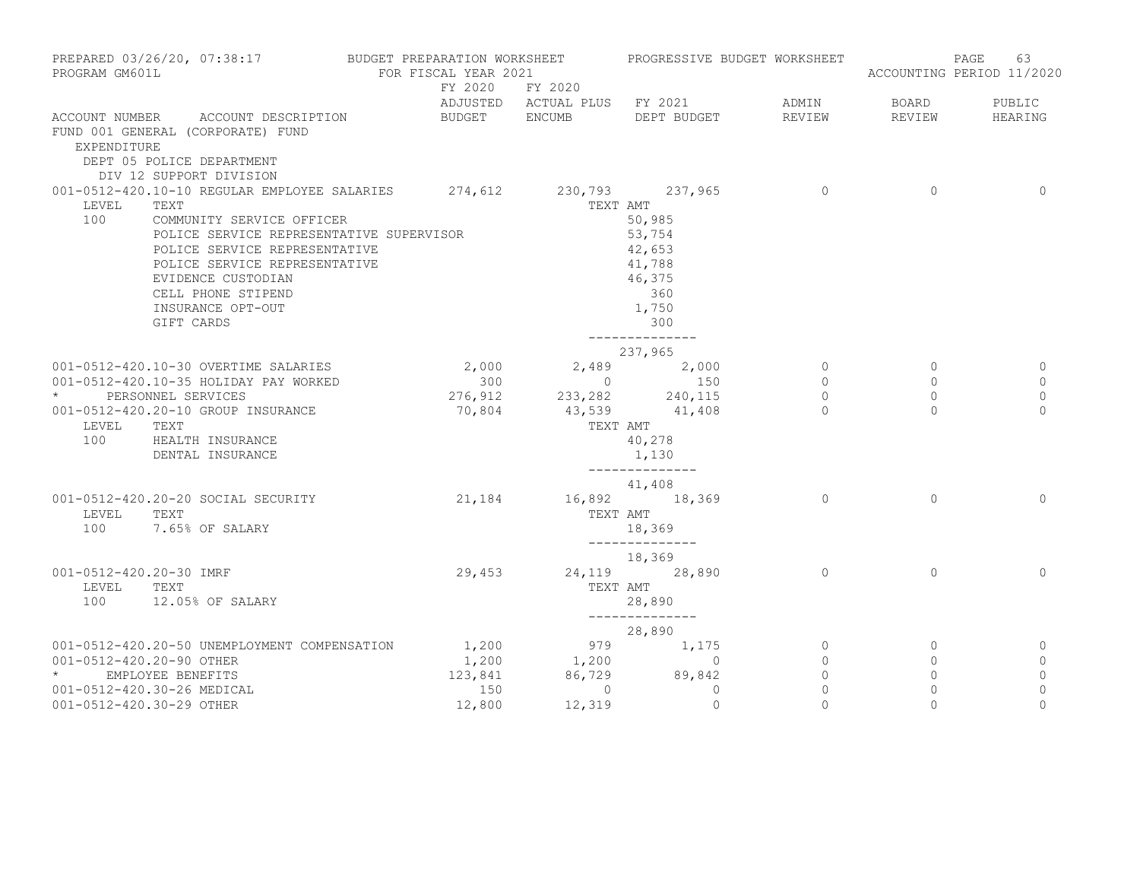| PROGRAM GM601L           | PREPARED 03/26/20, 07:38:17 BUDGET PREPARATION WORKSHEET             | FOR FISCAL YEAR 2021 |                                                 | PROGRESSIVE BUDGET WORKSHEET                                     |                          |                     | 63<br>PAGE<br>ACCOUNTING PERIOD 11/2020 |
|--------------------------|----------------------------------------------------------------------|----------------------|-------------------------------------------------|------------------------------------------------------------------|--------------------------|---------------------|-----------------------------------------|
|                          |                                                                      |                      | FY 2020 FY 2020                                 | ADJUSTED ACTUAL PLUS FY 2021 ADMIN                               |                          | BOARD               | PUBLIC                                  |
|                          | ACCOUNT NUMBER ACCOUNT DESCRIPTION                                   | BUDGET ENCUMB        |                                                 | DEPT BUDGET                                                      | REVIEW                   | REVIEW              | HEARING                                 |
| EXPENDITURE              | FUND 001 GENERAL (CORPORATE) FUND                                    |                      |                                                 |                                                                  |                          |                     |                                         |
|                          | DEPT 05 POLICE DEPARTMENT                                            |                      |                                                 |                                                                  |                          |                     |                                         |
|                          | DIV 12 SUPPORT DIVISION                                              |                      |                                                 |                                                                  |                          |                     |                                         |
|                          | 001-0512-420.10-10 REGULAR EMPLOYEE SALARIES 274,612 230,793 237,965 |                      |                                                 |                                                                  | $\overline{0}$           | $\overline{0}$      | $\circ$                                 |
| LEVEL                    | TEXT                                                                 |                      |                                                 | TEXT AMT                                                         |                          |                     |                                         |
| 100                      | COMMUNITY SERVICE OFFICER                                            |                      |                                                 | 50,985                                                           |                          |                     |                                         |
|                          | POLICE SERVICE REPRESENTATIVE SUPERVISOR                             |                      |                                                 | 53,754<br>42,653                                                 |                          |                     |                                         |
|                          | POLICE SERVICE REPRESENTATIVE                                        |                      |                                                 |                                                                  |                          |                     |                                         |
|                          | POLICE SERVICE REPRESENTATIVE<br>EVIDENCE CUSTODIAN                  |                      |                                                 | 41,788<br>46,375                                                 |                          |                     |                                         |
|                          | CELL PHONE STIPEND                                                   |                      |                                                 | 360                                                              |                          |                     |                                         |
|                          | INSURANCE OPT-OUT                                                    |                      |                                                 | 1,750                                                            |                          |                     |                                         |
|                          | GIFT CARDS                                                           |                      |                                                 | 300                                                              |                          |                     |                                         |
|                          |                                                                      |                      |                                                 | --------------<br>237,965                                        |                          |                     |                                         |
|                          | 001-0512-420.10-30 OVERTIME SALARIES                                 | 2,000                |                                                 | 2,489 2,000                                                      | $\overline{0}$           | $\Omega$            | 0                                       |
|                          | 001-0512-420.10-35 HOLIDAY PAY WORKED                                | 300                  |                                                 | $\begin{array}{ccc} 0 & 150 \end{array}$                         | $\Omega$                 | $\Omega$            | $\circ$                                 |
|                          | * PERSONNEL SERVICES                                                 |                      | 276,912 233,282 240,115<br>70,804 43,539 41,408 |                                                                  | $\circ$                  | $\circ$             | $\mathbf{0}$                            |
|                          | 001-0512-420.20-10 GROUP INSURANCE                                   |                      |                                                 |                                                                  | $\bigcap$                | $\Omega$            | $\Omega$                                |
| LEVEL                    | TEXT                                                                 |                      |                                                 | TEXT AMT                                                         |                          |                     |                                         |
| 100                      | HEALTH INSURANCE                                                     |                      |                                                 | 40,278<br>1,130                                                  |                          |                     |                                         |
|                          | DENTAL INSURANCE                                                     |                      |                                                 | --------------                                                   |                          |                     |                                         |
|                          |                                                                      |                      |                                                 | 41,408                                                           |                          |                     |                                         |
|                          | 001-0512-420.20-20 SOCIAL SECURITY                                   | 21,184               |                                                 | 16,892 18,369                                                    | $\Omega$                 | $\Omega$            | $\Omega$                                |
| LEVEL<br>100             | TEXT<br>7.65% OF SALARY                                              |                      |                                                 | TEXT AMT<br>18,369                                               |                          |                     |                                         |
|                          |                                                                      |                      |                                                 | ______________                                                   |                          |                     |                                         |
|                          |                                                                      |                      |                                                 | 18,369                                                           |                          |                     |                                         |
| 001-0512-420.20-30 IMRF  |                                                                      | 29,453               |                                                 | 24,119 28,890                                                    | $\Omega$                 | $\Omega$            | $\Omega$                                |
| LEVEL<br>100             | TEXT<br>12.05% OF SALARY                                             |                      |                                                 | TEXT AMT                                                         |                          |                     |                                         |
|                          |                                                                      |                      |                                                 | 28,890<br>______________                                         |                          |                     |                                         |
|                          |                                                                      |                      |                                                 | 28,890                                                           |                          |                     |                                         |
|                          | 001-0512-420.20-50 UNEMPLOYMENT COMPENSATION                         | 1,200                |                                                 | $\begin{array}{cccc} 979 & & 1,175 \\ 1,200 & & & 0 \end{array}$ | $\overline{0}$           | $\circ$             | 0                                       |
| 001-0512-420.20-90 OTHER |                                                                      | 1,200                |                                                 | $\sim$ 0                                                         | $\circ$                  | $\circ$             | $\circ$                                 |
| $\star$ and $\star$      | EMPLOYEE BENEFITS                                                    |                      | 123,841 86,729 89,842                           |                                                                  | $\circ$                  | $\circ$             | $\circ$                                 |
|                          | 001-0512-420.30-26 MEDICAL                                           | 150                  | $\overline{0}$                                  | $\circ$<br>$\mathbf{0}$                                          | $\mathbf{0}$<br>$\Omega$ | $\circ$<br>$\Omega$ | $\mathbb O$<br>$\Omega$                 |
| 001-0512-420.30-29 OTHER |                                                                      | 12,800               | 12,319                                          |                                                                  |                          |                     |                                         |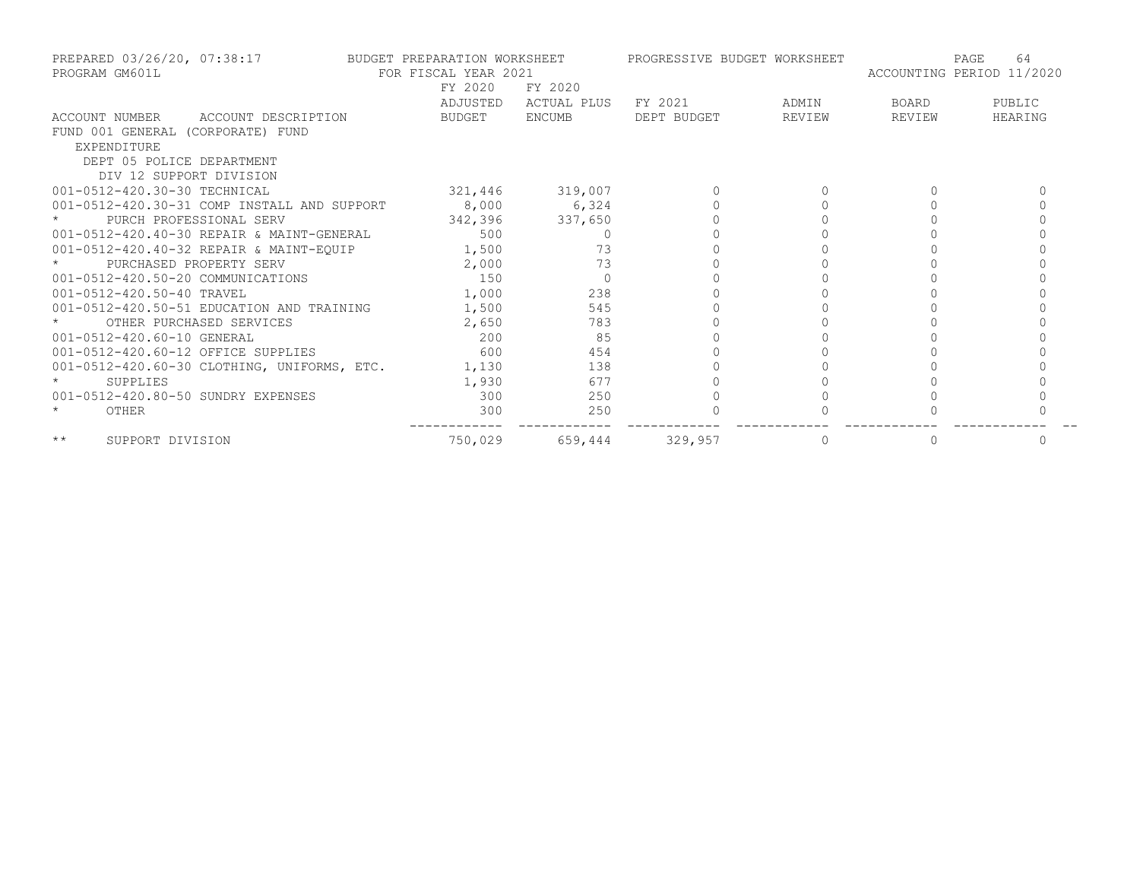| PROGRAM GM601L                            | PREPARED 03/26/20, 07:38:17 BUDGET PREPARATION WORKSHEET<br>FOR FISCAL YEAR 2021 |                 |             | PROGRESSIVE BUDGET WORKSHEET |        | ACCOUNTING PERIOD 11/2020 | PAGE<br>64 |
|-------------------------------------------|----------------------------------------------------------------------------------|-----------------|-------------|------------------------------|--------|---------------------------|------------|
|                                           |                                                                                  | FY 2020         | FY 2020     |                              |        |                           |            |
|                                           |                                                                                  | ADJUSTED        | ACTUAL PLUS | FY 2021                      | ADMIN  | BOARD                     | PUBLIC     |
| ACCOUNT NUMBER ACCOUNT DESCRIPTION        |                                                                                  | BUDGET ENCUMB   |             | DEPT BUDGET                  | REVIEW | REVIEW                    | HEARING    |
| FUND 001 GENERAL (CORPORATE) FUND         |                                                                                  |                 |             |                              |        |                           |            |
| EXPENDITURE                               |                                                                                  |                 |             |                              |        |                           |            |
| DEPT 05 POLICE DEPARTMENT                 |                                                                                  |                 |             |                              |        |                           |            |
| DIV 12 SUPPORT DIVISION                   |                                                                                  |                 |             |                              |        |                           |            |
| 001-0512-420.30-30 TECHNICAL              |                                                                                  | 321,446 319,007 |             |                              |        |                           |            |
|                                           | 001-0512-420.30-31 COMP INSTALL AND SUPPORT 8,000 6,324                          |                 |             |                              |        |                           |            |
| PURCH PROFESSIONAL SERV                   |                                                                                  | 342,396 337,650 |             |                              |        |                           |            |
|                                           | 001-0512-420.40-30 REPAIR & MAINT-GENERAL 500                                    |                 | $\Omega$    |                              |        |                           |            |
|                                           | 001-0512-420.40-32 REPAIR & MAINT-EQUIP 1,500                                    |                 | 73          |                              |        |                           |            |
| PURCHASED PROPERTY SERV                   |                                                                                  | 2,000           | 73          |                              |        |                           |            |
|                                           | 001-0512-420.50-20 COMMUNICATIONS 150<br>001-0512-420.50-40 TRAVEL 1,000 1.000   |                 |             |                              |        |                           |            |
|                                           |                                                                                  |                 | 238         |                              |        |                           |            |
| 001-0512-420.50-51 EDUCATION AND TRAINING |                                                                                  | 1,500           | 545         |                              |        |                           |            |
| OTHER PURCHASED SERVICES                  |                                                                                  | 2,650           | 783         |                              |        |                           |            |
| 001-0512-420.60-10 GENERAL                |                                                                                  | 200             | 85          |                              |        |                           |            |
| 001-0512-420.60-12 OFFICE SUPPLIES        |                                                                                  | 600             | 454         |                              |        |                           |            |
|                                           | 001-0512-420.60-30 CLOTHING, UNIFORMS, ETC.                                      | 1,130           | 138         |                              |        |                           |            |
| $\star$<br>SUPPLIES                       |                                                                                  | 1,930           | 677         |                              |        |                           |            |
| 001-0512-420.80-50 SUNDRY EXPENSES        |                                                                                  | 300             | 250         |                              |        |                           |            |
| OTHER                                     |                                                                                  | 300             | 250         |                              |        |                           |            |
| $\star\star$<br>SUPPORT DIVISION          |                                                                                  | 750,029         | 659,444     | 329,957                      | 0      |                           | 0          |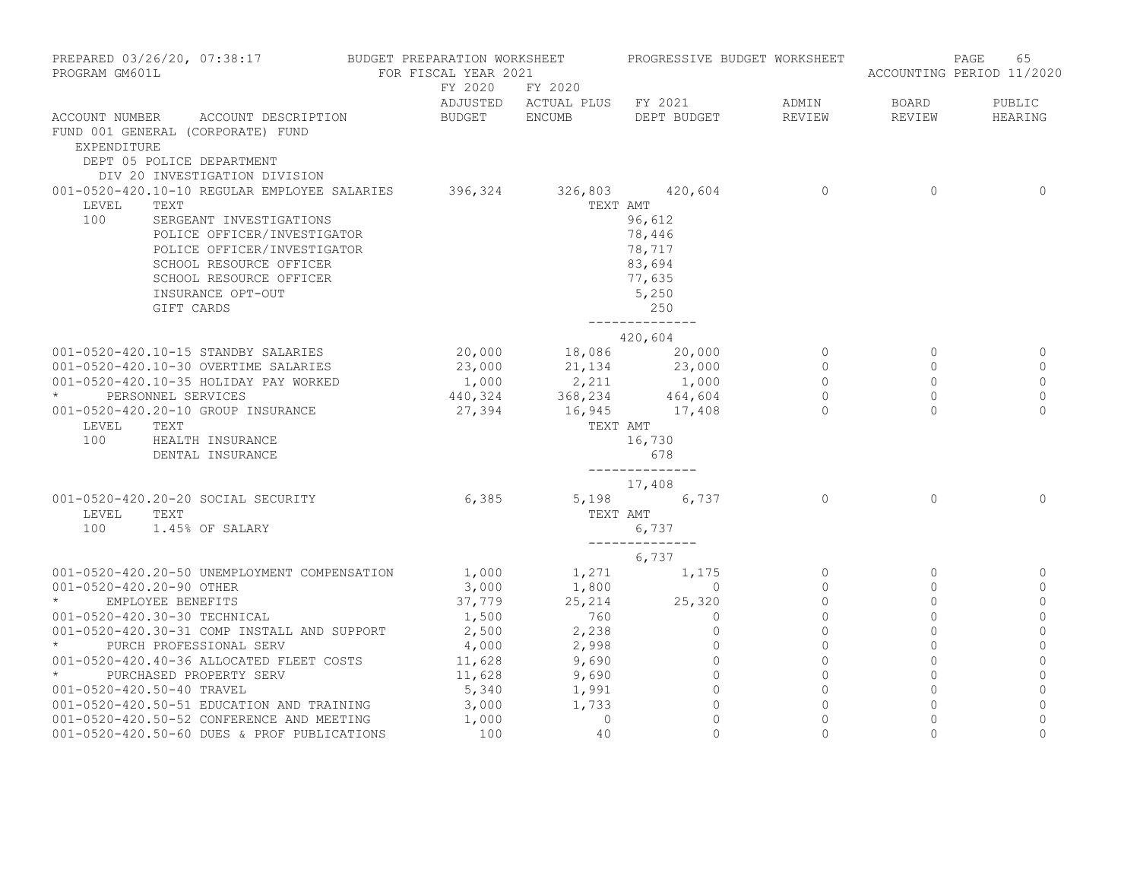| PROGRAM GM601L           | PREPARED 03/26/20, 07:38:17 BUDGET PREPARATION WORKSHEET                                                                                                                                                                               | FOR FISCAL YEAR 2021       |                         | PROGRESSIVE BUDGET WORKSHEET                                                                                                     |                                                        |                                                         | 65<br>PAGE<br>ACCOUNTING PERIOD 11/2020         |
|--------------------------|----------------------------------------------------------------------------------------------------------------------------------------------------------------------------------------------------------------------------------------|----------------------------|-------------------------|----------------------------------------------------------------------------------------------------------------------------------|--------------------------------------------------------|---------------------------------------------------------|-------------------------------------------------|
|                          |                                                                                                                                                                                                                                        | BUDGET ENCUMB              | FY 2020 FY 2020         | ADJUSTED ACTUAL PLUS FY 2021                                                                                                     | ADMIN                                                  | BOARD                                                   | PUBLIC                                          |
| EXPENDITURE              | ACCOUNT NUMBER ACCOUNT DESCRIPTION<br>FUND 001 GENERAL (CORPORATE) FUND<br>DEPT 05 POLICE DEPARTMENT<br>DIV 20 INVESTIGATION DIVISION                                                                                                  |                            |                         | DEPT BUDGET                                                                                                                      | REVIEW                                                 | REVIEW                                                  | HEARING                                         |
| LEVEL<br>100             | 001-0520-420.10-10 REGULAR EMPLOYEE SALARIES<br>TEXT<br>SERGEANT INVESTIGATIONS<br>POLICE OFFICER/INVESTIGATOR<br>POLICE OFFICER/INVESTIGATOR<br>SCHOOL RESOURCE OFFICER<br>SCHOOL RESOURCE OFFICER<br>INSURANCE OPT-OUT<br>GIFT CARDS |                            | 396,324 326,803 420,604 | TEXT AMT<br>96,612<br>78,446<br>78,717<br>83,694<br>77,635<br>5,250<br>250<br>--------------                                     | $\Omega$                                               | $\Omega$                                                | $\Omega$                                        |
|                          |                                                                                                                                                                                                                                        |                            |                         | 420,604                                                                                                                          |                                                        |                                                         |                                                 |
| $\star$<br>LEVEL         | 001-0520-420.10-15 STANDBY SALARIES<br>001-0520-420.10-30 OVERTIME SALARIES<br>001-0520-420.10-35 HOLIDAY PAY WORKED<br>PERSONNEL SERVICES<br>001-0520-420.20-10 GROUP INSURANCE<br>TEXT                                               | 20,000<br>23,000<br>27,394 |                         | 18,086 20,000<br>21, 134 23, 000<br>$1,000$ $2,211$ $1,000$<br>440,324 $368,234$ $464,604$<br>1,000<br>16,945 17,408<br>TEXT AMT | $\circ$<br>$\Omega$<br>$\circ$<br>$\Omega$<br>$\Omega$ | $\circ$<br>$\Omega$<br>$\Omega$<br>$\Omega$<br>$\Omega$ | 0<br>$\Omega$<br>$\circ$<br>$\circ$<br>$\Omega$ |
| 100                      | HEALTH INSURANCE<br>DENTAL INSURANCE                                                                                                                                                                                                   |                            |                         | 16,730<br>678<br>______________<br>17,408                                                                                        |                                                        |                                                         |                                                 |
| LEVEL                    | 001-0520-420.20-20 SOCIAL SECURITY<br>TEXT<br>100 1.45% OF SALARY                                                                                                                                                                      | 6,385                      | TEXT AMT                | 5,198 6,737<br>6,737<br>--------------                                                                                           | $\Omega$                                               | $\Omega$                                                | $\Omega$                                        |
|                          |                                                                                                                                                                                                                                        |                            |                         | 6,737                                                                                                                            |                                                        |                                                         |                                                 |
|                          | 001-0520-420.20-50 UNEMPLOYMENT COMPENSATION                                                                                                                                                                                           |                            | 1,000 1,271             | 1,175                                                                                                                            | $\circ$                                                | $\circ$                                                 | 0                                               |
| 001-0520-420.20-90 OTHER | EMPLOYEE BENEFITS                                                                                                                                                                                                                      | 3,000<br>37,779            | 1,800<br>25, 214        | $\overline{0}$<br>25,320                                                                                                         | $\Omega$<br>$\Omega$                                   | $\Omega$<br>$\Omega$                                    | $\mathbf{0}$<br>$\circ$                         |
|                          | 001-0520-420.30-30 TECHNICAL                                                                                                                                                                                                           | 1,500                      | 760                     | $\mathbf{0}$                                                                                                                     | $\Omega$                                               | $\Omega$                                                | $\mathbf{0}$                                    |
|                          | 001-0520-420.30-31 COMP INSTALL AND SUPPORT                                                                                                                                                                                            | 2,500                      | 2,238                   | $\mathbf{0}$                                                                                                                     | $\circ$                                                | $\mathbf{0}$                                            | $\mathbf 0$                                     |
| $\star$ and $\star$      | PURCH PROFESSIONAL SERV                                                                                                                                                                                                                | 4,000                      | 2,998                   | $\mathbf{0}$                                                                                                                     | $\Omega$                                               | $\Omega$                                                | $\mathbf{0}$                                    |
|                          | 001-0520-420.40-36 ALLOCATED FLEET COSTS                                                                                                                                                                                               | 11,628                     | 9,690                   | $\circ$                                                                                                                          | $\circ$                                                | $\circ$                                                 | 0                                               |
| $\star$                  | PURCHASED PROPERTY SERV                                                                                                                                                                                                                | 11,628                     | 9,690                   | $\mathbf{0}$                                                                                                                     | $\mathbf{0}$                                           | $\circ$                                                 | $\mathbf 0$                                     |
|                          | 001-0520-420.50-40 TRAVEL                                                                                                                                                                                                              | 5,340                      | 1,991                   | $\overline{0}$                                                                                                                   | $\Omega$                                               | $\Omega$                                                | $\mathbf{0}$                                    |
|                          | 001-0520-420.50-51 EDUCATION AND TRAINING                                                                                                                                                                                              | 3,000                      | 1,733                   | $\overline{0}$                                                                                                                   | $\Omega$                                               | $\Omega$                                                | $\mathbf{0}$                                    |
|                          | 001-0520-420.50-52 CONFERENCE AND MEETING                                                                                                                                                                                              | 1,000                      | $\circ$                 | $\Omega$                                                                                                                         | $\Omega$                                               | $\Omega$                                                | $\Omega$                                        |
|                          | 001-0520-420.50-60 DUES & PROF PUBLICATIONS                                                                                                                                                                                            | 100                        | 40                      | $\Omega$                                                                                                                         | $\Omega$                                               | $\Omega$                                                | $\Omega$                                        |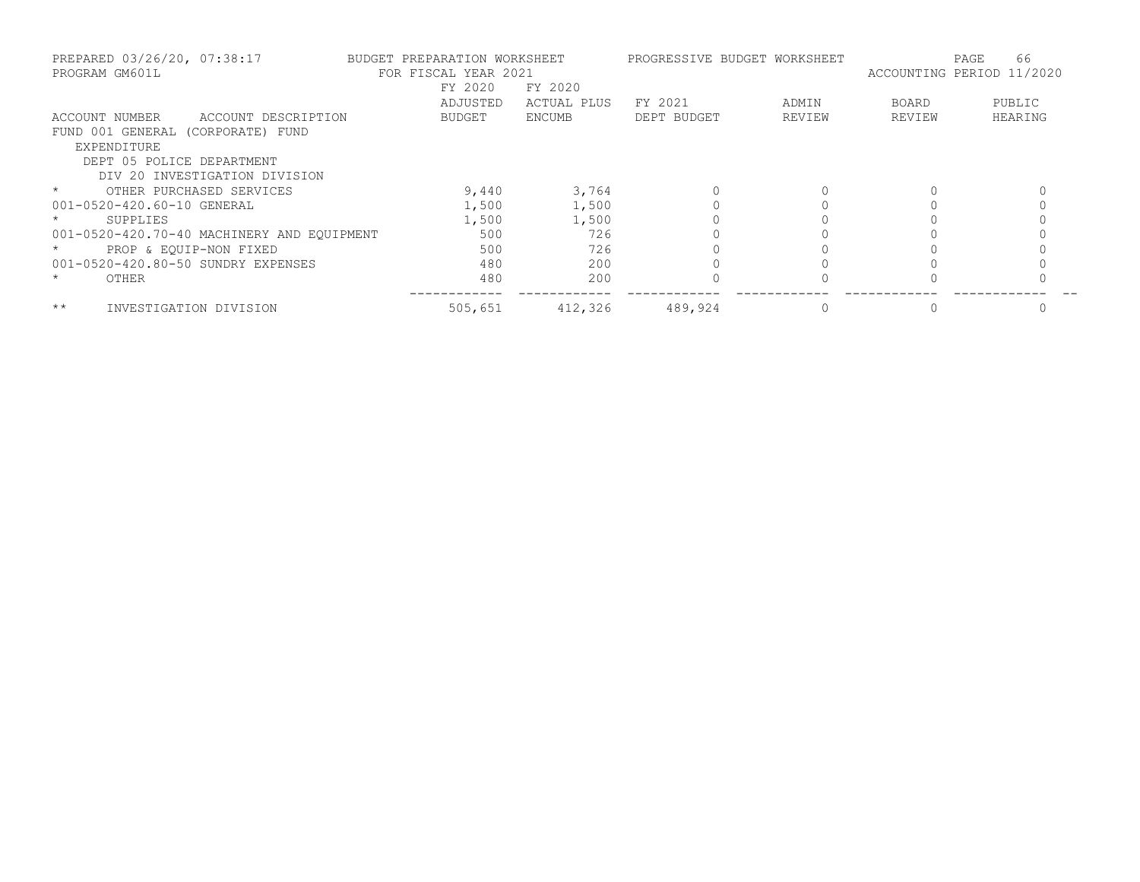| PREPARED 03/26/20, 07:38:17<br>PROGRAM GM601L | BUDGET PREPARATION WORKSHEET<br>FOR FISCAL YEAR 2021<br>FY 2020 | FY 2020     | PROGRESSIVE BUDGET WORKSHEET |        | PAGE<br>ACCOUNTING PERIOD 11/2020 | 66      |
|-----------------------------------------------|-----------------------------------------------------------------|-------------|------------------------------|--------|-----------------------------------|---------|
|                                               | ADJUSTED                                                        | ACTUAL PLUS | FY 2021                      | ADMIN  | BOARD                             | PUBLIC  |
| ACCOUNT DESCRIPTION<br>ACCOUNT NUMBER         | <b>BUDGET</b>                                                   | ENCUMB      | DEPT BUDGET                  | REVIEW | REVIEW                            | HEARING |
| FUND 001 GENERAL (CORPORATE) FUND             |                                                                 |             |                              |        |                                   |         |
| EXPENDITURE                                   |                                                                 |             |                              |        |                                   |         |
| DEPT 05 POLICE DEPARTMENT                     |                                                                 |             |                              |        |                                   |         |
| DIV 20 INVESTIGATION DIVISION                 |                                                                 |             |                              |        |                                   |         |
| $\star$<br>OTHER PURCHASED SERVICES           | 9,440                                                           | 3,764       |                              |        |                                   |         |
| 001-0520-420.60-10 GENERAL                    | 1,500                                                           | 1,500       |                              |        |                                   |         |
| SUPPLIES                                      | 1,500                                                           | 1,500       |                              |        |                                   |         |
| 001-0520-420.70-40 MACHINERY AND EQUIPMENT    | 500                                                             | 726         |                              |        |                                   |         |
| PROP & EOUIP-NON FIXED                        | 500                                                             | 726         |                              |        |                                   |         |
| 001-0520-420.80-50 SUNDRY EXPENSES            | 480                                                             | 200         |                              |        |                                   |         |
| $\star$<br>OTHER                              | 480                                                             | 200         |                              |        |                                   |         |
| $\star\star$<br>INVESTIGATION DIVISION        | 505,651                                                         | 412,326     | 489,924                      |        |                                   |         |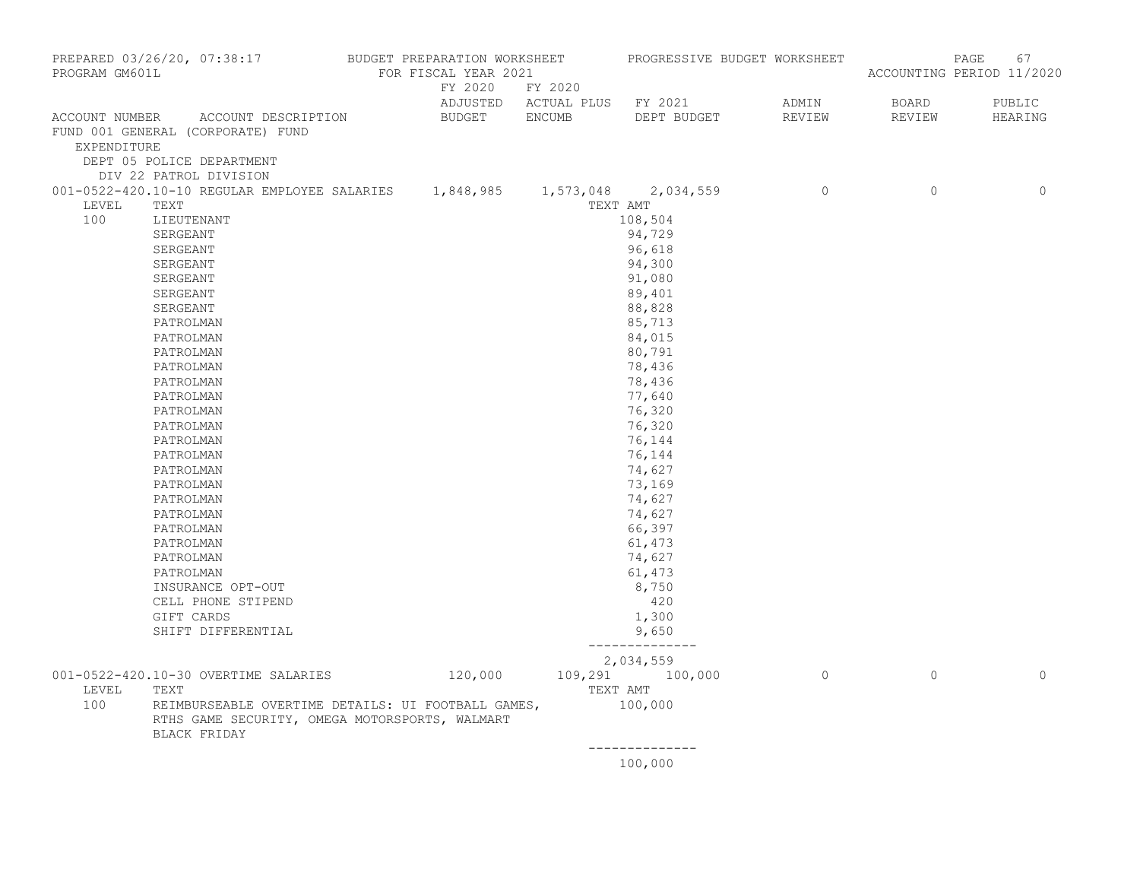| PROGRAM GM601L                | PREPARED 03/26/20, 07:38:17 BUDGET PREPARATION WORKSHEET                                                             | FOR FISCAL YEAR 2021 |                 |          | PROGRESSIVE BUDGET WORKSHEET |                                                                                                                                                                                                                                                                                                                                    |                | 67<br>PAGE<br>ACCOUNTING PERIOD 11/2020 |
|-------------------------------|----------------------------------------------------------------------------------------------------------------------|----------------------|-----------------|----------|------------------------------|------------------------------------------------------------------------------------------------------------------------------------------------------------------------------------------------------------------------------------------------------------------------------------------------------------------------------------|----------------|-----------------------------------------|
|                               |                                                                                                                      |                      | FY 2020 FY 2020 |          | ADJUSTED ACTUAL PLUS FY 2021 | ADMIN                                                                                                                                                                                                                                                                                                                              | BOARD          | PUBLIC                                  |
| ACCOUNT NUMBER<br>EXPENDITURE | ACCOUNT DESCRIPTION<br>FUND 001 GENERAL (CORPORATE) FUND                                                             |                      | BUDGET ENCUMB   |          | DEPT BUDGET                  | REVIEW                                                                                                                                                                                                                                                                                                                             | REVIEW         | HEARING                                 |
|                               | DEPT 05 POLICE DEPARTMENT<br>DIV 22 PATROL DIVISION                                                                  |                      |                 |          |                              |                                                                                                                                                                                                                                                                                                                                    |                |                                         |
|                               | 001-0522-420.10-10 REGULAR EMPLOYEE SALARIES 1,848,985 1,573,048 2,034,559                                           |                      |                 |          |                              |                                                                                                                                                                                                                                                                                                                                    | $\overline{0}$ | $\mathbf{0}$                            |
| LEVEL                         | TEXT                                                                                                                 |                      |                 | TEXT AMT |                              |                                                                                                                                                                                                                                                                                                                                    |                |                                         |
| 100                           | LIEUTENANT                                                                                                           |                      |                 |          | 108,504                      |                                                                                                                                                                                                                                                                                                                                    |                |                                         |
|                               | SERGEANT                                                                                                             |                      |                 |          | 94,729                       |                                                                                                                                                                                                                                                                                                                                    |                |                                         |
|                               | SERGEANT                                                                                                             |                      |                 |          | 96,618                       |                                                                                                                                                                                                                                                                                                                                    |                |                                         |
|                               | SERGEANT                                                                                                             |                      |                 |          | 94,300                       |                                                                                                                                                                                                                                                                                                                                    |                |                                         |
|                               | SERGEANT                                                                                                             |                      |                 |          | 91,080                       |                                                                                                                                                                                                                                                                                                                                    |                |                                         |
|                               | SERGEANT                                                                                                             |                      |                 |          | 89,401                       |                                                                                                                                                                                                                                                                                                                                    |                |                                         |
|                               | SERGEANT                                                                                                             |                      |                 |          | 88,828                       |                                                                                                                                                                                                                                                                                                                                    |                |                                         |
|                               | PATROLMAN                                                                                                            |                      |                 |          | 85,713                       |                                                                                                                                                                                                                                                                                                                                    |                |                                         |
|                               | PATROLMAN<br>PATROLMAN                                                                                               |                      |                 |          | 84,015<br>80,791             |                                                                                                                                                                                                                                                                                                                                    |                |                                         |
|                               | PATROLMAN                                                                                                            |                      |                 |          | 78,436                       |                                                                                                                                                                                                                                                                                                                                    |                |                                         |
|                               | PATROLMAN                                                                                                            |                      |                 |          | 78,436                       |                                                                                                                                                                                                                                                                                                                                    |                |                                         |
|                               | PATROLMAN                                                                                                            |                      |                 |          | 77,640                       |                                                                                                                                                                                                                                                                                                                                    |                |                                         |
|                               | PATROLMAN                                                                                                            |                      |                 |          | 76,320                       |                                                                                                                                                                                                                                                                                                                                    |                |                                         |
|                               | PATROLMAN                                                                                                            |                      |                 |          | 76,320                       |                                                                                                                                                                                                                                                                                                                                    |                |                                         |
|                               | PATROLMAN                                                                                                            |                      |                 |          | 76,144                       |                                                                                                                                                                                                                                                                                                                                    |                |                                         |
|                               | PATROLMAN                                                                                                            |                      |                 |          | 76,144                       |                                                                                                                                                                                                                                                                                                                                    |                |                                         |
|                               | PATROLMAN                                                                                                            |                      |                 |          | 74,627                       |                                                                                                                                                                                                                                                                                                                                    |                |                                         |
|                               | PATROLMAN                                                                                                            |                      |                 |          | 73,169                       |                                                                                                                                                                                                                                                                                                                                    |                |                                         |
|                               | PATROLMAN                                                                                                            |                      |                 |          | 74,627                       |                                                                                                                                                                                                                                                                                                                                    |                |                                         |
|                               | PATROLMAN                                                                                                            |                      |                 |          | 74,627                       |                                                                                                                                                                                                                                                                                                                                    |                |                                         |
|                               | PATROLMAN                                                                                                            |                      |                 |          | 66,397                       |                                                                                                                                                                                                                                                                                                                                    |                |                                         |
|                               | PATROLMAN                                                                                                            |                      |                 |          | 61,473                       |                                                                                                                                                                                                                                                                                                                                    |                |                                         |
|                               | PATROLMAN                                                                                                            |                      |                 |          | 74,627                       |                                                                                                                                                                                                                                                                                                                                    |                |                                         |
|                               | PATROLMAN                                                                                                            |                      |                 |          | 61,473                       |                                                                                                                                                                                                                                                                                                                                    |                |                                         |
|                               | INSURANCE OPT-OUT                                                                                                    |                      |                 |          | 8,750                        |                                                                                                                                                                                                                                                                                                                                    |                |                                         |
|                               | CELL PHONE STIPEND                                                                                                   |                      |                 |          | 420                          |                                                                                                                                                                                                                                                                                                                                    |                |                                         |
|                               | GIFT CARDS                                                                                                           |                      |                 |          | 1,300                        |                                                                                                                                                                                                                                                                                                                                    |                |                                         |
|                               | SHIFT DIFFERENTIAL                                                                                                   |                      |                 |          | 9,650<br>--------------      |                                                                                                                                                                                                                                                                                                                                    |                |                                         |
|                               |                                                                                                                      |                      |                 |          | 2,034,559                    |                                                                                                                                                                                                                                                                                                                                    |                |                                         |
|                               | 001-0522-420.10-30 OVERTIME SALARIES                                                                                 |                      | 120,000         |          | 109,291 100,000              | $\overline{a}$ and $\overline{a}$ and $\overline{a}$ and $\overline{a}$ and $\overline{a}$ and $\overline{a}$ and $\overline{a}$ and $\overline{a}$ and $\overline{a}$ and $\overline{a}$ and $\overline{a}$ and $\overline{a}$ and $\overline{a}$ and $\overline{a}$ and $\overline{a}$ and $\overline{a}$ and $\overline{a}$ and | $\mathbf{0}$   | $\circ$                                 |
| LEVEL                         | TEXT                                                                                                                 |                      |                 | TEXT AMT |                              |                                                                                                                                                                                                                                                                                                                                    |                |                                         |
| 100                           | REIMBURSEABLE OVERTIME DETAILS: UI FOOTBALL GAMES,<br>RTHS GAME SECURITY, OMEGA MOTORSPORTS, WALMART<br>BLACK FRIDAY |                      |                 |          | 100,000                      |                                                                                                                                                                                                                                                                                                                                    |                |                                         |
|                               |                                                                                                                      |                      |                 |          | --------------               |                                                                                                                                                                                                                                                                                                                                    |                |                                         |

100,000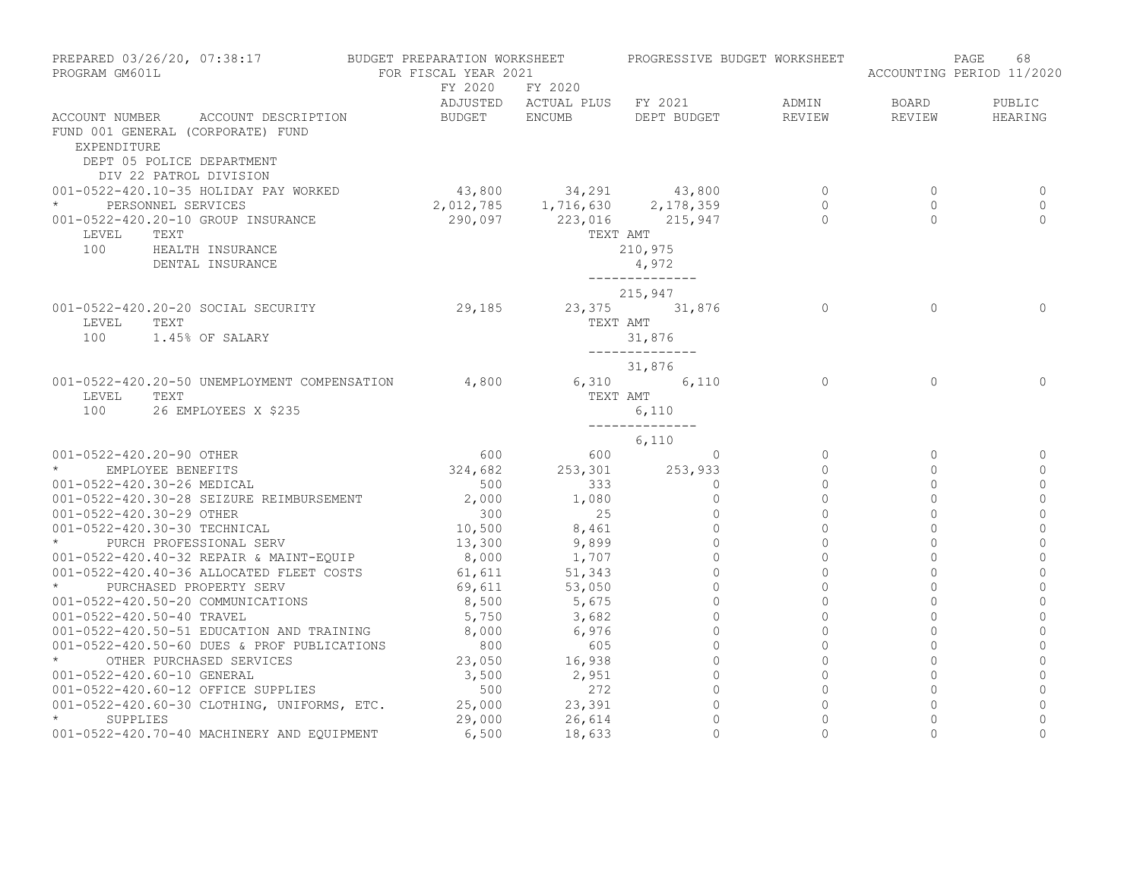| PREPARED 03/26/20, 07:38:17 BUDGET PREPARATION WORKSHEET PROGRESSIVE BUDGET WORKSHEET<br>PROGRAM GM601L                                                                                                                                   | FOR FISCAL YEAR 2021         |                                          |                                                                                                                          |                                      |                                      | 68<br>PAGE<br>ACCOUNTING PERIOD 11/2020 |
|-------------------------------------------------------------------------------------------------------------------------------------------------------------------------------------------------------------------------------------------|------------------------------|------------------------------------------|--------------------------------------------------------------------------------------------------------------------------|--------------------------------------|--------------------------------------|-----------------------------------------|
| ACCOUNT NUMBER ACCOUNT DESCRIPTION<br>FUND 001 GENERAL (CORPORATE) FUND                                                                                                                                                                   | BUDGET ENCUMB                | FY 2020 FY 2020                          | ADJUSTED ACTUAL PLUS FY 2021 ADMIN<br>DEPT BUDGET REVIEW                                                                 |                                      | BOARD<br>REVIEW                      | PUBLIC<br>HEARING                       |
| EXPENDITURE<br>DEPT 05 POLICE DEPARTMENT<br>DIV 22 PATROL DIVISION<br>001-0522-420.10-35 HOLIDAY PAY WORKED<br>* PERSONNEL SERVICES<br>001-0522-420.20-10 GROUP INSURANCE<br>LEVEL<br>TEXT<br>100<br>HEALTH INSURANCE<br>DENTAL INSURANCE |                              |                                          | $43,800$ $34,291$ $43,800$ 0<br>2,012,785 1,716,630 2,178,359<br>290,097 223,016 215,947<br>TEXT AMT<br>210,975<br>4,972 | $\begin{matrix} 0 \\ 0 \end{matrix}$ | $\mathbf{0}$<br>$\Omega$<br>$\Omega$ | 0<br>$\Omega$<br>$\Omega$               |
| 001-0522-420.20-20 SOCIAL SECURITY<br>LEVEL<br>TEXT<br>100<br>1.45% OF SALARY                                                                                                                                                             | $29,185$ $23,375$ $31,876$ 0 |                                          | ______________<br>215,947<br>TEXT AMT<br>31,876                                                                          |                                      | $\Omega$                             | $\Omega$                                |
| 001-0522-420.20-50 UNEMPLOYMENT COMPENSATION 4,800<br>TEXT<br>LEVEL<br>100<br>26 EMPLOYEES X \$235                                                                                                                                        |                              | TEXT AMT                                 | _______________<br>31,876<br>6,310 6,110 0<br>6,110                                                                      |                                      | $\Omega$                             | $\Omega$                                |
|                                                                                                                                                                                                                                           |                              |                                          | ______________<br>6,110                                                                                                  |                                      |                                      |                                         |
| 001-0522-420.20-90 OTHER                                                                                                                                                                                                                  |                              | $600$ $600$ 0<br>324,682 253,301 253,933 | 600 0                                                                                                                    | $\circ$<br>$\circ$                   | $\circ$<br>$\Omega$                  | 0<br>$\circ$                            |
| * EMPLOYEE BENEFITS                                                                                                                                                                                                                       | 500                          |                                          | $\circ$                                                                                                                  | $\mathbf{0}$                         | $\Omega$                             | $\circ$                                 |
| 001-0522-420.30-26 MEDICAL<br>001-0522-420.30-28 SEIZURE REIMBURSEMENT                                                                                                                                                                    | 2,000                        | $333$<br>1,080                           | $\Omega$                                                                                                                 | $\Omega$                             | $\Omega$                             | $\mathbf 0$                             |
| 001-0522-420.30-29 OTHER                                                                                                                                                                                                                  | 300                          | 25                                       | $\Omega$                                                                                                                 | $\Omega$                             | $\Omega$                             | $\overline{0}$                          |
| 001-0522-420.30-30 TECHNICAL                                                                                                                                                                                                              | 10,500                       |                                          | $\circ$                                                                                                                  | $\circ$                              | $\mathbf{0}$                         | $\mathbf 0$                             |
| * PURCH PROFESSIONAL SERV                                                                                                                                                                                                                 | $\frac{1}{13}$ , 300         | $8,461$<br>9,899                         | $\Omega$                                                                                                                 | $\Omega$                             | $\Omega$                             | $\mathbf{0}$                            |
| 001-0522-420.40-32 REPAIR & MAINT-EQUIP                                                                                                                                                                                                   | 8,000                        |                                          | $\circ$                                                                                                                  | $\circ$                              | $\mathbf 0$                          | $\mathbf 0$                             |
| 001-0522-420.40-36 ALLOCATED FLEET COSTS                                                                                                                                                                                                  | 61,611                       | $1,707$<br>51,343                        | $\Omega$                                                                                                                 | $\Omega$                             | $\Omega$                             | $\circ$                                 |
| * PURCHASED PROPERTY SERV                                                                                                                                                                                                                 | 69,611                       | 53,050                                   | $\Omega$                                                                                                                 | $\Omega$                             | $\Omega$                             | $\overline{0}$                          |
| 001-0522-420.50-20 COMMUNICATIONS                                                                                                                                                                                                         | 8,500                        | 5,675                                    | $\mathbf{0}$                                                                                                             | $\circ$                              | $\mathbf 0$                          | $\mathbf 0$                             |
| 001-0522-420.50-40 TRAVEL                                                                                                                                                                                                                 |                              | $5,750$ $3,682$                          | $\circ$                                                                                                                  | $\circ$                              | $\mathbf 0$                          | $\mathbf{0}$                            |
| 001-0522-420.50-51 EDUCATION AND TRAINING $8,000$ 6,976<br>001-0522-420.50-60 DUES & PROF PUBLICATIONS 800 605                                                                                                                            |                              |                                          | $\circ$                                                                                                                  | $\circ$                              | $\mathsf{O}\xspace$                  | $\mathbb O$                             |
|                                                                                                                                                                                                                                           |                              | 605                                      | $\mathbf{0}$                                                                                                             | $\circ$                              | $\Omega$                             | $\overline{0}$                          |
| * OTHER PURCHASED SERVICES                                                                                                                                                                                                                |                              | 23,050 16,938                            | $\circ$                                                                                                                  | $\circ$                              | $\overline{0}$                       | $\overline{0}$                          |
| 001-0522-420.60-10 GENERAL                                                                                                                                                                                                                | 3,500                        | $2,951$<br>272                           | $\circ$                                                                                                                  | $\circ$                              | $\mathbf{0}$                         | $\mathbf{0}$                            |
| 001-0522-420.60-12 OFFICE SUPPLIES                                                                                                                                                                                                        | 500                          |                                          | $\circ$                                                                                                                  | $\circ$                              | $\Omega$                             | $\mathbf{0}$                            |
| 001-0522-420.60-30 CLOTHING, UNIFORMS, ETC.                                                                                                                                                                                               | 25,000                       | 23,391<br>26,614                         | $\circ$                                                                                                                  | $\circ$                              | $\mathsf{O}\xspace$                  | $\mathbb O$                             |
| $\star$<br>SUPPLIES                                                                                                                                                                                                                       | 29,000                       |                                          | $\Omega$                                                                                                                 | $\Omega$                             | $\Omega$                             | $\circ$                                 |
| 001-0522-420.70-40 MACHINERY AND EQUIPMENT                                                                                                                                                                                                | 6,500                        | 18,633                                   | $\bigcap$                                                                                                                | $\cap$                               | $\cap$                               | $\Omega$                                |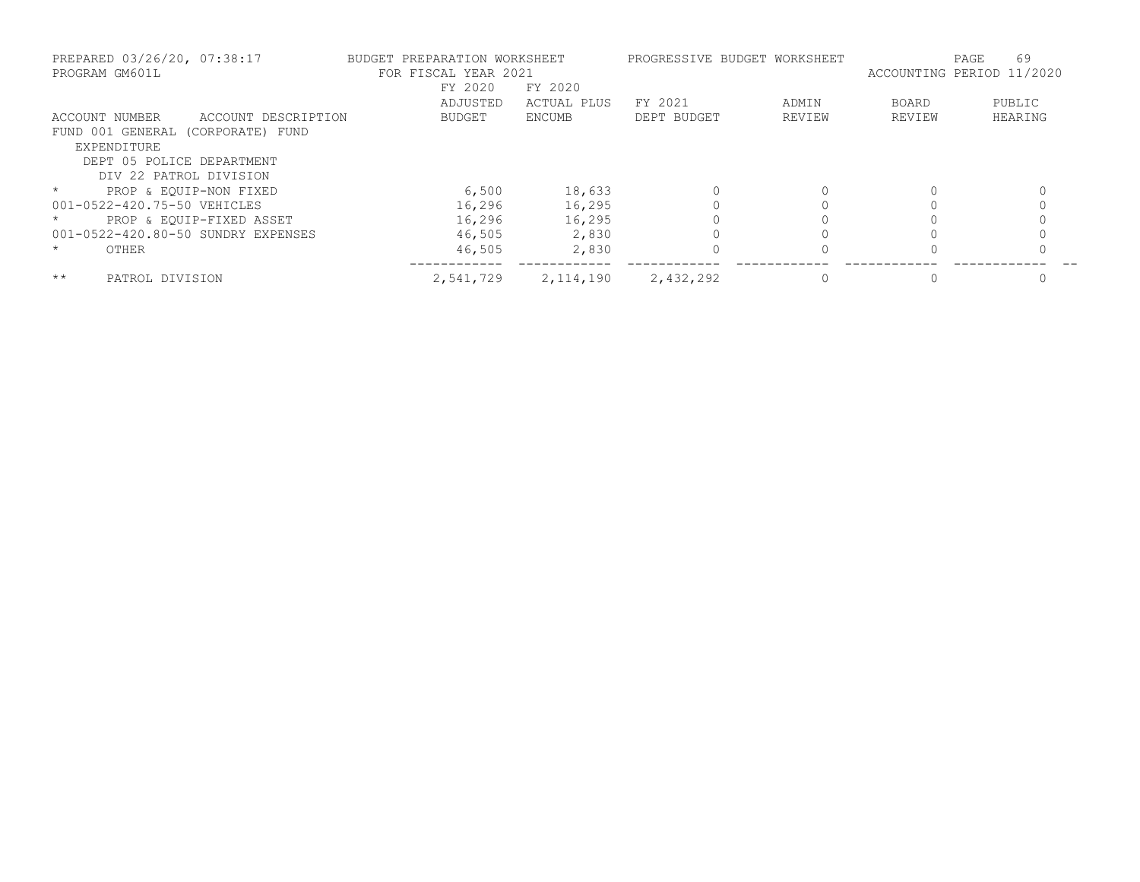| PREPARED 03/26/20, 07:38:17<br>PROGRAM GM601L |                     | BUDGET PREPARATION WORKSHEET | FOR FISCAL YEAR 2021<br>FY 2020 | FY 2020     |             | PROGRESSIVE BUDGET WORKSHEET | ACCOUNTING PERIOD 11/2020 | 69<br>PAGE |
|-----------------------------------------------|---------------------|------------------------------|---------------------------------|-------------|-------------|------------------------------|---------------------------|------------|
|                                               |                     |                              | ADJUSTED                        | ACTUAL PLUS | FY 2021     | ADMIN                        | <b>BOARD</b>              | PUBLIC     |
| ACCOUNT NUMBER                                | ACCOUNT DESCRIPTION |                              | <b>BUDGET</b>                   | ENCUMB      | DEPT BUDGET | REVIEW                       | REVIEW                    | HEARING    |
| FUND 001 GENERAL (CORPORATE) FUND             |                     |                              |                                 |             |             |                              |                           |            |
| EXPENDITURE                                   |                     |                              |                                 |             |             |                              |                           |            |
| DEPT 05 POLICE DEPARTMENT                     |                     |                              |                                 |             |             |                              |                           |            |
| DIV 22 PATROL DIVISION                        |                     |                              |                                 |             |             |                              |                           |            |
| $\star$<br>PROP & EOUIP-NON FIXED             |                     |                              | 6,500                           | 18,633      |             |                              | $\Omega$                  |            |
| 001-0522-420.75-50 VEHICLES                   |                     |                              | 16,296                          | 16,295      |             |                              |                           |            |
| PROP & EOUIP-FIXED ASSET                      |                     |                              | 16,296                          | 16,295      |             |                              |                           |            |
| 001-0522-420.80-50 SUNDRY EXPENSES            |                     |                              | 46,505                          | 2,830       |             |                              |                           |            |
| $\star$<br>OTHER                              |                     |                              | 46,505                          | 2,830       |             |                              |                           |            |
| $***$<br>PATROL DIVISION                      |                     |                              | 2,541,729                       | 2,114,190   | 2,432,292   |                              |                           |            |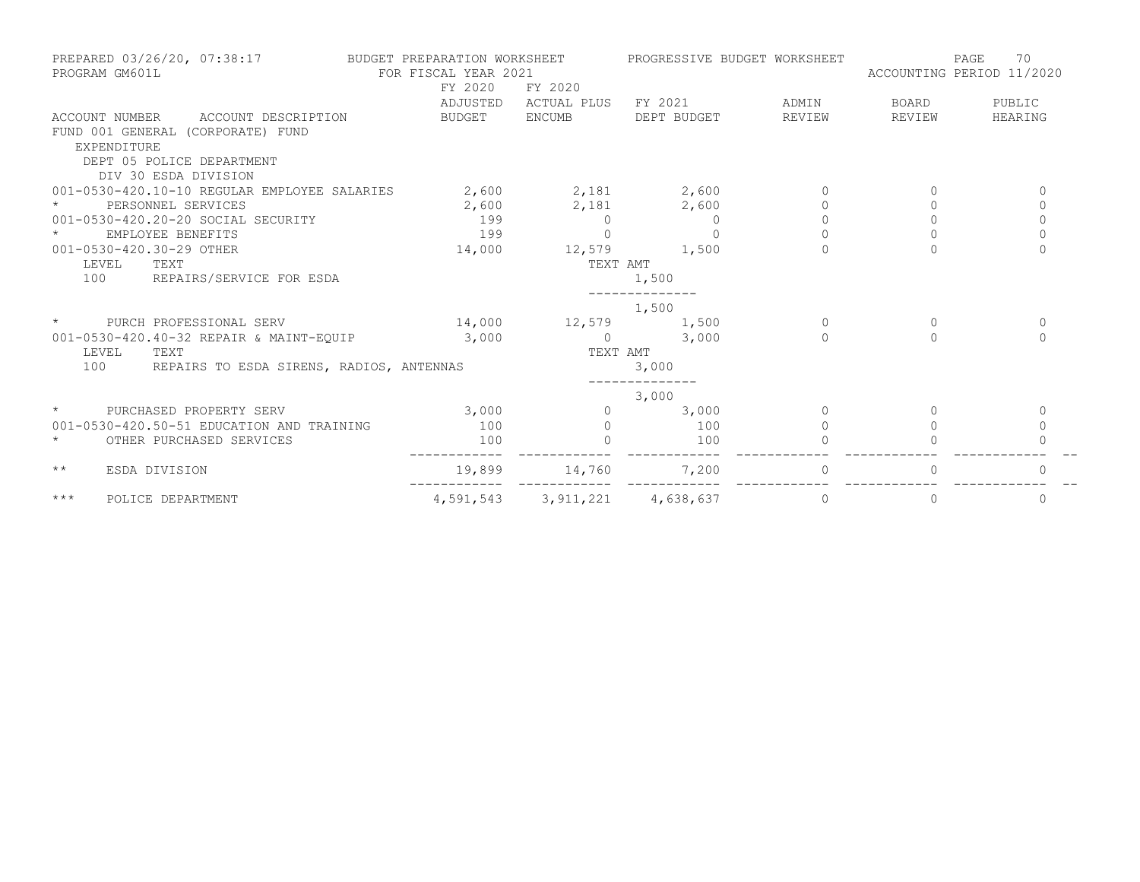| PREPARED 03/26/20, 07:38:17 BUDGET PREPARATION WORKSHEET<br>PROGRAM GM601L | FOR FISCAL YEAR 2021<br>FY 2020 | FY 2020                       | PROGRESSIVE BUDGET WORKSHEET |          | ACCOUNTING PERIOD 11/2020 | 70<br>PAGE   |
|----------------------------------------------------------------------------|---------------------------------|-------------------------------|------------------------------|----------|---------------------------|--------------|
|                                                                            | ADJUSTED                        |                               | ACTUAL PLUS FY 2021          | ADMIN    | BOARD                     | PUBLIC       |
| ACCOUNT NUMBER ACCOUNT DESCRIPTION                                         | BUDGET ENCUMB                   |                               | DEPT BUDGET                  | REVIEW   | REVIEW                    | HEARING      |
| FUND 001 GENERAL (CORPORATE) FUND                                          |                                 |                               |                              |          |                           |              |
| EXPENDITURE                                                                |                                 |                               |                              |          |                           |              |
| DEPT 05 POLICE DEPARTMENT                                                  |                                 |                               |                              |          |                           |              |
| DIV 30 ESDA DIVISION                                                       |                                 |                               |                              |          |                           |              |
| 001-0530-420.10-10 REGULAR EMPLOYEE SALARIES                               | 2,600 2,181 2,600               |                               |                              |          |                           | $\Omega$     |
| PERSONNEL SERVICES                                                         |                                 | $2,600$ $2,181$ $2,600$       |                              |          |                           | 0            |
| 001-0530-420.20-20 SOCIAL SECURITY                                         | 199                             | $\Omega$                      | $\Omega$                     | $\Omega$ | $\Omega$                  | $\mathbf{0}$ |
| EMPLOYEE BENEFITS                                                          | 199                             |                               | $\Omega$                     |          |                           | $\Omega$     |
| 001-0530-420.30-29 OTHER                                                   | 14,000                          | $12,579$ 1,500                |                              |          |                           | $\Omega$     |
| LEVEL<br>TEXT                                                              |                                 | TEXT AMT                      |                              |          |                           |              |
| 100 REPAIRS/SERVICE FOR ESDA                                               |                                 |                               | 1,500                        |          |                           |              |
|                                                                            |                                 |                               | 1,500                        |          |                           |              |
| $\star$<br>PURCH PROFESSIONAL SERV                                         |                                 | 14,000 12,579 1,500           |                              | $\Omega$ | $\Omega$                  | $\mathbf{0}$ |
| 001-0530-420.40-32 REPAIR & MAINT-EQUIP                                    | 3,000                           |                               | $0 \t 3,000$                 | $\cap$   | $\Omega$                  | $\Omega$     |
| LEVEL<br>TEXT                                                              |                                 | TEXT AMT                      |                              |          |                           |              |
| 100<br>REPAIRS TO ESDA SIRENS, RADIOS, ANTENNAS                            |                                 |                               | 3,000                        |          |                           |              |
|                                                                            |                                 |                               | 3,000                        |          |                           |              |
| $\star$<br>PURCHASED PROPERTY SERV                                         | 3,000                           | $\Omega$                      | 3,000                        | $\Omega$ | $\bigcap$                 | 0            |
| 001-0530-420.50-51 EDUCATION AND TRAINING                                  | 100                             | $\Omega$                      | 100                          | $\Omega$ |                           | $\mathbf 0$  |
| $\star$<br>OTHER PURCHASED SERVICES                                        | 100                             |                               | 100                          |          |                           |              |
| $\star\star$<br>ESDA DIVISION                                              | 19,899                          | 14,760                        | 7,200                        | $\circ$  |                           | $\Omega$     |
| $***$<br>POLICE DEPARTMENT                                                 |                                 | 4,591,543 3,911,221 4,638,637 |                              | $\circ$  | $\Omega$                  | 0            |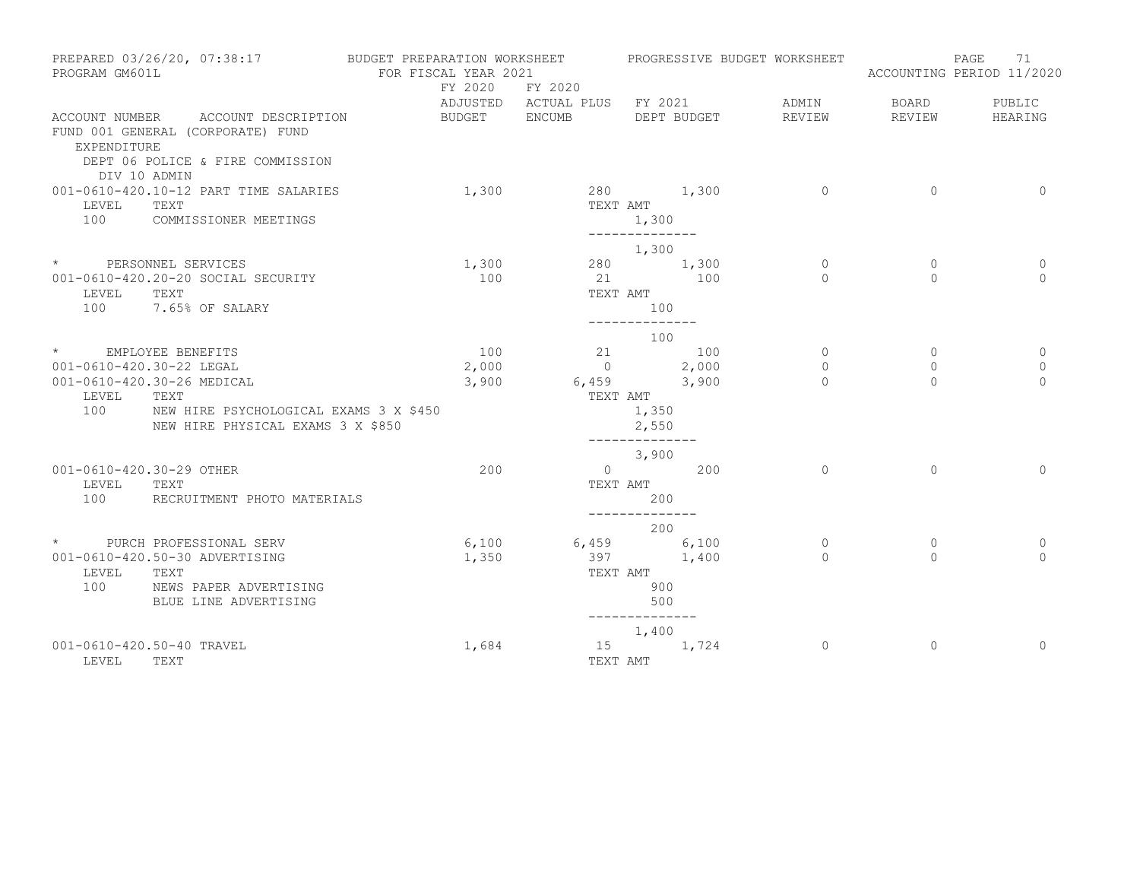| PREPARED 03/26/20, 07:38:17<br>PROGRAM GM601L                                                                                              | BUDGET PREPARATION WORKSHEET<br>FOR FISCAL YEAR 2021 |                              |                                                  | PROGRESSIVE BUDGET WORKSHEET |                | 71<br>PAGE<br>ACCOUNTING PERIOD 11/2020 |
|--------------------------------------------------------------------------------------------------------------------------------------------|------------------------------------------------------|------------------------------|--------------------------------------------------|------------------------------|----------------|-----------------------------------------|
|                                                                                                                                            | FY 2020 FY 2020                                      | ADJUSTED ACTUAL PLUS FY 2021 |                                                  | ADMIN                        | <b>BOARD</b>   | PUBLIC                                  |
| ACCOUNT NUMBER ACCOUNT DESCRIPTION<br>FUND 001 GENERAL (CORPORATE) FUND<br>EXPENDITURE<br>DEPT 06 POLICE & FIRE COMMISSION<br>DIV 10 ADMIN | BUDGET ENCUMB                                        |                              | DEPT BUDGET                                      | REVIEW                       | REVIEW         | HEARING                                 |
| 001-0610-420.10-12 PART TIME SALARIES<br>LEVEL<br>TEXT<br>100<br>COMMISSIONER MEETINGS                                                     | 1,300                                                |                              | 280 1,300<br>TEXT AMT<br>1,300<br>______________ | $\overline{0}$               | $\overline{0}$ | $\Omega$                                |
|                                                                                                                                            |                                                      |                              | 1,300                                            |                              |                |                                         |
| * PERSONNEL SERVICES                                                                                                                       | 1,300                                                |                              | 280 1,300                                        | $\circ$                      | $\mathbf{0}$   | 0                                       |
| 001-0610-420.20-20 SOCIAL SECURITY                                                                                                         | 100                                                  | 21                           | 100                                              | $\Omega$                     | $\Omega$       | $\Omega$                                |
| LEVEL<br>TEXT                                                                                                                              |                                                      | TEXT AMT                     |                                                  |                              |                |                                         |
| 100<br>7.65% OF SALARY                                                                                                                     |                                                      |                              | 100<br>--------------                            |                              |                |                                         |
|                                                                                                                                            |                                                      |                              | $100$<br>21 $100$                                |                              |                |                                         |
| * EMPLOYEE BENEFITS                                                                                                                        | 100                                                  |                              |                                                  | $\circ$                      | $\mathbf{0}$   | 0                                       |
| 001-0610-420.30-22 LEGAL                                                                                                                   | 2,000                                                |                              | $\frac{1}{0}$ 2,000                              | $\Omega$                     | $\Omega$       | $\mathbf{0}$                            |
| 001-0610-420.30-26 MEDICAL                                                                                                                 | 3,900                                                |                              | $6,459$ 3,900                                    | $\Omega$                     | $\Omega$       | $\Omega$                                |
| LEVEL<br>TEXT                                                                                                                              |                                                      |                              | TEXT AMT                                         |                              |                |                                         |
| 100<br>NEW HIRE PSYCHOLOGICAL EXAMS 3 X \$450<br>NEW HIRE PHYSICAL EXAMS 3 X \$850                                                         |                                                      |                              | 1,350<br>2,550                                   |                              |                |                                         |
|                                                                                                                                            |                                                      |                              | --------------<br>3,900                          |                              |                |                                         |
| 001-0610-420.30-29 OTHER                                                                                                                   | 200                                                  |                              | $0 \qquad \qquad 200$                            | $\Omega$                     | $\Omega$       | $\Omega$                                |
| LEVEL<br>TEXT                                                                                                                              |                                                      |                              | TEXT AMT                                         |                              |                |                                         |
| 100<br>RECRUITMENT PHOTO MATERIALS                                                                                                         |                                                      |                              | 200                                              |                              |                |                                         |
|                                                                                                                                            |                                                      |                              | --------------<br>200                            |                              |                |                                         |
| * PURCH PROFESSIONAL SERV                                                                                                                  | 6,100                                                |                              |                                                  | $\circ$                      | $\mathbf{0}$   | 0                                       |
| 001-0610-420.50-30 ADVERTISING                                                                                                             | 1,350                                                |                              | $6,459$<br>397<br>$1,400$                        | $\Omega$                     | $\Omega$       | $\Omega$                                |
| LEVEL<br>TEXT                                                                                                                              |                                                      | TEXT AMT                     |                                                  |                              |                |                                         |
| 100<br>NEWS PAPER ADVERTISING                                                                                                              |                                                      |                              | 900                                              |                              |                |                                         |
| BLUE LINE ADVERTISING                                                                                                                      |                                                      |                              | 500                                              |                              |                |                                         |
|                                                                                                                                            |                                                      |                              | --------------<br>1,400                          |                              |                |                                         |
| 001-0610-420.50-40 TRAVEL                                                                                                                  | 1,684                                                |                              | 15 1,724                                         | $\circ$                      | $\Omega$       | $\Omega$                                |
| TEXT<br>LEVEL                                                                                                                              |                                                      | TEXT AMT                     |                                                  |                              |                |                                         |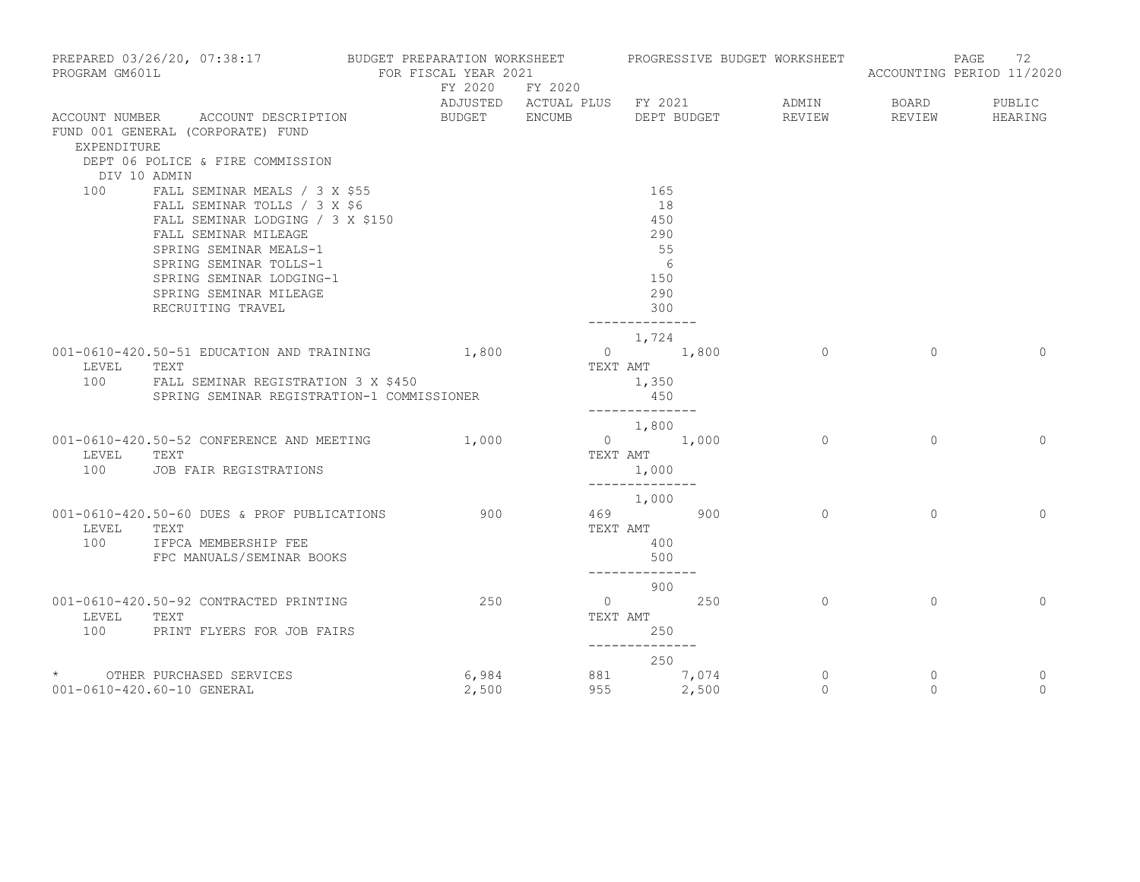| PROGRAM GM601L      | PREPARED 03/26/20, 07:38:17                                                                                                                                                                                                                              | BUDGET PREPARATION WORKSHEET | FOR FISCAL YEAR 2021 |                |                                                                             |                        | PROGRESSIVE BUDGET WORKSHEET       |                          | 72<br>PAGE<br>ACCOUNTING PERIOD 11/2020 |
|---------------------|----------------------------------------------------------------------------------------------------------------------------------------------------------------------------------------------------------------------------------------------------------|------------------------------|----------------------|----------------|-----------------------------------------------------------------------------|------------------------|------------------------------------|--------------------------|-----------------------------------------|
|                     |                                                                                                                                                                                                                                                          |                              | FY 2020 FY 2020      |                |                                                                             |                        | ADJUSTED ACTUAL PLUS FY 2021 ADMIN | <b>BOARD</b>             | PUBLIC                                  |
| EXPENDITURE         | ACCOUNT NUMBER ACCOUNT DESCRIPTION<br>FUND 001 GENERAL (CORPORATE) FUND<br>DEPT 06 POLICE & FIRE COMMISSION                                                                                                                                              |                              | BUDGET ENCUMB        |                |                                                                             |                        | DEPT BUDGET REVIEW                 | REVIEW                   | HEARING                                 |
| DIV 10 ADMIN<br>100 | FALL SEMINAR MEALS / 3 X \$55<br>FALL SEMINAR TOLLS / 3 X \$6<br>FALL SEMINAR LODGING / 3 X \$150<br>FALL SEMINAR MILEAGE<br>SPRING SEMINAR MEALS-1<br>SPRING SEMINAR TOLLS-1<br>SPRING SEMINAR LODGING-1<br>SPRING SEMINAR MILEAGE<br>RECRUITING TRAVEL |                              |                      |                | 165<br>18<br>450<br>290<br>55<br>- 6<br>150<br>290<br>300<br>-------------- |                        |                                    |                          |                                         |
| LEVEL               | 001-0610-420.50-51 EDUCATION AND TRAINING 1,800<br>TEXT<br>100 FALL SEMINAR REGISTRATION 3 X \$450<br>SPRING SEMINAR REGISTRATION-1 COMMISSIONER                                                                                                         |                              |                      |                | 1,724<br>$0 \t 1,800$<br>TEXT AMT<br>1,350<br>450<br>--------------         |                        | $\overline{0}$                     | $\Omega$                 | $\Omega$                                |
| LEVEL<br>100        | 001-0610-420.50-52 CONFERENCE AND MEETING 1,000<br>TEXT<br>JOB FAIR REGISTRATIONS                                                                                                                                                                        |                              |                      |                | 1,800<br>$0 \t 1,000$<br>TEXT AMT<br>1,000<br>______________                |                        | $\overline{0}$                     | $\mathbf{0}$             | $\mathbf{0}$                            |
| LEVEL<br>100        | 001-0610-420.50-60 DUES & PROF PUBLICATIONS<br>TEXT<br>IFPCA MEMBERSHIP FEE<br>FPC MANUALS/SEMINAR BOOKS                                                                                                                                                 |                              | 900                  |                | 1,000<br>469 900<br>TEXT AMT<br>400<br>500                                  |                        | $\circ$                            | $\Omega$                 | $\Omega$                                |
| LEVEL<br>100        | 001-0610-420.50-92 CONTRACTED PRINTING<br>TEXT<br>PRINT FLYERS FOR JOB FAIRS                                                                                                                                                                             |                              | 250                  | $\overline{0}$ | --------------<br>900<br>250<br>TEXT AMT<br>250<br>--------------           |                        | $\overline{0}$                     | $\Omega$                 | $\circ$                                 |
|                     | * OTHER PURCHASED SERVICES<br>001-0610-420.60-10 GENERAL                                                                                                                                                                                                 |                              | 6,984<br>2,500       |                | 250                                                                         | 881 7,074<br>955 2,500 | $\circ$<br>$\Omega$                | $\mathbf{0}$<br>$\Omega$ | 0<br>$\Omega$                           |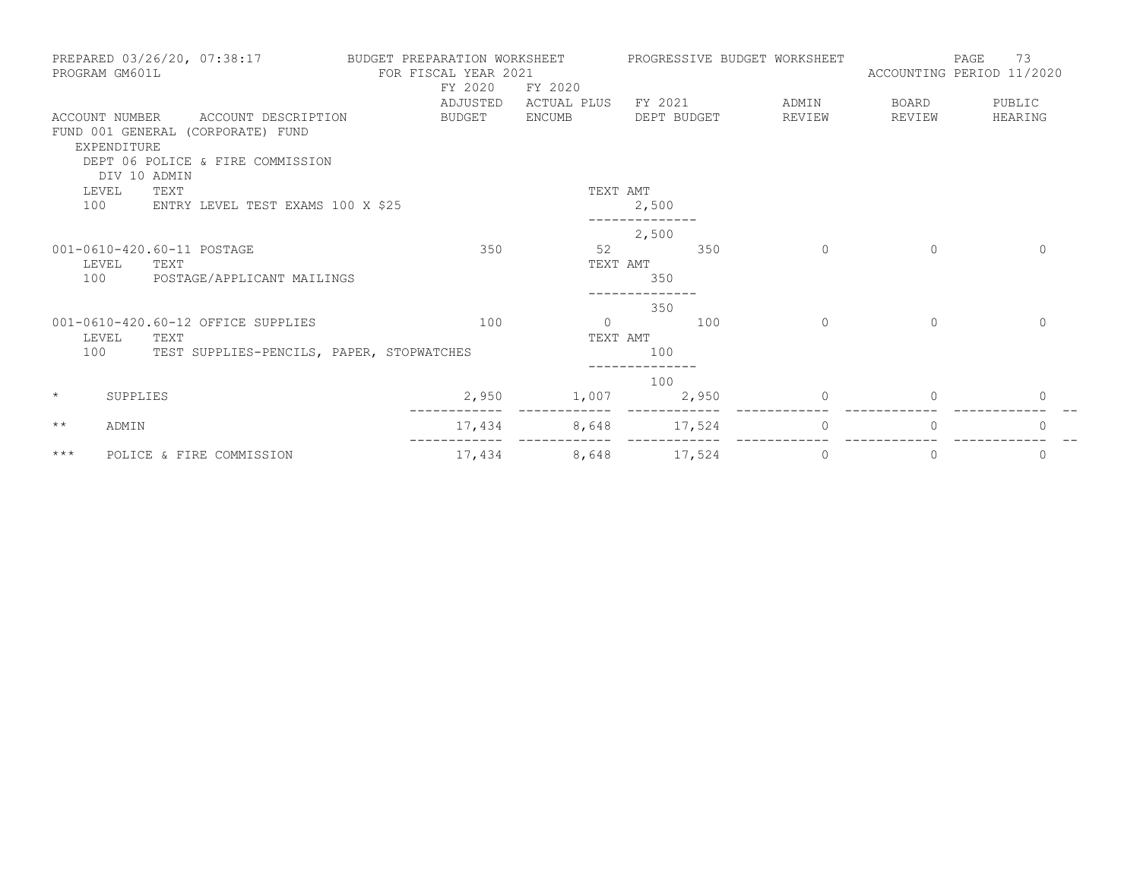|              | PROGRAM GM601L                                | PREPARED 03/26/20, 07:38:17                                                                  | BUDGET PREPARATION WORKSHEET<br>FOR FISCAL YEAR 2021<br>FY 2020<br>ADJUSTED | FY 2020<br>ACTUAL PLUS | FY 2021     |        | PROGRESSIVE BUDGET WORKSHEET<br>ADMIN | PAGE<br>ACCOUNTING PERIOD 11/2020<br>BOARD | 73<br>PUBLIC |
|--------------|-----------------------------------------------|----------------------------------------------------------------------------------------------|-----------------------------------------------------------------------------|------------------------|-------------|--------|---------------------------------------|--------------------------------------------|--------------|
|              | ACCOUNT NUMBER<br>EXPENDITURE<br>DIV 10 ADMIN | ACCOUNT DESCRIPTION<br>FUND 001 GENERAL (CORPORATE) FUND<br>DEPT 06 POLICE & FIRE COMMISSION | <b>BUDGET</b>                                                               | <b>ENCUMB</b>          | DEPT BUDGET |        | REVIEW                                | REVIEW                                     | HEARING      |
| LEVEL<br>100 | TEXT                                          | ENTRY LEVEL TEST EXAMS 100 X \$25                                                            |                                                                             | TEXT AMT               | 2,500       |        |                                       |                                            |              |
|              |                                               |                                                                                              |                                                                             |                        | 2,500       |        |                                       |                                            |              |
| 100          | LEVEL<br>TEXT                                 | 001-0610-420.60-11 POSTAGE<br>POSTAGE/APPLICANT MAILINGS                                     | 350                                                                         | 52<br>TEXT AMT         | 350         | 350    | $\Omega$                              | $\Omega$                                   | $\Omega$     |
| 100          | LEVEL<br>TEXT                                 | 001-0610-420.60-12 OFFICE SUPPLIES<br>TEST SUPPLIES-PENCILS, PAPER, STOPWATCHES              | 100                                                                         | $\Omega$<br>TEXT AMT   | 350<br>100  | 100    | $\Omega$                              | $\Omega$                                   | $\Omega$     |
| $\star$      | SUPPLIES                                      |                                                                                              | 2,950                                                                       | 1,007                  | 100         | 2,950  | $\Omega$                              | $\Omega$                                   | $\mathbf{0}$ |
| $***$        | ADMIN                                         |                                                                                              | 17,434                                                                      | 8,648                  |             | 17,524 | $\Omega$                              | $\Omega$                                   | $\Omega$     |
| $***$        |                                               | POLICE & FIRE COMMISSION                                                                     | 17,434                                                                      | 8,648                  |             | 17,524 | $\circ$                               | $\mathbf{0}$                               | $\circ$      |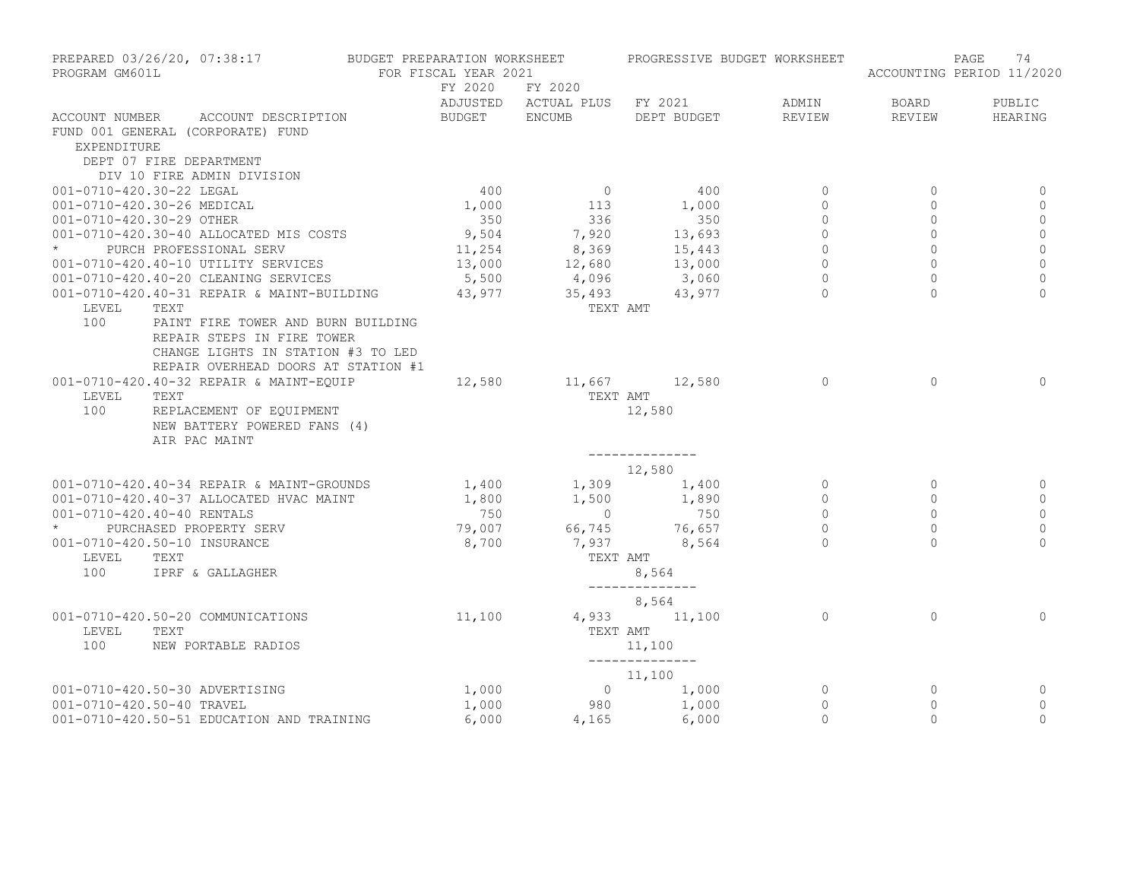| PREPARED 03/26/20, 07:38:17<br>PROGRAM GM601L                                                 |                                                                                                                                               | BUDGET PREPARATION WORKSHEET<br>FOR FISCAL YEAR 2021 |                                         | PROGRESSIVE BUDGET WORKSHEET |                |              | 74<br>PAGE<br>ACCOUNTING PERIOD 11/2020 |
|-----------------------------------------------------------------------------------------------|-----------------------------------------------------------------------------------------------------------------------------------------------|------------------------------------------------------|-----------------------------------------|------------------------------|----------------|--------------|-----------------------------------------|
|                                                                                               |                                                                                                                                               | FY 2020                                              | FY 2020<br>ADJUSTED ACTUAL PLUS FY 2021 |                              | ADMIN          | BOARD        | PUBLIC                                  |
| ACCOUNT NUMBER<br>FUND 001 GENERAL (CORPORATE) FUND<br>EXPENDITURE<br>DEPT 07 FIRE DEPARTMENT | ACCOUNT DESCRIPTION                                                                                                                           | BUDGET ENCUMB                                        |                                         | DEPT BUDGET                  | REVIEW         | REVIEW       | HEARING                                 |
| DIV 10 FIRE ADMIN DIVISION                                                                    |                                                                                                                                               |                                                      |                                         |                              |                |              |                                         |
| 001-0710-420.30-22 LEGAL                                                                      |                                                                                                                                               | 400                                                  | $\overline{0}$                          | 400                          | $\mathbf{0}$   | $\circ$      | 0                                       |
| 001-0710-420.30-26 MEDICAL                                                                    |                                                                                                                                               | 1,000                                                | 113                                     | 1,000                        | $\Omega$       | $\mathbf{0}$ | $\mathbf{0}$                            |
| 001-0710-420.30-29 OTHER                                                                      |                                                                                                                                               | 350                                                  | 336                                     | 350                          | $\mathbf{0}$   | $\circ$      | $\mathbb O$                             |
| 001-0710-420.30-40 ALLOCATED MIS COSTS                                                        |                                                                                                                                               | 9,504                                                | 7,920                                   | 13,693                       | $\Omega$       | $\Omega$     | $\circ$                                 |
| PURCH PROFESSIONAL SERV                                                                       |                                                                                                                                               | 11,254                                               | 8,369                                   | 15,443                       | $\overline{0}$ | $\circ$      | $\mathbf 0$                             |
| 001-0710-420.40-10 UTILITY SERVICES                                                           |                                                                                                                                               | 13,000                                               | 12,680                                  | 13,000                       | $\Omega$       | $\Omega$     | $\mathbf 0$                             |
| 001-0710-420.40-20 CLEANING SERVICES                                                          |                                                                                                                                               | 5,500                                                | 4,096                                   | 3,060                        | $\Omega$       | $\Omega$     | $\Omega$                                |
|                                                                                               | 001-0710-420.40-31 REPAIR & MAINT-BUILDING 43,977                                                                                             |                                                      | 35,493                                  | 43,977                       | $\Omega$       | $\Omega$     | $\Omega$                                |
| LEVEL<br>TEXT<br>100                                                                          | PAINT FIRE TOWER AND BURN BUILDING<br>REPAIR STEPS IN FIRE TOWER<br>CHANGE LIGHTS IN STATION #3 TO LED<br>REPAIR OVERHEAD DOORS AT STATION #1 |                                                      | TEXT AMT                                |                              |                |              |                                         |
| 001-0710-420.40-32 REPAIR & MAINT-EOUIP<br>LEVEL<br>TEXT<br>100<br>AIR PAC MAINT              | REPLACEMENT OF EQUIPMENT<br>NEW BATTERY POWERED FANS (4)                                                                                      | 12,580                                               | TEXT AMT                                | 11,667 12,580<br>12,580      | $\Omega$       | $\Omega$     | $\Omega$                                |
|                                                                                               |                                                                                                                                               |                                                      |                                         | ______________<br>12,580     |                |              |                                         |
|                                                                                               | 001-0710-420.40-34 REPAIR & MAINT-GROUNDS                                                                                                     | 1,400                                                |                                         | $1,309$ $1,400$              | $\circ$        | $\mathbf{0}$ | 0                                       |
| 001-0710-420.40-37 ALLOCATED HVAC MAINT                                                       |                                                                                                                                               | 1,800                                                | 1,500                                   | 1,890                        | $\Omega$       | $\Omega$     | $\circ$                                 |
| 001-0710-420.40-40 RENTALS                                                                    |                                                                                                                                               | 750                                                  | $\overline{0}$                          | 750                          | $\Omega$       | $\Omega$     | $\mathbf{0}$                            |
| PURCHASED PROPERTY SERV                                                                       |                                                                                                                                               | 79,007                                               | 66,745                                  | 76,657                       | $\Omega$       | $\Omega$     | $\circ$                                 |
| 001-0710-420.50-10 INSURANCE                                                                  |                                                                                                                                               | 8,700                                                | 7,937                                   | 8,564                        |                | $\cap$       | $\Omega$                                |
| LEVEL<br>TEXT<br>100                                                                          | IPRF & GALLAGHER                                                                                                                              |                                                      | TEXT AMT                                | 8,564                        |                |              |                                         |
|                                                                                               |                                                                                                                                               |                                                      |                                         | --------------<br>8,564      |                |              |                                         |
| 001-0710-420.50-20 COMMUNICATIONS<br>LEVEL<br>TEXT<br>100                                     | NEW PORTABLE RADIOS                                                                                                                           | 11,100                                               | TEXT AMT                                | 4,933 11,100<br>11,100       | $\Omega$       | $\Omega$     | $\Omega$                                |
|                                                                                               |                                                                                                                                               |                                                      |                                         | ______________<br>11,100     |                |              |                                         |
| 001-0710-420.50-30 ADVERTISING                                                                |                                                                                                                                               | 1,000                                                |                                         | $0 \t 1,000$                 | $\circ$        | $\mathbf{0}$ | 0                                       |
| 001-0710-420.50-40 TRAVEL                                                                     |                                                                                                                                               | 1,000                                                |                                         | 980 1,000                    | $\circ$        | $\mathbf{0}$ | $\mathbf{0}$                            |
|                                                                                               | 001-0710-420.50-51 EDUCATION AND TRAINING                                                                                                     | 6,000                                                | 4,165                                   | 6,000                        | $\Omega$       | $\Omega$     | $\Omega$                                |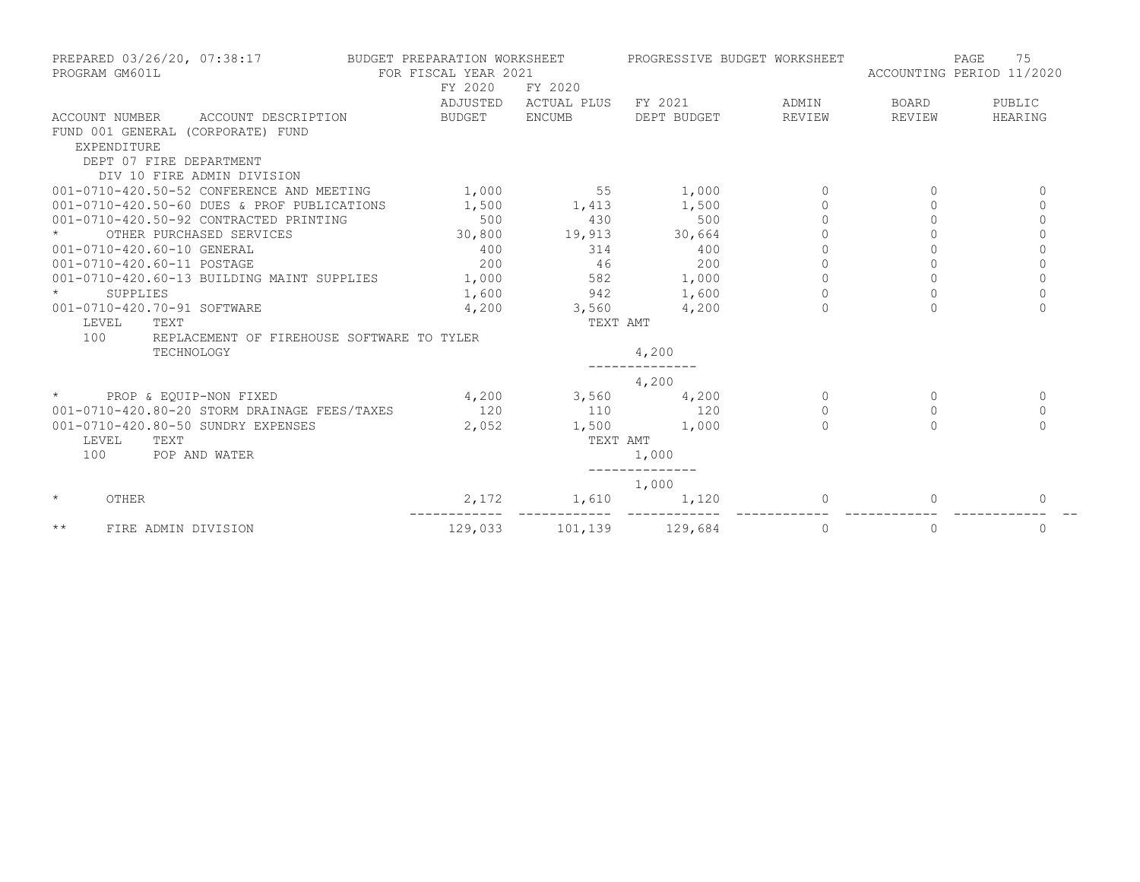| PREPARED 03/26/20, 07:38:17<br>PROGRAM GM601L     | BUDGET PREPARATION WORKSHEET<br>FOR FISCAL YEAR 2021 |               | PROGRESSIVE BUDGET WORKSHEET |          | ACCOUNTING PERIOD 11/2020 | 75<br>PAGE  |
|---------------------------------------------------|------------------------------------------------------|---------------|------------------------------|----------|---------------------------|-------------|
|                                                   | FY 2020                                              | FY 2020       |                              |          |                           |             |
|                                                   | ADJUSTED                                             | ACTUAL PLUS   | FY 2021                      | ADMIN    | BOARD                     | PUBLIC      |
| ACCOUNT DESCRIPTION<br>ACCOUNT NUMBER             | BUDGET                                               | ENCUMB        | DEPT BUDGET                  | REVIEW   | REVIEW                    | HEARING     |
| FUND 001 GENERAL (CORPORATE) FUND                 |                                                      |               |                              |          |                           |             |
| EXPENDITURE                                       |                                                      |               |                              |          |                           |             |
| DEPT 07 FIRE DEPARTMENT                           |                                                      |               |                              |          |                           |             |
| DIV 10 FIRE ADMIN DIVISION                        |                                                      |               |                              |          |                           |             |
| 001-0710-420.50-52 CONFERENCE AND MEETING         | 1,000                                                | 55            | 1,000                        | $\Omega$ | $\bigcap$                 | 0           |
| 001-0710-420.50-60 DUES & PROF PUBLICATIONS       | 1,500                                                | 1,413         | 1,500                        | $\circ$  | 0                         | $\circ$     |
| 001-0710-420.50-92 CONTRACTED PRINTING            | 500                                                  | 430           | 500                          |          | $\Omega$                  | $\Omega$    |
| OTHER PURCHASED SERVICES                          | 30,800                                               | 19,913 30,664 |                              |          |                           | $\Omega$    |
| 001-0710-420.60-10 GENERAL                        | 400                                                  | 314           | 400                          |          |                           | $\Omega$    |
| 001-0710-420.60-11 POSTAGE                        | 200                                                  | 46            | 200                          | $\circ$  | $\circ$                   | $\mathbf 0$ |
| 001-0710-420.60-13 BUILDING MAINT SUPPLIES        | 1,000                                                | 582           | 1,000                        | $\Omega$ | $\Omega$                  | $\Omega$    |
| SUPPLIES                                          | 1,600                                                | 942           | 1,600                        |          |                           | $\Omega$    |
| 001-0710-420.70-91 SOFTWARE                       | 4,200                                                | 3,560         | 4,200                        | $\cap$   | $\Omega$                  | $\Omega$    |
| LEVEL<br>TEXT                                     |                                                      | TEXT AMT      |                              |          |                           |             |
| 100<br>REPLACEMENT OF FIREHOUSE SOFTWARE TO TYLER |                                                      |               |                              |          |                           |             |
| TECHNOLOGY                                        |                                                      |               | 4,200                        |          |                           |             |
|                                                   |                                                      |               | 4,200                        |          |                           |             |
| $\star$<br>PROP & EQUIP-NON FIXED                 | 4,200                                                | 3,560         | 4,200                        | $\Omega$ | $\Omega$                  | $\Omega$    |
| 001-0710-420.80-20 STORM DRAINAGE FEES/TAXES      | 120                                                  | 110           | 120                          | $\Omega$ | $\Omega$                  | $\mathbf 0$ |
| 001-0710-420.80-50 SUNDRY EXPENSES                | 2,052                                                | 1,500         | 1,000                        | $\Omega$ | $\Omega$                  | $\Omega$    |
| LEVEL<br>TEXT                                     |                                                      | TEXT AMT      |                              |          |                           |             |
| 100<br>POP AND WATER                              |                                                      |               | 1,000                        |          |                           |             |
|                                                   |                                                      |               | 1,000                        |          |                           |             |
| $\star$<br>OTHER                                  | 2,172                                                | 1,610         | 1,120                        |          |                           | $\Omega$    |
| $\star\star$<br>FIRE ADMIN DIVISION               | 129,033                                              |               | 101,139 129,684              | 0        | 0                         | 0           |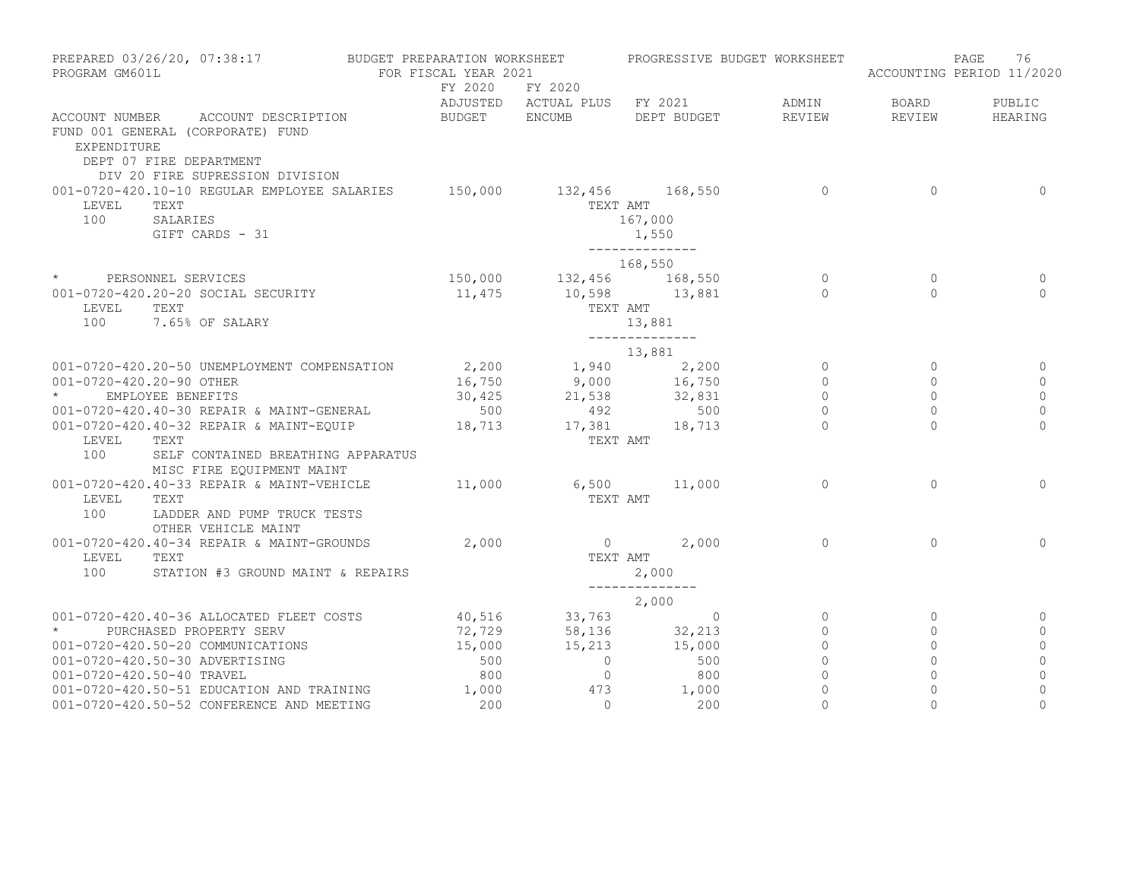| PREPARED 03/26/20, 07:38:17<br>PROGRAM GM601L                                                                                                           | BUDGET PREPARATION WORKSHEET<br>FOR FISCAL YEAR 2021 |                                                             | PROGRESSIVE BUDGET WORKSHEET                          |                     |                         | PAGE<br>76<br>ACCOUNTING PERIOD 11/2020 |
|---------------------------------------------------------------------------------------------------------------------------------------------------------|------------------------------------------------------|-------------------------------------------------------------|-------------------------------------------------------|---------------------|-------------------------|-----------------------------------------|
|                                                                                                                                                         | FY 2020                                              | FY 2020                                                     | ADJUSTED ACTUAL PLUS FY 2021                          | ADMIN               | BOARD                   | PUBLIC                                  |
| ACCOUNT NUMBER ACCOUNT DESCRIPTION<br>FUND 001 GENERAL (CORPORATE) FUND<br>EXPENDITURE<br>DEPT 07 FIRE DEPARTMENT<br>DIV 20 FIRE SUPRESSION DIVISION    | BUDGET ENCUMB                                        |                                                             | DEPT BUDGET                                           | REVIEW              | REVIEW                  | HEARING                                 |
| 001-0720-420.10-10 REGULAR EMPLOYEE SALARIES<br>TEXT<br>LEVEL<br>100<br>SALARIES<br>GIFT CARDS - 31                                                     | 150,000                                              | 132,456 168,550                                             | TEXT AMT<br>167,000<br>1,550<br>--------------        | $\overline{0}$      | $\Omega$                | $\mathbf 0$                             |
|                                                                                                                                                         |                                                      | 168,550                                                     |                                                       |                     |                         |                                         |
| * PERSONNEL SERVICES<br>001-0720-420.20-20 SOCIAL SECURITY<br>TEXT<br>LEVEL<br>100<br>7.65% OF SALARY                                                   |                                                      | 150,000 132,456 168,550<br>11,475 10,598 13,881<br>TEXT AMT | 13,881<br>________________                            | $\circ$<br>$\Omega$ | $\circ$<br>$\Omega$     | 0<br>$\Omega$                           |
|                                                                                                                                                         |                                                      |                                                             |                                                       |                     |                         |                                         |
| 001-0720-420.20-50 UNEMPLOYMENT COMPENSATION<br>001-0720-420.20-90 OTHER                                                                                |                                                      |                                                             | 13,881<br>2,200<br>16,750 1,940 2,200<br>9,000 16,750 | $\circ$<br>$\circ$  | $\circ$<br>$\Omega$     | $\Omega$                                |
| EMPLOYEE BENEFITS<br>001-0720-420.40-30 REPAIR & MAINT-GENERAL                                                                                          | 500                                                  | $30,425$ 21,538 32,831<br>492                               | 500                                                   | $\circ$<br>$\circ$  | $\Omega$<br>$\circ$     | $\mathbf{0}$<br>$\mathbb O$             |
| 001-0720-420.40-32 REPAIR & MAINT-EQUIP 18,713 17,381 18,713<br>LEVEL<br>TEXT<br>100<br>SELF CONTAINED BREATHING APPARATUS<br>MISC FIRE EQUIPMENT MAINT |                                                      | TEXT AMT                                                    |                                                       | $\Omega$            | $\Omega$                | $\Omega$                                |
| 001-0720-420.40-33 REPAIR & MAINT-VEHICLE 11,000 6,500 11,000<br>LEVEL<br>TEXT<br>100<br>LADDER AND PUMP TRUCK TESTS<br>OTHER VEHICLE MAINT             |                                                      | TEXT AMT                                                    |                                                       | $\circ$             | $\Omega$                | $\circ$                                 |
| 001-0720-420.40-34 REPAIR & MAINT-GROUNDS<br>LEVEL<br>TEXT<br>100<br>STATION #3 GROUND MAINT & REPAIRS                                                  | 2,000                                                | TEXT AMT                                                    | $0 \t 2,000$<br>2,000<br>______________               | $\Omega$            | $\Omega$                | $\Omega$                                |
|                                                                                                                                                         |                                                      |                                                             |                                                       |                     |                         |                                         |
| 001-0720-420.40-36 ALLOCATED FLEET COSTS                                                                                                                |                                                      | $2,000$<br>$40,516$<br>$72,729$<br>$58,136$<br>$32,213$     |                                                       | $\overline{0}$      | $\overline{0}$          | 0                                       |
| $\star$<br>PURCHASED PROPERTY SERV                                                                                                                      |                                                      | 15,213 15,000                                               |                                                       | $\circ$             | $\circ$                 | 0                                       |
| 001-0720-420.50-20 COMMUNICATIONS<br>001-0720-420.50-30 ADVERTISING                                                                                     | 15,000<br>500                                        | $\overline{0}$                                              | 500                                                   | $\circ$<br>$\circ$  | $\circ$<br>$\mathbf{0}$ | $\circ$<br>$\mathbf{0}$                 |
| 001-0720-420.50-40 TRAVEL                                                                                                                               | 800                                                  | $\overline{0}$                                              | 800                                                   | $\overline{0}$      | $\circ$                 | $\mathbb O$                             |
| 001-0720-420.50-51 EDUCATION AND TRAINING 1,000                                                                                                         |                                                      | 473                                                         | 1,000                                                 | $\circ$             | $\Omega$                | $\mathbf 0$                             |
| 001-0720-420.50-52 CONFERENCE AND MEETING                                                                                                               | 200                                                  | $\overline{0}$                                              | 200                                                   | $\Omega$            | $\Omega$                | $\Omega$                                |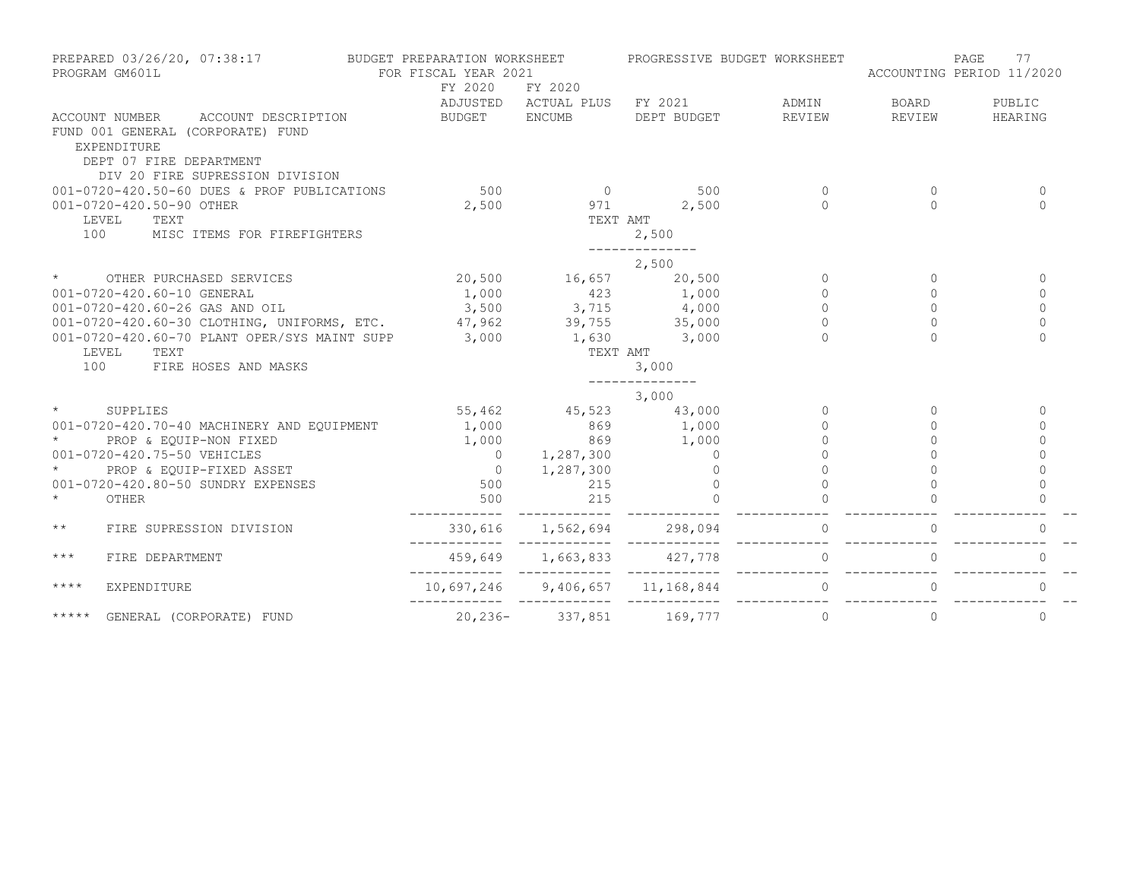| PREPARED 03/26/20, 07:38:17<br>PROGRAM GM601L                                                                                                                                                                              | BUDGET PREPARATION WORKSHEET<br>FOR FISCAL YEAR 2021 |                                 | PROGRESSIVE BUDGET WORKSHEET       |          | ACCOUNTING PERIOD 11/2020 | PAGE<br>77   |
|----------------------------------------------------------------------------------------------------------------------------------------------------------------------------------------------------------------------------|------------------------------------------------------|---------------------------------|------------------------------------|----------|---------------------------|--------------|
|                                                                                                                                                                                                                            | FY 2020                                              | FY 2020                         |                                    |          |                           |              |
|                                                                                                                                                                                                                            |                                                      |                                 | ADJUSTED ACTUAL PLUS FY 2021 ADMIN |          | BOARD                     | PUBLIC       |
| ACCOUNT NUMBER ACCOUNT DESCRIPTION                                                                                                                                                                                         | BUDGET ENCUMB                                        |                                 | DEPT BUDGET                        | REVIEW   | REVIEW                    | HEARING      |
| FUND 001 GENERAL (CORPORATE) FUND                                                                                                                                                                                          |                                                      |                                 |                                    |          |                           |              |
| EXPENDITURE                                                                                                                                                                                                                |                                                      |                                 |                                    |          |                           |              |
| DEPT 07 FIRE DEPARTMENT<br>DIV 20 FIRE SUPRESSION DIVISION                                                                                                                                                                 |                                                      |                                 |                                    |          |                           |              |
| 001-0720-420.50-60 DUES & PROF PUBLICATIONS                                                                                                                                                                                | 500                                                  | $\sim$ 0 500                    |                                    | $\Omega$ | $\Omega$                  | $\Omega$     |
| 001-0720-420.50-90 OTHER                                                                                                                                                                                                   | 2,500                                                | $971$ 2,500                     |                                    | $\cap$   | $\cap$                    | $\Omega$     |
| LEVEL<br>TEXT                                                                                                                                                                                                              |                                                      | TEXT AMT                        |                                    |          |                           |              |
| 100<br>MISC ITEMS FOR FIREFIGHTERS                                                                                                                                                                                         |                                                      |                                 | 2,500                              |          |                           |              |
|                                                                                                                                                                                                                            |                                                      |                                 |                                    |          |                           |              |
|                                                                                                                                                                                                                            |                                                      |                                 | 2,500                              |          |                           |              |
| $\star$<br>OTHER PURCHASED SERVICES                                                                                                                                                                                        |                                                      | 20,500 16,657 20,500            |                                    | $\circ$  | $\Omega$                  | $\mathbf{0}$ |
|                                                                                                                                                                                                                            |                                                      |                                 |                                    | $\circ$  | $\Omega$                  | $\circ$      |
|                                                                                                                                                                                                                            |                                                      |                                 |                                    | $\Omega$ | $\Omega$                  | $\Omega$     |
|                                                                                                                                                                                                                            |                                                      |                                 |                                    | $\Omega$ | $\Omega$                  | $\Omega$     |
| 001-0720-420.60-10 GENERAL 1,000<br>001-0720-420.60-26 GAS AND OIL 3,500 3,715 4,000<br>001-0720-420.60-30 CLOTHING, UNIFORMS, ETC. 47,962 39,755 35,000<br>001-0720-420.60-70 PLANT OPER/SYS MAINT SUPP 3,000 1,630 3,000 |                                                      |                                 |                                    | $\Omega$ |                           | $\Omega$     |
| LEVEL<br>TEXT                                                                                                                                                                                                              |                                                      | TEXT AMT                        | 3,000                              |          |                           |              |
| 100<br>FIRE HOSES AND MASKS                                                                                                                                                                                                |                                                      |                                 |                                    |          |                           |              |
|                                                                                                                                                                                                                            |                                                      |                                 | 3,000                              |          |                           |              |
| $\star$<br>SUPPLIES                                                                                                                                                                                                        |                                                      | 55,462 45,523 43,000            |                                    | $\circ$  | $\Omega$                  | 0            |
| 001-0720-420.70-40 MACHINERY AND EQUIPMENT                                                                                                                                                                                 | 1,000                                                |                                 | 869 1,000                          | 0        | $\mathbf{0}$              | $\Omega$     |
| PROP & EOUIP-NON FIXED                                                                                                                                                                                                     | 1,000                                                | 869                             | 1,000                              | $\circ$  | $\circ$                   | $\mathbf 0$  |
| 001-0720-420.75-50 VEHICLES                                                                                                                                                                                                | $\begin{matrix}0\\0\end{matrix}$                     | 1, 287, 300                     | $\overline{0}$                     |          | $\Omega$                  | $\Omega$     |
| $\star$ and $\star$<br>PROP & EQUIP-FIXED ASSET                                                                                                                                                                            |                                                      |                                 | $\Omega$                           |          |                           | $\Omega$     |
| 001-0720-420.80-50 SUNDRY EXPENSES                                                                                                                                                                                         | 500                                                  | 215                             | $\Omega$                           | $\cap$   |                           | $\cap$       |
| $\star$<br>OTHER                                                                                                                                                                                                           | 500                                                  | 215<br>________________________ | $\Omega$                           |          |                           | 0            |
| $\star\star$<br>FIRE SUPRESSION DIVISION                                                                                                                                                                                   |                                                      | 330,616 1,562,694 298,094       |                                    | $\circ$  | $\circ$                   | $\mathbf{0}$ |
| $***$<br>FIRE DEPARTMENT                                                                                                                                                                                                   | 459,649 1,663,833 427,778                            |                                 |                                    | $\circ$  | $\mathbf{0}$              | $\mathbf{0}$ |
| $***$ *<br>EXPENDITURE                                                                                                                                                                                                     | 10,697,246 9,406,657 11,168,844                      |                                 |                                    | $\circ$  | $\circ$                   | $\circ$      |
| *****<br>GENERAL (CORPORATE) FUND                                                                                                                                                                                          |                                                      |                                 | 20, 236 - 337, 851 169, 777        | $\Omega$ | $\Omega$                  | $\Omega$     |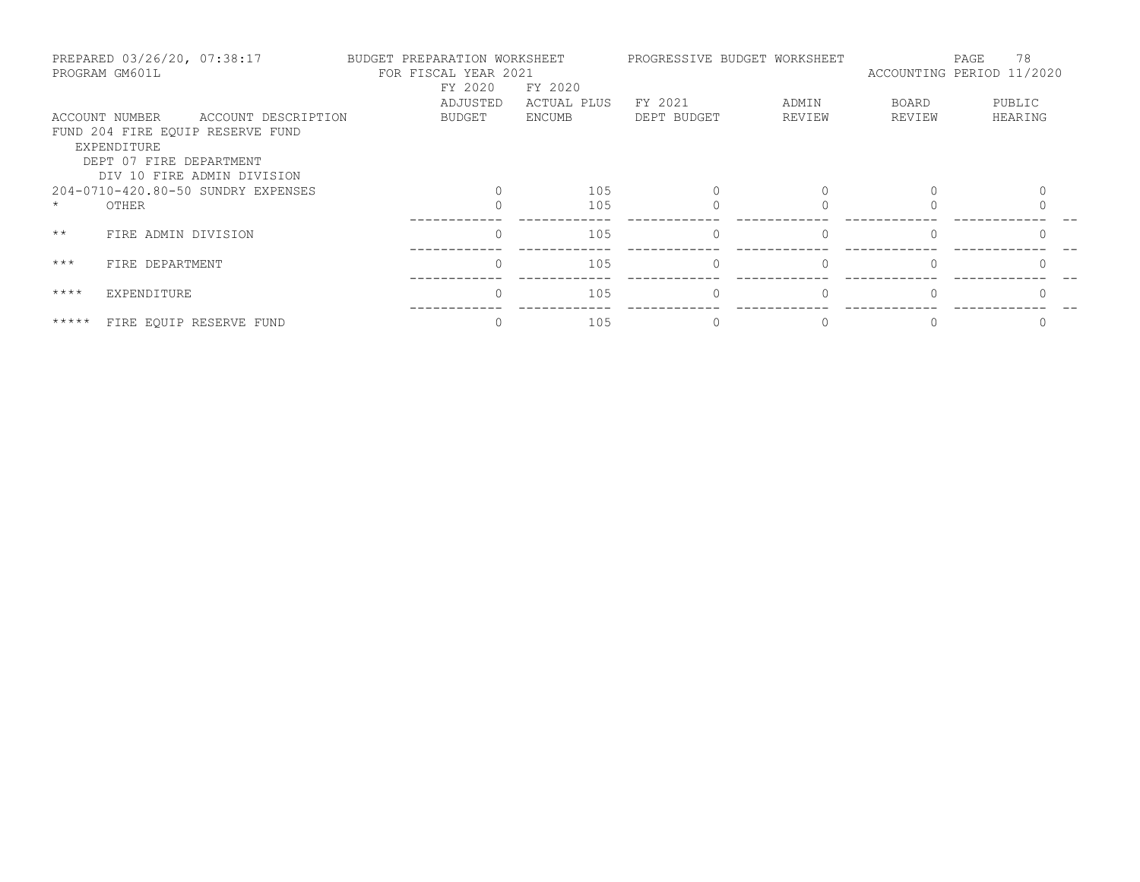| PREPARED 03/26/20, 07:38:17<br>PROGRAM GM601L |                               | BUDGET PREPARATION WORKSHEET<br>FOR FISCAL YEAR 2021<br>FY 2020<br>FY 2020 |  |          | PROGRESSIVE BUDGET WORKSHEET | 78<br>PAGE<br>ACCOUNTING PERIOD 11/2020 |          |        |         |
|-----------------------------------------------|-------------------------------|----------------------------------------------------------------------------|--|----------|------------------------------|-----------------------------------------|----------|--------|---------|
|                                               |                               |                                                                            |  | ADJUSTED | ACTUAL PLUS                  | FY 2021                                 | ADMIN    | BOARD  | PUBLIC  |
|                                               | ACCOUNT NUMBER<br>EXPENDITURE | ACCOUNT DESCRIPTION<br>FUND 204 FIRE EQUIP RESERVE FUND                    |  | BUDGET   | <b>ENCUMB</b>                | DEPT BUDGET                             | REVIEW   | REVIEW | HEARING |
|                                               | DEPT 07 FIRE DEPARTMENT       | DIV 10 FIRE ADMIN DIVISION                                                 |  |          |                              |                                         |          |        |         |
|                                               |                               | 204-0710-420.80-50 SUNDRY EXPENSES                                         |  |          | 105                          |                                         |          |        |         |
|                                               | OTHER                         |                                                                            |  |          | 105                          |                                         |          |        |         |
| $\star\star$                                  | FIRE ADMIN DIVISION           |                                                                            |  | $\Omega$ | 105                          | $\Omega$                                |          |        |         |
| $***$                                         | FIRE DEPARTMENT               |                                                                            |  | $\Omega$ | 105                          | $\bigcap$                               | $\Omega$ |        |         |
| $***$ *                                       | EXPENDITURE                   |                                                                            |  | $\Omega$ | 105                          | $\bigcap$                               |          |        |         |
| *****                                         |                               | FIRE EQUIP RESERVE FUND                                                    |  |          | 105                          |                                         |          |        |         |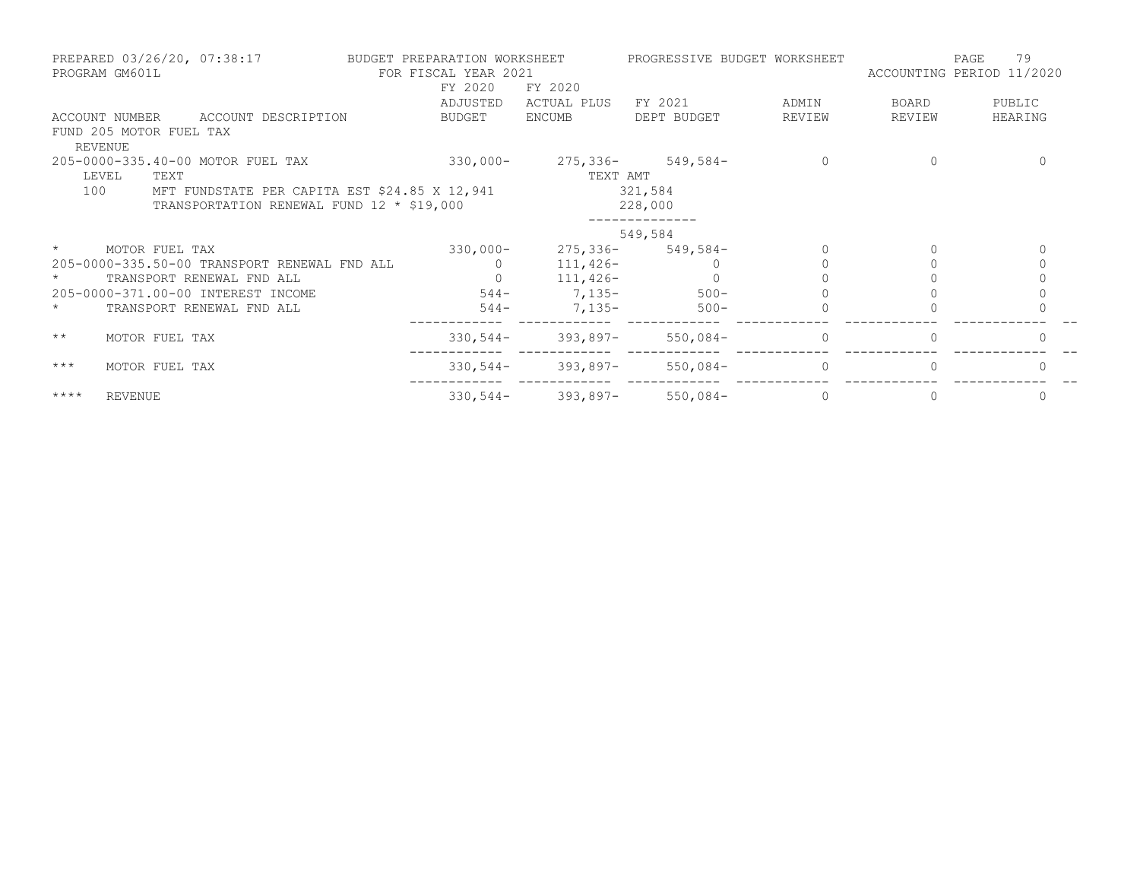|              | PREPARED 03/26/20, 07:38:17<br>PROGRAM GM601L |                                               | BUDGET PREPARATION WORKSHEET | FOR FISCAL YEAR 2021<br>FY 2020 | FY 2020         | PROGRESSIVE BUDGET WORKSHEET       |                | ACCOUNTING PERIOD 11/2020 | 79<br>PAGE |
|--------------|-----------------------------------------------|-----------------------------------------------|------------------------------|---------------------------------|-----------------|------------------------------------|----------------|---------------------------|------------|
|              |                                               |                                               |                              | ADJUSTED                        | ACTUAL PLUS     | FY 2021                            | ADMIN          | BOARD                     | PUBLIC     |
|              |                                               | ACCOUNT NUMBER ACCOUNT DESCRIPTION            |                              | BUDGET                          | ENCUMB          | DEPT BUDGET                        | REVIEW         | REVIEW                    | HEARING    |
|              | FUND 205 MOTOR FUEL TAX<br>REVENUE            |                                               |                              |                                 |                 |                                    |                |                           |            |
|              |                                               | 205-0000-335.40-00 MOTOR FUEL TAX             |                              |                                 |                 | $330,000 - 275,336 - 549,584 -$    | $\circ$        | 0                         |            |
|              | LEVEL<br>TEXT                                 |                                               |                              |                                 | TEXT AMT        |                                    |                |                           |            |
| 100          |                                               | MFT FUNDSTATE PER CAPITA EST \$24.85 X 12,941 |                              |                                 |                 | 321,584                            |                |                           |            |
|              |                                               | TRANSPORTATION RENEWAL FUND 12 * \$19,000     |                              |                                 |                 | 228,000                            |                |                           |            |
|              |                                               |                                               |                              |                                 |                 | 549,584                            |                |                           |            |
| $\star$      | MOTOR FUEL TAX                                |                                               |                              | $330,000 -$                     |                 | $275,336-549,584-$                 |                |                           |            |
|              |                                               | 205-0000-335.50-00 TRANSPORT RENEWAL FND ALL  |                              | $\overline{0}$                  | $111,426-$      |                                    |                |                           |            |
| $\star$      |                                               | TRANSPORT RENEWAL FND ALL                     |                              |                                 | $0 \t 111,426-$ |                                    |                |                           |            |
|              |                                               | 205-0000-371.00-00 INTEREST INCOME            |                              |                                 |                 | $544-7,135-500-$                   |                |                           |            |
| $\star$      |                                               | TRANSPORT RENEWAL FND ALL                     |                              |                                 | $544-7,135-$    | $500 -$                            |                |                           |            |
| $\star\star$ | MOTOR FUEL TAX                                |                                               |                              |                                 |                 | $330,544-$ 393,897- 550,084-       | $\Omega$       |                           |            |
| $***$        | MOTOR FUEL TAX                                |                                               |                              |                                 |                 | $330, 544 - 393, 897 - 550, 084 -$ | $\Omega$       |                           |            |
| $***$ * * *  | REVENUE                                       |                                               |                              |                                 |                 | $330, 544 - 393, 897 - 550, 084 -$ | $\overline{0}$ | $\Omega$                  |            |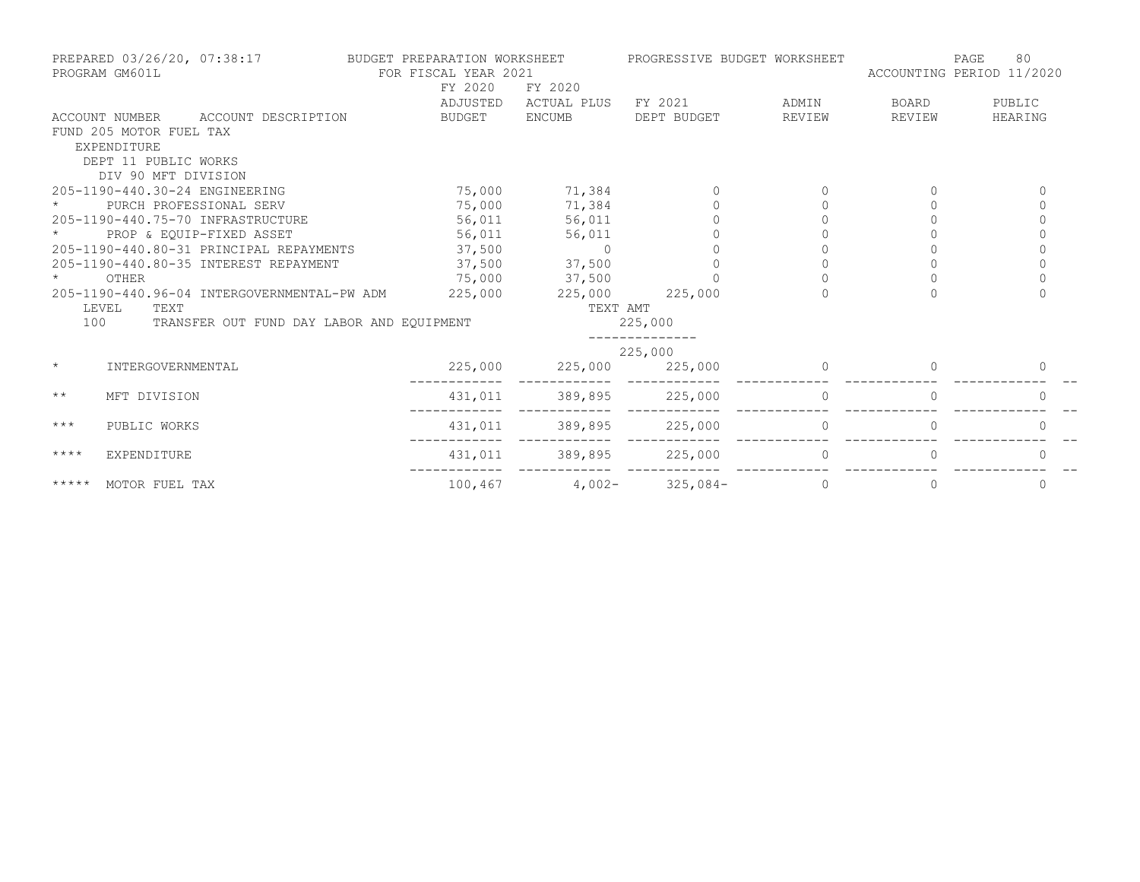| PREPARED 03/26/20, 07:38:17<br>PROGRAM GM601L |                                           | BUDGET PREPARATION WORKSHEET<br>FOR FISCAL YEAR 2021 |                 |                  | PROGRESSIVE BUDGET WORKSHEET | ACCOUNTING PERIOD 11/2020 | PAGE<br>80  |
|-----------------------------------------------|-------------------------------------------|------------------------------------------------------|-----------------|------------------|------------------------------|---------------------------|-------------|
|                                               |                                           | FY 2020                                              | FY 2020         |                  |                              |                           |             |
|                                               |                                           | ADJUSTED                                             | ACTUAL PLUS     | FY 2021          | ADMIN                        | BOARD                     | PUBLIC      |
| ACCOUNT NUMBER                                | ACCOUNT DESCRIPTION                       | BUDGET                                               | <b>ENCUMB</b>   | DEPT BUDGET      | REVIEW                       | REVIEW                    | HEARING     |
| FUND 205 MOTOR FUEL TAX                       |                                           |                                                      |                 |                  |                              |                           |             |
| EXPENDITURE                                   |                                           |                                                      |                 |                  |                              |                           |             |
| DEPT 11 PUBLIC WORKS                          |                                           |                                                      |                 |                  |                              |                           |             |
| DIV 90 MFT DIVISION                           |                                           |                                                      |                 |                  |                              |                           |             |
| 205-1190-440.30-24 ENGINEERING                |                                           | 75,000                                               | 71,384          |                  |                              |                           |             |
| PURCH PROFESSIONAL SERV                       |                                           | 75,000                                               | 71,384          |                  |                              |                           | $\Omega$    |
| 205-1190-440.75-70 INFRASTRUCTURE             |                                           | 56,011                                               | 56,011          |                  |                              |                           |             |
| PROP & EQUIP-FIXED ASSET                      |                                           | 56,011                                               | 56,011          |                  |                              |                           | $\Omega$    |
| 205-1190-440.80-31 PRINCIPAL REPAYMENTS       |                                           | 37,500                                               | $\overline{0}$  |                  |                              |                           | $\mathbf 0$ |
| 205-1190-440.80-35 INTEREST REPAYMENT         |                                           | 37,500                                               | 37,500          |                  |                              |                           | $\Omega$    |
| $\star$<br>OTHER                              |                                           |                                                      | 75,000 37,500   |                  |                              |                           | $\Omega$    |
| 205-1190-440.96-04 INTERGOVERNMENTAL-PW ADM   |                                           | 225,000                                              | 225,000         | 225,000          | $\cap$                       |                           | $\Omega$    |
| LEVEL<br>TEXT                                 |                                           |                                                      | TEXT AMT        |                  |                              |                           |             |
| 100                                           | TRANSFER OUT FUND DAY LABOR AND EQUIPMENT |                                                      |                 | 225,000          |                              |                           |             |
|                                               |                                           |                                                      |                 | 225,000          |                              |                           |             |
| $\star$<br>INTERGOVERNMENTAL                  |                                           | 225,000                                              | 225,000         | 225,000          |                              |                           | 0           |
| $\star\star$<br>MFT DIVISION                  |                                           | 431,011                                              | 389,895 225,000 |                  | $\Omega$                     | $\Omega$                  | $\Omega$    |
| $***$<br>PUBLIC WORKS                         |                                           | 431,011                                              | 389,895         | 225,000          | $\mathbf{0}$                 |                           | $\Omega$    |
| $***$ * * *<br>EXPENDITURE                    |                                           | 431,011                                              | 389,895 225,000 |                  | $\Omega$                     |                           |             |
| *****<br>MOTOR FUEL TAX                       |                                           | 100,467                                              |                 | $4,002-325,084-$ | 0                            | 0                         | 0           |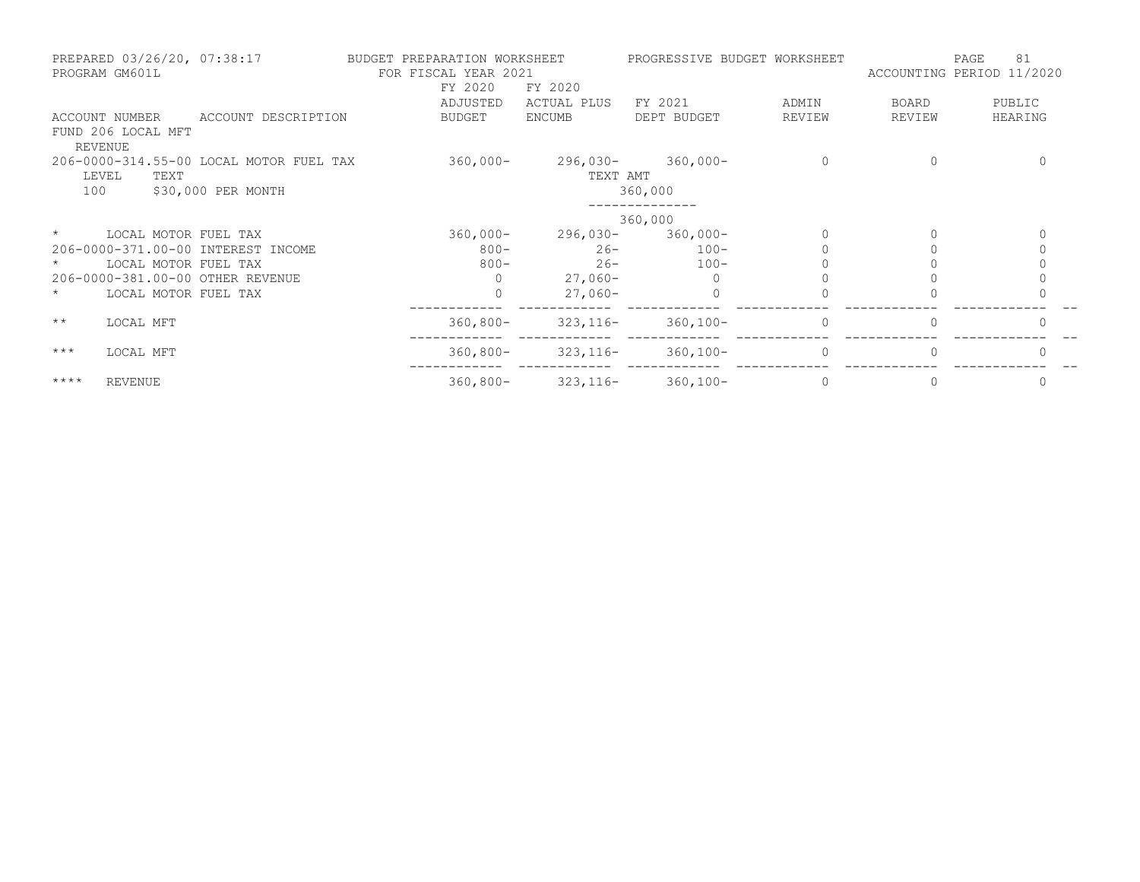| PREPARED 03/26/20, 07:38:17<br>PROGRAM GM601L |                                         | BUDGET PREPARATION WORKSHEET<br>FOR FISCAL YEAR 2021 |                                 | PROGRESSIVE BUDGET WORKSHEET |          | ACCOUNTING PERIOD 11/2020 | 81<br>PAGE |
|-----------------------------------------------|-----------------------------------------|------------------------------------------------------|---------------------------------|------------------------------|----------|---------------------------|------------|
|                                               |                                         | FY 2020<br>ADJUSTED                                  | FY 2020<br>ACTUAL PLUS          | FY 2021                      | ADMIN    | BOARD                     | PUBLIC     |
| ACCOUNT NUMBER                                | ACCOUNT DESCRIPTION                     | BUDGET                                               | ENCUMB                          | DEPT BUDGET                  | REVIEW   | REVIEW                    | HEARING    |
| FUND 206 LOCAL MFT                            |                                         |                                                      |                                 |                              |          |                           |            |
| REVENUE                                       |                                         |                                                      |                                 |                              |          |                           |            |
|                                               | 206-0000-314.55-00 LOCAL MOTOR FUEL TAX | $360,000 -$                                          |                                 | $296,030 - 360,000 -$        | $\Omega$ |                           |            |
| LEVEL<br>TEXT                                 |                                         |                                                      | TEXT AMT                        |                              |          |                           |            |
| 100                                           | \$30,000 PER MONTH                      |                                                      |                                 | 360,000                      |          |                           |            |
|                                               |                                         |                                                      |                                 | 360,000                      |          |                           |            |
| $\star$                                       | LOCAL MOTOR FUEL TAX                    | $360,000 -$                                          |                                 | 296,030-360,000-             |          |                           |            |
|                                               | 206-0000-371.00-00 INTEREST INCOME      | $800 -$                                              | $26 -$                          | $100-$                       |          |                           |            |
|                                               | LOCAL MOTOR FUEL TAX                    | $800 -$                                              | $26 -$                          | $100-$                       |          |                           |            |
| 206-0000-381.00-00 OTHER REVENUE              |                                         | $\Omega$                                             | $27,060-$                       |                              |          |                           |            |
|                                               | LOCAL MOTOR FUEL TAX                    | $\Omega$                                             | $27,060-$                       |                              |          |                           |            |
| $\star\star$<br>LOCAL MFT                     |                                         | $360,800 -$                                          | $323,116-$                      | $360,100 -$                  | $\Omega$ |                           | $\bigcap$  |
| $***$<br>LOCAL MFT                            |                                         |                                                      | $360,800 - 323,116 - 360,100 -$ |                              | $\Omega$ |                           |            |
| $***$ * * *<br><b>REVENUE</b>                 |                                         | $360,800 -$                                          |                                 | $323, 116 - 360, 100 -$      | $\Omega$ |                           | $\Omega$   |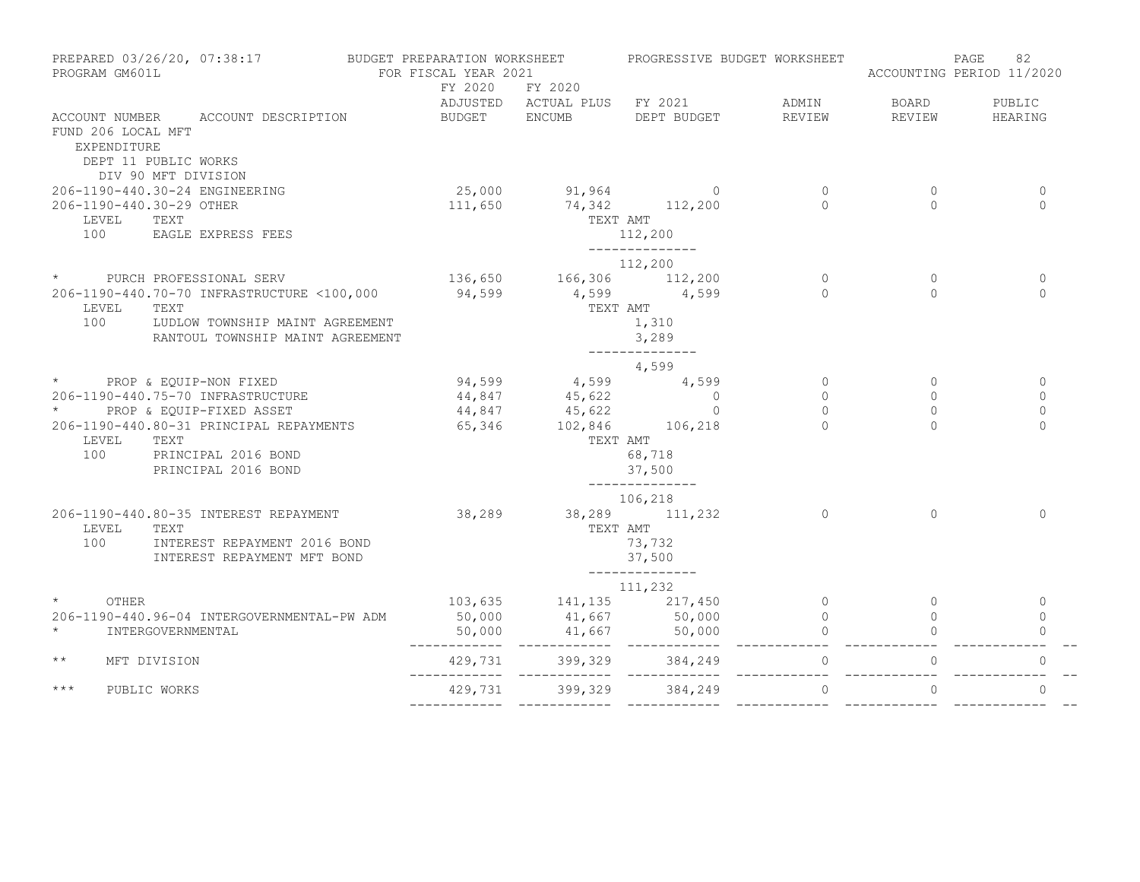| PROGRAM GM601L                    | PREPARED 03/26/20, 07:38:17 BUDGET PREPARATION WORKSHEET                                                                 | FOR FISCAL YEAR 2021                                                                                |          | PROGRESSIVE BUDGET WORKSHEET              |          | ACCOUNTING PERIOD 11/2020 | 82<br>PAGE   |
|-----------------------------------|--------------------------------------------------------------------------------------------------------------------------|-----------------------------------------------------------------------------------------------------|----------|-------------------------------------------|----------|---------------------------|--------------|
|                                   |                                                                                                                          | FY 2020                                                                                             | FY 2020  | ADJUSTED ACTUAL PLUS FY 2021 ADMIN BOARD  |          |                           | PUBLIC       |
|                                   | ACCOUNT NUMBER ACCOUNT DESCRIPTION                                                                                       | BUDGET ENCUMB                                                                                       |          | DEPT BUDGET REVIEW                        |          | REVIEW                    | HEARING      |
| FUND 206 LOCAL MFT<br>EXPENDITURE | DEPT 11 PUBLIC WORKS                                                                                                     |                                                                                                     |          |                                           |          |                           |              |
|                                   | DIV 90 MFT DIVISION                                                                                                      |                                                                                                     |          |                                           |          |                           |              |
|                                   | 206-1190-440.30-24 ENGINEERING                                                                                           |                                                                                                     |          | 25,000 91,964 0<br>111,650 74,342 112,200 | $\Omega$ | $\Omega$                  | $\Omega$     |
| 206-1190-440.30-29 OTHER          |                                                                                                                          |                                                                                                     |          |                                           | $\cap$   | $\Omega$                  | $\Omega$     |
| LEVEL TEXT                        | 100 EAGLE EXPRESS FEES                                                                                                   |                                                                                                     |          | TEXT AMT<br>112,200                       |          |                           |              |
|                                   |                                                                                                                          |                                                                                                     |          | ________________<br>112,200               |          |                           |              |
|                                   | * PURCH PROFESSIONAL SERV                                                                                                |                                                                                                     |          |                                           | $\circ$  | $\Omega$                  | $\mathbf{0}$ |
|                                   | * PURCH PROFESSIONAL SERV 136,650 166,306 112,200<br>206-1190-440.70-70 INFRASTRUCTURE <100,000 94,599 4,599 4,599 4,599 |                                                                                                     |          |                                           | $\cap$   | $\cap$                    | $\Omega$     |
| LEVEL                             | TEXT                                                                                                                     |                                                                                                     | TEXT AMT |                                           |          |                           |              |
| 100                               | LUDLOW TOWNSHIP MAINT AGREEMENT                                                                                          |                                                                                                     |          | 1,310                                     |          |                           |              |
|                                   | RANTOUL TOWNSHIP MAINT AGREEMENT                                                                                         |                                                                                                     |          | 3,289                                     |          |                           |              |
|                                   |                                                                                                                          |                                                                                                     |          | --------------                            |          |                           |              |
|                                   | * PROP & EQUIP-NON FIXED                                                                                                 |                                                                                                     |          | $94,599$ $4,599$ $4,599$ $4,599$          | $\Omega$ | $\Omega$                  | $\mathbf{0}$ |
|                                   | 206-1190-440.75-70 INFRASTRUCTURE                                                                                        |                                                                                                     |          |                                           | $\Omega$ | $\Omega$                  | $\Omega$     |
|                                   | * PROP & EQUIP-FIXED ASSET                                                                                               |                                                                                                     |          |                                           | $\circ$  | $\circ$                   | $\mathbf{0}$ |
|                                   | 206-1190-440.80-31 PRINCIPAL REPAYMENTS                                                                                  | $44,847$<br>$45,622$<br>$44,847$<br>$45,622$<br>$45,622$<br>0<br>$65,346$<br>$102,846$<br>$106,218$ |          |                                           | $\cap$   | $\cap$                    | $\Omega$     |
| LEVEL TEXT                        |                                                                                                                          |                                                                                                     |          | TEXT AMT                                  |          |                           |              |
|                                   | 100 PRINCIPAL 2016 BOND                                                                                                  |                                                                                                     |          | 68,718                                    |          |                           |              |
|                                   | PRINCIPAL 2016 BOND                                                                                                      |                                                                                                     |          | 37,500<br>______________                  |          |                           |              |
|                                   |                                                                                                                          |                                                                                                     |          | 106,218                                   |          |                           |              |
|                                   | 206-1190-440.80-35 INTEREST REPAYMENT                                                                                    | $38,289$ $38,289$ $111,232$                                                                         |          |                                           | $\Omega$ | $\bigcap$                 | $\Omega$     |
| LEVEL TEXT                        |                                                                                                                          |                                                                                                     | TEXT AMT |                                           |          |                           |              |
| 100                               | INTEREST REPAYMENT 2016 BOND                                                                                             |                                                                                                     |          | 73,732                                    |          |                           |              |
|                                   | INTEREST REPAYMENT MFT BOND                                                                                              |                                                                                                     |          | 37,500                                    |          |                           |              |
|                                   |                                                                                                                          |                                                                                                     |          | 111,232                                   |          |                           |              |
| $\star$<br>OTHER                  |                                                                                                                          |                                                                                                     |          | 103,635 141,135 217,450 0                 |          | $\circ$                   | $\mathbf{0}$ |
|                                   | 206-1190-440.96-04 INTERGOVERNMENTAL-PW ADM                                                                              | 50,000                                                                                              |          |                                           | $\Omega$ |                           | $\Omega$     |
| $\star$                           | INTERGOVERNMENTAL                                                                                                        |                                                                                                     |          |                                           |          |                           |              |
| $\star\star$                      | MFT DIVISION                                                                                                             | 429,731<br>____________                                                                             |          |                                           |          |                           |              |
| $***$                             | PUBLIC WORKS                                                                                                             |                                                                                                     |          |                                           |          |                           | $\Omega$     |
|                                   |                                                                                                                          |                                                                                                     |          |                                           |          |                           |              |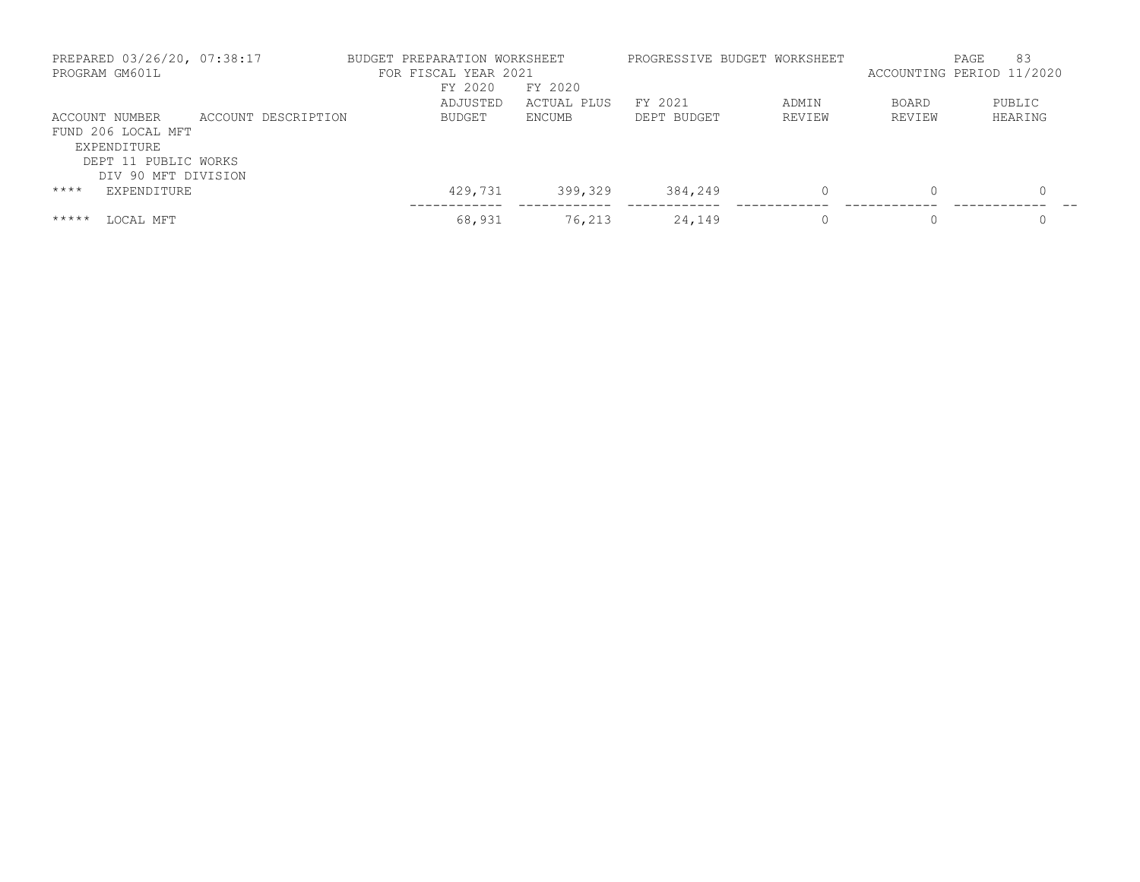|         | PREPARED 03/26/20, 07:38:17<br>PROGRAM GM601L |                     | BUDGET PREPARATION WORKSHEET<br>FOR FISCAL YEAR 2021 |             | PROGRESSIVE BUDGET WORKSHEET |        |          | 83<br>PAGE<br>ACCOUNTING PERIOD 11/2020 |
|---------|-----------------------------------------------|---------------------|------------------------------------------------------|-------------|------------------------------|--------|----------|-----------------------------------------|
|         |                                               |                     | FY 2020                                              | FY 2020     |                              |        |          |                                         |
|         |                                               |                     | ADJUSTED                                             | ACTUAL PLUS | FY 2021                      | ADMIN  | BOARD    | PUBLIC                                  |
|         | ACCOUNT NUMBER                                | ACCOUNT DESCRIPTION | <b>BUDGET</b>                                        | ENCUMB      | DEPT BUDGET                  | REVIEW | REVIEW   | HEARING                                 |
|         | FUND 206 LOCAL MFT                            |                     |                                                      |             |                              |        |          |                                         |
|         | EXPENDITURE                                   |                     |                                                      |             |                              |        |          |                                         |
|         | DEPT 11 PUBLIC WORKS                          |                     |                                                      |             |                              |        |          |                                         |
|         | DIV 90 MFT DIVISION                           |                     |                                                      |             |                              |        |          |                                         |
| $***$ * | <b>EXPENDITURE</b>                            |                     | 429,731                                              | 399,329     | 384,249                      |        | $\Omega$ | 0                                       |
|         |                                               |                     |                                                      |             |                              |        |          |                                         |
| *****   | LOCAL MFT                                     |                     | 68,931                                               | 76,213      | 24,149                       |        |          |                                         |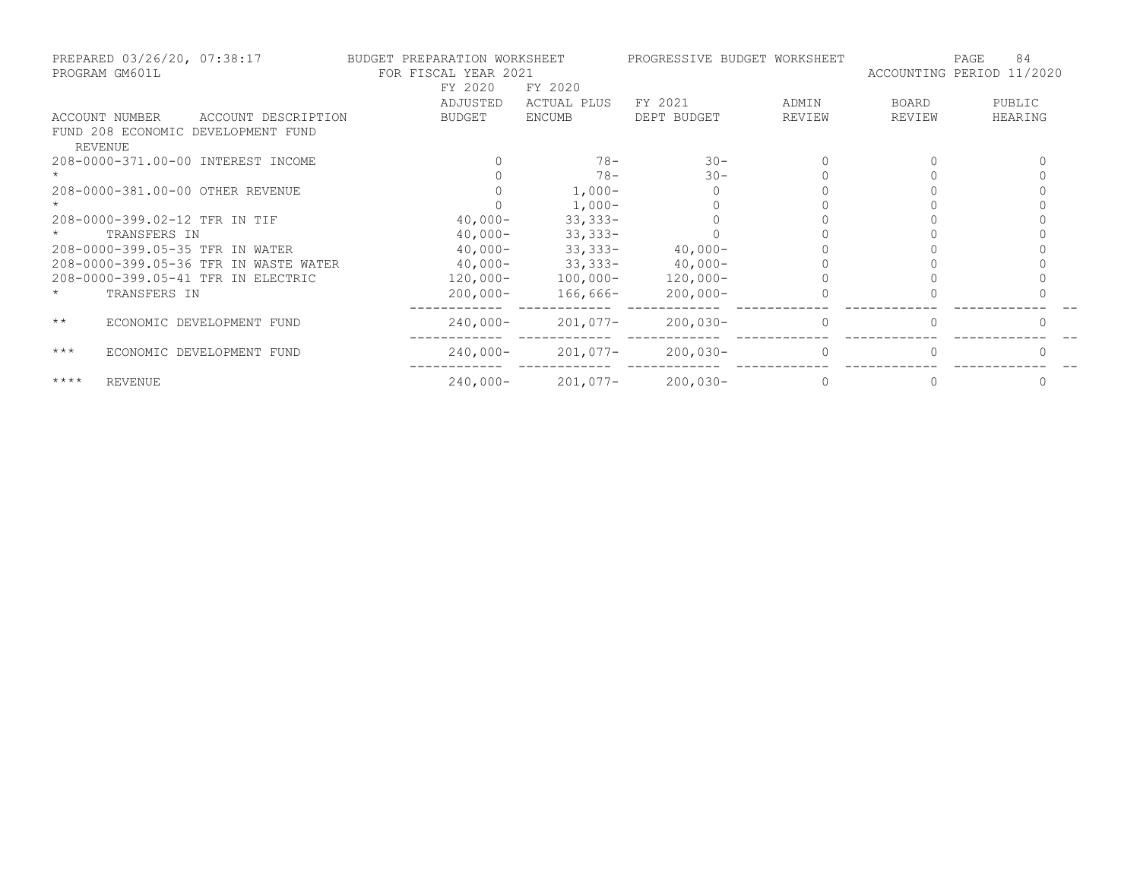| PROGRAM GM601L | PREPARED 03/26/20, 07:38:17           | BUDGET PREPARATION WORKSHEET<br>FOR FISCAL YEAR 2021 |                    | PROGRESSIVE BUDGET WORKSHEET |        |        | 84<br>PAGE<br>ACCOUNTING PERIOD 11/2020 |
|----------------|---------------------------------------|------------------------------------------------------|--------------------|------------------------------|--------|--------|-----------------------------------------|
|                |                                       | FY 2020                                              | FY 2020            |                              |        |        |                                         |
|                |                                       | ADJUSTED                                             | <b>ACTUAL PLUS</b> | FY 2021                      | ADMIN  | BOARD  | PUBLIC                                  |
| ACCOUNT NUMBER | ACCOUNT DESCRIPTION                   | <b>BUDGET</b>                                        | ENCUMB             | DEPT BUDGET                  | REVIEW | REVIEW | HEARING                                 |
| REVENUE        | FUND 208 ECONOMIC DEVELOPMENT FUND    |                                                      |                    |                              |        |        |                                         |
|                | 208-0000-371.00-00 INTEREST INCOME    |                                                      | $78 -$             | $30 -$                       |        |        |                                         |
|                |                                       |                                                      | $78 -$             | $30 -$                       |        |        |                                         |
|                | 208-0000-381.00-00 OTHER REVENUE      |                                                      | $1,000-$           |                              |        |        |                                         |
|                |                                       |                                                      | $1,000-$           |                              |        |        |                                         |
|                | 208-0000-399.02-12 TFR IN TIF         | $40,000-$                                            | $33,333 -$         |                              |        |        |                                         |
|                | TRANSFERS IN                          | $40,000 -$                                           | $33,333 -$         |                              |        |        |                                         |
|                | 208-0000-399.05-35 TFR IN WATER       | $40,000 -$                                           | $33,333 -$         | $40,000-$                    |        |        |                                         |
|                | 208-0000-399.05-36 TFR IN WASTE WATER | $40,000-$                                            | $33,333 -$         | $40,000-$                    |        |        |                                         |
|                | 208-0000-399.05-41 TFR IN ELECTRIC    | $120,000 -$                                          | $100,000 -$        | $120,000 -$                  |        |        |                                         |
|                | TRANSFERS IN                          | $200,000 -$                                          | 166,666-           | $200,000 -$                  |        |        |                                         |
| $\star\star$   | ECONOMIC DEVELOPMENT FUND             | $240,000-$                                           | $201,077-$         | $200,030-$                   |        |        |                                         |
| $***$          | ECONOMIC DEVELOPMENT FUND             | $240,000-$                                           | $201,077-$         | $200,030-$                   |        |        |                                         |
| $***$ *        | <b>REVENUE</b>                        | $240,000 -$                                          | 201,077-           | $200,030-$                   |        |        |                                         |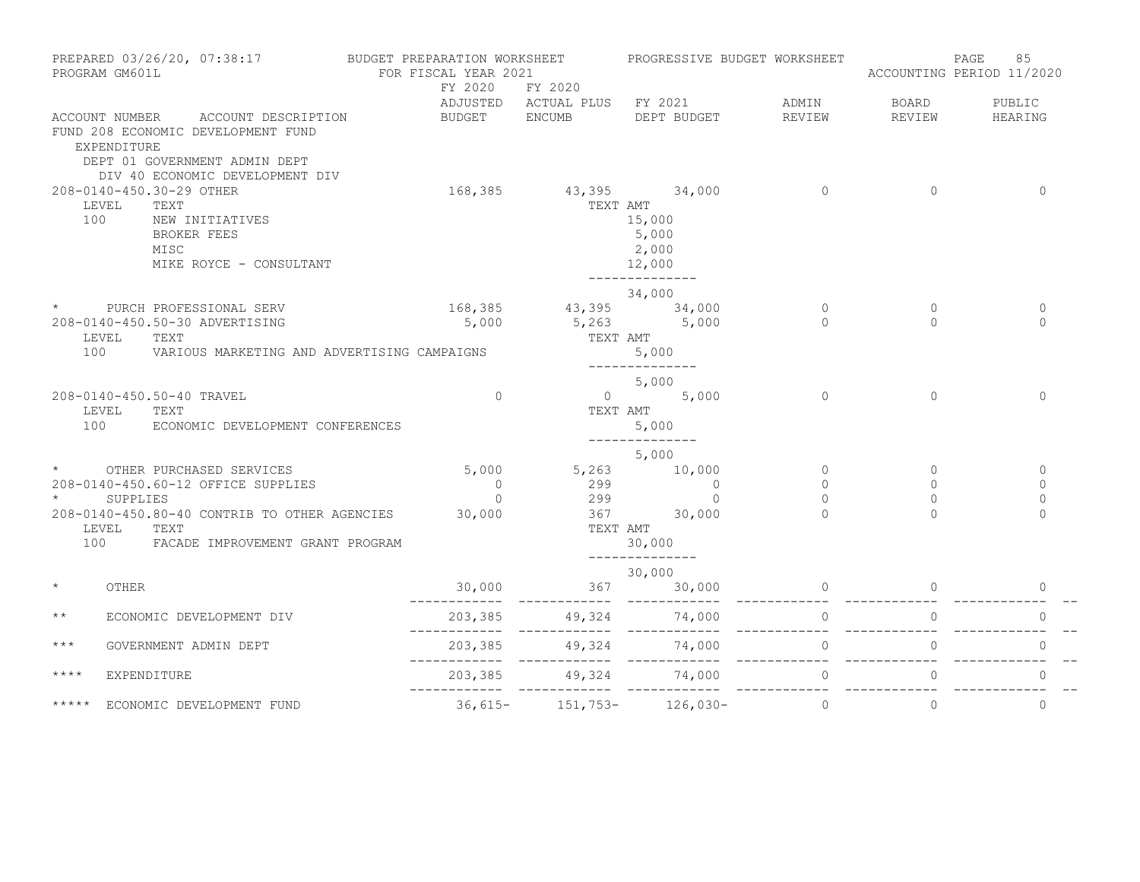| PREPARED 03/26/20, 07:38:17<br>PROGRAM GM601L |                                                   |                             | BUDGET PREPARATION WORKSHEET<br>PROGRESSIVE BUDGET WORKSHEET<br>FOR FISCAL YEAR 2021 |                                    |                | 85<br>PAGE<br>ACCOUNTING PERIOD 11/2020 |                |
|-----------------------------------------------|---------------------------------------------------|-----------------------------|--------------------------------------------------------------------------------------|------------------------------------|----------------|-----------------------------------------|----------------|
|                                               |                                                   | FY 2020                     | FY 2020                                                                              | ADJUSTED ACTUAL PLUS FY 2021 ADMIN |                | BOARD                                   | PUBLIC         |
|                                               | ACCOUNT NUMBER ACCOUNT DESCRIPTION                | BUDGET                      | <b>ENCUMB</b>                                                                        | DEPT BUDGET                        | REVIEW         | REVIEW                                  | HEARING        |
|                                               | FUND 208 ECONOMIC DEVELOPMENT FUND<br>EXPENDITURE |                             |                                                                                      |                                    |                |                                         |                |
|                                               | DEPT 01 GOVERNMENT ADMIN DEPT                     |                             |                                                                                      |                                    |                |                                         |                |
|                                               | DIV 40 ECONOMIC DEVELOPMENT DIV                   |                             |                                                                                      |                                    |                |                                         |                |
|                                               | 208-0140-450.30-29 OTHER                          |                             | 168,385 43,395 34,000                                                                |                                    | $\Omega$       | $\Omega$                                | $\Omega$       |
| 100                                           | LEVEL<br>TEXT<br>NEW INITIATIVES                  |                             | TEXT AMT                                                                             | 15,000                             |                |                                         |                |
|                                               | <b>BROKER FEES</b>                                |                             |                                                                                      | 5,000                              |                |                                         |                |
|                                               | MISC                                              |                             |                                                                                      | 2,000                              |                |                                         |                |
|                                               | MIKE ROYCE - CONSULTANT                           |                             |                                                                                      | 12,000                             |                |                                         |                |
|                                               |                                                   |                             |                                                                                      | ______________                     |                |                                         |                |
|                                               |                                                   |                             |                                                                                      | 34,000                             |                |                                         |                |
| $\star$                                       | PURCH PROFESSIONAL SERV                           | $168,385$ $43,395$ $34,000$ |                                                                                      |                                    | $\Omega$       | $\Omega$                                | $\Omega$       |
|                                               | 208-0140-450.50-30 ADVERTISING                    | 5,000                       |                                                                                      | $5,263$ $5,000$                    | $\Omega$       | $\bigcap$                               | $\Omega$       |
|                                               | LEVEL<br>TEXT                                     |                             |                                                                                      | TEXT AMT                           |                |                                         |                |
| 100                                           | VARIOUS MARKETING AND ADVERTISING CAMPAIGNS       |                             |                                                                                      | 5,000                              |                |                                         |                |
|                                               |                                                   |                             |                                                                                      | --------------                     |                |                                         |                |
|                                               | 208-0140-450.50-40 TRAVEL                         | $\Omega$                    |                                                                                      | 5,000<br>$0 \t 5,000$              | $\Omega$       | $\Omega$                                | $\Omega$       |
|                                               | LEVEL<br>TEXT                                     |                             | TEXT AMT                                                                             |                                    |                |                                         |                |
| 100                                           | ECONOMIC DEVELOPMENT CONFERENCES                  |                             |                                                                                      | 5,000                              |                |                                         |                |
|                                               |                                                   |                             |                                                                                      | --------------                     |                |                                         |                |
|                                               |                                                   |                             |                                                                                      | 5,000                              |                |                                         |                |
| $\star$                                       | OTHER PURCHASED SERVICES                          | 5,000                       | $5,263$ 10,000                                                                       |                                    | $\circ$        | $\mathbf{0}$                            | $\mathbf{0}$   |
|                                               | 208-0140-450.60-12 OFFICE SUPPLIES                | $\overline{0}$              | $\begin{array}{ccc} 299 & & 0 \\ 299 & & 0 \end{array}$                              |                                    | $\Omega$       | $\Omega$                                | $\mathbf{0}$   |
| $\star$                                       | SUPPLIES                                          | $\Omega$                    |                                                                                      |                                    | $\Omega$       | $\Omega$                                | $\Omega$       |
|                                               | 208-0140-450.80-40 CONTRIB TO OTHER AGENCIES      | 30,000                      | $367$ $30,000$                                                                       |                                    | $\cap$         |                                         | $\Omega$       |
|                                               | LEVEL TEXT                                        |                             | TEXT AMT                                                                             |                                    |                |                                         |                |
|                                               | 100 FACADE IMPROVEMENT GRANT PROGRAM              |                             |                                                                                      | 30,000<br>______________           |                |                                         |                |
|                                               |                                                   |                             |                                                                                      | 30,000                             |                |                                         |                |
| $\star$                                       | OTHER                                             |                             | $30,000$ $367$                                                                       | 30,000                             | $\overline{0}$ | $\overline{0}$                          | $\overline{0}$ |
|                                               |                                                   |                             | ------------                                                                         | ------------                       |                |                                         |                |
| $\star\star$                                  | ECONOMIC DEVELOPMENT DIV                          |                             |                                                                                      |                                    |                | $\circ$                                 | $\mathbf{0}$   |
| $***$                                         | GOVERNMENT ADMIN DEPT                             | 203,385<br>____________     |                                                                                      |                                    | $\Omega$       | $\Omega$                                | $\Omega$       |
| $***$ *                                       | EXPENDITURE                                       | 203,385                     |                                                                                      | 49,324 74,000                      | $\circ$        | $\circ$                                 | $\Omega$       |
| *****                                         | ECONOMIC DEVELOPMENT FUND                         |                             | $36,615 - 151,753 - 126,030 -$                                                       |                                    | $\circ$        | $\Omega$                                | $\mathbf{0}$   |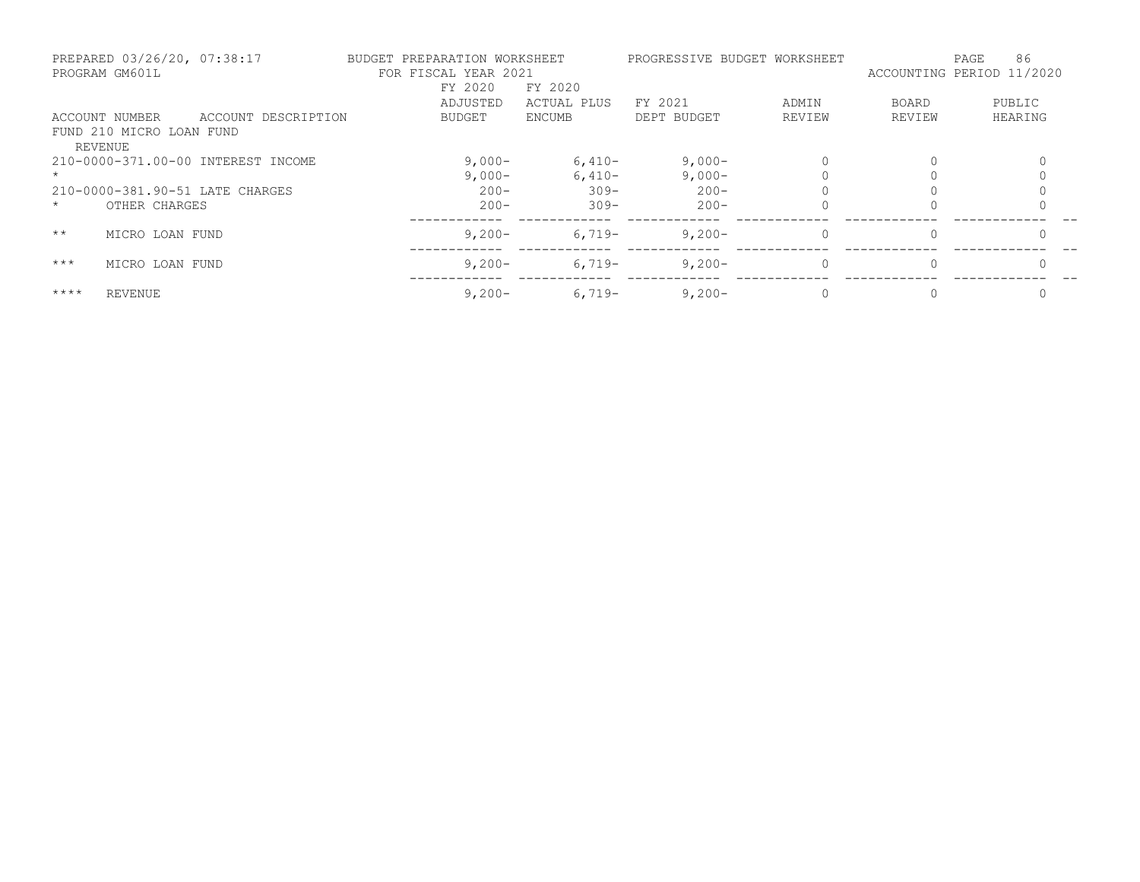|              | PREPARED 03/26/20, 07:38:17<br>PROGRAM GM601L |                                    | BUDGET PREPARATION WORKSHEET<br>FOR FISCAL YEAR 2021<br>FY 2020 | FY 2020     |             | PROGRESSIVE BUDGET WORKSHEET | ACCOUNTING PERIOD 11/2020 | 86<br>PAGE |
|--------------|-----------------------------------------------|------------------------------------|-----------------------------------------------------------------|-------------|-------------|------------------------------|---------------------------|------------|
|              |                                               |                                    | ADJUSTED                                                        | ACTUAL PLUS | FY 2021     | ADMIN                        | BOARD                     | PUBLIC     |
|              | ACCOUNT NUMBER                                | ACCOUNT DESCRIPTION                | BUDGET                                                          | ENCUMB      | DEPT BUDGET | REVIEW                       | REVIEW                    | HEARING    |
|              | FUND 210 MICRO LOAN FUND<br><b>REVENUE</b>    |                                    |                                                                 |             |             |                              |                           |            |
|              |                                               | 210-0000-371.00-00 INTEREST INCOME | $9,000-$                                                        | $6,410-$    | $9,000-$    |                              | 0                         |            |
|              |                                               |                                    | $9,000-$                                                        | $6,410-$    | $9,000-$    |                              | $\Omega$                  |            |
|              |                                               | 210-0000-381.90-51 LATE CHARGES    | $200 -$                                                         | $309 -$     | $200 -$     |                              |                           |            |
| $\star$      | OTHER CHARGES                                 |                                    | $200 -$                                                         | $309 -$     | $200 -$     |                              |                           |            |
| $\star\star$ | MICRO LOAN FUND                               |                                    | $9,200 -$                                                       | $6.719-$    | $9,200-$    | $\Omega$                     | 0                         | $\Omega$   |
| $***$        | MICRO LOAN FUND                               |                                    | $9,200 -$                                                       | $6,719-$    | $9,200-$    | $\Omega$                     | $\Omega$                  | $\Omega$   |
| $***$ *      | <b>REVENUE</b>                                |                                    | $9,200 -$                                                       | $6,719-$    | $9,200-$    |                              | 0                         |            |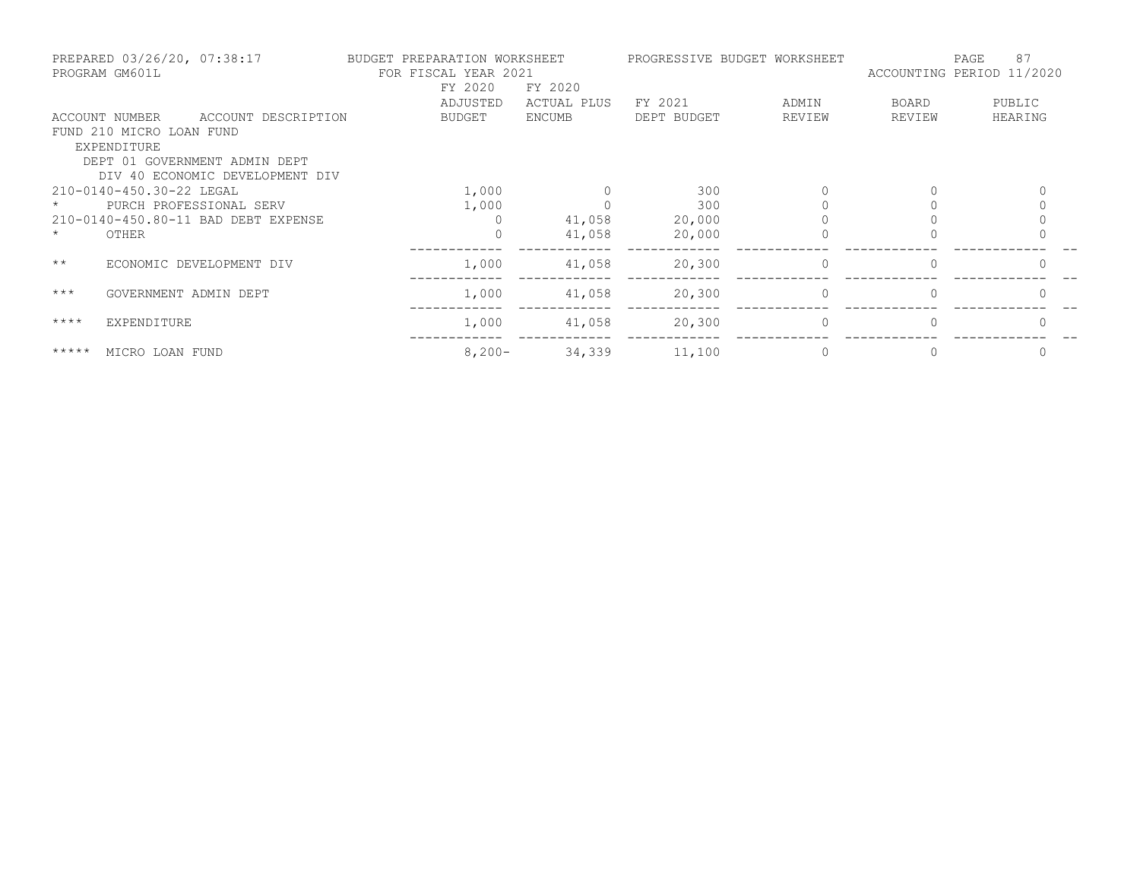|              | PREPARED 03/26/20, 07:38:17<br>PROGRAM GM601L | BUDGET PREPARATION WORKSHEET<br>FOR FISCAL YEAR 2021 |             | PROGRESSIVE BUDGET WORKSHEET |          | 87<br>PAGE<br>ACCOUNTING PERIOD 11/2020 |         |  |
|--------------|-----------------------------------------------|------------------------------------------------------|-------------|------------------------------|----------|-----------------------------------------|---------|--|
|              |                                               | FY 2020                                              | FY 2020     |                              |          |                                         |         |  |
|              |                                               | ADJUSTED                                             | ACTUAL PLUS | FY 2021                      | ADMIN    | BOARD                                   | PUBLIC  |  |
|              | ACCOUNT NUMBER<br>ACCOUNT DESCRIPTION         | BUDGET                                               | ENCUMB      | DEPT BUDGET                  | REVIEW   | REVIEW                                  | HEARING |  |
|              | FUND 210 MICRO LOAN FUND                      |                                                      |             |                              |          |                                         |         |  |
|              | EXPENDITURE                                   |                                                      |             |                              |          |                                         |         |  |
|              | DEPT 01 GOVERNMENT ADMIN DEPT                 |                                                      |             |                              |          |                                         |         |  |
|              | DIV 40 ECONOMIC DEVELOPMENT DIV               |                                                      |             |                              |          |                                         |         |  |
|              | 210-0140-450.30-22 LEGAL                      | 1,000                                                |             | 300                          |          |                                         |         |  |
|              | PURCH PROFESSIONAL SERV                       | 1,000                                                |             | 300                          |          |                                         |         |  |
|              | 210-0140-450.80-11 BAD DEBT EXPENSE           | $\Omega$                                             | 41,058      | 20,000                       |          |                                         |         |  |
| $\star$      | OTHER                                         | $\Omega$                                             | 41,058      | 20,000                       |          |                                         |         |  |
| $\star\star$ | ECONOMIC DEVELOPMENT DIV                      | 1,000                                                | 41,058      | 20,300                       | $\Omega$ | $\Omega$                                |         |  |
|              |                                               |                                                      |             |                              |          |                                         |         |  |
| $***$        | GOVERNMENT ADMIN DEPT                         | 1,000                                                | 41,058      | 20,300                       | $\Omega$ |                                         |         |  |
| $***$ *      | EXPENDITURE                                   | 1,000                                                | 41,058      | 20,300                       | $\Omega$ | $\Omega$                                |         |  |
| *****        | MICRO LOAN FUND                               | $8,200 -$                                            | 34,339      | 11,100                       |          |                                         | 0       |  |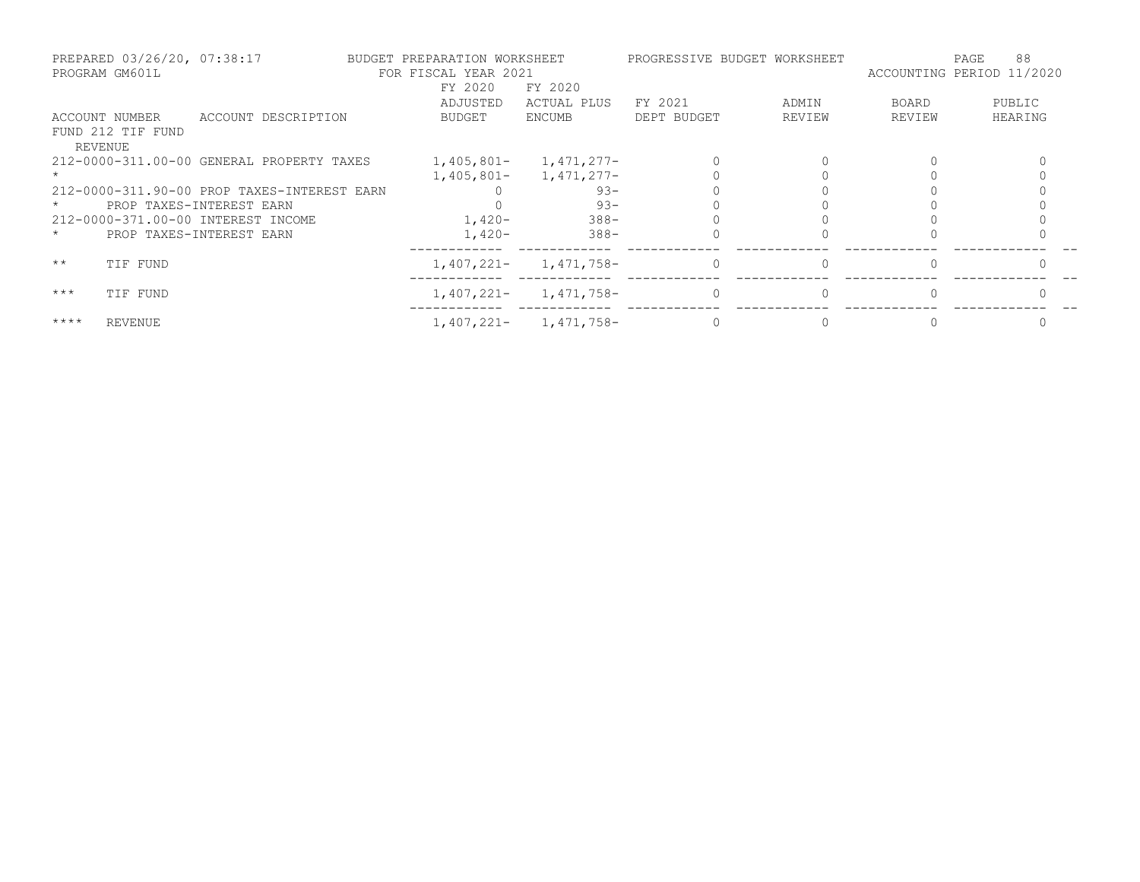|              | PREPARED 03/26/20, 07:38:17<br>PROGRAM GM601L |                                             | BUDGET PREPARATION WORKSHEET<br>FOR FISCAL YEAR 2021 |                           |             | PROGRESSIVE BUDGET WORKSHEET | ACCOUNTING PERIOD 11/2020 | 88<br>PAGE |
|--------------|-----------------------------------------------|---------------------------------------------|------------------------------------------------------|---------------------------|-------------|------------------------------|---------------------------|------------|
|              |                                               |                                             | FY 2020                                              | FY 2020                   |             |                              |                           |            |
|              |                                               |                                             | ADJUSTED                                             | ACTUAL PLUS               | FY 2021     | ADMIN                        | BOARD                     | PUBLIC     |
|              | ACCOUNT NUMBER                                | ACCOUNT DESCRIPTION                         | BUDGET                                               | ENCUMB                    | DEPT BUDGET | REVIEW                       | REVIEW                    | HEARING    |
|              | FUND 212 TIF FUND                             |                                             |                                                      |                           |             |                              |                           |            |
|              | REVENUE                                       |                                             |                                                      |                           |             |                              |                           |            |
|              |                                               | 212-0000-311.00-00 GENERAL PROPERTY TAXES   | 1,405,801-                                           | 1,471,277-                |             |                              |                           |            |
|              |                                               |                                             |                                                      | $1,405,801 - 1,471,277 -$ |             |                              |                           |            |
|              |                                               | 212-0000-311.90-00 PROP TAXES-INTEREST EARN |                                                      | $93 -$                    |             |                              |                           |            |
|              | PROP TAXES-INTEREST EARN                      |                                             |                                                      | $93 -$                    |             |                              |                           |            |
|              | 212-0000-371.00-00 INTEREST INCOME            |                                             | $1,420-$                                             | $388 -$                   |             |                              |                           |            |
| $\star$      | PROP TAXES-INTEREST EARN                      |                                             | $1,420-$                                             | 388-                      |             |                              |                           |            |
| $\star\star$ | TIF FUND                                      |                                             | $1,407,221-$                                         | 1,471,758-                | $\Omega$    |                              |                           |            |
| $***$        | TIF FUND                                      |                                             | 1,407,221-                                           | 1,471,758-                | $\Omega$    |                              |                           |            |
| $***$ *      | <b>REVENUE</b>                                |                                             |                                                      | $1,407,221 - 1,471,758 -$ |             |                              |                           |            |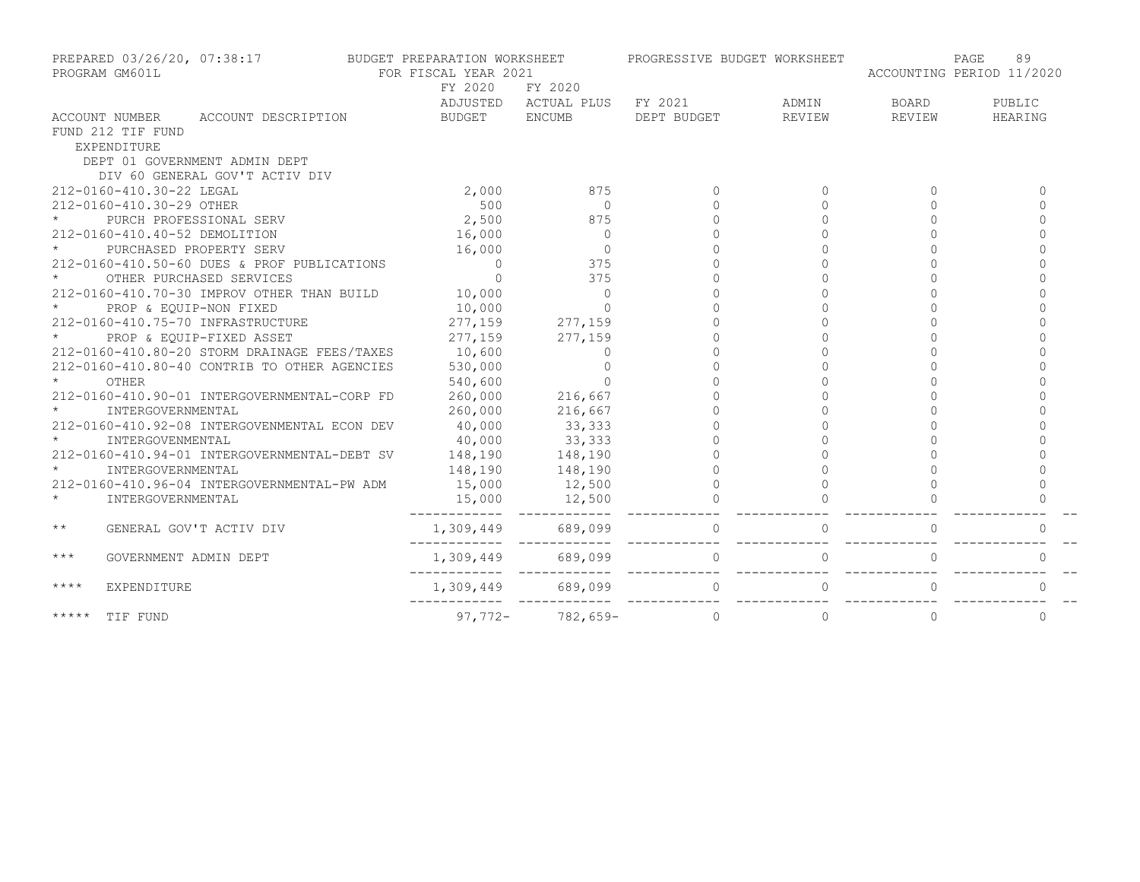| PREPARED 03/26/20, 07:38:17<br>PROGRAM GM601L |                          | BUDGET PREPARATION WORKSHEET<br>FOR FISCAL YEAR 2021 |  |                |                                                | PROGRESSIVE BUDGET WORKSHEET | 89<br>PAGE<br>ACCOUNTING PERIOD 11/2020 |          |           |
|-----------------------------------------------|--------------------------|------------------------------------------------------|--|----------------|------------------------------------------------|------------------------------|-----------------------------------------|----------|-----------|
|                                               |                          |                                                      |  | FY 2020        | FY 2020                                        |                              |                                         |          |           |
|                                               |                          |                                                      |  |                | ADJUSTED ACTUAL PLUS FY 2021                   |                              | ADMIN                                   | BOARD    | PUBLIC    |
|                                               |                          | ACCOUNT NUMBER ACCOUNT DESCRIPTION                   |  | BUDGET ENCUMB  |                                                | DEPT BUDGET                  | REVIEW                                  | REVIEW   | HEARING   |
|                                               | FUND 212 TIF FUND        |                                                      |  |                |                                                |                              |                                         |          |           |
|                                               | EXPENDITURE              |                                                      |  |                |                                                |                              |                                         |          |           |
|                                               |                          | DEPT 01 GOVERNMENT ADMIN DEPT                        |  |                |                                                |                              |                                         |          |           |
|                                               |                          | DIV 60 GENERAL GOV'T ACTIV DIV                       |  |                |                                                |                              |                                         |          |           |
|                                               | 212-0160-410.30-22 LEGAL |                                                      |  | 2,000          | 875                                            | $\bigcap$                    | $\Omega$                                |          | $\cap$    |
|                                               | 212-0160-410.30-29 OTHER |                                                      |  | 500            | $\Omega$                                       |                              |                                         |          |           |
|                                               |                          | PURCH PROFESSIONAL SERV                              |  | 2,500          | 875                                            |                              |                                         |          |           |
|                                               |                          | 212-0160-410.40-52 DEMOLITION                        |  | 16,000         | $\Omega$                                       |                              |                                         |          |           |
|                                               |                          | PURCHASED PROPERTY SERV                              |  | 16,000         | $\circ$                                        |                              |                                         |          |           |
|                                               |                          | 212-0160-410.50-60 DUES & PROF PUBLICATIONS          |  | $\overline{0}$ | 375                                            |                              |                                         |          |           |
|                                               |                          | OTHER PURCHASED SERVICES                             |  | $\overline{0}$ | 375                                            |                              |                                         |          |           |
|                                               |                          | 212-0160-410.70-30 IMPROV OTHER THAN BUILD           |  | 10,000         | $\circ$                                        |                              |                                         |          |           |
|                                               |                          | PROP & EOUIP-NON FIXED                               |  | 10,000         | $\Omega$                                       |                              |                                         |          |           |
|                                               |                          | 212-0160-410.75-70 INFRASTRUCTURE                    |  | 277,159        | 277,159                                        |                              |                                         |          |           |
|                                               |                          | PROP & EQUIP-FIXED ASSET                             |  | 277,159        | 277,159                                        |                              |                                         |          |           |
|                                               |                          | 212-0160-410.80-20 STORM DRAINAGE FEES/TAXES         |  | 10,600         | $\Omega$                                       |                              |                                         |          |           |
|                                               |                          | 212-0160-410.80-40 CONTRIB TO OTHER AGENCIES         |  | 530,000        | $\circ$                                        |                              |                                         |          |           |
|                                               | OTHER                    |                                                      |  | 540,600        | $\Omega$                                       |                              |                                         |          |           |
|                                               |                          | 212-0160-410.90-01 INTERGOVERNMENTAL-CORP FD         |  | 260,000        | 216,667                                        |                              |                                         |          |           |
|                                               | INTERGOVERNMENTAL        |                                                      |  | 260,000        | 216,667                                        |                              |                                         |          |           |
|                                               |                          | 212-0160-410.92-08 INTERGOVENMENTAL ECON DEV         |  | 40,000         | 33, 333                                        |                              |                                         |          |           |
|                                               | INTERGOVENMENTAL         |                                                      |  | 40,000         | 33, 333                                        |                              |                                         |          |           |
|                                               |                          | 212-0160-410.94-01 INTERGOVERNMENTAL-DEBT SV         |  | 148,190        |                                                |                              |                                         |          |           |
|                                               | INTERGOVERNMENTAL        |                                                      |  | 148,190        |                                                |                              |                                         |          |           |
|                                               |                          | 212-0160-410.96-04 INTERGOVERNMENTAL-PW ADM          |  | 15,000         |                                                |                              |                                         |          |           |
| $\star$                                       | INTERGOVERNMENTAL        |                                                      |  | 15,000         | $148,190$<br>$148,190$<br>$12,500$<br>$12,500$ |                              |                                         |          |           |
| $\star\star$                                  |                          | GENERAL GOV'T ACTIV DIV                              |  |                | 1,309,449 689,099                              | $\Omega$                     | $\Omega$                                |          | $\bigcap$ |
| $\star\star\star$                             | GOVERNMENT ADMIN DEPT    |                                                      |  |                | 1,309,449 689,099                              | $\Omega$                     | $\Omega$                                |          | $\bigcap$ |
| $***$ *                                       | EXPENDITURE              |                                                      |  | 1,309,449      | 689,099                                        | $\overline{0}$               | $\circ$                                 | $\Omega$ | $\Omega$  |
| *****                                         | TIF FUND                 |                                                      |  | $97,772-$      | 782,659-                                       | $\Omega$                     | $\Omega$                                | $\Omega$ | $\Omega$  |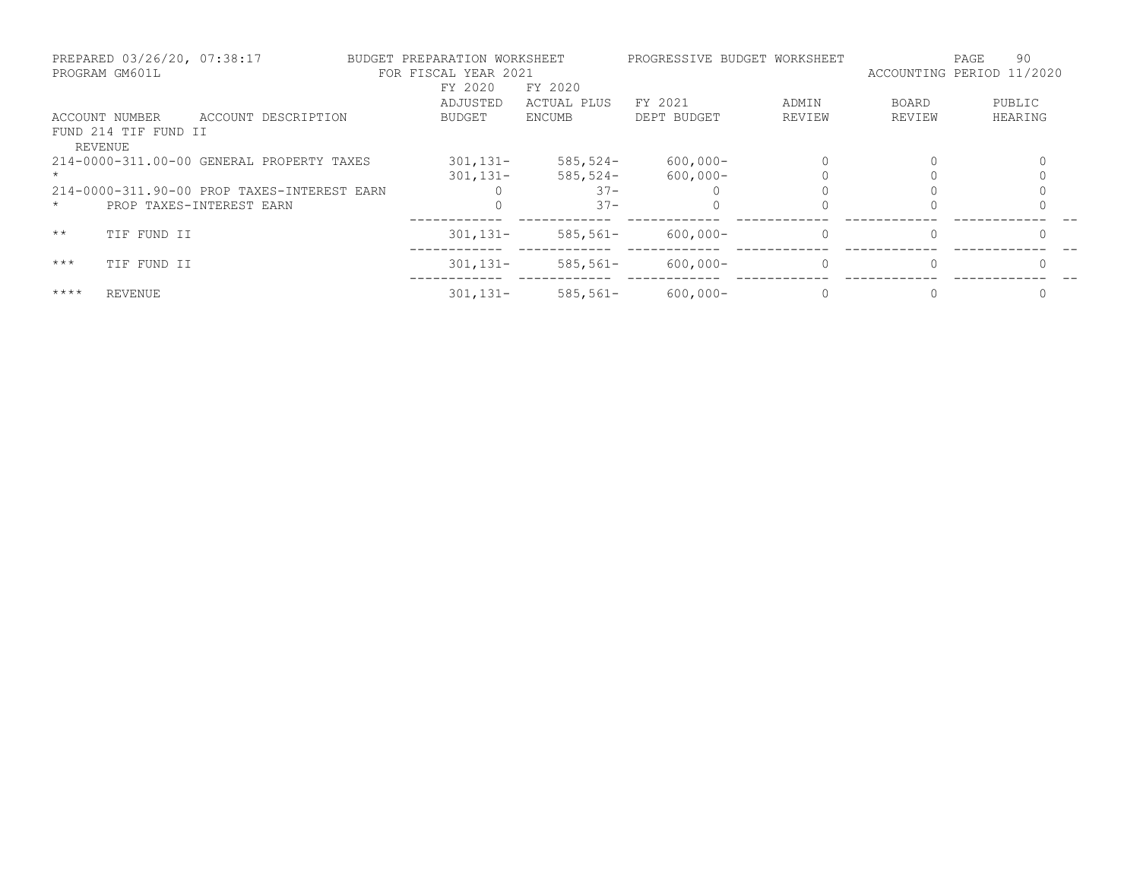|              | PREPARED 03/26/20, 07:38:17<br>PROGRAM GM601L |                                             | BUDGET PREPARATION WORKSHEET<br>FOR FISCAL YEAR 2021 |               |             | PROGRESSIVE BUDGET WORKSHEET | ACCOUNTING PERIOD 11/2020 | 90<br>PAGE |
|--------------|-----------------------------------------------|---------------------------------------------|------------------------------------------------------|---------------|-------------|------------------------------|---------------------------|------------|
|              |                                               |                                             | FY 2020                                              | FY 2020       |             |                              |                           |            |
|              |                                               |                                             | ADJUSTED                                             | ACTUAL PLUS   | FY 2021     | ADMIN                        | BOARD                     | PUBLIC     |
|              | ACCOUNT NUMBER                                | ACCOUNT DESCRIPTION                         | BUDGET                                               | <b>ENCUMB</b> | DEPT BUDGET | REVIEW                       | REVIEW                    | HEARING    |
|              | FUND 214 TIF FUND II<br>REVENUE               |                                             |                                                      |               |             |                              |                           |            |
|              |                                               | 214-0000-311.00-00 GENERAL PROPERTY TAXES   | $301, 131 -$                                         | $585, 524-$   | $600,000 -$ |                              | $\Omega$                  |            |
|              |                                               |                                             | $301, 131 -$                                         | $585, 524 -$  | $600,000 -$ |                              |                           |            |
|              |                                               | 214-0000-311.90-00 PROP TAXES-INTEREST EARN |                                                      | $37 -$        |             |                              |                           |            |
| $\star$      |                                               | PROP TAXES-INTEREST EARN                    |                                                      | $37 -$        |             |                              |                           |            |
| $\star\star$ | TIF FUND II                                   |                                             | $301, 131 -$                                         | $585, 561 -$  | $600,000 -$ | $\Omega$                     | 0                         |            |
| $***$        | TIF FUND II                                   |                                             | $301, 131 -$                                         | $585, 561 -$  | $600,000 -$ | $\Omega$                     | $\Omega$                  |            |
| $***$ *      | <b>REVENUE</b>                                |                                             | $301, 131 -$                                         | $585,561-$    | $600,000 -$ |                              | $\Omega$                  |            |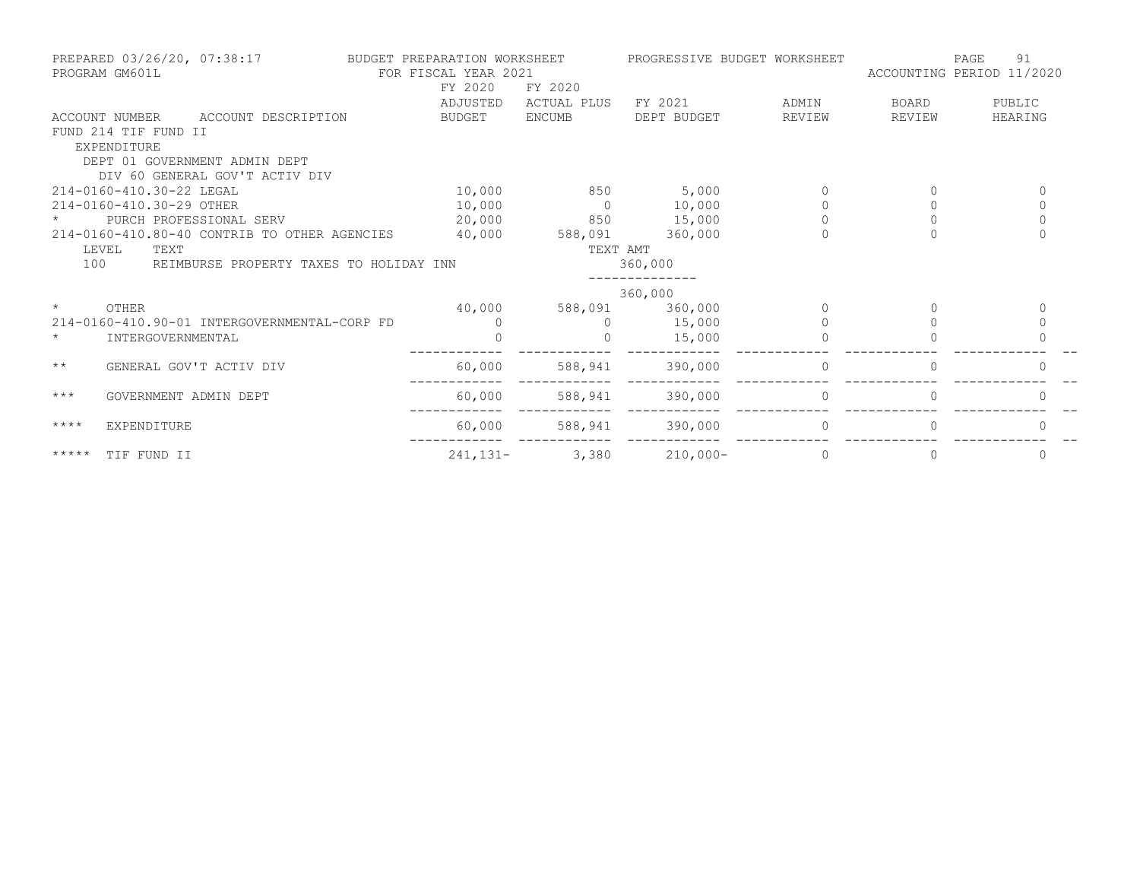| PREPARED 03/26/20, 07:38:17<br>PROGRAM GM601L |                                              | FY 2020      | BUDGET PREPARATION WORKSHEET<br>FOR FISCAL YEAR 2021<br>FY 2020 |             | PROGRESSIVE BUDGET WORKSHEET | PAGE<br>91<br>ACCOUNTING PERIOD 11/2020 |             |  |
|-----------------------------------------------|----------------------------------------------|--------------|-----------------------------------------------------------------|-------------|------------------------------|-----------------------------------------|-------------|--|
|                                               |                                              | ADJUSTED     | ACTUAL PLUS                                                     | FY 2021     | ADMIN                        | BOARD                                   | PUBLIC      |  |
|                                               | ACCOUNT DESCRIPTION<br>ACCOUNT NUMBER        | BUDGET       | <b>ENCUMB</b>                                                   | DEPT BUDGET | REVIEW                       | REVIEW                                  | HEARING     |  |
|                                               | FUND 214 TIF FUND II                         |              |                                                                 |             |                              |                                         |             |  |
|                                               | EXPENDITURE                                  |              |                                                                 |             |                              |                                         |             |  |
|                                               | DEPT 01 GOVERNMENT ADMIN DEPT                |              |                                                                 |             |                              |                                         |             |  |
|                                               | DIV 60 GENERAL GOV'T ACTIV DIV               |              |                                                                 |             |                              |                                         |             |  |
|                                               | 214-0160-410.30-22 LEGAL                     | 10,000       | 850                                                             | 5,000       | $\Omega$                     | 0                                       | 0           |  |
|                                               | 214-0160-410.30-29 OTHER                     | 10,000       | $\bigcirc$                                                      | 10,000      |                              | $\Omega$                                | $\Omega$    |  |
|                                               | PURCH PROFESSIONAL SERV                      | 20,000       | 850                                                             | 15,000      | $\Omega$                     | $\Omega$                                | $\circ$     |  |
|                                               | 214-0160-410.80-40 CONTRIB TO OTHER AGENCIES | 40,000       | 588,091                                                         | 360,000     | $\Omega$                     | $\Omega$                                | $\Omega$    |  |
|                                               | LEVEL<br>TEXT                                |              | TEXT AMT                                                        |             |                              |                                         |             |  |
| 100                                           | REIMBURSE PROPERTY TAXES TO HOLIDAY INN      |              |                                                                 | 360,000     |                              |                                         |             |  |
|                                               |                                              |              |                                                                 | 360,000     |                              |                                         |             |  |
| $\star$                                       | OTHER                                        | 40,000       | 588,091                                                         | 360,000     |                              |                                         | $\Omega$    |  |
|                                               | 214-0160-410.90-01 INTERGOVERNMENTAL-CORP FD | $\Omega$     |                                                                 | 15,000      |                              |                                         | $\mathbf 0$ |  |
| $\star$                                       | INTERGOVERNMENTAL                            |              |                                                                 | 15,000      |                              |                                         |             |  |
| $\star\star$                                  | GENERAL GOV'T ACTIV DIV                      | 60,000       | 588,941                                                         | 390,000     | $\mathbf{0}$                 |                                         | 0           |  |
| $***$                                         | GOVERNMENT ADMIN DEPT                        | 60,000       | 588,941                                                         | 390,000     | $\Omega$                     |                                         |             |  |
| $***$ *                                       | EXPENDITURE                                  | 60,000       | 588,941                                                         | 390,000     | $\Omega$                     |                                         |             |  |
| $***$ * * * *                                 | TIF FUND II                                  | $241, 131 -$ | 3,380                                                           | $210,000-$  | $\Omega$                     | 0                                       | 0           |  |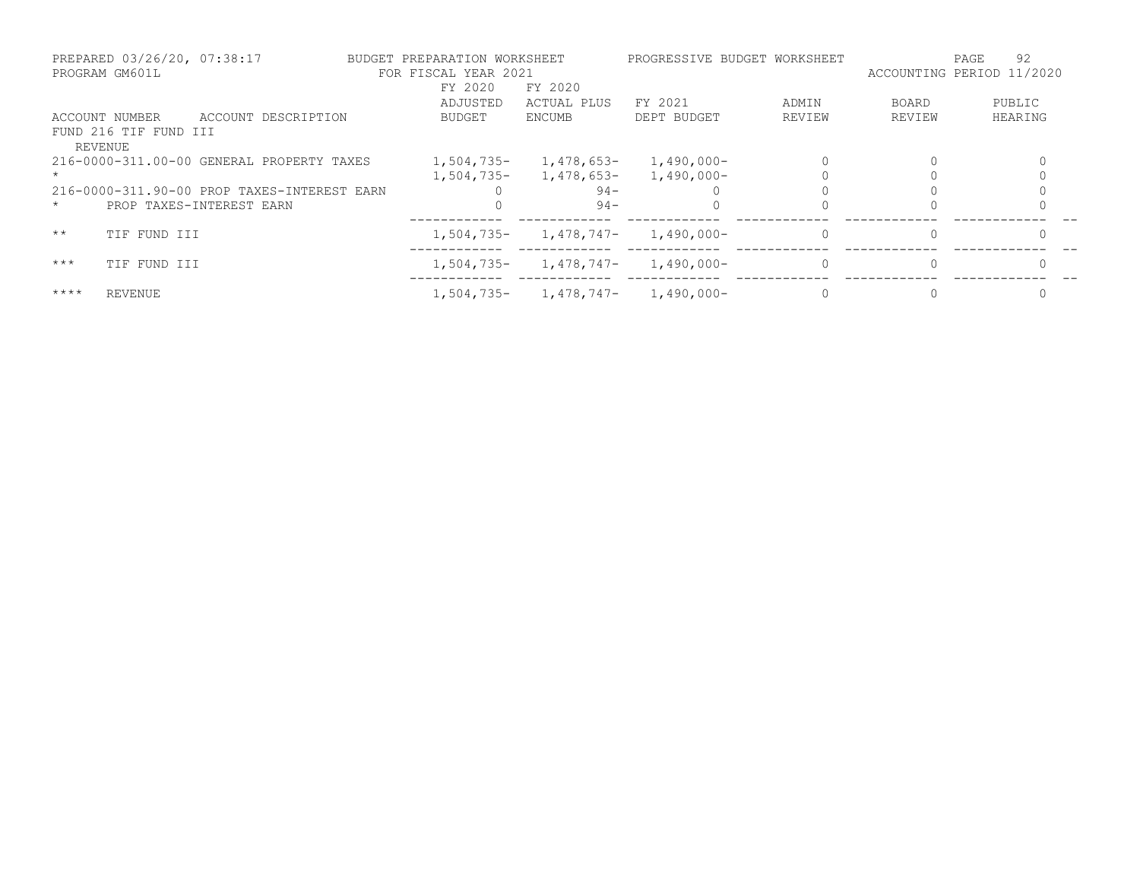|              | PREPARED 03/26/20, 07:38:17<br>PROGRAM GM601L |                                             | BUDGET PREPARATION WORKSHEET<br>FOR FISCAL YEAR 2021 |               |               | PROGRESSIVE BUDGET WORKSHEET | ACCOUNTING PERIOD 11/2020 | 92<br>PAGE |
|--------------|-----------------------------------------------|---------------------------------------------|------------------------------------------------------|---------------|---------------|------------------------------|---------------------------|------------|
|              |                                               |                                             | FY 2020                                              | FY 2020       |               |                              |                           |            |
|              |                                               |                                             | ADJUSTED                                             | ACTUAL PLUS   | FY 2021       | ADMIN                        | BOARD                     | PUBLIC     |
|              | ACCOUNT NUMBER                                | ACCOUNT DESCRIPTION                         | BUDGET                                               | <b>ENCUMB</b> | DEPT BUDGET   | REVIEW                       | REVIEW                    | HEARING    |
|              | FUND 216 TIF FUND III<br>REVENUE              |                                             |                                                      |               |               |                              |                           |            |
|              |                                               | 216-0000-311.00-00 GENERAL PROPERTY TAXES   | $1,504,735-$                                         | 1,478,653-    | $1,490,000 -$ |                              | $\Omega$                  |            |
|              |                                               |                                             | 1,504,735-                                           | 1,478,653-    | 1,490,000-    |                              |                           |            |
|              |                                               | 216-0000-311.90-00 PROP TAXES-INTEREST EARN |                                                      | $94 -$        |               |                              |                           |            |
| $\star$      |                                               | PROP TAXES-INTEREST EARN                    |                                                      | $94 -$        |               |                              |                           |            |
| $\star\star$ | TIF FUND III                                  |                                             | $1,504,735-$                                         | 1,478,747-    | 1,490,000-    |                              | 0                         |            |
| $***$        | TIF FUND III                                  |                                             | $1,504,735-$                                         | 1,478,747-    | $1,490,000-$  |                              | $\Omega$                  |            |
| $***$ *      | <b>REVENUE</b>                                |                                             | 1,504,735-                                           | 1,478,747-    | 1,490,000-    |                              |                           |            |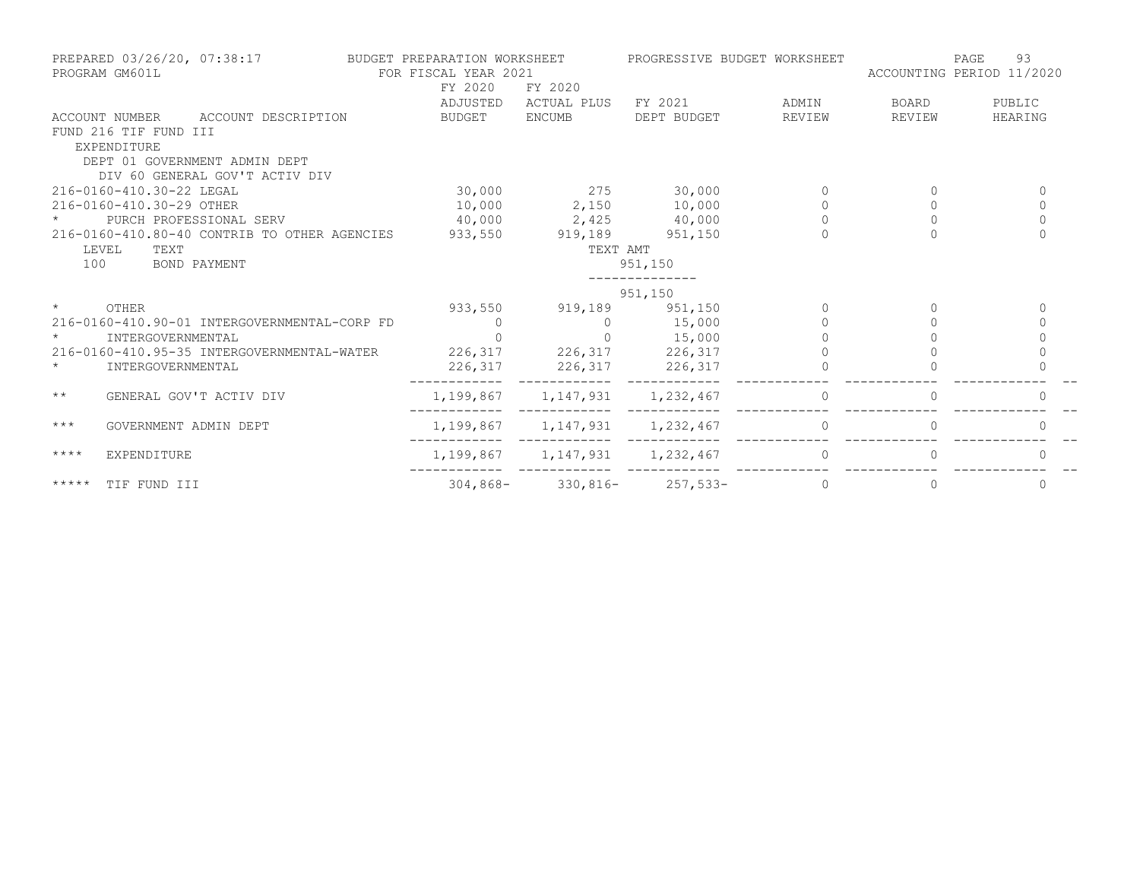| PREPARED 03/26/20, 07:38:17<br>PROGRAM GM601L |                                              |                     | BUDGET PREPARATION WORKSHEET<br>FOR FISCAL YEAR 2021 |                           | PROGRESSIVE BUDGET WORKSHEET | 93<br>PAGE<br>ACCOUNTING PERIOD 11/2020 |          |
|-----------------------------------------------|----------------------------------------------|---------------------|------------------------------------------------------|---------------------------|------------------------------|-----------------------------------------|----------|
|                                               |                                              | FY 2020<br>ADJUSTED | FY 2020                                              | ACTUAL PLUS FY 2021 ADMIN |                              | BOARD                                   | PUBLIC   |
|                                               | ACCOUNT NUMBER ACCOUNT DESCRIPTION           | BUDGET              | <b>ENCUMB</b>                                        | DEPT BUDGET               | REVIEW                       | REVIEW                                  | HEARING  |
|                                               | FUND 216 TIF FUND III<br>EXPENDITURE         |                     |                                                      |                           |                              |                                         |          |
|                                               | DEPT 01 GOVERNMENT ADMIN DEPT                |                     |                                                      |                           |                              |                                         |          |
|                                               | DIV 60 GENERAL GOV'T ACTIV DIV               |                     |                                                      |                           |                              |                                         |          |
|                                               | 216-0160-410.30-22 LEGAL                     | 30,000              | 275 30,000                                           |                           |                              |                                         | $\Omega$ |
|                                               | 216-0160-410.30-29 OTHER                     |                     | 10,000 2,150 10,000                                  |                           |                              |                                         | $\Omega$ |
|                                               | PURCH PROFESSIONAL SERV                      |                     | 40,000 2,425                                         | 40,000                    | $\Omega$                     | $\Omega$                                | $\Omega$ |
|                                               | 216-0160-410.80-40 CONTRIB TO OTHER AGENCIES |                     | 933,550 919,189 951,150                              |                           |                              |                                         | $\Omega$ |
| LEVEL                                         | TEXT                                         |                     | TEXT AMT                                             |                           |                              |                                         |          |
| 100                                           | BOND PAYMENT                                 |                     |                                                      | 951,150                   |                              |                                         |          |
|                                               |                                              |                     |                                                      |                           |                              |                                         |          |
|                                               |                                              |                     |                                                      | 951,150                   |                              |                                         |          |
| $\star$                                       | OTHER                                        |                     | 933,550 919,189 951,150                              |                           | $\Omega$                     | $\Omega$                                | 0        |
|                                               | 216-0160-410.90-01 INTERGOVERNMENTAL-CORP FD | $\overline{0}$      | $\bigcirc$                                           | 15,000                    |                              | $\Omega$                                | $\Omega$ |
| $\star$                                       | INTERGOVERNMENTAL                            | $\overline{0}$      | $\overline{0}$                                       | 15,000                    |                              |                                         | $\Omega$ |
|                                               | 216-0160-410.95-35 INTERGOVERNMENTAL-WATER   |                     | 226, 317 226, 317 226, 317                           |                           |                              |                                         | $\Omega$ |
| $\star$                                       | INTERGOVERNMENTAL                            |                     | 226, 317 226, 317 226, 317                           |                           |                              |                                         |          |
| $\star\star$                                  | GENERAL GOV'T ACTIV DIV                      |                     | 1, 199, 867 1, 147, 931 1, 232, 467                  |                           | $\Omega$                     |                                         |          |
| $***$                                         | GOVERNMENT ADMIN DEPT                        |                     | 1, 199, 867 1, 147, 931 1, 232, 467                  |                           | $\Omega$                     | $\Omega$                                | 0        |
| $***$ * * *                                   | <b>EXPENDITURE</b>                           |                     | 1,199,867 1,147,931 1,232,467                        |                           | $\Omega$                     | $\Omega$                                | $\Omega$ |
| *****                                         | TIF FUND III                                 |                     | $304,868 - 330,816 - 257,533 -$                      |                           | $\Omega$                     |                                         | $\Omega$ |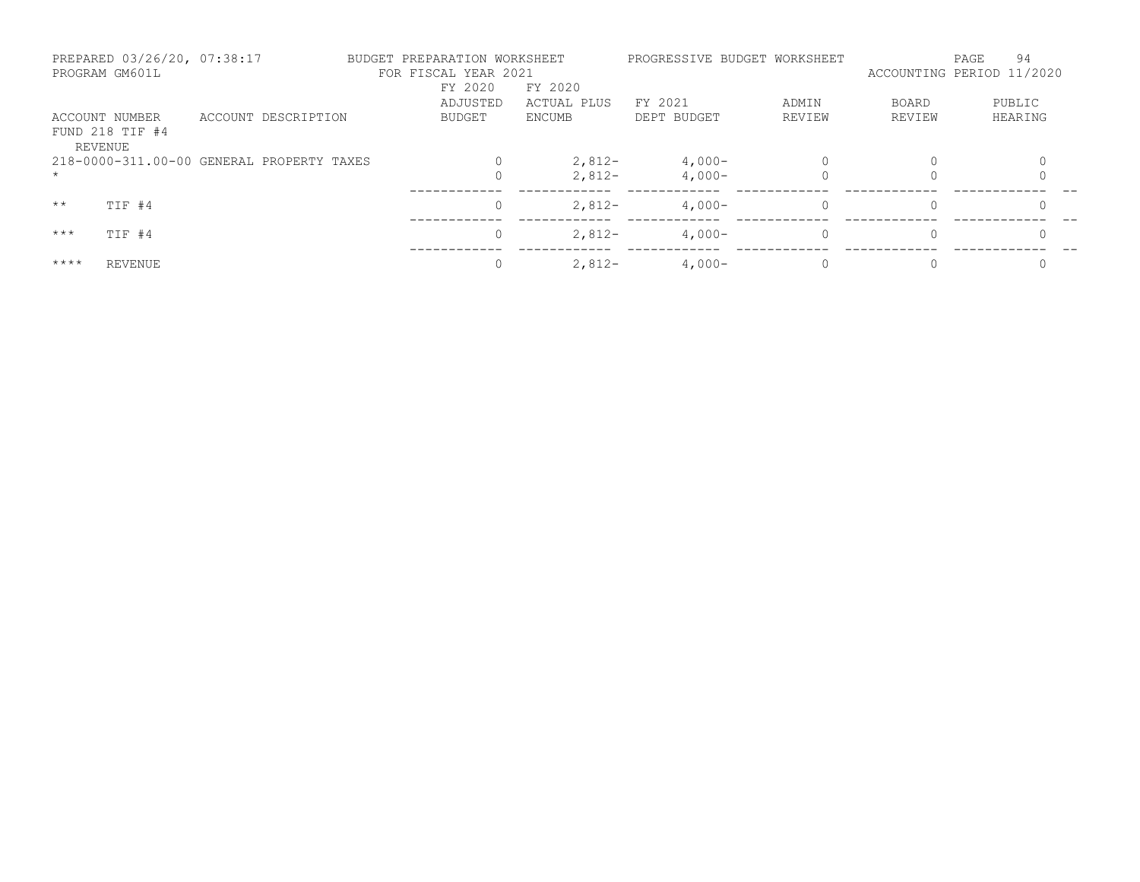| PREPARED 03/26/20, 07:38:17<br>PROGRAM GM601L |                     | BUDGET PREPARATION WORKSHEET<br>FOR FISCAL YEAR 2021 |             |             | PROGRESSIVE BUDGET WORKSHEET |              | 94<br>PAGE<br>ACCOUNTING PERIOD 11/2020 |
|-----------------------------------------------|---------------------|------------------------------------------------------|-------------|-------------|------------------------------|--------------|-----------------------------------------|
|                                               |                     | FY 2020                                              | FY 2020     |             |                              |              |                                         |
|                                               |                     | ADJUSTED                                             | ACTUAL PLUS | FY 2021     | ADMIN                        | <b>BOARD</b> | PUBLIC                                  |
| ACCOUNT NUMBER                                | ACCOUNT DESCRIPTION | BUDGET                                               | ENCUMB      | DEPT BUDGET | REVIEW                       | REVIEW       | HEARING                                 |
| FUND 218 TIF #4<br>REVENUE                    |                     |                                                      |             |             |                              |              |                                         |
| 218-0000-311.00-00 GENERAL PROPERTY TAXES     |                     |                                                      | $2,812-$    | $4,000-$    |                              |              |                                         |
| $\star$                                       |                     |                                                      | $2,812-$    | $4.000 -$   |                              |              |                                         |
| $\star\star$<br>TIF #4                        |                     | 0                                                    | $2,812-$    | $4.000 -$   | 0                            | $\Omega$     |                                         |
| $***$<br>TIF #4                               |                     | $\Omega$                                             | $2,812-$    | $4.000 -$   | $\Omega$                     | $\Omega$     |                                         |
| $***$ *<br>REVENUE                            |                     |                                                      | $2,812-$    | $4,000-$    |                              |              |                                         |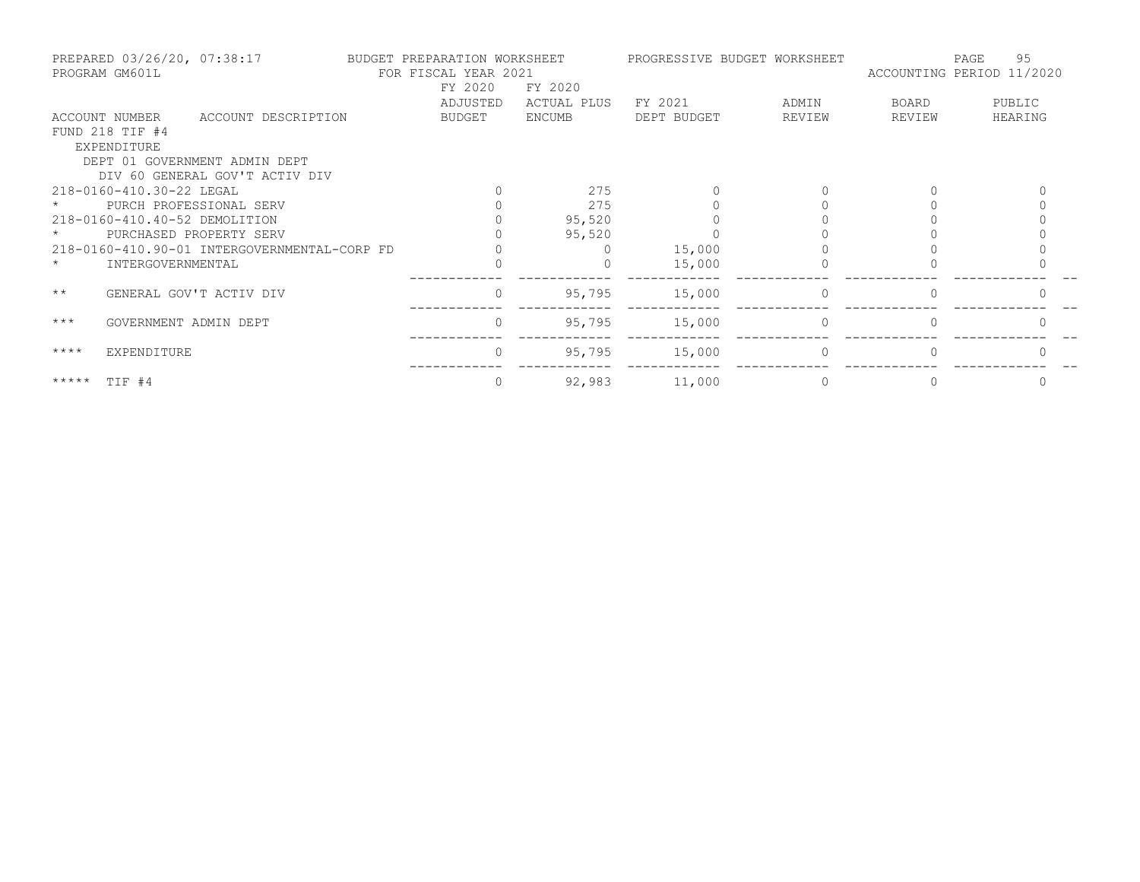|              | PREPARED 03/26/20, 07:38:17<br>PROGRAM GM601L |                                              | BUDGET PREPARATION WORKSHEET<br>FOR FISCAL YEAR 2021 |             |             | PROGRESSIVE BUDGET WORKSHEET | ACCOUNTING PERIOD 11/2020 | 95<br>PAGE |
|--------------|-----------------------------------------------|----------------------------------------------|------------------------------------------------------|-------------|-------------|------------------------------|---------------------------|------------|
|              |                                               |                                              | FY 2020                                              | FY 2020     |             |                              |                           |            |
|              |                                               |                                              | ADJUSTED                                             | ACTUAL PLUS | FY 2021     | ADMIN                        | BOARD                     | PUBLIC     |
|              | ACCOUNT NUMBER                                | ACCOUNT DESCRIPTION                          | BUDGET                                               | ENCUMB      | DEPT BUDGET | REVIEW                       | REVIEW                    | HEARING    |
|              | FUND 218 TIF #4                               |                                              |                                                      |             |             |                              |                           |            |
|              | EXPENDITURE                                   |                                              |                                                      |             |             |                              |                           |            |
|              |                                               | DEPT 01 GOVERNMENT ADMIN DEPT                |                                                      |             |             |                              |                           |            |
|              |                                               | DIV 60 GENERAL GOV'T ACTIV DIV               |                                                      |             |             |                              |                           |            |
|              | 218-0160-410.30-22 LEGAL                      |                                              |                                                      | 275         |             |                              |                           |            |
|              |                                               | PURCH PROFESSIONAL SERV                      |                                                      | 275         |             |                              |                           |            |
|              | 218-0160-410.40-52 DEMOLITION                 |                                              |                                                      | 95,520      |             |                              |                           |            |
|              |                                               | PURCHASED PROPERTY SERV                      |                                                      | 95,520      |             |                              |                           |            |
|              |                                               | 218-0160-410.90-01 INTERGOVERNMENTAL-CORP FD |                                                      |             | 15,000      |                              |                           |            |
| $\star$      | INTERGOVERNMENTAL                             |                                              |                                                      |             | 15,000      |                              |                           |            |
| $\star\star$ |                                               | GENERAL GOV'T ACTIV DIV                      | $\overline{0}$                                       | 95,795      | 15,000      |                              |                           |            |
|              |                                               |                                              |                                                      |             |             |                              |                           |            |
| $***$        | GOVERNMENT ADMIN DEPT                         |                                              | $\Omega$                                             | 95,795      | 15,000      | $\Omega$                     |                           |            |
| $***$ *      | EXPENDITURE                                   |                                              | $\Omega$                                             | 95,795      | 15,000      | $\Omega$                     |                           |            |
|              |                                               |                                              |                                                      |             |             |                              |                           |            |
| *****        | TIF #4                                        |                                              |                                                      | 92,983      | 11,000      |                              |                           | $\Omega$   |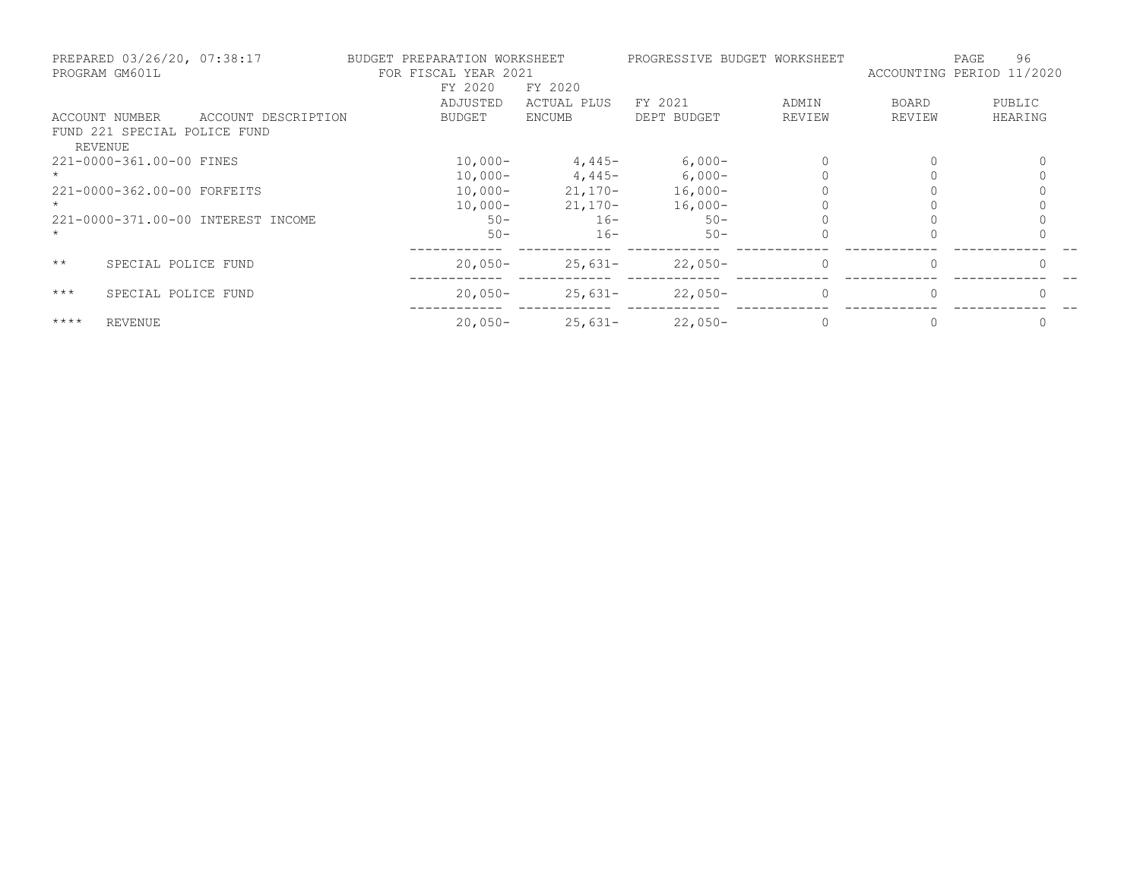|                | PREPARED 03/26/20, 07:38:17<br>PROGRAM GM601L |                                    | BUDGET PREPARATION WORKSHEET<br>FOR FISCAL YEAR 2021 |               | PROGRESSIVE BUDGET WORKSHEET |          | ACCOUNTING PERIOD 11/2020 | 96<br>PAGE |
|----------------|-----------------------------------------------|------------------------------------|------------------------------------------------------|---------------|------------------------------|----------|---------------------------|------------|
|                |                                               |                                    | FY 2020                                              | FY 2020       |                              |          |                           |            |
|                |                                               |                                    | ADJUSTED                                             | ACTUAL PLUS   | FY 2021                      | ADMIN    | <b>BOARD</b>              | PUBLIC     |
|                | ACCOUNT NUMBER                                | ACCOUNT DESCRIPTION                | BUDGET                                               | <b>ENCUMB</b> | DEPT BUDGET                  | REVIEW   | REVIEW                    | HEARING    |
| <b>REVENUE</b> | FUND 221 SPECIAL POLICE FUND                  |                                    |                                                      |               |                              |          |                           |            |
|                | 221-0000-361.00-00 FINES                      |                                    | $10,000-$                                            | $4,445-$      | $6,000-$                     |          |                           |            |
|                |                                               |                                    | $10,000 -$                                           | $4,445-$      | $6,000-$                     |          |                           |            |
|                | 221-0000-362.00-00 FORFEITS                   |                                    | $10,000-$                                            | $21,170-$     | $16,000-$                    |          |                           |            |
|                |                                               |                                    | $10,000 -$                                           | $21,170-$     | $16,000-$                    |          |                           |            |
|                |                                               | 221-0000-371.00-00 INTEREST INCOME | $50 -$                                               | $16 -$        | $50 -$                       |          |                           |            |
|                |                                               |                                    | $50 -$                                               | $16 -$        | $50 -$                       |          |                           |            |
| $\star\star$   | SPECIAL POLICE FUND                           |                                    | $20.050 -$                                           | $25,631-$     | $22,050-$                    | 0        | $\Omega$                  |            |
| $***$          | SPECIAL POLICE FUND                           |                                    | $20.050 -$                                           | $25,631-$     | $22,050-$                    | $\Omega$ | $\Omega$                  |            |
| $***$ *        | <b>REVENUE</b>                                |                                    | $20,050-$                                            | $25,631-$     | $22,050-$                    |          |                           |            |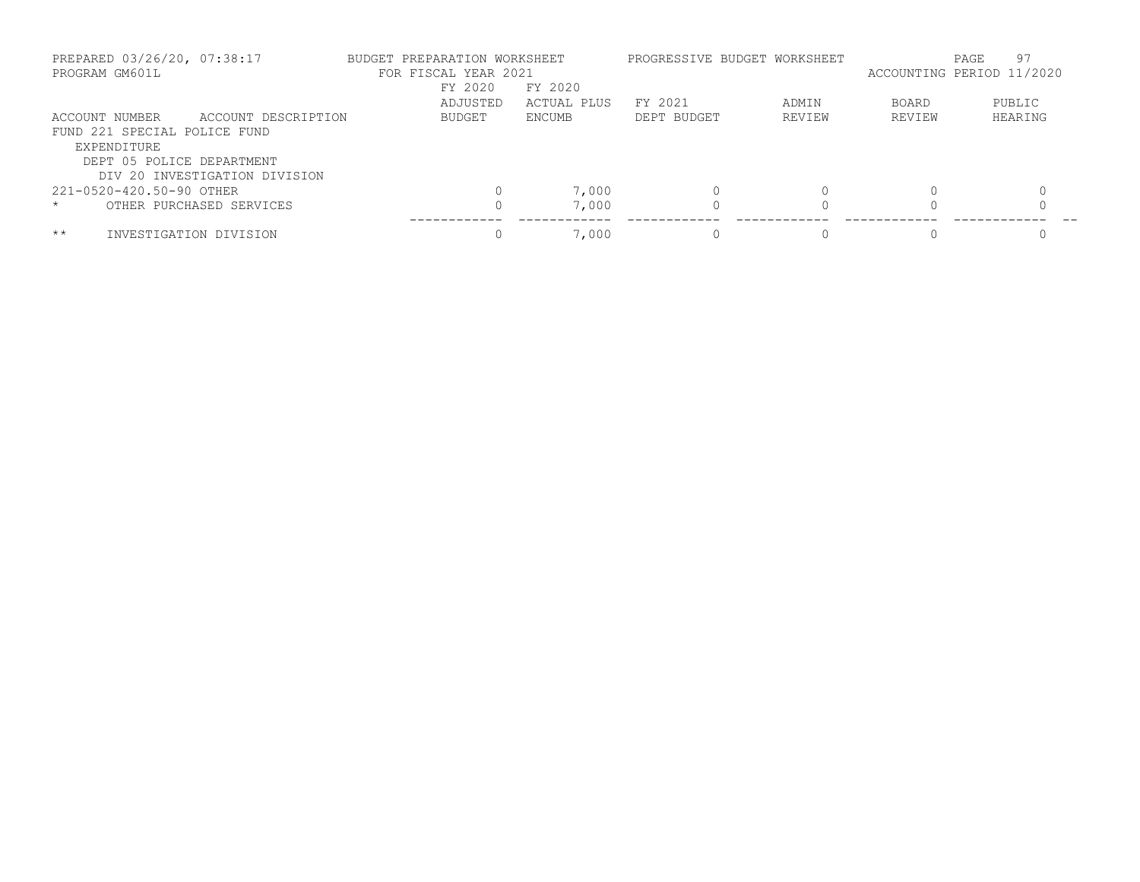| PREPARED 03/26/20, 07:38:17<br>PROGRAM GM601L |                               | BUDGET PREPARATION WORKSHEET | FOR FISCAL YEAR 2021<br>FY 2020 | FY 2020       | PROGRESSIVE BUDGET WORKSHEET |        | ACCOUNTING PERIOD 11/2020 | 97<br>PAGE |
|-----------------------------------------------|-------------------------------|------------------------------|---------------------------------|---------------|------------------------------|--------|---------------------------|------------|
|                                               |                               |                              | ADJUSTED                        | ACTUAL PLUS   | FY 2021                      | ADMIN  | <b>BOARD</b>              | PUBLIC     |
| ACCOUNT NUMBER                                | ACCOUNT DESCRIPTION           |                              | <b>BUDGET</b>                   | <b>ENCUMB</b> | DEPT BUDGET                  | REVIEW | REVIEW                    | HEARING    |
| FUND 221 SPECIAL POLICE FUND                  |                               |                              |                                 |               |                              |        |                           |            |
| EXPENDITURE                                   |                               |                              |                                 |               |                              |        |                           |            |
| DEPT 05 POLICE DEPARTMENT                     |                               |                              |                                 |               |                              |        |                           |            |
|                                               | DIV 20 INVESTIGATION DIVISION |                              |                                 |               |                              |        |                           |            |
| 221-0520-420.50-90 OTHER                      |                               |                              |                                 | 7,000         |                              |        |                           |            |
| $\star$                                       | OTHER PURCHASED SERVICES      |                              |                                 | 7,000         |                              |        |                           |            |
| $***$<br>INVESTIGATION DIVISION               |                               |                              | $\Omega$                        | 7,000         |                              |        |                           |            |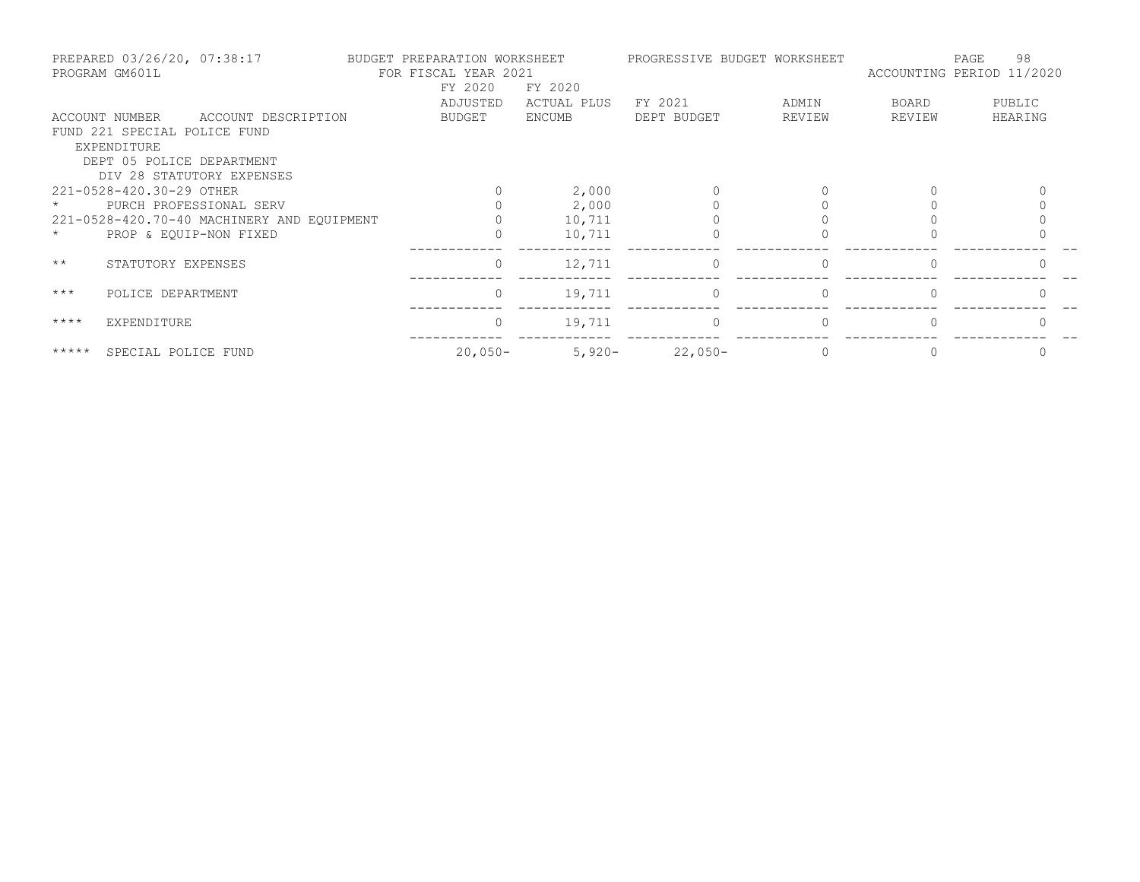|              | PREPARED 03/26/20, 07:38:17<br>PROGRAM GM601L |                                            | BUDGET PREPARATION WORKSHEET<br>FOR FISCAL YEAR 2021 |             |             | PROGRESSIVE BUDGET WORKSHEET |        | 98<br>PAGE<br>ACCOUNTING PERIOD 11/2020 |
|--------------|-----------------------------------------------|--------------------------------------------|------------------------------------------------------|-------------|-------------|------------------------------|--------|-----------------------------------------|
|              |                                               |                                            | FY 2020                                              | FY 2020     |             |                              |        |                                         |
|              |                                               |                                            | ADJUSTED                                             | ACTUAL PLUS | FY 2021     | ADMIN                        | BOARD  | PUBLIC                                  |
|              | ACCOUNT NUMBER                                | ACCOUNT DESCRIPTION                        | BUDGET                                               | ENCUMB      | DEPT BUDGET | REVIEW                       | REVIEW | HEARING                                 |
|              | FUND 221 SPECIAL POLICE FUND                  |                                            |                                                      |             |             |                              |        |                                         |
|              | EXPENDITURE                                   |                                            |                                                      |             |             |                              |        |                                         |
|              | DEPT 05 POLICE DEPARTMENT                     |                                            |                                                      |             |             |                              |        |                                         |
|              |                                               | DIV 28 STATUTORY EXPENSES                  |                                                      |             |             |                              |        |                                         |
|              | 221-0528-420.30-29 OTHER                      |                                            |                                                      | 2,000       |             |                              |        |                                         |
|              |                                               | PURCH PROFESSIONAL SERV                    |                                                      | 2,000       |             |                              |        |                                         |
|              |                                               | 221-0528-420.70-40 MACHINERY AND EQUIPMENT |                                                      | 10,711      |             |                              |        |                                         |
|              | PROP & EQUIP-NON FIXED                        |                                            |                                                      | 10,711      |             |                              |        |                                         |
| $\star\star$ | STATUTORY EXPENSES                            |                                            | $\Omega$                                             | 12,711      | $\Omega$    | $\Omega$                     |        |                                         |
| $***$        | POLICE DEPARTMENT                             |                                            | $\Omega$                                             | 19,711      | $\Omega$    | $\Omega$                     |        |                                         |
| $***$ *      | EXPENDITURE                                   |                                            | $\mathbf{0}$                                         | 19,711      | $\Omega$    | $\Omega$                     |        |                                         |
| $******$     | SPECIAL POLICE FUND                           |                                            | $20,050-$                                            | $5,920-$    | $22,050-$   |                              |        |                                         |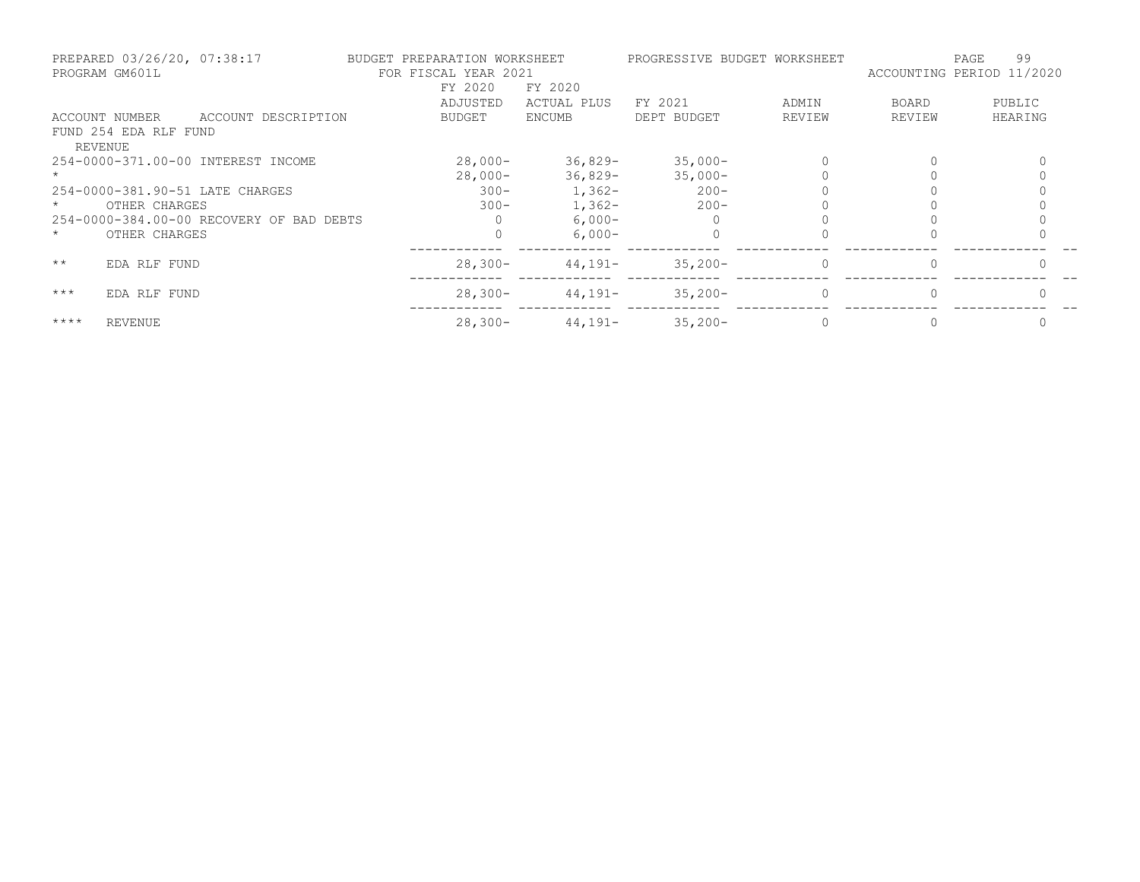| PREPARED 03/26/20, 07:38:17<br>PROGRAM GM601L |                       | BUDGET PREPARATION WORKSHEET<br>FOR FISCAL YEAR 2021 |               | PROGRESSIVE BUDGET WORKSHEET |             | 99<br>PAGE<br>ACCOUNTING PERIOD 11/2020 |              |         |
|-----------------------------------------------|-----------------------|------------------------------------------------------|---------------|------------------------------|-------------|-----------------------------------------|--------------|---------|
|                                               |                       |                                                      | FY 2020       | FY 2020                      |             |                                         |              |         |
|                                               |                       |                                                      | ADJUSTED      | ACTUAL PLUS                  | FY 2021     | ADMIN                                   | <b>BOARD</b> | PUBLIC  |
|                                               | ACCOUNT NUMBER        | ACCOUNT DESCRIPTION                                  | <b>BUDGET</b> | ENCUMB                       | DEPT BUDGET | REVIEW                                  | REVIEW       | HEARING |
|                                               | FUND 254 EDA RLF FUND |                                                      |               |                              |             |                                         |              |         |
|                                               | <b>REVENUE</b>        |                                                      |               |                              |             |                                         |              |         |
|                                               |                       | 254-0000-371.00-00 INTEREST INCOME                   | $28,000-$     | $36,829-$                    | $35,000-$   |                                         |              |         |
|                                               |                       |                                                      | $28,000-$     | $36,829-$                    | $35,000-$   |                                         |              |         |
|                                               |                       | 254-0000-381.90-51 LATE CHARGES                      | $300 -$       | $1,362-$                     | $200 -$     |                                         |              |         |
|                                               | OTHER CHARGES         |                                                      | $300 -$       | $1,362-$                     | $200 -$     |                                         |              |         |
|                                               |                       | 254-0000-384.00-00 RECOVERY OF BAD DEBTS             |               | $6,000-$                     |             |                                         |              |         |
| $\star$                                       | OTHER CHARGES         |                                                      |               | $6.000 -$                    |             |                                         |              |         |
| $\star\star$                                  | EDA RLF FUND          |                                                      | $28,300-$     | $44,191-$                    | $35,200-$   | $\Omega$                                |              |         |
| $***$                                         | EDA RLF FUND          |                                                      | $28,300-$     | $44,191-$                    | $35,200-$   | $\Omega$                                |              |         |
| $***$ *                                       | <b>REVENUE</b>        |                                                      | $28,300-$     | $44,191-$                    | $35,200-$   |                                         |              |         |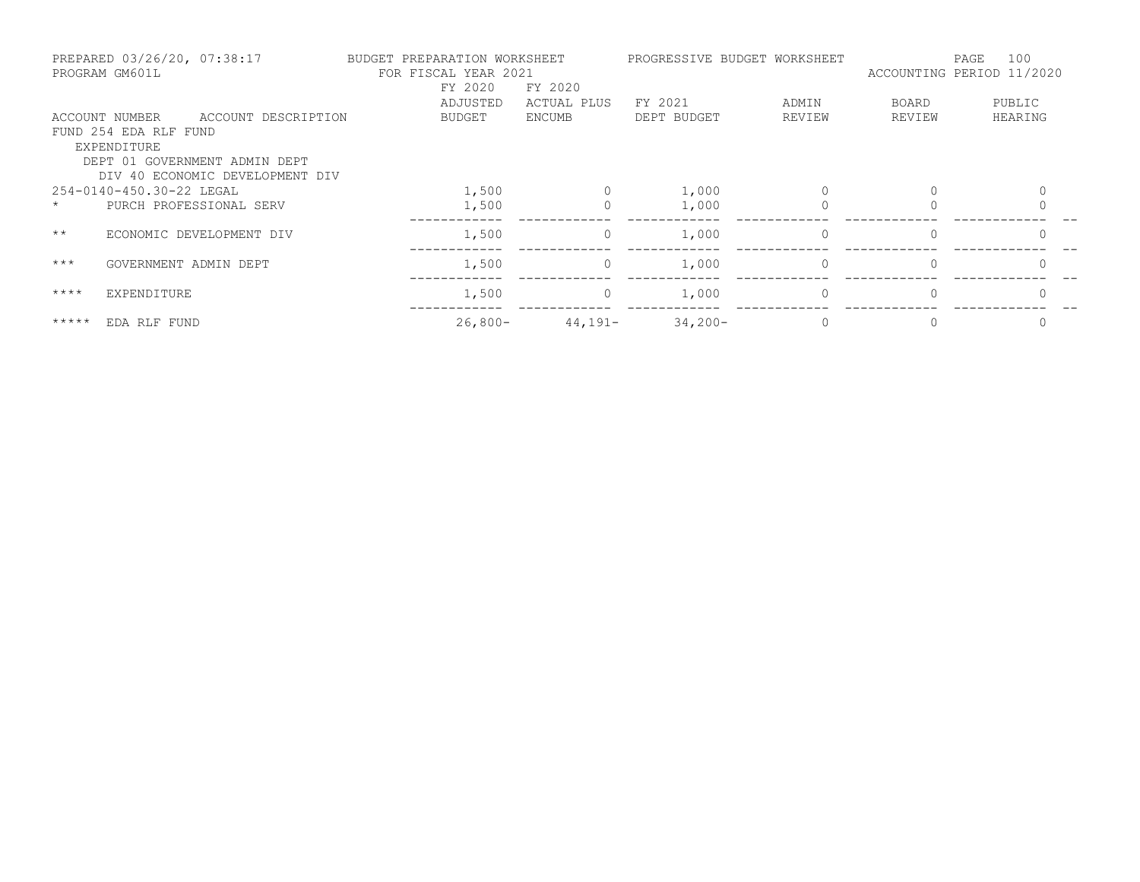| PREPARED 03/26/20, 07:38:17<br>PROGRAM GM601L |                                                        | BUDGET PREPARATION WORKSHEET<br>FOR FISCAL YEAR 2021<br>FY 2020<br>FY 2020 |  |               | PROGRESSIVE BUDGET WORKSHEET | 100<br>PAGE<br>ACCOUNTING PERIOD 11/2020 |          |              |              |
|-----------------------------------------------|--------------------------------------------------------|----------------------------------------------------------------------------|--|---------------|------------------------------|------------------------------------------|----------|--------------|--------------|
|                                               |                                                        |                                                                            |  | ADJUSTED      | ACTUAL PLUS                  | FY 2021                                  | ADMIN    | <b>BOARD</b> | PUBLIC       |
|                                               | ACCOUNT NUMBER<br>FUND 254 EDA RLF FUND<br>EXPENDITURE | ACCOUNT DESCRIPTION                                                        |  | <b>BUDGET</b> | ENCUMB                       | DEPT BUDGET                              | REVIEW   | REVIEW       | HEARING      |
|                                               |                                                        | DEPT 01 GOVERNMENT ADMIN DEPT<br>DIV 40 ECONOMIC DEVELOPMENT DIV           |  |               |                              |                                          |          |              |              |
|                                               | 254-0140-450.30-22 LEGAL                               |                                                                            |  | 1,500         |                              | 1,000                                    |          | $\Omega$     | $\Omega$     |
| $\star$                                       |                                                        | PURCH PROFESSIONAL SERV                                                    |  | 1,500         |                              | 1,000                                    |          |              |              |
| $\star\star$                                  |                                                        | ECONOMIC DEVELOPMENT DIV                                                   |  | 1,500         | 0                            | 1,000                                    | $\circ$  | $\Omega$     | $\mathbf{0}$ |
| $***$                                         | GOVERNMENT ADMIN DEPT                                  |                                                                            |  | 1,500         | $\Omega$                     | 1,000                                    | $\Omega$ | $\Omega$     | $\Omega$     |
| $***$ * * *                                   | EXPENDITURE                                            |                                                                            |  | 1,500         | 0                            | 1,000                                    | $\Omega$ |              | $\Omega$     |
| $***$ * * * *                                 | EDA RLF FUND                                           |                                                                            |  | $26,800-$     | $44,191-$                    | $34,200-$                                |          |              |              |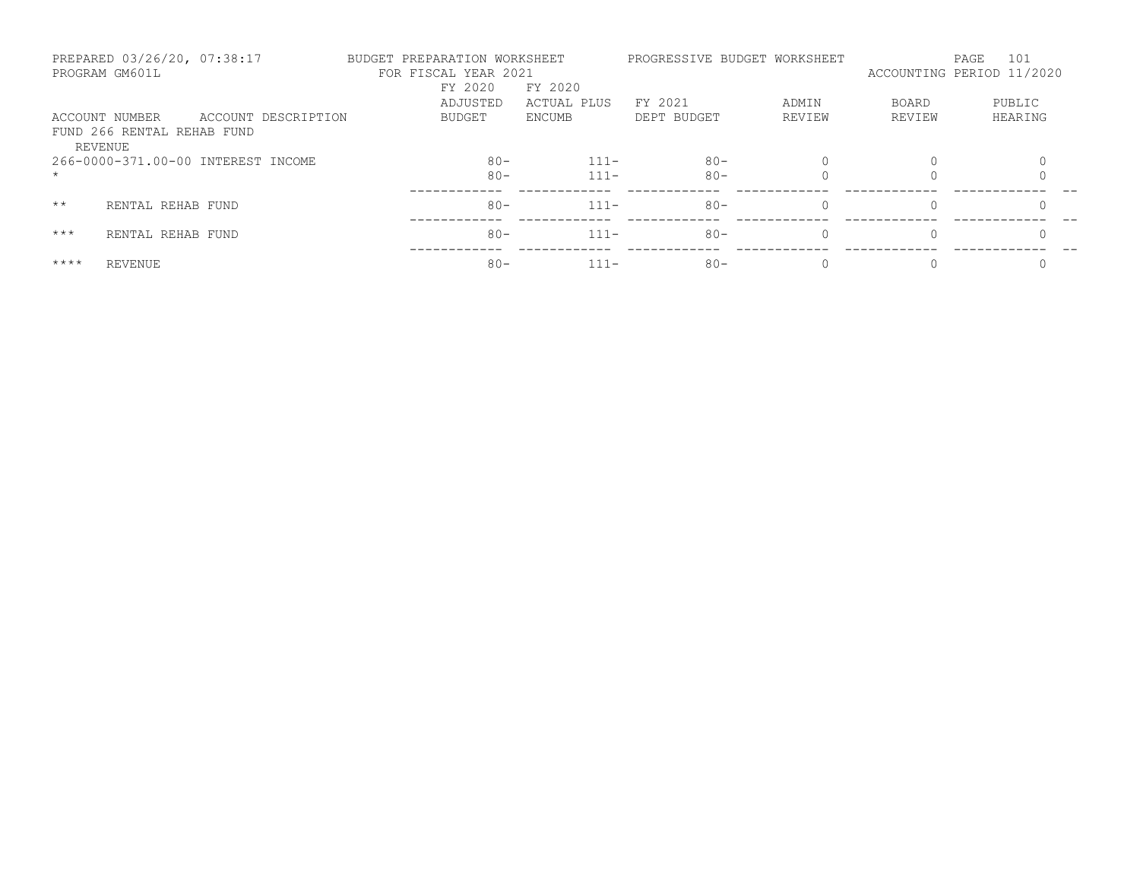|              | PREPARED 03/26/20, 07:38:17<br>PROGRAM GM601L |                     | BUDGET PREPARATION WORKSHEET<br>FOR FISCAL YEAR 2021 |                        |             | PROGRESSIVE BUDGET WORKSHEET |              | 101<br>PAGE<br>ACCOUNTING PERIOD 11/2020 |
|--------------|-----------------------------------------------|---------------------|------------------------------------------------------|------------------------|-------------|------------------------------|--------------|------------------------------------------|
|              |                                               |                     | FY 2020<br>ADJUSTED                                  | FY 2020<br>ACTUAL PLUS | FY 2021     | ADMIN                        | <b>BOARD</b> | PUBLIC                                   |
|              | ACCOUNT NUMBER                                | ACCOUNT DESCRIPTION | BUDGET                                               | ENCUMB                 | DEPT BUDGET | REVIEW                       | REVIEW       | HEARING                                  |
| REVENUE      | FUND 266 RENTAL REHAB FUND                    |                     |                                                      |                        |             |                              |              |                                          |
|              | 266-0000-371.00-00 INTEREST INCOME            |                     | $80 -$                                               | $111 -$                | $80 -$      | $\Omega$                     |              |                                          |
| $\star$      |                                               |                     | $80 -$                                               | $111 -$                | $80 -$      |                              |              |                                          |
| $\star\star$ | RENTAL REHAB FUND                             |                     | $80 -$                                               | $111 -$                | $80 -$      | $\Omega$                     | $\Omega$     |                                          |
| $***$        | RENTAL REHAB FUND                             |                     | $80 -$                                               | $111 -$                | $80 -$      | $\Omega$                     |              |                                          |
| $***$ *      | REVENUE                                       |                     | $80 -$                                               | $111 -$                | $80 -$      | $\Omega$                     |              |                                          |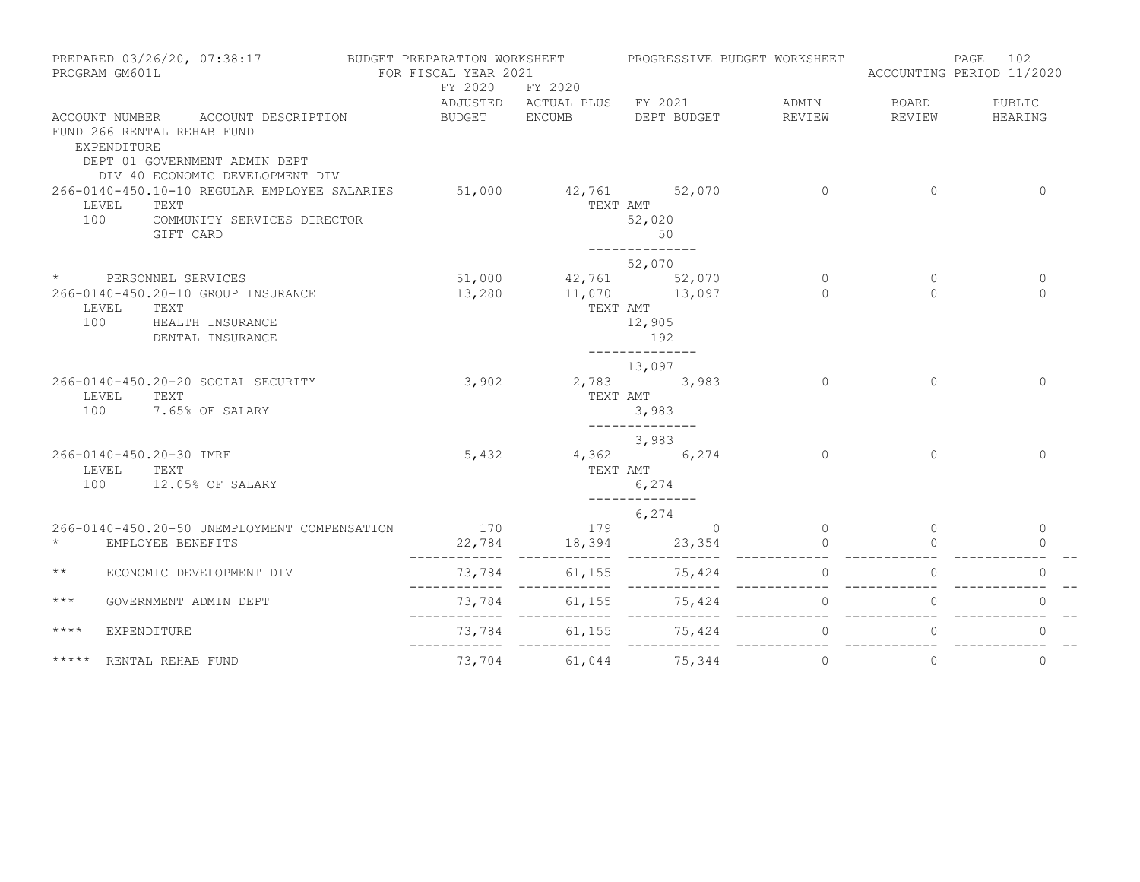|                 | PREPARED 03/26/20, 07:38:17<br>PROGRAM GM601L                                                                                                       | BUDGET PREPARATION WORKSHEET<br>FOR FISCAL YEAR 2021 |                                      | PROGRESSIVE BUDGET WORKSHEET                    |                      | ACCOUNTING PERIOD 11/2020 | 102<br>PAGE              |
|-----------------|-----------------------------------------------------------------------------------------------------------------------------------------------------|------------------------------------------------------|--------------------------------------|-------------------------------------------------|----------------------|---------------------------|--------------------------|
|                 |                                                                                                                                                     | FY 2020                                              | FY 2020<br>BUDGET ENCUMB DEPT BUDGET | ADJUSTED ACTUAL PLUS FY 2021 ADMIN              |                      | BOARD<br>REVIEW           | PUBLIC                   |
|                 | ACCOUNT NUMBER ACCOUNT DESCRIPTION<br>FUND 266 RENTAL REHAB FUND<br>EXPENDITURE<br>DEPT 01 GOVERNMENT ADMIN DEPT<br>DIV 40 ECONOMIC DEVELOPMENT DIV |                                                      |                                      |                                                 | REVIEW               |                           | HEARING                  |
| 100             | 266-0140-450.10-10 REGULAR EMPLOYEE SALARIES<br>LEVEL<br>TEXT<br>COMMUNITY SERVICES DIRECTOR<br>GIFT CARD                                           | 51,000                                               | 42,761 52,070                        | TEXT AMT<br>52,020<br>50<br>--------------      | $\Omega$             | $\Omega$                  | $\Omega$                 |
| $\star$         |                                                                                                                                                     |                                                      |                                      | 52,070                                          |                      |                           |                          |
| 100             | PERSONNEL SERVICES<br>266-0140-450.20-10 GROUP INSURANCE<br>LEVEL<br>TEXT<br>HEALTH INSURANCE<br>DENTAL INSURANCE                                   | 13,280                                               | 51,000 42,761 52,070                 | $11,070$ $13,097$<br>TEXT AMT<br>12,905<br>192  | $\Omega$<br>$\cap$   | $\mathbf{0}$<br>$\cap$    | $\mathbf{0}$<br>$\Omega$ |
|                 | 266-0140-450.20-20 SOCIAL SECURITY                                                                                                                  | 3,902                                                |                                      | 13,097<br>2,783 3,983                           | $\Omega$             | $\Omega$                  | $\Omega$                 |
| 100             | LEVEL<br>TEXT<br>7.65% OF SALARY                                                                                                                    |                                                      | TEXT AMT                             | 3,983<br>______________                         |                      |                           |                          |
| 100             | 266-0140-450.20-30 IMRF<br>LEVEL<br>TEXT<br>12.05% OF SALARY                                                                                        | 5,432                                                | TEXT AMT                             | 3,983<br>4,362 6,274<br>6,274<br>______________ | $\Omega$             | $\Omega$                  | $\Omega$                 |
|                 |                                                                                                                                                     |                                                      |                                      | 6,274                                           |                      |                           |                          |
| $\star$         | 266-0140-450.20-50 UNEMPLOYMENT COMPENSATION<br>EMPLOYEE BENEFITS                                                                                   | 170 179<br>22,784                                    | 18,394                               | $\overline{0}$<br>23,354                        | $\Omega$<br>$\Omega$ | $\Omega$                  | $\mathbf{0}$<br>$\Omega$ |
| $\star$ $\star$ | ECONOMIC DEVELOPMENT DIV                                                                                                                            | ------------<br>73,784                               | ____________<br>61, 155              | ------------<br>75,424                          | $\mathbf 0$          |                           | $\mathbf{0}$             |
| $***$           | GOVERNMENT ADMIN DEPT                                                                                                                               | ------------<br>73,784<br>________                   | 61,155<br>$- - - - - - - - - - - -$  | 75,424<br>____________                          | $\Omega$             | $\Omega$                  | $\Omega$                 |
| $***$ *         | EXPENDITURE                                                                                                                                         | 73,784                                               | 61,155                               | 75,424                                          | $\mathbf{0}$         | $\circ$                   | $\Omega$                 |
|                 | RENTAL REHAB FUND                                                                                                                                   |                                                      | 73,704 61,044                        | 75,344                                          | $\circ$              | $\circ$                   | $\overline{0}$           |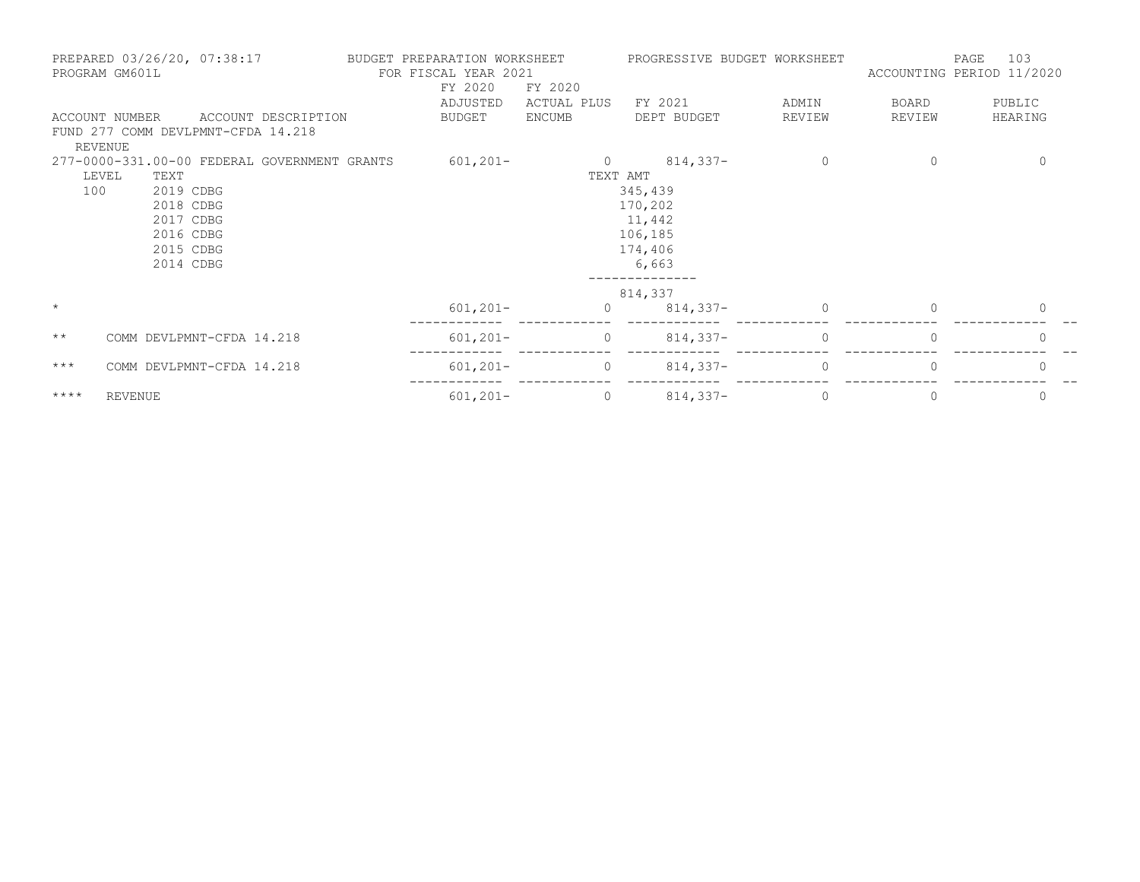|              | PREPARED 03/26/20, 07:38:17<br>PROGRAM GM601L |                                              | BUDGET PREPARATION WORKSHEET<br>FOR FISCAL YEAR 2021<br>FY 2020 | FY 2020     | PROGRESSIVE BUDGET WORKSHEET |             | ACCOUNTING PERIOD 11/2020 | 103<br>PAGE  |
|--------------|-----------------------------------------------|----------------------------------------------|-----------------------------------------------------------------|-------------|------------------------------|-------------|---------------------------|--------------|
|              |                                               |                                              | ADJUSTED                                                        | ACTUAL PLUS | FY 2021                      | ADMIN       | BOARD                     | PUBLIC       |
|              | ACCOUNT NUMBER                                | ACCOUNT DESCRIPTION                          | BUDGET                                                          | ENCUMB      | DEPT BUDGET                  | REVIEW      | REVIEW                    | HEARING      |
|              |                                               | FUND 277 COMM DEVLPMNT-CFDA 14.218           |                                                                 |             |                              |             |                           |              |
|              | REVENUE                                       |                                              |                                                                 |             |                              |             |                           |              |
|              |                                               | 277-0000-331.00-00 FEDERAL GOVERNMENT GRANTS | $601, 201 -$                                                    |             | $0 \t 814,337-$              | $\mathbf 0$ | 0                         | 0            |
|              | LEVEL<br>TEXT                                 |                                              |                                                                 | TEXT AMT    |                              |             |                           |              |
| 100          | 2019 CDBG                                     |                                              |                                                                 |             | 345,439                      |             |                           |              |
|              | 2018 CDBG                                     |                                              |                                                                 |             | 170,202                      |             |                           |              |
|              | 2017 CDBG                                     |                                              |                                                                 |             | 11,442                       |             |                           |              |
|              | 2016 CDBG                                     |                                              |                                                                 |             | 106,185                      |             |                           |              |
|              | 2015 CDBG                                     |                                              |                                                                 |             | 174,406                      |             |                           |              |
|              | 2014 CDBG                                     |                                              |                                                                 |             | 6,663                        |             |                           |              |
|              |                                               |                                              |                                                                 |             | 814,337                      |             |                           |              |
| $\star$      |                                               |                                              | $601, 201 -$                                                    | $\circ$     | $814,337-$                   | $\Omega$    | $\Omega$                  | $\mathbf{0}$ |
| $\star\star$ |                                               | COMM DEVLPMNT-CFDA 14.218                    | $601, 201 -$                                                    | $\circ$     | $814,337-$                   | $\Omega$    | $\Omega$                  | $\Omega$     |
| $***$        |                                               | COMM DEVLPMNT-CFDA 14.218                    | $601, 201 -$                                                    | $\circ$     | $814,337-$                   | $\Omega$    |                           | 0            |
| $***$ *      | <b>REVENUE</b>                                |                                              | $601, 201 -$                                                    | $\circ$     | $814,337-$                   | 0           | 0                         | 0            |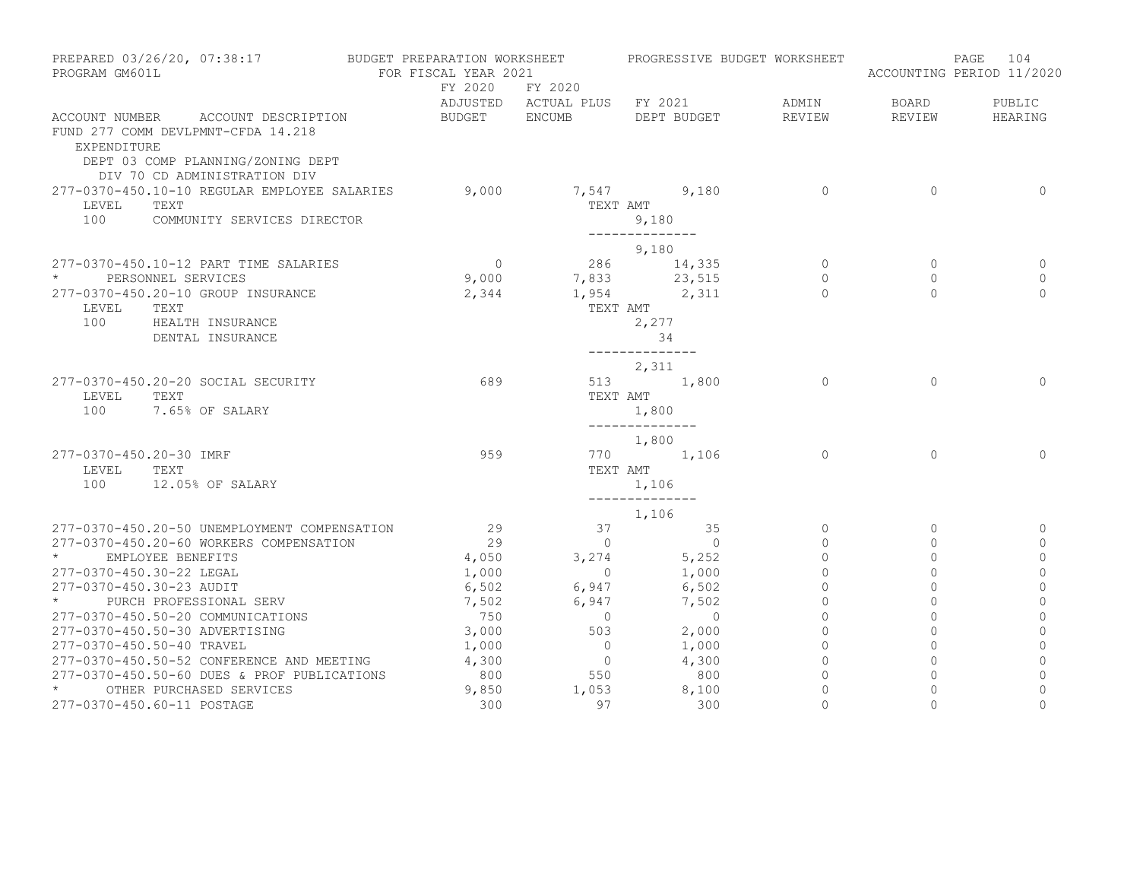| PREPARED 03/26/20, 07:38:17<br>PROGRAM GM601L |                                                                                                                                                     | BUDGET PREPARATION WORKSHEET FROGRESSIVE BUDGET WORKSHEET<br>FOR FISCAL YEAR 2021 |                                                  |                                                                      |                                      |                                 | 104<br>PAGE<br>ACCOUNTING PERIOD 11/2020    |
|-----------------------------------------------|-----------------------------------------------------------------------------------------------------------------------------------------------------|-----------------------------------------------------------------------------------|--------------------------------------------------|----------------------------------------------------------------------|--------------------------------------|---------------------------------|---------------------------------------------|
|                                               |                                                                                                                                                     |                                                                                   | FY 2020 FY 2020                                  | ADJUSTED ACTUAL PLUS FY 2021 ADMIN                                   |                                      | BOARD                           | PUBLIC                                      |
| EXPENDITURE                                   | ACCOUNT NUMBER ACCOUNT DESCRIPTION<br>FUND 277 COMM DEVLPMNT-CFDA 14.218<br>DEPT 03 COMP PLANNING/ZONING DEPT<br>DIV 70 CD ADMINISTRATION DIV       |                                                                                   |                                                  | BUDGET ENCUMB DEPT BUDGET                                            | REVIEW                               | REVIEW                          | HEARING                                     |
| LEVEL<br>100                                  | 277-0370-450.10-10 REGULAR EMPLOYEE SALARIES 9,000<br>TEXT<br>COMMUNITY SERVICES DIRECTOR                                                           |                                                                                   | TEXT AMT                                         | 7,547 9,180<br>9,180<br>--------------                               | $\overline{0}$                       | $\Omega$                        | $\circ$                                     |
|                                               |                                                                                                                                                     |                                                                                   |                                                  | 9,180                                                                |                                      |                                 |                                             |
| LEVEL<br>100                                  | 277-0370-450.10-12 PART TIME SALARIES<br>* PERSONNEL SERVICES<br>277-0370-450.20-10 GROUP INSURANCE<br>TEXT<br>HEALTH INSURANCE<br>DENTAL INSURANCE | $\overline{0}$<br>9,000<br>2,344                                                  |                                                  | 286 14,335<br>7,833 23,515<br>1,954 2,311<br>TEXT AMT<br>2,277<br>34 | $\circ$<br>$\circ$<br>$\bigcap$      | $\Omega$<br>$\circ$<br>$\Omega$ | $\Omega$<br>0<br>$\Omega$                   |
| LEVEL<br>100                                  | 277-0370-450.20-20 SOCIAL SECURITY<br>TEXT<br>7.65% OF SALARY                                                                                       | 689                                                                               |                                                  | ______________<br>2,311<br>513 1,800<br>TEXT AMT<br>1,800            | $\overline{0}$                       | $\Omega$                        | $\Omega$                                    |
| 277-0370-450.20-30 IMRF<br>LEVEL TEXT         | 100 12.05% OF SALARY                                                                                                                                | 959                                                                               |                                                  | --------------<br>1,800<br>770 1,106<br>TEXT AMT                     | $\Omega$                             | $\Omega$                        | $\Omega$                                    |
|                                               |                                                                                                                                                     |                                                                                   |                                                  | 1,106                                                                |                                      |                                 |                                             |
|                                               | 277-0370-450.20-50 UNEMPLOYMENT COMPENSATION                                                                                                        | 29                                                                                |                                                  | 1,106                                                                | $\circ$                              | $\Omega$                        | 0                                           |
| $\star$ and $\star$                           | 277-0370-450.20-60 WORKERS COMPENSATION<br>EMPLOYEE BENEFITS                                                                                        | 29<br>4,050                                                                       |                                                  | $\begin{array}{ccc} 37 & 35 \\ 0 & 0 \end{array}$<br>$3,274$ 5,252   | $\Omega$<br>$\circ$                  | $\Omega$<br>$\Omega$            | 0<br>$\circ$                                |
|                                               | 277-0370-450.30-22 LEGAL<br>277-0370-450.30-23 AUDIT                                                                                                | 1,000<br>6,502                                                                    | $\overline{0}$<br>6,947 6,502<br>6,947 7,502     | 1,000                                                                | $\Omega$<br>$\circ$                  | $\Omega$<br>$\mathbf{0}$        | $\mathbf{0}$<br>$\mathbf{0}$                |
|                                               | * PURCH PROFESSIONAL SERV<br>277-0370-450.50-20 COMMUNICATIONS                                                                                      | 7,502<br>750                                                                      | $\overline{0}$                                   | $\overline{0}$                                                       | $\mathbf{0}$<br>$\circ$              | $\mathbf 0$<br>$\mathbf{0}$     | $\mathbf 0$<br>$\mathbf{0}$                 |
|                                               | 277-0370-450.50-30 ADVERTISING<br>277-0370-450.50-40 TRAVEL                                                                                         | 3,000<br>1,000                                                                    | 503                                              | 2,000<br>$0 \t 1,000$                                                | $\Omega$<br>$\circ$                  | $\circ$<br>$\Omega$             | $\mathbf{0}$<br>$\mathbf{0}$                |
| $\star$ and $\star$                           | 277-0370-450.50-52 CONFERENCE AND MEETING<br>277-0370-450.50-60 DUES & PROF PUBLICATIONS<br>OTHER PURCHASED SERVICES                                | 4,300<br>800                                                                      | $\begin{array}{c} 0 \\ 550 \end{array}$<br>1,053 | 4,300<br>800<br>8,100                                                | $\overline{0}$<br>$\circ$<br>$\circ$ | $\circ$<br>$\circ$<br>$\Omega$  | $\mathbf{0}$<br>$\mathbf 0$<br>$\mathbf{0}$ |
|                                               | 277-0370-450.60-11 POSTAGE                                                                                                                          | 9,850<br>300                                                                      | 97                                               | 300                                                                  | $\Omega$                             | $\Omega$                        | $\Omega$                                    |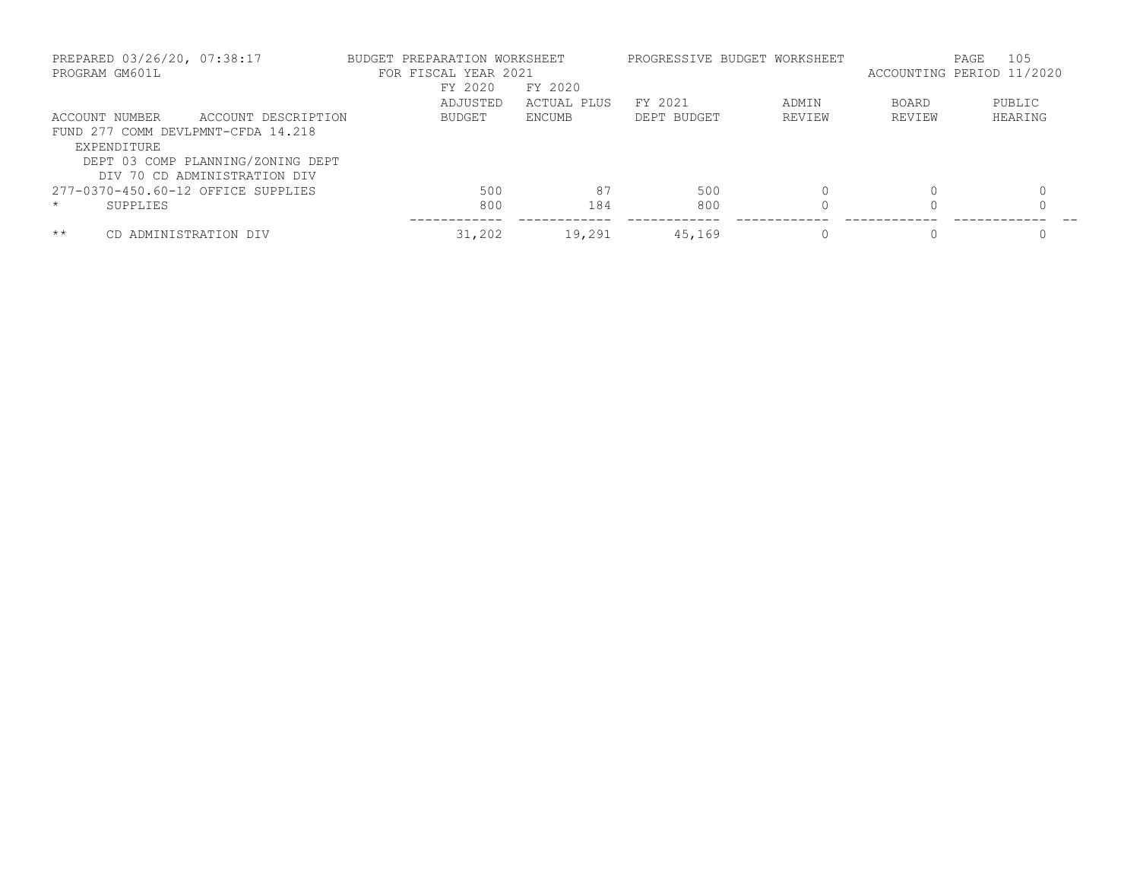| PREPARED 03/26/20, 07:38:17<br>PROGRAM GM601L |                                   | BUDGET PREPARATION WORKSHEET<br>FOR FISCAL YEAR 2021 |             |             | PROGRESSIVE BUDGET WORKSHEET |              | 105<br>PAGE<br>ACCOUNTING PERIOD 11/2020 |
|-----------------------------------------------|-----------------------------------|------------------------------------------------------|-------------|-------------|------------------------------|--------------|------------------------------------------|
|                                               |                                   | FY 2020                                              | FY 2020     |             |                              |              |                                          |
|                                               |                                   | ADJUSTED                                             | ACTUAL PLUS | FY 2021     | ADMIN                        | <b>BOARD</b> | PUBLIC                                   |
| <b>ACCOUNT NUMBER</b>                         | ACCOUNT DESCRIPTION               | <b>BUDGET</b>                                        | ENCUMB      | DEPT BUDGET | REVIEW                       | REVIEW       | HEARING                                  |
| FUND 277 COMM DEVLPMNT-CFDA 14.218            |                                   |                                                      |             |             |                              |              |                                          |
| EXPENDITURE                                   |                                   |                                                      |             |             |                              |              |                                          |
|                                               | DEPT 03 COMP PLANNING/ZONING DEPT |                                                      |             |             |                              |              |                                          |
|                                               | DIV 70 CD ADMINISTRATION DIV      |                                                      |             |             |                              |              |                                          |
| 277-0370-450.60-12 OFFICE SUPPLIES            |                                   | 500                                                  | 87          | 500         |                              |              |                                          |
| $\star$<br>SUPPLIES                           |                                   | 800                                                  | 184         | 800         |                              |              | $\Omega$                                 |
| $***$                                         | ADMINISTRATION DIV                | 31,202                                               | 19,291      | 45,169      |                              |              | 0                                        |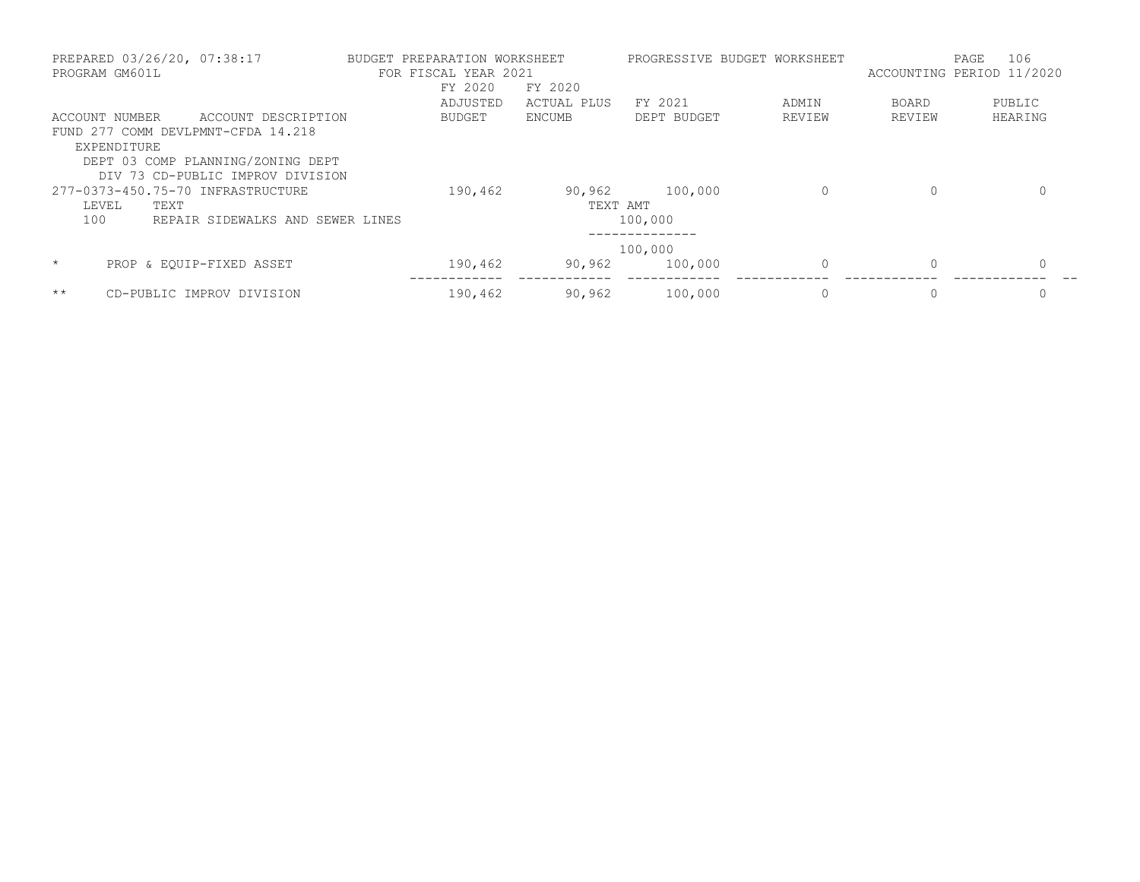|         | PREPARED 03/26/20, 07:38:17<br>PROGRAM GM601L |                                    | BUDGET PREPARATION WORKSHEET<br>FOR FISCAL YEAR 2021 |             |             | PROGRESSIVE BUDGET WORKSHEET | ACCOUNTING PERIOD 11/2020 | 106<br>PAGE |
|---------|-----------------------------------------------|------------------------------------|------------------------------------------------------|-------------|-------------|------------------------------|---------------------------|-------------|
|         |                                               |                                    | FY 2020                                              | FY 2020     |             |                              |                           |             |
|         |                                               |                                    | ADJUSTED                                             | ACTUAL PLUS | FY 2021     | ADMIN                        | <b>BOARD</b>              | PUBLIC      |
|         | ACCOUNT NUMBER                                | ACCOUNT DESCRIPTION                | <b>BUDGET</b>                                        | ENCUMB      | DEPT BUDGET | REVIEW                       | REVIEW                    | HEARING     |
|         |                                               | FUND 277 COMM DEVLPMNT-CFDA 14.218 |                                                      |             |             |                              |                           |             |
|         | EXPENDITURE                                   |                                    |                                                      |             |             |                              |                           |             |
|         |                                               | DEPT 03 COMP PLANNING/ZONING DEPT  |                                                      |             |             |                              |                           |             |
|         |                                               | DIV 73 CD-PUBLIC IMPROV DIVISION   |                                                      |             |             |                              |                           |             |
|         |                                               | 277-0373-450.75-70 INFRASTRUCTURE  | 190,462                                              | 90,962      | 100,000     | 0                            | 0                         | 0           |
| LEVEL   | TEXT                                          |                                    |                                                      | TEXT AMT    |             |                              |                           |             |
| 100     |                                               | REPAIR SIDEWALKS AND SEWER LINES   |                                                      |             | 100,000     |                              |                           |             |
|         |                                               |                                    |                                                      |             |             |                              |                           |             |
|         |                                               |                                    |                                                      |             | 100,000     |                              |                           |             |
| $\star$ |                                               | PROP & EOUIP-FIXED ASSET           | 190,462                                              | 90,962      | 100,000     | $\Omega$                     | $\Omega$                  | $\Omega$    |
| $***$   |                                               | CD-PUBLIC IMPROV DIVISION          | 190,462                                              | 90,962      | 100,000     |                              | 0                         | 0           |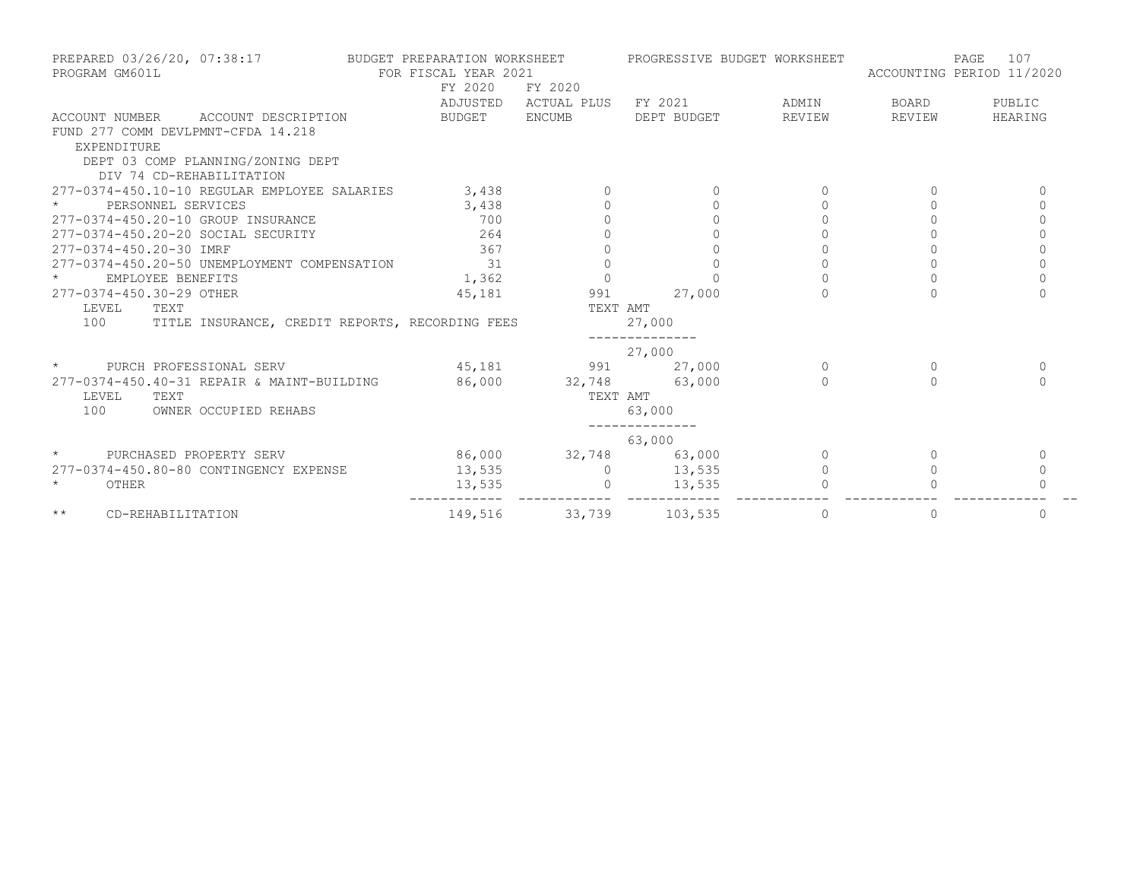| PREPARED 03/26/20, 07:38:17<br>PROGRAM GM601L          | BUDGET PREPARATION WORKSHEET<br>FOR FISCAL YEAR 2021 |                              | PROGRESSIVE BUDGET WORKSHEET |           | 107<br>PAGE<br>ACCOUNTING PERIOD 11/2020 |          |
|--------------------------------------------------------|------------------------------------------------------|------------------------------|------------------------------|-----------|------------------------------------------|----------|
|                                                        | FY 2020                                              | FY 2020                      |                              |           |                                          |          |
|                                                        |                                                      | ADJUSTED ACTUAL PLUS FY 2021 |                              | ADMIN     | BOARD                                    | PUBLIC   |
| ACCOUNT NUMBER<br>ACCOUNT DESCRIPTION                  | BUDGET ENCUMB                                        |                              | DEPT BUDGET                  | REVIEW    | REVIEW                                   | HEARING  |
| FUND 277 COMM DEVLPMNT-CFDA 14.218                     |                                                      |                              |                              |           |                                          |          |
| EXPENDITURE                                            |                                                      |                              |                              |           |                                          |          |
| DEPT 03 COMP PLANNING/ZONING DEPT                      |                                                      |                              |                              |           |                                          |          |
| DIV 74 CD-REHABILITATION                               |                                                      |                              |                              |           |                                          |          |
| 277-0374-450.10-10 REGULAR EMPLOYEE SALARIES           | 3,438                                                |                              |                              |           |                                          | $\Omega$ |
| PERSONNEL SERVICES                                     | 3,438                                                |                              | $\Omega$                     | $\Omega$  | $\Omega$                                 | $\Omega$ |
| 277-0374-450.20-10 GROUP INSURANCE                     | 700                                                  |                              | $\Omega$                     | $\Omega$  | $\Omega$                                 | $\Omega$ |
| 277-0374-450.20-20 SOCIAL SECURITY                     | 264                                                  |                              | $\Omega$                     | $\bigcap$ | $\Omega$                                 | $\Omega$ |
| 277-0374-450.20-30 IMRF                                | 367                                                  |                              |                              |           |                                          | $\Omega$ |
| 277-0374-450.20-50 UNEMPLOYMENT COMPENSATION           | 31                                                   | $\circ$                      | $\mathbf{0}$                 | $\circ$   | $\circ$                                  | $\circ$  |
| EMPLOYEE BENEFITS                                      | 1,362                                                | $\Omega$                     | $\Omega$                     | $\cap$    | $\cap$                                   | $\cap$   |
| 277-0374-450.30-29 OTHER                               | 45,181                                               | 991                          | 27,000                       |           |                                          |          |
| LEVEL<br>TEXT                                          |                                                      | TEXT AMT                     |                              |           |                                          |          |
| 100<br>TITLE INSURANCE, CREDIT REPORTS, RECORDING FEES |                                                      |                              | 27,000                       |           |                                          |          |
|                                                        |                                                      |                              | 27,000                       |           |                                          |          |
| $\star$<br>PURCH PROFESSIONAL SERV                     | 45,181                                               |                              | 991 27,000                   | $\Omega$  | $\Omega$                                 | $\Omega$ |
| 277-0374-450.40-31 REPAIR & MAINT-BUILDING             | 86,000 32,748 63,000                                 |                              |                              |           |                                          | $\cap$   |
| LEVEL<br>TEXT                                          |                                                      | TEXT AMT                     |                              |           |                                          |          |
| 100<br>OWNER OCCUPIED REHABS                           |                                                      |                              | 63,000                       |           |                                          |          |
|                                                        |                                                      |                              | ______________<br>63,000     |           |                                          |          |
| $\star$<br>PURCHASED PROPERTY SERV                     |                                                      |                              | 86,000 32,748 63,000         | $\Omega$  | $\Omega$                                 | $\Omega$ |
| 277-0374-450.80-80 CONTINGENCY EXPENSE                 | 13,535                                               | $\Omega$                     | 13,535                       | $\Omega$  |                                          | $\Omega$ |
| $\star$<br>OTHER                                       | 13,535                                               | $\circ$                      | 13,535                       |           |                                          |          |
| $\star\star$<br>CD-REHABILITATION                      | 149,516                                              |                              | 33,739 103,535               | $\circ$   | $\mathbf{0}$                             | 0        |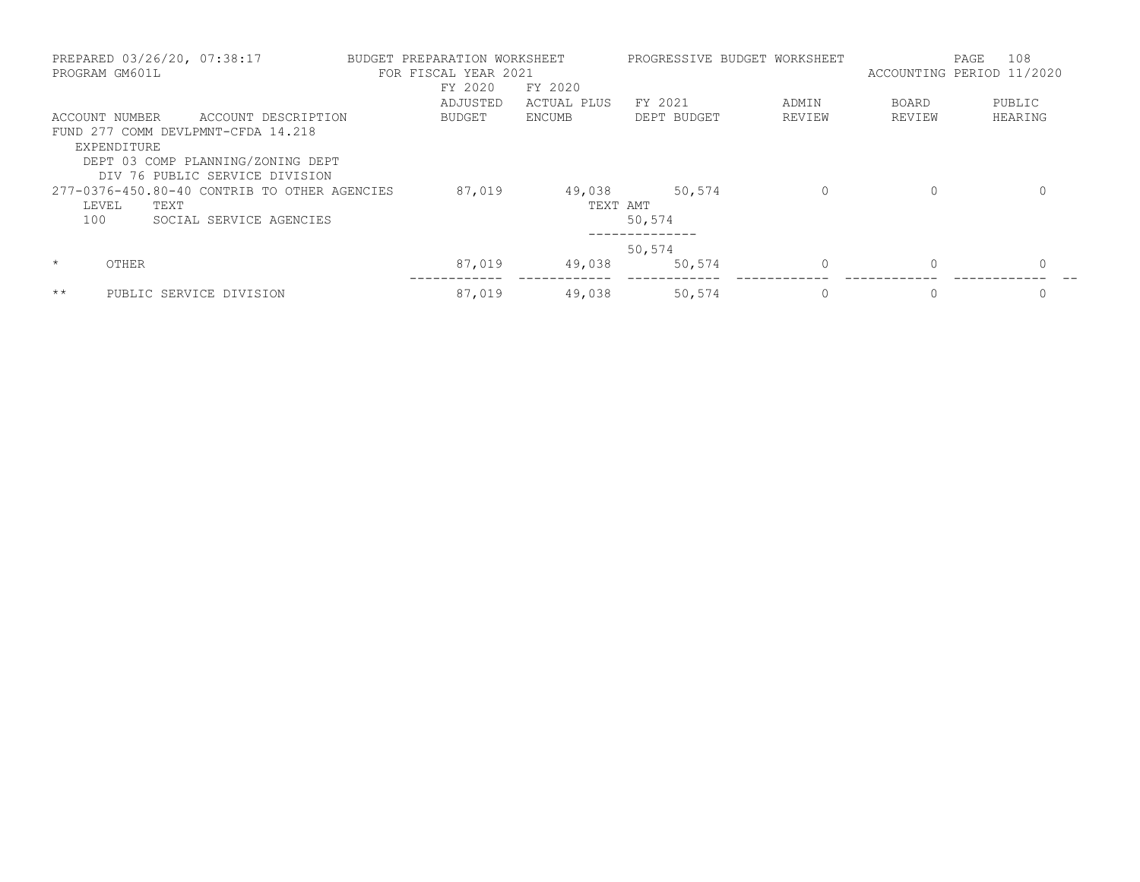| PROGRAM GM601L   | PREPARED 03/26/20, 07:38:17                  | BUDGET PREPARATION WORKSHEET<br>FOR FISCAL YEAR 2021 |             |             | PROGRESSIVE BUDGET WORKSHEET | ACCOUNTING PERIOD 11/2020 | 108<br>PAGE  |
|------------------|----------------------------------------------|------------------------------------------------------|-------------|-------------|------------------------------|---------------------------|--------------|
|                  |                                              | FY 2020                                              | FY 2020     |             |                              |                           |              |
|                  |                                              | ADJUSTED                                             | ACTUAL PLUS | FY 2021     | ADMIN                        | <b>BOARD</b>              | PUBLIC       |
| ACCOUNT NUMBER   | ACCOUNT DESCRIPTION                          | BUDGET                                               | ENCUMB      | DEPT BUDGET | REVIEW                       | REVIEW                    | HEARING      |
|                  | FUND 277 COMM DEVLPMNT-CFDA 14.218           |                                                      |             |             |                              |                           |              |
| EXPENDITURE      |                                              |                                                      |             |             |                              |                           |              |
|                  | DEPT 03 COMP PLANNING/ZONING DEPT            |                                                      |             |             |                              |                           |              |
|                  | DIV 76 PUBLIC SERVICE DIVISION               |                                                      |             |             |                              |                           |              |
|                  | 277-0376-450.80-40 CONTRIB TO OTHER AGENCIES | 87,019                                               | 49,038      | 50,574      | 0                            | 0                         | $\mathbf{0}$ |
| LEVEL            | TEXT                                         |                                                      |             | TEXT AMT    |                              |                           |              |
| 100              | SOCIAL SERVICE AGENCIES                      |                                                      |             | 50,574      |                              |                           |              |
|                  |                                              |                                                      |             | 50,574      |                              |                           |              |
| $\star$<br>OTHER |                                              | 87,019                                               | 49,038      | 50,574      | $\Omega$                     | $\Omega$                  | $\Omega$     |
| $\star\star$     | PUBLIC SERVICE DIVISION                      | 87,019                                               | 49,038      | 50,574      | 0                            | 0                         | 0            |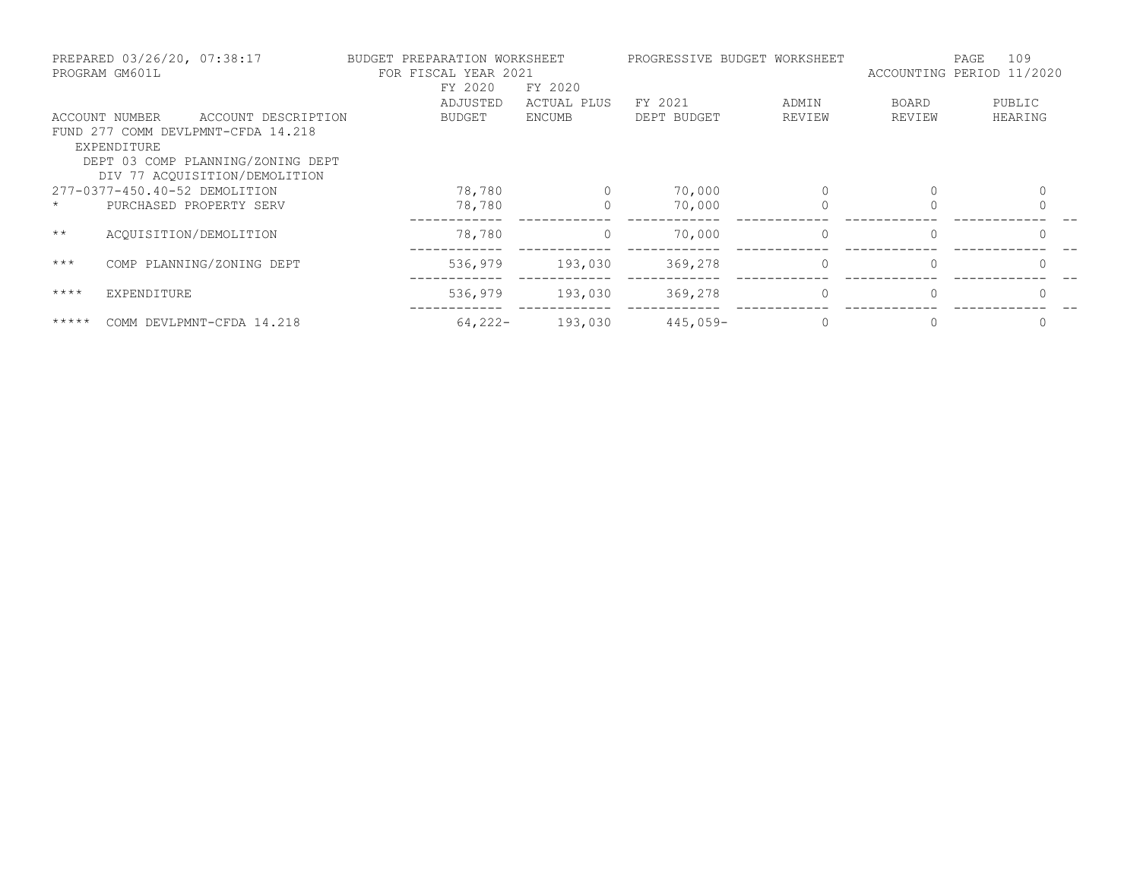|             | PREPARED 03/26/20, 07:38:17<br>PROGRAM GM601L |                                    | BUDGET PREPARATION<br>FOR FISCAL YEAR 2021 | WORKSHEET     | PROGRESSIVE BUDGET WORKSHEET |          |              | 109<br>PAGE<br>ACCOUNTING PERIOD 11/2020 |
|-------------|-----------------------------------------------|------------------------------------|--------------------------------------------|---------------|------------------------------|----------|--------------|------------------------------------------|
|             |                                               |                                    | FY 2020                                    | FY 2020       |                              |          |              |                                          |
|             |                                               |                                    | ADJUSTED                                   | ACTUAL PLUS   | FY 2021                      | ADMIN    | <b>BOARD</b> | PUBLIC                                   |
|             | ACCOUNT NUMBER                                | ACCOUNT DESCRIPTION                | <b>BUDGET</b>                              | <b>ENCUMB</b> | DEPT BUDGET                  | REVIEW   | REVIEW       | HEARING                                  |
|             |                                               | FUND 277 COMM DEVLPMNT-CFDA 14.218 |                                            |               |                              |          |              |                                          |
|             | EXPENDITURE                                   |                                    |                                            |               |                              |          |              |                                          |
|             |                                               | DEPT 03 COMP PLANNING/ZONING DEPT  |                                            |               |                              |          |              |                                          |
|             |                                               | DIV 77 ACOUISITION/DEMOLITION      |                                            |               |                              |          |              |                                          |
|             | 277-0377-450.40-52 DEMOLITION                 |                                    | 78,780                                     | $\Omega$      | 70,000                       | $\Omega$ | $\Omega$     | $\Omega$                                 |
|             | PURCHASED PROPERTY SERV                       |                                    | 78,780                                     | 0             | 70,000                       | 0        |              | $\Omega$                                 |
| $***$       | ACQUISITION/DEMOLITION                        |                                    | 78,780                                     | $\circ$       | 70,000                       | 0        | $\Omega$     | $\mathbf{0}$                             |
| $***$       |                                               | COMP PLANNING/ZONING DEPT          | 536,979                                    | 193,030       | 369,278                      | $\circ$  | $\Omega$     | $\mathbf{0}$                             |
| $***$ * * * | EXPENDITURE                                   |                                    | 536,979                                    | 193,030       | 369,278                      | $\Omega$ | $\Omega$     | $\Omega$                                 |
| $******$    |                                               | COMM DEVLPMNT-CFDA 14.218          | $64,222-$                                  | 193,030       | $445,059-$                   |          |              |                                          |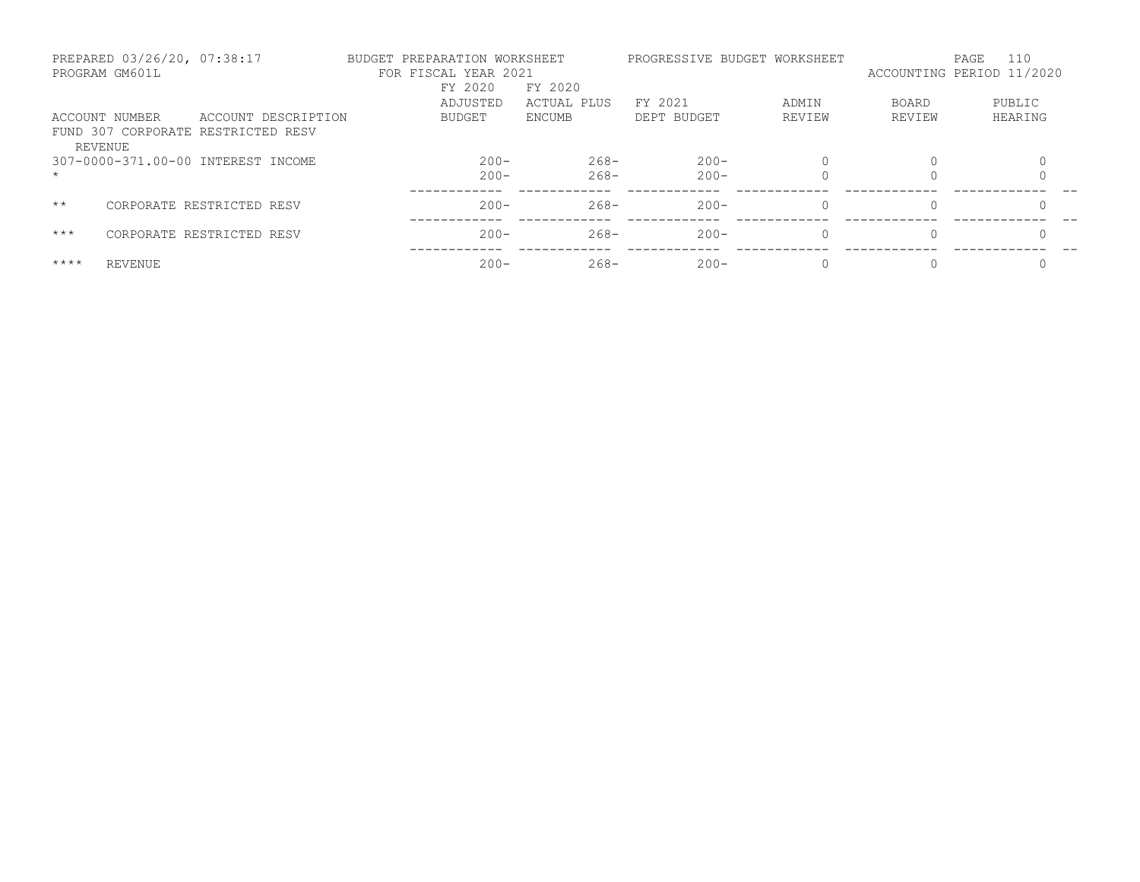|             | PREPARED 03/26/20, 07:38:17<br>PROGRAM GM601L |                                    | BUDGET PREPARATION WORKSHEET<br>FOR FISCAL YEAR 2021 |             |             | PROGRESSIVE BUDGET WORKSHEET | ACCOUNTING PERIOD 11/2020 | PAGE | 110     |
|-------------|-----------------------------------------------|------------------------------------|------------------------------------------------------|-------------|-------------|------------------------------|---------------------------|------|---------|
|             |                                               |                                    | FY 2020                                              | FY 2020     |             |                              |                           |      |         |
|             |                                               |                                    | ADJUSTED                                             | ACTUAL PLUS | FY 2021     | ADMIN                        | <b>BOARD</b>              |      | PUBLIC  |
|             | ACCOUNT NUMBER                                | ACCOUNT DESCRIPTION                | BUDGET                                               | ENCUMB      | DEPT BUDGET | REVIEW                       | REVIEW                    |      | HEARING |
|             | REVENUE                                       | FUND 307 CORPORATE RESTRICTED RESV |                                                      |             |             |                              |                           |      |         |
|             |                                               | 307-0000-371.00-00 INTEREST INCOME | $200 -$                                              | $268 -$     | $200 -$     | $\Omega$                     |                           |      |         |
| $\star$     |                                               |                                    | $200 -$                                              | $268 -$     | $200 -$     |                              |                           |      |         |
| $***$       |                                               | CORPORATE RESTRICTED RESV          | $200 -$                                              | $268-$      | $200 -$     | $\Omega$                     | $\Omega$                  |      |         |
| $***$       |                                               | CORPORATE RESTRICTED RESV          | $200 -$                                              | $268-$      | $200 -$     | $\Omega$                     |                           |      |         |
| $***$ * * * | REVENUE                                       |                                    | $200 -$                                              | $268 -$     | $200 -$     | $\Omega$                     |                           |      |         |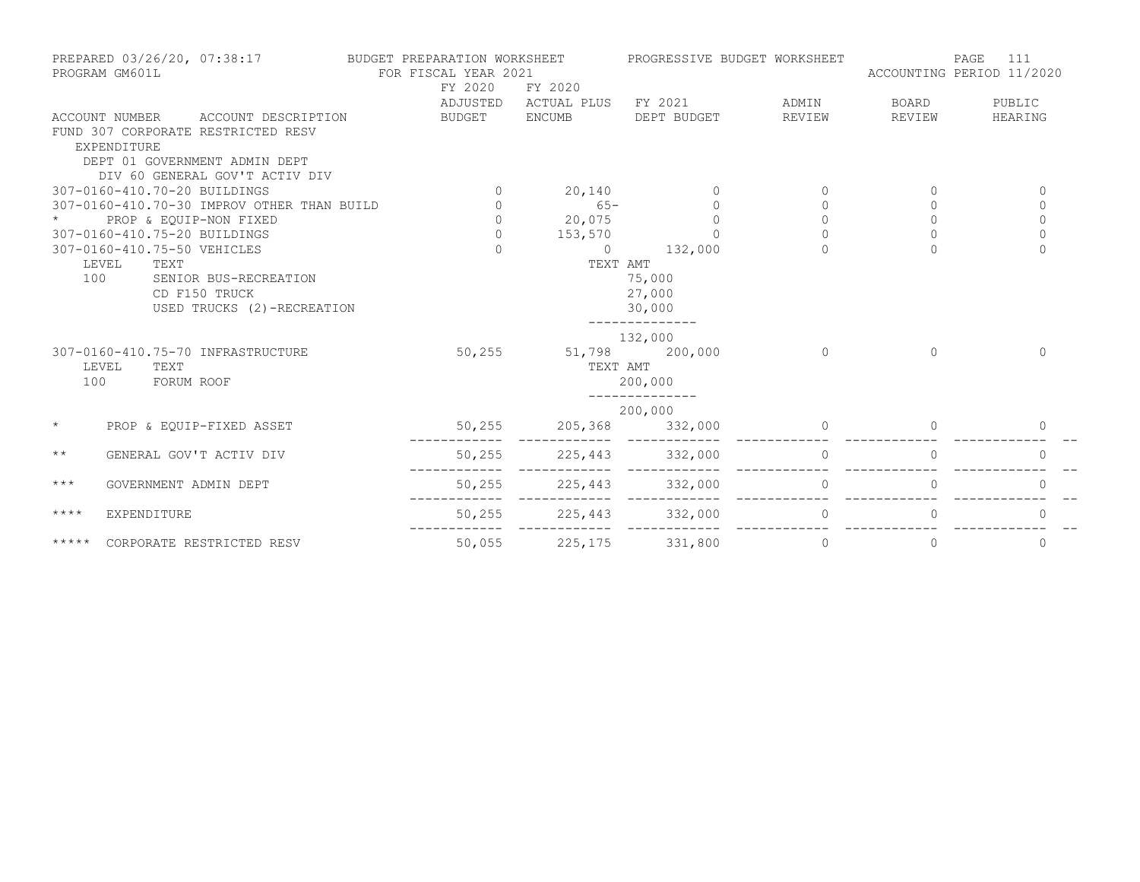| PREPARED 03/26/20, 07:38:17 BUDGET PREPARATION WORKSHEET<br>PROGRAM GM601L |                    | FOR FISCAL YEAR 2021                                                                                                                        |  | PROGRESSIVE BUDGET WORKSHEET |                                   | 111<br>PAGE<br>ACCOUNTING PERIOD 11/2020  |                |              |              |  |
|----------------------------------------------------------------------------|--------------------|---------------------------------------------------------------------------------------------------------------------------------------------|--|------------------------------|-----------------------------------|-------------------------------------------|----------------|--------------|--------------|--|
|                                                                            |                    |                                                                                                                                             |  | FY 2020                      | FY 2020                           | ADJUSTED ACTUAL PLUS FY 2021 ADMIN        |                | <b>BOARD</b> | PUBLIC       |  |
|                                                                            | <b>EXPENDITURE</b> | ACCOUNT NUMBER ACCOUNT DESCRIPTION<br>FUND 307 CORPORATE RESTRICTED RESV<br>DEPT 01 GOVERNMENT ADMIN DEPT<br>DIV 60 GENERAL GOV'T ACTIV DIV |  | BUDGET ENCUMB                |                                   | DEPT BUDGET                               | REVIEW         | REVIEW       | HEARING      |  |
|                                                                            |                    | 307-0160-410.70-20 BUILDINGS                                                                                                                |  |                              |                                   |                                           | $\circ$        |              | $\mathbf{0}$ |  |
|                                                                            |                    | 307-0160-410.70-30 IMPROV OTHER THAN BUILD                                                                                                  |  | $\overline{0}$               |                                   | $\circ$                                   | $\circ$        | $\Omega$     | $\mathbf 0$  |  |
|                                                                            |                    | PROP & EQUIP-NON FIXED                                                                                                                      |  |                              |                                   | $\Omega$                                  | $\circ$        | $\Omega$     | $\mathbf{0}$ |  |
|                                                                            |                    | 307-0160-410.75-20 BUILDINGS                                                                                                                |  | $\circ$                      | 153,570                           |                                           |                | $\Omega$     | $\Omega$     |  |
|                                                                            |                    | 307-0160-410.75-50 VEHICLES                                                                                                                 |  |                              |                                   | $0 \t 132,000$                            |                |              | $\Omega$     |  |
| 100                                                                        | TEXT<br>LEVEL      | SENIOR BUS-RECREATION<br>CD F150 TRUCK<br>USED TRUCKS (2)-RECREATION                                                                        |  |                              | TEXT AMT                          | 75,000<br>27,000<br>30,000<br>----------- |                |              |              |  |
| 100                                                                        | LEVEL<br>TEXT      | 307-0160-410.75-70 INFRASTRUCTURE<br>FORUM ROOF                                                                                             |  |                              | 50,255 51,798 200,000<br>TEXT AMT | 132,000<br>200,000                        | $\overline{0}$ | $\cap$       | $\Omega$     |  |
|                                                                            |                    |                                                                                                                                             |  |                              |                                   | 200,000                                   |                |              |              |  |
| $\star$                                                                    |                    | PROP & EQUIP-FIXED ASSET                                                                                                                    |  |                              |                                   | 50,255 205,368 332,000                    |                |              |              |  |
| $\star\star$                                                               |                    | GENERAL GOV'T ACTIV DIV                                                                                                                     |  |                              |                                   | 50,255 225,443 332,000                    | $\overline{0}$ |              | $\Omega$     |  |
| $***$                                                                      |                    | GOVERNMENT ADMIN DEPT                                                                                                                       |  | 50,255                       | 225,443 332,000                   |                                           | $\sim$ 0       |              | $\Omega$     |  |
| $***$ * * *                                                                | EXPENDITURE        |                                                                                                                                             |  |                              |                                   | 50,255 225,443 332,000                    | $\bigcirc$     |              |              |  |
| *****                                                                      |                    | CORPORATE RESTRICTED RESV                                                                                                                   |  |                              | 50,055 225,175 331,800            |                                           | $\overline{0}$ | $\Omega$     | $\Omega$     |  |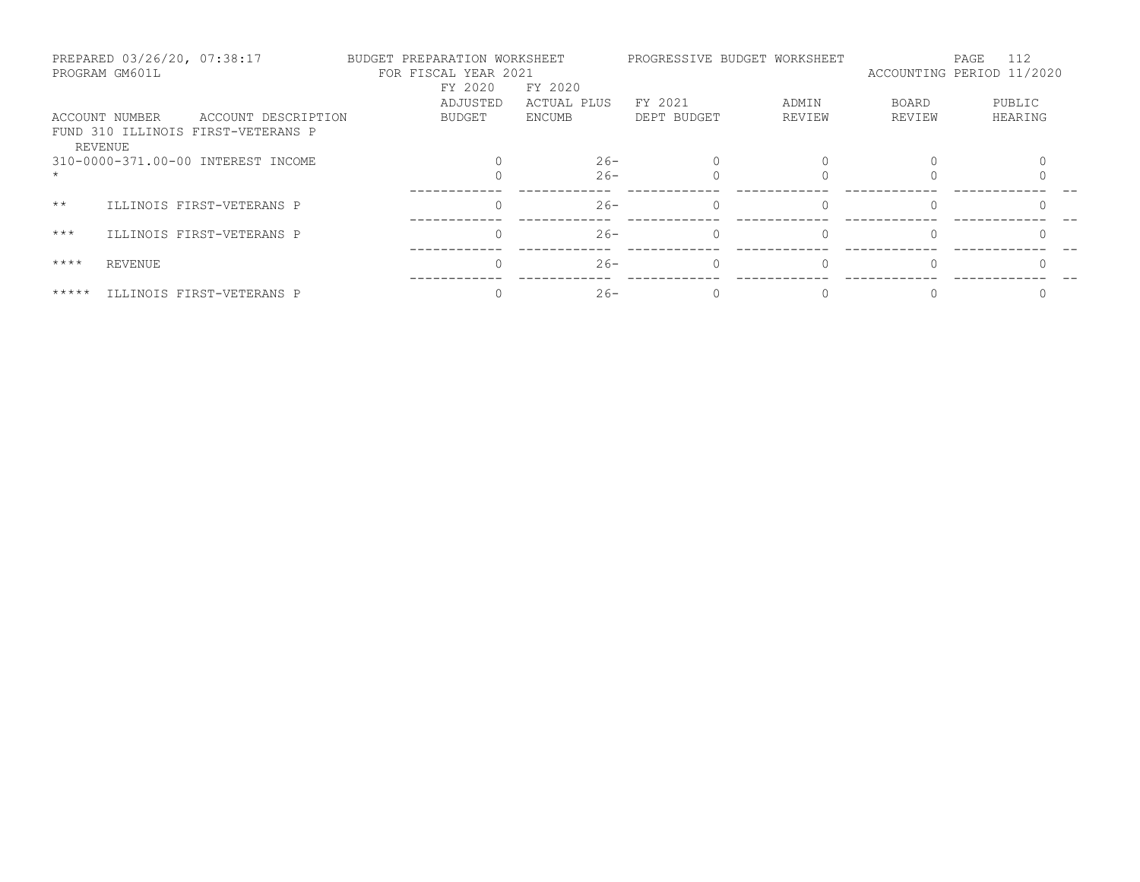|              | PREPARED 03/26/20, 07:38:17<br>PROGRAM GM601L |                                    | BUDGET PREPARATION WORKSHEET<br>FOR FISCAL YEAR 2021 |               |             | PROGRESSIVE BUDGET WORKSHEET |        | 112<br>PAGE<br>ACCOUNTING PERIOD 11/2020 |  |
|--------------|-----------------------------------------------|------------------------------------|------------------------------------------------------|---------------|-------------|------------------------------|--------|------------------------------------------|--|
|              |                                               |                                    | FY 2020                                              | FY 2020       |             |                              |        |                                          |  |
|              |                                               |                                    | ADJUSTED                                             | ACTUAL PLUS   | FY 2021     | ADMIN                        | BOARD  | PUBLIC                                   |  |
|              | ACCOUNT NUMBER                                | ACCOUNT DESCRIPTION                | BUDGET                                               | <b>ENCUMB</b> | DEPT BUDGET | REVIEW                       | REVIEW | HEARING                                  |  |
|              | REVENUE                                       | FUND 310 ILLINOIS FIRST-VETERANS P |                                                      |               |             |                              |        |                                          |  |
|              |                                               | 310-0000-371.00-00 INTEREST INCOME |                                                      | $26 -$        |             |                              |        |                                          |  |
|              |                                               |                                    |                                                      | $26 -$        |             |                              |        |                                          |  |
| $\star\star$ |                                               | ILLINOIS FIRST-VETERANS P          |                                                      | $26 -$        | $\Omega$    |                              |        |                                          |  |
| $***$        |                                               | ILLINOIS FIRST-VETERANS P          |                                                      | $26 -$        | $\Omega$    |                              |        |                                          |  |
| $***$ *      | REVENUE                                       |                                    |                                                      | $26 -$        | $\bigcap$   | $\Omega$                     |        |                                          |  |
| $******$     |                                               | ILLINOIS FIRST-VETERANS P          |                                                      | $26 -$        |             |                              |        |                                          |  |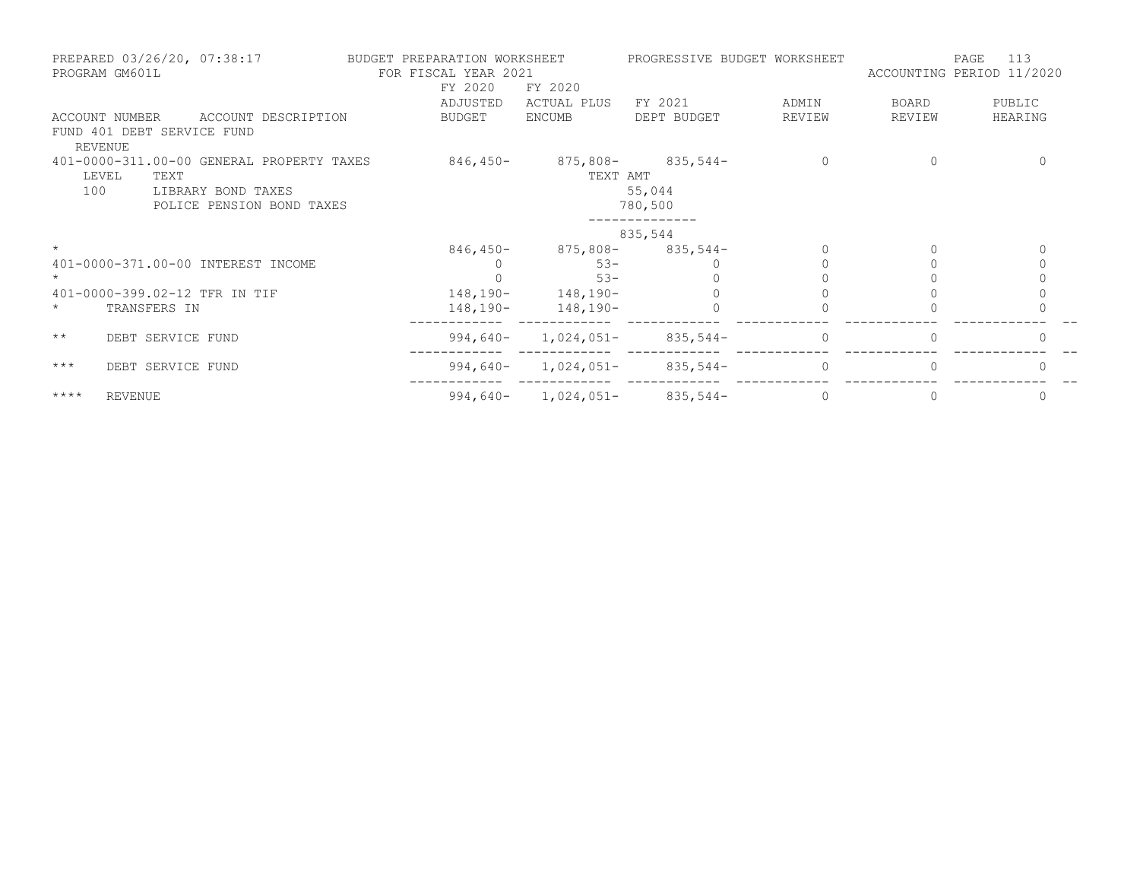| PROGRAM GM601L | PREPARED 03/26/20, 07:38:17        |                    |                                           | BUDGET PREPARATION WORKSHEET<br>FOR FISCAL YEAR 2021<br>FY 2020<br>ADJUSTED | FY 2020<br>ACTUAL PLUS  | FY 2021                           | PROGRESSIVE BUDGET WORKSHEET<br>ADMIN | BOARD    | 113<br>PAGE<br>ACCOUNTING PERIOD 11/2020<br>PUBLIC |
|----------------|------------------------------------|--------------------|-------------------------------------------|-----------------------------------------------------------------------------|-------------------------|-----------------------------------|---------------------------------------|----------|----------------------------------------------------|
| ACCOUNT NUMBER |                                    |                    | ACCOUNT DESCRIPTION                       | BUDGET                                                                      | ENCUMB                  | DEPT BUDGET                       | REVIEW                                | REVIEW   | HEARING                                            |
|                | FUND 401 DEBT SERVICE FUND         |                    |                                           |                                                                             |                         |                                   |                                       |          |                                                    |
| <b>REVENUE</b> |                                    |                    |                                           |                                                                             |                         |                                   |                                       |          |                                                    |
|                |                                    |                    | 401-0000-311.00-00 GENERAL PROPERTY TAXES | 846,450-                                                                    |                         | $875,808 - 835,544 -$             | $\Omega$                              |          |                                                    |
| LEVEL          | TEXT                               |                    |                                           |                                                                             | TEXT AMT                |                                   |                                       |          |                                                    |
| 100            |                                    | LIBRARY BOND TAXES |                                           |                                                                             |                         | 55,044                            |                                       |          |                                                    |
|                |                                    |                    | POLICE PENSION BOND TAXES                 |                                                                             |                         | 780,500                           |                                       |          |                                                    |
|                |                                    |                    |                                           |                                                                             |                         | 835,544                           |                                       |          |                                                    |
|                |                                    |                    |                                           | 846,450-                                                                    |                         | $875,808 - 835,544 -$             |                                       |          | $\Omega$                                           |
|                | 401-0000-371.00-00 INTEREST INCOME |                    |                                           |                                                                             | $53 -$                  |                                   |                                       |          | $\Omega$                                           |
| $\star$        |                                    |                    |                                           |                                                                             | $53 -$                  |                                   |                                       |          |                                                    |
|                | 401-0000-399.02-12 TFR IN TIF      |                    |                                           |                                                                             | $148, 190 - 148, 190 -$ |                                   |                                       |          |                                                    |
| $\star$        | TRANSFERS IN                       |                    |                                           |                                                                             | $148, 190 - 148, 190 -$ |                                   |                                       |          |                                                    |
| $\star\star$   | DEBT SERVICE FUND                  |                    |                                           |                                                                             |                         | $994,640 - 1,024,051 - 835,544 -$ | $\Omega$                              |          |                                                    |
| $***$          | DEBT SERVICE FUND                  |                    |                                           |                                                                             |                         | $994,640 - 1,024,051 - 835,544 -$ | $\Omega$                              |          |                                                    |
| $***$ *        | <b>REVENUE</b>                     |                    |                                           |                                                                             |                         | $994,640 - 1,024,051 - 835,544 -$ | $\Omega$                              | $\Omega$ | $\Omega$                                           |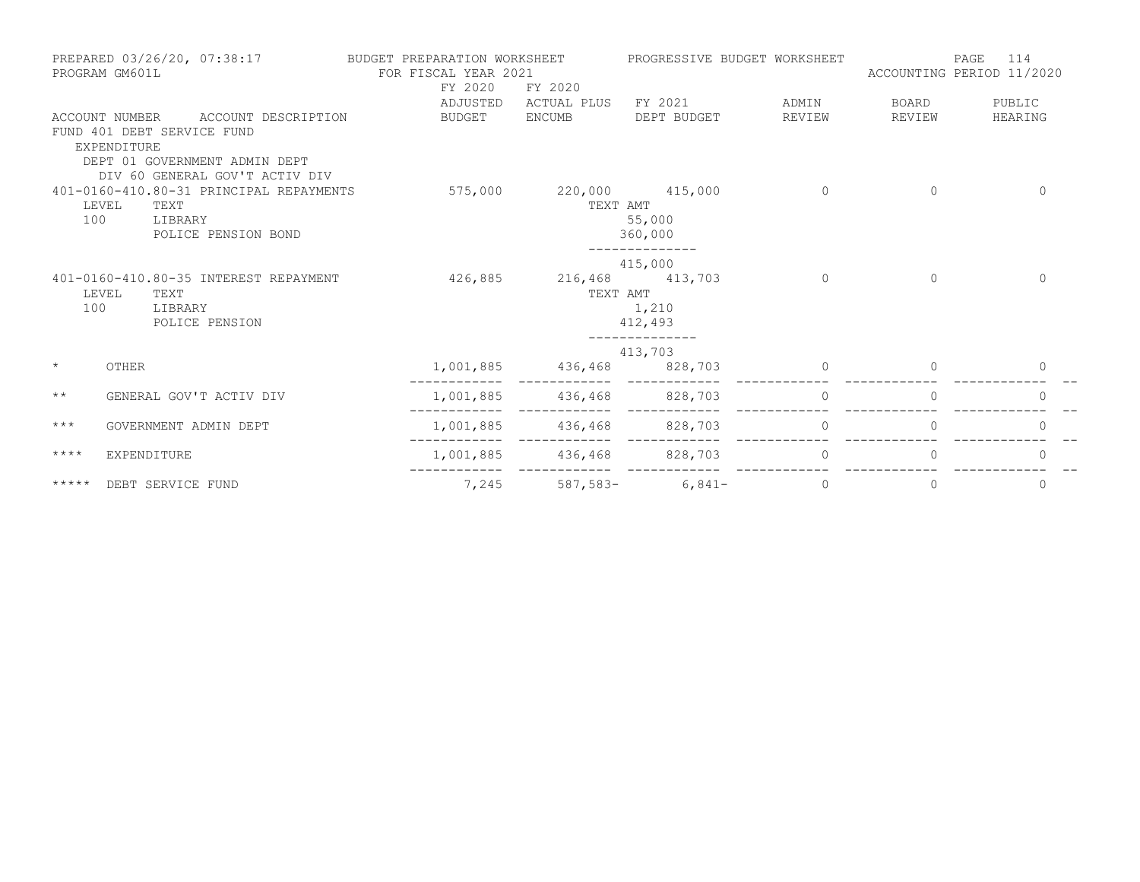|               | PREPARED 03/26/20, 07:38:17<br>PROGRAM GM601L |                                                                 | BUDGET PREPARATION WORKSHEET<br>FOR FISCAL YEAR 2021 |                           | PROGRESSIVE BUDGET WORKSHEET       |                 | ACCOUNTING PERIOD 11/2020 | 114<br>PAGE       |
|---------------|-----------------------------------------------|-----------------------------------------------------------------|------------------------------------------------------|---------------------------|------------------------------------|-----------------|---------------------------|-------------------|
|               |                                               |                                                                 | FY 2020                                              | FY 2020                   |                                    |                 |                           |                   |
|               | ACCOUNT NUMBER                                | ACCOUNT DESCRIPTION                                             | ADJUSTED<br>BUDGET                                   | ENCUMB                    | ACTUAL PLUS FY 2021<br>DEPT BUDGET | ADMIN<br>REVIEW | BOARD<br>REVIEW           | PUBLIC<br>HEARING |
|               | FUND 401 DEBT SERVICE FUND<br>EXPENDITURE     |                                                                 |                                                      |                           |                                    |                 |                           |                   |
|               |                                               | DEPT 01 GOVERNMENT ADMIN DEPT<br>DIV 60 GENERAL GOV'T ACTIV DIV |                                                      |                           |                                    |                 |                           |                   |
|               |                                               | 401-0160-410.80-31 PRINCIPAL REPAYMENTS                         |                                                      | 575,000 220,000 415,000   |                                    | 0               | $\mathbf{0}$              | $\mathbf{0}$      |
|               | LEVEL<br>TEXT                                 |                                                                 |                                                      |                           | TEXT AMT                           |                 |                           |                   |
| 100           | LIBRARY                                       |                                                                 |                                                      |                           | 55,000                             |                 |                           |                   |
|               |                                               | POLICE PENSION BOND                                             |                                                      |                           | 360,000<br>______________          |                 |                           |                   |
|               |                                               |                                                                 |                                                      |                           | 415,000                            |                 |                           |                   |
|               |                                               | 401-0160-410.80-35 INTEREST REPAYMENT                           | 426,885                                              | 216,468 413,703           |                                    | $\Omega$        | $\Omega$                  | $\Omega$          |
|               | LEVEL<br>TEXT                                 |                                                                 |                                                      |                           | TEXT AMT                           |                 |                           |                   |
| 100           | LIBRARY                                       |                                                                 |                                                      |                           | 1,210                              |                 |                           |                   |
|               |                                               | POLICE PENSION                                                  |                                                      |                           | 412,493                            |                 |                           |                   |
|               |                                               |                                                                 |                                                      |                           | 413,703                            |                 |                           |                   |
| $\star$       | OTHER                                         |                                                                 | 1,001,885                                            | 436,468 828,703           |                                    | $\Omega$        | $\Omega$                  | 0                 |
| $\star\star$  |                                               | GENERAL GOV'T ACTIV DIV                                         |                                                      | 1,001,885 436,468 828,703 |                                    | $\Omega$        | $\Omega$                  | $\Omega$          |
| $***$         | GOVERNMENT ADMIN DEPT                         |                                                                 |                                                      | 1,001,885 436,468         | 828,703                            | 0               | $\Omega$                  | $\mathbf{0}$      |
| ****          | <b>EXPENDITURE</b>                            |                                                                 |                                                      | 1,001,885 436,468 828,703 |                                    | $\Omega$        | $\Omega$                  | $\bigcap$         |
| $***$ * * * * | DEBT SERVICE FUND                             |                                                                 | 7,245                                                |                           | $587,583-$ 6,841-                  | 0               | 0                         | 0                 |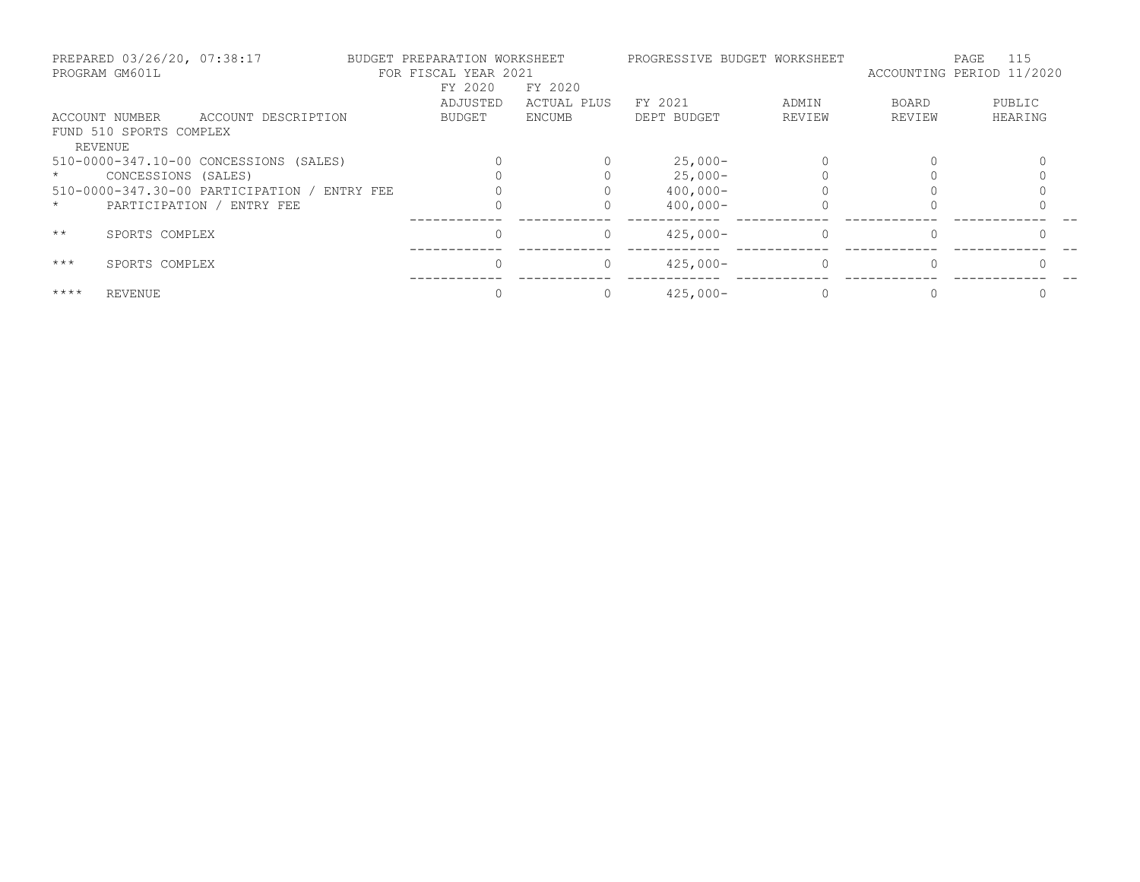|              | PREPARED 03/26/20, 07:38:17<br>PROGRAM GM601L |                                        |           | BUDGET PREPARATION WORKSHEET<br>FOR FISCAL YEAR 2021 |             | PROGRESSIVE BUDGET WORKSHEET |        | ACCOUNTING PERIOD 11/2020 | 115<br>PAGE |
|--------------|-----------------------------------------------|----------------------------------------|-----------|------------------------------------------------------|-------------|------------------------------|--------|---------------------------|-------------|
|              |                                               |                                        |           | FY 2020                                              | FY 2020     |                              |        |                           |             |
|              |                                               |                                        |           | ADJUSTED                                             | ACTUAL PLUS | FY 2021                      | ADMIN  | BOARD                     | PUBLIC      |
|              | ACCOUNT NUMBER                                | ACCOUNT DESCRIPTION                    |           | BUDGET                                               | ENCUMB      | DEPT BUDGET                  | REVIEW | REVIEW                    | HEARING     |
|              | FUND 510 SPORTS COMPLEX                       |                                        |           |                                                      |             |                              |        |                           |             |
|              | <b>REVENUE</b>                                |                                        |           |                                                      |             |                              |        |                           |             |
|              |                                               | 510-0000-347.10-00 CONCESSIONS (SALES) |           |                                                      |             | $25,000-$                    |        |                           |             |
|              | CONCESSIONS (SALES)                           |                                        |           |                                                      |             | $25,000-$                    |        |                           |             |
|              |                                               | 510-0000-347.30-00 PARTICIPATION /     | ENTRY FEE |                                                      |             | $400,000 -$                  |        |                           |             |
| $\star$      |                                               | PARTICIPATION / ENTRY FEE              |           |                                                      |             | $400,000 -$                  |        |                           |             |
| $\star\star$ | SPORTS COMPLEX                                |                                        |           |                                                      | 0           | $425,000-$                   |        | $\Omega$                  |             |
| $***$        | SPORTS COMPLEX                                |                                        |           |                                                      | $\Omega$    | $425.000 -$                  |        | $\Omega$                  |             |
| $***$ *      | <b>REVENUE</b>                                |                                        |           |                                                      |             | $425,000-$                   |        |                           |             |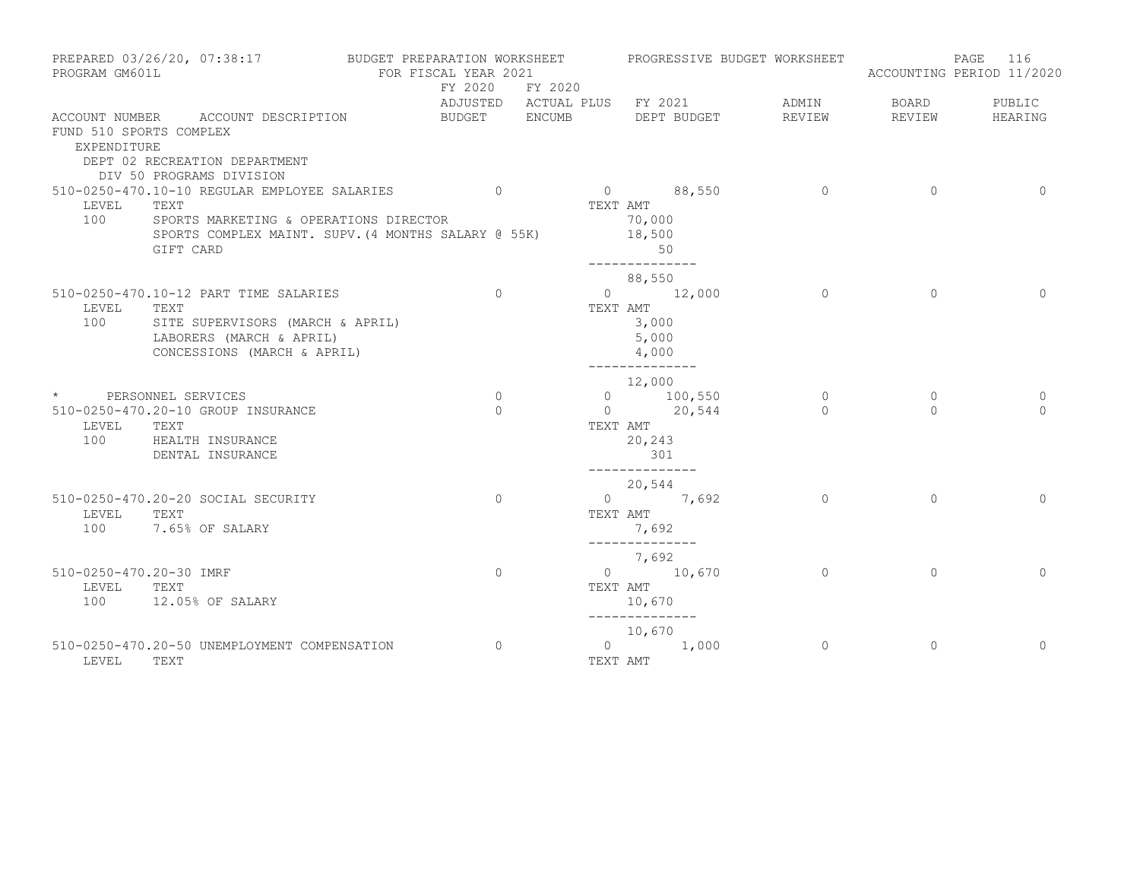| PROGRAM GM601L                         | PREPARED 03/26/20, 07:38:17 BUDGET PREPARATION WORKSHEET                                                                                                             | FOR FISCAL YEAR 2021 | FY 2020 FY 2020    |                                                           |                                                                         |                           | PROGRESSIVE BUDGET WORKSHEET |                        | PAGE<br>116<br>ACCOUNTING PERIOD 11/2020 |
|----------------------------------------|----------------------------------------------------------------------------------------------------------------------------------------------------------------------|----------------------|--------------------|-----------------------------------------------------------|-------------------------------------------------------------------------|---------------------------|------------------------------|------------------------|------------------------------------------|
|                                        | ACCOUNT NUMBER ACCOUNT DESCRIPTION                                                                                                                                   |                      |                    | ADJUSTED ACTUAL PLUS FY 2021<br>BUDGET ENCUMB DEPT BUDGET |                                                                         |                           | ADMIN<br>REVIEW              | <b>BOARD</b><br>REVIEW | PUBLIC<br>HEARING                        |
| FUND 510 SPORTS COMPLEX<br>EXPENDITURE | DEPT 02 RECREATION DEPARTMENT<br>DIV 50 PROGRAMS DIVISION                                                                                                            |                      |                    |                                                           |                                                                         |                           |                              |                        |                                          |
| LEVEL<br>100                           | 510-0250-470.10-10 REGULAR EMPLOYEE SALARIES 0<br>TEXT<br>SPORTS MARKETING & OPERATIONS DIRECTOR<br>SPORTS COMPLEX MAINT. SUPV. (4 MONTHS SALARY @ 55K)<br>GIFT CARD |                      |                    |                                                           | TEXT AMT<br>70,000<br>18,500<br>50<br>--------------                    | $0 \t 88,550$             | $\sim$ 0                     | $\sim$ 0               | $\overline{0}$                           |
| LEVEL<br>100                           | 510-0250-470.10-12 PART TIME SALARIES<br>TEXT<br>SITE SUPERVISORS (MARCH & APRIL)<br>LABORERS (MARCH & APRIL)<br>CONCESSIONS (MARCH & APRIL)                         |                      | $\Omega$           |                                                           | 88,550<br>TEXT AMT<br>3,000<br>5,000<br>4,000                           | $0 \t 12,000$             | $\Omega$                     | $\Omega$               | $\Omega$                                 |
| LEVEL TEXT                             | * PERSONNEL SERVICES<br>510-0250-470.20-10 GROUP INSURANCE<br>100 HEALTH INSURANCE<br>DENTAL INSURANCE                                                               |                      | $\circ$<br>$\circ$ |                                                           | --------------<br>12,000<br>TEXT AMT<br>20,243<br>301<br>______________ | 0 $100,550$<br>0 $20,544$ | $\circ$<br>$\Omega$          | $\circ$<br>$\Omega$    | 0<br>$\Omega$                            |
| LEVEL TEXT                             | 510-0250-470.20-20 SOCIAL SECURITY<br>100 7.65% OF SALARY                                                                                                            |                      | $\circ$            |                                                           | 20,544<br>TEXT AMT<br>7,692                                             | 0 $7,692$                 | $\Omega$                     | $\Omega$               | $\Omega$                                 |
| 510-0250-470.20-30 IMRF<br>LEVEL       | TEXT<br>100 12.05% OF SALARY                                                                                                                                         |                      | $\Omega$           |                                                           | --------------<br>7,692<br>TEXT AMT<br>10,670                           | $0 \t 10,670$             | $\circ$                      | $\Omega$               | $\Omega$                                 |
| LEVEL                                  | 510-0250-470.20-50 UNEMPLOYMENT COMPENSATION<br>TEXT                                                                                                                 |                      | $\Omega$           |                                                           | --------------<br>10,670<br>TEXT AMT                                    | $0 \t 1,000$              | $\circ$                      | $\mathbf{0}$           | $\Omega$                                 |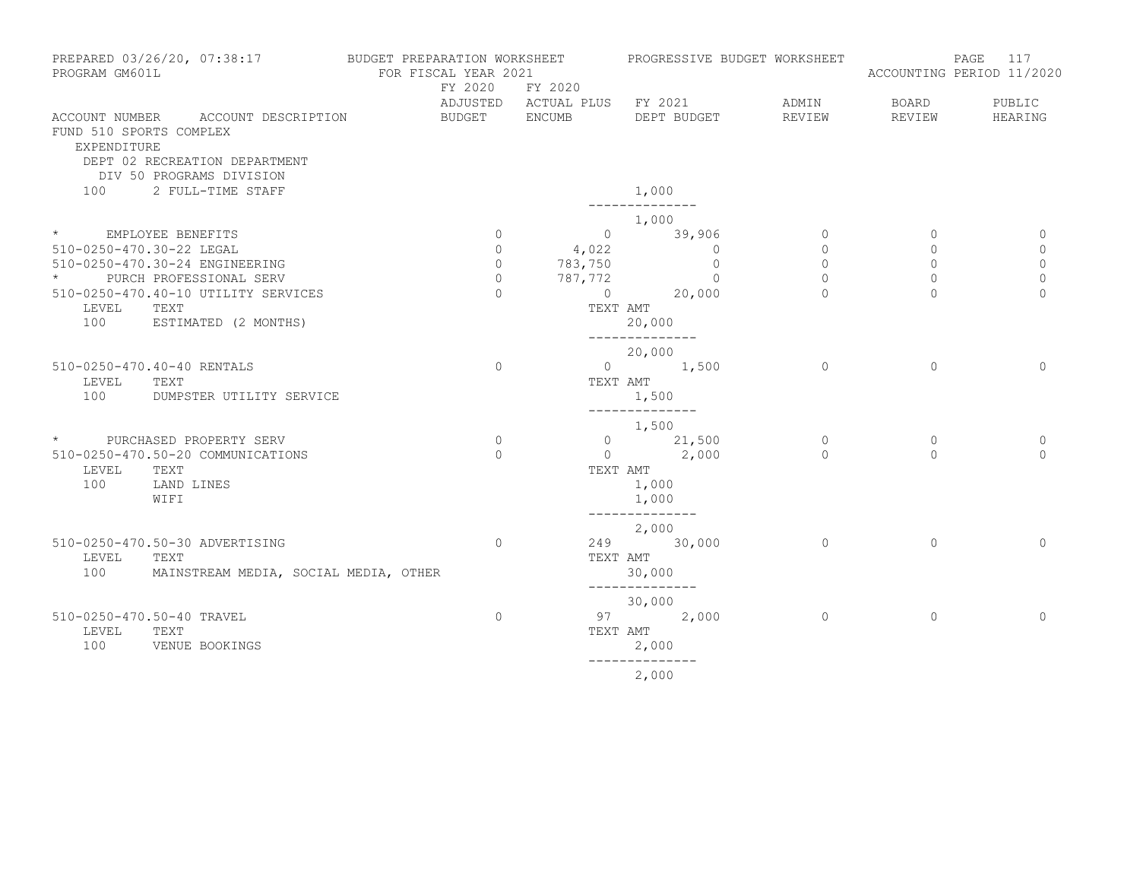| PROGRAM GM601L                         | PREPARED 03/26/20, 07:38:17                                                                     | BUDGET PREPARATION WORKSHEET PROGRESSIVE BUDGET WORKSHEET<br>FOR FISCAL YEAR 2021<br>FY 2020 | FY 2020 | ADJUSTED ACTUAL PLUS FY 2021      | ADMIN          | BOARD        | PAGE 117<br>ACCOUNTING PERIOD 11/2020<br>PUBLIC |
|----------------------------------------|-------------------------------------------------------------------------------------------------|----------------------------------------------------------------------------------------------|---------|-----------------------------------|----------------|--------------|-------------------------------------------------|
| FUND 510 SPORTS COMPLEX<br>EXPENDITURE | ACCOUNT NUMBER ACCOUNT DESCRIPTION<br>DEPT 02 RECREATION DEPARTMENT<br>DIV 50 PROGRAMS DIVISION | BUDGET ENCUMB                                                                                |         | DEPT BUDGET REVIEW                |                | REVIEW       | HEARING                                         |
|                                        | 100 2 FULL-TIME STAFF                                                                           |                                                                                              |         | 1,000                             |                |              |                                                 |
| * EMPLOYEE BENEFITS                    |                                                                                                 | $\circ$                                                                                      |         | 1,000<br>$\overline{0}$<br>39,906 | $\circ$        | $\mathbf{0}$ | $\circ$                                         |
| 510-0250-470.30-22 LEGAL               |                                                                                                 | $\circ$                                                                                      | 4,022   | $\circ$                           | $\circ$        | $\mathbf{0}$ | $\circ$                                         |
|                                        | 510-0250-470.30-24 ENGINEERING                                                                  | $\circ$                                                                                      | 783,750 | $\circ$                           | $\circ$        | $\mathbf{0}$ | $\mathbf{0}$                                    |
|                                        | PURCH PROFESSIONAL SERV                                                                         | $\Omega$                                                                                     |         |                                   | $\circ$        | $\mathbf{0}$ | $\mathbf{0}$                                    |
|                                        |                                                                                                 | $\Omega$                                                                                     |         | $787, 772$ 0<br>0 20,000          | $\Omega$       | $\Omega$     | $\Omega$                                        |
|                                        | 510-0250-470.40-10 UTILITY SERVICES                                                             |                                                                                              |         |                                   |                |              |                                                 |
| LEVEL                                  | TEXT                                                                                            |                                                                                              |         | TEXT AMT                          |                |              |                                                 |
| 100                                    | ESTIMATED (2 MONTHS)                                                                            |                                                                                              |         | 20,000<br>--------------          |                |              |                                                 |
|                                        |                                                                                                 |                                                                                              |         | 20,000                            |                |              |                                                 |
|                                        | 510-0250-470.40-40 RENTALS                                                                      | $\mathbf{0}$                                                                                 |         | 0 $1,500$                         | $\Omega$       | $\Omega$     | $\Omega$                                        |
| LEVEL                                  | TEXT                                                                                            |                                                                                              |         | TEXT AMT                          |                |              |                                                 |
| 100                                    | DUMPSTER UTILITY SERVICE                                                                        |                                                                                              |         | 1,500                             |                |              |                                                 |
|                                        |                                                                                                 |                                                                                              |         | --------------                    |                |              |                                                 |
|                                        |                                                                                                 |                                                                                              |         | 1,500                             |                |              |                                                 |
|                                        | * PURCHASED PROPERTY SERV                                                                       | $\Omega$                                                                                     |         | 0 $21,500$                        | $\circ$        | $\Omega$     | 0                                               |
|                                        | 510-0250-470.50-20 COMMUNICATIONS                                                               | $\Omega$                                                                                     |         | $0 \t 2,000$                      | $\Omega$       | $\cap$       | $\Omega$                                        |
| LEVEL                                  | TEXT                                                                                            |                                                                                              |         | TEXT AMT                          |                |              |                                                 |
| 100                                    | LAND LINES                                                                                      |                                                                                              |         | 1,000                             |                |              |                                                 |
|                                        | WIFI                                                                                            |                                                                                              |         |                                   |                |              |                                                 |
|                                        |                                                                                                 |                                                                                              |         | 1,000<br>--------------           |                |              |                                                 |
|                                        |                                                                                                 |                                                                                              |         | 2,000                             |                |              |                                                 |
|                                        | 510-0250-470.50-30 ADVERTISING                                                                  | $\overline{0}$                                                                               |         | 249 30,000                        | $\overline{0}$ | $\circ$      | $\mathbf{0}$                                    |
| LEVEL                                  | TEXT                                                                                            |                                                                                              |         | TEXT AMT                          |                |              |                                                 |
|                                        |                                                                                                 |                                                                                              |         |                                   |                |              |                                                 |
| 100                                    | MAINSTREAM MEDIA, SOCIAL MEDIA, OTHER                                                           |                                                                                              |         | 30,000<br>______________          |                |              |                                                 |
|                                        |                                                                                                 |                                                                                              |         | 30,000                            |                |              |                                                 |
|                                        | 510-0250-470.50-40 TRAVEL                                                                       | $\mathbf{0}$                                                                                 |         | 97 2,000                          | $\circ$        | $\circ$      | $\Omega$                                        |
|                                        |                                                                                                 |                                                                                              |         |                                   |                |              |                                                 |
| LEVEL                                  | TEXT                                                                                            |                                                                                              |         | TEXT AMT                          |                |              |                                                 |
| 100                                    | VENUE BOOKINGS                                                                                  |                                                                                              |         | 2,000                             |                |              |                                                 |
|                                        |                                                                                                 |                                                                                              |         |                                   |                |              |                                                 |

2,000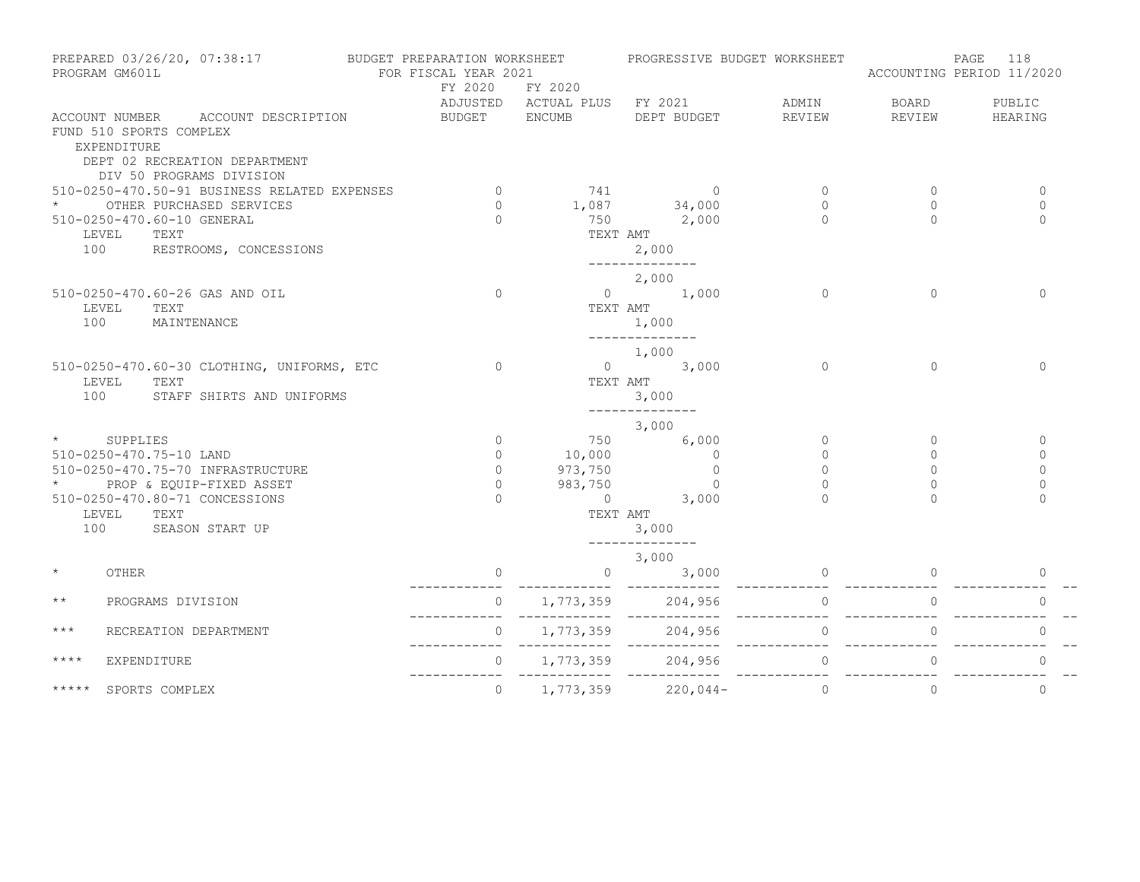|                     | PROGRAM GM601L                         | PREPARED 03/26/20, 07:38:17 BUDGET PREPARATION WORKSHEET                                        | FOR FISCAL YEAR 2021  |                                    |                         |                                      | PROGRESSIVE BUDGET WORKSHEET | ACCOUNTING PERIOD 11/2020 | 118<br>PAGE  |
|---------------------|----------------------------------------|-------------------------------------------------------------------------------------------------|-----------------------|------------------------------------|-------------------------|--------------------------------------|------------------------------|---------------------------|--------------|
|                     |                                        |                                                                                                 | FY 2020               | FY 2020                            |                         |                                      |                              |                           |              |
|                     |                                        |                                                                                                 |                       | ADJUSTED ACTUAL PLUS FY 2021 ADMIN |                         |                                      |                              | BOARD                     | PUBLIC       |
|                     | FUND 510 SPORTS COMPLEX<br>EXPENDITURE | ACCOUNT NUMBER ACCOUNT DESCRIPTION<br>DEPT 02 RECREATION DEPARTMENT<br>DIV 50 PROGRAMS DIVISION | BUDGET ENCUMB         |                                    |                         |                                      | DEPT BUDGET REVIEW           | REVIEW                    | HEARING      |
|                     |                                        | 510-0250-470.50-91 BUSINESS RELATED EXPENSES                                                    | $\sim$ 0              | 741 0                              |                         |                                      | $\circ$                      | $\mathbf{0}$              | 0            |
|                     |                                        | OTHER PURCHASED SERVICES                                                                        | $\Omega$ and $\Omega$ | $1,087$ $34,000$                   |                         |                                      | $\circ$                      | $\circ$                   | $\mathbf{0}$ |
|                     | 510-0250-470.60-10 GENERAL             |                                                                                                 | $\Omega$              |                                    | 750 2,000               |                                      | $\Omega$                     | $\Omega$                  | $\Omega$     |
|                     | LEVEL TEXT                             |                                                                                                 |                       |                                    | TEXT AMT                |                                      |                              |                           |              |
| 100                 |                                        | RESTROOMS, CONCESSIONS                                                                          |                       |                                    | 2,000                   |                                      |                              |                           |              |
|                     |                                        |                                                                                                 |                       |                                    | ______________          |                                      |                              |                           |              |
|                     |                                        |                                                                                                 |                       |                                    | 2,000                   |                                      |                              |                           |              |
|                     |                                        | 510-0250-470.60-26 GAS AND OIL                                                                  | $\Omega$              |                                    | $0 \t 1,000$            |                                      | $\Omega$                     | $\Omega$                  | $\Omega$     |
|                     | LEVEL<br>TEXT                          |                                                                                                 |                       | TEXT AMT                           |                         |                                      |                              |                           |              |
| 100                 | MAINTENANCE                            |                                                                                                 |                       |                                    | 1,000<br>-------------- |                                      |                              |                           |              |
|                     |                                        |                                                                                                 |                       |                                    | 1,000                   |                                      |                              |                           |              |
|                     |                                        | 510-0250-470.60-30 CLOTHING, UNIFORMS, ETC                                                      | $\Omega$              |                                    | $0 \t 3,000$            |                                      | $\Omega$                     | $\Omega$                  | $\mathbf{0}$ |
|                     | TEXT<br>LEVEL                          |                                                                                                 |                       | TEXT AMT                           |                         |                                      |                              |                           |              |
| 100                 |                                        | STAFF SHIRTS AND UNIFORMS                                                                       |                       |                                    | 3,000                   |                                      |                              |                           |              |
|                     |                                        |                                                                                                 |                       |                                    | --------------          |                                      |                              |                           |              |
|                     |                                        |                                                                                                 |                       |                                    | 3,000                   |                                      |                              |                           |              |
|                     | * SUPPLIES                             |                                                                                                 | $\circ$               |                                    | 750                     | 6,000                                | $\circ$                      | $\circ$                   | $\circ$      |
|                     | 510-0250-470.75-10 LAND                |                                                                                                 | $\circ$               | 10,000<br>10,000<br>973,750        |                         | $\begin{matrix} 0 \\ 0 \end{matrix}$ | $\circ$                      | $\circ$                   | 0            |
|                     |                                        | 510-0250-470.75-70 INFRASTRUCTURE                                                               | $\circ$               |                                    |                         | $\overline{0}$                       | $\Omega$                     | $\Omega$                  | $\Omega$     |
| $\star$ and $\star$ |                                        | PROP & EQUIP-FIXED ASSET                                                                        | $\overline{0}$        | 983,750                            |                         | $\Omega$                             | $\Omega$                     | $\Omega$                  | $\Omega$     |
|                     |                                        | 510-0250-470.80-71 CONCESSIONS                                                                  | $\Omega$              |                                    | $0 \t 3,000$            |                                      | $\Omega$                     | $\Omega$                  | $\Omega$     |
|                     | LEVEL TEXT<br>100 SEASON START UP      |                                                                                                 |                       | TEXT AMT                           |                         |                                      |                              |                           |              |
|                     |                                        |                                                                                                 |                       |                                    | 3,000<br>-------------- |                                      |                              |                           |              |
|                     |                                        |                                                                                                 |                       |                                    | 3,000                   |                                      |                              |                           |              |
| $\star$             | OTHER                                  |                                                                                                 | $\circ$               | $\overline{0}$                     |                         |                                      | $3,000$ 0                    | $\overline{0}$            | 0            |
|                     |                                        |                                                                                                 |                       |                                    |                         |                                      |                              |                           |              |
| $\star$ $\star$     | PROGRAMS DIVISION                      |                                                                                                 |                       |                                    |                         |                                      |                              |                           | $\circ$      |
| $***$               | RECREATION DEPARTMENT                  |                                                                                                 | $\circ$               |                                    |                         |                                      |                              | $\overline{0}$            | $\Omega$     |
| $***$ *             | EXPENDITURE                            |                                                                                                 | $\circ$               | 1,773,359 204,956                  |                         |                                      | $\circ$                      | $\circ$                   | $\mathbf{0}$ |
| $***$ * * * *       | SPORTS COMPLEX                         |                                                                                                 | $\Omega$              | 1,773,359                          | $220,044-$              |                                      | $\Omega$                     | $\Omega$                  | $\Omega$     |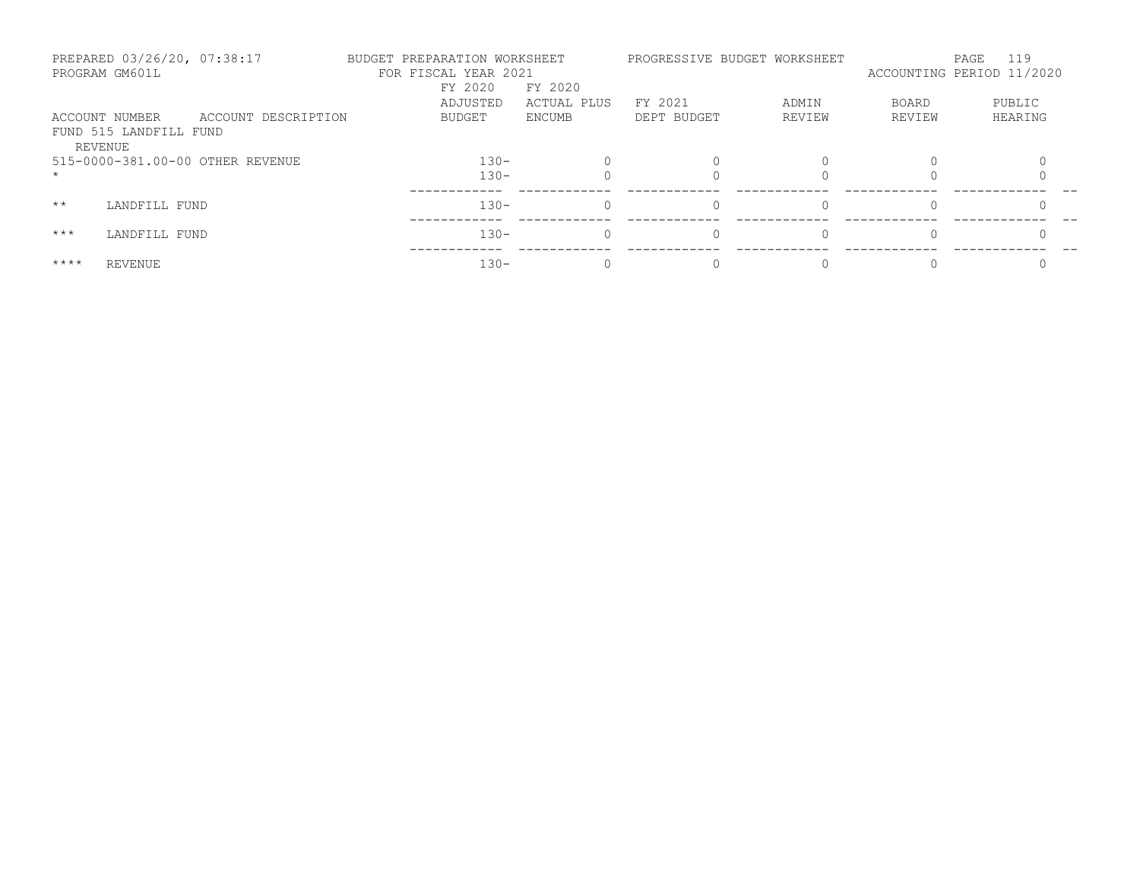|              | PREPARED 03/26/20, 07:38:17<br>PROGRAM GM601L       |                                  | BUDGET PREPARATION WORKSHEET<br>FOR FISCAL YEAR 2021<br>FY 2020 | FY 2020     |             | PROGRESSIVE BUDGET WORKSHEET |              | 119<br>PAGE<br>ACCOUNTING PERIOD 11/2020 |
|--------------|-----------------------------------------------------|----------------------------------|-----------------------------------------------------------------|-------------|-------------|------------------------------|--------------|------------------------------------------|
|              |                                                     |                                  | ADJUSTED                                                        | ACTUAL PLUS | FY 2021     | ADMIN                        | <b>BOARD</b> | PUBLIC                                   |
|              | ACCOUNT NUMBER<br>FUND 515 LANDFILL FUND<br>REVENUE | ACCOUNT DESCRIPTION              | BUDGET                                                          | ENCUMB      | DEPT BUDGET | REVIEW                       | REVIEW       | HEARING                                  |
|              |                                                     | 515-0000-381.00-00 OTHER REVENUE | $130 -$<br>$130 -$                                              |             |             |                              |              |                                          |
| $\star\star$ | LANDFILL FUND                                       |                                  | $130 -$                                                         |             |             | 0                            |              |                                          |
| $***$        | LANDFILL FUND                                       |                                  | $130 -$                                                         |             |             | $\Omega$                     |              |                                          |
| $***$ *      | REVENUE                                             |                                  | $130 -$                                                         |             |             |                              |              |                                          |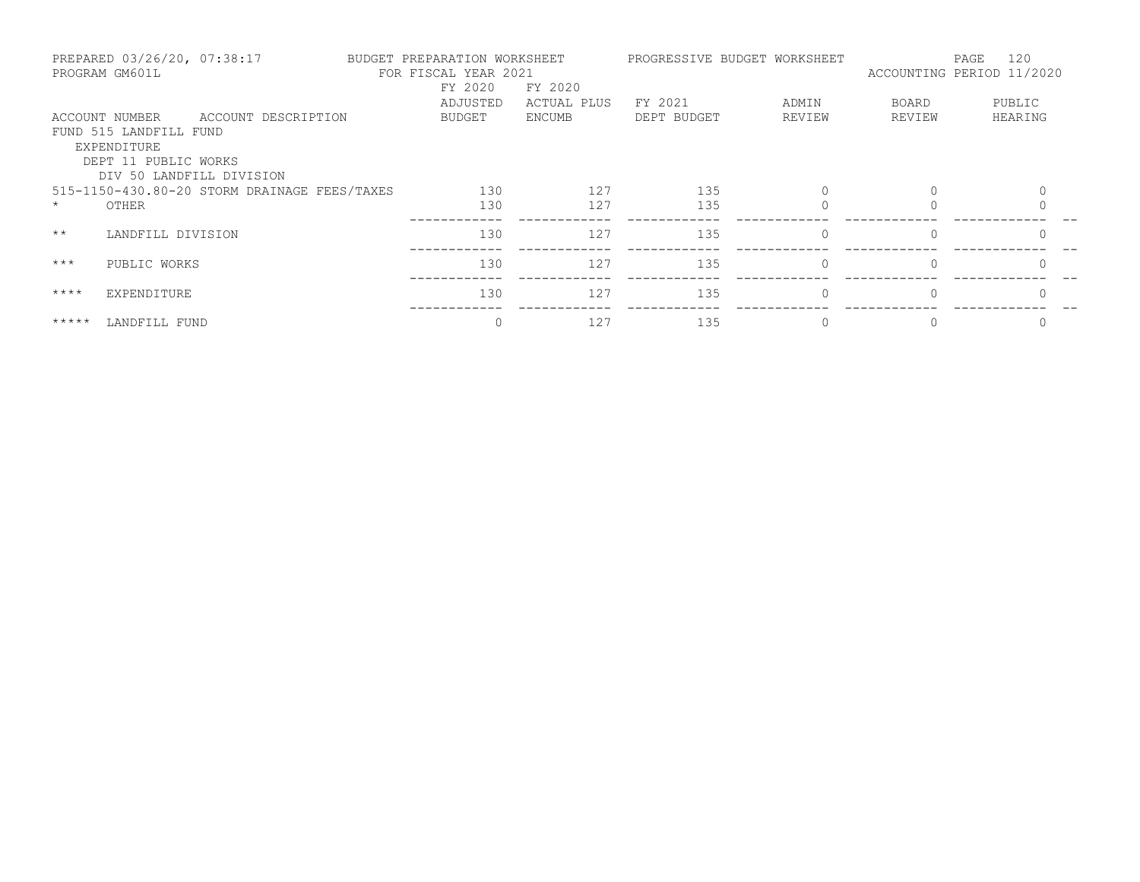|              | PREPARED 03/26/20, 07:38:17<br>PROGRAM GM601L |                                              | BUDGET PREPARATION WORKSHEET<br>FOR FISCAL YEAR 2021 |             |             | PROGRESSIVE BUDGET WORKSHEET | ACCOUNTING PERIOD 11/2020 | 120<br>PAGE |
|--------------|-----------------------------------------------|----------------------------------------------|------------------------------------------------------|-------------|-------------|------------------------------|---------------------------|-------------|
|              |                                               |                                              | FY 2020                                              | FY 2020     |             |                              |                           |             |
|              |                                               |                                              | ADJUSTED                                             | ACTUAL PLUS | FY 2021     | ADMIN                        | <b>BOARD</b>              | PUBLIC      |
|              | ACCOUNT NUMBER                                | ACCOUNT DESCRIPTION                          | BUDGET                                               | ENCUMB      | DEPT BUDGET | REVIEW                       | REVIEW                    | HEARING     |
|              | FUND 515 LANDFILL FUND                        |                                              |                                                      |             |             |                              |                           |             |
|              | EXPENDITURE                                   |                                              |                                                      |             |             |                              |                           |             |
|              | DEPT 11 PUBLIC WORKS                          |                                              |                                                      |             |             |                              |                           |             |
|              | DIV 50 LANDFILL DIVISION                      |                                              |                                                      |             |             |                              |                           |             |
|              |                                               | 515-1150-430.80-20 STORM DRAINAGE FEES/TAXES | 130                                                  | 127         | 135         |                              | $\Omega$                  |             |
|              | OTHER                                         |                                              | 130                                                  | 127         | 135         |                              |                           |             |
| $\star\star$ | LANDFILL DIVISION                             |                                              | 130                                                  | 127         | 135         | $\Omega$                     | $\Omega$                  | $\Omega$    |
|              |                                               |                                              |                                                      |             |             |                              |                           |             |
| $***$        | PUBLIC WORKS                                  |                                              | 130                                                  | 127         | 135         | $\circ$                      | $\Omega$                  | $\Omega$    |
|              |                                               |                                              |                                                      |             |             |                              |                           |             |
| $***$ *      | EXPENDITURE                                   |                                              | 130                                                  | 127         | 135         | $\Omega$                     |                           |             |
| *****        | LANDFILL FUND                                 |                                              | $\Omega$                                             | 127         | 135         |                              |                           |             |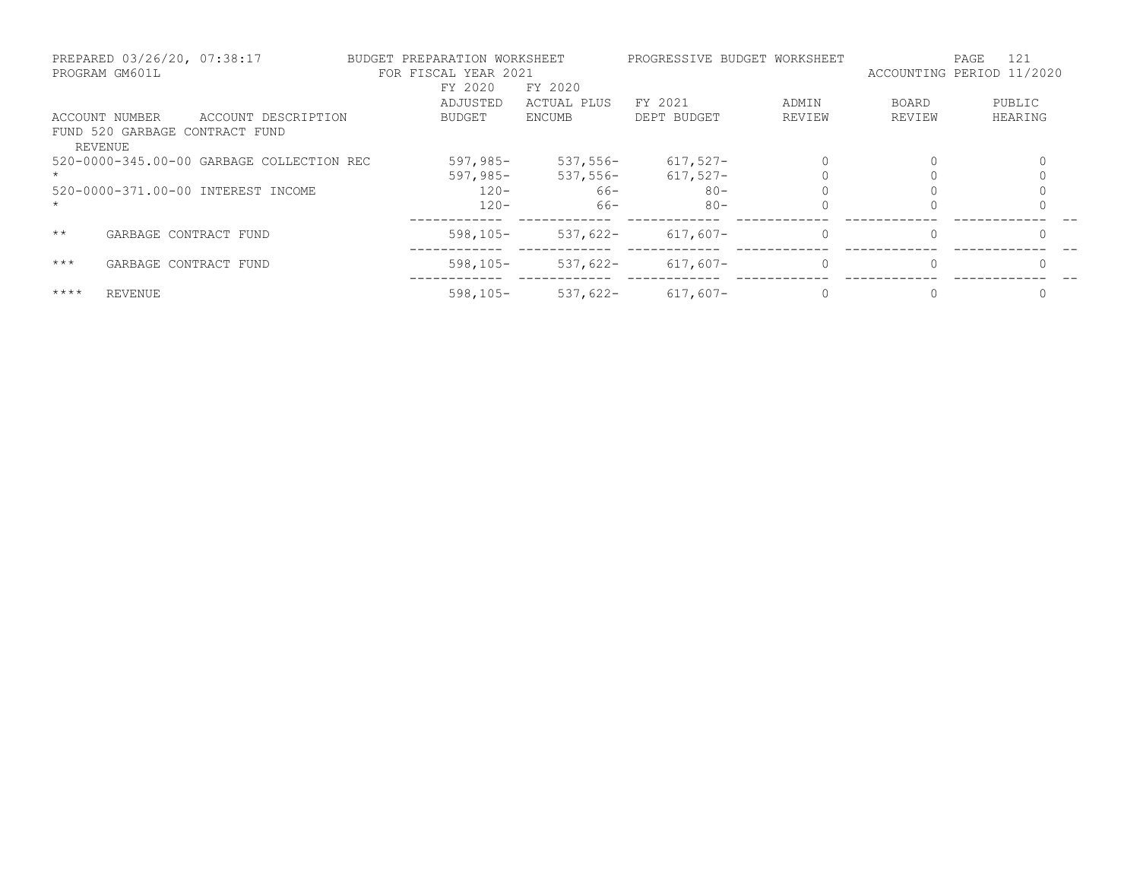|              | PREPARED 03/26/20, 07:38:17<br>PROGRAM GM601L |                                           | BUDGET PREPARATION WORKSHEET<br>FOR FISCAL YEAR 2021 |               | PROGRESSIVE BUDGET WORKSHEET |          | ACCOUNTING PERIOD 11/2020 | 121<br>PAGE |
|--------------|-----------------------------------------------|-------------------------------------------|------------------------------------------------------|---------------|------------------------------|----------|---------------------------|-------------|
|              |                                               |                                           | FY 2020                                              | FY 2020       |                              |          |                           |             |
|              |                                               |                                           | ADJUSTED                                             | ACTUAL PLUS   | FY 2021                      | ADMIN    | BOARD                     | PUBLIC      |
|              | ACCOUNT NUMBER                                | ACCOUNT DESCRIPTION                       | BUDGET                                               | <b>ENCUMB</b> | DEPT BUDGET                  | REVIEW   | REVIEW                    | HEARING     |
|              | FUND 520 GARBAGE CONTRACT FUND<br>REVENUE     |                                           |                                                      |               |                              |          |                           |             |
|              |                                               | 520-0000-345.00-00 GARBAGE COLLECTION REC | $597,985-$                                           | $537,556-$    | $617,527-$                   |          | $\Omega$                  |             |
|              |                                               |                                           | $597,985-$                                           | $537,556-$    | $617.527 -$                  |          |                           |             |
|              |                                               | 520-0000-371.00-00 INTEREST INCOME        | $120 -$                                              | 66-           | $80 -$                       |          |                           |             |
|              |                                               |                                           | $120 -$                                              | $66 -$        | $80 -$                       |          |                           |             |
| $\star\star$ | GARBAGE CONTRACT FUND                         |                                           | $598, 105 -$                                         | $537.622 -$   | $617,607-$                   | $\Omega$ | 0                         |             |
| $***$        | GARBAGE CONTRACT FUND                         |                                           | $598, 105 -$                                         | $537,622-$    | $617.607 -$                  | $\Omega$ | $\Omega$                  | $\cap$      |
| $***$ * * *  | <b>REVENUE</b>                                |                                           | $598, 105 -$                                         | $537,622-$    | $617,607-$                   |          | $\Omega$                  |             |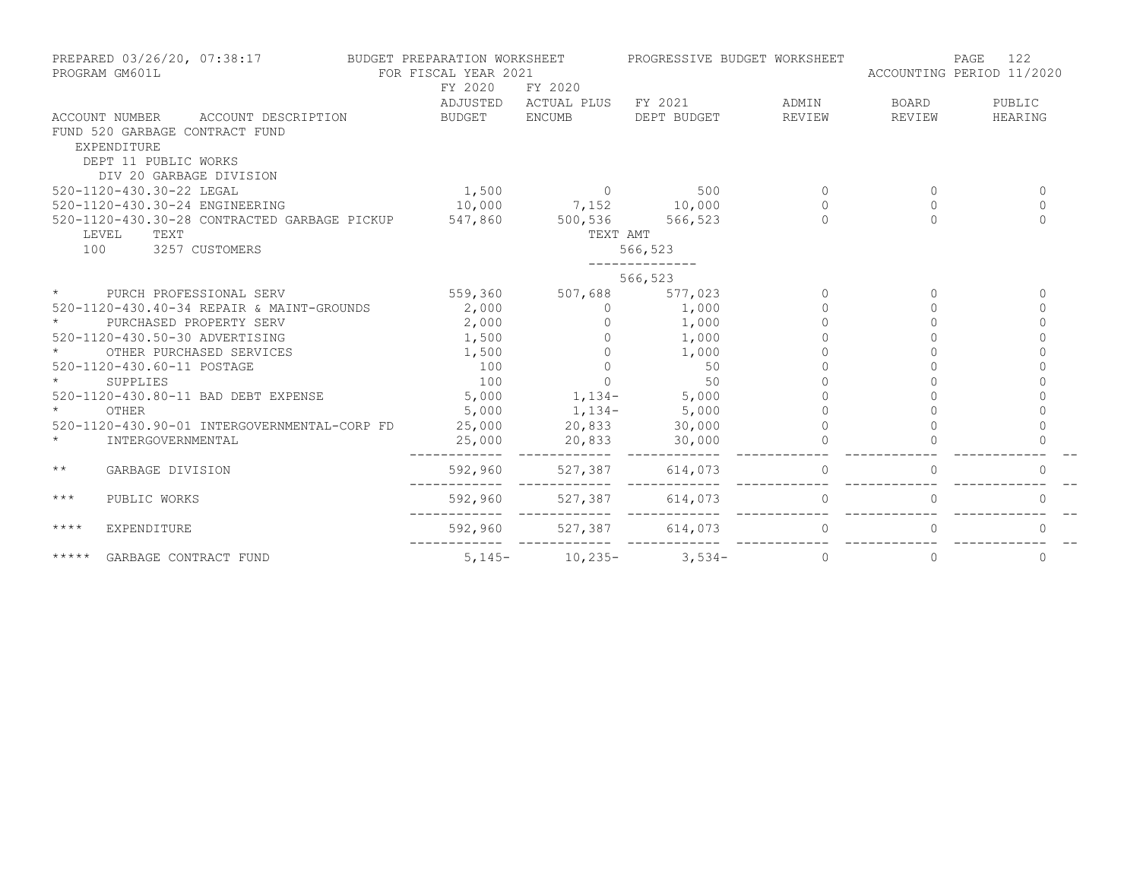| PREPARED 03/26/20, 07:38:17<br>PROGRAM GM601L                                                                  | BUDGET PREPARATION WORKSHEET<br>FOR FISCAL YEAR 2021 |               | PROGRESSIVE BUDGET WORKSHEET |               | ACCOUNTING PERIOD 11/2020 | 122<br>PAGE |
|----------------------------------------------------------------------------------------------------------------|------------------------------------------------------|---------------|------------------------------|---------------|---------------------------|-------------|
|                                                                                                                | FY 2020                                              | FY 2020       |                              |               |                           |             |
|                                                                                                                | ADJUSTED                                             | ACTUAL PLUS   | FY 2021                      | ADMIN         | BOARD                     | PUBLIC      |
| ACCOUNT DESCRIPTION<br>ACCOUNT NUMBER<br>FUND 520 GARBAGE CONTRACT FUND<br>EXPENDITURE<br>DEPT 11 PUBLIC WORKS | BUDGET                                               | <b>ENCUMB</b> | DEPT BUDGET                  | <b>REVIEW</b> | REVIEW                    | HEARING     |
| DIV 20 GARBAGE DIVISION                                                                                        |                                                      |               |                              |               |                           |             |
| 520-1120-430.30-22 LEGAL                                                                                       | 1,500                                                | $\Omega$      | 500                          | $\Omega$      | $\Omega$                  | $\Omega$    |
| 520-1120-430.30-24 ENGINEERING                                                                                 | 10,000                                               | 7,152         | 10,000                       | $\Omega$      | $\Omega$                  | $\Omega$    |
| 520-1120-430.30-28 CONTRACTED GARBAGE PICKUP                                                                   | 547,860                                              | 500,536       | 566,523                      | $\Omega$      | $\Omega$                  | $\Omega$    |
| LEVEL<br>TEXT                                                                                                  |                                                      | TEXT AMT      |                              |               |                           |             |
| 3257 CUSTOMERS<br>100                                                                                          |                                                      |               | 566,523                      |               |                           |             |
|                                                                                                                |                                                      |               | 566,523                      |               |                           |             |
| $\star$<br>PURCH PROFESSIONAL SERV                                                                             | 559,360                                              | 507,688       | 577,023                      | $\Omega$      | $\Omega$                  | $\Omega$    |
| 520-1120-430.40-34 REPAIR & MAINT-GROUNDS                                                                      | 2,000                                                | $\Omega$      | 1,000                        | $\cap$        | ∩                         | $\Omega$    |
| PURCHASED PROPERTY SERV                                                                                        | 2,000                                                |               | 1,000                        |               |                           | $\Omega$    |
| 520-1120-430.50-30 ADVERTISING                                                                                 | 1,500                                                |               | 1,000                        |               |                           | $\Omega$    |
| OTHER PURCHASED SERVICES                                                                                       | 1,500                                                | $\Omega$      | 1,000                        |               |                           |             |
| 520-1120-430.60-11 POSTAGE                                                                                     | 100                                                  | $\Omega$      | 50                           |               |                           |             |
| SUPPLIES                                                                                                       | 100                                                  | $\Omega$      | 50                           |               |                           |             |
| 520-1120-430.80-11 BAD DEBT EXPENSE                                                                            | 5,000                                                | $1,134-$      | 5,000                        |               |                           |             |
| $\star$<br>OTHER                                                                                               | 5,000                                                | $1,134-$      | 5,000                        |               |                           |             |
| 520-1120-430.90-01 INTERGOVERNMENTAL-CORP FD                                                                   | 25,000                                               | 20,833        | 30,000                       |               |                           |             |
| $\star$<br>INTERGOVERNMENTAL                                                                                   | 25,000                                               | 20,833        | 30,000                       |               |                           |             |
| $\star\star$<br>GARBAGE DIVISION                                                                               | 592,960                                              | 527,387       | 614,073                      | $\Omega$      |                           | $\Omega$    |
| $***$<br>PUBLIC WORKS                                                                                          | 592,960                                              | 527,387       | 614,073                      | $\Omega$      |                           |             |
| $***$ *<br>EXPENDITURE                                                                                         | 592,960                                              | 527,387       | 614,073                      | 0             |                           | 0           |
| *****<br>GARBAGE CONTRACT FUND                                                                                 | $5,145-$                                             | $10,235-$     | $3,534-$                     | $\circ$       | $\circ$                   | $\mathbf 0$ |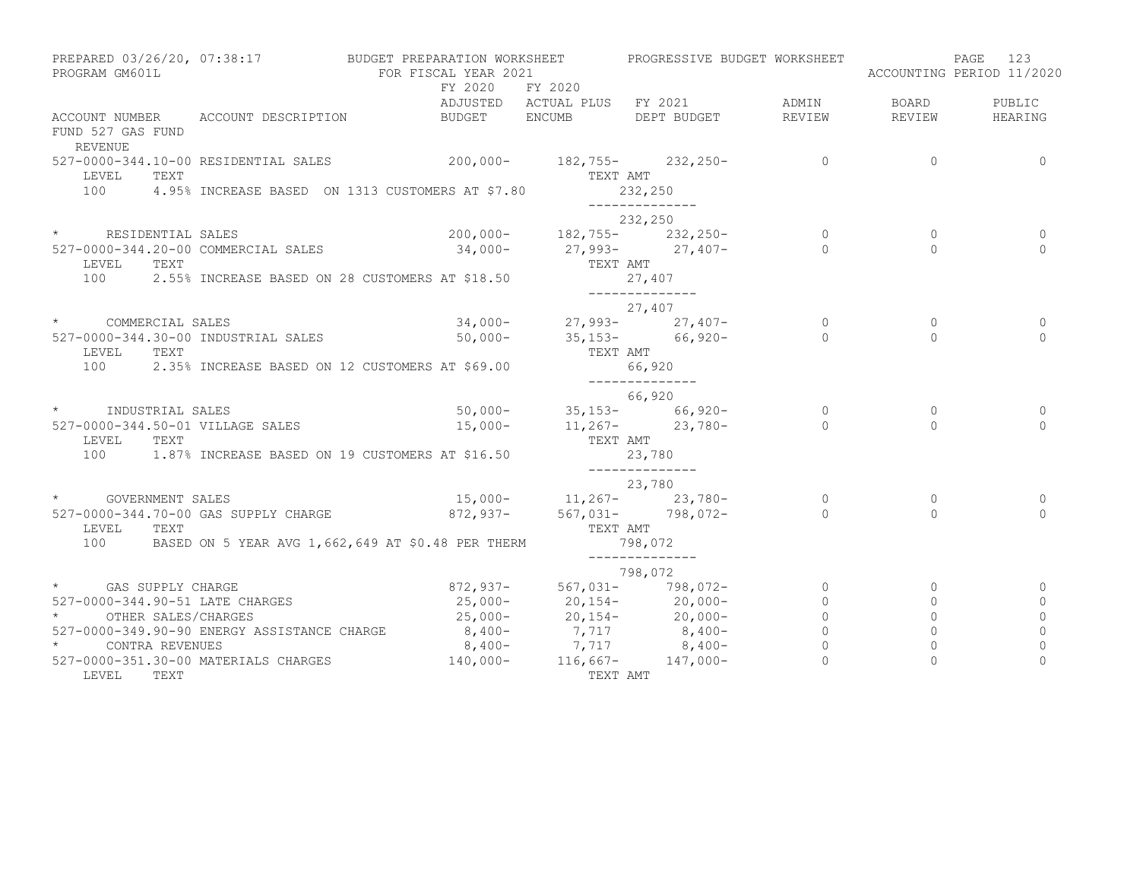| PROGRAM GM601L                         | PREPARED 03/26/20, 07:38:17                 | BUDGET PREPARATION WORKSHEET<br>FOR FISCAL YEAR 2021                               |          | PROGRESSIVE BUDGET WORKSHEET                                                                     |                          |                | PAGE<br>123<br>ACCOUNTING PERIOD 11/2020 |
|----------------------------------------|---------------------------------------------|------------------------------------------------------------------------------------|----------|--------------------------------------------------------------------------------------------------|--------------------------|----------------|------------------------------------------|
|                                        |                                             | FY 2020 FY 2020                                                                    |          |                                                                                                  |                          |                |                                          |
|                                        |                                             |                                                                                    |          | ADJUSTED ACTUAL PLUS FY 2021                                                                     | ADMIN                    | BOARD          | PUBLIC                                   |
| FUND 527 GAS FUND<br><b>REVENUE</b>    | ACCOUNT NUMBER ACCOUNT DESCRIPTION          | BUDGET ENCUMB                                                                      |          | DEPT BUDGET                                                                                      | REVIEW                   | REVIEW         | HEARING                                  |
| TEXT<br>LEVEL                          | 527-0000-344.10-00 RESIDENTIAL SALES        | $200,000 - 182,755 - 232,250 -$                                                    | TEXT AMT |                                                                                                  | $\overline{0}$           | $\overline{0}$ | $\Omega$                                 |
| 100                                    |                                             | 4.95% INCREASE BASED ON 1313 CUSTOMERS AT \$7.80                                   |          | 232,250<br>______________                                                                        |                          |                |                                          |
|                                        |                                             |                                                                                    |          | 232,250                                                                                          |                          |                |                                          |
|                                        | * RESIDENTIAL SALES                         |                                                                                    |          |                                                                                                  | $\overline{\phantom{a}}$ | $\circ$        |                                          |
| 527-0000-344.20-00 COMMERCIAL SALES    |                                             |                                                                                    |          | 200,000-<br>34,000-<br>27,993-<br>27,407-                                                        | $\overline{0}$           | $\Omega$       | $\Omega$                                 |
| LEVEL<br>TEXT                          |                                             |                                                                                    | TEXT AMT |                                                                                                  |                          |                |                                          |
| 100                                    |                                             | 2.55% INCREASE BASED ON 28 CUSTOMERS AT \$18.50                                    | 27,407   | ______________                                                                                   |                          |                |                                          |
|                                        |                                             |                                                                                    |          | 27,407                                                                                           |                          |                |                                          |
|                                        | * COMMERCIAL SALES                          | $34,000-27,993-27,407-$                                                            |          |                                                                                                  | $\circ$                  | $\Omega$       |                                          |
|                                        | 527-0000-344.30-00 INDUSTRIAL SALES         | $50,000 - 35,153 - 66,920 -$                                                       |          |                                                                                                  | $\Omega$                 | $\Omega$       | $\Omega$                                 |
| LEVEL<br>TEXT                          |                                             |                                                                                    | TEXT AMT |                                                                                                  |                          |                |                                          |
| 100                                    |                                             | 2.35% INCREASE BASED ON 12 CUSTOMERS AT \$69.00                                    | 66,920   | _______________                                                                                  |                          |                |                                          |
|                                        |                                             |                                                                                    |          | 66,920                                                                                           |                          |                |                                          |
|                                        | * INDUSTRIAL SALES                          |                                                                                    |          | $50,000-$ 35,153- 66,920-                                                                        | $\overline{0}$           | $\circ$        | 0                                        |
|                                        | 527-0000-344.50-01 VILLAGE SALES            |                                                                                    |          | $15,000 11,267 23,780-$                                                                          | $\overline{0}$           | $\Omega$       | $\Omega$                                 |
| TEXT<br>LEVEL                          |                                             |                                                                                    | TEXT AMT |                                                                                                  |                          |                |                                          |
|                                        |                                             | 100 1.87% INCREASE BASED ON 19 CUSTOMERS AT \$16.50                                |          | 23,780                                                                                           |                          |                |                                          |
|                                        |                                             |                                                                                    |          | 23,780                                                                                           |                          |                |                                          |
| * GOVERNMENT SALES                     |                                             |                                                                                    |          |                                                                                                  |                          | $\circ$        | 0                                        |
|                                        | 527-0000-344.70-00 GAS SUPPLY CHARGE        | $35,000-$<br>$872,937-$<br>$567,021-$<br>$798,072-$<br>$031-$<br>$798,072-$<br>$0$ |          |                                                                                                  |                          | $\Omega$       | $\Omega$                                 |
| LEVEL<br>TEXT                          |                                             |                                                                                    | TEXT AMT |                                                                                                  |                          |                |                                          |
| 100                                    |                                             | BASED ON 5 YEAR AVG 1,662,649 AT \$0.48 PER THERM                                  | 798,072  | ______________                                                                                   |                          |                |                                          |
|                                        |                                             |                                                                                    |          | 798,072                                                                                          |                          |                |                                          |
| * GAS SUPPLY CHARGE                    |                                             |                                                                                    |          | $872,937 - 567,031 - 798,072 -$                                                                  | $\overline{0}$           | $\circ$        |                                          |
| 527-0000-344.90-51 LATE CHARGES        |                                             |                                                                                    |          |                                                                                                  | $\circ$                  | $\circ$        | $\Omega$                                 |
| OTHER SALES/CHARGES                    |                                             |                                                                                    |          | $25,000-20,154-20,000-$<br>$25,000-20,154-20,000-$<br>$8,400-7,717$<br>$8,400-7,717$<br>$8,400-$ | $\overline{a}$           | $\circ$        | 0                                        |
|                                        | 527-0000-349.90-90 ENERGY ASSISTANCE CHARGE |                                                                                    |          |                                                                                                  | $\circ$                  | $\circ$        | $\mathbf 0$                              |
| $\star$ and $\star$<br>CONTRA REVENUES |                                             |                                                                                    |          |                                                                                                  | $\overline{0}$           | $\circ$        | $\mathbf 0$                              |
|                                        | 527-0000-351.30-00 MATERIALS CHARGES        | $140,000 - 116,667 - 147,000 -$                                                    |          |                                                                                                  | $\Omega$                 | $\Omega$       | $\Omega$                                 |
| LEVEL TEXT                             |                                             |                                                                                    | TEXT AMT |                                                                                                  |                          |                |                                          |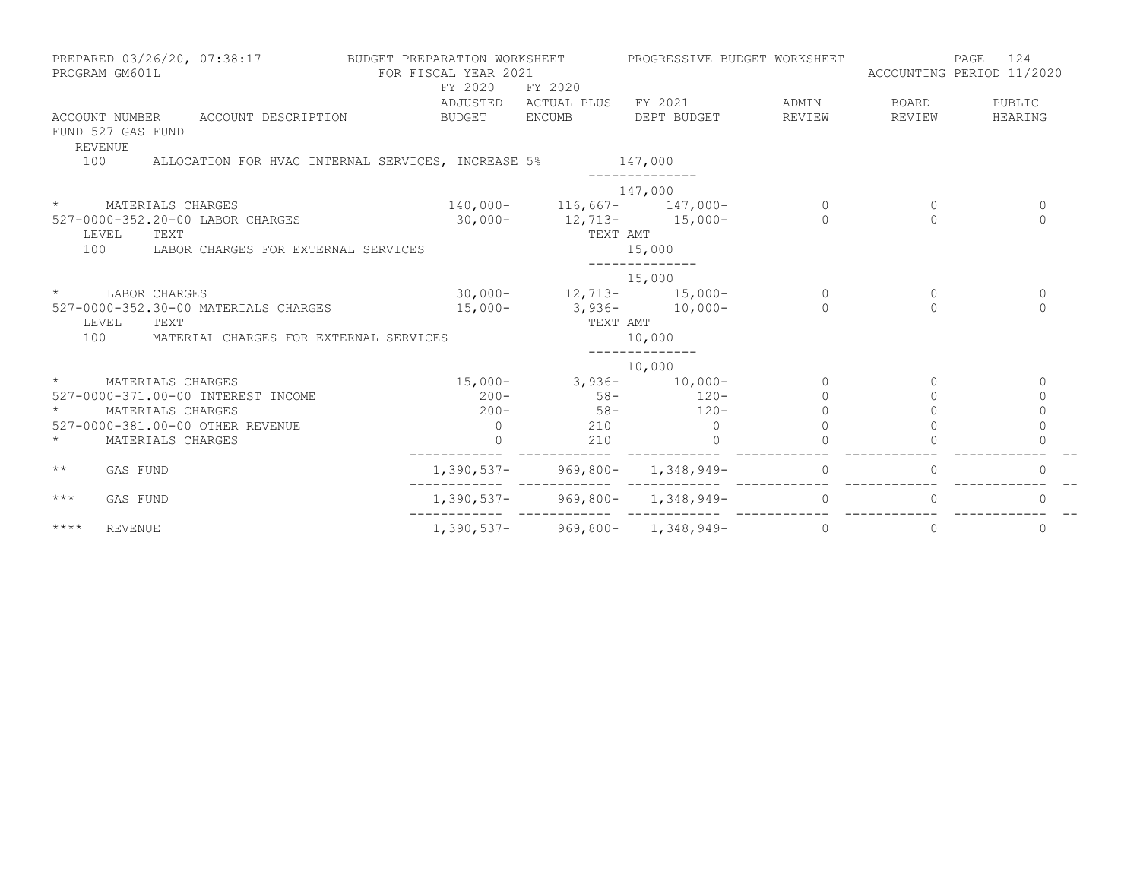|              | PREPARED 03/26/20, 07:38:17<br>PROGRAM GM601L |                                            | BUDGET PREPARATION WORKSHEET<br>FOR FISCAL YEAR 2021<br>FY 2020 | FY 2020                           | PROGRESSIVE BUDGET WORKSHEET        |          | ACCOUNTING PERIOD 11/2020 | 124<br>PAGE |
|--------------|-----------------------------------------------|--------------------------------------------|-----------------------------------------------------------------|-----------------------------------|-------------------------------------|----------|---------------------------|-------------|
|              |                                               |                                            |                                                                 |                                   | ADJUSTED ACTUAL PLUS FY 2021 ADMIN  |          | BOARD                     | PUBLIC      |
|              | FUND 527 GAS FUND<br><b>REVENUE</b>           | ACCOUNT NUMBER ACCOUNT DESCRIPTION         | BUDGET ENCUMB                                                   |                                   | DEPT BUDGET                         | REVIEW   | REVIEW                    | HEARING     |
| 100          |                                               |                                            | ALLOCATION FOR HVAC INTERNAL SERVICES, INCREASE 5% 147,000      |                                   | ______________                      |          |                           |             |
|              |                                               |                                            |                                                                 |                                   | 147,000                             |          |                           |             |
| $\star$      | MATERIALS CHARGES                             |                                            |                                                                 |                                   | $140,000 - 116,667 - 147,000 -$     | $\Omega$ | $\Omega$                  | $\Omega$    |
|              | 527-0000-352.20-00 LABOR CHARGES              |                                            |                                                                 |                                   | $30,000-12,713-15,000-$             | $\cap$   | $\bigcap$                 | $\cap$      |
|              | LEVEL<br>TEXT                                 |                                            |                                                                 | TEXT AMT                          |                                     |          |                           |             |
| 100          |                                               | LABOR CHARGES FOR EXTERNAL SERVICES        |                                                                 |                                   | 15,000                              |          |                           |             |
|              |                                               |                                            |                                                                 |                                   | 15,000                              |          |                           |             |
| $\star$      | LABOR CHARGES                                 |                                            |                                                                 |                                   | $30,000-12,713-15,000-$             | $\Omega$ | $\Omega$                  | 0           |
|              |                                               | 527-0000-352.30-00 MATERIALS CHARGES       |                                                                 |                                   | $15,000-$ 3,936- $10,000-$          | $\Omega$ | $\Omega$                  | $\Omega$    |
|              | TEXT<br>LEVEL                                 |                                            |                                                                 | TEXT AMT                          |                                     |          |                           |             |
|              |                                               | 100 MATERIAL CHARGES FOR EXTERNAL SERVICES |                                                                 |                                   | 10,000                              |          |                           |             |
|              |                                               |                                            |                                                                 |                                   | 10,000                              |          |                           |             |
| $\star$      | MATERIALS CHARGES                             |                                            |                                                                 |                                   | $15,000-$ 3,936- $10,000-$          | $\Omega$ | $\Omega$                  | 0           |
|              |                                               | 527-0000-371.00-00 INTEREST INCOME         |                                                                 |                                   | $200 - 58 - 120 -$                  |          |                           | 0           |
| $\star$      | MATERIALS CHARGES                             |                                            |                                                                 |                                   | $200 - 58 - 120 -$                  |          |                           | $\mathbf 0$ |
|              | 527-0000-381.00-00 OTHER REVENUE              |                                            | $\bigcirc$                                                      | 210                               | $\overline{0}$                      |          |                           | $\mathbf 0$ |
|              | MATERIALS CHARGES                             |                                            | $\Omega$                                                        | 210                               | $\Omega$                            |          |                           |             |
| $\star\star$ | GAS FUND                                      |                                            |                                                                 | ____________ _____________ ______ | $1,390,537$ - 969,800- 1,348,949-   | $\Omega$ | $\Omega$                  | $\Omega$    |
| $***$        | GAS FUND                                      |                                            |                                                                 |                                   | $1,390,537-$ 969,800- 1,348,949-    | $\Omega$ |                           | $\Omega$    |
| $***$ *      | <b>REVENUE</b>                                |                                            |                                                                 |                                   | $1,390,537 - 969,800 - 1,348,949 -$ | $\Omega$ | $\Omega$                  | $\mathbf 0$ |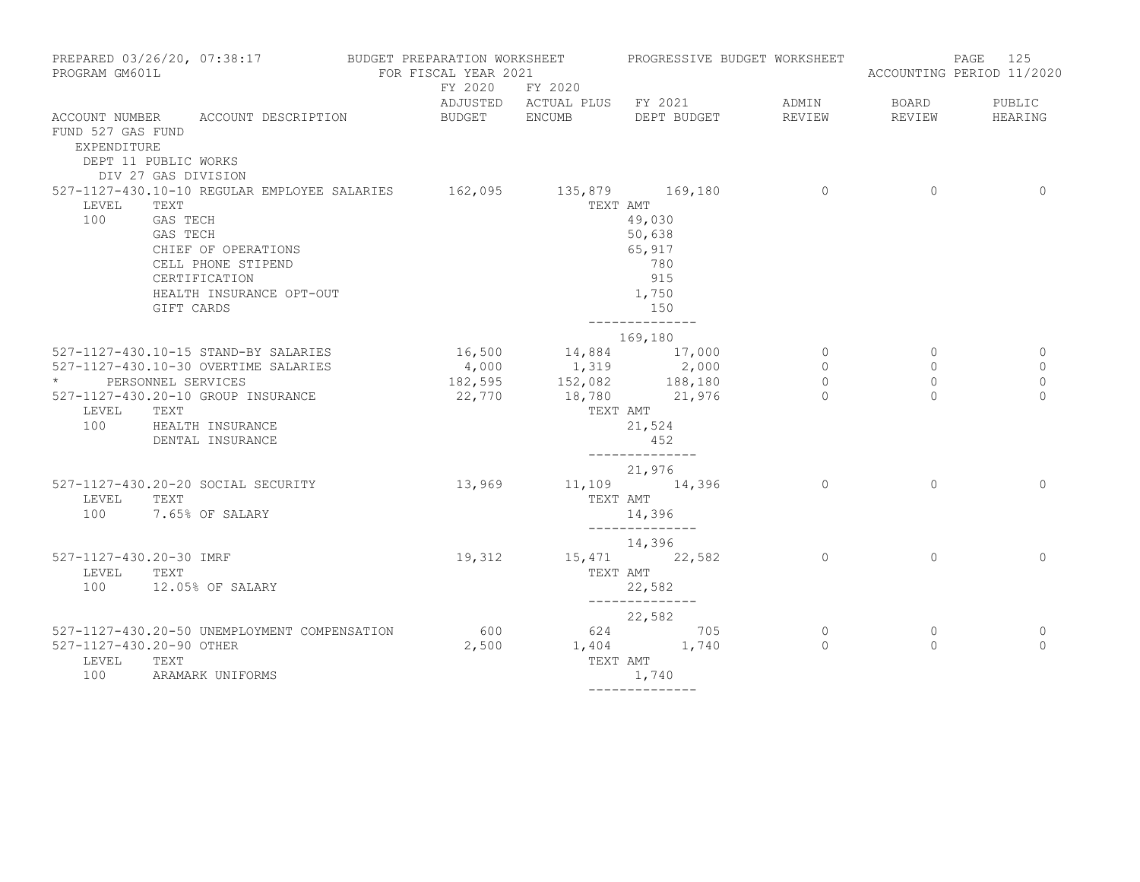| PROGRAM GM601L                               | PREPARED 03/26/20, 07:38:17                                                                                                                                                                                  | BUDGET PREPARATION WORKSHEET<br>FOR FISCAL YEAR 2021 |                                                                                              | PROGRESSIVE BUDGET WORKSHEET                                                           |                                       |                                | 125<br>PAGE<br>ACCOUNTING PERIOD 11/2020 |
|----------------------------------------------|--------------------------------------------------------------------------------------------------------------------------------------------------------------------------------------------------------------|------------------------------------------------------|----------------------------------------------------------------------------------------------|----------------------------------------------------------------------------------------|---------------------------------------|--------------------------------|------------------------------------------|
|                                              |                                                                                                                                                                                                              |                                                      | FY 2020 FY 2020                                                                              | ADJUSTED ACTUAL PLUS FY 2021                                                           | ADMIN                                 | <b>BOARD</b>                   | PUBLIC                                   |
| FUND 527 GAS FUND<br>EXPENDITURE             | ACCOUNT NUMBER ACCOUNT DESCRIPTION<br>DEPT 11 PUBLIC WORKS<br>DIV 27 GAS DIVISION                                                                                                                            | BUDGET ENCUMB DEPT BUDGET                            |                                                                                              |                                                                                        | REVIEW                                |                                | REVIEW HEARING                           |
| LEVEL<br>100                                 | 527-1127-430.10-10 REGULAR EMPLOYEE SALARIES 162,095 135,879 169,180<br>TEXT<br>GAS TECH<br>GAS TECH<br>CHIEF OF OPERATIONS<br>CELL PHONE STIPEND<br>CERTIFICATION<br>HEALTH INSURANCE OPT-OUT<br>GIFT CARDS |                                                      |                                                                                              | TEXT AMT<br>49,030<br>50,638<br>65,917<br>780<br>915<br>1,750<br>150<br>______________ | $\sim$ 0                              | $\overline{0}$                 | $\circ$                                  |
|                                              | 527-1127-430.10-15 STAND-BY SALARIES                                                                                                                                                                         |                                                      |                                                                                              | 169,180                                                                                | $\overline{0}$                        | $\circ$                        | 0                                        |
| * PERSONNEL SERVICES<br>LEVEL TEXT           | 527-1127-430.10-30 OVERTIME SALARIES<br>527-1127-430.20-10 GROUP INSURANCE<br>100 HEALTH INSURANCE<br>DENTAL INSURANCE                                                                                       |                                                      | 16,500 14,884 17,000<br>4,000 1,319 2,000<br>182,595 152,082 188,180<br>22,770 18,780 21,976 | TEXT AMT<br>21,524<br>452<br>--------------                                            | $\circ$<br>$\overline{0}$<br>$\Omega$ | $\circ$<br>$\circ$<br>$\Omega$ | $\mathbf 0$<br>$\mathbf 0$<br>$\Omega$   |
| LEVEL                                        | 527-1127-430.20-20 SOCIAL SECURITY<br>TEXT<br>100 7.65% OF SALARY                                                                                                                                            |                                                      | 13,969 11,109 14,396                                                                         | 21,976<br>TEXT AMT<br>14,396<br>______________                                         | $\Omega$                              | $\Omega$                       | $\Omega$                                 |
| 527-1127-430.20-30 IMRF<br>LEVEL TEXT<br>100 | 12.05% OF SALARY                                                                                                                                                                                             |                                                      | 19,312 15,471 22,582                                                                         | 14,396<br>TEXT AMT<br>22,582                                                           | $\Omega$                              | $\Omega$                       | $\Omega$                                 |
| 527-1127-430.20-90 OTHER<br>LEVEL<br>100     | 527-1127-430.20-50 UNEMPLOYMENT COMPENSATION<br>TEXT<br>ARAMARK UNIFORMS                                                                                                                                     |                                                      | 600 624 705<br>2,500 1,404 1,740<br>TEXT AMT                                                 | --------------<br>22,582<br>1,740<br>--------------                                    | $\circ$<br>$\Omega$                   | $\circ$<br>$\Omega$            | 0<br>$\Omega$                            |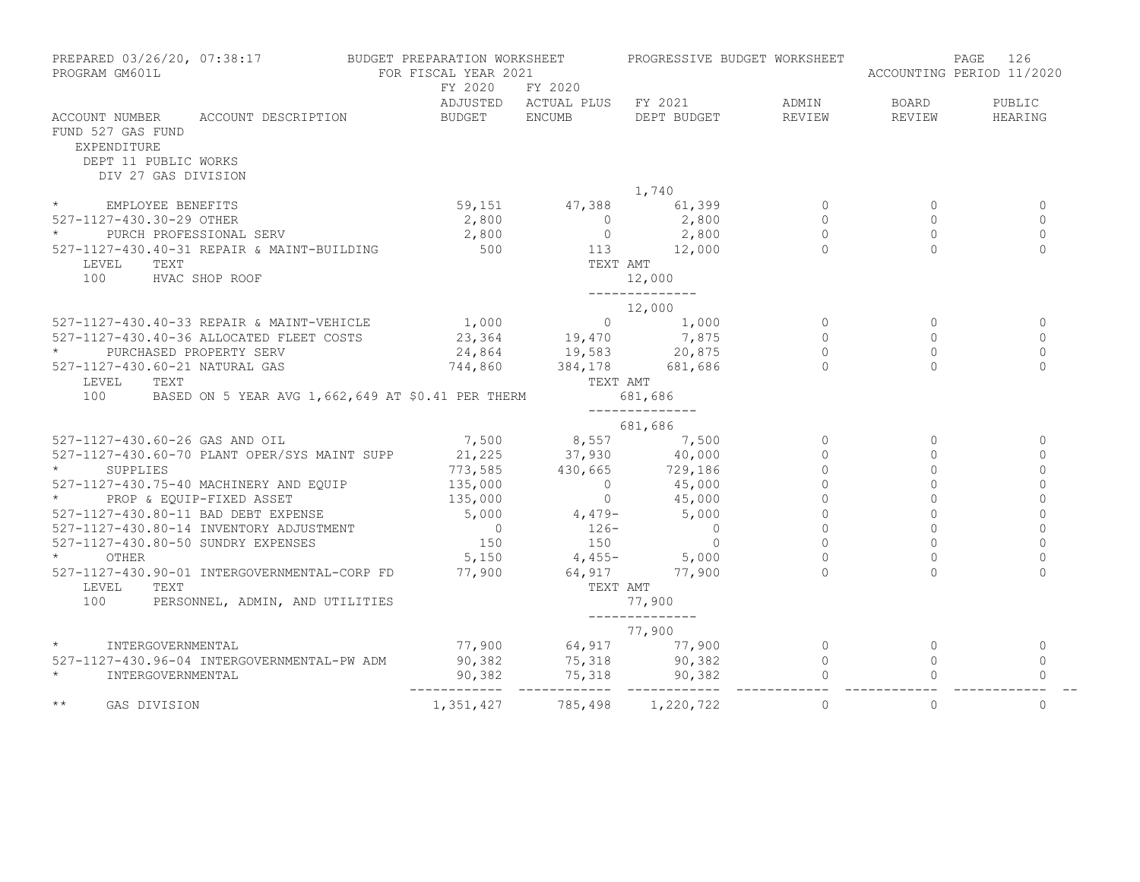| PREPARED 03/26/20, 07:38:17 BUDGET PREPARATION WORKSHEET<br>PROGRAM GM601L                                                                                                                                                                                                                                                                                                                                                          | FOR FISCAL YEAR 2021              |                                                           | PROGRESSIVE BUDGET WORKSHEET                                     |          | ACCOUNTING PERIOD 11/2020 | 126<br>PAGE       |
|-------------------------------------------------------------------------------------------------------------------------------------------------------------------------------------------------------------------------------------------------------------------------------------------------------------------------------------------------------------------------------------------------------------------------------------|-----------------------------------|-----------------------------------------------------------|------------------------------------------------------------------|----------|---------------------------|-------------------|
| ACCOUNT NUMBER ACCOUNT DESCRIPTION                                                                                                                                                                                                                                                                                                                                                                                                  | FY 2020 FY 2020<br>BUDGET ENCUMB  |                                                           | ADJUSTED ACTUAL PLUS FY 2021 ADMIN BOARD<br>DEPT BUDGET REVIEW   |          | REVIEW                    | PUBLIC<br>HEARING |
| FUND 527 GAS FUND<br>EXPENDITURE<br>DEPT 11 PUBLIC WORKS<br>DIV 27 GAS DIVISION                                                                                                                                                                                                                                                                                                                                                     |                                   |                                                           |                                                                  |          |                           |                   |
|                                                                                                                                                                                                                                                                                                                                                                                                                                     |                                   |                                                           | 1,740                                                            |          |                           |                   |
| * EMPLOYEE BENEFITS                                                                                                                                                                                                                                                                                                                                                                                                                 |                                   |                                                           | $59,151$ $47,388$<br>$2,800$ $2,800$ 0<br>$2,800$ 0<br>$2,800$ 0 |          | $\Omega$                  | $\mathbf{0}$      |
| 527-1127-430.30-29 OTHER                                                                                                                                                                                                                                                                                                                                                                                                            |                                   |                                                           |                                                                  |          | $\Omega$                  | $\Omega$          |
| PURCH PROFESSIONAL SERV                                                                                                                                                                                                                                                                                                                                                                                                             |                                   |                                                           |                                                                  | $\Omega$ | $\Omega$                  | $\Omega$          |
| 527-1127-430.40-31 REPAIR & MAINT-BUILDING                                                                                                                                                                                                                                                                                                                                                                                          |                                   | 2,800<br>500 0 2,800<br>500 113 12,000<br>TEXT AMT        |                                                                  | $\Omega$ | $\Omega$                  | $\Omega$          |
| LEVEL TEXT                                                                                                                                                                                                                                                                                                                                                                                                                          |                                   |                                                           |                                                                  |          |                           |                   |
| 100 HVAC SHOP ROOF                                                                                                                                                                                                                                                                                                                                                                                                                  |                                   |                                                           | 12,000                                                           |          |                           |                   |
|                                                                                                                                                                                                                                                                                                                                                                                                                                     |                                   |                                                           | ______________                                                   |          |                           |                   |
|                                                                                                                                                                                                                                                                                                                                                                                                                                     |                                   |                                                           | 12,000                                                           |          |                           |                   |
| 527-1127-430.40-33 REPAIR & MAINT-VEHICLE 1,000 0 0 1,000<br>527-1127-430.40-36 ALLOCATED FLEET COSTS 23,364 19,470 7,875                                                                                                                                                                                                                                                                                                           |                                   |                                                           |                                                                  | $\circ$  | $\Omega$                  | $\mathbf{0}$      |
|                                                                                                                                                                                                                                                                                                                                                                                                                                     |                                   |                                                           |                                                                  | $\Omega$ | $\Omega$                  | $\Omega$          |
| $\star$ and $\star$<br>PURCHASED PROPERTY SERV                                                                                                                                                                                                                                                                                                                                                                                      |                                   |                                                           |                                                                  | $\Omega$ | $\Omega$                  | $\Omega$          |
| 527-1127-430.60-21 NATURAL GAS                                                                                                                                                                                                                                                                                                                                                                                                      | 24,864<br>744,860 384,178 681,686 |                                                           |                                                                  | $\Omega$ | $\Omega$                  | $\mathbf 0$       |
| LEVEL TEXT                                                                                                                                                                                                                                                                                                                                                                                                                          |                                   | TEXT AMT                                                  |                                                                  |          |                           |                   |
| 100<br>BASED ON 5 YEAR AVG 1,662,649 AT \$0.41 PER THERM 681,686                                                                                                                                                                                                                                                                                                                                                                    |                                   |                                                           | --------------                                                   |          |                           |                   |
|                                                                                                                                                                                                                                                                                                                                                                                                                                     |                                   |                                                           | 681,686                                                          |          |                           |                   |
| 527-1127-430.60-26 GAS AND OIL<br>527-1127-430.60-70 PLANT OPER/SYS MAINT SUPP $\begin{array}{@{}c@{\thinspace}c@{\thinspace}c@{\thinspace}c@{\thinspace}c@{\thinspace}c@{\thinspace}c@{\thinspace}c@{\thinspace}c@{\thinspace}c@{\thinspace}c@{\thinspace}c@{\thinspace}c@{\thinspace}c@{\thinspace}c@{\thinspace}c@{\thinspace}c@{\thinspace}c@{\thinspace}c@{\thinspace}c@{\thinspace}c@{\thinspace}c@{\thinspace}c@{\thinspace$ |                                   |                                                           |                                                                  | $\circ$  | $\Omega$                  | $\mathbf{0}$      |
|                                                                                                                                                                                                                                                                                                                                                                                                                                     |                                   |                                                           |                                                                  | $\circ$  |                           | $\Omega$          |
|                                                                                                                                                                                                                                                                                                                                                                                                                                     |                                   |                                                           |                                                                  | $\Omega$ | $\Omega$                  | $\Omega$          |
|                                                                                                                                                                                                                                                                                                                                                                                                                                     |                                   |                                                           |                                                                  | $\Omega$ | $\Omega$                  | $\Omega$          |
| 527-1127-430.75-40 MACHINERY AND EQUIP $\begin{array}{cccc} 135,000 & 0 & 45,000 \\ * & PROP & \text{EQUIP-FIXED ASSET} & 135,000 & 0 & 45,000 \end{array}$<br>PROP & EQUIP-FIXED ASSET                                                                                                                                                                                                                                             |                                   |                                                           |                                                                  | $\Omega$ |                           | $\Omega$          |
| 527-1127-430.80-11 BAD DEBT EXPENSE<br>527-1127-430.80-11 BAD DEBT EAFENOE<br>527-1127-430.80-14 INVENTORY ADJUSTMENT<br>527-1127-430.80-50 SUNDRY EXPENSES                                                                                                                                                                                                                                                                         |                                   | $135,000$ 0 $45,000$<br>5,000 4,479- 5,000                | $45,000$<br>$45,000$<br>$5,000$<br>0<br>0                        | $\circ$  |                           | $\Omega$          |
|                                                                                                                                                                                                                                                                                                                                                                                                                                     |                                   |                                                           |                                                                  | $\circ$  | $\Omega$                  | $\circ$           |
|                                                                                                                                                                                                                                                                                                                                                                                                                                     |                                   | $\begin{array}{ccc} & 0 & 126 \\ 150 & & 150 \end{array}$ |                                                                  | $\Omega$ |                           | $\Omega$          |
|                                                                                                                                                                                                                                                                                                                                                                                                                                     |                                   |                                                           | $5,150$ $4,455 5,000$                                            | $\Omega$ |                           | $\Omega$          |
|                                                                                                                                                                                                                                                                                                                                                                                                                                     |                                   |                                                           |                                                                  | $\cap$   | $\bigcap$                 | $\Omega$          |
| 527-1127-430.90-01 INTERGOVERNMENTAL-CORP FD 77,900 64,917 77,900<br>LEVEL<br>TEXT                                                                                                                                                                                                                                                                                                                                                  |                                   | TEXT AMT                                                  |                                                                  |          |                           |                   |
| 100<br>PERSONNEL, ADMIN, AND UTILITIES                                                                                                                                                                                                                                                                                                                                                                                              |                                   |                                                           | 77,900                                                           |          |                           |                   |
|                                                                                                                                                                                                                                                                                                                                                                                                                                     |                                   |                                                           | --------------                                                   |          |                           |                   |
|                                                                                                                                                                                                                                                                                                                                                                                                                                     |                                   |                                                           | 77,900                                                           |          |                           |                   |
| $\star$ and $\star$<br>INTERGOVERNMENTAL                                                                                                                                                                                                                                                                                                                                                                                            |                                   |                                                           |                                                                  |          | $\circ$                   | $\mathbf{0}$      |
| 527-1127-430.96-04 INTERGOVERNMENTAL-PW ADM                                                                                                                                                                                                                                                                                                                                                                                         |                                   |                                                           |                                                                  |          | $\circ$                   | $\mathbf 0$       |
| $\star$<br>INTERGOVERNMENTAL                                                                                                                                                                                                                                                                                                                                                                                                        |                                   |                                                           |                                                                  |          |                           | $\Omega$          |
| $\star\star$<br>GAS DIVISION                                                                                                                                                                                                                                                                                                                                                                                                        |                                   | 1, 351, 427 785, 498 1, 220, 722                          |                                                                  | $\Omega$ | $\Omega$                  | $\Omega$          |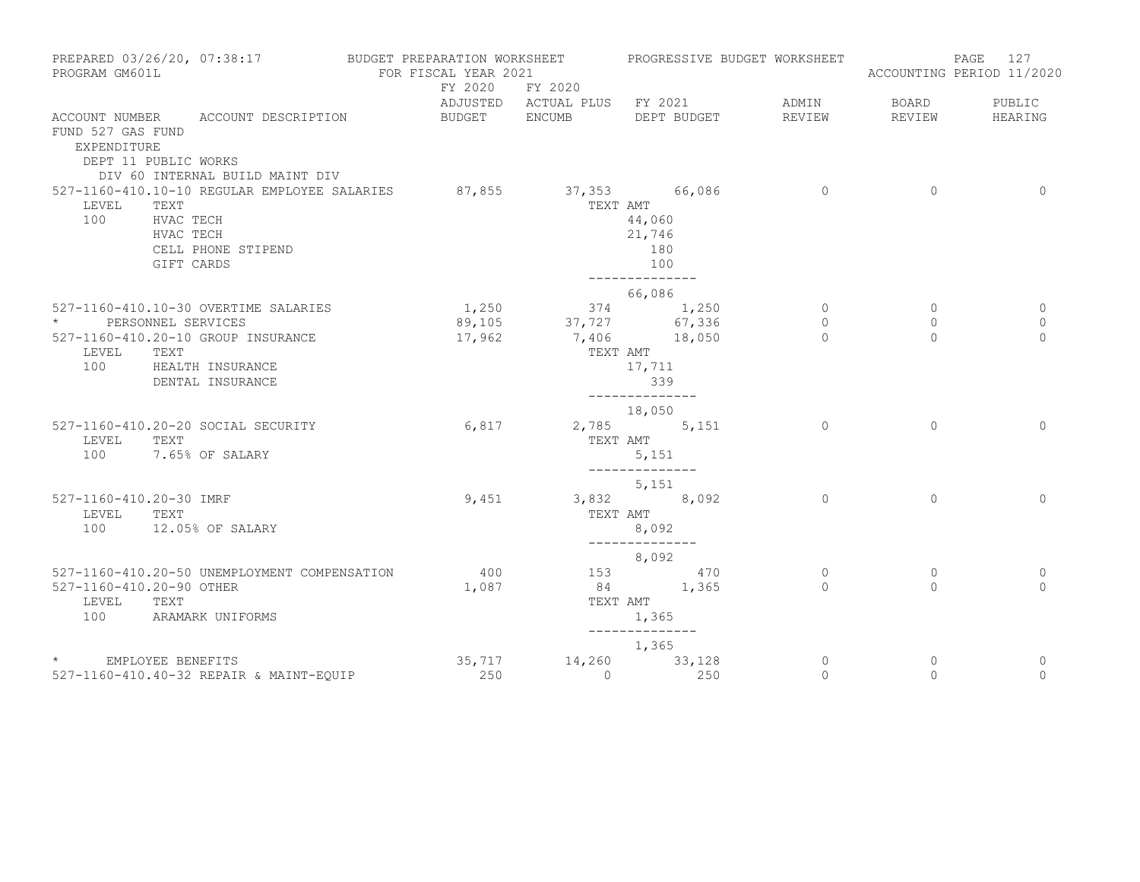| PREPARED 03/26/20, 07:38:17<br>PROGRAM GM601L            |                                                                                                                                 | BUDGET PREPARATION WORKSHEET<br>FOR FISCAL YEAR 2021 |                 | PROGRESSIVE BUDGET WORKSHEET                     |              |                | 127<br>PAGE<br>ACCOUNTING PERIOD 11/2020 |
|----------------------------------------------------------|---------------------------------------------------------------------------------------------------------------------------------|------------------------------------------------------|-----------------|--------------------------------------------------|--------------|----------------|------------------------------------------|
|                                                          |                                                                                                                                 |                                                      | FY 2020 FY 2020 | ADJUSTED ACTUAL PLUS FY 2021                     | ADMIN        | BOARD          | PUBLIC                                   |
| FUND 527 GAS FUND<br>EXPENDITURE<br>DEPT 11 PUBLIC WORKS | ACCOUNT NUMBER ACCOUNT DESCRIPTION<br>DIV 60 INTERNAL BUILD MAINT DIV                                                           | BUDGET ENCUMB                                        |                 | DEPT BUDGET                                      | REVIEW       | REVIEW         | HEARING                                  |
| LEVEL TEXT<br>100                                        | 527-1160-410.10-10 REGULAR EMPLOYEE SALARIES 87,855 37,353 66,086<br>HVAC TECH<br>HVAC TECH<br>CELL PHONE STIPEND<br>GIFT CARDS |                                                      | TEXT AMT        | 44,060<br>21,746<br>180<br>100<br>-------------- | $\sim$ 0     | $\overline{0}$ | $\Omega$                                 |
|                                                          | 527-1160-410.10-30 OVERTIME SALARIES                                                                                            | 1,250                                                |                 | 66,086<br>374 1,250                              | $\Omega$     | $\Omega$       |                                          |
| * PERSONNEL SERVICES                                     |                                                                                                                                 |                                                      |                 | 89,105 37,727 67,336                             | $\circ$      | $\mathbf{0}$   | $\Omega$<br>$\mathbf{0}$                 |
|                                                          | 527-1160-410.20-10 GROUP INSURANCE                                                                                              | 17,962                                               |                 | 7,406 18,050                                     | $\Omega$     | $\Omega$       | $\Omega$                                 |
| LEVEL                                                    | TEXT<br>100 HEALTH INSURANCE<br>DENTAL INSURANCE                                                                                |                                                      | TEXT AMT        | 17,711<br>339<br><u>______________</u>           |              |                |                                          |
|                                                          |                                                                                                                                 |                                                      |                 | 18,050                                           |              |                |                                          |
| LEVEL<br>100                                             | 527-1160-410.20-20 SOCIAL SECURITY<br>TEXT<br>7.65% OF SALARY                                                                   |                                                      | 6,817           | 2,785 5,151<br>TEXT AMT<br>5,151                 | $\Omega$     | $\Omega$       | $\Omega$                                 |
|                                                          |                                                                                                                                 |                                                      |                 | --------------<br>5,151                          |              |                |                                          |
| 527-1160-410.20-30 IMRF<br>LEVEL                         | TEXT                                                                                                                            | 9,451                                                |                 | 3,832 8,092<br>TEXT AMT                          | $\Omega$     | $\Omega$       | $\Omega$                                 |
| 100                                                      | 12.05% OF SALARY                                                                                                                |                                                      |                 | 8,092<br>--------------                          |              |                |                                          |
|                                                          |                                                                                                                                 |                                                      |                 | 8,092                                            |              |                |                                          |
|                                                          | 527-1160-410.20-50 UNEMPLOYMENT COMPENSATION                                                                                    | 400                                                  |                 | 153 470<br>84 1,365                              | $\circ$      | $\circ$        | $\mathbf 0$<br>$\Omega$                  |
| 527-1160-410.20-90 OTHER<br>LEVEL                        | TEXT                                                                                                                            | 1,087                                                |                 | TEXT AMT                                         | $\Omega$     | $\Omega$       |                                          |
| 100                                                      | ARAMARK UNIFORMS                                                                                                                |                                                      |                 | 1,365                                            |              |                |                                          |
|                                                          |                                                                                                                                 |                                                      |                 | 1,365                                            |              |                |                                          |
| * EMPLOYEE BENEFITS                                      |                                                                                                                                 | 35,717                                               |                 | 14,260 33,128                                    | $\mathbf{0}$ | $\mathbf{0}$   | 0                                        |
|                                                          | 527-1160-410.40-32 REPAIR & MAINT-EOUIP                                                                                         | 250                                                  | $\Omega$        | 250                                              | $\circ$      | $\Omega$       | $\circ$                                  |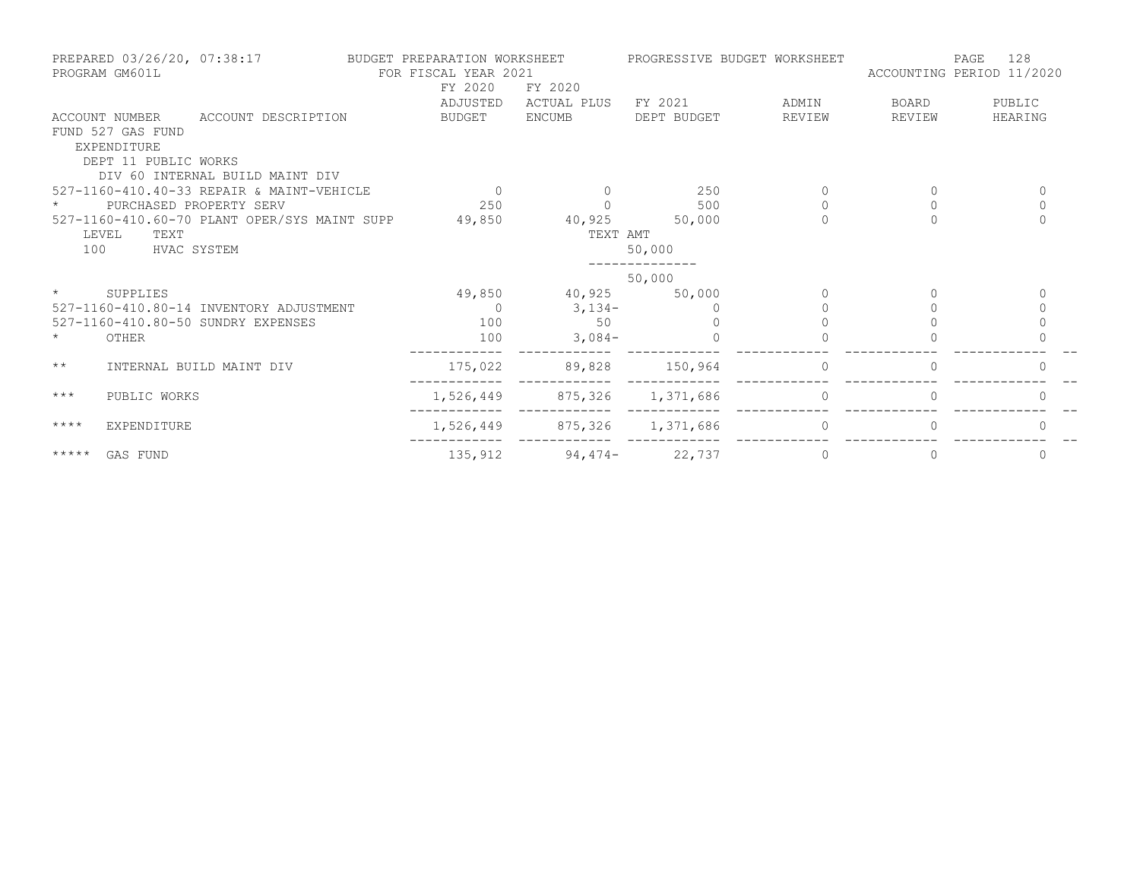|                     | PREPARED 03/26/20, 07:38:17<br>PROGRAM GM601L |                                              | BUDGET PREPARATION WORKSHEET<br>FOR FISCAL YEAR 2021<br>FY 2020 | FY 2020                     |             | PROGRESSIVE BUDGET WORKSHEET | ACCOUNTING PERIOD 11/2020 | 128<br>PAGE  |
|---------------------|-----------------------------------------------|----------------------------------------------|-----------------------------------------------------------------|-----------------------------|-------------|------------------------------|---------------------------|--------------|
|                     |                                               |                                              | ADJUSTED                                                        | ACTUAL PLUS                 | FY 2021     | ADMIN                        | BOARD                     | PUBLIC       |
|                     | FUND 527 GAS FUND<br>EXPENDITURE              | ACCOUNT NUMBER ACCOUNT DESCRIPTION           | BUDGET ENCUMB                                                   |                             | DEPT BUDGET | REVIEW                       | REVIEW                    | HEARING      |
|                     | DEPT 11 PUBLIC WORKS                          | DIV 60 INTERNAL BUILD MAINT DIV              |                                                                 |                             |             |                              |                           |              |
|                     |                                               | 527-1160-410.40-33 REPAIR & MAINT-VEHICLE    | $\overline{0}$                                                  | $\Omega$                    | 250         | 0                            | 0                         | $\mathbf{0}$ |
|                     |                                               | PURCHASED PROPERTY SERV                      | 250                                                             |                             | 500         | $\Omega$                     | $\Omega$                  | $\Omega$     |
|                     | LEVEL<br>TEXT                                 | 527-1160-410.60-70 PLANT OPER/SYS MAINT SUPP | 49,850                                                          | 40,925 50,000<br>TEXT AMT   |             |                              |                           | $\Omega$     |
| 100                 | HVAC SYSTEM                                   |                                              |                                                                 |                             | 50,000      |                              |                           |              |
|                     |                                               |                                              |                                                                 |                             | 50,000      |                              |                           |              |
| $\star$ and $\star$ | SUPPLIES                                      |                                              |                                                                 | 49,850 40,925 50,000        |             |                              |                           | $\bigcap$    |
|                     |                                               | 527-1160-410.80-14 INVENTORY ADJUSTMENT      | $\sim$ 0                                                        | $3,134-$                    |             |                              |                           |              |
|                     |                                               | 527-1160-410.80-50 SUNDRY EXPENSES           | 100                                                             | 50                          |             |                              |                           |              |
|                     | OTHER                                         |                                              | 100                                                             | $3,084-$                    |             |                              |                           |              |
| $\star\star$        |                                               | INTERNAL BUILD MAINT DIV                     | 175,022                                                         | 89,828                      | 150,964     | $\Omega$                     | $\Omega$                  | 0            |
| $***$               | PUBLIC WORKS                                  |                                              |                                                                 | 1,526,449 875,326 1,371,686 |             |                              |                           |              |
| $***$ * * *         | EXPENDITURE                                   |                                              |                                                                 | 1,526,449 875,326 1,371,686 |             | $\Omega$                     | $\Omega$                  | $\bigcap$    |
|                     | ***** GAS FUND                                |                                              | 135,912                                                         | $94,474-22,737$             |             | 0                            | 0                         | 0            |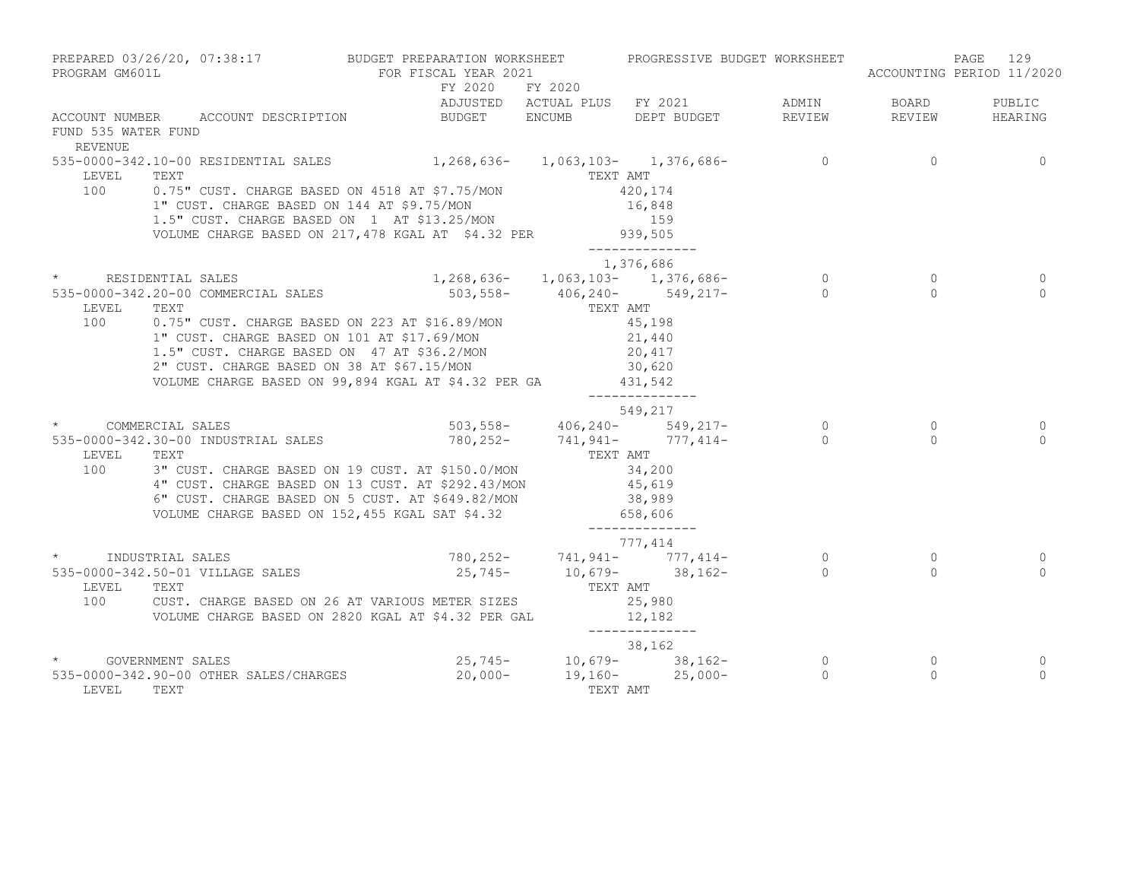| PROGRAM GM601L                        |                                  | PREPARED 03/26/20, 07:38:17 BUDGET PREPARATION WORKSHEET PROGRESSIVE BUDGET WORKSHEET<br>FOR FISCAL YEAR 2021                                                                                                                                                                                                                                                                                                                                                                      |                 |                                                                                            |                            |                            | 129<br>PAGE<br>ACCOUNTING PERIOD 11/2020 |
|---------------------------------------|----------------------------------|------------------------------------------------------------------------------------------------------------------------------------------------------------------------------------------------------------------------------------------------------------------------------------------------------------------------------------------------------------------------------------------------------------------------------------------------------------------------------------|-----------------|--------------------------------------------------------------------------------------------|----------------------------|----------------------------|------------------------------------------|
|                                       |                                  |                                                                                                                                                                                                                                                                                                                                                                                                                                                                                    | FY 2020 FY 2020 | ADJUSTED ACTUAL PLUS FY 2021 ADMIN                                                         |                            | <b>BOARD</b>               | PUBLIC                                   |
| FUND 535 WATER FUND<br><b>REVENUE</b> |                                  | ACCOUNT NUMBER ACCOUNT DESCRIPTION BUDGET ENCUMB DEPT BUDGET                                                                                                                                                                                                                                                                                                                                                                                                                       |                 |                                                                                            |                            | REVIEW REVIEW              | HEARING                                  |
| LEVEL                                 | TEXT                             | 535-0000-342.10-00 RESIDENTIAL SALES 1,268,636- 1,063,103- 1,376,686- 0<br>100 0.75" CUST. CHARGE BASED ON 4518 AT \$7.75/MON 420,174                                                                                                                                                                                                                                                                                                                                              | TEXT AMT        |                                                                                            |                            |                            | $\overline{0}$                           |
|                                       |                                  | 1" CUST. CHARGE BASED ON 144 AT \$9.75/MON<br>1.5" CUST. CHARGE BASED ON 1 AT \$13.25/MON<br>VOLUME CHARGE BASED ON 217,478 KGAL AT \$4.32 PER                                                                                                                                                                                                                                                                                                                                     |                 | 16,848<br>159<br>939,505                                                                   |                            |                            |                                          |
|                                       |                                  |                                                                                                                                                                                                                                                                                                                                                                                                                                                                                    |                 | 1,376,686                                                                                  |                            |                            |                                          |
|                                       |                                  | $1,268,636-1,063,103-1,376,686-$<br>* RESIDENTIAL SALES 1,268,636- 1,063,103- 1,376,686- 0<br>535-0000-342.20-00 COMMERCIAL SALES 503,558- 406,240- 549,217- 0                                                                                                                                                                                                                                                                                                                     |                 |                                                                                            |                            | $\overline{0}$<br>$\Omega$ | $\Omega$<br>$\Omega$                     |
|                                       |                                  | LEVEL TEXT<br>100 0.75" CUST. CHARGE BASED ON 223 AT \$16.89/MON TEXT AMT<br>100 0.75" CUST. CHARGE BASED ON 101 AT \$17.69/MON 21,440<br>1.5" CUST. CHARGE BASED ON 47 AT \$36.2/MON 20,417<br>2" CUST. CHARGE BASED ON 38 AT \$67.15/MON 30,620<br>VOLUME CHARGE BASED ON 99,894 KGAL AT \$4.32 PER GA 431,542                                                                                                                                                                   | TEXT AMT        |                                                                                            |                            |                            |                                          |
|                                       |                                  |                                                                                                                                                                                                                                                                                                                                                                                                                                                                                    |                 | --------------<br>549,217                                                                  |                            |                            |                                          |
| LEVEL<br>100                          | * COMMERCIAL SALES               | $503,558-$ 406,240-<br>549,217- 503,558- 406,240- 549,217- 0<br>535-0000-342.30-00 INDUSTRIAL SALES 780,252- 741,941- 777,414- 0<br>TEXT<br>3" CUST. CHARGE BASED ON 19 CUST. AT \$150.0/MON<br>4" CUST. CHARGE BASED ON 12 CUST. AT \$150.0/MON<br>4" CUST. CHARGE BASED ON 12 CUST. 17 ASSA (1)<br>4" CUST. CHARGE BASED ON 13 CUST. AT \$292.43/MON 45,619<br>6" CUST. CHARGE BASED ON 5 CUST. AT \$649.82/MON 38,989<br>VOLUME CHARGE BASED ON 152,455 KGAL SAT \$4.32 658,606 |                 | _______________                                                                            |                            | $\overline{0}$<br>$\Omega$ | 0<br>$\Omega$                            |
| $\star$                               | INDUSTRIAL SALES                 |                                                                                                                                                                                                                                                                                                                                                                                                                                                                                    |                 | 777,414                                                                                    | $\overline{0}$             | $\circ$                    | $\mathbf{0}$                             |
| LEVEL TEXT<br>100                     | 535-0000-342.50-01 VILLAGE SALES | TEXT<br>CUST. CHARGE BASED ON 26 AT VARIOUS METER SIZES<br>VOLUME CHARGE BASED ON 2820 KGAL AT \$4.32 PER GAL 12,182                                                                                                                                                                                                                                                                                                                                                               |                 | $780, 252 - 741, 941 - 777, 414 - 0$<br>25, 745 - 10, 679 - 38, 162 - 0<br>_______________ |                            | $\Omega$                   | $\Omega$                                 |
|                                       |                                  |                                                                                                                                                                                                                                                                                                                                                                                                                                                                                    |                 | 38,162                                                                                     |                            |                            |                                          |
| * GOVERNMENT SALES<br>LEVEL           | TEXT                             | $25,745 - 10,679 - 38,162 -$<br>535-0000-342.90-00 OTHER SALES/CHARGES 20,000- 19,160- 25,000-                                                                                                                                                                                                                                                                                                                                                                                     | TEXT AMT        |                                                                                            | $\overline{0}$<br>$\Omega$ | $\circ$<br>$\Omega$        | 0<br>$\Omega$                            |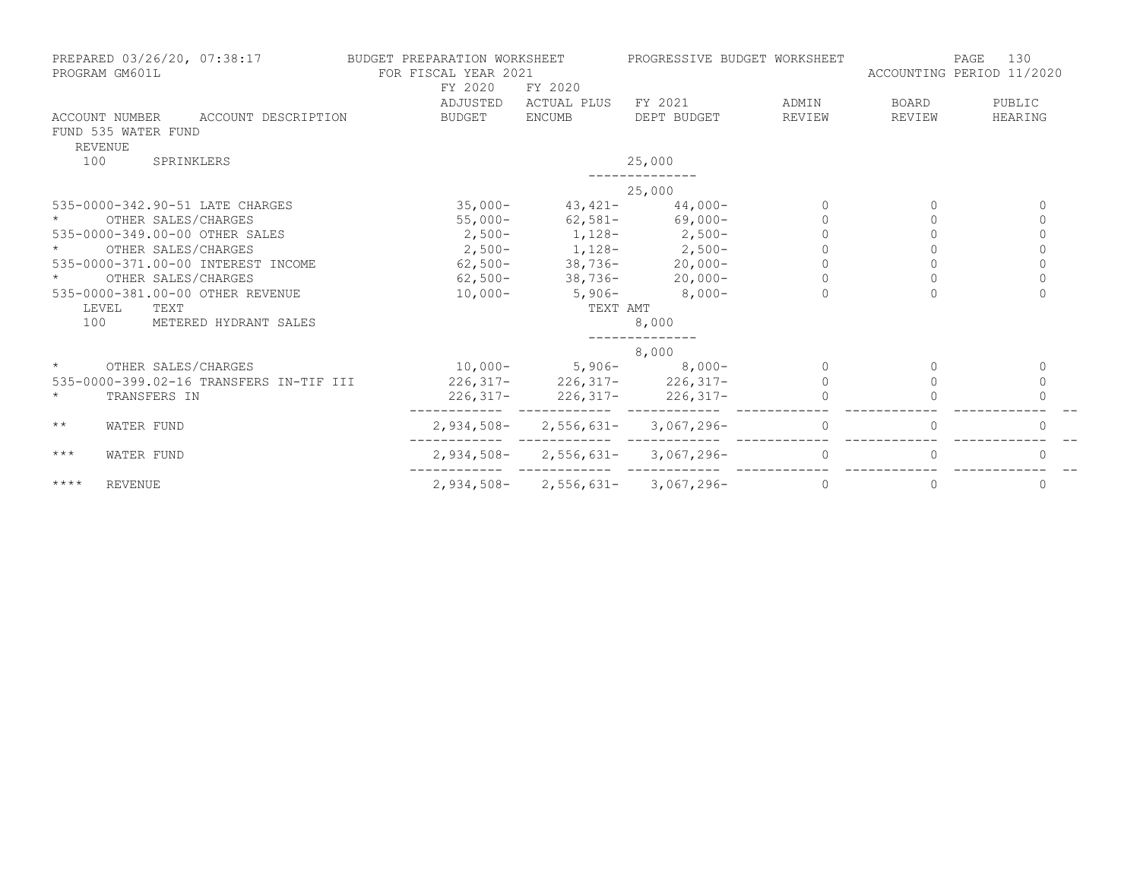| PREPARED 03/26/20, 07:38:17<br>PROGRAM GM601L |              | BUDGET PREPARATION WORKSHEET<br>FOR FISCAL YEAR 2021<br>FY 2020<br>FY 2020 |                                       | PROGRESSIVE BUDGET WORKSHEET | 130<br>PAGE<br>ACCOUNTING PERIOD 11/2020 |              |  |
|-----------------------------------------------|--------------|----------------------------------------------------------------------------|---------------------------------------|------------------------------|------------------------------------------|--------------|--|
|                                               | ADJUSTED     | ACTUAL PLUS                                                                | FY 2021                               | ADMIN                        | BOARD                                    | PUBLIC       |  |
| ACCOUNT DESCRIPTION<br>ACCOUNT NUMBER         | BUDGET       | <b>ENCUMB</b>                                                              | DEPT BUDGET                           | REVIEW                       | REVIEW                                   | HEARING      |  |
| FUND 535 WATER FUND<br>REVENUE                |              |                                                                            |                                       |                              |                                          |              |  |
| 100<br>SPRINKLERS                             |              |                                                                            | 25,000                                |                              |                                          |              |  |
|                                               |              |                                                                            | 25,000                                |                              |                                          |              |  |
| 535-0000-342.90-51 LATE CHARGES               | $35,000-$    |                                                                            | $43,421 - 44,000 -$                   | $\Omega$                     | $\Omega$                                 | $\Omega$     |  |
| OTHER SALES/CHARGES                           | $55,000-$    |                                                                            | $62,581 -$ 69,000-                    | $\Omega$                     | $\Omega$                                 | $\mathbf 0$  |  |
| 535-0000-349.00-00 OTHER SALES                |              |                                                                            | $2,500-1,128-2,500-$                  |                              |                                          | $\mathbf 0$  |  |
| OTHER SALES/CHARGES                           |              |                                                                            | $2,500-1,128-2,500-$                  | $\overline{0}$               |                                          | $\mathbb O$  |  |
| 535-0000-371.00-00 INTEREST INCOME            |              |                                                                            | $62,500 - 38,736 - 20,000 -$          |                              |                                          | $\Omega$     |  |
| OTHER SALES/CHARGES                           |              |                                                                            | $62,500-$ 38,736- 20,000-             | $\Omega$                     | $\circ$                                  | $\circ$      |  |
| 535-0000-381.00-00 OTHER REVENUE              | $10,000-$    | $5,906-$                                                                   | $8,000-$                              | $\Omega$                     |                                          | $\Omega$     |  |
| LEVEL<br>TEXT                                 |              | TEXT AMT                                                                   |                                       |                              |                                          |              |  |
| 100<br>METERED HYDRANT SALES                  |              |                                                                            | 8,000                                 |                              |                                          |              |  |
|                                               |              |                                                                            | 8,000                                 |                              |                                          |              |  |
| OTHER SALES/CHARGES<br>$\star$                |              |                                                                            | $10,000-$ 5,906- 8,000-               | $\Omega$                     |                                          | $\mathbf{0}$ |  |
| 535-0000-399.02-16 TRANSFERS IN-TIF III       |              |                                                                            | $226,317 - 226,317 - 226,317 -$       |                              |                                          | $\Omega$     |  |
| $\star$<br>TRANSFERS IN                       |              |                                                                            | $226,317 - 226,317 - 226,317 -$       |                              |                                          |              |  |
| $\star\star$<br>WATER FUND                    |              |                                                                            | $2,934,508 - 2,556,631 - 3,067,296 -$ | $\Omega$                     | $\Omega$                                 | $\mathbf 0$  |  |
| $***$<br>WATER FUND                           |              |                                                                            | $2,934,508 - 2,556,631 - 3,067,296 -$ | $\Omega$                     |                                          | $\Omega$     |  |
| $***$ * * *<br><b>REVENUE</b>                 | $2,934,508-$ |                                                                            | $2,556,631 - 3,067,296 -$             | $\mathbf{0}$                 | 0                                        | $\mathbf 0$  |  |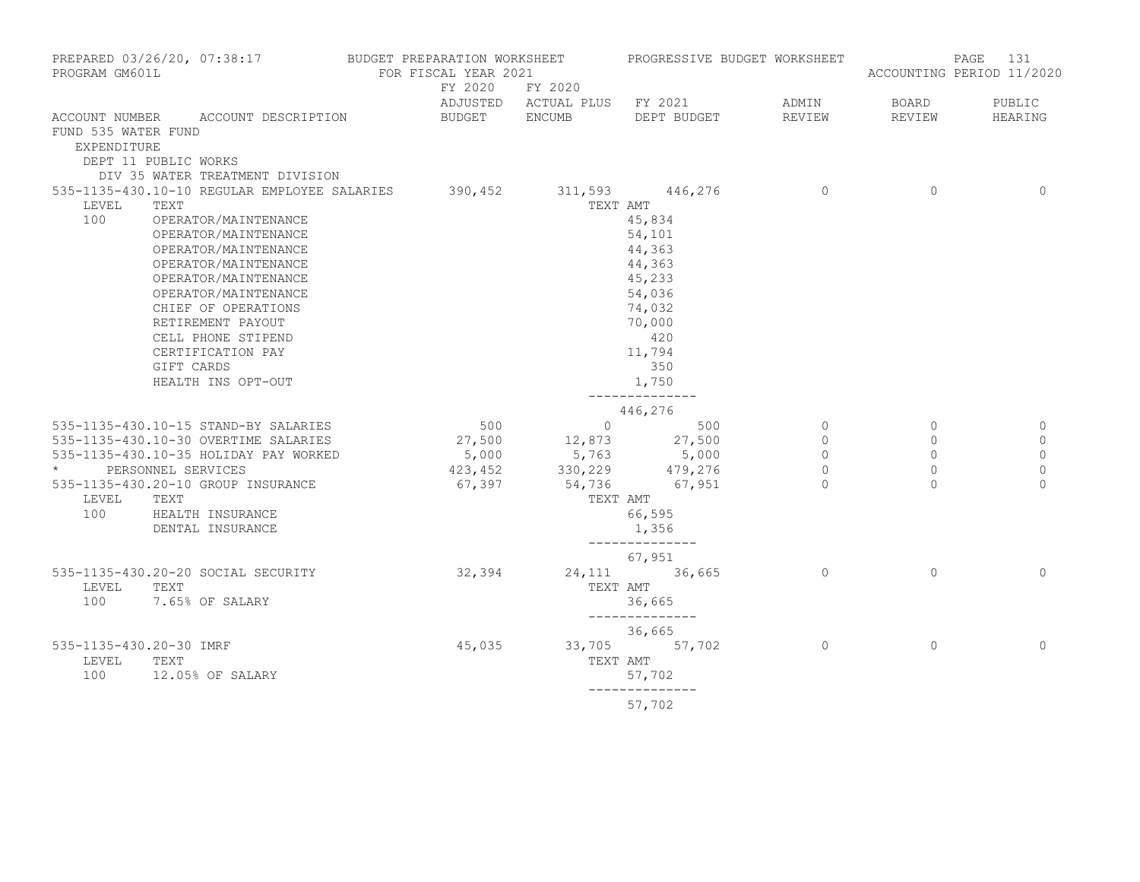| PREPARED 03/26/20, 07:38:17 BUDGET PREPARATION WORKSHEET PROGRESSIVE BUDGET WORKSHEET<br>PROGRAM GM601L | FOR FISCAL YEAR 2021 |                        |                                              |                |                | PAGE<br>131<br>ACCOUNTING PERIOD 11/2020 |
|---------------------------------------------------------------------------------------------------------|----------------------|------------------------|----------------------------------------------|----------------|----------------|------------------------------------------|
|                                                                                                         |                      | FY 2020 FY 2020        | ADJUSTED ACTUAL PLUS FY 2021 ADMIN           |                | <b>BOARD</b>   | PUBLIC                                   |
| ACCOUNT NUMBER ACCOUNT DESCRIPTION                                                                      |                      |                        | BUDGET ENCUMB DEPT BUDGET                    | REVIEW         | REVIEW         | HEARING                                  |
| FUND 535 WATER FUND                                                                                     |                      |                        |                                              |                |                |                                          |
| EXPENDITURE                                                                                             |                      |                        |                                              |                |                |                                          |
| DEPT 11 PUBLIC WORKS                                                                                    |                      |                        |                                              |                |                |                                          |
| DIV 35 WATER TREATMENT DIVISION<br>535-1135-430.10-10 REGULAR EMPLOYEE SALARIES 390,452 311,593 446,276 |                      |                        |                                              | $\overline{0}$ | $\overline{0}$ | $\Omega$                                 |
| TEXT<br>LEVEL                                                                                           |                      |                        | TEXT AMT                                     |                |                |                                          |
| 100<br>OPERATOR/MAINTENANCE                                                                             |                      |                        | 45,834                                       |                |                |                                          |
| OPERATOR/MAINTENANCE                                                                                    |                      |                        | 54,101                                       |                |                |                                          |
| OPERATOR/MAINTENANCE                                                                                    |                      |                        | 44,363                                       |                |                |                                          |
| OPERATOR/MAINTENANCE                                                                                    |                      |                        | 44,363                                       |                |                |                                          |
| OPERATOR/MAINTENANCE                                                                                    |                      |                        | 45,233                                       |                |                |                                          |
| OPERATOR/MAINTENANCE                                                                                    |                      |                        | 54,036                                       |                |                |                                          |
| CHIEF OF OPERATIONS                                                                                     |                      |                        | 74,032                                       |                |                |                                          |
| RETIREMENT PAYOUT                                                                                       |                      |                        | 70,000                                       |                |                |                                          |
| CELL PHONE STIPEND                                                                                      |                      |                        | 420                                          |                |                |                                          |
| CERTIFICATION PAY                                                                                       |                      |                        | 11,794                                       |                |                |                                          |
| GIFT CARDS                                                                                              |                      |                        | 350                                          |                |                |                                          |
| HEALTH INS OPT-OUT                                                                                      |                      |                        | 1,750<br>---------------                     |                |                |                                          |
|                                                                                                         |                      |                        | 446,276                                      |                |                |                                          |
| 535-1135-430.10-15 STAND-BY SALARIES                                                                    | 500                  |                        | $0 \qquad \qquad 500$                        | $\overline{0}$ | $\circ$        | 0                                        |
| 535-1135-430.10-30 OVERTIME SALARIES 27,500 12,873 27,500                                               |                      |                        |                                              | $\overline{0}$ | $\Omega$       | $\mathbf{0}$                             |
| 535-1135-430.10-35 HOLIDAY PAY WORKED                                                                   |                      |                        | 5,000 5,763 5,000<br>423,452 330,229 479,276 | $\circ$        | $\circ$        | $\mathbf 0$                              |
| * PERSONNEL SERVICES                                                                                    |                      |                        |                                              | $\overline{0}$ | $\circ$        | $\mathbf{0}$                             |
| 535-1135-430.20-10 GROUP INSURANCE                                                                      |                      | $67,397$ 54,736 67,951 |                                              | $\bigcap$      | $\cap$         | $\cap$                                   |
| LEVEL<br>TEXT                                                                                           |                      |                        | TEXT AMT                                     |                |                |                                          |
| 100<br>HEALTH INSURANCE                                                                                 |                      |                        | 66,595                                       |                |                |                                          |
| DENTAL INSURANCE                                                                                        |                      |                        | 1,356<br>--------------                      |                |                |                                          |
|                                                                                                         |                      |                        | 67,951                                       |                |                |                                          |
| 535-1135-430.20-20 SOCIAL SECURITY                                                                      | 32, 394              |                        | 24, 111 36, 665                              | $\overline{a}$ | $\Omega$       | $\Omega$                                 |
| LEVEL<br>TEXT                                                                                           |                      |                        | TEXT AMT                                     |                |                |                                          |
| 100<br>7.65% OF SALARY                                                                                  |                      |                        | 36,665<br>--------------                     |                |                |                                          |
|                                                                                                         |                      |                        | 36,665                                       |                |                |                                          |
| 535-1135-430.20-30 IMRF                                                                                 | 45,035               |                        | 33,705 57,702                                | $\overline{0}$ | $\circ$        | $\mathbf{0}$                             |
| LEVEL<br>TEXT                                                                                           |                      |                        | TEXT AMT                                     |                |                |                                          |
| 100<br>12.05% OF SALARY                                                                                 |                      |                        | 57,702                                       |                |                |                                          |
|                                                                                                         |                      |                        | ______________<br>57,702                     |                |                |                                          |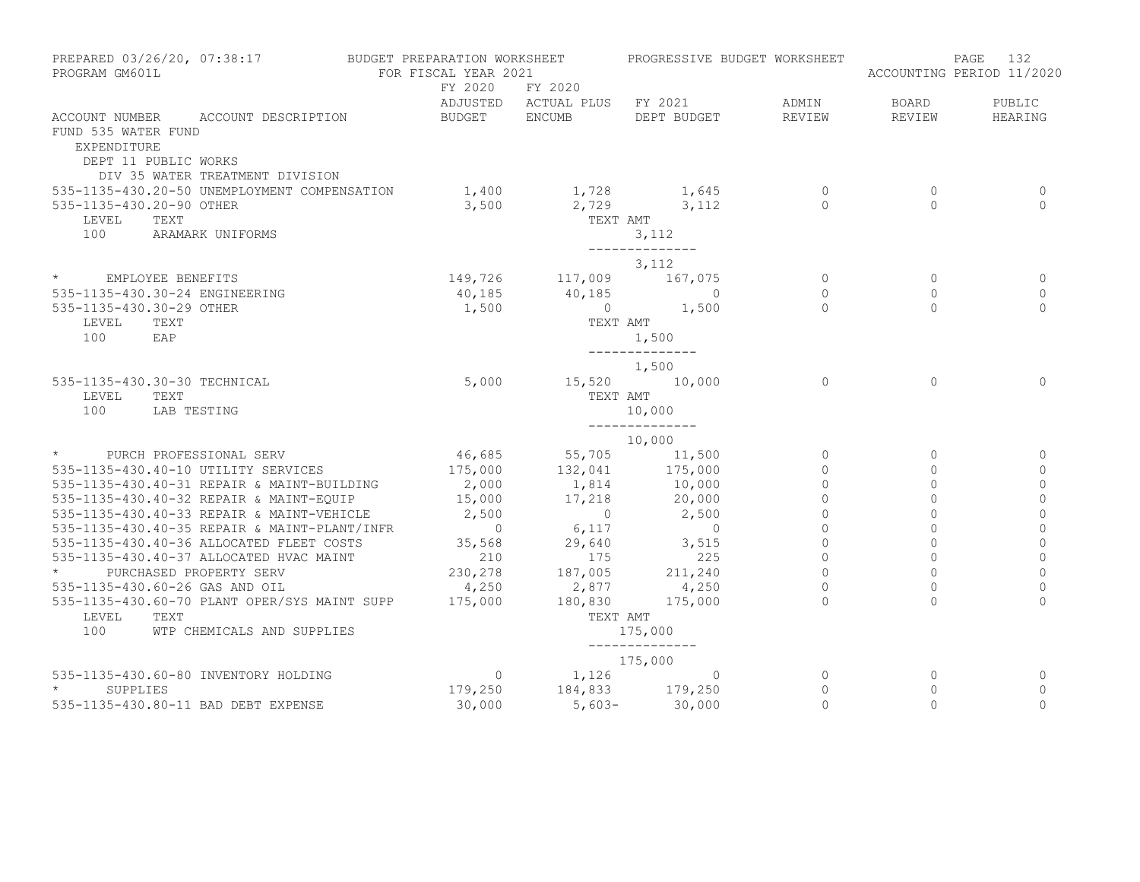| PROGRAM GM601L                     | PREPARED 03/26/20, 07:38:17                                | BUDGET PREPARATION WORKSHEET<br>FOR FISCAL YEAR 2021 |                                                                                            | PROGRESSIVE BUDGET WORKSHEET                    |                            |                     | 132<br>PAGE<br>ACCOUNTING PERIOD 11/2020 |
|------------------------------------|------------------------------------------------------------|------------------------------------------------------|--------------------------------------------------------------------------------------------|-------------------------------------------------|----------------------------|---------------------|------------------------------------------|
|                                    |                                                            | FY 2020                                              | FY 2020                                                                                    |                                                 |                            |                     |                                          |
|                                    |                                                            |                                                      |                                                                                            | ADJUSTED ACTUAL PLUS FY 2021                    | ADMIN                      | BOARD               | PUBLIC                                   |
| FUND 535 WATER FUND<br>EXPENDITURE | ACCOUNT NUMBER ACCOUNT DESCRIPTION<br>DEPT 11 PUBLIC WORKS | BUDGET ENCUMB                                        |                                                                                            | DEPT BUDGET                                     | REVIEW                     | REVIEW              | HEARING                                  |
|                                    | DIV 35 WATER TREATMENT DIVISION                            |                                                      |                                                                                            |                                                 |                            |                     |                                          |
|                                    | 535-1135-430.20-50 UNEMPLOYMENT COMPENSATION               |                                                      |                                                                                            | 1,400 1,728 1,645                               | $\overline{0}$<br>$\Omega$ | $\circ$<br>$\Omega$ | 0<br>$\Omega$                            |
| 535-1135-430.20-90 OTHER<br>LEVEL  | TEXT                                                       | 3,500                                                | TEXT AMT                                                                                   | 2,729 3,112                                     |                            |                     |                                          |
| 100                                | ARAMARK UNIFORMS                                           |                                                      |                                                                                            | 3,112                                           |                            |                     |                                          |
|                                    |                                                            |                                                      |                                                                                            | ______________                                  |                            |                     |                                          |
|                                    |                                                            |                                                      |                                                                                            | 3,112                                           |                            |                     |                                          |
| * EMPLOYEE BENEFITS                |                                                            |                                                      |                                                                                            |                                                 | $\overline{0}$             | $\circ$             | 0                                        |
|                                    | 535-1135-430.30-24 ENGINEERING                             |                                                      |                                                                                            | 149,726 117,009 167,075<br>40,185 40,185 0      | $\circ$                    | $\Omega$            | $\mathbf{0}$                             |
| 535-1135-430.30-29 OTHER           |                                                            | 1,500                                                |                                                                                            | $0 \t 1,500$                                    | $\bigcap$                  | $\Omega$            | $\Omega$                                 |
| LEVEL                              | TEXT                                                       |                                                      |                                                                                            | TEXT AMT                                        |                            |                     |                                          |
| 100                                | EAP                                                        |                                                      |                                                                                            | 1,500                                           |                            |                     |                                          |
|                                    |                                                            |                                                      |                                                                                            | ______________                                  |                            |                     |                                          |
|                                    |                                                            |                                                      |                                                                                            | 1,500                                           |                            |                     |                                          |
|                                    | 535-1135-430.30-30 TECHNICAL                               | 5,000                                                | 15,520 10,000                                                                              |                                                 | $\overline{0}$             | $\Omega$            | $\Omega$                                 |
| LEVEL                              | TEXT                                                       |                                                      | TEXT AMT                                                                                   |                                                 |                            |                     |                                          |
| 100                                | LAB TESTING                                                |                                                      |                                                                                            | 10,000                                          |                            |                     |                                          |
|                                    |                                                            |                                                      |                                                                                            | ______________                                  |                            |                     |                                          |
|                                    | * PURCH PROFESSIONAL SERV                                  |                                                      | 10,000                                                                                     |                                                 | $\circ$                    | $\circ$             |                                          |
|                                    | 535-1135-430.40-10 UTILITY SERVICES                        |                                                      |                                                                                            | 46,685 55,705 11,500<br>175,000 132,041 175,000 | $\circ$                    | $\circ$             | $\circ$                                  |
|                                    | 535-1135-430.40-31 REPAIR & MAINT-BUILDING                 |                                                      |                                                                                            |                                                 | $\Omega$                   | $\Omega$            | $\circ$                                  |
|                                    | 535-1135-430.40-32 REPAIR & MAINT-EOUIP                    | 2,000<br>15,000                                      |                                                                                            | 1,814 10,000<br>20,000                          | $\circ$                    | $\circ$             | $\mathbf 0$                              |
|                                    | 535-1135-430.40-33 REPAIR & MAINT-VEHICLE 2,500            |                                                      | 17,218                                                                                     | 2,500                                           | $\mathbf 0$                | $\circ$             | $\mathbb O$                              |
|                                    | 535-1135-430.40-35 REPAIR & MAINT-PLANT/INFR               |                                                      | $2,500$<br>$0$<br>$5,117$<br>$35,568$<br>$210$<br>$175$<br>$230,278$<br>$4,250$<br>$2,877$ | $\overline{0}$                                  | $\circ$                    | $\circ$             | $\circ$                                  |
|                                    | 535-1135-430.40-36 ALLOCATED FLEET COSTS                   |                                                      |                                                                                            | 3,515                                           | $\mathbf{0}$               | $\Omega$            | $\overline{0}$                           |
|                                    | 535-1135-430.40-37 ALLOCATED HVAC MAINT                    |                                                      |                                                                                            | 225                                             | $\overline{0}$             | $\Omega$            | $\circ$                                  |
|                                    | PURCHASED PROPERTY SERV                                    |                                                      |                                                                                            | 211, 240                                        | $\circ$                    | $\circ$             | $\mathbf{0}$                             |
|                                    | 535-1135-430.60-26 GAS AND OIL                             |                                                      |                                                                                            | 4,250                                           | $\circ$                    | $\circ$             | $\mathbf 0$                              |
|                                    | 535-1135-430.60-70 PLANT OPER/SYS MAINT SUPP               | 175,000                                              | 180,830                                                                                    | 175,000                                         | $\cap$                     | $\cap$              | $\Omega$                                 |
| LEVEL                              | TEXT                                                       |                                                      | TEXT AMT                                                                                   |                                                 |                            |                     |                                          |
| 100                                | WTP CHEMICALS AND SUPPLIES                                 |                                                      |                                                                                            | 175,000                                         |                            |                     |                                          |
|                                    |                                                            |                                                      |                                                                                            | --------------                                  |                            |                     |                                          |
|                                    |                                                            |                                                      |                                                                                            | 175,000                                         |                            |                     |                                          |
|                                    | 535-1135-430.60-80 INVENTORY HOLDING                       | $\overline{0}$                                       |                                                                                            | $1,126$ 0                                       | $\overline{0}$             | $\circ$             | 0                                        |
| $\star$<br>SUPPLIES                |                                                            |                                                      | 179,250 184,833 179,250                                                                    |                                                 | $\circ$                    | $\circ$             | $\circ$                                  |
|                                    | 535-1135-430.80-11 BAD DEBT EXPENSE                        | 30,000                                               |                                                                                            | $5,603-30,000$                                  | $\Omega$                   | $\Omega$            | $\Omega$                                 |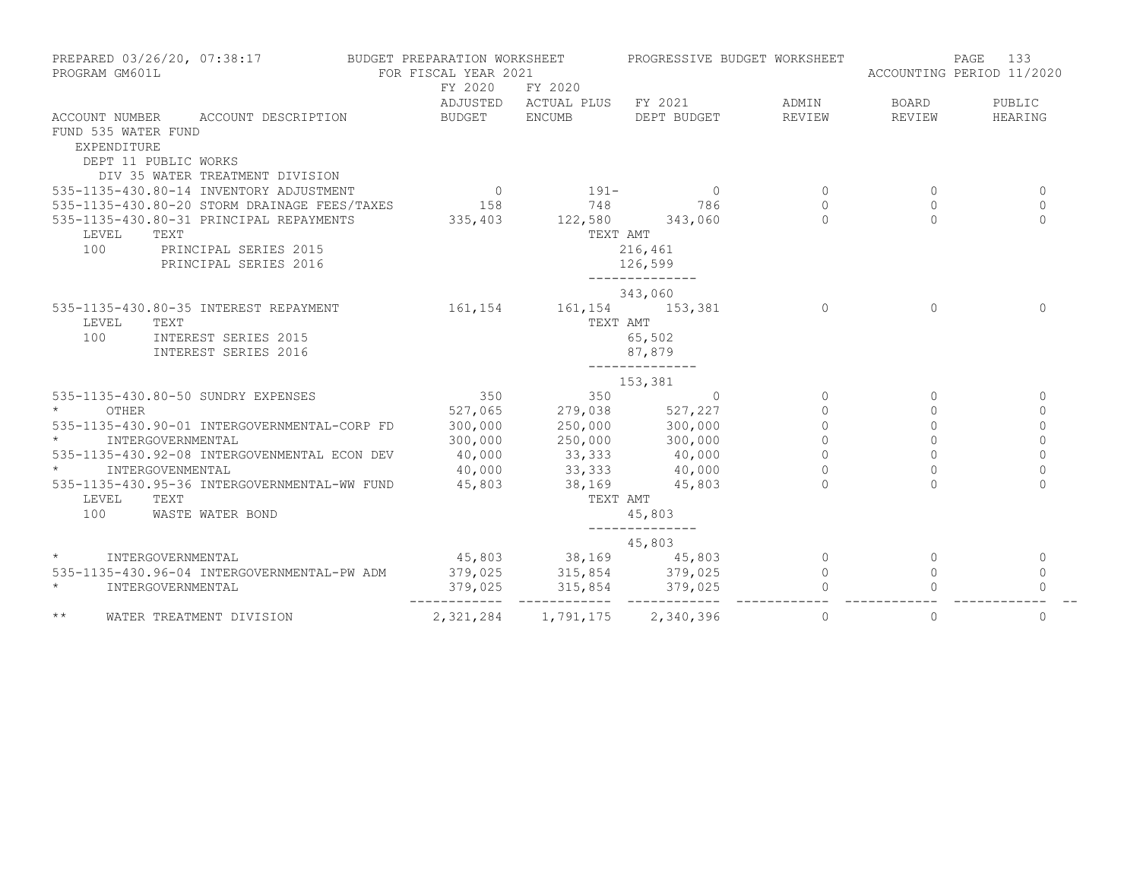| PREPARED 03/26/20, 07:38:17<br>PROGRAM GM601L                | BUDGET PREPARATION WORKSHEET<br>FOR FISCAL YEAR 2021                                                        |                                                                                                  | PROGRESSIVE BUDGET WORKSHEET       |             | 133<br>PAGE<br>ACCOUNTING PERIOD 11/2020 |                |
|--------------------------------------------------------------|-------------------------------------------------------------------------------------------------------------|--------------------------------------------------------------------------------------------------|------------------------------------|-------------|------------------------------------------|----------------|
|                                                              | FY 2020                                                                                                     | FY 2020                                                                                          |                                    |             |                                          |                |
|                                                              |                                                                                                             |                                                                                                  | ADJUSTED ACTUAL PLUS FY 2021 ADMIN |             | BOARD                                    | PUBLIC         |
| ACCOUNT NUMBER ACCOUNT DESCRIPTION                           | BUDGET ENCUMB                                                                                               |                                                                                                  | DEPT BUDGET                        | REVIEW      | REVIEW                                   | HEARING        |
| FUND 535 WATER FUND                                          |                                                                                                             |                                                                                                  |                                    |             |                                          |                |
| EXPENDITURE                                                  |                                                                                                             |                                                                                                  |                                    |             |                                          |                |
| DEPT 11 PUBLIC WORKS                                         |                                                                                                             |                                                                                                  |                                    |             |                                          |                |
| DIV 35 WATER TREATMENT DIVISION                              |                                                                                                             |                                                                                                  |                                    |             |                                          |                |
| 535-1135-430.80-14 INVENTORY ADJUSTMENT                      |                                                                                                             | $\sim$ 0 $\sim$ 191-                                                                             | $\sim$ 0                           | $\circ$     | $\Omega$                                 | $\mathbf{0}$   |
| 535-1135-430.80-20 STORM DRAINAGE FEES/TAXES 158 158 748 786 |                                                                                                             |                                                                                                  |                                    | $\Omega$    | $\Omega$                                 | $\Omega$       |
| 535-1135-430.80-31 PRINCIPAL REPAYMENTS                      | 335,403 122,580 343,060                                                                                     |                                                                                                  |                                    | $\cap$      | $\cap$                                   | $\Omega$       |
| LEVEL<br>TEXT                                                |                                                                                                             | TEXT AMT                                                                                         |                                    |             |                                          |                |
| 100<br>PRINCIPAL SERIES 2015                                 |                                                                                                             |                                                                                                  | 216,461                            |             |                                          |                |
| PRINCIPAL SERIES 2016                                        |                                                                                                             |                                                                                                  | 126,599                            |             |                                          |                |
|                                                              |                                                                                                             |                                                                                                  | ______________                     |             |                                          |                |
|                                                              |                                                                                                             |                                                                                                  | 343,060                            |             |                                          |                |
| 535-1135-430.80-35 INTEREST REPAYMENT                        |                                                                                                             | 161, 154 161, 154 153, 381                                                                       |                                    | $\Omega$    | $\Omega$                                 | $\Omega$       |
| LEVEL<br>TEXT                                                |                                                                                                             | TEXT AMT                                                                                         |                                    |             |                                          |                |
| 100<br>INTEREST SERIES 2015                                  |                                                                                                             |                                                                                                  | 65,502                             |             |                                          |                |
| INTEREST SERIES 2016                                         |                                                                                                             |                                                                                                  | 87,879                             |             |                                          |                |
|                                                              |                                                                                                             |                                                                                                  | --------------                     |             |                                          |                |
|                                                              |                                                                                                             |                                                                                                  | 153,381                            |             |                                          |                |
| 535-1135-430.80-50 SUNDRY EXPENSES                           | 350                                                                                                         | 350                                                                                              | $\Omega$                           | $\circ$     | $\Omega$                                 | $\mathbf{0}$   |
| $\star$<br>OTHER                                             | 527,065                                                                                                     |                                                                                                  |                                    | $\circ$     | $\circ$                                  | $\circ$        |
| 535-1135-430.90-01 INTERGOVERNMENTAL-CORP FD                 | 300,000                                                                                                     |                                                                                                  |                                    | $\circ$     | $\circ$                                  | $\mathbb O$    |
| INTERGOVERNMENTAL                                            | 300,000                                                                                                     |                                                                                                  |                                    | $\mathbb O$ | $\Omega$                                 | $\circ$        |
| 535-1135-430.92-08 INTERGOVENMENTAL ECON DEV                 | 40,000                                                                                                      |                                                                                                  |                                    | $\circ$     | $\Omega$                                 | $\Omega$       |
| $\star$<br>INTERGOVENMENTAL                                  | 40,000                                                                                                      | $279,038$<br>$250,000$<br>$250,000$<br>$300,000$<br>$33,333$<br>$40,000$<br>$33,333$<br>$40,000$ |                                    | $\Omega$    |                                          | $\Omega$       |
| 535-1135-430.95-36 INTERGOVERNMENTAL-WW FUND                 | 45,803                                                                                                      | $38,169$ $45,803$                                                                                |                                    | $\cap$      |                                          | $\Omega$       |
| TEXT<br>LEVEL                                                |                                                                                                             | TEXT AMT                                                                                         |                                    |             |                                          |                |
| 100<br>WASTE WATER BOND                                      |                                                                                                             |                                                                                                  | 45,803                             |             |                                          |                |
|                                                              |                                                                                                             |                                                                                                  | --------------                     |             |                                          |                |
|                                                              |                                                                                                             |                                                                                                  | 45,803                             |             |                                          |                |
| $\star$<br>INTERGOVERNMENTAL                                 |                                                                                                             | 45,803 38,169 45,803                                                                             |                                    | $\circ$     | $\mathbf{0}$                             | 0              |
| 535-1135-430.96-04 INTERGOVERNMENTAL-PW ADM                  |                                                                                                             |                                                                                                  |                                    | $\circ$     | $\circ$                                  | $\mathbf 0$    |
| $\star$<br>INTERGOVERNMENTAL                                 | 379,025               315,854                379,025<br>379,025               315,854               379,025 |                                                                                                  |                                    |             |                                          | $\Omega$       |
| $\star\star$<br>WATER TREATMENT DIVISION                     |                                                                                                             | 2, 321, 284 1, 791, 175 2, 340, 396                                                              |                                    | $\circ$     | $\mathbf{0}$                             | $\overline{0}$ |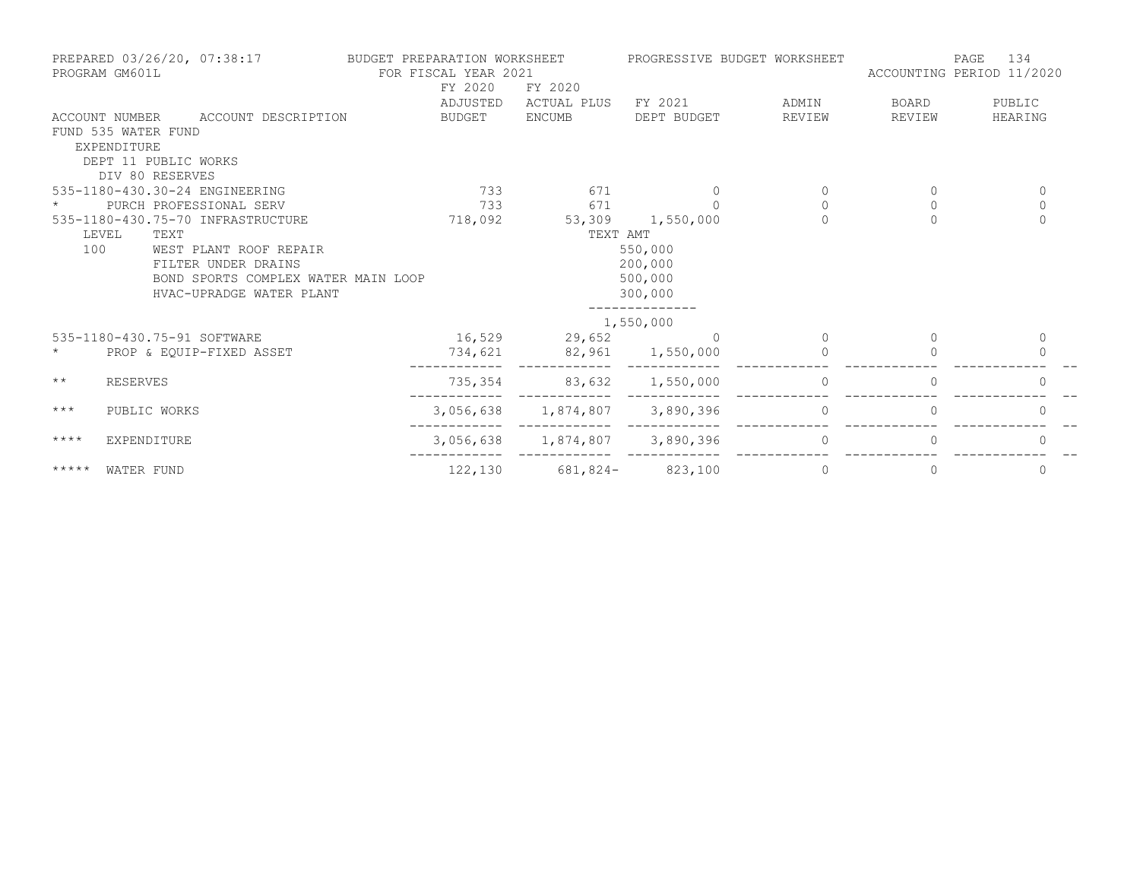| PREPARED 03/26/20, 07:38:17<br>PROGRAM GM601L |                      | BUDGET PREPARATION WORKSHEET<br>FOR FISCAL YEAR 2021<br>FY 2020<br>FY 2020 |          | PROGRESSIVE BUDGET WORKSHEET  |                  | 134<br>PAGE<br>ACCOUNTING PERIOD 11/2020 |              |              |
|-----------------------------------------------|----------------------|----------------------------------------------------------------------------|----------|-------------------------------|------------------|------------------------------------------|--------------|--------------|
|                                               |                      |                                                                            | ADJUSTED | ACTUAL PLUS                   | FY 2021          | ADMIN                                    | BOARD        | PUBLIC       |
|                                               |                      | ACCOUNT NUMBER ACCOUNT DESCRIPTION                                         | BUDGET   | <b>ENCUMB</b>                 | DEPT BUDGET      | REVIEW                                   | REVIEW       | HEARING      |
|                                               | FUND 535 WATER FUND  |                                                                            |          |                               |                  |                                          |              |              |
|                                               | EXPENDITURE          |                                                                            |          |                               |                  |                                          |              |              |
|                                               | DEPT 11 PUBLIC WORKS |                                                                            |          |                               |                  |                                          |              |              |
|                                               | DIV 80 RESERVES      |                                                                            |          |                               |                  |                                          |              |              |
|                                               |                      | 535-1180-430.30-24 ENGINEERING                                             | 733      | 671                           | 0                | 0                                        | $\mathbf{0}$ | $\mathbf{0}$ |
|                                               |                      | PURCH PROFESSIONAL SERV                                                    | 733      | 671                           | $\Omega$         | $\Omega$                                 | $\Omega$     | $\mathbf 0$  |
|                                               |                      | 535-1180-430.75-70 INFRASTRUCTURE                                          | 718,092  |                               | 53,309 1,550,000 | $\Omega$                                 | $\Omega$     | $\Omega$     |
|                                               | LEVEL<br>TEXT        |                                                                            |          | TEXT AMT                      |                  |                                          |              |              |
| 100                                           |                      | WEST PLANT ROOF REPAIR                                                     |          |                               | 550,000          |                                          |              |              |
|                                               |                      | FILTER UNDER DRAINS                                                        |          |                               | 200,000          |                                          |              |              |
|                                               |                      | BOND SPORTS COMPLEX WATER MAIN LOOP                                        |          |                               | 500,000          |                                          |              |              |
|                                               |                      | HVAC-UPRADGE WATER PLANT                                                   |          |                               | 300,000          |                                          |              |              |
|                                               |                      |                                                                            |          |                               | 1,550,000        |                                          |              |              |
|                                               |                      | 535-1180-430.75-91 SOFTWARE                                                |          | 16,529 29,652                 | $\cap$           | $\Omega$                                 | $\Omega$     | $\Omega$     |
| $\star$                                       |                      | PROP & EQUIP-FIXED ASSET                                                   | 734,621  | 82,961 1,550,000              |                  |                                          |              | $\Omega$     |
| $\star\star$                                  | <b>RESERVES</b>      |                                                                            | 735,354  | 83,632 1,550,000              |                  | $\circ$                                  | $\Omega$     | $\Omega$     |
| $***$                                         | PUBLIC WORKS         |                                                                            |          | 3,056,638 1,874,807 3,890,396 |                  | $\circ$                                  |              |              |
| $***$ *                                       | EXPENDITURE          |                                                                            |          | 3,056,638 1,874,807 3,890,396 |                  | $\Omega$                                 | $\bigcap$    | $\cup$       |
| *****                                         | WATER FUND           |                                                                            | 122,130  | $681,824-$ 823,100            |                  | 0                                        | 0            | 0            |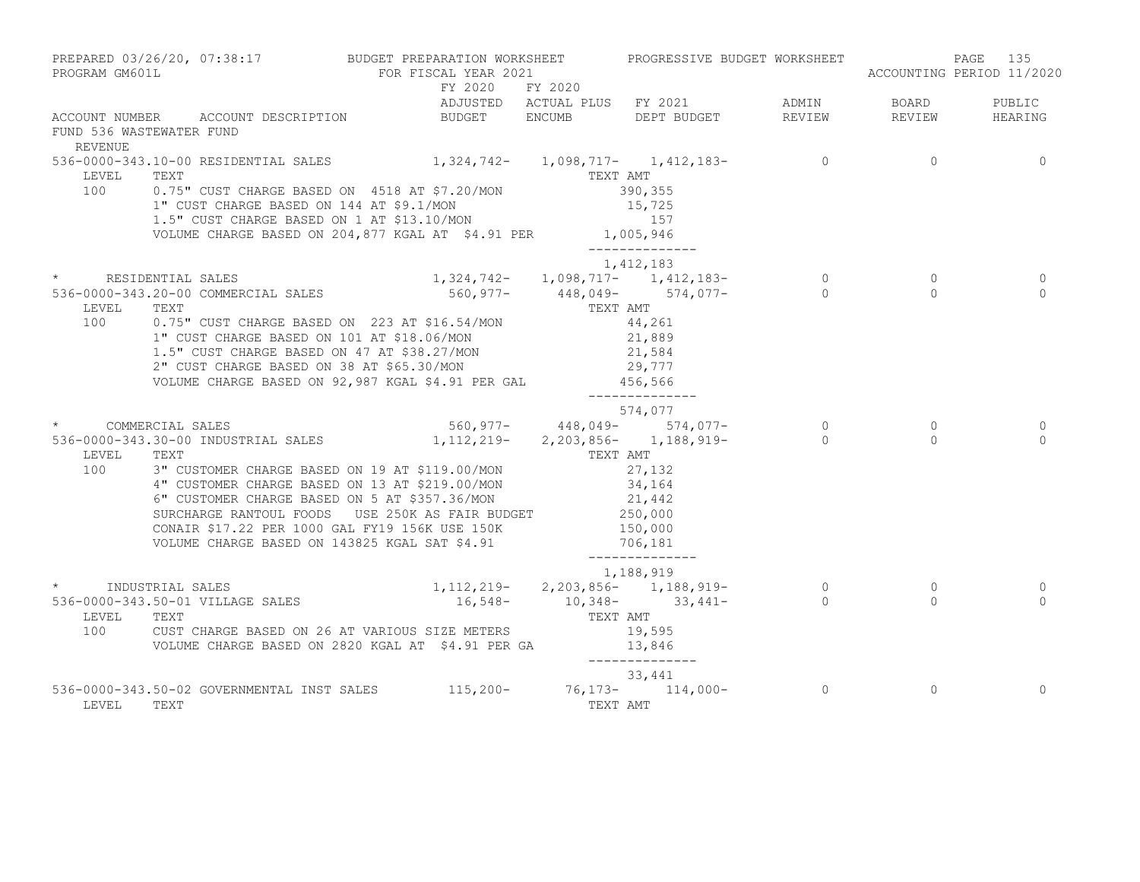| PROGRAM GM601L           | PREPARED 03/26/20, 07:38:17 BUDGET PREPARATION WORKSHEET PROGRESSIVE BUDGET WORKSHEET                                                                                                                                                                                                                                                                                                                                             | FOR FISCAL YEAR 2021              |          |                                                                                           |                                                         | 135<br>PAGE<br>ACCOUNTING PERIOD 11/2020 |
|--------------------------|-----------------------------------------------------------------------------------------------------------------------------------------------------------------------------------------------------------------------------------------------------------------------------------------------------------------------------------------------------------------------------------------------------------------------------------|-----------------------------------|----------|-------------------------------------------------------------------------------------------|---------------------------------------------------------|------------------------------------------|
| FUND 536 WASTEWATER FUND | ACCOUNT NUMBER ACCOUNT DESCRIPTION                                                                                                                                                                                                                                                                                                                                                                                                | FY 2020 FY 2020                   |          |                                                                                           |                                                         |                                          |
| REVENUE                  |                                                                                                                                                                                                                                                                                                                                                                                                                                   |                                   |          |                                                                                           |                                                         |                                          |
|                          | 536-0000-343.10-00 RESIDENTIAL SALES 1,324,742- 1,098,717- 1,412,183- 0<br>LEVEL TEXT TEXT<br>100 0.75" CUST CHARGE BASED ON 4518 AT \$7.20/MON<br>1" CUST CHARGE BASED ON 144 AT \$9.1/MON<br>1.5" CUST CHARGE BASED ON 1 AT \$13.10/MON<br>VOLUME CHARGE BASED ON 204,877 KGAL AT $$4.91$ PER 1,005,946                                                                                                                         |                                   |          | 390,355<br>15,725<br>157<br>______________                                                |                                                         | $\overline{0}$                           |
|                          |                                                                                                                                                                                                                                                                                                                                                                                                                                   |                                   |          | 1,412,183                                                                                 |                                                         |                                          |
| LEVEL<br>100             | * RESIDENTIAL SALES<br>536-0000-343.20-00 COMMERCIAL SALES<br>TEXT<br>0.75" CUST CHARGE BASED ON 223 AT \$16.54/MON 44,261<br>1" CUST CHARGE BASED ON 101 AT \$18.06/MON 21,889<br>1.5" CUST CHARGE BASED ON 47 AT \$38.27/MON<br>21,584<br>2" CUST CHARGE BASED ON 38 AT \$65.30/MON 29,777<br>29,777<br>29,777<br>29,777<br>29,777<br>29,777<br>29,777<br>29,777                                                                |                                   |          | 1,324,742-<br>560,977-<br>448,049-<br>TEXT AMT<br>574,077-<br>574,077-<br>_______________ | $\overline{0}$<br>$\begin{array}{c} 0 \\ 0 \end{array}$ | $\circ$<br>$\Omega$                      |
|                          |                                                                                                                                                                                                                                                                                                                                                                                                                                   |                                   |          | 574,077                                                                                   |                                                         |                                          |
| LEVEL TEXT               | * COMMERCIAL SALES<br>536-0000-343.30-00 INDUSTRIAL SALES 1,112,219- 2,203,856- 1,188,919- 0<br>100 3" CUSTOMER CHARGE BASED ON 19 AT \$119.00/MON<br>4" CUSTOMER CHARGE BASED ON 13 AT \$219.00/MON 34,164<br>6" CUSTOMER CHARGE BASED ON 5 AT \$357.36/MON 21,442<br>SURCHARGE RANTOUL FOODS USE 250K AS FAIR BUDGET 250,000<br>CONAIR \$17.22 PER 1000 GAL FY19 156K USE 150K<br>VOLUME CHARGE BASED ON 143825 KGAL SAT \$4.91 | $560,977 - 448,049 - 574,077 - 0$ | TEXT AMT | 27,132<br>150,000<br>706,181<br>______________                                            | $\overline{0}$<br>$\overline{0}$                        | $\circ$<br>$\bigcap$                     |
|                          | 1,188,919<br>1,112,219-2,203,856-1,188,919-0<br>16,548-10,348-33,441-33,441-0 10,348-33,441-0<br>LEVEL TEXT<br>100 CUST CHARGE BASED ON 26 AT VARIOUS SIZE METERS<br>19,595 VOLUME CHARGE BASED ON 2820 KGAL AT \$4.91 PER GA 13,846                                                                                                                                                                                              |                                   |          | 1,188,919<br>_______________                                                              | $\overline{0}$<br>$\bigcap$                             | $\circ$<br>$\cap$                        |
| LEVEL                    | 536-0000-343.50-02 GOVERNMENTAL INST SALES 115,200- 76,173- 114,000- 0<br>TEXT                                                                                                                                                                                                                                                                                                                                                    |                                   |          | 33,441<br>TEXT AMT                                                                        | $\circ$                                                 | $\mathbf 0$                              |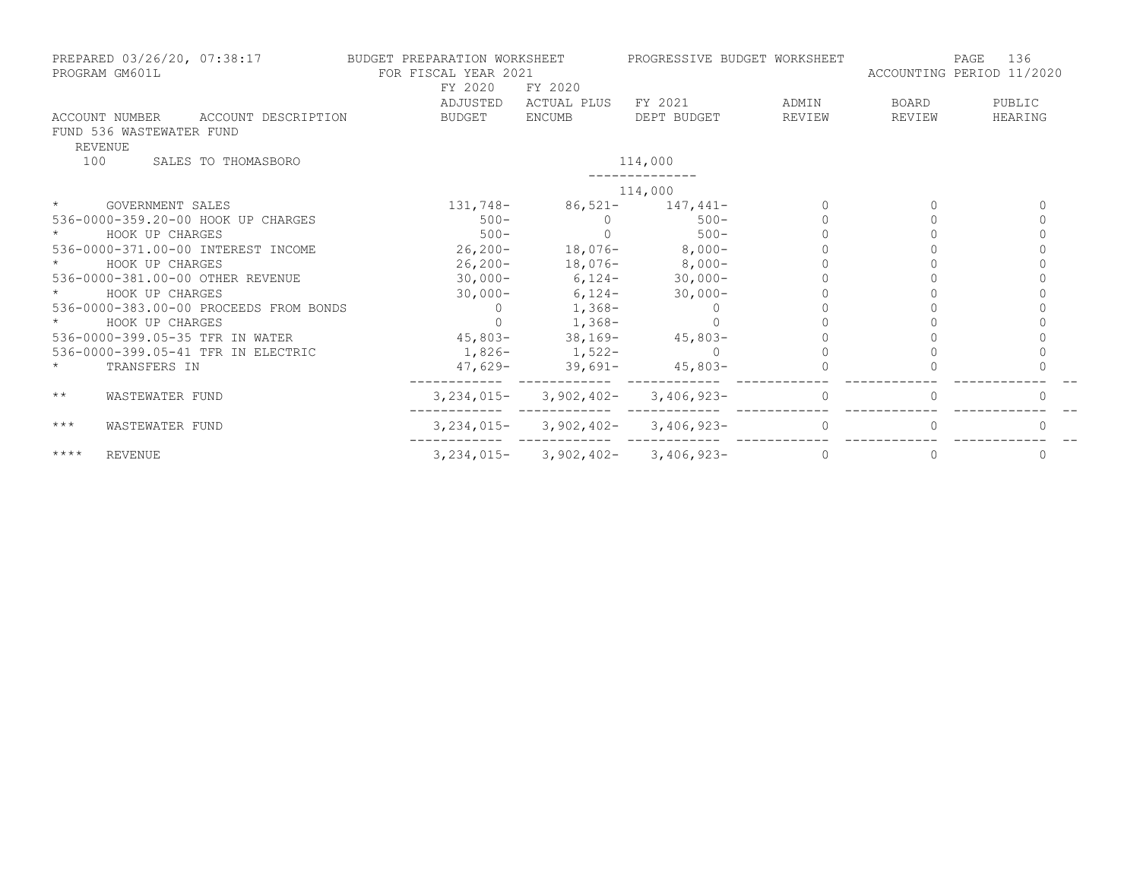| PREPARED 03/26/20, 07:38:17<br>PROGRAM GM601L                                | BUDGET PREPARATION WORKSHEET<br>FOR FISCAL YEAR 2021<br>FY 2020<br>FY 2020 |                   | PROGRESSIVE BUDGET WORKSHEET                |              | 136<br>PAGE<br>ACCOUNTING PERIOD 11/2020 |         |  |
|------------------------------------------------------------------------------|----------------------------------------------------------------------------|-------------------|---------------------------------------------|--------------|------------------------------------------|---------|--|
|                                                                              | ADJUSTED                                                                   | ACTUAL PLUS       | FY 2021                                     | ADMIN        | BOARD                                    | PUBLIC  |  |
| ACCOUNT DESCRIPTION<br>ACCOUNT NUMBER<br>FUND 536 WASTEWATER FUND<br>REVENUE | BUDGET                                                                     | ENCUMB            | DEPT BUDGET                                 | REVIEW       | REVIEW                                   | HEARING |  |
| 100<br>SALES TO THOMASBORO                                                   |                                                                            |                   | 114,000                                     |              |                                          |         |  |
|                                                                              |                                                                            |                   | 114,000                                     |              |                                          |         |  |
| $\star$<br>GOVERNMENT SALES                                                  | 131,748-                                                                   |                   | $86,521 - 147,441 -$                        |              |                                          |         |  |
| 536-0000-359.20-00 HOOK UP CHARGES                                           | $500 -$                                                                    | $\Omega$          | $500 -$                                     |              |                                          |         |  |
| HOOK UP CHARGES                                                              | $500 -$                                                                    | $\cap$            | $500 -$                                     |              |                                          |         |  |
| 536-0000-371.00-00 INTEREST INCOME                                           | $26, 200 -$                                                                |                   | $18,076-$ 8,000-                            |              |                                          |         |  |
| HOOK UP CHARGES                                                              | 26,200-                                                                    |                   | $18,076-$ 8,000-                            |              |                                          |         |  |
| 536-0000-381.00-00 OTHER REVENUE                                             | $30,000 -$                                                                 |                   | $6,124-$ 30,000-                            |              |                                          |         |  |
| HOOK UP CHARGES                                                              | $30,000 -$                                                                 |                   | $6,124-30,000-$                             |              |                                          |         |  |
| 536-0000-383.00-00 PROCEEDS FROM BONDS                                       |                                                                            | $1,368-$          |                                             |              |                                          |         |  |
| HOOK UP CHARGES                                                              |                                                                            | $1,368-$          |                                             |              |                                          |         |  |
| 536-0000-399.05-35 TFR IN WATER                                              |                                                                            |                   | $45,803-$ 38,169- $45,803-$                 |              |                                          |         |  |
| 536-0000-399.05-41 TFR IN ELECTRIC                                           |                                                                            | $1,826-1,522-$    |                                             |              |                                          |         |  |
| $\star$<br>TRANSFERS IN                                                      |                                                                            | $47,629-$ 39,691- | $45,803-$                                   |              |                                          |         |  |
| $\star\star$<br>WASTEWATER FUND                                              | $3,234,015-$                                                               | 3,902,402-        | $3,406,923-$                                | 0            | $\Omega$                                 |         |  |
| $***$<br>WASTEWATER FUND                                                     |                                                                            |                   | $3,234,015 - 3,902,402 - 3,406,923 -$       | $\mathbf{0}$ |                                          |         |  |
| $***$ * * *<br>REVENUE                                                       |                                                                            |                   | $3, 234, 015 - 3, 902, 402 - 3, 406, 923 -$ | $\Omega$     |                                          |         |  |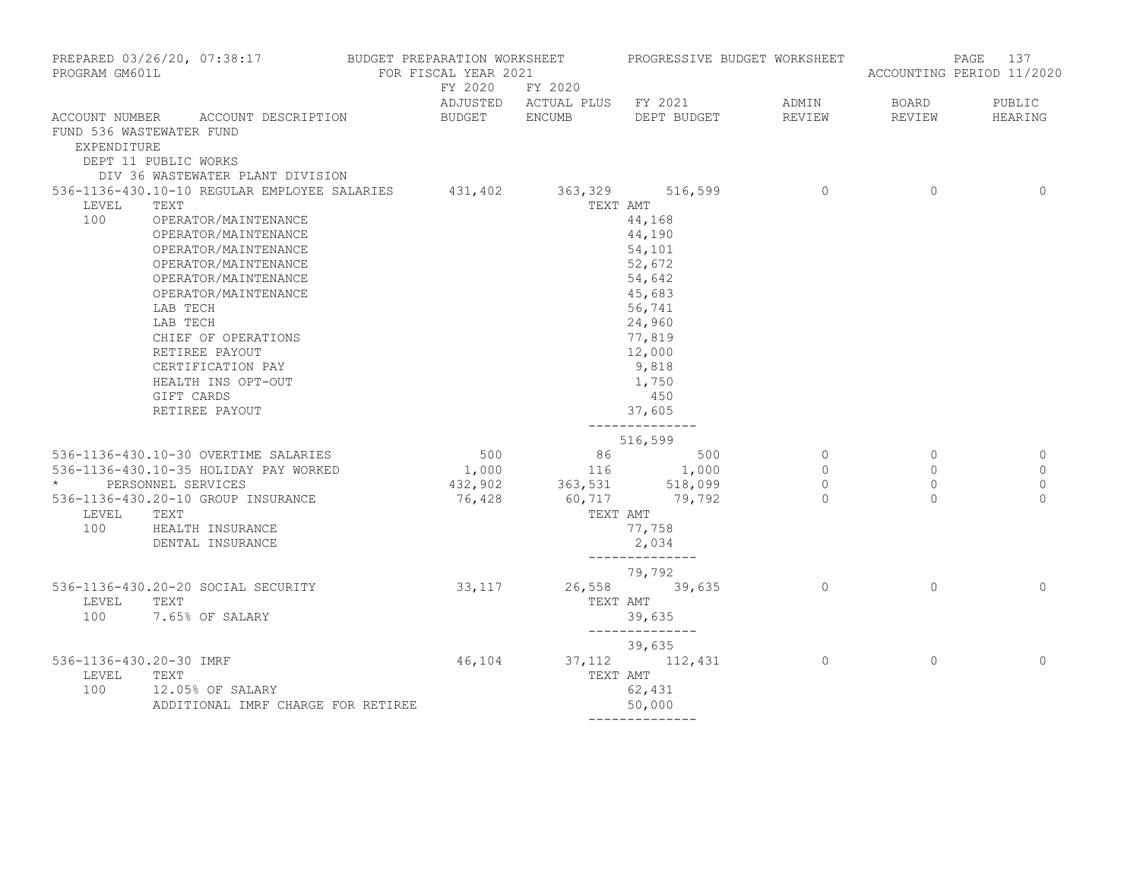| PROGRAM GM601L                          | PREPARED 03/26/20, 07:38:17 BUDGET PREPARATION WORKSHEET PROGRESSIVE BUDGET WORKSHEET                                                                                                                                                                                                                                                                                    | FOR FISCAL YEAR 2021 |                                      |                                                                                                                                                       |                                                  |                                                  | PAGE<br>137<br>ACCOUNTING PERIOD 11/2020     |
|-----------------------------------------|--------------------------------------------------------------------------------------------------------------------------------------------------------------------------------------------------------------------------------------------------------------------------------------------------------------------------------------------------------------------------|----------------------|--------------------------------------|-------------------------------------------------------------------------------------------------------------------------------------------------------|--------------------------------------------------|--------------------------------------------------|----------------------------------------------|
|                                         |                                                                                                                                                                                                                                                                                                                                                                          |                      | FY 2020 FY 2020                      | ADJUSTED ACTUAL PLUS FY 2021 ADMIN                                                                                                                    |                                                  | BOARD                                            | PUBLIC                                       |
| FUND 536 WASTEWATER FUND<br>EXPENDITURE | ACCOUNT NUMBER ACCOUNT DESCRIPTION<br>DEPT 11 PUBLIC WORKS<br>DIV 36 WASTEWATER PLANT DIVISION                                                                                                                                                                                                                                                                           |                      |                                      | BUDGET ENCUMB DEPT BUDGET                                                                                                                             | REVIEW                                           | REVIEW                                           | HEARING                                      |
| LEVEL<br>100                            | 536-1136-430.10-10 REGULAR EMPLOYEE SALARIES 431,402 363,329 516,599<br>TEXT<br>OPERATOR/MAINTENANCE<br>OPERATOR/MAINTENANCE<br>OPERATOR/MAINTENANCE<br>OPERATOR/MAINTENANCE<br>OPERATOR/MAINTENANCE<br>OPERATOR/MAINTENANCE<br>LAB TECH<br>LAB TECH<br>CHIEF OF OPERATIONS<br>RETIREE PAYOUT<br>CERTIFICATION PAY<br>HEALTH INS OPT-OUT<br>GIFT CARDS<br>RETIREE PAYOUT |                      | TEXT AMT                             | 44,168<br>44,190<br>54,101<br>52,672<br>54,642<br>45,683<br>56,741<br>24,960<br>77,819<br>12,000<br>9,818<br>1,750<br>450<br>37,605<br>-------------- | $\overline{0}$                                   | $\overline{0}$                                   | $\mathbf{0}$                                 |
| LEVEL TEXT<br>100                       | 536-1136-430.10-30 OVERTIME SALARIES<br>536-1136-430.10-35 HOLIDAY PAY WORKED<br>* PERSONNEL SERVICES<br>536-1136-430.20-10 GROUP INSURANCE<br>HEALTH INSURANCE<br>DENTAL INSURANCE                                                                                                                                                                                      | 500<br>76,428        | 432,902 363,531 518,099<br>TEXT AMT  | 516,599<br>$\begin{array}{cccc} 500 & & 86 & & 500 \\ 1,000 & & & 116 & & 1,000 \end{array}$<br>60,717 79,792<br>77,758<br>2,034<br>--------------    | $\overline{0}$<br>$\circ$<br>$\circ$<br>$\Omega$ | $\circ$<br>$\overline{0}$<br>$\circ$<br>$\Omega$ | 0<br>$\mathbf 0$<br>$\mathbf{0}$<br>$\Omega$ |
| LEVEL<br>100                            | 536-1136-430.20-20 SOCIAL SECURITY<br>TEXT<br>7.65% OF SALARY                                                                                                                                                                                                                                                                                                            | 33, 117              |                                      | 79,792<br>26,558 39,635<br>TEXT AMT<br>39,635<br>--------------                                                                                       | $\overline{0}$                                   | $\Omega$                                         | $\mathbf{0}$                                 |
| 536-1136-430.20-30 IMRF<br>LEVEL<br>100 | TEXT<br>12.05% OF SALARY<br>ADDITIONAL IMRF CHARGE FOR RETIREE                                                                                                                                                                                                                                                                                                           |                      | 46, 104 37, 112 112, 431<br>TEXT AMT | 39,635<br>62,431<br>50,000                                                                                                                            | $\sim$ 0                                         | $\Omega$                                         | $\mathbf{0}$                                 |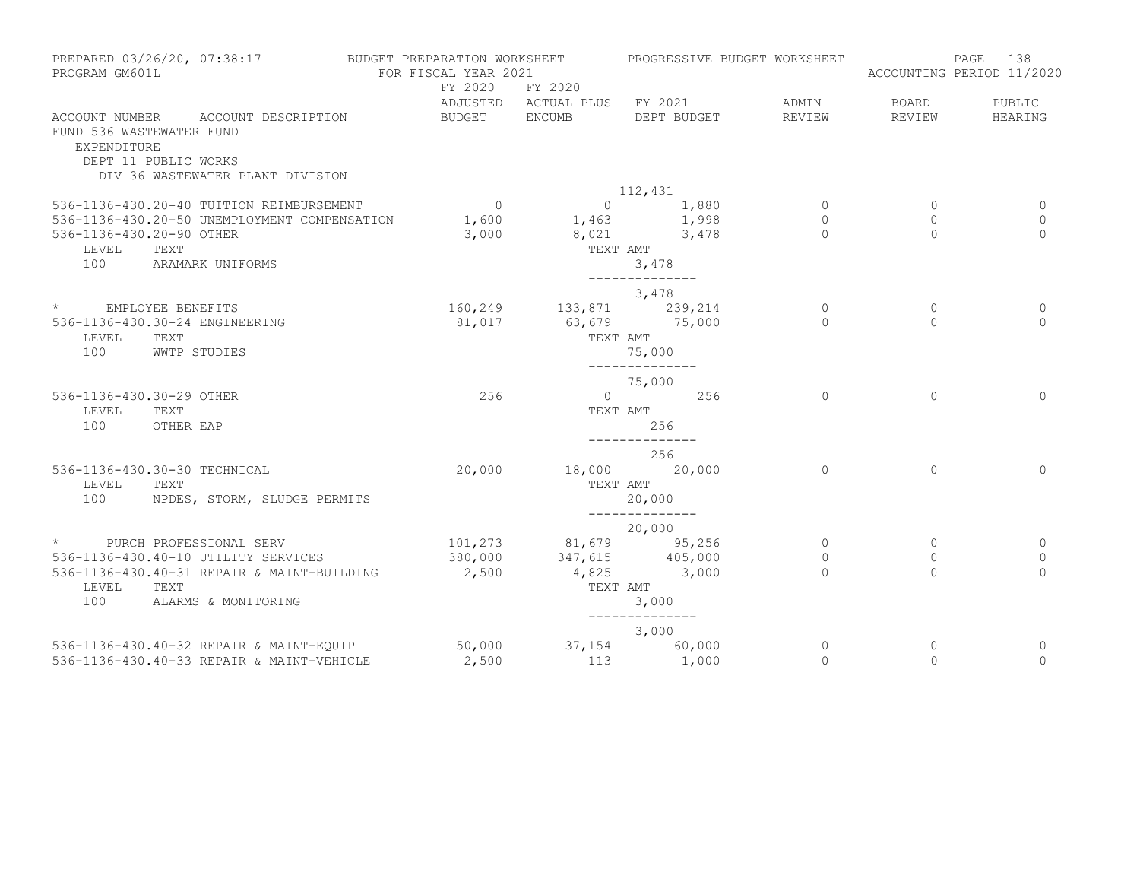| PROGRAM GM601L                          | PREPARED 03/26/20, 07:38:17                                | BUDGET PREPARATION WORKSHEET<br>FOR FISCAL YEAR 2021 |                            | PROGRESSIVE BUDGET WORKSHEET                                      |             |              | 138<br>PAGE<br>ACCOUNTING PERIOD 11/2020 |
|-----------------------------------------|------------------------------------------------------------|------------------------------------------------------|----------------------------|-------------------------------------------------------------------|-------------|--------------|------------------------------------------|
|                                         |                                                            | FY 2020                                              | FY 2020                    |                                                                   |             |              |                                          |
|                                         |                                                            |                                                      |                            | ADJUSTED ACTUAL PLUS FY 2021                                      | ADMIN       | <b>BOARD</b> | PUBLIC                                   |
| FUND 536 WASTEWATER FUND<br>EXPENDITURE | ACCOUNT NUMBER ACCOUNT DESCRIPTION<br>DEPT 11 PUBLIC WORKS | BUDGET ENCUMB                                        |                            | DEPT BUDGET                                                       | REVIEW      | REVIEW       | HEARING                                  |
|                                         | DIV 36 WASTEWATER PLANT DIVISION                           |                                                      |                            |                                                                   |             |              |                                          |
|                                         |                                                            |                                                      |                            | 112,431                                                           |             |              |                                          |
|                                         | 536-1136-430.20-40 TUITION REIMBURSEMENT                   | $\overline{0}$                                       |                            | $\begin{array}{ccc} & 0 & & 1,880 \\ 1,463 & & 1,998 \end{array}$ | $\circ$     | $\circ$      | 0                                        |
|                                         | 536-1136-430.20-50 UNEMPLOYMENT COMPENSATION               | 1,600                                                |                            |                                                                   | $\circ$     | $\circ$      | $\mathbf{0}$                             |
| 536-1136-430.20-90 OTHER                |                                                            | 3,000                                                |                            | 8,021 3,478                                                       | $\cap$      | $\Omega$     | $\Omega$                                 |
| LEVEL                                   | TEXT                                                       |                                                      |                            | TEXT AMT                                                          |             |              |                                          |
| 100                                     | ARAMARK UNIFORMS                                           |                                                      |                            | 3,478<br>______________                                           |             |              |                                          |
|                                         |                                                            |                                                      |                            | 3,478                                                             |             |              |                                          |
| * EMPLOYEE BENEFITS                     |                                                            |                                                      | 160, 249 133, 871 239, 214 |                                                                   | $\circ$     | $\circ$      | 0                                        |
|                                         | 536-1136-430.30-24 ENGINEERING                             | 81,017                                               |                            | 63,679 75,000                                                     | $\Omega$    | $\Omega$     | $\Omega$                                 |
| LEVEL                                   | TEXT                                                       |                                                      |                            | TEXT AMT                                                          |             |              |                                          |
| 100                                     | WWTP STUDIES                                               |                                                      |                            | 75,000                                                            |             |              |                                          |
|                                         |                                                            |                                                      |                            | ______________                                                    |             |              |                                          |
|                                         |                                                            |                                                      |                            | 75,000                                                            |             |              |                                          |
| 536-1136-430.30-29 OTHER                |                                                            | 256                                                  |                            | $0 \qquad \qquad 256$                                             | $\Omega$    | $\circ$      | $\Omega$                                 |
| LEVEL                                   | TEXT                                                       |                                                      |                            | TEXT AMT                                                          |             |              |                                          |
| 100                                     | OTHER EAP                                                  |                                                      |                            | 256<br>--------------                                             |             |              |                                          |
|                                         |                                                            |                                                      |                            | 256                                                               |             |              |                                          |
|                                         | 536-1136-430.30-30 TECHNICAL                               | 20,000                                               |                            | 18,000 20,000                                                     | $\Omega$    | $\Omega$     | $\Omega$                                 |
| LEVEL                                   | TEXT                                                       |                                                      | TEXT AMT                   |                                                                   |             |              |                                          |
| 100                                     | NPDES, STORM, SLUDGE PERMITS                               |                                                      |                            | 20,000                                                            |             |              |                                          |
|                                         |                                                            |                                                      |                            | --------------                                                    |             |              |                                          |
|                                         | * PURCH PROFESSIONAL SERV                                  |                                                      | 101,273 81,679 95,256      | 20,000                                                            | $\circ$     | $\mathbf{0}$ | 0                                        |
|                                         | 536-1136-430.40-10 UTILITY SERVICES                        | 380,000                                              |                            | $347,615$ $405,000$                                               | $\mathbf 0$ | $\circ$      | $\mathbf{0}$                             |
|                                         | 536-1136-430.40-31 REPAIR & MAINT-BUILDING                 | 2,500                                                |                            | 4,825 3,000                                                       | $\Omega$    | $\Omega$     | $\Omega$                                 |
| LEVEL                                   | TEXT                                                       |                                                      | TEXT AMT                   |                                                                   |             |              |                                          |
| 100                                     | ALARMS & MONITORING                                        |                                                      |                            | 3,000                                                             |             |              |                                          |
|                                         |                                                            |                                                      |                            |                                                                   |             |              |                                          |
|                                         |                                                            |                                                      |                            | 3,000                                                             |             |              |                                          |
|                                         | 536-1136-430.40-32 REPAIR & MAINT-EQUIP                    | 50,000                                               | $37,154$ 60,000            |                                                                   | $\circ$     | $\circ$      | 0                                        |
|                                         | 536-1136-430.40-33 REPAIR & MAINT-VEHICLE                  | 2,500                                                | 113                        | 1,000                                                             | $\circ$     | $\circ$      | $\circ$                                  |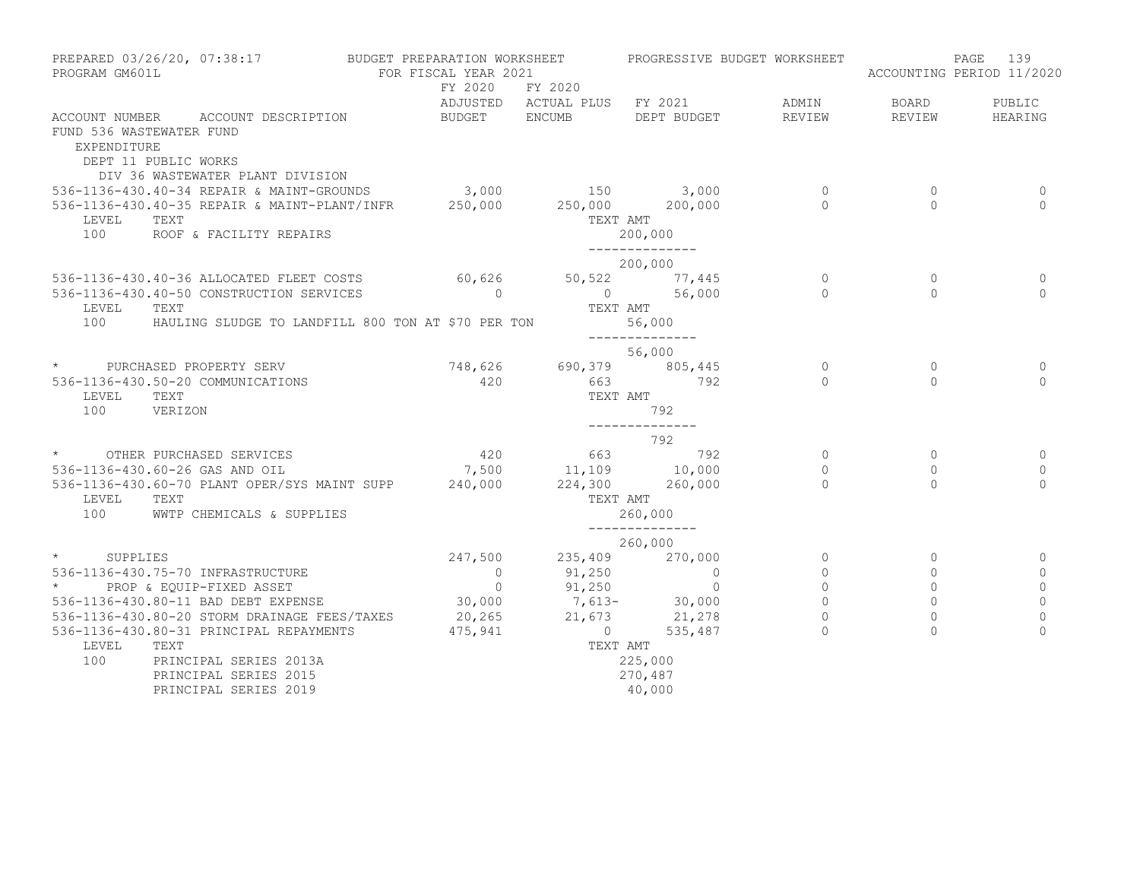| PROGRAM GM601L                          | PREPARED 03/26/20, 07:38:17                                                                    | BUDGET PREPARATION WORKSHEET<br>FOR FISCAL YEAR 2021 |                         | PROGRESSIVE BUDGET WORKSHEET |             |              | 139<br>PAGE<br>ACCOUNTING PERIOD 11/2020 |
|-----------------------------------------|------------------------------------------------------------------------------------------------|------------------------------------------------------|-------------------------|------------------------------|-------------|--------------|------------------------------------------|
|                                         |                                                                                                | FY 2020                                              | FY 2020                 | ADJUSTED ACTUAL PLUS FY 2021 | ADMIN       | BOARD        | PUBLIC                                   |
| FUND 536 WASTEWATER FUND<br>EXPENDITURE | ACCOUNT NUMBER ACCOUNT DESCRIPTION<br>DEPT 11 PUBLIC WORKS<br>DIV 36 WASTEWATER PLANT DIVISION | <b>BUDGET</b>                                        | ENCUMB                  | DEPT BUDGET                  | REVIEW      | REVIEW       | HEARING                                  |
|                                         | 536-1136-430.40-34 REPAIR & MAINT-GROUNDS 3,000 150 3,000                                      |                                                      |                         |                              | 0           | 0            | 0                                        |
|                                         | 536-1136-430.40-35 REPAIR & MAINT-PLANT/INFR                                                   | 250,000                                              | 250,000 200,000         |                              | $\Omega$    | $\Omega$     | $\bigcap$                                |
| LEVEL<br>100                            | TEXT<br>ROOF & FACILITY REPAIRS                                                                |                                                      |                         | TEXT AMT<br>200,000          |             |              |                                          |
|                                         |                                                                                                |                                                      |                         | --------------<br>200,000    |             |              |                                          |
|                                         | 536-1136-430.40-36 ALLOCATED FLEET COSTS 60,626                                                |                                                      |                         | 50,522 77,445                | $\circ$     | $\mathbf{0}$ | 0                                        |
|                                         | 536-1136-430.40-50 CONSTRUCTION SERVICES                                                       | $\overline{0}$                                       |                         | 0 56,000                     | $\Omega$    | $\Omega$     | $\Omega$                                 |
| LEVEL                                   | TEXT                                                                                           |                                                      | TEXT AMT                |                              |             |              |                                          |
| 100                                     | HAULING SLUDGE TO LANDFILL 800 TON AT \$70 PER TON                                             |                                                      |                         | 56,000<br>--------------     |             |              |                                          |
|                                         |                                                                                                |                                                      |                         | 56,000                       |             |              |                                          |
|                                         | * PURCHASED PROPERTY SERV                                                                      | 748,626                                              |                         | 690,379 805,445              | $\circ$     | $\circ$      | $\mathbf{0}$                             |
|                                         | 536-1136-430.50-20 COMMUNICATIONS                                                              | 420                                                  |                         | 663 792                      | $\Omega$    | $\Omega$     | $\Omega$                                 |
| LEVEL<br>100                            | TEXT<br>VERIZON                                                                                |                                                      | TEXT AMT                | 792                          |             |              |                                          |
|                                         |                                                                                                |                                                      |                         | ______________<br>792        |             |              |                                          |
|                                         | * OTHER PURCHASED SERVICES                                                                     | 420                                                  |                         | $663$ $792$                  | $\circ$     | $\circ$      | 0                                        |
|                                         | 536-1136-430.60-26 GAS AND OIL                                                                 |                                                      | 7,500 11,109 10,000     |                              | $\Omega$    | $\Omega$     | $\mathbf{0}$                             |
|                                         | 536-1136-430.60-70 PLANT OPER/SYS MAINT SUPP 240,000                                           |                                                      |                         | 224,300 260,000              | $\Omega$    | $\Omega$     | $\Omega$                                 |
| LEVEL                                   | TEXT                                                                                           |                                                      | TEXT AMT                |                              |             |              |                                          |
| 100 - 100                               | WWTP CHEMICALS & SUPPLIES                                                                      |                                                      |                         | 260,000                      |             |              |                                          |
|                                         |                                                                                                |                                                      |                         | --------------<br>260,000    |             |              |                                          |
| $\star$ and $\star$<br>SUPPLIES         |                                                                                                | 247,500                                              | 235,409                 | 270,000                      | $\circ$     | $\circ$      | $\Omega$                                 |
|                                         | 536-1136-430.75-70 INFRASTRUCTURE                                                              | $\overline{0}$                                       | 91,250                  | $\overline{0}$               | $\mathbf 0$ | $\circ$      | $\mathbf{0}$                             |
| $\star$ and $\star$                     | PROP & EQUIP-FIXED ASSET                                                                       | $\overline{0}$                                       | 91,250                  | $\sim$ 0                     | $\mathbf 0$ | $\mathbf 0$  | 0                                        |
|                                         | 536-1136-430.80-11 BAD DEBT EXPENSE                                                            |                                                      | $30,000$ $7,613 30,000$ |                              | $\Omega$    | $\Omega$     | $\circ$                                  |
|                                         | 536-1136-430.80-20 STORM DRAINAGE FEES/TAXES                                                   | 20,265                                               |                         | 21,673 21,278                | $\Omega$    | $\Omega$     | $\Omega$                                 |
|                                         | 536-1136-430.80-31 PRINCIPAL REPAYMENTS                                                        | 475,941                                              | $\overline{0}$          | 535,487                      |             | $\Omega$     | $\Omega$                                 |
| LEVEL                                   | TEXT                                                                                           |                                                      | TEXT AMT                |                              |             |              |                                          |
| 100                                     | PRINCIPAL SERIES 2013A                                                                         |                                                      |                         | 225,000                      |             |              |                                          |
|                                         | PRINCIPAL SERIES 2015                                                                          |                                                      |                         | 270,487                      |             |              |                                          |
|                                         | PRINCIPAL SERIES 2019                                                                          |                                                      |                         | 40,000                       |             |              |                                          |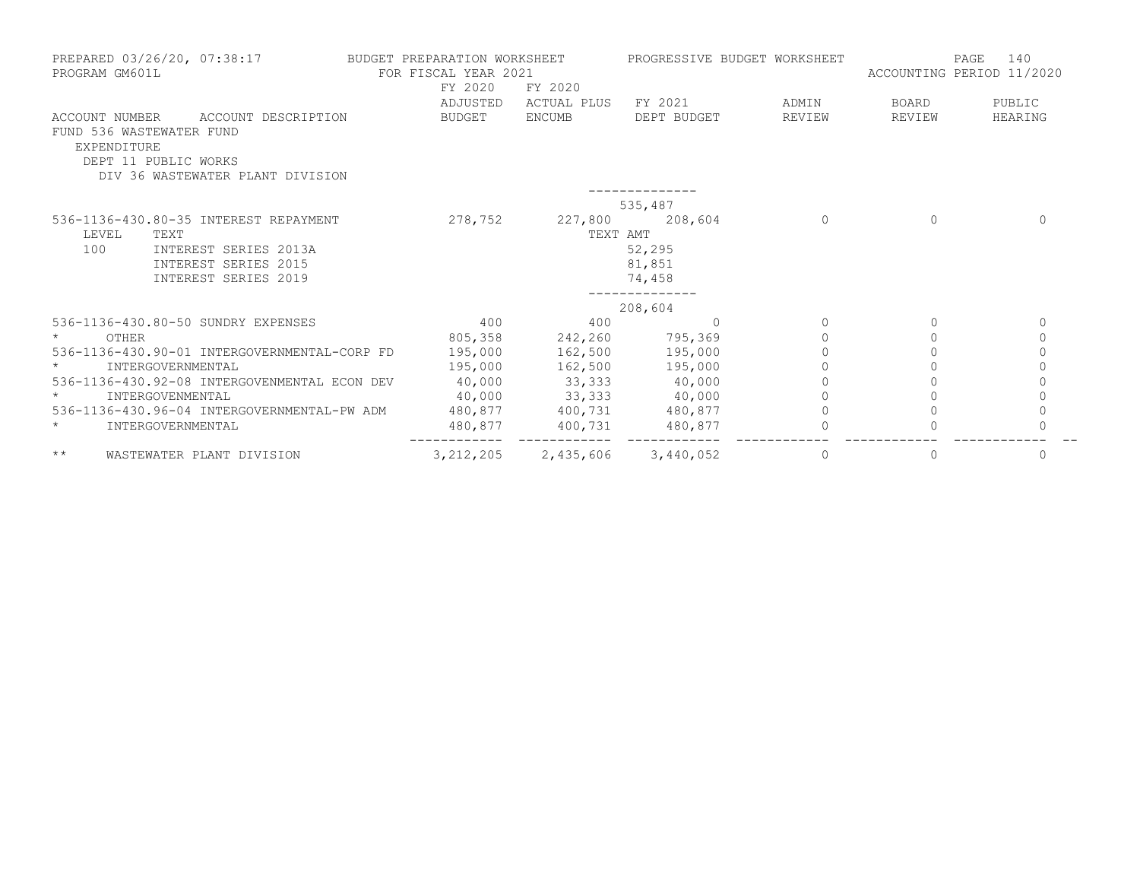| PROGRAM GM601L                | PREPARED 03/26/20, 07:38:17                                                                                            | BUDGET PREPARATION WORKSHEET<br>FOR FISCAL YEAR 2021<br>FY 2020 | FY 2020                     | PROGRESSIVE BUDGET WORKSHEET |                 | PAGE<br>ACCOUNTING PERIOD 11/2020 | 140               |
|-------------------------------|------------------------------------------------------------------------------------------------------------------------|-----------------------------------------------------------------|-----------------------------|------------------------------|-----------------|-----------------------------------|-------------------|
| ACCOUNT NUMBER<br>EXPENDITURE | ACCOUNT DESCRIPTION<br>FUND 536 WASTEWATER FUND<br>DEPT 11 PUBLIC WORKS<br>DIV 36 WASTEWATER PLANT DIVISION            | ADJUSTED<br>BUDGET                                              | ACTUAL PLUS<br>ENCUMB       | FY 2021<br>DEPT BUDGET       | ADMIN<br>REVIEW | BOARD<br>REVIEW                   | PUBLIC<br>HEARING |
|                               |                                                                                                                        |                                                                 |                             | 535,487                      |                 |                                   |                   |
| LEVEL<br>100                  | 536-1136-430.80-35 INTEREST REPAYMENT<br>TEXT<br>INTEREST SERIES 2013A<br>INTEREST SERIES 2015<br>INTEREST SERIES 2019 | 278,752                                                         | 227,800 208,604<br>TEXT AMT | 52,295<br>81,851<br>74,458   | $\Omega$        | $\Omega$                          | $\Omega$          |
|                               |                                                                                                                        |                                                                 |                             | 208,604                      |                 |                                   |                   |
|                               | 536-1136-430.80-50 SUNDRY EXPENSES                                                                                     | 400                                                             | 400                         | $\Omega$                     | $\Omega$        | $\Omega$                          | $\mathbf{0}$      |
| OTHER                         |                                                                                                                        | 805,358                                                         | 242,260 795,369             |                              |                 | $\bigcap$                         | $\Omega$          |
|                               | 536-1136-430.90-01 INTERGOVERNMENTAL-CORP FD                                                                           | 195,000                                                         | 162,500 195,000             |                              |                 |                                   |                   |
|                               | INTERGOVERNMENTAL                                                                                                      | 195,000                                                         | 162,500 195,000             |                              |                 |                                   | $\circ$           |
|                               | 536-1136-430.92-08 INTERGOVENMENTAL ECON DEV                                                                           | 40,000                                                          | 33,333 40,000               |                              |                 |                                   | $\Omega$          |
|                               | INTERGOVENMENTAL                                                                                                       | 40,000                                                          | $33,333$ 40,000             |                              |                 |                                   | $\circ$           |
|                               | 536-1136-430.96-04 INTERGOVERNMENTAL-PW ADM                                                                            |                                                                 | 480,877 400,731 480,877     |                              |                 |                                   | $\circ$           |
| $\star$                       | INTERGOVERNMENTAL                                                                                                      | 480,877                                                         | 400,731                     | 480,877                      |                 |                                   | $\Omega$          |
| $\star\star$                  | WASTEWATER PLANT DIVISION                                                                                              | 3, 212, 205                                                     | 2,435,606                   | 3,440,052                    | 0               | $\mathbf{0}$                      | $\mathbf{0}$      |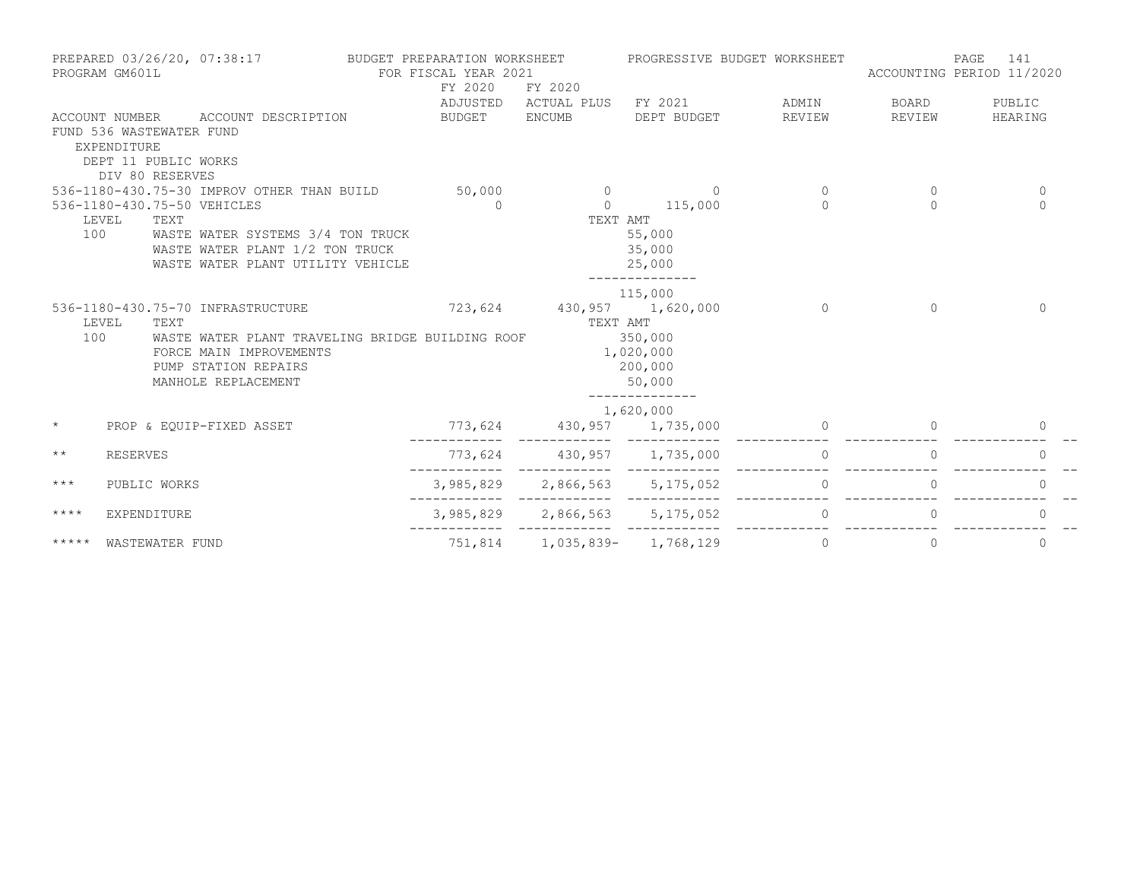|              | PROGRAM GM601L                                                                     | PREPARED 03/26/20, 07:38:17 BUDGET PREPARATION WORKSHEET                                                                                                        | FOR FISCAL YEAR 2021<br>FY 2020 | FY 2020                               |                                                                        | PROGRESSIVE BUDGET WORKSHEET                 | ACCOUNTING PERIOD 11/2020 | PAGE<br>141          |
|--------------|------------------------------------------------------------------------------------|-----------------------------------------------------------------------------------------------------------------------------------------------------------------|---------------------------------|---------------------------------------|------------------------------------------------------------------------|----------------------------------------------|---------------------------|----------------------|
|              | FUND 536 WASTEWATER FUND<br>EXPENDITURE<br>DEPT 11 PUBLIC WORKS<br>DIV 80 RESERVES | ACCOUNT NUMBER ACCOUNT DESCRIPTION                                                                                                                              |                                 |                                       | BUDGET ENCUMB DEPT BUDGET                                              | ADJUSTED ACTUAL PLUS FY 2021 ADMIN<br>REVIEW | BOARD<br>REVIEW           | PUBLIC<br>HEARING    |
|              | 536-1180-430.75-50 VEHICLES                                                        | 536-1180-430.75-30 IMPROV OTHER THAN BUILD 50,000                                                                                                               | $\overline{a}$                  |                                       | $0 \t 115,000$                                                         | $\Omega$<br>$\cap$                           | $\Omega$<br>$\cap$        | $\Omega$<br>$\Omega$ |
| 100          | LEVEL<br>TEXT                                                                      | WASTE WATER SYSTEMS 3/4 TON TRUCK<br>WASTE WATER PLANT 1/2 TON TRUCK<br>WASTE WATER PLANT UTILITY VEHICLE                                                       |                                 | TEXT AMT                              | 55,000<br>35,000<br>25,000                                             |                                              |                           |                      |
| 100          | LEVEL<br>TEXT                                                                      | 536-1180-430.75-70 INFRASTRUCTURE<br>WASTE WATER PLANT TRAVELING BRIDGE BUILDING ROOF<br>FORCE MAIN IMPROVEMENTS<br>PUMP STATION REPAIRS<br>MANHOLE REPLACEMENT |                                 | 723,624 430,957 1,620,000<br>TEXT AMT | 115,000<br>350,000<br>1,020,000<br>200,000<br>50,000<br>______________ | $\Omega$                                     | $\Omega$                  | $\Omega$             |
| $\star$      |                                                                                    | PROP & EQUIP-FIXED ASSET                                                                                                                                        |                                 | 773,624 430,957 1,735,000             | 1,620,000                                                              |                                              |                           | $\Omega$             |
| $\star\star$ | <b>RESERVES</b>                                                                    |                                                                                                                                                                 |                                 | 773,624 430,957 1,735,000             |                                                                        | $\circ$                                      | $\circ$                   | $\Omega$             |
| $***$        | PUBLIC WORKS                                                                       |                                                                                                                                                                 |                                 | 3,985,829 2,866,563 5,175,052         |                                                                        | $\Omega$                                     | $\Omega$                  | $\Omega$             |
| $***$ * * *  | EXPENDITURE                                                                        |                                                                                                                                                                 |                                 |                                       | 3,985,829 2,866,563 5,175,052                                          | $\overline{a}$                               | $\Omega$                  | $\Omega$             |
| *****        | WASTEWATER FUND                                                                    |                                                                                                                                                                 |                                 | 751,814 1,035,839- 1,768,129          |                                                                        | $\circ$                                      | $\circ$                   | $\mathbf 0$          |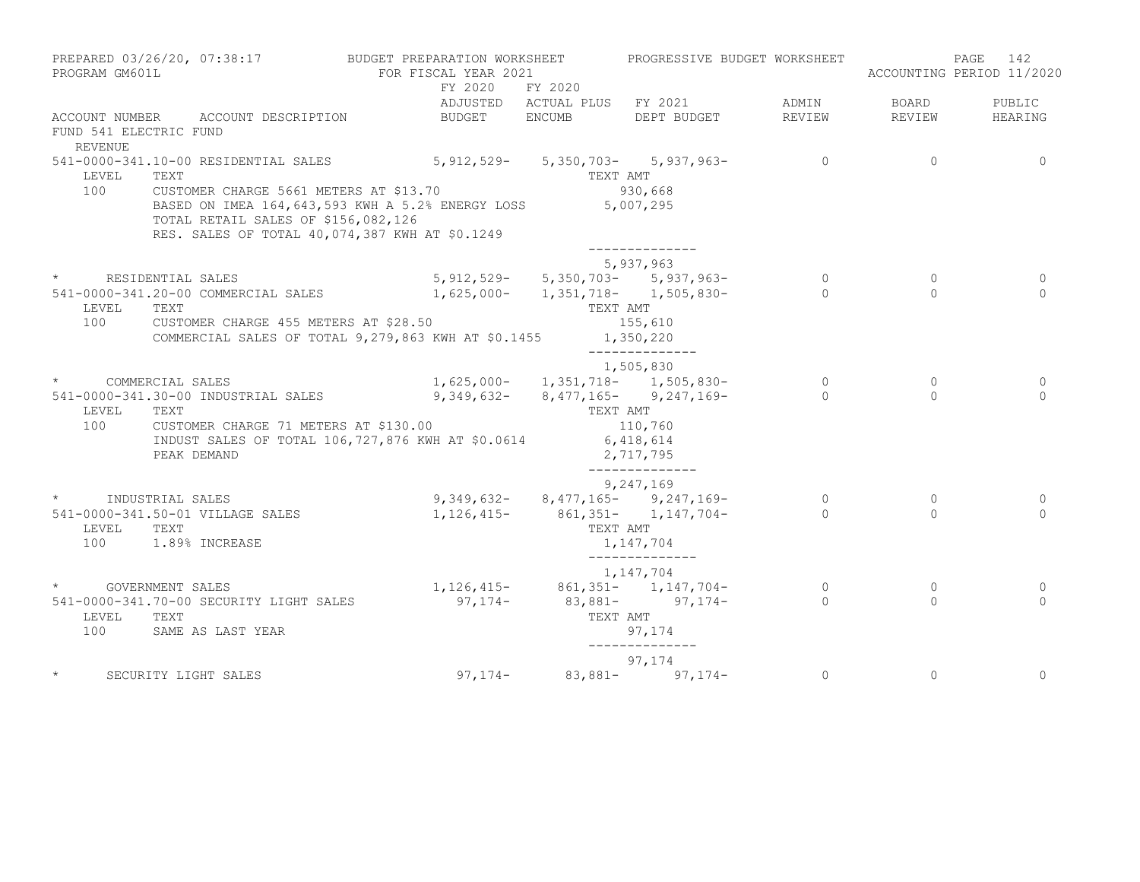| PROGRAM GM601L                    |                                         |                                                                                                                                                            | PREPARED 03/26/20, 07:38:17 BUDGET PREPARATION WORKSHEET PROGRESSIVE BUDGET WORKSHEET<br>FOR FISCAL YEAR 2021 |                                       |                |                | 142<br>PAGE<br>ACCOUNTING PERIOD 11/2020 |
|-----------------------------------|-----------------------------------------|------------------------------------------------------------------------------------------------------------------------------------------------------------|---------------------------------------------------------------------------------------------------------------|---------------------------------------|----------------|----------------|------------------------------------------|
|                                   |                                         |                                                                                                                                                            | FY 2020 FY 2020                                                                                               | ADJUSTED ACTUAL PLUS FY 2021          | ADMIN          | <b>BOARD</b>   | PUBLIC                                   |
| FUND 541 ELECTRIC FUND<br>REVENUE | ACCOUNT NUMBER ACCOUNT DESCRIPTION      | BUDGET ENCUMB                                                                                                                                              |                                                                                                               | DEPT BUDGET                           | REVIEW         | REVIEW         | HEARING                                  |
| LEVEL                             | TEXT                                    | 541-0000-341.10-00 RESIDENTIAL SALES 5, 912, 529-5, 350, 703-5, 937, 963-                                                                                  | TEXT AMT                                                                                                      |                                       | $\overline{0}$ | $\overline{0}$ | $\Omega$                                 |
| 100                               | TOTAL RETAIL SALES OF \$156,082,126     | CUSTOMER CHARGE 5661 METERS AT \$13.70<br>BASED ON IMEA 164, 643, 593 KWH A 5.2% ENERGY LOSS 5, 007, 295<br>RES. SALES OF TOTAL 40,074,387 KWH AT \$0.1249 |                                                                                                               | 930,668                               |                |                |                                          |
|                                   |                                         |                                                                                                                                                            |                                                                                                               | 5,937,963                             |                |                |                                          |
|                                   | * RESIDENTIAL SALES                     |                                                                                                                                                            |                                                                                                               | $5,912,529 - 5,350,703 - 5,937,963 -$ | $\overline{0}$ | $\circ$        | 0                                        |
|                                   |                                         | 541-0000-341.20-00 COMMERCIAL SALES 1,625,000- 1,351,718- 1,505,830-                                                                                       |                                                                                                               |                                       | $\bigcap$      | $\Omega$       | $\cap$                                   |
| LEVEL TEXT                        |                                         | 100 CUSTOMER CHARGE 455 METERS AT \$28.50<br>COMMERCIAL SALES OF TOTAL 9, 279, 863 KWH AT \$0.1455 1, 350, 220                                             | TEXT AMT                                                                                                      | 155,610                               |                |                |                                          |
|                                   |                                         |                                                                                                                                                            |                                                                                                               | ______________<br>1,505,830           |                |                |                                          |
| * COMMERCIAL SALES                |                                         |                                                                                                                                                            |                                                                                                               | $1,625,000-1,351,718-1,505,830-$      | $\overline{0}$ | $\circ$        | 0                                        |
| LEVEL TEXT                        |                                         | 541-0000-341.30-00 INDUSTRIAL SALES 9,349,632- 8,477,165- 9,247,169-                                                                                       | TEXT AMT                                                                                                      |                                       | $\sim$ 0       | $\Omega$       | $\Omega$                                 |
|                                   | PEAK DEMAND                             | 100 CUSTOMER CHARGE 71 METERS AT \$130.00<br>INDUST SALES OF TOTAL 106, 727, 876 KWH AT \$0.0614 6, 418, 614                                               |                                                                                                               | 110,760<br>2,717,795                  |                |                |                                          |
|                                   |                                         |                                                                                                                                                            |                                                                                                               | ______________<br>9,247,169           |                |                |                                          |
| * INDUSTRIAL SALES                |                                         |                                                                                                                                                            |                                                                                                               | $9,349,632 - 8,477,165 - 9,247,169 -$ | $\overline{0}$ | $\circ$        | 0                                        |
|                                   | 541-0000-341.50-01 VILLAGE SALES        |                                                                                                                                                            | $1, 126, 415 - 861, 351 - 1, 147, 704 -$                                                                      |                                       | $\bigcap$      | $\Omega$       | $\Omega$                                 |
| LEVEL TEXT                        | 100 1.89% INCREASE                      |                                                                                                                                                            |                                                                                                               | TEXT AMT<br>1,147,704                 |                |                |                                          |
|                                   |                                         |                                                                                                                                                            |                                                                                                               | --------------<br>1,147,704           |                |                |                                          |
|                                   | * GOVERNMENT SALES                      |                                                                                                                                                            | $1, 126, 415 - 861, 351 - 1, 147, 704 -$                                                                      |                                       | $\overline{0}$ | $\circ$        | 0                                        |
|                                   | 541-0000-341.70-00 SECURITY LIGHT SALES |                                                                                                                                                            | $97,174 - 83,881 - 97,174 -$                                                                                  |                                       | $\sim$ 0       | $\Omega$       | $\cap$                                   |
| LEVEL TEXT                        | 100 SAME AS LAST YEAR                   |                                                                                                                                                            | TEXT AMT                                                                                                      | 97,174<br>______________              |                |                |                                          |
|                                   |                                         |                                                                                                                                                            |                                                                                                               | 97,174                                |                |                |                                          |
|                                   | SECURITY LIGHT SALES                    |                                                                                                                                                            | $97,174 - 83,881 - 97,174 -$                                                                                  |                                       | $\overline{0}$ | $\circ$        | $\circ$                                  |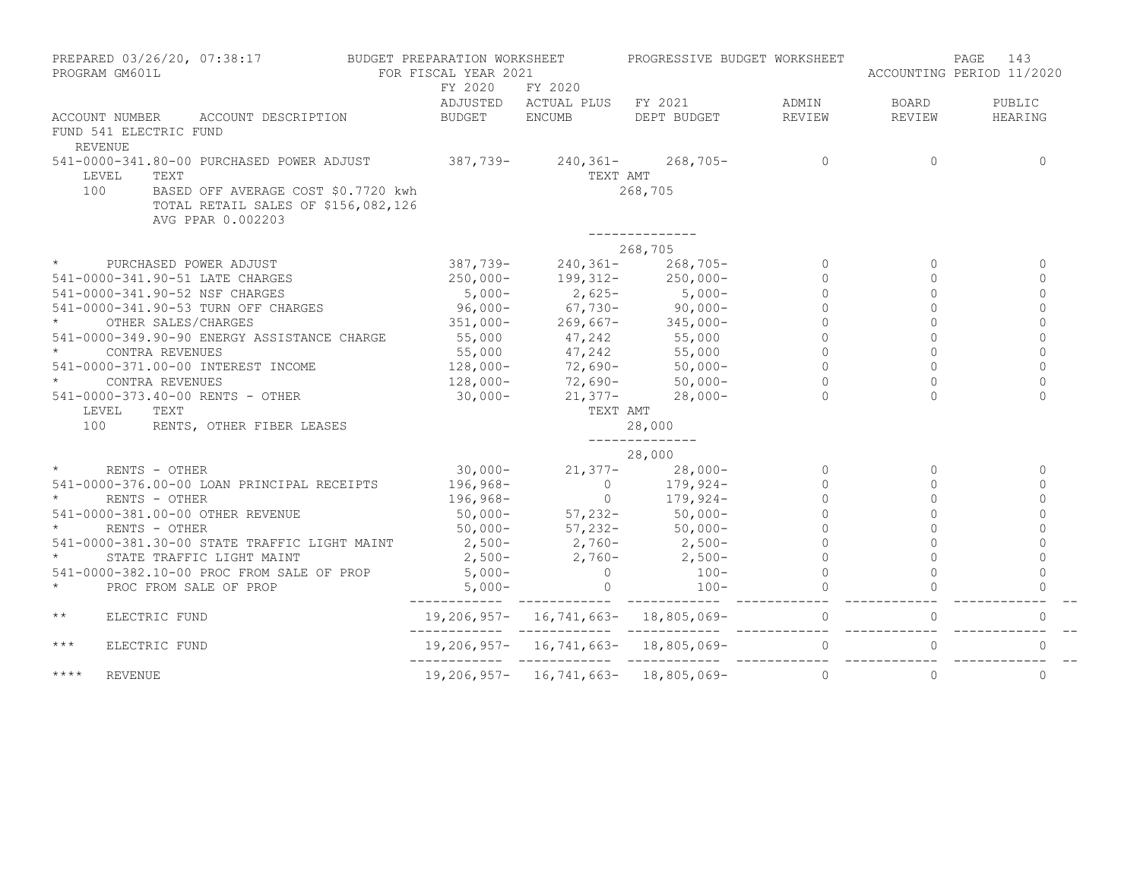| PREPARED 03/26/20, 07:38:17 BUDGET PREPARATION WORKSHEET<br>PROGRAM GM601L |                                                                                                                                                                                                                                                      | FOR FISCAL YEAR 2021                       |          | PROGRESSIVE BUDGET WORKSHEET                                |                     | 143<br>PAGE<br>ACCOUNTING PERIOD 11/2020 |              |
|----------------------------------------------------------------------------|------------------------------------------------------------------------------------------------------------------------------------------------------------------------------------------------------------------------------------------------------|--------------------------------------------|----------|-------------------------------------------------------------|---------------------|------------------------------------------|--------------|
|                                                                            |                                                                                                                                                                                                                                                      | FY 2020                                    | FY 2020  |                                                             |                     |                                          |              |
|                                                                            |                                                                                                                                                                                                                                                      |                                            |          | ADJUSTED ACTUAL PLUS FY 2021 ADMIN                          |                     | <b>BOARD</b>                             | PUBLIC       |
|                                                                            | ACCOUNT NUMBER ACCOUNT DESCRIPTION BUDGET ENCUMB                                                                                                                                                                                                     |                                            |          | DEPT BUDGET REVIEW                                          |                     | REVIEW                                   | HEARING      |
| FUND 541 ELECTRIC FUND                                                     |                                                                                                                                                                                                                                                      |                                            |          |                                                             |                     |                                          |              |
| REVENUE                                                                    |                                                                                                                                                                                                                                                      |                                            |          |                                                             |                     |                                          |              |
| LEVEL                                                                      | 541-0000-341.80-00 PURCHASED POWER ADJUST 387,739- 240,361- 268,705- 0                                                                                                                                                                               |                                            | TEXT AMT |                                                             |                     | $\Omega$                                 | $\Omega$     |
| 100                                                                        | BASED OFF AVERAGE COST \$0.7720 kwh<br>TOTAL RETAIL SALES OF \$156,082,126<br>AVG PPAR 0.002203                                                                                                                                                      |                                            |          | 268,705                                                     |                     |                                          |              |
|                                                                            |                                                                                                                                                                                                                                                      |                                            |          | 268,705                                                     |                     |                                          |              |
| $\star$ and $\star$                                                        | PURCHASED POWER ADJUST 387,739-240,361-268,705-                                                                                                                                                                                                      |                                            |          |                                                             | $\circ$             | $\Omega$                                 | $\Omega$     |
|                                                                            | 541-0000-341.90-51 LATE CHARGES 250,000- 199,312- 250,000-                                                                                                                                                                                           |                                            |          |                                                             | $\Omega$            | $\Omega$                                 | $\Omega$     |
|                                                                            | 541-0000-341.90-52 NSF CHARGES                                                                                                                                                                                                                       |                                            |          |                                                             | $\circ$             | $\Omega$                                 | $\mathbf 0$  |
|                                                                            | 541-0000-341.90-53 TURN OFF CHARGES<br>* 0THER SALES/CHARGES 51,000-<br>* 0THER SALES/CHARGES<br>* 51,000-<br>551,000-<br>55.000-                                                                                                                    |                                            |          |                                                             | $\Omega$            |                                          | $\cap$       |
|                                                                            |                                                                                                                                                                                                                                                      |                                            |          |                                                             |                     |                                          | $\Omega$     |
|                                                                            |                                                                                                                                                                                                                                                      |                                            |          |                                                             | $\circ$             | $\Omega$                                 | $\Omega$     |
|                                                                            |                                                                                                                                                                                                                                                      |                                            |          |                                                             | $\mathsf{O}\xspace$ |                                          | $\Omega$     |
|                                                                            |                                                                                                                                                                                                                                                      |                                            |          |                                                             | $\Omega$            |                                          | $\cap$       |
|                                                                            |                                                                                                                                                                                                                                                      |                                            |          |                                                             | $\Omega$            | $\Omega$                                 | $\Omega$     |
|                                                                            |                                                                                                                                                                                                                                                      |                                            |          |                                                             | $\Omega$            | $\Omega$                                 | $\Omega$     |
| LEVEL TEXT                                                                 |                                                                                                                                                                                                                                                      |                                            | TEXT AMT |                                                             |                     |                                          |              |
| 100                                                                        | RENTS, OTHER FIBER LEASES                                                                                                                                                                                                                            |                                            |          | 28,000                                                      |                     |                                          |              |
|                                                                            |                                                                                                                                                                                                                                                      |                                            |          | 28,000                                                      |                     |                                          |              |
| $\star$ RENTS - OTHER                                                      |                                                                                                                                                                                                                                                      | $30,000 - 21,377 - 28,000 - 0$             |          |                                                             |                     | $\Omega$                                 | $\mathbf{0}$ |
|                                                                            | 541-0000-376.00-00 LOAN PRINCIPAL RECEIPTS<br>$+$ RENTS - OTHER<br>$+$ RENTS - OTHER REVENUE<br>541-0000-381.00-00 OTHER REVENUE<br>$+$ RENTS - OTHER REVENUE<br>$+$ RENTS - OTHER<br>$+$ 196,968-<br>50,000-<br>57,232-<br>50,000-<br>57,232-<br>50 |                                            |          |                                                             | $\Omega$            |                                          | $\Omega$     |
|                                                                            |                                                                                                                                                                                                                                                      |                                            |          |                                                             | $\circ$             | $\Omega$                                 | $\Omega$     |
|                                                                            |                                                                                                                                                                                                                                                      |                                            |          |                                                             | $\circ$             |                                          | $\Omega$     |
|                                                                            |                                                                                                                                                                                                                                                      |                                            |          |                                                             | $\overline{0}$      |                                          | $\Omega$     |
|                                                                            |                                                                                                                                                                                                                                                      |                                            |          |                                                             |                     |                                          | $\Omega$     |
|                                                                            | STATE TRAFFIC LIGHT MAINT                                                                                                                                                                                                                            |                                            |          |                                                             | $\overline{0}$      |                                          | $\mathbf 0$  |
|                                                                            | 541-0000-382.10-00 PROC FROM SALE OF PROP                                                                                                                                                                                                            |                                            |          | $2,500-$<br>$5,000-$<br>$5,000-$<br>$0$<br>$100-$<br>$100-$ |                     |                                          | $\Omega$     |
| $\star$                                                                    | PROC FROM SALE OF PROP                                                                                                                                                                                                                               |                                            |          |                                                             |                     |                                          |              |
| $\star\star$                                                               | ELECTRIC FUND                                                                                                                                                                                                                                        |                                            |          |                                                             |                     |                                          |              |
| $***$                                                                      | ELECTRIC FUND                                                                                                                                                                                                                                        | $19,206,957 - 16,741,663 - 18,805,069 - 0$ |          |                                                             |                     |                                          | $\Omega$     |
| $***$ *<br>REVENUE                                                         |                                                                                                                                                                                                                                                      |                                            |          | $19,206,957 - 16,741,663 - 18,805,069 -$                    | $\circ$             | $\circ$                                  | $\mathbf{0}$ |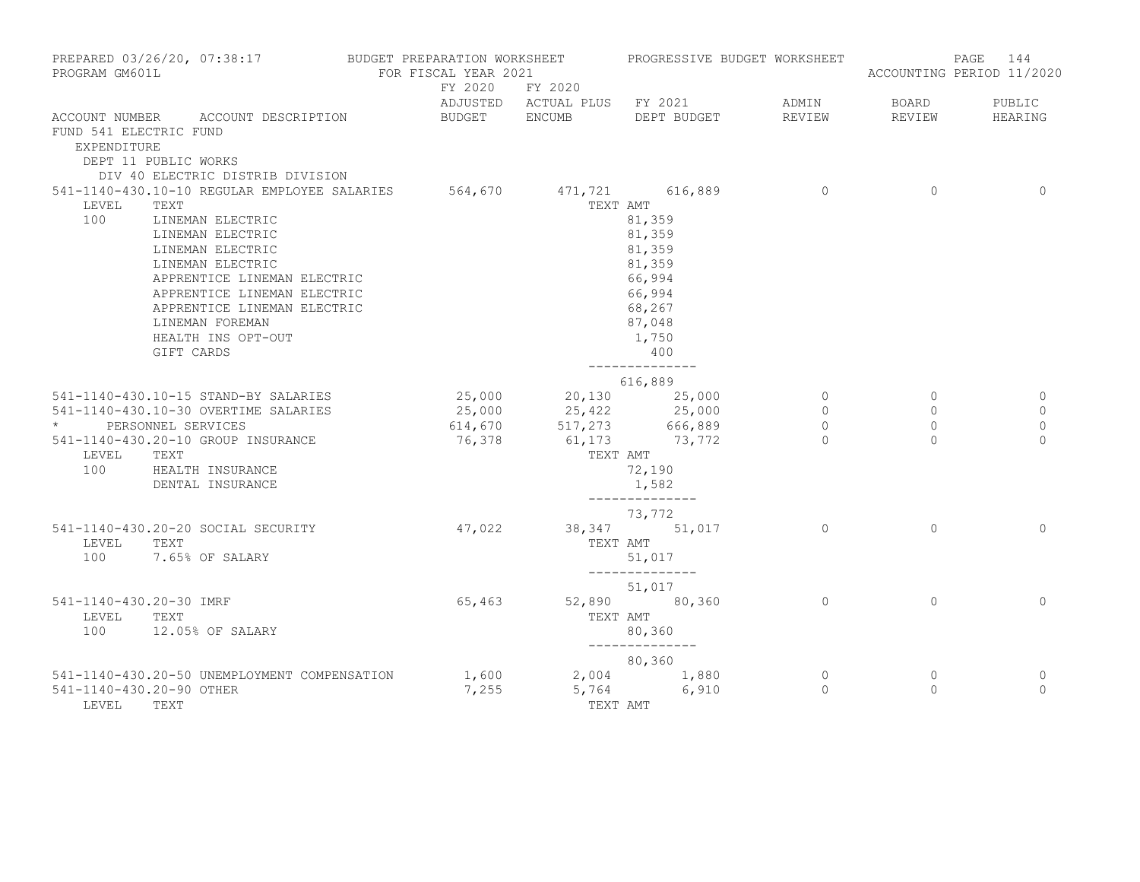| PROGRAM GM601L                                                | PREPARED 03/26/20, 07:38:17 BUDGET PREPARATION WORKSHEET PROGRESSIVE BUDGET WORKSHEET                                                                                                                                                                                                                            | FOR FISCAL YEAR 2021 |                                                                         |                                                                                                                            |                                                          |                                                   | 144<br>PAGE<br>ACCOUNTING PERIOD 11/2020 |
|---------------------------------------------------------------|------------------------------------------------------------------------------------------------------------------------------------------------------------------------------------------------------------------------------------------------------------------------------------------------------------------|----------------------|-------------------------------------------------------------------------|----------------------------------------------------------------------------------------------------------------------------|----------------------------------------------------------|---------------------------------------------------|------------------------------------------|
|                                                               |                                                                                                                                                                                                                                                                                                                  |                      | FY 2020 FY 2020                                                         | ADJUSTED ACTUAL PLUS FY 2021 ADMIN                                                                                         |                                                          | BOARD                                             | PUBLIC                                   |
| FUND 541 ELECTRIC FUND<br>EXPENDITURE<br>DEPT 11 PUBLIC WORKS | ACCOUNT NUMBER ACCOUNT DESCRIPTION<br>DIV 40 ELECTRIC DISTRIB DIVISION                                                                                                                                                                                                                                           |                      | BUDGET ENCUMB DEPT BUDGET                                               |                                                                                                                            | REVIEW                                                   | REVIEW                                            | HEARING                                  |
| LEVEL<br>100                                                  | 541-1140-430.10-10 REGULAR EMPLOYEE SALARIES 564,670 471,721 616,889<br>TEXT<br>LINEMAN ELECTRIC<br>LINEMAN ELECTRIC<br>LINEMAN ELECTRIC<br>LINEMAN ELECTRIC<br>APPRENTICE LINEMAN ELECTRIC<br>APPRENTICE LINEMAN ELECTRIC<br>APPRENTICE LINEMAN ELECTRIC<br>LINEMAN FOREMAN<br>HEALTH INS OPT-OUT<br>GIFT CARDS |                      |                                                                         | TEXT AMT<br>81,359<br>81,359<br>81,359<br>81,359<br>66,994<br>66,994<br>68,267<br>87,048<br>1,750<br>400<br>-------------- | $\overline{0}$                                           | $\circ$                                           | $\mathbf{0}$                             |
|                                                               |                                                                                                                                                                                                                                                                                                                  |                      |                                                                         | 616,889                                                                                                                    |                                                          |                                                   |                                          |
| * PERSONNEL SERVICES                                          | 541-1140-430.10-15 STAND-BY SALARIES<br>541-1140-430.10-30 OVERTIME SALARIES<br>541-1140-430.20-10 GROUP INSURANCE                                                                                                                                                                                               | 76,378               | 25,000 20,130 25,000<br>25,000 25,422 25,000<br>614,670 517,273 666,889 | 61,173 73,772                                                                                                              | $\overline{0}$<br>$\overline{0}$<br>$\Omega$<br>$\Omega$ | $\overline{0}$<br>$\circ$<br>$\Omega$<br>$\Omega$ | 0<br>$\mathbf 0$<br>$\circ$<br>$\Omega$  |
| LEVEL                                                         | TEXT<br>100 HEALTH INSURANCE<br>DENTAL INSURANCE                                                                                                                                                                                                                                                                 |                      | TEXT AMT                                                                | 72,190<br>1,582<br>______________                                                                                          |                                                          |                                                   |                                          |
| LEVEL                                                         | 541-1140-430.20-20 SOCIAL SECURITY<br>TEXT<br>100 7.65% OF SALARY                                                                                                                                                                                                                                                | 47,022               |                                                                         | 73,772<br>38, 347 51, 017<br>TEXT AMT<br>51,017<br>______________                                                          | $\overline{0}$                                           | $\circ$                                           | $\overline{0}$                           |
| 541-1140-430.20-30 IMRF<br>LEVEL                              | TEXT<br>100 12.05% OF SALARY                                                                                                                                                                                                                                                                                     | 65,463               |                                                                         | 51,017<br>52,890 80,360<br>TEXT AMT<br>80,360<br>_______________                                                           | $\Omega$                                                 | $\Omega$                                          | $\Omega$                                 |
| 541-1140-430.20-90 OTHER<br>LEVEL                             | 541-1140-430.20-50 UNEMPLOYMENT COMPENSATION<br>TEXT                                                                                                                                                                                                                                                             | 7,255                | TEXT AMT                                                                | 80,360<br>1,600 2,004 1,880<br>5,764 6,910                                                                                 | $\circ$<br>$\Omega$                                      | $\circ$<br>$\Omega$                               | 0<br>$\Omega$                            |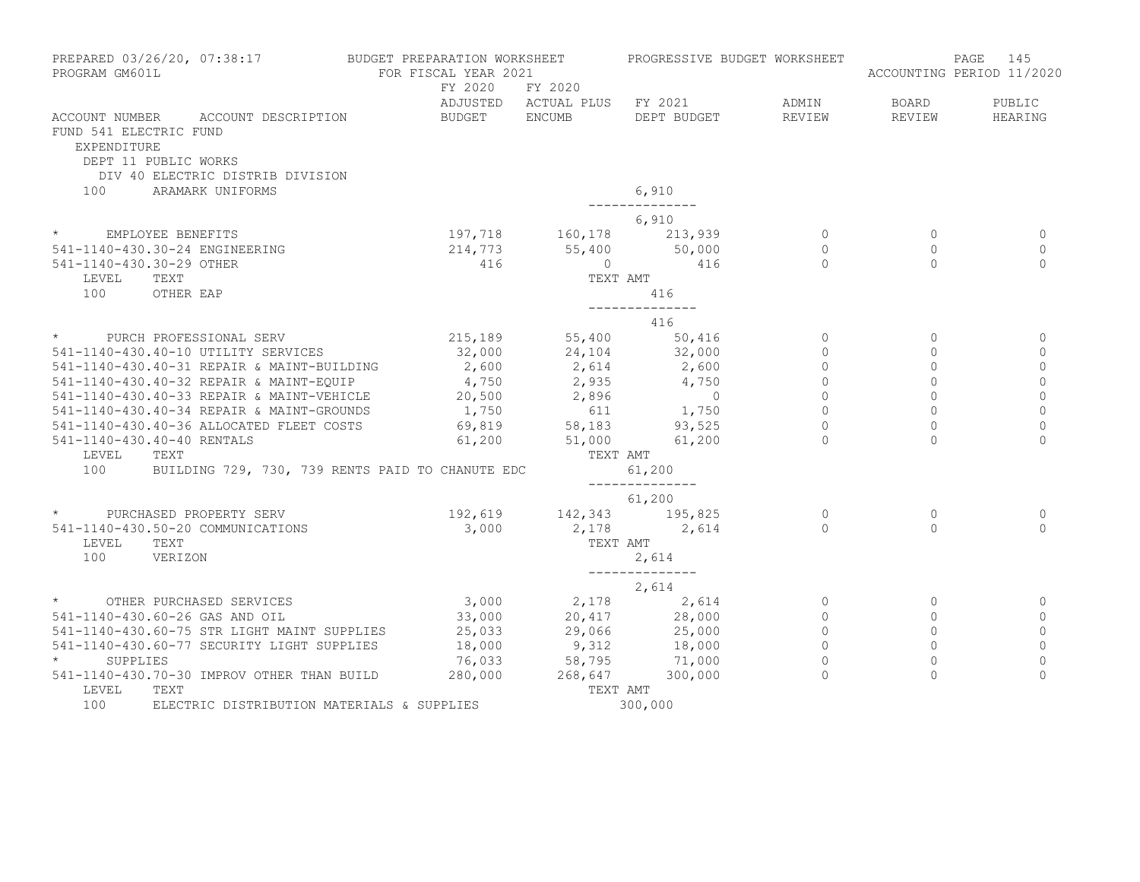| PROGRAM GM601L                                                       | PREPARED 03/26/20, 07:38:17                                                                                                                                                                                                              | BUDGET PREPARATION WORKSHEET<br>FOR FISCAL YEAR 2021<br>FY 2020 FY 2020 |                            | PROGRESSIVE BUDGET WORKSHEET                                                                                    |                 |                        | 145<br>PAGE<br>ACCOUNTING PERIOD 11/2020 |
|----------------------------------------------------------------------|------------------------------------------------------------------------------------------------------------------------------------------------------------------------------------------------------------------------------------------|-------------------------------------------------------------------------|----------------------------|-----------------------------------------------------------------------------------------------------------------|-----------------|------------------------|------------------------------------------|
|                                                                      | ACCOUNT NUMBER ACCOUNT DESCRIPTION                                                                                                                                                                                                       | BUDGET ENCUMB                                                           |                            | ADJUSTED ACTUAL PLUS FY 2021<br>DEPT BUDGET                                                                     | ADMIN<br>REVIEW | <b>BOARD</b><br>REVIEW | PUBLIC<br>HEARING                        |
| FUND 541 ELECTRIC FUND<br><b>EXPENDITURE</b><br>DEPT 11 PUBLIC WORKS | DIV 40 ELECTRIC DISTRIB DIVISION                                                                                                                                                                                                         |                                                                         |                            |                                                                                                                 |                 |                        |                                          |
| 100                                                                  | ARAMARK UNIFORMS                                                                                                                                                                                                                         |                                                                         |                            | 6,910                                                                                                           |                 |                        |                                          |
|                                                                      |                                                                                                                                                                                                                                          |                                                                         |                            | ______________<br>6,910                                                                                         |                 |                        |                                          |
|                                                                      | * EMPLOYEE BENEFITS                                                                                                                                                                                                                      |                                                                         |                            |                                                                                                                 |                 | $\overline{0}$         | 0                                        |
|                                                                      | 541-1140-430.30-24 ENGINEERING                                                                                                                                                                                                           |                                                                         |                            | $197, 718$ $160, 178$ $213, 939$ 0<br>$214, 773$ $55, 400$ $50, 000$ 0<br>$416$ 0<br>146                        |                 | $\Omega$               | $\mathbf 0$                              |
| 541-1140-430.30-29 OTHER                                             |                                                                                                                                                                                                                                          | 416                                                                     |                            |                                                                                                                 |                 | $\cap$                 | $\Omega$                                 |
| LEVEL                                                                | TEXT                                                                                                                                                                                                                                     |                                                                         | TEXT AMT                   |                                                                                                                 |                 |                        |                                          |
| 100                                                                  | OTHER EAP                                                                                                                                                                                                                                |                                                                         |                            | 416                                                                                                             |                 |                        |                                          |
|                                                                      |                                                                                                                                                                                                                                          |                                                                         |                            | ______________<br>416                                                                                           |                 |                        |                                          |
|                                                                      | * PURCH PROFESSIONAL SERV                                                                                                                                                                                                                |                                                                         |                            | 215,189 55,400 50,416                                                                                           | $\overline{0}$  | $\mathbf{0}$           | 0                                        |
|                                                                      | 541-1140-430.40-10 UTILITY SERVICES                                                                                                                                                                                                      | 32,000                                                                  |                            | 24,104 32,000                                                                                                   | $\mathbf{0}$    | $\Omega$               | $\mathbf{0}$                             |
|                                                                      |                                                                                                                                                                                                                                          |                                                                         |                            |                                                                                                                 | $\circ$         | $\circ$                | $\mathbf 0$                              |
|                                                                      | 341-1140-430.40-31 REPAIR & MAINT-BUILDING<br>341-1140-430.40-32 REPAIR & MAINT-BUILDING<br>341-1140-430.40-32 REPAIR & MAINT-EQUIP<br>341-1140-430.40-33 REPAIR & MAINT-VEHICLE<br>341-1140-430.40-33 REPAIR & MAINT-GROUNDS<br>341-114 |                                                                         |                            |                                                                                                                 | $\Omega$        | $\Omega$               | $\overline{0}$                           |
|                                                                      |                                                                                                                                                                                                                                          |                                                                         |                            |                                                                                                                 | $\Omega$        | $\Omega$               | $\Omega$                                 |
|                                                                      |                                                                                                                                                                                                                                          |                                                                         |                            |                                                                                                                 | $\circ$         | $\circ$                | $\mathbb O$                              |
|                                                                      |                                                                                                                                                                                                                                          |                                                                         |                            |                                                                                                                 | $\Omega$        | $\Omega$               | $\overline{0}$                           |
| 541-1140-430.40-40 RENTALS                                           |                                                                                                                                                                                                                                          |                                                                         | $61,200$ $51,000$ $61,200$ |                                                                                                                 |                 |                        | $\Omega$                                 |
| LEVEL                                                                | TEXT                                                                                                                                                                                                                                     |                                                                         |                            | TEXT AMT                                                                                                        |                 |                        |                                          |
| 100                                                                  | BUILDING 729, 730, 739 RENTS PAID TO CHANUTE EDC                                                                                                                                                                                         |                                                                         |                            | 61,200                                                                                                          |                 |                        |                                          |
|                                                                      |                                                                                                                                                                                                                                          |                                                                         |                            | ______________<br>61,200                                                                                        |                 |                        |                                          |
|                                                                      | * PURCHASED PROPERTY SERV                                                                                                                                                                                                                |                                                                         |                            | 192,619 142,343 195,825                                                                                         | $\overline{0}$  | $\Omega$               | 0                                        |
|                                                                      | 541-1140-430.50-20 COMMUNICATIONS                                                                                                                                                                                                        |                                                                         |                            | $3,000$ $2,178$ $2,614$ 0                                                                                       |                 | $\Omega$               | $\Omega$                                 |
| LEVEL TEXT                                                           |                                                                                                                                                                                                                                          |                                                                         |                            | TEXT AMT                                                                                                        |                 |                        |                                          |
| 100                                                                  | VERIZON                                                                                                                                                                                                                                  |                                                                         |                            | 2,614                                                                                                           |                 |                        |                                          |
|                                                                      |                                                                                                                                                                                                                                          |                                                                         |                            | ______________<br>2,614                                                                                         |                 |                        |                                          |
| $\star$                                                              | OTHER PURCHASED SERVICES                                                                                                                                                                                                                 |                                                                         |                            | $3,000$ $2,178$ $2,614$                                                                                         | $\circ$         | $\circ$                | 0                                        |
|                                                                      | 541-1140-430.60-26 GAS AND OIL                                                                                                                                                                                                           |                                                                         |                            |                                                                                                                 | $\circ$         | $\circ$                | $\mathbf 0$                              |
|                                                                      | 541-1140-430.60-75 STR LIGHT MAINT SUPPLIES                                                                                                                                                                                              |                                                                         |                            | $\begin{array}{cccc} 33,000 & 20,417 & 28,000 \ 25,033 & 29,066 & 25,000 \ 18,000 & 9,312 & 18,000 \end{array}$ | $\Omega$        | $\Omega$               | $\mathbb O$                              |
|                                                                      | 541-1140-430.60-77 SECURITY LIGHT SUPPLIES                                                                                                                                                                                               | 18,000                                                                  |                            |                                                                                                                 | $\Omega$        | $\Omega$               | $\circ$                                  |
| SUPPLIES                                                             |                                                                                                                                                                                                                                          | 76,033                                                                  |                            | 58,795 71,000<br>268,647 300,000                                                                                | $\Omega$        | $\Omega$               | $\mathbf 0$                              |
|                                                                      | 541-1140-430.70-30 IMPROV OTHER THAN BUILD                                                                                                                                                                                               | 280,000                                                                 |                            |                                                                                                                 | $\Omega$        | $\Omega$               | $\Omega$                                 |
| LEVEL                                                                | TEXT                                                                                                                                                                                                                                     |                                                                         | TEXT AMT                   |                                                                                                                 |                 |                        |                                          |
| 100                                                                  | ELECTRIC DISTRIBUTION MATERIALS & SUPPLIES                                                                                                                                                                                               |                                                                         |                            | 300,000                                                                                                         |                 |                        |                                          |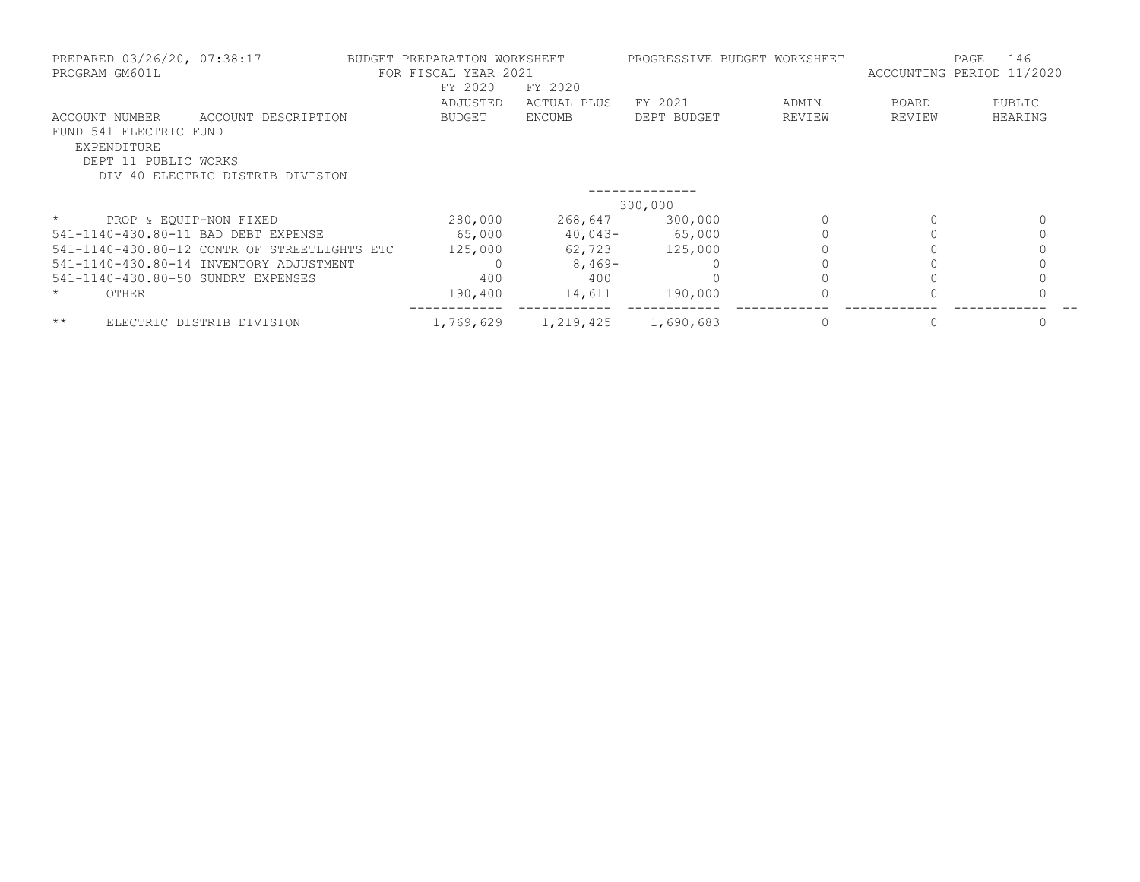| PREPARED 03/26/20, 07:38:17<br>PROGRAM GM601L                                   | BUDGET PREPARATION WORKSHEET<br>FOR FISCAL YEAR 2021    |           | PROGRESSIVE BUDGET WORKSHEET |             | 146<br>PAGE<br>ACCOUNTING PERIOD 11/2020 |              |          |
|---------------------------------------------------------------------------------|---------------------------------------------------------|-----------|------------------------------|-------------|------------------------------------------|--------------|----------|
|                                                                                 |                                                         | FY 2020   | FY 2020                      |             |                                          |              |          |
|                                                                                 |                                                         | ADJUSTED  | ACTUAL PLUS                  | FY 2021     | ADMIN                                    | <b>BOARD</b> | PUBLIC   |
| ACCOUNT NUMBER<br>FUND 541 ELECTRIC FUND<br>EXPENDITURE<br>DEPT 11 PUBLIC WORKS | ACCOUNT DESCRIPTION<br>DIV 40 ELECTRIC DISTRIB DIVISION | BUDGET    | <b>ENCUMB</b>                | DEPT BUDGET | REVIEW                                   | REVIEW       | HEARING  |
|                                                                                 |                                                         |           |                              |             |                                          |              |          |
|                                                                                 |                                                         |           |                              | 300,000     |                                          |              |          |
| $\star$                                                                         | PROP & EQUIP-NON FIXED                                  | 280,000   | 268,647                      | 300,000     |                                          |              | $\Omega$ |
| 541-1140-430.80-11 BAD DEBT EXPENSE                                             |                                                         | 65,000    | $40,043-$                    | 65,000      |                                          |              |          |
|                                                                                 | 541-1140-430.80-12 CONTR OF STREETLIGHTS ETC            | 125,000   | 62,723                       | 125,000     |                                          |              |          |
|                                                                                 | 541-1140-430.80-14 INVENTORY ADJUSTMENT                 |           | $8,469-$                     |             |                                          |              |          |
| 541-1140-430.80-50 SUNDRY EXPENSES                                              |                                                         | 400       | 400                          |             |                                          |              |          |
| OTHER<br>$\star$                                                                |                                                         | 190,400   | 14,611                       | 190,000     |                                          |              |          |
| $***$                                                                           | ELECTRIC DISTRIB DIVISION                               | 1,769,629 | 1,219,425                    | 1,690,683   |                                          |              |          |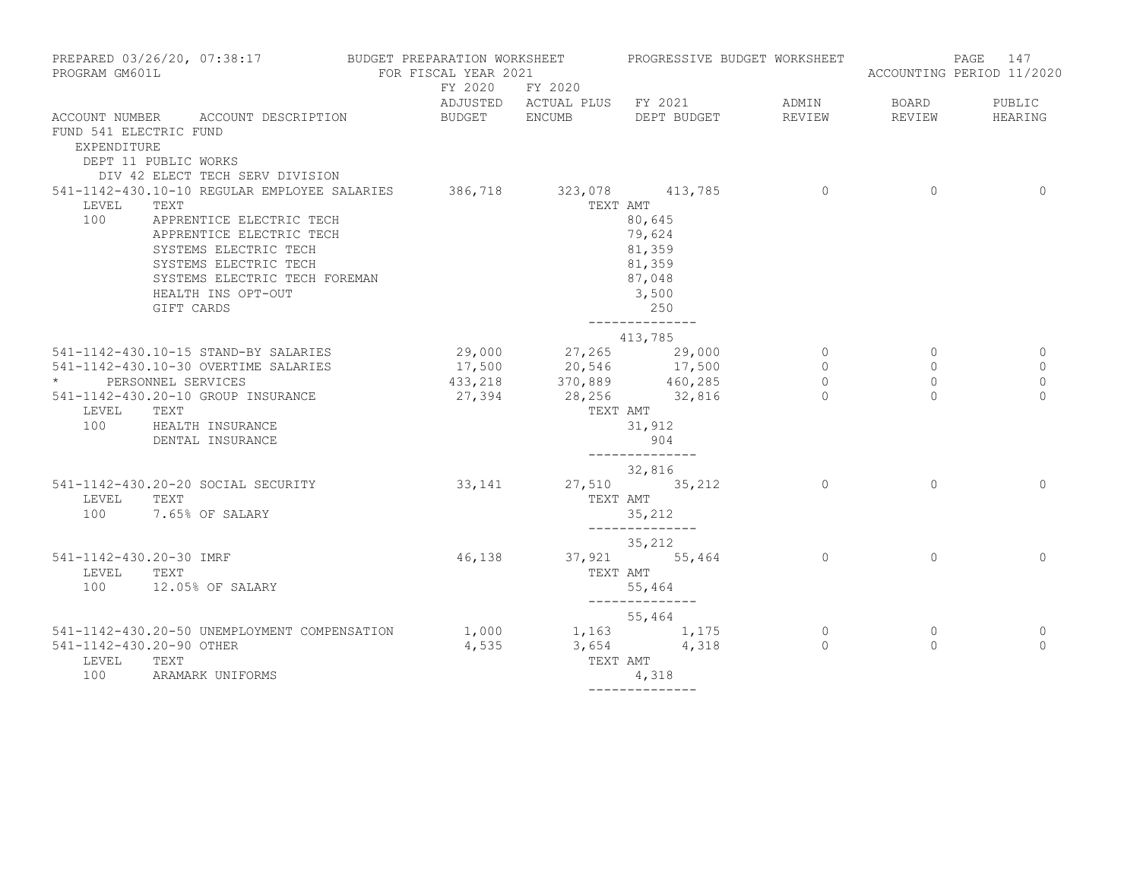| PROGRAM GM601L                               | PREPARED 03/26/20, 07:38:17 BUDGET PREPARATION WORKSHEET PROGRESSIVE BUDGET WORKSHEET                                                                                                                                                                       | FOR FISCAL YEAR 2021 |                                  |                                                                                                                        |                                                  |                                           | PAGE 147<br>ACCOUNTING PERIOD 11/2020   |
|----------------------------------------------|-------------------------------------------------------------------------------------------------------------------------------------------------------------------------------------------------------------------------------------------------------------|----------------------|----------------------------------|------------------------------------------------------------------------------------------------------------------------|--------------------------------------------------|-------------------------------------------|-----------------------------------------|
|                                              |                                                                                                                                                                                                                                                             | FY 2020 FY 2020      |                                  | ADJUSTED ACTUAL PLUS FY 2021                                                                                           | ADMIN                                            | <b>BOARD</b>                              | PUBLIC                                  |
| FUND 541 ELECTRIC FUND<br>EXPENDITURE        | ACCOUNT NUMBER ACCOUNT DESCRIPTION<br>DEPT 11 PUBLIC WORKS<br>DIV 42 ELECT TECH SERV DIVISION                                                                                                                                                               |                      |                                  | BUDGET ENCUMB DEPT BUDGET                                                                                              | REVIEW                                           | REVIEW                                    | HEARING                                 |
| LEVEL<br>100                                 | 541-1142-430.10-10 REGULAR EMPLOYEE SALARIES 386,718 323,078 413,785<br>TEXT<br>APPRENTICE ELECTRIC TECH<br>APPRENTICE ELECTRIC TECH<br>SYSTEMS ELECTRIC TECH<br>SYSTEMS ELECTRIC TECH<br>SYSTEMS ELECTRIC TECH FOREMAN<br>HEALTH INS OPT-OUT<br>GIFT CARDS |                      | TEXT AMT                         | 80,645<br>79,624<br>81,359<br>81,359<br>87,048<br>3,500<br>250                                                         | $\sim$ 0                                         | $\circ$                                   | $\overline{0}$                          |
|                                              |                                                                                                                                                                                                                                                             |                      |                                  | 413,785                                                                                                                |                                                  |                                           |                                         |
| * PERSONNEL SERVICES<br>LEVEL TEXT           | 541-1142-430.10-15 STAND-BY SALARIES<br>541-1142-430.10-30 OVERTIME SALARIES<br>541-1142-430.20-10 GROUP INSURANCE<br>100 HEALTH INSURANCE<br>DENTAL INSURANCE                                                                                              |                      | 27,394 28,256 32,816             | 29,000 27,265 29,000<br>17,500 20,546 17,500<br>433,218 370,889 460,285<br>TEXT AMT<br>31,912<br>904<br>______________ | $\overline{0}$<br>$\circ$<br>$\circ$<br>$\Omega$ | $\circ$<br>$\circ$<br>$\circ$<br>$\Omega$ | 0<br>$\mathbf 0$<br>$\circ$<br>$\Omega$ |
| LEVEL TEXT                                   | 541-1142-430.20-20 SOCIAL SECURITY<br>100 7.65% OF SALARY                                                                                                                                                                                                   |                      | 33, 141 27, 510 35, 212          | 32,816<br>TEXT AMT<br>35,212<br>--------------                                                                         | $\Omega$                                         | $\Omega$                                  | $\Omega$                                |
| 541-1142-430.20-30 IMRF<br>LEVEL TEXT<br>100 | 12.05% OF SALARY                                                                                                                                                                                                                                            |                      | 46,138 37,921 55,464<br>TEXT AMT | 35,212<br>55,464                                                                                                       | $\Omega$                                         | $\Omega$                                  | $\Omega$                                |
| 541-1142-430.20-90 OTHER<br>LEVEL<br>100     | 541-1142-430.20-50 UNEMPLOYMENT COMPENSATION<br>TEXT<br>ARAMARK UNIFORMS                                                                                                                                                                                    | 4,535                |                                  | --------------<br>55,464<br>$1,000$ $1,163$ $1,175$<br>$3,654$ $4,318$<br>TEXT AMT<br>4,318<br>--------------          | $\circ$<br>$\Omega$                              | $\circ$<br>$\Omega$                       | 0<br>$\Omega$                           |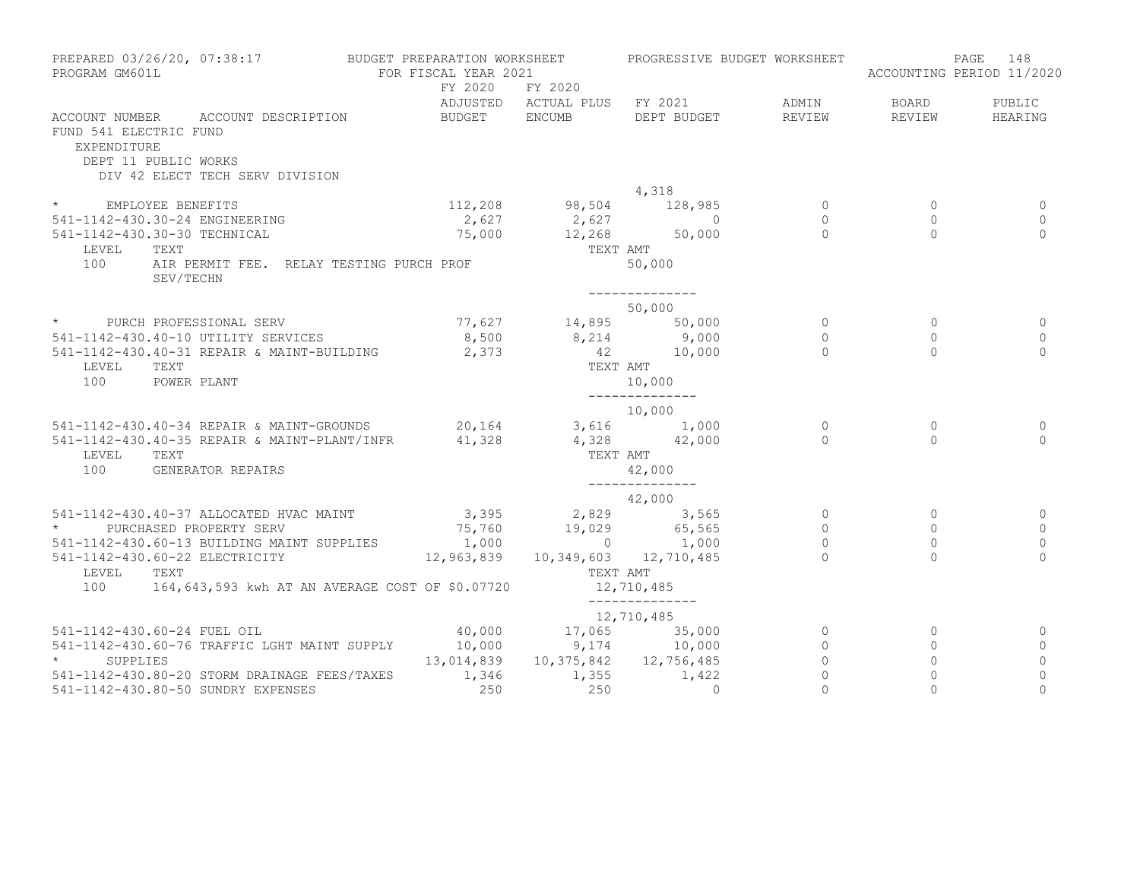| PROGRAM GM601L                        | PREPARED 03/26/20, 07:38:17                                                                   | BUDGET PREPARATION WORKSHEET<br>FOR FISCAL YEAR 2021                                                                   |          | PROGRESSIVE BUDGET WORKSHEET       |                     |                     | 148<br>PAGE<br>ACCOUNTING PERIOD 11/2020 |
|---------------------------------------|-----------------------------------------------------------------------------------------------|------------------------------------------------------------------------------------------------------------------------|----------|------------------------------------|---------------------|---------------------|------------------------------------------|
|                                       |                                                                                               | FY 2020 FY 2020                                                                                                        |          | ADJUSTED ACTUAL PLUS FY 2021       | ADMIN               | BOARD               | PUBLIC                                   |
| FUND 541 ELECTRIC FUND<br>EXPENDITURE | ACCOUNT NUMBER ACCOUNT DESCRIPTION<br>DEPT 11 PUBLIC WORKS<br>DIV 42 ELECT TECH SERV DIVISION | BUDGET ENCUMB                                                                                                          |          | DEPT BUDGET                        | REVIEW              | REVIEW              | HEARING                                  |
|                                       |                                                                                               |                                                                                                                        |          | 4,318                              |                     |                     |                                          |
|                                       | * EMPLOYEE BENEFITS                                                                           |                                                                                                                        |          | 112,208 98,504 128,985             | $\overline{0}$      | $\circ$             |                                          |
|                                       | 541-1142-430.30-24 ENGINEERING                                                                |                                                                                                                        |          |                                    | $\overline{0}$      | $\circ$             | $\overline{0}$                           |
|                                       | 541-1142-430.30-30 TECHNICAL                                                                  |                                                                                                                        |          |                                    | $\overline{0}$      | $\Omega$            | $\Omega$                                 |
| LEVEL                                 | TEXT                                                                                          |                                                                                                                        | TEXT AMT |                                    |                     |                     |                                          |
| 100                                   | AIR PERMIT FEE. RELAY TESTING PURCH PROF<br>SEV/TECHN                                         |                                                                                                                        |          | 50,000                             |                     |                     |                                          |
|                                       |                                                                                               |                                                                                                                        |          |                                    |                     |                     |                                          |
|                                       |                                                                                               |                                                                                                                        |          | 50,000                             |                     |                     |                                          |
|                                       | * PURCH PROFESSIONAL SERV<br>541-1142-430.40-10 UTILITY SERVICES                              |                                                                                                                        |          |                                    | $\circ$<br>$\Omega$ | $\circ$<br>$\Omega$ | 0<br>$\Omega$                            |
|                                       | 541-1142-430.40-31 REPAIR & MAINT-BUILDING 2,373                                              |                                                                                                                        |          | 42 10,000                          | $\bigcap$           | $\Omega$            | $\Omega$                                 |
| LEVEL                                 | TEXT                                                                                          |                                                                                                                        |          | TEXT AMT                           |                     |                     |                                          |
| 100                                   | POWER PLANT                                                                                   |                                                                                                                        |          | 10,000<br>______________           |                     |                     |                                          |
|                                       |                                                                                               |                                                                                                                        |          | 10,000                             |                     |                     |                                          |
|                                       | 541-1142-430.40-34 REPAIR & MAINT-GROUNDS 20,164 3,616 1,000                                  |                                                                                                                        |          |                                    | $\overline{0}$      | $\Omega$            | 0                                        |
|                                       | 541-1142-430.40-35 REPAIR & MAINT-PLANT/INFR 41,328 4,328 42,000                              |                                                                                                                        |          |                                    | $\Omega$            | $\Omega$            | $\Omega$                                 |
| LEVEL                                 | TEXT                                                                                          |                                                                                                                        | TEXT AMT |                                    |                     |                     |                                          |
| 100                                   | GENERATOR REPAIRS                                                                             |                                                                                                                        |          | 42,000<br>______________           |                     |                     |                                          |
|                                       |                                                                                               |                                                                                                                        |          |                                    |                     |                     |                                          |
|                                       | 541-1142-430.40-37 ALLOCATED HVAC MAINT                                                       | $\begin{array}{cccc} & & & & 42,000 \ 3,395 & & & 2,829 & & 3,565 \ \hline 75,760 & & & 19,029 & & 65,565 \end{array}$ |          |                                    | $\circ$             | $\circ$             | 0                                        |
|                                       | PURCHASED PROPERTY SERV                                                                       |                                                                                                                        |          |                                    | $\Omega$            | $\Omega$            | $\mathbf{0}$                             |
|                                       | 541-1142-430.60-13 BUILDING MAINT SUPPLIES 1,000 0 1,000                                      |                                                                                                                        |          |                                    | $\Omega$            | $\Omega$            | $\mathbf{0}$                             |
|                                       | 541-1142-430.60-22 ELECTRICITY                                                                | 12,963,839  10,349,603  12,710,485                                                                                     |          |                                    |                     | $\cap$              | $\cap$                                   |
| LEVEL TEXT                            |                                                                                               |                                                                                                                        | TEXT AMT |                                    |                     |                     |                                          |
| 100                                   | 164,643,593 kwh AT AN AVERAGE COST OF \$0.07720                                               |                                                                                                                        |          | 12,710,485<br>--------------       |                     |                     |                                          |
|                                       |                                                                                               |                                                                                                                        |          | 12,710,485                         |                     |                     |                                          |
|                                       | 541-1142-430.60-24 FUEL OIL                                                                   | 40,000 17,065 35,000                                                                                                   |          |                                    | $\overline{0}$      | $\circ$             | 0                                        |
|                                       | 541-1142-430.60-76 TRAFFIC LGHT MAINT SUPPLY 10,000 9,174 10,000                              |                                                                                                                        |          |                                    | $\circledcirc$      | $\circledcirc$      | 0                                        |
| SUPPLIES                              |                                                                                               |                                                                                                                        |          | 13,014,839  10,375,842  12,756,485 | $\overline{0}$      | $\circ$             | $\mathbb O$                              |
|                                       | 541-1142-430.80-20 STORM DRAINAGE FEES/TAXES                                                  | $1,346$ $1,355$ $1,422$                                                                                                |          |                                    | $\Omega$            | $\Omega$            | $\Omega$                                 |
|                                       | 541-1142-430.80-50 SUNDRY EXPENSES                                                            | 2.50                                                                                                                   | 2.50     | $\overline{0}$                     | $\Omega$            | $\Omega$            | $\Omega$                                 |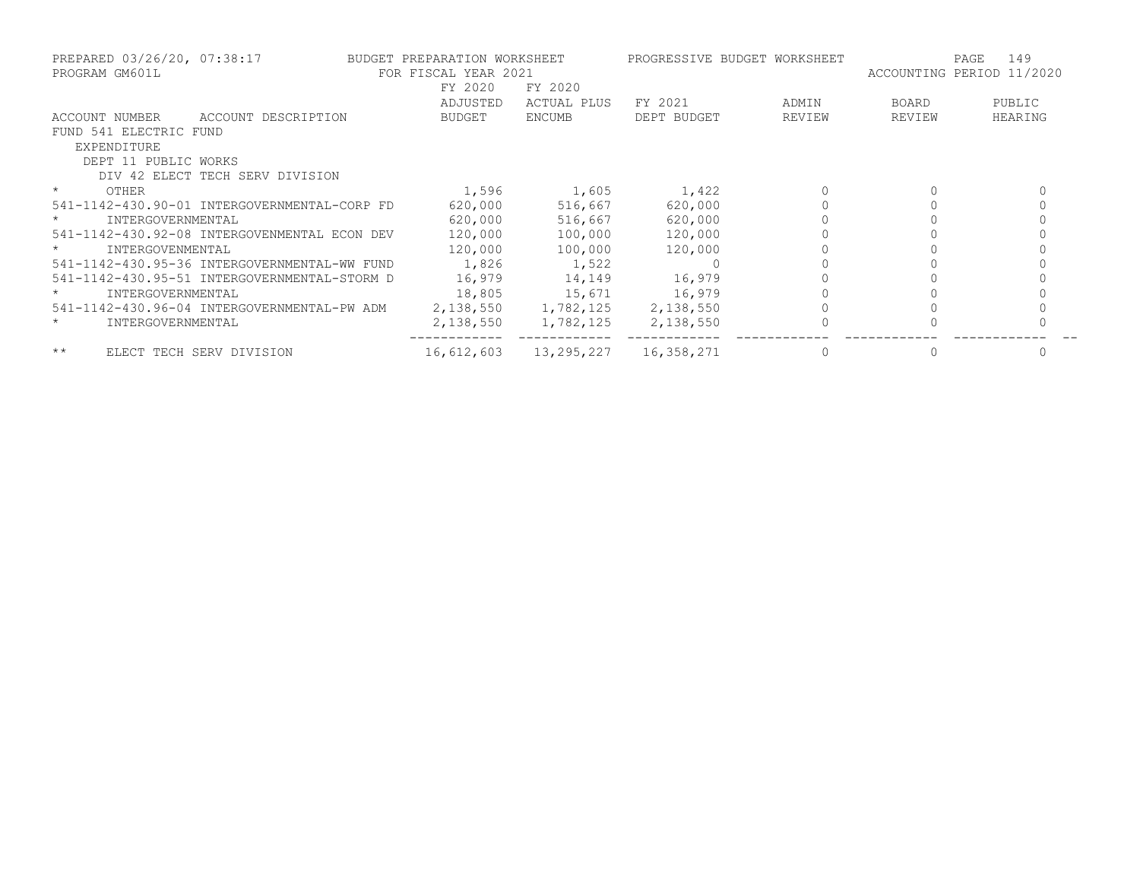| PREPARED 03/26/20, 07:38:17<br>PROGRAM GM601L |                                              | BUDGET PREPARATION WORKSHEET<br>FOR FISCAL YEAR 2021 |                     | PROGRESSIVE BUDGET WORKSHEET |        | PAGE<br>ACCOUNTING PERIOD 11/2020 | 149     |
|-----------------------------------------------|----------------------------------------------|------------------------------------------------------|---------------------|------------------------------|--------|-----------------------------------|---------|
|                                               |                                              | FY 2020                                              | FY 2020             |                              |        |                                   |         |
|                                               |                                              | ADJUSTED                                             | ACTUAL PLUS         | FY 2021                      | ADMIN  | BOARD                             | PUBLIC  |
| ACCOUNT NUMBER                                | ACCOUNT DESCRIPTION                          | BUDGET                                               | ENCUMB              | DEPT BUDGET                  | REVIEW | REVIEW                            | HEARING |
| FUND 541 ELECTRIC FUND                        |                                              |                                                      |                     |                              |        |                                   |         |
| EXPENDITURE                                   |                                              |                                                      |                     |                              |        |                                   |         |
| DEPT 11 PUBLIC WORKS                          |                                              |                                                      |                     |                              |        |                                   |         |
|                                               | DIV 42 ELECT TECH SERV DIVISION              |                                                      |                     |                              |        |                                   |         |
| $\star$<br>OTHER                              |                                              | 1,596                                                | 1,605               | 1,422                        |        |                                   |         |
|                                               | 541-1142-430.90-01 INTERGOVERNMENTAL-CORP FD | 620,000                                              | 516,667             | 620,000                      |        |                                   |         |
| $\star$<br>INTERGOVERNMENTAL                  |                                              | 620,000                                              | 516,667             | 620,000                      |        |                                   |         |
|                                               | 541-1142-430.92-08 INTERGOVENMENTAL ECON DEV | 120,000                                              | 100,000             | 120,000                      |        |                                   |         |
| INTERGOVENMENTAL<br>$\star$                   |                                              | 120,000                                              | 100,000             | 120,000                      |        |                                   |         |
|                                               | 541-1142-430.95-36 INTERGOVERNMENTAL-WW FUND | 1,826                                                | 1,522               |                              |        |                                   |         |
|                                               | 541-1142-430.95-51 INTERGOVERNMENTAL-STORM D | 16,979                                               | 14,149              | 16,979                       |        |                                   |         |
| $\star$<br>INTERGOVERNMENTAL                  |                                              | 18,805                                               | 15,671              | 16,979                       |        |                                   |         |
|                                               | 541-1142-430.96-04 INTERGOVERNMENTAL-PW ADM  |                                                      | 2,138,550 1,782,125 | 2,138,550                    |        |                                   |         |
| $\star$<br>INTERGOVERNMENTAL                  |                                              | 2,138,550                                            | 1,782,125           | 2,138,550                    |        |                                   |         |
| $***$                                         | ELECT TECH SERV DIVISION                     | 16,612,603                                           | 13,295,227          | 16,358,271                   |        |                                   |         |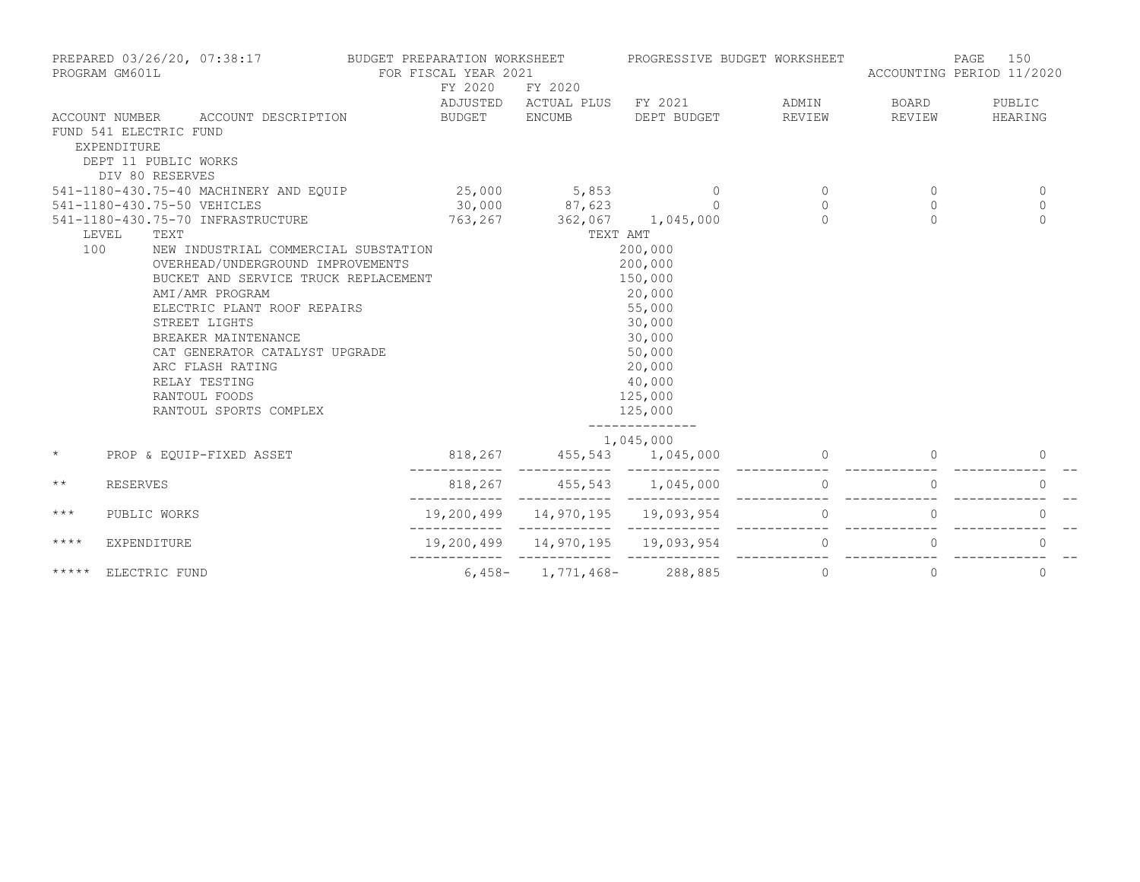|              | PREPARED 03/26/20, 07:38:17<br>PROGRAM GM601L           |                                                                                                                                                                     | BUDGET PREPARATION WORKSHEET<br>FOR FISCAL YEAR 2021 |                              | PROGRESSIVE BUDGET WORKSHEET                      |              | ACCOUNTING PERIOD 11/2020 | 150<br>PAGE  |
|--------------|---------------------------------------------------------|---------------------------------------------------------------------------------------------------------------------------------------------------------------------|------------------------------------------------------|------------------------------|---------------------------------------------------|--------------|---------------------------|--------------|
|              |                                                         |                                                                                                                                                                     | FY 2020                                              | FY 2020                      |                                                   |              |                           |              |
|              |                                                         |                                                                                                                                                                     |                                                      | ADJUSTED ACTUAL PLUS FY 2021 |                                                   | ADMIN        | BOARD                     | PUBLIC       |
|              | ACCOUNT NUMBER<br>FUND 541 ELECTRIC FUND<br>EXPENDITURE | ACCOUNT DESCRIPTION                                                                                                                                                 | <b>BUDGET</b>                                        | <b>ENCUMB</b>                | DEPT BUDGET                                       | REVIEW       | REVIEW                    | HEARING      |
|              | DEPT 11 PUBLIC WORKS<br>DIV 80 RESERVES                 |                                                                                                                                                                     |                                                      |                              |                                                   |              |                           |              |
|              |                                                         | 541-1180-430.75-40 MACHINERY AND EQUIP                                                                                                                              | 25,000                                               | 5,853                        | $\circ$                                           | $\circ$      | $\circ$                   | $\mathbf 0$  |
|              | 541-1180-430.75-50 VEHICLES                             |                                                                                                                                                                     | 30,000                                               | 87,623                       | $\Omega$                                          | $\circ$      | $\circ$                   | $\mathbf{0}$ |
|              |                                                         | 541-1180-430.75-70 INFRASTRUCTURE                                                                                                                                   | 763,267                                              | 362,067 1,045,000            |                                                   | $\Omega$     | $\Omega$                  | $\Omega$     |
|              | LEVEL<br>TEXT                                           |                                                                                                                                                                     |                                                      | TEXT AMT                     |                                                   |              |                           |              |
| 100          |                                                         | NEW INDUSTRIAL COMMERCIAL SUBSTATION<br>OVERHEAD/UNDERGROUND IMPROVEMENTS<br>BUCKET AND SERVICE TRUCK REPLACEMENT<br>AMI/AMR PROGRAM<br>ELECTRIC PLANT ROOF REPAIRS |                                                      |                              | 200,000<br>200,000<br>150,000<br>20,000<br>55,000 |              |                           |              |
|              |                                                         | STREET LIGHTS                                                                                                                                                       |                                                      |                              | 30,000                                            |              |                           |              |
|              |                                                         | BREAKER MAINTENANCE                                                                                                                                                 |                                                      |                              | 30,000                                            |              |                           |              |
|              |                                                         | CAT GENERATOR CATALYST UPGRADE                                                                                                                                      |                                                      |                              | 50,000                                            |              |                           |              |
|              |                                                         | ARC FLASH RATING                                                                                                                                                    |                                                      |                              | 20,000                                            |              |                           |              |
|              |                                                         | RELAY TESTING                                                                                                                                                       |                                                      |                              | 40,000                                            |              |                           |              |
|              |                                                         | RANTOUL FOODS                                                                                                                                                       |                                                      |                              | 125,000                                           |              |                           |              |
|              |                                                         | RANTOUL SPORTS COMPLEX                                                                                                                                              |                                                      |                              | 125,000                                           |              |                           |              |
|              |                                                         |                                                                                                                                                                     |                                                      |                              | 1,045,000                                         |              |                           |              |
| $\star$      |                                                         | PROP & EOUIP-FIXED ASSET                                                                                                                                            | 818,267                                              | 455,543 1,045,000            |                                                   |              |                           | 0            |
| $\star\star$ | <b>RESERVES</b>                                         |                                                                                                                                                                     | 818,267                                              | 455,543                      | 1,045,000                                         | 0            |                           | 0            |
| $***$        | PUBLIC WORKS                                            |                                                                                                                                                                     | 19,200,499                                           | 14,970,195                   | 19,093,954                                        | 0            | 0                         | 0            |
| $***$ *      | <b>EXPENDITURE</b>                                      |                                                                                                                                                                     |                                                      | 19,200,499 14,970,195        | 19,093,954                                        | $\mathbf{0}$ | $\circ$                   | $\circ$      |
| *****        | ELECTRIC FUND                                           |                                                                                                                                                                     | $6,458-$                                             | 1,771,468-                   | 288,885                                           | $\mathbf{0}$ | $\circ$                   | $\circ$      |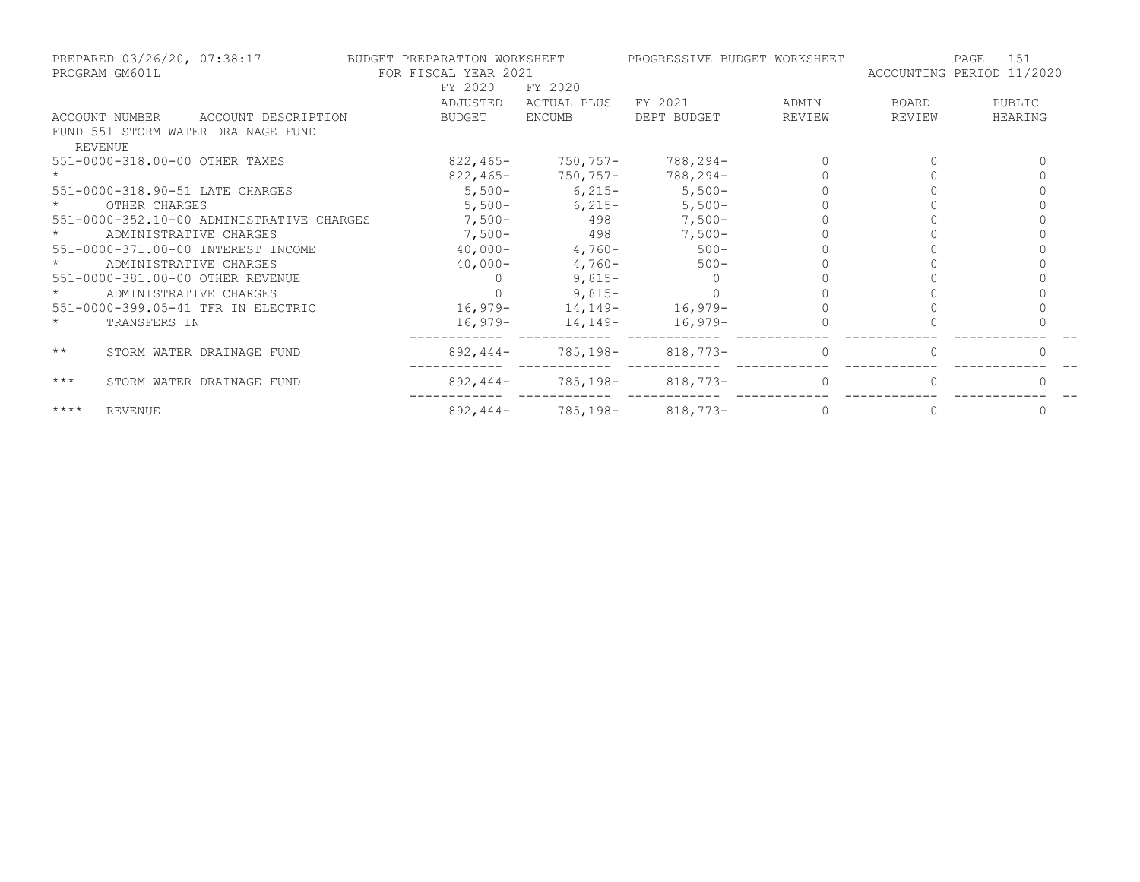|              | PREPARED 03/26/20, 07:38:17<br>PROGRAM GM601L | BUDGET PREPARATION WORKSHEET<br>FOR FISCAL YEAR 2021 |                     | PROGRESSIVE BUDGET WORKSHEET |                                 | 151<br>PAGE<br>ACCOUNTING PERIOD 11/2020 |        |         |
|--------------|-----------------------------------------------|------------------------------------------------------|---------------------|------------------------------|---------------------------------|------------------------------------------|--------|---------|
|              |                                               |                                                      | FY 2020             | FY 2020                      |                                 |                                          |        |         |
|              |                                               |                                                      | ADJUSTED            | ACTUAL PLUS                  | FY 2021                         | ADMIN                                    | BOARD  | PUBLIC  |
|              | ACCOUNT NUMBER                                | ACCOUNT DESCRIPTION                                  | BUDGET              | <b>ENCUMB</b>                | DEPT BUDGET                     | REVIEW                                   | REVIEW | HEARING |
| REVENUE      |                                               | FUND 551 STORM WATER DRAINAGE FUND                   |                     |                              |                                 |                                          |        |         |
|              |                                               | 551-0000-318.00-00 OTHER TAXES                       | 822,465-            | $750,757-$                   | 788,294-                        |                                          |        |         |
|              |                                               |                                                      |                     |                              | $822,465 - 750,757 - 788,294 -$ |                                          |        |         |
|              |                                               | 551-0000-318.90-51 LATE CHARGES                      |                     |                              | $5,500-$ 6,215- 5,500-          |                                          |        |         |
|              | OTHER CHARGES                                 |                                                      |                     | $5,500-$ 6,215-              | $5,500-$                        |                                          |        |         |
|              |                                               | 551-0000-352.10-00 ADMINISTRATIVE CHARGES            |                     | $7,500-498$                  | $7,500-$                        |                                          |        |         |
|              | ADMINISTRATIVE CHARGES                        |                                                      |                     |                              | 7,500 - 498 7,500 -             |                                          |        |         |
|              |                                               | 551-0000-371.00-00 INTEREST INCOME                   | $40,000-4,760-500-$ |                              |                                 |                                          |        |         |
|              | ADMINISTRATIVE CHARGES                        |                                                      | 40,000-             | $4,760-$                     | $500 -$                         |                                          |        |         |
|              |                                               | 551-0000-381.00-00 OTHER REVENUE                     | $\overline{0}$      | $9,815-$                     | $\Omega$                        |                                          |        |         |
| $\star$      | ADMINISTRATIVE CHARGES                        |                                                      |                     | $9,815-$                     |                                 |                                          |        |         |
|              |                                               | 551-0000-399.05-41 TFR IN ELECTRIC                   |                     |                              | $16,979-14,149-16,979-$         |                                          |        |         |
| $\star$      | TRANSFERS IN                                  |                                                      |                     |                              | $16,979-14,149-16,979-$         |                                          |        |         |
| $\star\star$ |                                               | STORM WATER DRAINAGE FUND                            | 892,444-            |                              | 785,198-818,773-                |                                          |        |         |
| $***$        |                                               | STORM WATER DRAINAGE FUND                            |                     |                              | $892,444-785,198-818,773-$      | $\Omega$                                 |        |         |
| $***$ *      | <b>REVENUE</b>                                |                                                      |                     |                              | $892,444-785,198-818,773-$      | $\Omega$                                 |        |         |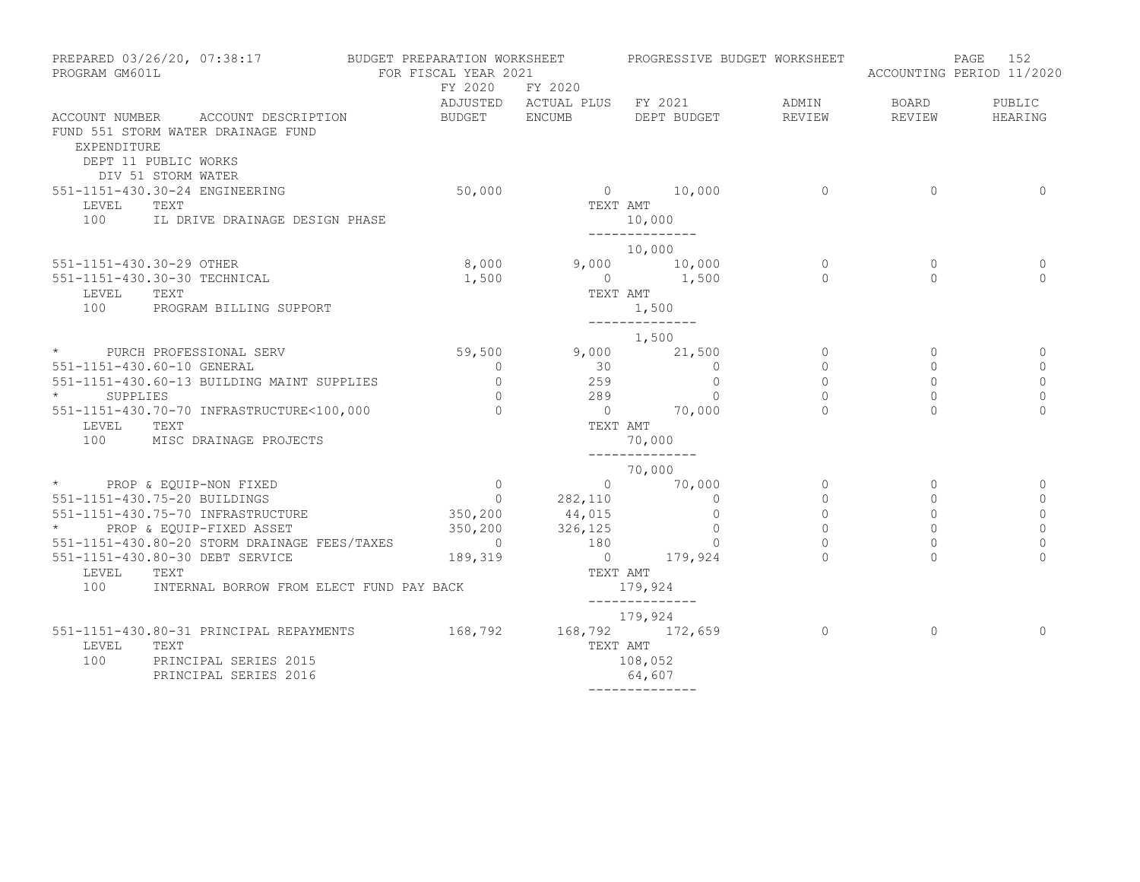| PROGRAM GM601L                                  | PREPARED 03/26/20, 07:38:17 BUDGET PREPARATION WORKSHEET                 | FOR FISCAL YEAR 2021 |                                          | PROGRESSIVE BUDGET WORKSHEET                |                 |                        | PAGE<br>152<br>ACCOUNTING PERIOD 11/2020 |
|-------------------------------------------------|--------------------------------------------------------------------------|----------------------|------------------------------------------|---------------------------------------------|-----------------|------------------------|------------------------------------------|
|                                                 |                                                                          | FY 2020 FY 2020      |                                          |                                             |                 |                        |                                          |
| EXPENDITURE<br>DEPT 11 PUBLIC WORKS             | ACCOUNT NUMBER ACCOUNT DESCRIPTION<br>FUND 551 STORM WATER DRAINAGE FUND | BUDGET ENCUMB        |                                          | ADJUSTED ACTUAL PLUS FY 2021<br>DEPT BUDGET | ADMIN<br>REVIEW | <b>BOARD</b><br>REVIEW | PUBLIC<br>HEARING                        |
| DIV 51 STORM WATER                              |                                                                          |                      |                                          |                                             |                 |                        |                                          |
| 551-1151-430.30-24 ENGINEERING<br>TEXT<br>LEVEL |                                                                          | 50,000               |                                          | $0 \t 10,000$<br>TEXT AMT                   | $\sim$ 0        | $\circ$                | $\Omega$                                 |
|                                                 | 100 IL DRIVE DRAINAGE DESIGN PHASE                                       |                      |                                          | 10,000<br>______________                    |                 |                        |                                          |
|                                                 |                                                                          |                      |                                          | 10,000                                      |                 |                        |                                          |
| 551-1151-430.30-29 OTHER                        |                                                                          | 8,000                |                                          | $9,000$ $10,000$<br>0 $1,500$               | $\overline{0}$  | $\circ$                | 0                                        |
| 551-1151-430.30-30 TECHNICAL                    |                                                                          | 1,500                | TEXT AMT                                 |                                             | $\bigcap$       | $\Omega$               | $\Omega$                                 |
| LEVEL<br>TEXT                                   | 100 PROGRAM BILLING SUPPORT                                              |                      |                                          | 1,500<br>______________                     |                 |                        |                                          |
|                                                 |                                                                          |                      |                                          | 1,500                                       |                 |                        |                                          |
| * PURCH PROFESSIONAL SERV                       |                                                                          | 59,500               |                                          | $9,000$ 21,500                              | $\circ$         | $\circ$                | 0                                        |
| 551-1151-430.60-10 GENERAL                      |                                                                          | $\circ$              | $\begin{array}{c} 30 \\ 259 \end{array}$ | $\begin{matrix} 0 \\ 0 \end{matrix}$        | $\circ$         | 0                      | 0                                        |
|                                                 | 551-1151-430.60-13 BUILDING MAINT SUPPLIES                               | $\circ$              |                                          |                                             | $\circ$         | $\circ$                | $\mathbf 0$                              |
| SUPPLIES                                        |                                                                          | $\overline{0}$       | 289                                      | $\overline{0}$<br>$0$ 70,000                | $\circ$         | $\circ$                | $\mathbf 0$                              |
| LEVEL TEXT                                      | 551-1151-430.70-70 INFRASTRUCTURE<100,000                                | $\overline{0}$       | TEXT AMT                                 |                                             |                 | $\Omega$               | $\Omega$                                 |
|                                                 | 100 MISC DRAINAGE PROJECTS                                               |                      |                                          | 70,000                                      |                 |                        |                                          |
|                                                 |                                                                          |                      |                                          | ______________<br>70,000                    |                 |                        |                                          |
| * PROP & EQUIP-NON FIXED                        |                                                                          |                      |                                          |                                             | $\circ$         | $\circ$                |                                          |
| 551-1151-430.75-20 BUILDINGS                    |                                                                          |                      |                                          |                                             | $\overline{0}$  | $\circ$                | 0                                        |
|                                                 | 551-1151-430.75-70 INFRASTRUCTURE                                        |                      |                                          |                                             | $\circ$         | $\mathbf 0$            | $\mathbf 0$                              |
|                                                 | * PROP & EQUIP-FIXED ASSET                                               |                      |                                          | $\overline{0}$                              | $\circ$         | $\mathbf{0}$           | $\mathbb O$                              |
|                                                 | 551-1151-430.80-20 STORM DRAINAGE FEES/TAXES                             |                      |                                          | $\overline{0}$                              | $\overline{0}$  | $\Omega$               | $\circ$                                  |
|                                                 | 551-1151-430.80-30 DEBT SERVICE                                          |                      |                                          | $0$ 179,924<br>TEXT AMT                     |                 | $\Omega$               | $\Omega$                                 |
| LEVEL<br>TEXT<br>100                            | INTERNAL BORROW FROM ELECT FUND PAY BACK                                 |                      |                                          | 179,924                                     |                 |                        |                                          |
|                                                 |                                                                          |                      | 179,924                                  | ______________                              |                 |                        |                                          |
|                                                 | 551-1151-430.80-31 PRINCIPAL REPAYMENTS 168,792 168,792 172,659          |                      |                                          |                                             | $\overline{0}$  | $\Omega$               | $\Omega$                                 |
| LEVEL<br>TEXT                                   |                                                                          |                      | TEXT AMT                                 |                                             |                 |                        |                                          |
| 100                                             | PRINCIPAL SERIES 2015<br>PRINCIPAL SERIES 2016                           |                      |                                          | 108,052<br>64,607                           |                 |                        |                                          |
|                                                 |                                                                          |                      |                                          | --------------                              |                 |                        |                                          |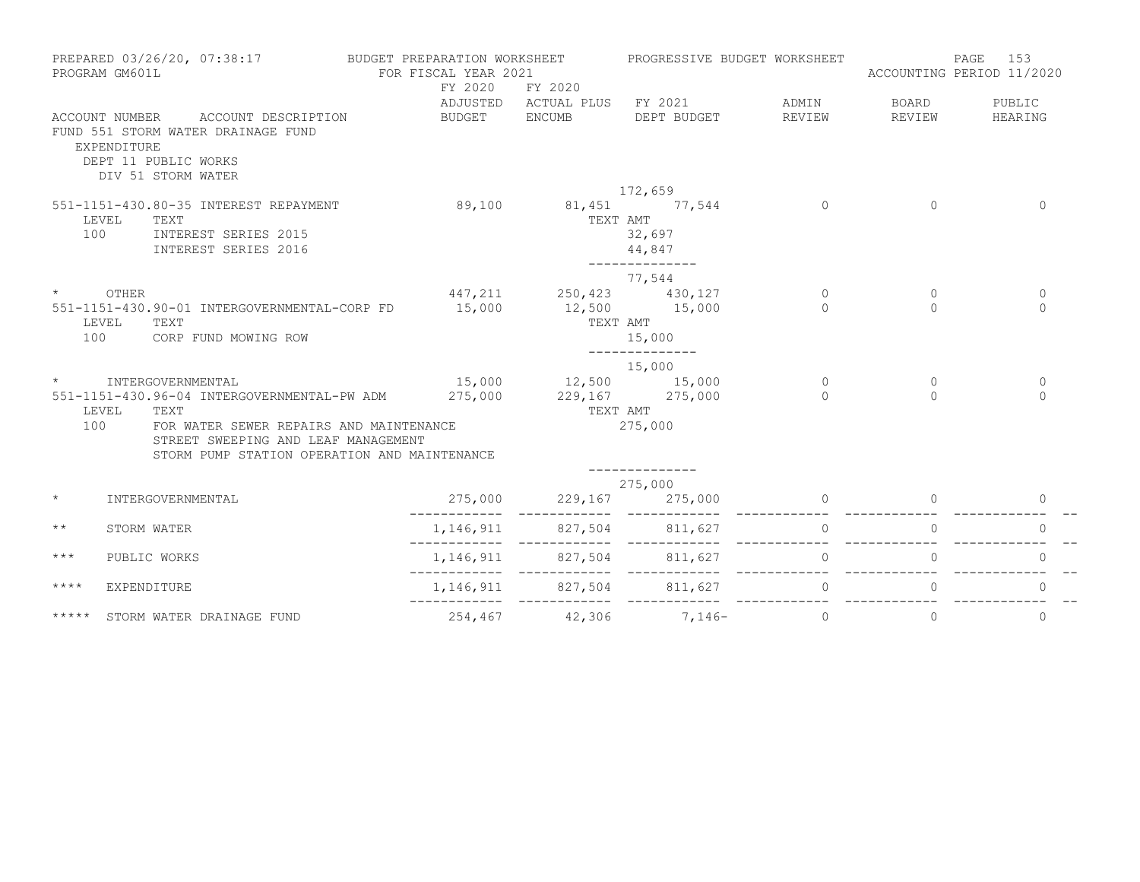|                 | PREPARED 03/26/20, 07:38:17<br>PROGRAM GM601L                                                                                            | BUDGET PREPARATION WORKSHEET<br>FOR FISCAL YEAR 2021<br>FY 2020 | FY 2020                                         | PROGRESSIVE BUDGET WORKSHEET                      |                          | PAGE<br>ACCOUNTING PERIOD 11/2020 | 153                     |
|-----------------|------------------------------------------------------------------------------------------------------------------------------------------|-----------------------------------------------------------------|-------------------------------------------------|---------------------------------------------------|--------------------------|-----------------------------------|-------------------------|
|                 | ACCOUNT DESCRIPTION<br>ACCOUNT NUMBER<br>FUND 551 STORM WATER DRAINAGE FUND<br>EXPENDITURE<br>DEPT 11 PUBLIC WORKS<br>DIV 51 STORM WATER | BUDGET                                                          | <b>ENCUMB</b>                                   | ADJUSTED ACTUAL PLUS FY 2021 ADMIN<br>DEPT BUDGET | REVIEW                   | BOARD<br>REVIEW                   | PUBLIC<br>HEARING       |
|                 |                                                                                                                                          |                                                                 |                                                 | 172,659                                           |                          |                                   |                         |
| 100             | 551-1151-430.80-35 INTEREST REPAYMENT<br>LEVEL<br>TEXT<br>INTEREST SERIES 2015<br>INTEREST SERIES 2016                                   | 89,100                                                          | 81,451 77,544<br>TEXT AMT                       | 32,697<br>44,847<br>______________                | $\overline{0}$           | $\Omega$                          | $\mathbf{0}$            |
|                 |                                                                                                                                          |                                                                 |                                                 | 77,544                                            |                          |                                   |                         |
| $\star$ OTHER   | 551-1151-430.90-01 INTERGOVERNMENTAL-CORP FD                                                                                             | 15,000                                                          | 447, 211 250, 423 430, 127<br>$12,500$ $15,000$ |                                                   | $\overline{0}$<br>$\cap$ | $\mathbf{0}$                      | $\circ$<br>$\Omega$     |
| 100             | TEXT<br>LEVEL<br>CORP FUND MOWING ROW                                                                                                    |                                                                 |                                                 | TEXT AMT<br>15,000<br>______________              |                          |                                   |                         |
|                 |                                                                                                                                          |                                                                 |                                                 | 15,000                                            |                          |                                   |                         |
| $\star$         | INTERGOVERNMENTAL                                                                                                                        |                                                                 | 15,000 12,500 15,000<br>275,000 229,167 275,000 |                                                   | $\overline{0}$<br>$\cap$ | $\circ$<br>$\cap$                 | $\mathbf 0$<br>$\Omega$ |
|                 | 551-1151-430.96-04 INTERGOVERNMENTAL-PW ADM<br>LEVEL TEXT                                                                                |                                                                 | TEXT AMT                                        |                                                   |                          |                                   |                         |
| 100             | FOR WATER SEWER REPAIRS AND MAINTENANCE<br>STREET SWEEPING AND LEAF MANAGEMENT<br>STORM PUMP STATION OPERATION AND MAINTENANCE           |                                                                 |                                                 | 275,000<br>--------------                         |                          |                                   |                         |
|                 |                                                                                                                                          |                                                                 |                                                 | 275,000                                           |                          |                                   |                         |
| $\star$         | INTERGOVERNMENTAL                                                                                                                        | 275,000                                                         | 229,167                                         | 275,000                                           | $\bigcap$                |                                   | $\Omega$                |
| $\star$ $\star$ | STORM WATER                                                                                                                              |                                                                 | 1, 146, 911 827, 504 811, 627                   |                                                   | $\Omega$                 |                                   | $\Omega$                |
| $***$           | PUBLIC WORKS                                                                                                                             |                                                                 |                                                 | 1, 146, 911 827, 504 811, 627                     | $\Omega$                 |                                   | $\Omega$                |
| $***$ *         | <b>EXPENDITURE</b>                                                                                                                       |                                                                 |                                                 | 1, 146, 911 827, 504 811, 627                     | $\overline{0}$           |                                   |                         |
| *****           | STORM WATER DRAINAGE FUND                                                                                                                |                                                                 |                                                 | $254,467$ $42,306$ $7,146$ - 0                    |                          | $\circ$                           | $\mathbf{0}$            |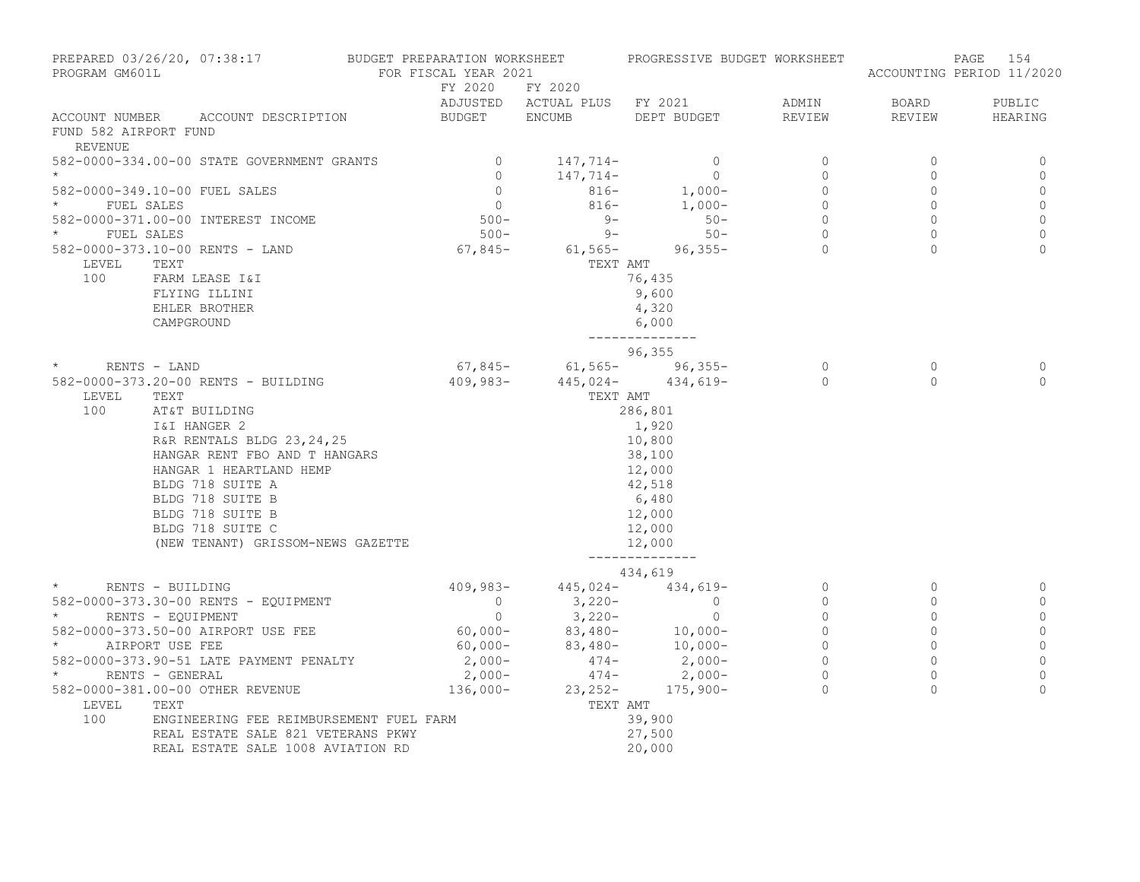| FY 2020 FY 2020<br>ADJUSTED ACTUAL PLUS FY 2021 ADMIN<br>BOARD<br>PUBLIC<br>$\begin{minipage}{0.9\linewidth} ACCOUNT NUMBER \end{minipage} \begin{minipage}{0.9\linewidth} ACCOUNT DESCRIPTION \end{minipage} \begin{minipage}{0.9\linewidth} BUDGET \end{minipage} \begin{minipage}{0.9\linewidth} EMCUMB \end{minipage}$<br>DEPT BUDGET<br>REVIEW<br>REVIEW<br>HEARING<br>FUND 582 AIRPORT FUND<br>REVENUE<br>$\overline{0}$<br>582-0000-334.00-00 STATE GOVERNMENT GRANTS<br>$147,714-$<br>$\circ$<br>$\mathbf 0$<br>0<br>$\begin{bmatrix} 0 \\ 0 \\ 0 \end{bmatrix}$<br>147,714-<br>$\overline{0}$<br>$\circ$<br>$\Omega$<br>$\mathbf 0$<br>$816-$<br>$816-$<br>$1,000-$<br>$1,000-$<br>$\overline{0}$<br>582-0000-349.10-00 FUEL SALES<br>$\circ$<br>$\circ$<br>$\frac{1}{2}$<br>$\star$<br>$\circ$<br>$\mathbf 0$<br>FUEL SALES<br>$500 -$<br>$\begin{array}{c} 0 \\ 0 \end{array}$<br>$\circ$<br>582-0000-371.00-00 INTEREST INCOME<br>$9 -$<br>$50 -$<br>$50 -$<br>$\circ$<br>$\star$ $\qquad$ FUEL SALES<br>$\circ$<br>$9 -$<br>$\mathbf{0}$<br>$500 -$<br>582-0000-373.10-00 RENTS - LAND 67,845-<br>$\Omega$<br>$61,565 - 96,355 -$<br>$\cap$<br>$\Omega$<br>LEVEL<br>TEXT<br>TEXT AMT<br>100<br>76,435<br>FARM LEASE I&I<br>9,600<br>FLYING ILLINI<br>EHLER BROTHER<br>4,320<br>CAMPGROUND<br>6,000<br>______________<br>96,355<br>*<br>RENTS – LAND<br>582-0000-373.20-00 RENTS – BUILDING<br>7,845-<br>409,983-<br>445,024-<br>434,619-<br>0<br>$\Omega$<br>0<br>$\Omega$<br>$\Omega$<br>LEVEL<br>TEXT AMT<br>100<br>286,801<br>1,920<br>O-OO AL<br>REXT<br>AT&T BUILDING<br>I&I HANGER 2<br>R&R RENTALS BLDG 23,24,25<br>HANGAR RENT FBO AND T HANGARS<br>"ANGAR 1 HEARTLAND HEMP<br>10,800<br>38,100<br>12,000<br>$42,518$<br>6,480<br>12,000<br>12,000<br>BLDG 718 SUITE B<br>BLDG 718 SUITE C<br>(NEW TENANT) GRISSOM-NEWS GAZETTE<br>12,000<br>--------------<br>434,619<br>$409,983 - 445,024 - 434,619 -$<br>$\circ$<br>$\star$<br>$\circ$<br>RENTS - BUILDING<br>0<br>$3,220-$<br>$\begin{matrix} 0 \\ 0 \end{matrix}$<br>$\sim$ 0<br>$\circ$<br>$\circ$<br>582-0000-373.30-00 RENTS - EQUIPMENT<br>$\mathbf 0$<br>* RENTS - EQUIPMENT<br>$\sim$ 0<br>$\circ$<br>$3,220-$<br>$\circ$<br>0<br>$60,000 - 83,480 - 10,000 -$<br>$\circ$<br>582-0000-373.50-00 AIRPORT USE FEE<br>$\Omega$<br>$\mathbb O$<br>$60,000-$<br>2,000-<br>$\circ$<br>$\star$<br>$83,480-$<br>$474-$<br>$2,000-$<br>$\begin{array}{c} 0 \\ 0 \end{array}$<br>$\mathbb O$<br>AIRPORT USE FEE<br>$2,000-$<br>$2,000-$<br>$136,000-$<br>$23,252-$<br>$175,900-$<br>$\Omega$<br>$\mathbb O$<br>582-0000-373.90-51 LATE PAYMENT PENALTY<br>$\overline{a}$<br>$\circ$<br>$\star$ and the set of $\star$<br>$\circ$<br>RENTS - GENERAL<br>$\Omega$<br>582-0000-381.00-00 OTHER REVENUE<br>$\Omega$<br>TEXT AMT<br>LEVEL<br>TEXT<br>100<br>ENGINEERING FEE REIMBURSEMENT FUEL FARM<br>39,900<br>27,500<br>REAL ESTATE SALE 821 VETERANS PKWY | PREPARED 03/26/20, 07:38:17 BUDGET PREPARATION WORKSHEET<br>PROGRAM GM601L |                                   | FOR FISCAL YEAR 2021 | PROGRESSIVE BUDGET WORKSHEET |  | 154<br>PAGE<br>ACCOUNTING PERIOD 11/2020 |  |
|---------------------------------------------------------------------------------------------------------------------------------------------------------------------------------------------------------------------------------------------------------------------------------------------------------------------------------------------------------------------------------------------------------------------------------------------------------------------------------------------------------------------------------------------------------------------------------------------------------------------------------------------------------------------------------------------------------------------------------------------------------------------------------------------------------------------------------------------------------------------------------------------------------------------------------------------------------------------------------------------------------------------------------------------------------------------------------------------------------------------------------------------------------------------------------------------------------------------------------------------------------------------------------------------------------------------------------------------------------------------------------------------------------------------------------------------------------------------------------------------------------------------------------------------------------------------------------------------------------------------------------------------------------------------------------------------------------------------------------------------------------------------------------------------------------------------------------------------------------------------------------------------------------------------------------------------------------------------------------------------------------------------------------------------------------------------------------------------------------------------------------------------------------------------------------------------------------------------------------------------------------------------------------------------------------------------------------------------------------------------------------------------------------------------------------------------------------------------------------------------------------------------------------------------------------------------------------------------------------------------------------------------------------------------------------------------------------------------------------------------------------------------------------------------------------------------------------------------------------------------------------------------------------------------------------|----------------------------------------------------------------------------|-----------------------------------|----------------------|------------------------------|--|------------------------------------------|--|
|                                                                                                                                                                                                                                                                                                                                                                                                                                                                                                                                                                                                                                                                                                                                                                                                                                                                                                                                                                                                                                                                                                                                                                                                                                                                                                                                                                                                                                                                                                                                                                                                                                                                                                                                                                                                                                                                                                                                                                                                                                                                                                                                                                                                                                                                                                                                                                                                                                                                                                                                                                                                                                                                                                                                                                                                                                                                                                                                 |                                                                            |                                   |                      |                              |  |                                          |  |
|                                                                                                                                                                                                                                                                                                                                                                                                                                                                                                                                                                                                                                                                                                                                                                                                                                                                                                                                                                                                                                                                                                                                                                                                                                                                                                                                                                                                                                                                                                                                                                                                                                                                                                                                                                                                                                                                                                                                                                                                                                                                                                                                                                                                                                                                                                                                                                                                                                                                                                                                                                                                                                                                                                                                                                                                                                                                                                                                 |                                                                            |                                   |                      |                              |  |                                          |  |
|                                                                                                                                                                                                                                                                                                                                                                                                                                                                                                                                                                                                                                                                                                                                                                                                                                                                                                                                                                                                                                                                                                                                                                                                                                                                                                                                                                                                                                                                                                                                                                                                                                                                                                                                                                                                                                                                                                                                                                                                                                                                                                                                                                                                                                                                                                                                                                                                                                                                                                                                                                                                                                                                                                                                                                                                                                                                                                                                 |                                                                            |                                   |                      |                              |  |                                          |  |
|                                                                                                                                                                                                                                                                                                                                                                                                                                                                                                                                                                                                                                                                                                                                                                                                                                                                                                                                                                                                                                                                                                                                                                                                                                                                                                                                                                                                                                                                                                                                                                                                                                                                                                                                                                                                                                                                                                                                                                                                                                                                                                                                                                                                                                                                                                                                                                                                                                                                                                                                                                                                                                                                                                                                                                                                                                                                                                                                 |                                                                            |                                   |                      |                              |  |                                          |  |
|                                                                                                                                                                                                                                                                                                                                                                                                                                                                                                                                                                                                                                                                                                                                                                                                                                                                                                                                                                                                                                                                                                                                                                                                                                                                                                                                                                                                                                                                                                                                                                                                                                                                                                                                                                                                                                                                                                                                                                                                                                                                                                                                                                                                                                                                                                                                                                                                                                                                                                                                                                                                                                                                                                                                                                                                                                                                                                                                 |                                                                            |                                   |                      |                              |  |                                          |  |
|                                                                                                                                                                                                                                                                                                                                                                                                                                                                                                                                                                                                                                                                                                                                                                                                                                                                                                                                                                                                                                                                                                                                                                                                                                                                                                                                                                                                                                                                                                                                                                                                                                                                                                                                                                                                                                                                                                                                                                                                                                                                                                                                                                                                                                                                                                                                                                                                                                                                                                                                                                                                                                                                                                                                                                                                                                                                                                                                 |                                                                            |                                   |                      |                              |  |                                          |  |
|                                                                                                                                                                                                                                                                                                                                                                                                                                                                                                                                                                                                                                                                                                                                                                                                                                                                                                                                                                                                                                                                                                                                                                                                                                                                                                                                                                                                                                                                                                                                                                                                                                                                                                                                                                                                                                                                                                                                                                                                                                                                                                                                                                                                                                                                                                                                                                                                                                                                                                                                                                                                                                                                                                                                                                                                                                                                                                                                 |                                                                            |                                   |                      |                              |  |                                          |  |
|                                                                                                                                                                                                                                                                                                                                                                                                                                                                                                                                                                                                                                                                                                                                                                                                                                                                                                                                                                                                                                                                                                                                                                                                                                                                                                                                                                                                                                                                                                                                                                                                                                                                                                                                                                                                                                                                                                                                                                                                                                                                                                                                                                                                                                                                                                                                                                                                                                                                                                                                                                                                                                                                                                                                                                                                                                                                                                                                 |                                                                            |                                   |                      |                              |  |                                          |  |
|                                                                                                                                                                                                                                                                                                                                                                                                                                                                                                                                                                                                                                                                                                                                                                                                                                                                                                                                                                                                                                                                                                                                                                                                                                                                                                                                                                                                                                                                                                                                                                                                                                                                                                                                                                                                                                                                                                                                                                                                                                                                                                                                                                                                                                                                                                                                                                                                                                                                                                                                                                                                                                                                                                                                                                                                                                                                                                                                 |                                                                            |                                   |                      |                              |  |                                          |  |
|                                                                                                                                                                                                                                                                                                                                                                                                                                                                                                                                                                                                                                                                                                                                                                                                                                                                                                                                                                                                                                                                                                                                                                                                                                                                                                                                                                                                                                                                                                                                                                                                                                                                                                                                                                                                                                                                                                                                                                                                                                                                                                                                                                                                                                                                                                                                                                                                                                                                                                                                                                                                                                                                                                                                                                                                                                                                                                                                 |                                                                            |                                   |                      |                              |  |                                          |  |
|                                                                                                                                                                                                                                                                                                                                                                                                                                                                                                                                                                                                                                                                                                                                                                                                                                                                                                                                                                                                                                                                                                                                                                                                                                                                                                                                                                                                                                                                                                                                                                                                                                                                                                                                                                                                                                                                                                                                                                                                                                                                                                                                                                                                                                                                                                                                                                                                                                                                                                                                                                                                                                                                                                                                                                                                                                                                                                                                 |                                                                            |                                   |                      |                              |  |                                          |  |
|                                                                                                                                                                                                                                                                                                                                                                                                                                                                                                                                                                                                                                                                                                                                                                                                                                                                                                                                                                                                                                                                                                                                                                                                                                                                                                                                                                                                                                                                                                                                                                                                                                                                                                                                                                                                                                                                                                                                                                                                                                                                                                                                                                                                                                                                                                                                                                                                                                                                                                                                                                                                                                                                                                                                                                                                                                                                                                                                 |                                                                            |                                   |                      |                              |  |                                          |  |
|                                                                                                                                                                                                                                                                                                                                                                                                                                                                                                                                                                                                                                                                                                                                                                                                                                                                                                                                                                                                                                                                                                                                                                                                                                                                                                                                                                                                                                                                                                                                                                                                                                                                                                                                                                                                                                                                                                                                                                                                                                                                                                                                                                                                                                                                                                                                                                                                                                                                                                                                                                                                                                                                                                                                                                                                                                                                                                                                 |                                                                            |                                   |                      |                              |  |                                          |  |
|                                                                                                                                                                                                                                                                                                                                                                                                                                                                                                                                                                                                                                                                                                                                                                                                                                                                                                                                                                                                                                                                                                                                                                                                                                                                                                                                                                                                                                                                                                                                                                                                                                                                                                                                                                                                                                                                                                                                                                                                                                                                                                                                                                                                                                                                                                                                                                                                                                                                                                                                                                                                                                                                                                                                                                                                                                                                                                                                 |                                                                            |                                   |                      |                              |  |                                          |  |
|                                                                                                                                                                                                                                                                                                                                                                                                                                                                                                                                                                                                                                                                                                                                                                                                                                                                                                                                                                                                                                                                                                                                                                                                                                                                                                                                                                                                                                                                                                                                                                                                                                                                                                                                                                                                                                                                                                                                                                                                                                                                                                                                                                                                                                                                                                                                                                                                                                                                                                                                                                                                                                                                                                                                                                                                                                                                                                                                 |                                                                            |                                   |                      |                              |  |                                          |  |
|                                                                                                                                                                                                                                                                                                                                                                                                                                                                                                                                                                                                                                                                                                                                                                                                                                                                                                                                                                                                                                                                                                                                                                                                                                                                                                                                                                                                                                                                                                                                                                                                                                                                                                                                                                                                                                                                                                                                                                                                                                                                                                                                                                                                                                                                                                                                                                                                                                                                                                                                                                                                                                                                                                                                                                                                                                                                                                                                 |                                                                            |                                   |                      |                              |  |                                          |  |
|                                                                                                                                                                                                                                                                                                                                                                                                                                                                                                                                                                                                                                                                                                                                                                                                                                                                                                                                                                                                                                                                                                                                                                                                                                                                                                                                                                                                                                                                                                                                                                                                                                                                                                                                                                                                                                                                                                                                                                                                                                                                                                                                                                                                                                                                                                                                                                                                                                                                                                                                                                                                                                                                                                                                                                                                                                                                                                                                 |                                                                            |                                   |                      |                              |  |                                          |  |
|                                                                                                                                                                                                                                                                                                                                                                                                                                                                                                                                                                                                                                                                                                                                                                                                                                                                                                                                                                                                                                                                                                                                                                                                                                                                                                                                                                                                                                                                                                                                                                                                                                                                                                                                                                                                                                                                                                                                                                                                                                                                                                                                                                                                                                                                                                                                                                                                                                                                                                                                                                                                                                                                                                                                                                                                                                                                                                                                 |                                                                            |                                   |                      |                              |  |                                          |  |
|                                                                                                                                                                                                                                                                                                                                                                                                                                                                                                                                                                                                                                                                                                                                                                                                                                                                                                                                                                                                                                                                                                                                                                                                                                                                                                                                                                                                                                                                                                                                                                                                                                                                                                                                                                                                                                                                                                                                                                                                                                                                                                                                                                                                                                                                                                                                                                                                                                                                                                                                                                                                                                                                                                                                                                                                                                                                                                                                 |                                                                            |                                   |                      |                              |  |                                          |  |
|                                                                                                                                                                                                                                                                                                                                                                                                                                                                                                                                                                                                                                                                                                                                                                                                                                                                                                                                                                                                                                                                                                                                                                                                                                                                                                                                                                                                                                                                                                                                                                                                                                                                                                                                                                                                                                                                                                                                                                                                                                                                                                                                                                                                                                                                                                                                                                                                                                                                                                                                                                                                                                                                                                                                                                                                                                                                                                                                 |                                                                            |                                   |                      |                              |  |                                          |  |
|                                                                                                                                                                                                                                                                                                                                                                                                                                                                                                                                                                                                                                                                                                                                                                                                                                                                                                                                                                                                                                                                                                                                                                                                                                                                                                                                                                                                                                                                                                                                                                                                                                                                                                                                                                                                                                                                                                                                                                                                                                                                                                                                                                                                                                                                                                                                                                                                                                                                                                                                                                                                                                                                                                                                                                                                                                                                                                                                 |                                                                            |                                   |                      |                              |  |                                          |  |
|                                                                                                                                                                                                                                                                                                                                                                                                                                                                                                                                                                                                                                                                                                                                                                                                                                                                                                                                                                                                                                                                                                                                                                                                                                                                                                                                                                                                                                                                                                                                                                                                                                                                                                                                                                                                                                                                                                                                                                                                                                                                                                                                                                                                                                                                                                                                                                                                                                                                                                                                                                                                                                                                                                                                                                                                                                                                                                                                 |                                                                            |                                   |                      |                              |  |                                          |  |
|                                                                                                                                                                                                                                                                                                                                                                                                                                                                                                                                                                                                                                                                                                                                                                                                                                                                                                                                                                                                                                                                                                                                                                                                                                                                                                                                                                                                                                                                                                                                                                                                                                                                                                                                                                                                                                                                                                                                                                                                                                                                                                                                                                                                                                                                                                                                                                                                                                                                                                                                                                                                                                                                                                                                                                                                                                                                                                                                 |                                                                            |                                   |                      |                              |  |                                          |  |
|                                                                                                                                                                                                                                                                                                                                                                                                                                                                                                                                                                                                                                                                                                                                                                                                                                                                                                                                                                                                                                                                                                                                                                                                                                                                                                                                                                                                                                                                                                                                                                                                                                                                                                                                                                                                                                                                                                                                                                                                                                                                                                                                                                                                                                                                                                                                                                                                                                                                                                                                                                                                                                                                                                                                                                                                                                                                                                                                 |                                                                            |                                   |                      |                              |  |                                          |  |
|                                                                                                                                                                                                                                                                                                                                                                                                                                                                                                                                                                                                                                                                                                                                                                                                                                                                                                                                                                                                                                                                                                                                                                                                                                                                                                                                                                                                                                                                                                                                                                                                                                                                                                                                                                                                                                                                                                                                                                                                                                                                                                                                                                                                                                                                                                                                                                                                                                                                                                                                                                                                                                                                                                                                                                                                                                                                                                                                 |                                                                            |                                   |                      |                              |  |                                          |  |
|                                                                                                                                                                                                                                                                                                                                                                                                                                                                                                                                                                                                                                                                                                                                                                                                                                                                                                                                                                                                                                                                                                                                                                                                                                                                                                                                                                                                                                                                                                                                                                                                                                                                                                                                                                                                                                                                                                                                                                                                                                                                                                                                                                                                                                                                                                                                                                                                                                                                                                                                                                                                                                                                                                                                                                                                                                                                                                                                 |                                                                            |                                   |                      |                              |  |                                          |  |
|                                                                                                                                                                                                                                                                                                                                                                                                                                                                                                                                                                                                                                                                                                                                                                                                                                                                                                                                                                                                                                                                                                                                                                                                                                                                                                                                                                                                                                                                                                                                                                                                                                                                                                                                                                                                                                                                                                                                                                                                                                                                                                                                                                                                                                                                                                                                                                                                                                                                                                                                                                                                                                                                                                                                                                                                                                                                                                                                 |                                                                            |                                   |                      |                              |  |                                          |  |
|                                                                                                                                                                                                                                                                                                                                                                                                                                                                                                                                                                                                                                                                                                                                                                                                                                                                                                                                                                                                                                                                                                                                                                                                                                                                                                                                                                                                                                                                                                                                                                                                                                                                                                                                                                                                                                                                                                                                                                                                                                                                                                                                                                                                                                                                                                                                                                                                                                                                                                                                                                                                                                                                                                                                                                                                                                                                                                                                 |                                                                            |                                   |                      |                              |  |                                          |  |
|                                                                                                                                                                                                                                                                                                                                                                                                                                                                                                                                                                                                                                                                                                                                                                                                                                                                                                                                                                                                                                                                                                                                                                                                                                                                                                                                                                                                                                                                                                                                                                                                                                                                                                                                                                                                                                                                                                                                                                                                                                                                                                                                                                                                                                                                                                                                                                                                                                                                                                                                                                                                                                                                                                                                                                                                                                                                                                                                 |                                                                            |                                   |                      |                              |  |                                          |  |
|                                                                                                                                                                                                                                                                                                                                                                                                                                                                                                                                                                                                                                                                                                                                                                                                                                                                                                                                                                                                                                                                                                                                                                                                                                                                                                                                                                                                                                                                                                                                                                                                                                                                                                                                                                                                                                                                                                                                                                                                                                                                                                                                                                                                                                                                                                                                                                                                                                                                                                                                                                                                                                                                                                                                                                                                                                                                                                                                 |                                                                            |                                   |                      |                              |  |                                          |  |
|                                                                                                                                                                                                                                                                                                                                                                                                                                                                                                                                                                                                                                                                                                                                                                                                                                                                                                                                                                                                                                                                                                                                                                                                                                                                                                                                                                                                                                                                                                                                                                                                                                                                                                                                                                                                                                                                                                                                                                                                                                                                                                                                                                                                                                                                                                                                                                                                                                                                                                                                                                                                                                                                                                                                                                                                                                                                                                                                 |                                                                            |                                   |                      |                              |  |                                          |  |
|                                                                                                                                                                                                                                                                                                                                                                                                                                                                                                                                                                                                                                                                                                                                                                                                                                                                                                                                                                                                                                                                                                                                                                                                                                                                                                                                                                                                                                                                                                                                                                                                                                                                                                                                                                                                                                                                                                                                                                                                                                                                                                                                                                                                                                                                                                                                                                                                                                                                                                                                                                                                                                                                                                                                                                                                                                                                                                                                 |                                                                            |                                   |                      |                              |  |                                          |  |
|                                                                                                                                                                                                                                                                                                                                                                                                                                                                                                                                                                                                                                                                                                                                                                                                                                                                                                                                                                                                                                                                                                                                                                                                                                                                                                                                                                                                                                                                                                                                                                                                                                                                                                                                                                                                                                                                                                                                                                                                                                                                                                                                                                                                                                                                                                                                                                                                                                                                                                                                                                                                                                                                                                                                                                                                                                                                                                                                 |                                                                            |                                   |                      |                              |  |                                          |  |
|                                                                                                                                                                                                                                                                                                                                                                                                                                                                                                                                                                                                                                                                                                                                                                                                                                                                                                                                                                                                                                                                                                                                                                                                                                                                                                                                                                                                                                                                                                                                                                                                                                                                                                                                                                                                                                                                                                                                                                                                                                                                                                                                                                                                                                                                                                                                                                                                                                                                                                                                                                                                                                                                                                                                                                                                                                                                                                                                 |                                                                            |                                   |                      |                              |  |                                          |  |
|                                                                                                                                                                                                                                                                                                                                                                                                                                                                                                                                                                                                                                                                                                                                                                                                                                                                                                                                                                                                                                                                                                                                                                                                                                                                                                                                                                                                                                                                                                                                                                                                                                                                                                                                                                                                                                                                                                                                                                                                                                                                                                                                                                                                                                                                                                                                                                                                                                                                                                                                                                                                                                                                                                                                                                                                                                                                                                                                 |                                                                            |                                   |                      |                              |  |                                          |  |
|                                                                                                                                                                                                                                                                                                                                                                                                                                                                                                                                                                                                                                                                                                                                                                                                                                                                                                                                                                                                                                                                                                                                                                                                                                                                                                                                                                                                                                                                                                                                                                                                                                                                                                                                                                                                                                                                                                                                                                                                                                                                                                                                                                                                                                                                                                                                                                                                                                                                                                                                                                                                                                                                                                                                                                                                                                                                                                                                 |                                                                            |                                   |                      |                              |  |                                          |  |
|                                                                                                                                                                                                                                                                                                                                                                                                                                                                                                                                                                                                                                                                                                                                                                                                                                                                                                                                                                                                                                                                                                                                                                                                                                                                                                                                                                                                                                                                                                                                                                                                                                                                                                                                                                                                                                                                                                                                                                                                                                                                                                                                                                                                                                                                                                                                                                                                                                                                                                                                                                                                                                                                                                                                                                                                                                                                                                                                 |                                                                            |                                   |                      |                              |  |                                          |  |
|                                                                                                                                                                                                                                                                                                                                                                                                                                                                                                                                                                                                                                                                                                                                                                                                                                                                                                                                                                                                                                                                                                                                                                                                                                                                                                                                                                                                                                                                                                                                                                                                                                                                                                                                                                                                                                                                                                                                                                                                                                                                                                                                                                                                                                                                                                                                                                                                                                                                                                                                                                                                                                                                                                                                                                                                                                                                                                                                 |                                                                            |                                   |                      |                              |  |                                          |  |
|                                                                                                                                                                                                                                                                                                                                                                                                                                                                                                                                                                                                                                                                                                                                                                                                                                                                                                                                                                                                                                                                                                                                                                                                                                                                                                                                                                                                                                                                                                                                                                                                                                                                                                                                                                                                                                                                                                                                                                                                                                                                                                                                                                                                                                                                                                                                                                                                                                                                                                                                                                                                                                                                                                                                                                                                                                                                                                                                 |                                                                            |                                   |                      |                              |  |                                          |  |
|                                                                                                                                                                                                                                                                                                                                                                                                                                                                                                                                                                                                                                                                                                                                                                                                                                                                                                                                                                                                                                                                                                                                                                                                                                                                                                                                                                                                                                                                                                                                                                                                                                                                                                                                                                                                                                                                                                                                                                                                                                                                                                                                                                                                                                                                                                                                                                                                                                                                                                                                                                                                                                                                                                                                                                                                                                                                                                                                 |                                                                            |                                   |                      |                              |  |                                          |  |
|                                                                                                                                                                                                                                                                                                                                                                                                                                                                                                                                                                                                                                                                                                                                                                                                                                                                                                                                                                                                                                                                                                                                                                                                                                                                                                                                                                                                                                                                                                                                                                                                                                                                                                                                                                                                                                                                                                                                                                                                                                                                                                                                                                                                                                                                                                                                                                                                                                                                                                                                                                                                                                                                                                                                                                                                                                                                                                                                 |                                                                            | REAL ESTATE SALE 1008 AVIATION RD |                      | 20,000                       |  |                                          |  |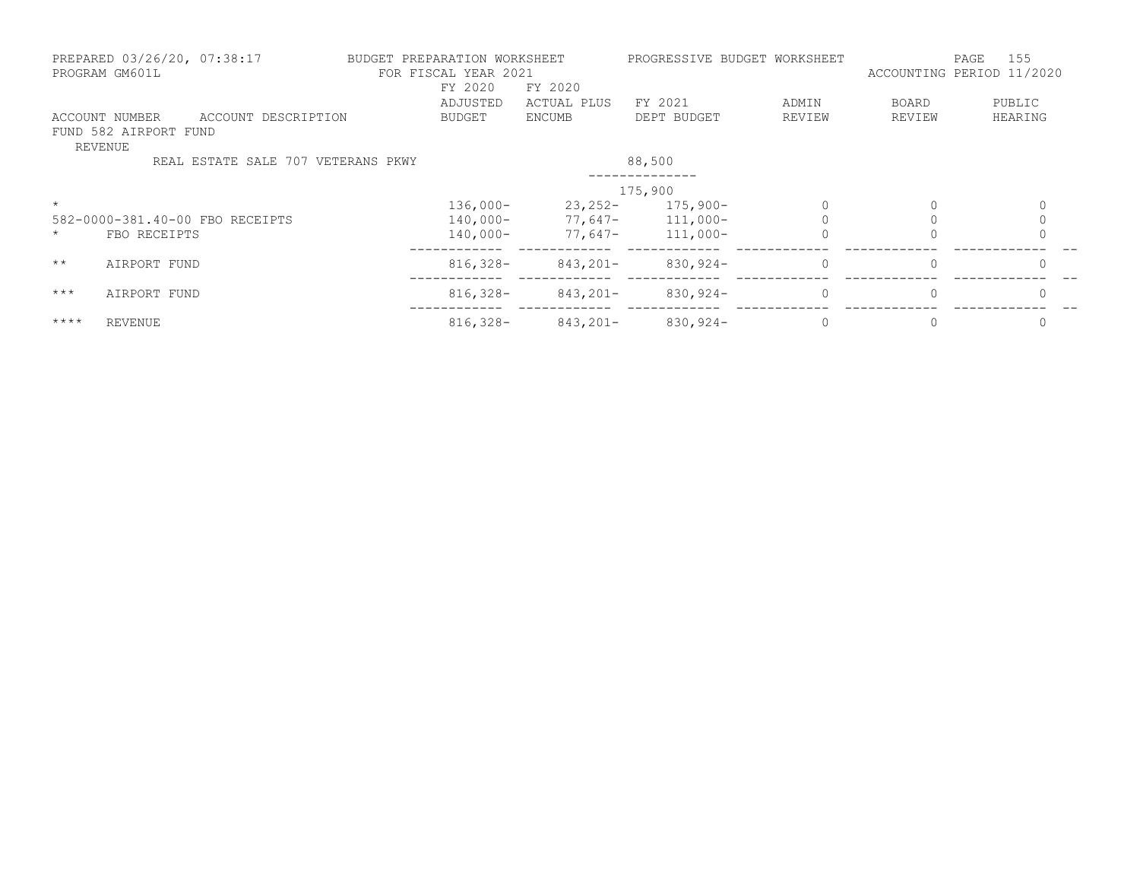|                | PREPARED 03/26/20, 07:38:17<br>PROGRAM GM601L                  | BUDGET PREPARATION WORKSHEET | FOR FISCAL YEAR 2021<br>FY 2020 | FY 2020     | PROGRESSIVE BUDGET WORKSHEET |          | ACCOUNTING PERIOD 11/2020 | 155<br>PAGE |
|----------------|----------------------------------------------------------------|------------------------------|---------------------------------|-------------|------------------------------|----------|---------------------------|-------------|
|                |                                                                |                              | ADJUSTED                        | ACTUAL PLUS | FY 2021                      | ADMIN    | BOARD                     | PUBLIC      |
| <b>REVENUE</b> | ACCOUNT NUMBER<br>ACCOUNT DESCRIPTION<br>FUND 582 AIRPORT FUND |                              | <b>BUDGET</b>                   | ENCUMB      | DEPT BUDGET                  | REVIEW   | REVIEW                    | HEARING     |
|                | REAL ESTATE SALE 707 VETERANS PKWY                             |                              |                                 |             | 88,500                       |          |                           |             |
|                |                                                                |                              |                                 |             | 175,900                      |          |                           |             |
| $\star$        |                                                                |                              | $136,000-$                      | $23,252-$   | $175,900-$                   |          | 0                         |             |
|                | 582-0000-381.40-00 FBO RECEIPTS                                |                              | 140,000-                        |             | $77,647-111,000-$            |          |                           |             |
| $\star$        | FBO RECEIPTS                                                   |                              | $140,000-$                      | 77,647-     | $111,000-$                   |          |                           |             |
| $\star\star$   | AIRPORT FUND                                                   |                              | $816,328-$                      | $843,201 -$ | $830, 924 -$                 | $\Omega$ | $\Omega$                  | $\Omega$    |
| $***$          | AIRPORT FUND                                                   |                              | $816,328-$                      | $843,201 -$ | $830, 924 -$                 | $\Omega$ | $\Omega$                  |             |
| $***$ *        | <b>REVENUE</b>                                                 |                              | $816,328-$                      | 843,201-    | $830,924-$                   | $\Omega$ | $\Omega$                  |             |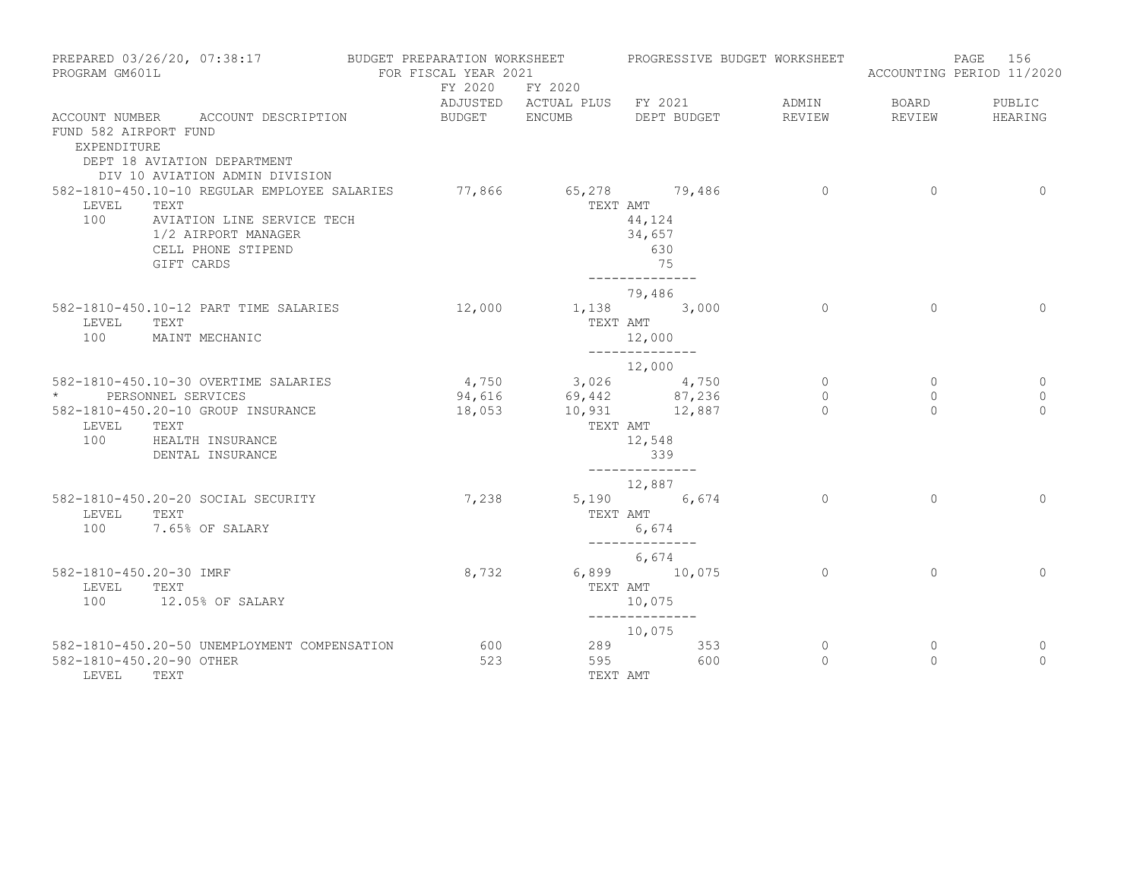| PROGRAM GM601L                          | PREPARED 03/26/20, 07:38:17                                                                                                                   | BUDGET PREPARATION WORKSHEET<br>FOR FISCAL YEAR 2021 |                                  | PROGRESSIVE BUDGET WORKSHEET                                            |                |          | 156<br>PAGE<br>ACCOUNTING PERIOD 11/2020 |
|-----------------------------------------|-----------------------------------------------------------------------------------------------------------------------------------------------|------------------------------------------------------|----------------------------------|-------------------------------------------------------------------------|----------------|----------|------------------------------------------|
|                                         |                                                                                                                                               | FY 2020                                              | FY 2020                          |                                                                         |                |          |                                          |
|                                         |                                                                                                                                               |                                                      |                                  | ADJUSTED ACTUAL PLUS FY 2021                                            | ADMIN          | BOARD    | PUBLIC                                   |
| FUND 582 AIRPORT FUND<br>EXPENDITURE    | ACCOUNT NUMBER ACCOUNT DESCRIPTION<br>DEPT 18 AVIATION DEPARTMENT                                                                             | BUDGET ENCUMB                                        |                                  | DEPT BUDGET                                                             | REVIEW         | REVIEW   | HEARING                                  |
|                                         | DIV 10 AVIATION ADMIN DIVISION                                                                                                                |                                                      |                                  |                                                                         | $\overline{0}$ | $\Omega$ | $\Omega$                                 |
| LEVEL<br>100                            | 582-1810-450.10-10 REGULAR EMPLOYEE SALARIES<br>TEXT<br>AVIATION LINE SERVICE TECH<br>1/2 AIRPORT MANAGER<br>CELL PHONE STIPEND<br>GIFT CARDS |                                                      | TEXT AMT                         | 77,866 65,278 79,486<br>44,124<br>34,657<br>630<br>75<br>-------------- |                |          |                                          |
|                                         |                                                                                                                                               |                                                      |                                  | 79,486                                                                  |                |          |                                          |
| LEVEL<br>100                            | 582-1810-450.10-12 PART TIME SALARIES<br>TEXT<br>MAINT MECHANIC                                                                               | 12,000                                               | TEXT AMT                         | 1,138 3,000<br>12,000<br>______________                                 | $\Omega$       | $\Omega$ | $\Omega$                                 |
|                                         |                                                                                                                                               |                                                      |                                  | 12,000                                                                  |                |          |                                          |
|                                         | 582-1810-450.10-30 OVERTIME SALARIES                                                                                                          |                                                      | $4,750$ $3,026$ $4,750$          |                                                                         | $\circ$        | $\circ$  | $\overline{0}$                           |
|                                         | PERSONNEL SERVICES                                                                                                                            | 94,616                                               | $69,442$<br>$10,931$<br>$12,887$ |                                                                         | $\circ$        | $\circ$  | $\mathbf{0}$                             |
| LEVEL<br>100                            | 582-1810-450.20-10 GROUP INSURANCE<br>TEXT<br>HEALTH INSURANCE<br>DENTAL INSURANCE                                                            | 18,053                                               | TEXT AMT                         | 12,548<br>339<br>______________                                         | $\Omega$       | $\Omega$ | $\Omega$                                 |
|                                         |                                                                                                                                               |                                                      |                                  | 12,887                                                                  |                |          |                                          |
| LEVEL<br>100                            | 582-1810-450.20-20 SOCIAL SECURITY<br>TEXT<br>7.65% OF SALARY                                                                                 | 7,238                                                | TEXT AMT                         | 5,190 6,674<br>6,674                                                    | $\circ$        | $\Omega$ | $\mathbf 0$                              |
|                                         |                                                                                                                                               |                                                      |                                  | --------------<br>6,674                                                 |                |          |                                          |
| 582-1810-450.20-30 IMRF<br>LEVEL<br>100 | TEXT<br>12.05% OF SALARY                                                                                                                      | 8,732                                                | TEXT AMT                         | 6,899 10,075<br>10,075<br>--------------                                | $\overline{0}$ | $\circ$  | $\Omega$                                 |
|                                         |                                                                                                                                               |                                                      |                                  | 10,075                                                                  |                |          |                                          |
|                                         | 582-1810-450.20-50 UNEMPLOYMENT COMPENSATION                                                                                                  | 600                                                  |                                  | 289 and $\sim$<br>353                                                   | $\circ$        | 0        | 0                                        |
| 582-1810-450.20-90 OTHER<br>LEVEL       | TEXT                                                                                                                                          | 523                                                  | TEXT AMT                         | 600<br>595 700                                                          | $\Omega$       | $\Omega$ | $\Omega$                                 |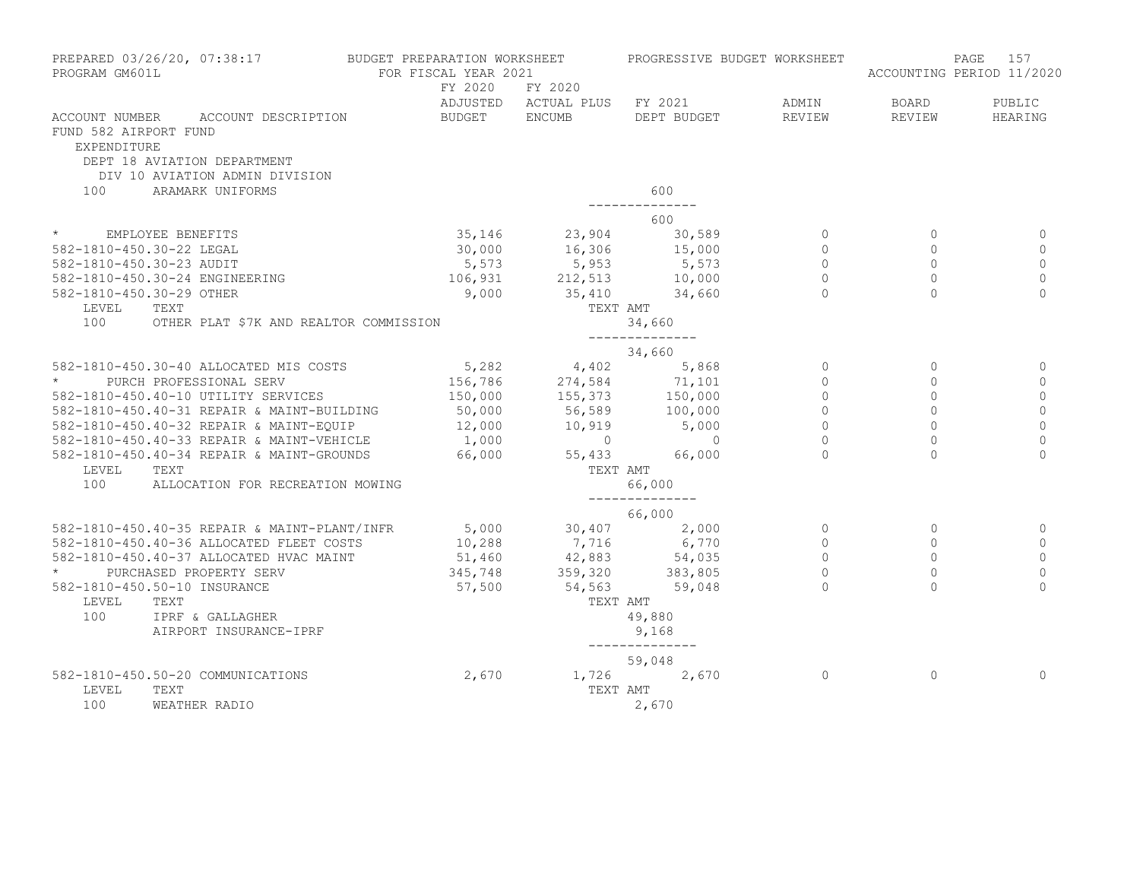| PROGRAM GM601L                              | PREPARED 03/26/20, 07:38:17 BUDGET PREPARATION WORKSHEET                                                                                                                                                                                 | FOR FISCAL YEAR 2021 |          | PROGRESSIVE BUDGET WORKSHEET                                                                                                                                              |                |                | 157<br>PAGE<br>ACCOUNTING PERIOD 11/2020 |
|---------------------------------------------|------------------------------------------------------------------------------------------------------------------------------------------------------------------------------------------------------------------------------------------|----------------------|----------|---------------------------------------------------------------------------------------------------------------------------------------------------------------------------|----------------|----------------|------------------------------------------|
|                                             |                                                                                                                                                                                                                                          | FY 2020 FY 2020      |          | ADJUSTED ACTUAL PLUS FY 2021                                                                                                                                              | ADMIN          | <b>BOARD</b>   | PUBLIC                                   |
| FUND 582 AIRPORT FUND<br><b>EXPENDITURE</b> | ACCOUNT NUMBER ACCOUNT DESCRIPTION<br>DEPT 18 AVIATION DEPARTMENT                                                                                                                                                                        | BUDGET ENCUMB        |          | DEPT BUDGET                                                                                                                                                               | REVIEW         | REVIEW         | HEARING                                  |
|                                             | DIV 10 AVIATION ADMIN DIVISION                                                                                                                                                                                                           |                      |          |                                                                                                                                                                           |                |                |                                          |
| 100                                         | ARAMARK UNIFORMS                                                                                                                                                                                                                         |                      |          | 600                                                                                                                                                                       |                |                |                                          |
|                                             |                                                                                                                                                                                                                                          |                      |          | -------------                                                                                                                                                             |                |                |                                          |
|                                             |                                                                                                                                                                                                                                          |                      |          | 600                                                                                                                                                                       |                |                |                                          |
| * EMPLOYEE BENEFITS                         |                                                                                                                                                                                                                                          |                      |          |                                                                                                                                                                           |                | $\overline{0}$ | $\Omega$                                 |
|                                             | 582-1810-450.30-22 LEGAL                                                                                                                                                                                                                 |                      |          |                                                                                                                                                                           |                | $\circ$        | $\mathbf{0}$                             |
|                                             | $582 - 1810 - 450.30 - 23$ AUDIT                                                                                                                                                                                                         |                      |          |                                                                                                                                                                           |                | $\circ$        | $\mathbf{0}$                             |
|                                             | 582-1810-450.30-24 ENGINEERING                                                                                                                                                                                                           |                      |          | 106,931 212,513 10,000<br>9,000 35,410 34,660                                                                                                                             | $\overline{0}$ | $\circ$        | $\mathbf{0}$                             |
| 582-1810-450.30-29 OTHER                    |                                                                                                                                                                                                                                          |                      |          |                                                                                                                                                                           | $\Omega$       | $\Omega$       | $\Omega$                                 |
| LEVEL                                       | TEXT                                                                                                                                                                                                                                     |                      | TEXT AMT |                                                                                                                                                                           |                |                |                                          |
| 100                                         | OTHER PLAT \$7K AND REALTOR COMMISSION                                                                                                                                                                                                   |                      |          | 34,660<br>______________                                                                                                                                                  |                |                |                                          |
|                                             |                                                                                                                                                                                                                                          |                      |          | 34,660                                                                                                                                                                    |                |                |                                          |
|                                             | 382-1810-450.30-40 ALLOCATED MIS COSTS<br>* PURCH PROFESSIONAL SERV<br>582-1810-450.40-10 UTILITY SERVICES<br>582-1810-450.40-10 UTILITY SERVICES<br>582-1810-450.40-31 REPAIR & MAINT-BUILDING<br>582-1810-450.40-32 REPAIR & MAINT-EQU |                      |          |                                                                                                                                                                           | $\overline{0}$ | $\overline{0}$ | 0                                        |
|                                             |                                                                                                                                                                                                                                          |                      |          |                                                                                                                                                                           | $\Omega$       | $\Omega$       | $\mathbf{0}$                             |
|                                             |                                                                                                                                                                                                                                          |                      |          |                                                                                                                                                                           | $\circ$        | $\Omega$       | $\mathbf 0$                              |
|                                             |                                                                                                                                                                                                                                          |                      |          |                                                                                                                                                                           | $\circ$        | $\circ$        | $\circ$                                  |
|                                             |                                                                                                                                                                                                                                          |                      |          |                                                                                                                                                                           | $\overline{0}$ | $\Omega$       | $\overline{0}$                           |
|                                             |                                                                                                                                                                                                                                          |                      |          |                                                                                                                                                                           | $\circ$        | $\overline{0}$ | $\mathbf 0$                              |
|                                             | 582-1810-450.40-34 REPAIR & MAINT-GROUNDS                                                                                                                                                                                                | 66,000 55,433        |          | 66,000                                                                                                                                                                    | $\Omega$       | $\Omega$       | $\Omega$                                 |
| LEVEL                                       | TEXT                                                                                                                                                                                                                                     |                      | TEXT AMT |                                                                                                                                                                           |                |                |                                          |
| 100                                         | ALLOCATION FOR RECREATION MOWING                                                                                                                                                                                                         |                      |          | 66,000                                                                                                                                                                    |                |                |                                          |
|                                             |                                                                                                                                                                                                                                          |                      |          | _______________<br>66,000                                                                                                                                                 |                |                |                                          |
|                                             | 582-1810-450.40-35 REPAIR & MAINT-PLANT/INFR                                                                                                                                                                                             |                      |          | $\begin{array}{cccc} 5,000 & 30,407 & 2,000 \\ 10,288 & 7,716 & 6,770 \\ 51,460 & 42,883 & 54,035 \\ 345,748 & 359,320 & 383,805 \\ 57,500 & 54,563 & 59,048 \end{array}$ | $\circ$        | $\Omega$       | 0                                        |
|                                             | 582-1810-450.40-36 ALLOCATED FLEET COSTS                                                                                                                                                                                                 |                      |          |                                                                                                                                                                           | $\circ$        | $\mathbf 0$    | $\mathbf 0$                              |
|                                             | 582-1810-450.40-37 ALLOCATED HVAC MAINT                                                                                                                                                                                                  |                      |          |                                                                                                                                                                           | $\Omega$       | $\Omega$       | $\mathbf{0}$                             |
|                                             | PURCHASED PROPERTY SERV                                                                                                                                                                                                                  |                      |          |                                                                                                                                                                           | $\Omega$       | $\Omega$       | $\mathbf 0$                              |
|                                             | 582-1810-450.50-10 INSURANCE                                                                                                                                                                                                             |                      |          |                                                                                                                                                                           |                |                | $\Omega$                                 |
| LEVEL                                       | TEXT                                                                                                                                                                                                                                     |                      | TEXT AMT |                                                                                                                                                                           |                |                |                                          |
| 100                                         | IPRF & GALLAGHER                                                                                                                                                                                                                         |                      |          | 49,880                                                                                                                                                                    |                |                |                                          |
|                                             | AIRPORT INSURANCE-IPRF                                                                                                                                                                                                                   |                      |          | 9,168                                                                                                                                                                     |                |                |                                          |
|                                             |                                                                                                                                                                                                                                          |                      |          | ______________<br>59,048                                                                                                                                                  |                |                |                                          |
|                                             | 582-1810-450.50-20 COMMUNICATIONS                                                                                                                                                                                                        | 2,670                |          | 1,726 2,670                                                                                                                                                               | $\Omega$       | $\Omega$       | $\Omega$                                 |
| LEVEL                                       | TEXT                                                                                                                                                                                                                                     |                      | TEXT AMT |                                                                                                                                                                           |                |                |                                          |
| 100                                         | WEATHER RADIO                                                                                                                                                                                                                            |                      |          | 2,670                                                                                                                                                                     |                |                |                                          |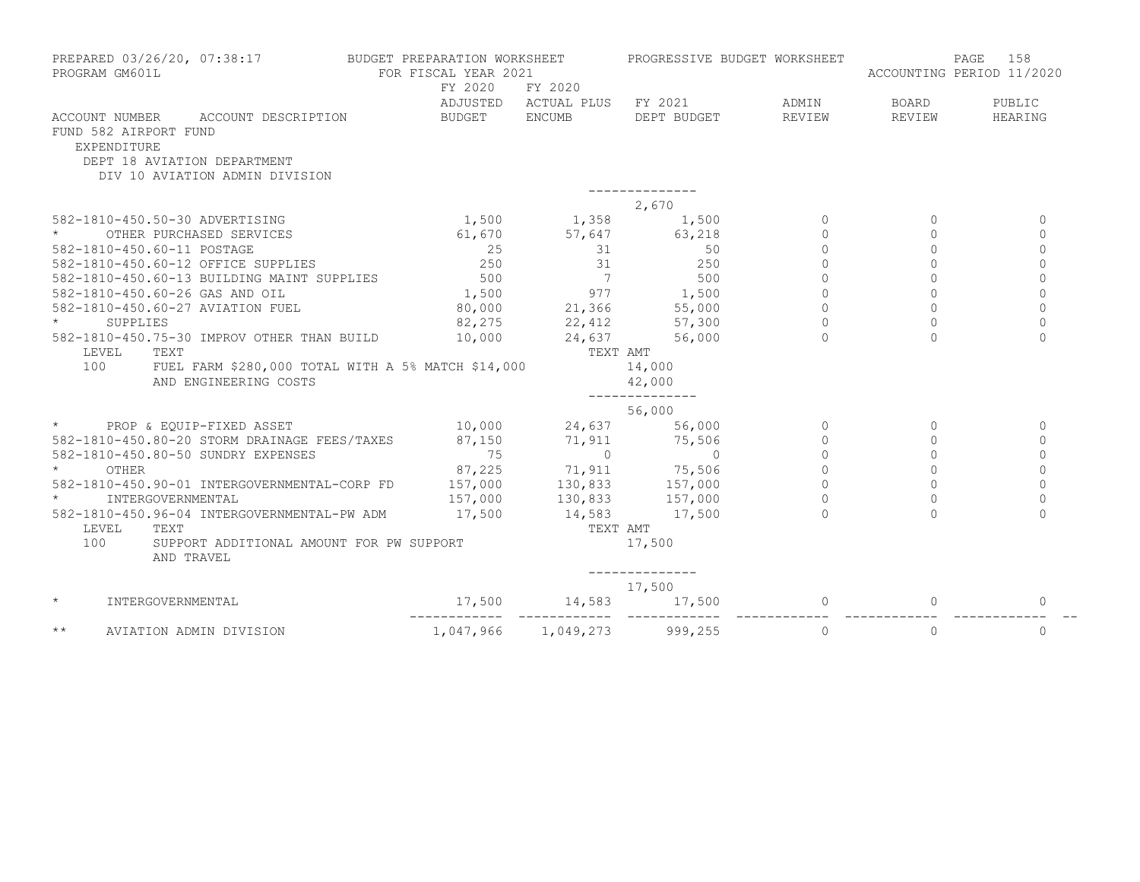| PROGRAM GM601L                       | PREPARED 03/26/20, 07:38:17                                                                         | BUDGET PREPARATION WORKSHEET<br>FOR FISCAL YEAR 2021<br>FY 2020                                                                                      | FY 2020                      | PROGRESSIVE BUDGET WORKSHEET |                     |              | 158<br>PAGE<br>ACCOUNTING PERIOD 11/2020 |
|--------------------------------------|-----------------------------------------------------------------------------------------------------|------------------------------------------------------------------------------------------------------------------------------------------------------|------------------------------|------------------------------|---------------------|--------------|------------------------------------------|
|                                      |                                                                                                     |                                                                                                                                                      | ADJUSTED ACTUAL PLUS FY 2021 |                              | ADMIN               | BOARD        | PUBLIC                                   |
| FUND 582 AIRPORT FUND<br>EXPENDITURE | ACCOUNT NUMBER ACCOUNT DESCRIPTION<br>DEPT 18 AVIATION DEPARTMENT<br>DIV 10 AVIATION ADMIN DIVISION | BUDGET ENCUMB                                                                                                                                        |                              | DEPT BUDGET                  | REVIEW              | REVIEW       | HEARING                                  |
|                                      |                                                                                                     |                                                                                                                                                      |                              | 2,670                        |                     |              |                                          |
|                                      | 582-1810-450.50-30 ADVERTISING                                                                      |                                                                                                                                                      | $1,500$ $1,358$              | 1,500                        | $\Omega$            | $\Omega$     | $\Omega$                                 |
| $\star$                              | OTHER PURCHASED SERVICES                                                                            |                                                                                                                                                      | 61,670 57,647                | 63,218                       | $\Omega$            | $\Omega$     | $\Omega$                                 |
| 582-1810-450.60-11 POSTAGE           |                                                                                                     | 25                                                                                                                                                   | $\overline{31}$              | 50                           | $\Omega$            | $\Omega$     | $\Omega$                                 |
|                                      | 582-1810-450.60-12 OFFICE SUPPLIES                                                                  | 250                                                                                                                                                  |                              | 31<br>250                    | $\Omega$            | $\Omega$     | $\Omega$                                 |
|                                      | 582-1810-450.60-13 BUILDING MAINT SUPPLIES                                                          | 500                                                                                                                                                  | $\overline{7}$               | 500                          | $\circ$             | $\circ$      | $\Omega$                                 |
|                                      | 582-1810-450.60-26 GAS AND OIL                                                                      | $1,500$<br>80.000                                                                                                                                    |                              |                              | $\mathsf{O}\xspace$ | $\circ$      | $\circ$                                  |
|                                      | 582-1810-450.60-27 AVIATION FUEL                                                                    |                                                                                                                                                      |                              |                              | $\Omega$            | $\Omega$     | $\Omega$                                 |
| $\star$<br>SUPPLIES                  |                                                                                                     | 82,275                                                                                                                                               |                              |                              | $\Omega$            | $\Omega$     | $\Omega$                                 |
|                                      | 582-1810-450.75-30 IMPROV OTHER THAN BUILD                                                          |                                                                                                                                                      | $10,000$ 24,637              | 56,000                       |                     |              | $\Omega$                                 |
| LEVEL                                | TEXT                                                                                                |                                                                                                                                                      |                              | TEXT AMT                     |                     |              |                                          |
| 100                                  | FUEL FARM \$280,000 TOTAL WITH A 5% MATCH \$14,000                                                  |                                                                                                                                                      |                              | 14,000                       |                     |              |                                          |
|                                      | AND ENGINEERING COSTS                                                                               |                                                                                                                                                      |                              | 42,000<br>--------------     |                     |              |                                          |
|                                      |                                                                                                     |                                                                                                                                                      |                              | 56,000                       |                     |              |                                          |
|                                      | * PROP & EQUIP-FIXED ASSET 40,000 24,637 56,000                                                     |                                                                                                                                                      |                              |                              | $\Omega$            | $\Omega$     | $\Omega$                                 |
|                                      | 582-1810-450.80-20 STORM DRAINAGE FEES/TAXES                                                        | 87,150 71,911 75,506                                                                                                                                 |                              |                              | $\Omega$            | $\Omega$     | $\Omega$                                 |
|                                      | 582-1810-450.80-50 SUNDRY EXPENSES                                                                  | 75                                                                                                                                                   | $\overline{0}$               | $\overline{0}$               | $\Omega$            | $\Omega$     | $\Omega$                                 |
| OTHER                                |                                                                                                     |                                                                                                                                                      |                              |                              | $\circ$             | $\Omega$     | $\Omega$                                 |
|                                      | 582-1810-450.90-01 INTERGOVERNMENTAL-CORP FD                                                        |                                                                                                                                                      |                              |                              | $\circ$             | $\circ$      | $\Omega$                                 |
|                                      | INTERGOVERNMENTAL                                                                                   |                                                                                                                                                      |                              |                              | $\Omega$            | $\Omega$     | $\Omega$                                 |
|                                      | 582-1810-450.96-04 INTERGOVERNMENTAL-PW ADM                                                         | $\begin{array}{cccc} 87,225 & 71,911 & 75,506 \\ 157,000 & 130,833 & 157,000 \\ 157,000 & 130,833 & 157,000 \\ 17,500 & 14,583 & 17,500 \end{array}$ |                              |                              | $\Omega$            |              | $\Omega$                                 |
| LEVEL TEXT                           |                                                                                                     |                                                                                                                                                      |                              | TEXT AMT                     |                     |              |                                          |
| 100                                  | SUPPORT ADDITIONAL AMOUNT FOR PW SUPPORT<br>AND TRAVEL                                              |                                                                                                                                                      |                              | 17,500                       |                     |              |                                          |
|                                      |                                                                                                     |                                                                                                                                                      |                              | -------------<br>17,500      |                     |              |                                          |
| $\star$                              | INTERGOVERNMENTAL                                                                                   | $17,500$ 14,583 17,500                                                                                                                               |                              |                              | $\Omega$            | $\mathbf{0}$ | $\Omega$                                 |
| $\star\star$                         | AVIATION ADMIN DIVISION                                                                             |                                                                                                                                                      |                              | 1,047,966 1,049,273 999,255  | $\circ$             | $\circ$      | $\mathbf 0$                              |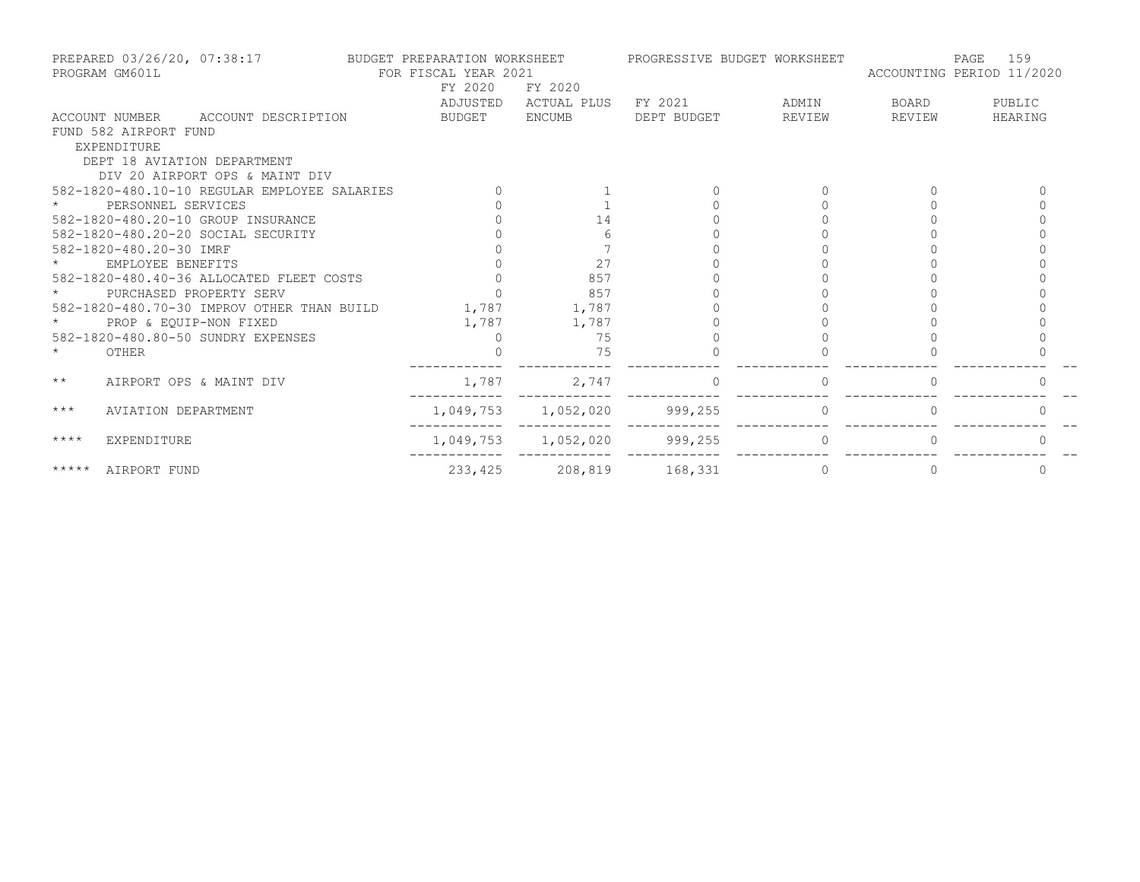|              | PREPARED 03/26/20, 07:38:17<br>PROGRAM GM601L |                                              | BUDGET PREPARATION WORKSHEET<br>FOR FISCAL YEAR 2021 |                     |             | PROGRESSIVE BUDGET WORKSHEET      | ACCOUNTING PERIOD 11/2020 | 159<br>PAGE  |
|--------------|-----------------------------------------------|----------------------------------------------|------------------------------------------------------|---------------------|-------------|-----------------------------------|---------------------------|--------------|
|              |                                               |                                              | FY 2020                                              | FY 2020             |             |                                   |                           |              |
|              |                                               |                                              | ADJUSTED                                             | ACTUAL PLUS         | FY 2021     | <b>EXAMPLE THE PROPERTY ADMIN</b> | BOARD                     | PUBLIC       |
|              |                                               | ACCOUNT NUMBER ACCOUNT DESCRIPTION           | BUDGET                                               | ENCUMB              | DEPT BUDGET | REVIEW                            | REVIEW                    | HEARING      |
|              | FUND 582 AIRPORT FUND                         |                                              |                                                      |                     |             |                                   |                           |              |
|              | EXPENDITURE                                   |                                              |                                                      |                     |             |                                   |                           |              |
|              |                                               | DEPT 18 AVIATION DEPARTMENT                  |                                                      |                     |             |                                   |                           |              |
|              |                                               | DIV 20 AIRPORT OPS & MAINT DIV               |                                                      |                     |             |                                   |                           |              |
|              |                                               | 582-1820-480.10-10 REGULAR EMPLOYEE SALARIES |                                                      |                     |             |                                   |                           |              |
|              | PERSONNEL SERVICES                            |                                              |                                                      |                     |             |                                   |                           |              |
|              |                                               | 582-1820-480.20-10 GROUP INSURANCE           |                                                      | 14                  |             |                                   |                           |              |
|              |                                               | 582-1820-480.20-20 SOCIAL SECURITY           |                                                      |                     |             |                                   |                           |              |
|              | 582-1820-480.20-30 IMRF                       |                                              |                                                      |                     |             |                                   |                           |              |
|              | EMPLOYEE BENEFITS                             |                                              |                                                      | 27                  |             |                                   |                           |              |
|              |                                               | 582-1820-480.40-36 ALLOCATED FLEET COSTS     |                                                      | 857                 |             |                                   |                           |              |
|              |                                               | PURCHASED PROPERTY SERV                      |                                                      | 857                 |             |                                   |                           |              |
|              |                                               | 582-1820-480.70-30 IMPROV OTHER THAN BUILD   | 1,787 1,787                                          |                     |             |                                   |                           |              |
|              | PROP & EOUIP-NON FIXED                        |                                              | 1,787                                                | 1,787               |             |                                   |                           |              |
|              |                                               | 582-1820-480.80-50 SUNDRY EXPENSES           | $\Box$                                               | 75                  |             |                                   |                           |              |
| $\star$      | OTHER                                         |                                              |                                                      | 75                  |             |                                   |                           |              |
| $\star\star$ |                                               | AIRPORT OPS & MAINT DIV                      | 1,787                                                | 2,747               | $\Omega$    | $\Omega$                          | $\Omega$                  |              |
| $***$        | AVIATION DEPARTMENT                           |                                              |                                                      | 1,049,753 1,052,020 | 999,255     |                                   |                           |              |
| ****         | EXPENDITURE                                   |                                              |                                                      | 1,049,753 1,052,020 | 999, 255    | $\Omega$                          |                           |              |
| *****        | AIRPORT FUND                                  |                                              | 233,425                                              | 208,819             | 168,331     | 0                                 | $\Omega$                  | $\mathbf{0}$ |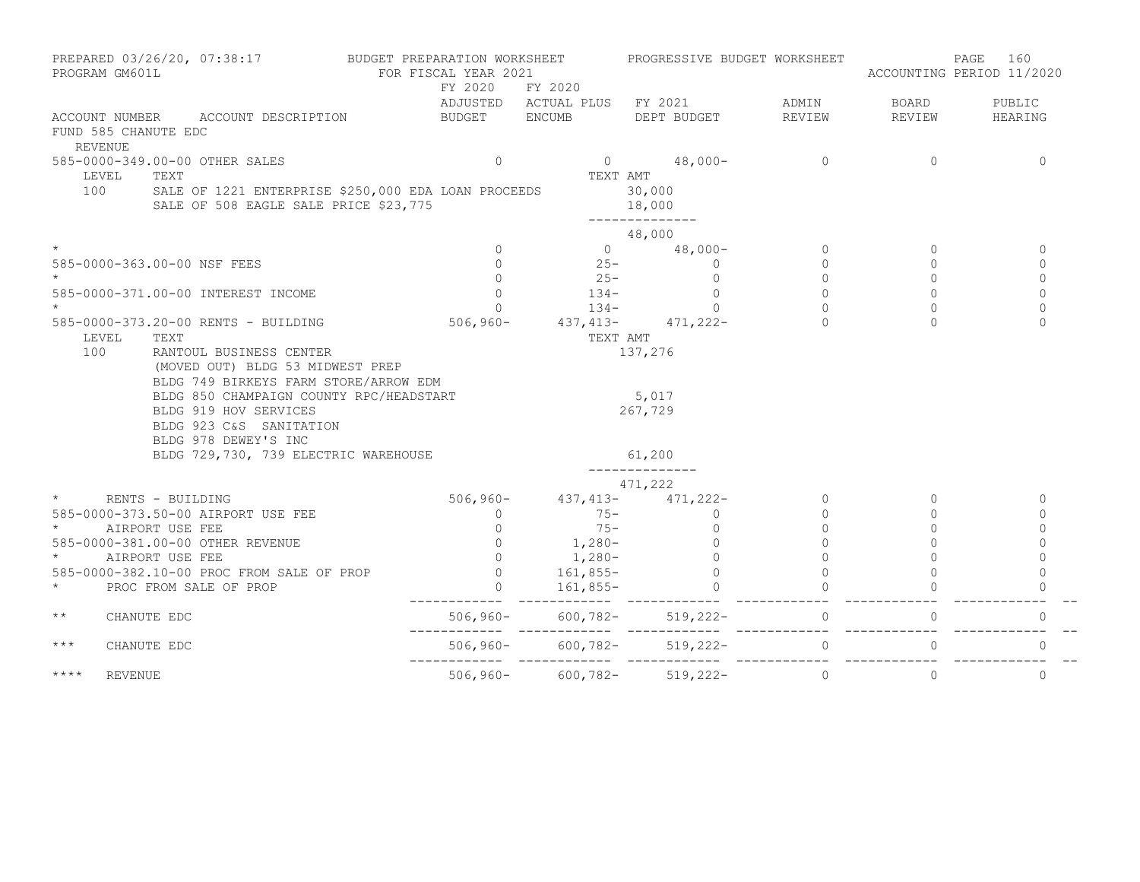|                     | PROGRAM GM601L                               | PREPARED 03/26/20, 07:38:17 BUDGET PREPARATION WORKSHEET                                                            |  | FOR FISCAL YEAR 2021                  |          |                                                                                                                               | PROGRESSIVE BUDGET WORKSHEET                    | ACCOUNTING PERIOD 11/2020 | 160<br>PAGE                |
|---------------------|----------------------------------------------|---------------------------------------------------------------------------------------------------------------------|--|---------------------------------------|----------|-------------------------------------------------------------------------------------------------------------------------------|-------------------------------------------------|---------------------------|----------------------------|
|                     |                                              |                                                                                                                     |  | FY 2020 FY 2020                       |          |                                                                                                                               | ADJUSTED ACTUAL PLUS FY 2021 ADMIN BOARD PUBLIC |                           |                            |
|                     | FUND 585 CHANUTE EDC<br><b>REVENUE</b>       | ACCOUNT NUMBER ACCOUNT DESCRIPTION                                                                                  |  |                                       |          | BUDGET ENCUMB DEPT BUDGET REVIEW                                                                                              |                                                 | REVIEW                    | HEARING                    |
|                     |                                              | 585-0000-349.00-00 OTHER SALES                                                                                      |  | $\circ$                               |          |                                                                                                                               | $0 \t 48,000-$ 0                                | 0                         | $\mathbf 0$                |
|                     | LEVEL<br>TEXT                                |                                                                                                                     |  |                                       | TEXT AMT |                                                                                                                               |                                                 |                           |                            |
|                     |                                              | 100 SALE OF 1221 ENTERPRISE \$250,000 EDA LOAN PROCEEDS<br>SALE OF 508 EAGLE SALE PRICE \$23,775                    |  |                                       |          | 30,000<br>18,000<br>--------------                                                                                            |                                                 |                           |                            |
|                     |                                              |                                                                                                                     |  |                                       |          | 48,000                                                                                                                        |                                                 |                           |                            |
|                     |                                              |                                                                                                                     |  | $\Omega$                              |          | 0 $48,000 -$                                                                                                                  | $\circ$                                         | $\Omega$                  | $\mathbf{0}$               |
|                     |                                              | 585-0000-363.00-00 NSF FEES                                                                                         |  |                                       |          | $25 -$                                                                                                                        | $\Omega$                                        | $\Omega$                  | $\Omega$                   |
|                     |                                              |                                                                                                                     |  | $\begin{array}{c} 0 \\ 0 \end{array}$ |          | $\begin{array}{cccc} 0 & \quad & 25- & \quad & 0 \\ 0 & \quad & 134- & \quad & 0 \\ 0 & \quad & 134- & \quad & 0 \end{array}$ | $\Omega$                                        | $\Omega$                  | $\Omega$                   |
|                     |                                              | 585-0000-371.00-00 INTEREST INCOME                                                                                  |  |                                       |          |                                                                                                                               | $\mathbf{0}$                                    | 0                         | $\Omega$                   |
|                     |                                              |                                                                                                                     |  |                                       |          |                                                                                                                               | $\Omega$                                        |                           | $\Omega$                   |
|                     |                                              | 585-0000-373.20-00 RENTS - BUILDING 506,960- 437,413- 471,222-                                                      |  |                                       |          |                                                                                                                               |                                                 |                           | $\Omega$                   |
|                     | LEVEL TEXT<br>100<br>RANTOUL BUSINESS CENTER |                                                                                                                     |  |                                       | TEXT AMT |                                                                                                                               |                                                 |                           |                            |
|                     |                                              | (MOVED OUT) BLDG 53 MIDWEST PREP<br>BLDG 749 BIRKEYS FARM STORE/ARROW EDM                                           |  |                                       |          | 137,276                                                                                                                       |                                                 |                           |                            |
|                     |                                              | BLDG 850 CHAMPAIGN COUNTY RPC/HEADSTART<br>BLDG 919 HOV SERVICES<br>BLDG 923 C&S SANITATION<br>BLDG 978 DEWEY'S INC |  |                                       |          | 5,017<br>267,729                                                                                                              |                                                 |                           |                            |
|                     |                                              | BLDG 729,730, 739 ELECTRIC WAREHOUSE                                                                                |  |                                       |          | 61,200                                                                                                                        |                                                 |                           |                            |
|                     |                                              |                                                                                                                     |  |                                       |          | 471,222                                                                                                                       |                                                 |                           |                            |
| $\star$ and $\star$ |                                              | RENTS - BUILDING                                                                                                    |  |                                       |          |                                                                                                                               | $\overline{0}$                                  | $\Omega$                  | $\Omega$                   |
|                     |                                              | 585-0000-373.50-00 AIRPORT USE FEE                                                                                  |  |                                       |          |                                                                                                                               | $\overline{0}$                                  | 0                         | 0                          |
| $\star$ and $\star$ | AIRPORT USE FEE                              |                                                                                                                     |  |                                       |          |                                                                                                                               | $\Omega$                                        | $\Omega$                  | $\Omega$                   |
|                     |                                              | 585-0000-381.00-00 OTHER REVENUE<br>* AIRPORT USE FEE                                                               |  |                                       |          |                                                                                                                               | $\Omega$                                        |                           | $\Omega$                   |
|                     |                                              |                                                                                                                     |  |                                       |          |                                                                                                                               | $\Omega$                                        |                           | $\Omega$                   |
|                     |                                              | 585-0000-382.10-00 PROC FROM SALE OF PROP                                                                           |  |                                       |          |                                                                                                                               |                                                 |                           |                            |
| $\star$             |                                              | PROC FROM SALE OF PROP                                                                                              |  |                                       |          | 506, 960-<br>0 1, 21, 222-<br>0 75-<br>0 1, 280-<br>0 1, 280-<br>0 161, 855-<br>0 161, 855-                                   |                                                 |                           |                            |
| $\star\star$        | CHANUTE EDC                                  |                                                                                                                     |  |                                       |          |                                                                                                                               |                                                 |                           | $\mathbf{0}$               |
| $***$               | CHANUTE EDC                                  |                                                                                                                     |  |                                       |          | $506,960 - 600,782 - 519,222 -$                                                                                               | $\overline{0}$                                  |                           | $\overline{0}$<br>$\Omega$ |
| $***$ *             | REVENUE                                      |                                                                                                                     |  |                                       |          | $506, 960 - 600, 782 - 519, 222 -$                                                                                            | $\circ$                                         | $\circ$                   | $\mathbf{0}$               |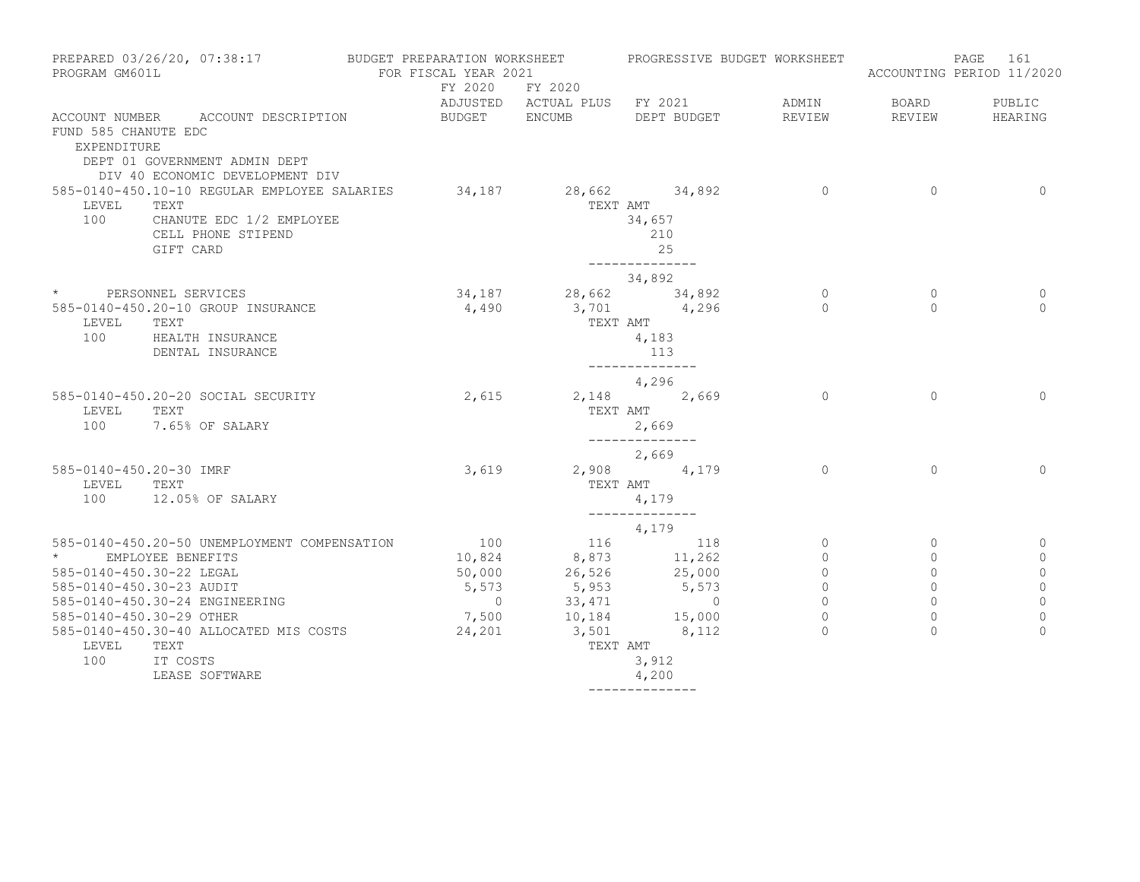| PROGRAM GM601L                      | PREPARED 03/26/20, 07:38:17 BUDGET PREPARATION WORKSHEET | FOR FISCAL YEAR 2021 |                        | PROGRESSIVE BUDGET WORKSHEET          |                |          | PAGE<br>161<br>ACCOUNTING PERIOD 11/2020 |
|-------------------------------------|----------------------------------------------------------|----------------------|------------------------|---------------------------------------|----------------|----------|------------------------------------------|
|                                     |                                                          |                      | FY 2020 FY 2020        |                                       |                |          |                                          |
|                                     |                                                          |                      |                        | ADJUSTED ACTUAL PLUS FY 2021          | ADMIN          | BOARD    | PUBLIC                                   |
|                                     | ACCOUNT NUMBER ACCOUNT DESCRIPTION                       | BUDGET ENCUMB        |                        | DEPT BUDGET                           | REVIEW         | REVIEW   | HEARING                                  |
| FUND 585 CHANUTE EDC<br>EXPENDITURE | DEPT 01 GOVERNMENT ADMIN DEPT                            |                      |                        |                                       |                |          |                                          |
|                                     | DIV 40 ECONOMIC DEVELOPMENT DIV                          |                      |                        |                                       |                |          |                                          |
|                                     | 585-0140-450.10-10 REGULAR EMPLOYEE SALARIES             |                      | $34,187$ 28,662 34,892 |                                       | $\overline{0}$ | $\Omega$ | $\Omega$                                 |
| LEVEL<br>100                        | TEXT<br>CHANUTE EDC 1/2 EMPLOYEE                         |                      |                        | TEXT AMT<br>34,657                    |                |          |                                          |
|                                     | CELL PHONE STIPEND                                       |                      |                        | 210                                   |                |          |                                          |
|                                     | GIFT CARD                                                |                      |                        | 25                                    |                |          |                                          |
|                                     |                                                          |                      |                        | --------------                        |                |          |                                          |
|                                     |                                                          |                      |                        | 34,892                                |                |          |                                          |
|                                     | * PERSONNEL SERVICES                                     |                      | $34,187$ 28,662 34,892 |                                       | $\circ$        | $\circ$  | 0                                        |
|                                     | 585-0140-450.20-10 GROUP INSURANCE                       | 4,490                |                        | 3,701 4,296                           | $\Omega$       | $\Omega$ | $\Omega$                                 |
| LEVEL                               | TEXT                                                     |                      | TEXT AMT               |                                       |                |          |                                          |
|                                     | 100 HEALTH INSURANCE                                     |                      |                        | 4,183                                 |                |          |                                          |
|                                     | DENTAL INSURANCE                                         |                      |                        | 113                                   |                |          |                                          |
|                                     |                                                          |                      |                        | ______________                        |                |          |                                          |
|                                     |                                                          |                      |                        | 4,296                                 |                |          |                                          |
|                                     | 585-0140-450.20-20 SOCIAL SECURITY                       | 2,615                |                        | 2,148 2,669                           | $\Omega$       | $\Omega$ | $\Omega$                                 |
| LEVEL                               | TEXT<br>100 7.65% OF SALARY                              |                      |                        | TEXT AMT                              |                |          |                                          |
|                                     |                                                          |                      |                        | 2,669<br>______________               |                |          |                                          |
|                                     |                                                          |                      |                        | 2,669                                 |                |          |                                          |
| 585-0140-450.20-30 IMRF             |                                                          | 3,619                |                        | 2,908 4,179                           | $\bigcap$      | $\Omega$ | $\Omega$                                 |
| LEVEL TEXT                          |                                                          |                      | TEXT AMT               |                                       |                |          |                                          |
|                                     | 100 12.05% OF SALARY                                     |                      |                        | 4,179                                 |                |          |                                          |
|                                     |                                                          |                      |                        | ______________                        |                |          |                                          |
|                                     | 585-0140-450.20-50 UNEMPLOYMENT COMPENSATION             | 100                  |                        | 4,179<br>116 118                      | $\circ$        | $\circ$  | 0                                        |
| $\star$ and $\star$                 | EMPLOYEE BENEFITS                                        | 10,824               |                        |                                       | $\mathbf{0}$   | $\circ$  | $\mathbf 0$                              |
| 585-0140-450.30-22 LEGAL            |                                                          | 50,000               |                        | 8,873 11,262<br>26,526 25,000         | $\Omega$       | $\Omega$ | $\mathbb O$                              |
| 585-0140-450.30-23 AUDIT            |                                                          | 5,573                | 5,953                  | 5,573                                 | $\Omega$       | $\Omega$ | $\circ$                                  |
|                                     | 585-0140-450.30-24 ENGINEERING                           | $\overline{0}$       |                        |                                       | $\circ$        | $\circ$  | $\circ$                                  |
| 585-0140-450.30-29 OTHER            |                                                          | 7,500                |                        | $33,471$<br>10,184<br>15,000<br>0 112 | $\bigcap$      | $\Omega$ | $\Omega$                                 |
|                                     | 585-0140-450.30-40 ALLOCATED MIS COSTS                   | 24,201               | $3,501$ $8,112$        |                                       |                | $\cap$   | $\Omega$                                 |
| LEVEL                               | TEXT                                                     |                      |                        | TEXT AMT                              |                |          |                                          |
| 100                                 | IT COSTS                                                 |                      |                        | 3,912                                 |                |          |                                          |
|                                     | LEASE SOFTWARE                                           |                      |                        | 4,200                                 |                |          |                                          |
|                                     |                                                          |                      |                        | --------------                        |                |          |                                          |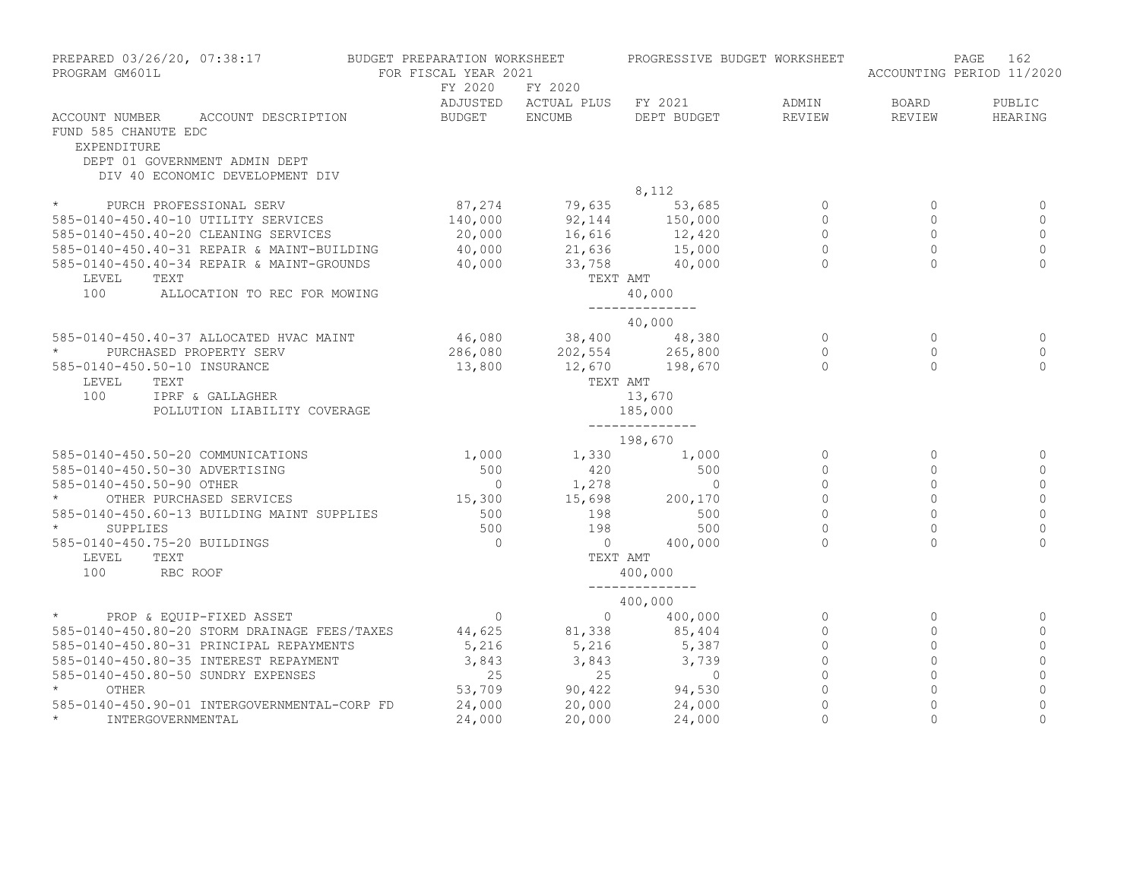| PREPARED 03/26/20, 07:38:17<br>PROGRAM GM601L                                                                                                    | BUDGET PREPARATION WORKSHEET<br>FOR FISCAL YEAR 2021 |                                                          | PROGRESSIVE BUDGET WORKSHEET      |                | ACCOUNTING PERIOD 11/2020 | 162<br>PAGE  |
|--------------------------------------------------------------------------------------------------------------------------------------------------|------------------------------------------------------|----------------------------------------------------------|-----------------------------------|----------------|---------------------------|--------------|
|                                                                                                                                                  | FY 2020                                              | FY 2020                                                  |                                   |                |                           |              |
|                                                                                                                                                  |                                                      |                                                          | ADJUSTED ACTUAL PLUS FY 2021      | ADMIN          | BOARD                     | PUBLIC       |
| ACCOUNT NUMBER<br>ACCOUNT DESCRIPTION<br>FUND 585 CHANUTE EDC<br>EXPENDITURE<br>DEPT 01 GOVERNMENT ADMIN DEPT<br>DIV 40 ECONOMIC DEVELOPMENT DIV | BUDGET ENCUMB                                        |                                                          | DEPT BUDGET                       | REVIEW         | REVIEW                    | HEARING      |
|                                                                                                                                                  |                                                      |                                                          | 8,112                             |                |                           |              |
| * PURCH PROFESSIONAL SERV                                                                                                                        | 87,274                                               |                                                          | $79,635$ 53,685<br>92,144 150,000 | $\circ$        | $\mathbf{0}$              | $\circ$      |
| 585-0140-450.40-10 UTILITY SERVICES                                                                                                              | 140,000                                              |                                                          |                                   | $\circ$        | $\Omega$                  | $\Omega$     |
| 585-0140-450.40-20 CLEANING SERVICES                                                                                                             | 20,000                                               | $16,616$<br>$21,636$<br>$33,758$<br>$33,758$<br>$40,000$ |                                   | $\circ$        | $\Omega$                  | $\Omega$     |
| 585-0140-450.40-31 REPAIR & MAINT-BUILDING                                                                                                       | 40,000                                               |                                                          |                                   | $\overline{0}$ | $\Omega$                  | $\mathbf{0}$ |
| 585-0140-450.40-34 REPAIR & MAINT-GROUNDS                                                                                                        | 40,000                                               |                                                          |                                   | $\Omega$       | $\cap$                    | $\Omega$     |
| LEVEL<br>TEXT                                                                                                                                    |                                                      | TEXT AMT                                                 |                                   |                |                           |              |
| 100<br>ALLOCATION TO REC FOR MOWING                                                                                                              |                                                      |                                                          | 40,000<br>--------------          |                |                           |              |
|                                                                                                                                                  |                                                      |                                                          | 40,000                            |                |                           |              |
| 585-0140-450.40-37 ALLOCATED HVAC MAINT                                                                                                          |                                                      | $46,080$ 38,400 48,380                                   |                                   | $\Omega$       | $\Omega$                  | $\Omega$     |
| $\star$<br>PURCHASED PROPERTY SERV                                                                                                               | 286,080                                              |                                                          |                                   | $\circ$        | $\circ$                   | $\circ$      |
| 585-0140-450.50-10 INSURANCE                                                                                                                     | 13,800                                               | 202,554 265,800<br>12,670 198,670                        |                                   | $\Omega$       | $\Omega$                  | $\Omega$     |
| LEVEL                                                                                                                                            |                                                      |                                                          | TEXT AMT                          |                |                           |              |
| TEXT<br>100                                                                                                                                      |                                                      |                                                          |                                   |                |                           |              |
| IPRF & GALLAGHER<br>POLLUTION LIABILITY COVERAGE                                                                                                 |                                                      |                                                          | 13,670                            |                |                           |              |
|                                                                                                                                                  |                                                      |                                                          | 185,000<br>--------------         |                |                           |              |
|                                                                                                                                                  |                                                      |                                                          | 198,670                           |                |                           |              |
| 585-0140-450.50-20 COMMUNICATIONS                                                                                                                | 1,000                                                | 1,330                                                    | 1,000                             | $\Omega$       | $\Omega$                  | $\Omega$     |
| 585-0140-450.50-30 ADVERTISING                                                                                                                   | 500                                                  | 420                                                      | 500                               | $\Omega$       | $\Omega$                  | $\Omega$     |
| 585-0140-450.50-90 OTHER                                                                                                                         |                                                      |                                                          |                                   | $\Omega$       | $\Omega$                  | $\Omega$     |
| OTHER PURCHASED SERVICES                                                                                                                         |                                                      | $0$ 1,278 0<br>15,300 15,698 200,170                     |                                   | $\mathbf{0}$   | $\Omega$                  | $\Omega$     |
| 585-0140-450.60-13 BUILDING MAINT SUPPLIES                                                                                                       | 500                                                  | 198                                                      | 500                               | $\Omega$       | $\Omega$                  | $\cap$       |
| $\star$ and $\star$<br>SUPPLIES                                                                                                                  | 500                                                  | 198                                                      | 500                               | $\mathbf 0$    | $\Omega$                  | $\Omega$     |
| 585-0140-450.75-20 BUILDINGS                                                                                                                     | $\bigcap$                                            | $\overline{0}$                                           | 400,000                           | $\Omega$       | $\Omega$                  | $\Omega$     |
| LEVEL<br>TEXT                                                                                                                                    |                                                      | TEXT AMT                                                 |                                   |                |                           |              |
| 100<br>RBC ROOF                                                                                                                                  |                                                      |                                                          | 400,000                           |                |                           |              |
|                                                                                                                                                  |                                                      |                                                          | --------------<br>400,000         |                |                           |              |
| $\star$<br>PROP & EQUIP-FIXED ASSET                                                                                                              | $\overline{0}$                                       | $\overline{0}$                                           | 400,000                           | $\circ$        | $\Omega$                  | $\mathbf{0}$ |
| 585-0140-450.80-20 STORM DRAINAGE FEES/TAXES 44,625                                                                                              |                                                      |                                                          | 85,404                            | $\circ$        | $\circ$                   | $\circ$      |
| 585-0140-450.80-31 PRINCIPAL REPAYMENTS                                                                                                          | 5,216                                                | 81,338<br>5,216                                          | 5,387                             | $\circ$        | $\circ$                   | $\Omega$     |
| 585-0140-450.80-35 INTEREST REPAYMENT                                                                                                            | 3,843                                                | 3,843                                                    | 3,739                             | $\Omega$       | $\Omega$                  | $\Omega$     |
| 585-0140-450.80-50 SUNDRY EXPENSES                                                                                                               | 25                                                   | 25                                                       | $\overline{0}$                    | $\circ$        | $\Omega$                  | $\Omega$     |
| $\star$                                                                                                                                          | 53,709                                               |                                                          |                                   | $\circ$        | $\Omega$                  | $\Omega$     |
| OTHER                                                                                                                                            |                                                      | 90,422                                                   | 94,530                            |                |                           |              |
| 585-0140-450.90-01 INTERGOVERNMENTAL-CORP FD<br>$\star$                                                                                          | 24,000                                               | 20,000                                                   | 24,000                            | $\circ$        | $\circ$                   | $\mathbf{0}$ |
| INTERGOVERNMENTAL                                                                                                                                | 24,000                                               | 20,000                                                   | 24,000                            | $\Omega$       | $\Omega$                  | $\Omega$     |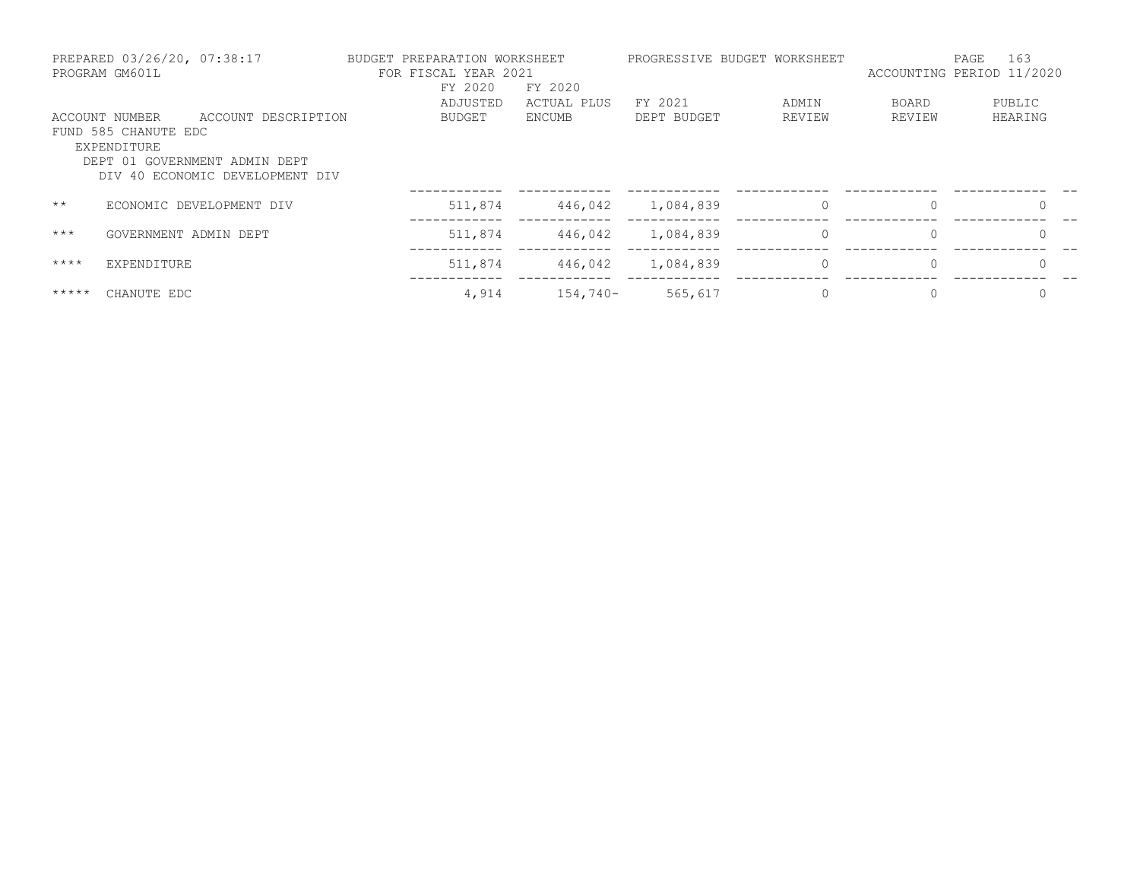|               | PREPARED 03/26/20, 07:38:17<br>PROGRAM GM601L                                                           | BUDGET PREPARATION WORKSHEET | FOR FISCAL YEAR 2021<br>FY 2020 | FY 2020     |             | PROGRESSIVE BUDGET WORKSHEET | ACCOUNTING PERIOD 11/2020 | 163<br>PAGE |
|---------------|---------------------------------------------------------------------------------------------------------|------------------------------|---------------------------------|-------------|-------------|------------------------------|---------------------------|-------------|
|               |                                                                                                         |                              | ADJUSTED                        | ACTUAL PLUS | FY 2021     | ADMIN                        | BOARD                     | PUBLIC      |
|               | ACCOUNT DESCRIPTION<br>ACCOUNT NUMBER                                                                   |                              | <b>BUDGET</b>                   | ENCUMB      | DEPT BUDGET | REVIEW                       | REVIEW                    | HEARING     |
|               | FUND 585 CHANUTE EDC<br>EXPENDITURE<br>DEPT 01 GOVERNMENT ADMIN DEPT<br>DIV 40 ECONOMIC DEVELOPMENT DIV |                              |                                 |             |             |                              |                           |             |
| $\star\star$  | ECONOMIC DEVELOPMENT DIV                                                                                |                              | 511,874                         | 446,042     | 1,084,839   | $\Omega$                     | $\Omega$                  |             |
| $***$         | GOVERNMENT ADMIN DEPT                                                                                   |                              | 511,874                         | 446,042     | 1,084,839   | 0                            | 0                         |             |
| $***$ *       | EXPENDITURE                                                                                             |                              | 511,874                         | 446,042     | 1,084,839   | $\Omega$                     | $\Omega$                  | $\Omega$    |
| $***$ * * * * | CHANUTE EDC                                                                                             |                              | 4,914                           | $154,740-$  | 565,617     |                              | 0                         | 0           |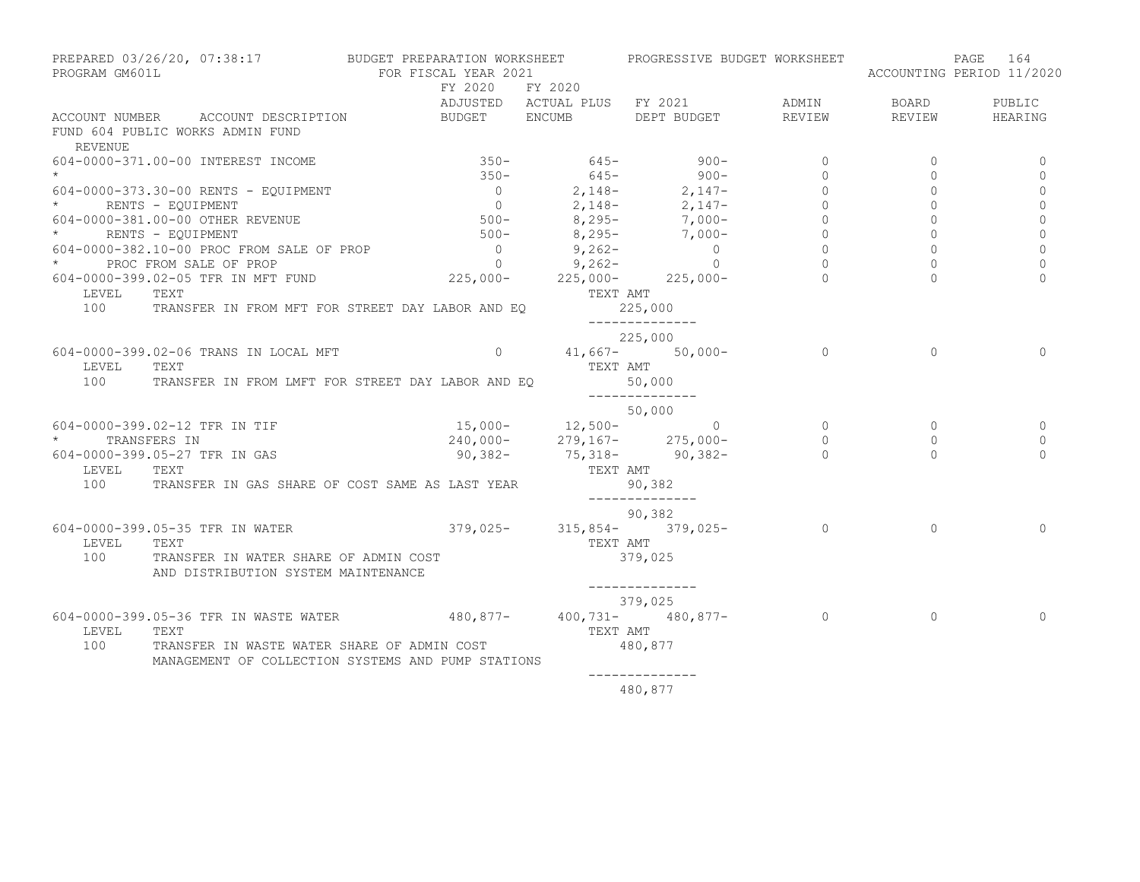| PROGRAM GM601L      | PREPARED 03/26/20, 07:38:17 BUDGET PREPARATION WORKSHEET PROGRESSIVE BUDGET WORKSHEET                                                                                                            | FOR FISCAL YEAR 2021            |          |                                                                                                                                                              |                |                | PAGE 164<br>ACCOUNTING PERIOD 11/2020 |
|---------------------|--------------------------------------------------------------------------------------------------------------------------------------------------------------------------------------------------|---------------------------------|----------|--------------------------------------------------------------------------------------------------------------------------------------------------------------|----------------|----------------|---------------------------------------|
|                     |                                                                                                                                                                                                  | FY 2020 FY 2020                 |          |                                                                                                                                                              |                |                |                                       |
|                     |                                                                                                                                                                                                  |                                 |          |                                                                                                                                                              |                |                | PUBLIC                                |
|                     | ACCOUNT NUMBER ACCOUNT DESCRIPTION                                                                                                                                                               |                                 |          | BUDGET ENCUMB DEPT BUDGET REVIEW REVIEW REVIEW HEARING                                                                                                       |                |                |                                       |
| REVENUE             | FUND 604 PUBLIC WORKS ADMIN FUND                                                                                                                                                                 |                                 |          |                                                                                                                                                              |                |                |                                       |
|                     | 604-0000-371.00-00 INTEREST INCOME                                                                                                                                                               | $350 -$                         | 645-     | $900 -$                                                                                                                                                      | $\overline{0}$ | $\circ$        | 0                                     |
| $\star$             |                                                                                                                                                                                                  | $350 -$                         | $645-$   | $900 -$                                                                                                                                                      | $\mathbf 0$    | $\circ$        | 0                                     |
|                     | 604-0000-373.30-00 RENTS - EQUIPMENT                                                                                                                                                             |                                 |          | 0 $2,148-2,147-$                                                                                                                                             | $\mathbf 0$    | $\circ$        | $\mathbf{0}$                          |
|                     | * RENTS - EQUIPMENT                                                                                                                                                                              |                                 |          | $\begin{array}{ccccccccc}\n0 & & & 2,148 & & & 2,147 & & & 0 \\ 500 & & & 8,295 & & & 7,000 & & & 0 \\ 500 & & & & 8,295 & & & 7,000 & & & & 0\n\end{array}$ |                | $\circ$        | $\circ$                               |
|                     | 604-0000-381.00-00 OTHER REVENUE                                                                                                                                                                 |                                 |          |                                                                                                                                                              |                | $\mathbf{0}$   | 0                                     |
| * RENTS - EQUIPMENT |                                                                                                                                                                                                  |                                 |          |                                                                                                                                                              |                | $\circ$        | $\mathbf{0}$                          |
|                     |                                                                                                                                                                                                  |                                 |          |                                                                                                                                                              |                | $\circ$        | $\mathbf{0}$                          |
|                     | 604-0000-382.10-00 PROC FROM SALE OF PROP<br>+ PROC FROM SALE OF PROP<br>604-0000-399.02-05 TFR IN MFT FUND<br>0225,000-<br>225,000-<br>225,000-<br>225,000-<br>225,000-<br>225,000-<br>225,000- |                                 |          |                                                                                                                                                              |                | $\circ$        | 0                                     |
|                     |                                                                                                                                                                                                  |                                 |          |                                                                                                                                                              |                | $\Omega$       | $\Omega$                              |
| LEVEL TEXT          |                                                                                                                                                                                                  |                                 |          | TEXT AMT                                                                                                                                                     |                |                |                                       |
|                     | 100 TRANSFER IN FROM MFT FOR STREET DAY LABOR AND EQ                                                                                                                                             |                                 |          | 225,000<br>______________                                                                                                                                    |                |                |                                       |
|                     |                                                                                                                                                                                                  |                                 |          | 225,000                                                                                                                                                      |                |                |                                       |
| LEVEL               | 604-0000-399.02-06 TRANS IN LOCAL MFT<br>TEXT                                                                                                                                                    | $0 \t 41,667-50,000-$           |          | TEXT AMT                                                                                                                                                     | $\overline{0}$ | $\Omega$       | $\Omega$                              |
|                     | 100 TRANSFER IN FROM LMFT FOR STREET DAY LABOR AND EQ                                                                                                                                            |                                 |          | 50,000                                                                                                                                                       |                |                |                                       |
|                     |                                                                                                                                                                                                  |                                 |          | --------------<br>50,000                                                                                                                                     |                |                |                                       |
|                     | 604-0000-399.02-12 TFR IN TIF                                                                                                                                                                    |                                 |          | $15,000-12,500-0$ 0                                                                                                                                          |                | $\overline{0}$ |                                       |
|                     | * TRANSFERS IN                                                                                                                                                                                   |                                 |          |                                                                                                                                                              |                | $\Omega$       | $\Omega$                              |
|                     | 604-0000-399.05-27 TFR IN GAS                                                                                                                                                                    |                                 |          | $240,000 279,167 275,000-$ 0<br>90,382- $75,318-$ 90,382- 0                                                                                                  |                | $\Omega$       | $\Omega$                              |
| LEVEL TEXT          |                                                                                                                                                                                                  |                                 | TEXT AMT |                                                                                                                                                              |                |                |                                       |
|                     | 100 TRANSFER IN GAS SHARE OF COST SAME AS LAST YEAR                                                                                                                                              |                                 |          | 90,382                                                                                                                                                       |                |                |                                       |
|                     |                                                                                                                                                                                                  |                                 | 90,382   | --------------                                                                                                                                               |                |                |                                       |
|                     | 604-0000-399.05-35 TFR IN WATER                                                                                                                                                                  | $379,025 - 315,854 - 379,025 -$ |          |                                                                                                                                                              | $\overline{0}$ | $\Omega$       | $\Omega$                              |
| LEVEL               | TEXT                                                                                                                                                                                             |                                 | TEXT AMT |                                                                                                                                                              |                |                |                                       |
| 100                 | TRANSFER IN WATER SHARE OF ADMIN COST<br>AND DISTRIBUTION SYSTEM MAINTENANCE                                                                                                                     |                                 |          | 379,025                                                                                                                                                      |                |                |                                       |
|                     |                                                                                                                                                                                                  |                                 |          | --------------<br>379,025                                                                                                                                    |                |                |                                       |
|                     | 480,877- 400,731- 480,877- 400,731- 480,877- 0                                                                                                                                                   |                                 |          |                                                                                                                                                              |                | $\Omega$       | $\Omega$                              |
| LEVEL               | TEXT                                                                                                                                                                                             |                                 | TEXT AMT |                                                                                                                                                              |                |                |                                       |
|                     | 100 TRANSFER IN WASTE WATER SHARE OF ADMIN COST                                                                                                                                                  |                                 |          | 480,877                                                                                                                                                      |                |                |                                       |
|                     | MANAGEMENT OF COLLECTION SYSTEMS AND PUMP STATIONS                                                                                                                                               |                                 |          |                                                                                                                                                              |                |                |                                       |
|                     |                                                                                                                                                                                                  |                                 |          | --------------<br>480,877                                                                                                                                    |                |                |                                       |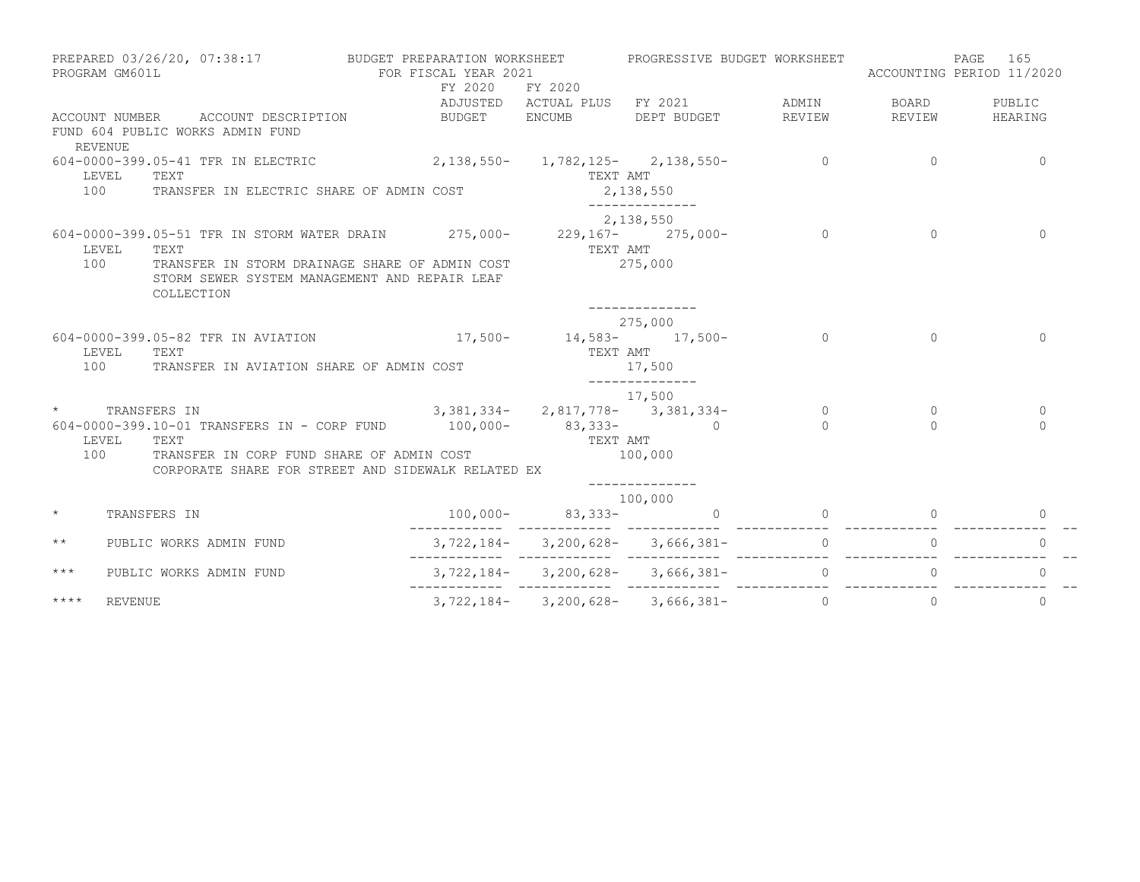|              | PROGRAM GM601L                       |                                                                                | PREPARED 03/26/20, 07:38:17 BUDGET PREPARATION WORKSHEET<br>FOR FISCAL YEAR 2021                                                                                                                           |                      | PROGRESSIVE BUDGET WORKSHEET                             |                      | ACCOUNTING PERIOD 11/2020 | 165<br>PAGE          |
|--------------|--------------------------------------|--------------------------------------------------------------------------------|------------------------------------------------------------------------------------------------------------------------------------------------------------------------------------------------------------|----------------------|----------------------------------------------------------|----------------------|---------------------------|----------------------|
|              |                                      | ACCOUNT NUMBER ACCOUNT DESCRIPTION<br>FUND 604 PUBLIC WORKS ADMIN FUND         | FY 2020<br>BUDGET ENCUMB                                                                                                                                                                                   | FY 2020              | ADJUSTED ACTUAL PLUS FY 2021 ADMIN<br>DEPT BUDGET REVIEW |                      | BOARD<br>REVIEW           | PUBLIC<br>HEARING    |
| 100          | <b>REVENUE</b><br>LEVEL<br>TEXT      | 604-0000-399.05-41 TFR IN ELECTRIC<br>TRANSFER IN ELECTRIC SHARE OF ADMIN COST | $2,138,550 - 1,782,125 - 2,138,550 -$                                                                                                                                                                      | TEXT AMT             | 2,138,550                                                | $\sim$ 0             | $\Omega$                  | $\mathbf{0}$         |
| 100          | LEVEL<br>TEXT<br>COLLECTION          |                                                                                | 604-0000-399.05-51 TFR IN STORM WATER DRAIN 275,000- 229,167- 275,000-<br>TRANSFER IN STORM DRAINAGE SHARE OF ADMIN COST<br>STORM SEWER SYSTEM MANAGEMENT AND REPAIR LEAF                                  | TEXT AMT             | 2,138,550<br>275,000                                     | $\overline{0}$       | $\Omega$                  | $\Omega$             |
|              | TEXT<br>LEVEL<br>100                 | 604-0000-399.05-82 TFR IN AVIATION<br>TRANSFER IN AVIATION SHARE OF ADMIN COST | $17,500 - 14,583 - 17,500 -$                                                                                                                                                                               | TEXT AMT             | --------------<br>275,000<br>17,500<br>______________    | $\cap$               | $\Omega$                  | $\Omega$             |
|              | TRANSFERS IN<br>LEVEL<br>TEXT<br>100 |                                                                                | $3,381,334 - 2,817,778 - 3,381,334 -$<br>604-0000-399.10-01 TRANSFERS IN - CORP FUND 100,000- 83,333- 0<br>TRANSFER IN CORP FUND SHARE OF ADMIN COST<br>CORPORATE SHARE FOR STREET AND SIDEWALK RELATED EX | TEXT AMT             | 17,500<br>100,000                                        | $\bigcirc$<br>$\cap$ | $\Omega$<br>$\Omega$      | $\Omega$<br>$\Omega$ |
| $\star$      | TRANSFERS IN                         |                                                                                |                                                                                                                                                                                                            | $100,000 - 83,333 -$ | 100,000<br>$\overline{0}$                                | $\Omega$             |                           | $\Omega$             |
| $\star\star$ |                                      | PUBLIC WORKS ADMIN FUND                                                        |                                                                                                                                                                                                            |                      | $3,722,184 - 3,200,628 - 3,666,381 - 0$                  |                      |                           | $\Omega$             |
| $***$        |                                      | PUBLIC WORKS ADMIN FUND                                                        |                                                                                                                                                                                                            |                      | $3, 722, 184 - 3, 200, 628 - 3, 666, 381 - 0$            |                      |                           | $\Omega$             |
| $***$ *      | <b>REVENUE</b>                       |                                                                                |                                                                                                                                                                                                            |                      | $3, 722, 184 - 3, 200, 628 - 3, 666, 381 - 0$            |                      | 0                         | $\mathbf{0}$         |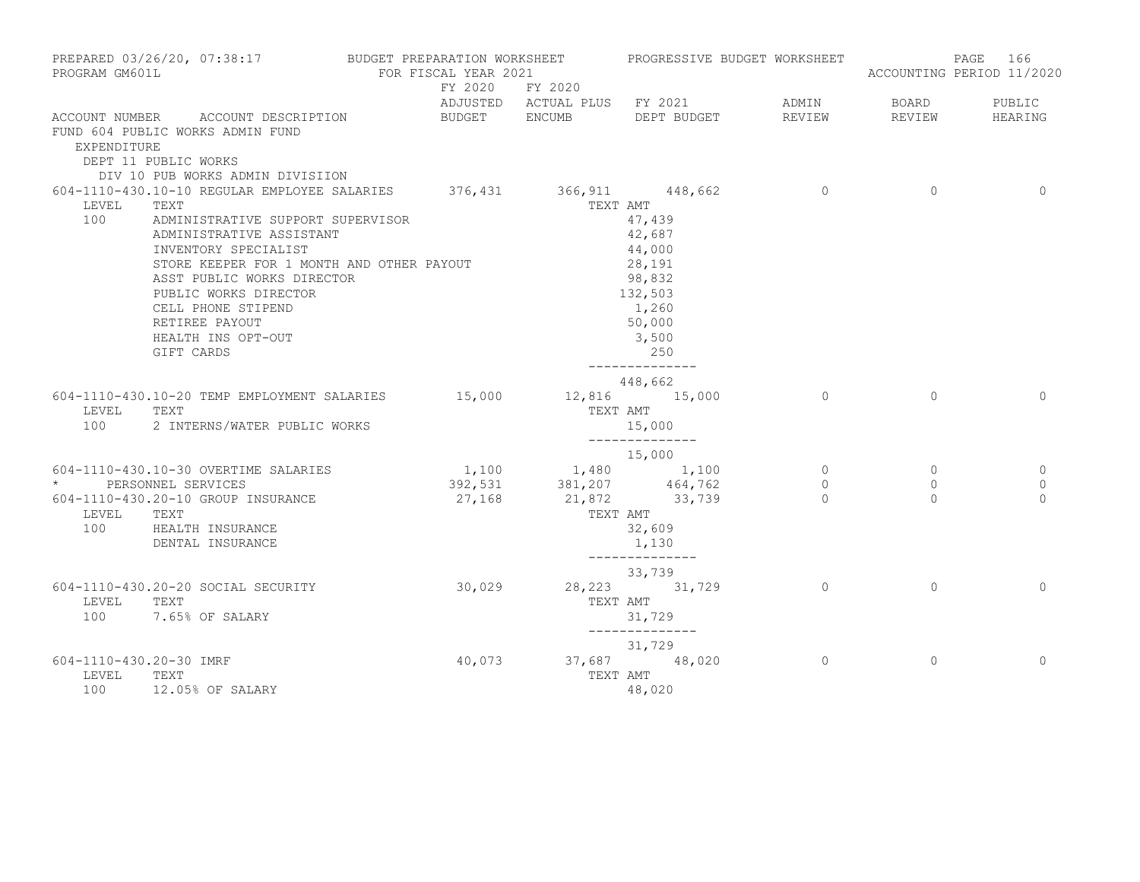| PROGRAM GM601L                          | PREPARED 03/26/20, 07:38:17 BUDGET PREPARATION WORKSHEET PROGRESSIVE BUDGET WORKSHEET                                                                                                                                                                                 | FOR FISCAL YEAR 2021    |                                     |                                                                                                                |                |              | PAGE 166<br>ACCOUNTING PERIOD 11/2020 |
|-----------------------------------------|-----------------------------------------------------------------------------------------------------------------------------------------------------------------------------------------------------------------------------------------------------------------------|-------------------------|-------------------------------------|----------------------------------------------------------------------------------------------------------------|----------------|--------------|---------------------------------------|
|                                         |                                                                                                                                                                                                                                                                       | FY 2020 FY 2020         |                                     |                                                                                                                |                |              |                                       |
|                                         |                                                                                                                                                                                                                                                                       |                         |                                     | ADJUSTED ACTUAL PLUS FY 2021 ADMIN                                                                             |                | <b>BOARD</b> | PUBLIC                                |
| EXPENDITURE                             | ACCOUNT NUMBER ACCOUNT DESCRIPTION<br>FUND 604 PUBLIC WORKS ADMIN FUND<br>DEPT 11 PUBLIC WORKS                                                                                                                                                                        | BUDGET ENCUMB           |                                     | DEPT BUDGET                                                                                                    | REVIEW         | REVIEW       | HEARING                               |
|                                         | DIV 10 PUB WORKS ADMIN DIVISIION<br>604-1110-430.10-10 REGULAR EMPLOYEE SALARIES 376,431 366,911 448,662 0                                                                                                                                                            |                         |                                     |                                                                                                                |                | $\Omega$     | $\Omega$                              |
| LEVEL                                   | TEXT                                                                                                                                                                                                                                                                  |                         | TEXT AMT                            |                                                                                                                |                |              |                                       |
| 100                                     | ADMINISTRATIVE SUPPORT SUPERVISOR<br>ADMINISTRATIVE ASSISTANT<br>INVENTORY SPECIALIST<br>STORE KEEPER FOR 1 MONTH AND OTHER PAYOUT<br>ASST PUBLIC WORKS DIRECTOR<br>PUBLIC WORKS DIRECTOR<br>CELL PHONE STIPEND<br>RETIREE PAYOUT<br>HEALTH INS OPT-OUT<br>GIFT CARDS |                         |                                     | 47,439<br>42,687<br>44,000<br>28,191<br>98,832<br>132,503<br>1,260<br>50,000<br>3,500<br>250<br>______________ |                |              |                                       |
|                                         |                                                                                                                                                                                                                                                                       |                         |                                     | 448,662                                                                                                        |                |              |                                       |
| LEVEL<br>100                            | 604-1110-430.10-20 TEMP EMPLOYMENT SALARIES 15,000<br>TEXT<br>2 INTERNS/WATER PUBLIC WORKS                                                                                                                                                                            |                         |                                     | 12,816 15,000<br>TEXT AMT<br>15,000                                                                            | $\overline{0}$ | $\Omega$     | $\Omega$                              |
|                                         |                                                                                                                                                                                                                                                                       |                         |                                     | _______________<br>15,000                                                                                      |                |              |                                       |
|                                         | 604-1110-430.10-30 OVERTIME SALARIES                                                                                                                                                                                                                                  | $1,100$ $1,480$ $1,100$ |                                     |                                                                                                                | $\circ$        | $\circ$      | $\Omega$                              |
|                                         | * PERSONNEL SERVICES                                                                                                                                                                                                                                                  |                         | 392,531 381,207 464,762             |                                                                                                                | $\circ$        | $\circ$      | $\mathbf{0}$                          |
| LEVEL                                   | 604-1110-430.20-10 GROUP INSURANCE<br>TEXT<br>100 HEALTH INSURANCE<br>DENTAL INSURANCE                                                                                                                                                                                |                         | 27, 168 21, 872 33, 739<br>TEXT AMT | 32,609<br>1,130<br>______________                                                                              | $\Omega$       | $\Omega$     | $\Omega$                              |
|                                         |                                                                                                                                                                                                                                                                       |                         |                                     | 33,739                                                                                                         |                |              |                                       |
| LEVEL                                   | 604-1110-430.20-20 SOCIAL SECURITY<br>TEXT<br>100 7.65% OF SALARY                                                                                                                                                                                                     | 30,029                  |                                     | 28, 223 31, 729<br>TEXT AMT<br>31,729<br>_______________                                                       | $\overline{0}$ | $\Omega$     | $\Omega$                              |
|                                         |                                                                                                                                                                                                                                                                       |                         |                                     | 31,729                                                                                                         |                |              |                                       |
| 604-1110-430.20-30 IMRF<br>LEVEL<br>100 | TEXT<br>12.05% OF SALARY                                                                                                                                                                                                                                              | 40,073                  | TEXT AMT                            | 37,687 48,020<br>48,020                                                                                        | $\Omega$       | $\Omega$     | $\Omega$                              |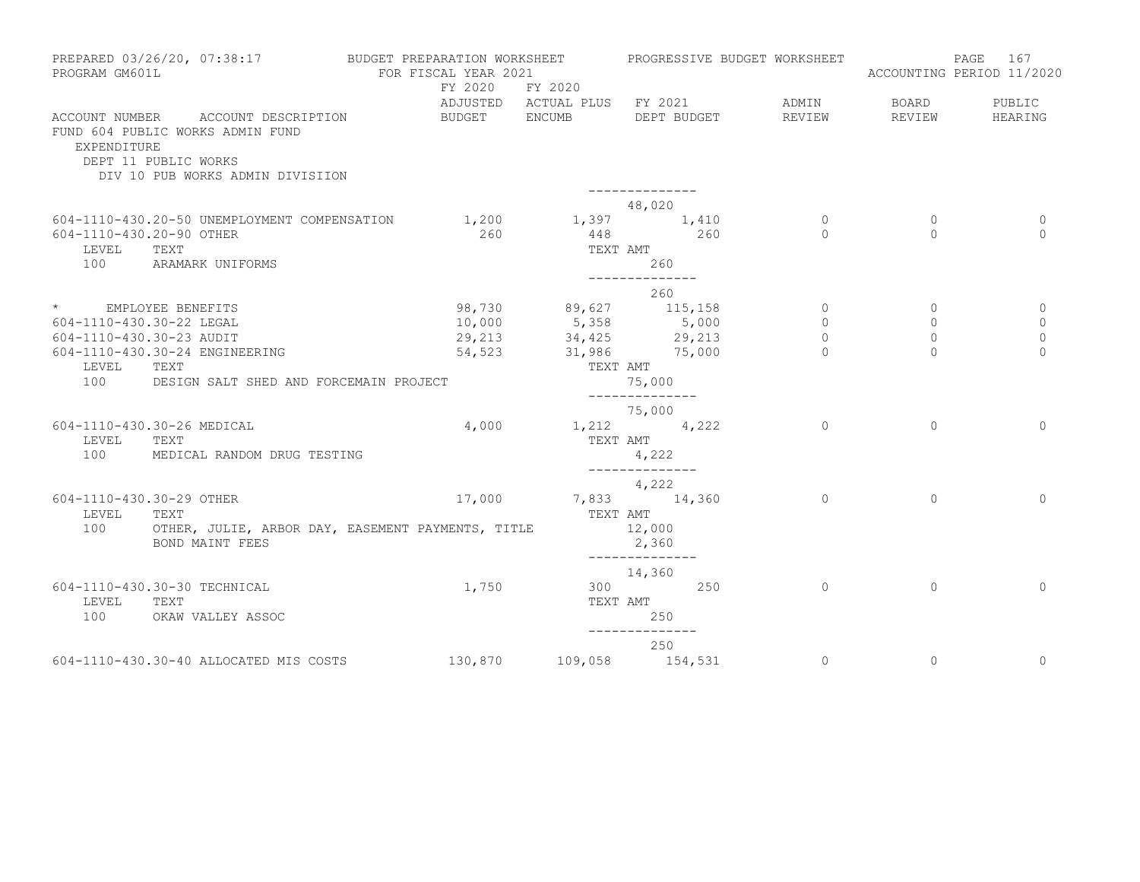| PROGRAM GM601L                    | PREPARED 03/26/20, 07:38:17                                                                                                        | BUDGET PREPARATION WORKSHEET<br>FOR FISCAL YEAR 2021<br>FY 2020 FY 2020 |                                 | PROGRESSIVE BUDGET WORKSHEET                                       |                     |                     | 167<br>PAGE<br>ACCOUNTING PERIOD 11/2020 |
|-----------------------------------|------------------------------------------------------------------------------------------------------------------------------------|-------------------------------------------------------------------------|---------------------------------|--------------------------------------------------------------------|---------------------|---------------------|------------------------------------------|
| EXPENDITURE                       | ACCOUNT NUMBER ACCOUNT DESCRIPTION<br>FUND 604 PUBLIC WORKS ADMIN FUND<br>DEPT 11 PUBLIC WORKS<br>DIV 10 PUB WORKS ADMIN DIVISIION | BUDGET ENCUMB                                                           |                                 | ADJUSTED ACTUAL PLUS FY 2021<br>DEPT BUDGET<br>-------------       | ADMIN<br>REVIEW     | BOARD<br>REVIEW     | PUBLIC<br>HEARING                        |
|                                   |                                                                                                                                    |                                                                         |                                 | 48,020                                                             |                     |                     |                                          |
| 604-1110-430.20-90 OTHER<br>LEVEL | 604-1110-430.20-50 UNEMPLOYMENT COMPENSATION<br>TEXT                                                                               | 1,200<br>260                                                            | TEXT AMT                        | 1,397 1,410<br>$448$ 260                                           | $\circ$<br>$\Omega$ | $\circ$<br>$\Omega$ | $\overline{0}$<br>$\Omega$               |
| 100                               | ARAMARK UNIFORMS                                                                                                                   |                                                                         |                                 | 260<br>______________                                              |                     |                     |                                          |
|                                   |                                                                                                                                    |                                                                         |                                 | 260                                                                |                     |                     |                                          |
| * EMPLOYEE BENEFITS               |                                                                                                                                    |                                                                         |                                 | 98,730 89,627 115,158                                              | $\circ$             | $\circ$             | $\Omega$                                 |
| 604-1110-430.30-22 LEGAL          |                                                                                                                                    |                                                                         |                                 | 10,000 5,358 5,000<br>29,213 34,425 29,213<br>54,523 31,986 75,000 | $\circ$             | $\circ$             | 0                                        |
| 604-1110-430.30-23 AUDIT          |                                                                                                                                    |                                                                         |                                 |                                                                    | $\circ$             | $\circ$             | $\mathbf{0}$                             |
| LEVEL<br>100                      | 604-1110-430.30-24 ENGINEERING<br>TEXT<br>DESIGN SALT SHED AND FORCEMAIN PROJECT                                                   |                                                                         | TEXT AMT                        | 75,000                                                             | $\cap$              | $\cap$              | $\Omega$                                 |
|                                   |                                                                                                                                    |                                                                         |                                 | --------------                                                     |                     |                     |                                          |
| LEVEL<br>100                      | 604-1110-430.30-26 MEDICAL<br>TEXT<br>MEDICAL RANDOM DRUG TESTING                                                                  |                                                                         | $4,000$ $1,212$ $4,222$         | 75,000<br>TEXT AMT<br>4,222<br>______________                      | $\Omega$            | $\Omega$            | $\Omega$                                 |
|                                   |                                                                                                                                    |                                                                         |                                 | 4,222                                                              |                     |                     |                                          |
| 604-1110-430.30-29 OTHER<br>LEVEL | TEXT                                                                                                                               |                                                                         | 17,000 7,833 14,360<br>TEXT AMT |                                                                    | $\Omega$            | $\Omega$            | $\Omega$                                 |
| 100                               | OTHER, JULIE, ARBOR DAY, EASEMENT PAYMENTS, TITLE<br>BOND MAINT FEES                                                               |                                                                         |                                 | 12,000<br>2,360                                                    |                     |                     |                                          |
|                                   |                                                                                                                                    |                                                                         |                                 | --------------<br>14,360                                           |                     |                     |                                          |
| LEVEL<br>100                      | 604-1110-430.30-30 TECHNICAL<br>TEXT<br>OKAW VALLEY ASSOC                                                                          | 1,750                                                                   | TEXT AMT                        | 300 250<br>250                                                     | $\circ$             | $\Omega$            | $\Omega$                                 |
|                                   |                                                                                                                                    |                                                                         |                                 | --------------<br>250                                              |                     |                     |                                          |
|                                   | 604-1110-430.30-40 ALLOCATED MIS COSTS                                                                                             | 130,870 109,058 154,531                                                 |                                 |                                                                    | $\circ$             | $\circ$             | $\mathbf 0$                              |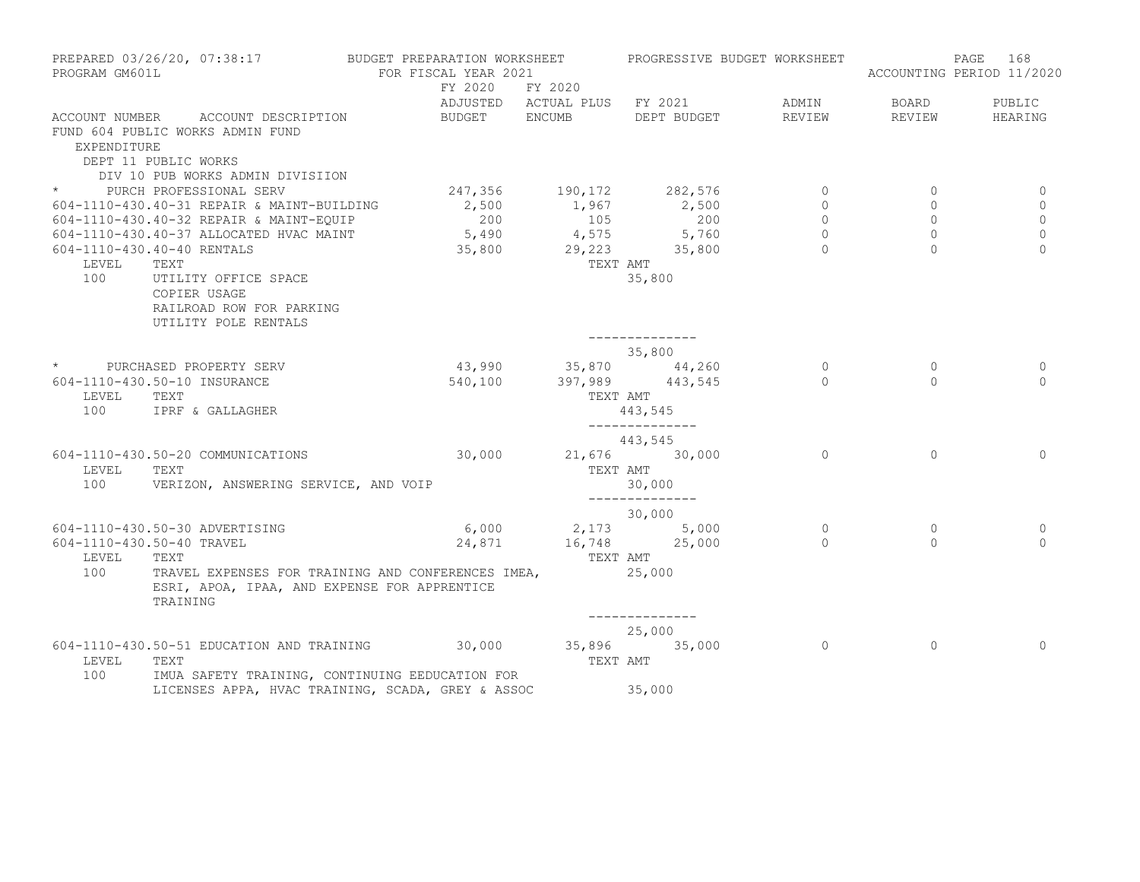| PROGRAM GM601L | PREPARED 03/26/20, 07:38:17                                                                                               | BUDGET PREPARATION WORKSHEET<br>FOR FISCAL YEAR 2021 |                                  | PROGRESSIVE BUDGET WORKSHEET   |                    |                                  | PAGE<br>168<br>ACCOUNTING PERIOD 11/2020 |
|----------------|---------------------------------------------------------------------------------------------------------------------------|------------------------------------------------------|----------------------------------|--------------------------------|--------------------|----------------------------------|------------------------------------------|
|                |                                                                                                                           | FY 2020 FY 2020                                      |                                  | ADJUSTED ACTUAL PLUS FY 2021   | ADMIN              | <b>BOARD</b>                     | PUBLIC                                   |
| EXPENDITURE    | ACCOUNT NUMBER ACCOUNT DESCRIPTION<br>FUND 604 PUBLIC WORKS ADMIN FUND<br>DEPT 11 PUBLIC WORKS                            | BUDGET ENCUMB                                        |                                  | DEPT BUDGET                    | REVIEW             | REVIEW                           | HEARING                                  |
|                | DIV 10 PUB WORKS ADMIN DIVISIION<br>* PURCH PROFESSIONAL SERV                                                             |                                                      |                                  |                                |                    |                                  |                                          |
|                | 604-1110-430.40-31 REPAIR & MAINT-BUILDING                                                                                |                                                      |                                  | 247,356 190,172 282,576        | $\circ$<br>$\circ$ | $\overline{0}$<br>$\overline{0}$ | 0                                        |
|                | 604-1110-430.40-32 REPAIR & MAINT-EQUIP                                                                                   | 200                                                  | 105                              | $2,500$ 1,967 2,500<br>200     | $\circ$            | $\circ$                          | 0<br>$\circ$                             |
|                | 604-1110-430.40-37 ALLOCATED HVAC MAINT                                                                                   |                                                      |                                  | $5,490$ $4,575$ $5,760$        | $\Omega$           | $\circ$                          | $\mathbf 0$                              |
|                | 604-1110-430.40-40 RENTALS                                                                                                |                                                      |                                  | 35,800 29,223 35,800           | $\Omega$           | $\Omega$                         | $\Omega$                                 |
| LEVEL          | TEXT                                                                                                                      |                                                      | TEXT AMT                         |                                |                    |                                  |                                          |
| 100            | UTILITY OFFICE SPACE<br>COPIER USAGE<br>RAILROAD ROW FOR PARKING<br>UTILITY POLE RENTALS                                  |                                                      |                                  | 35,800                         |                    |                                  |                                          |
|                |                                                                                                                           |                                                      |                                  | --------------                 |                    |                                  |                                          |
|                | * PURCHASED PROPERTY SERV                                                                                                 |                                                      |                                  | 35,800<br>43,990 35,870 44,260 | $\overline{0}$     | $\circ$                          | 0                                        |
| LEVEL          | 604-1110-430.50-10 INSURANCE<br>TEXT                                                                                      | 540,100                                              | TEXT AMT                         | 397,989 443,545                | $\bigcap$          | $\Omega$                         | $\Omega$                                 |
| 100            | IPRF & GALLAGHER                                                                                                          |                                                      |                                  | 443,545<br>______________      |                    |                                  |                                          |
|                |                                                                                                                           |                                                      |                                  | 443,545                        |                    |                                  |                                          |
| LEVEL          | 604-1110-430.50-20 COMMUNICATIONS<br>TEXT                                                                                 | 30,000                                               | TEXT AMT                         | 21,676 30,000                  | $\Omega$           | $\mathbf{0}$                     | $\Omega$                                 |
| 100            | VERIZON, ANSWERING SERVICE, AND VOIP                                                                                      |                                                      |                                  | 30,000<br>______________       |                    |                                  |                                          |
|                |                                                                                                                           |                                                      |                                  | 30,000                         |                    |                                  |                                          |
|                | 604-1110-430.50-30 ADVERTISING                                                                                            |                                                      |                                  | $6,000$ 2,173 5,000            | $\mathbf{0}$       | $\circ$                          | 0                                        |
| LEVEL          | 604-1110-430.50-40 TRAVEL<br>TEXT                                                                                         |                                                      | 24,871 16,748 25,000<br>TEXT AMT |                                | $\Omega$           | $\Omega$                         | $\Omega$                                 |
| 100            | TRAVEL EXPENSES FOR TRAINING AND CONFERENCES IMEA,<br>ESRI, APOA, IPAA, AND EXPENSE FOR APPRENTICE<br>TRAINING            |                                                      | 25,000                           |                                |                    |                                  |                                          |
|                |                                                                                                                           |                                                      |                                  | --------------                 |                    |                                  |                                          |
|                |                                                                                                                           |                                                      |                                  | 25,000                         |                    |                                  |                                          |
| LEVEL<br>100   | 604-1110-430.50-51 EDUCATION AND TRAINING 30,000 35,896 35,000<br>TEXT<br>IMUA SAFETY TRAINING, CONTINUING EEDUCATION FOR |                                                      | TEXT AMT                         |                                | $\overline{0}$     | $\mathbf{0}$                     | $\Omega$                                 |
|                | LICENSES APPA, HVAC TRAINING, SCADA, GREY & ASSOC                                                                         |                                                      | 35,000                           |                                |                    |                                  |                                          |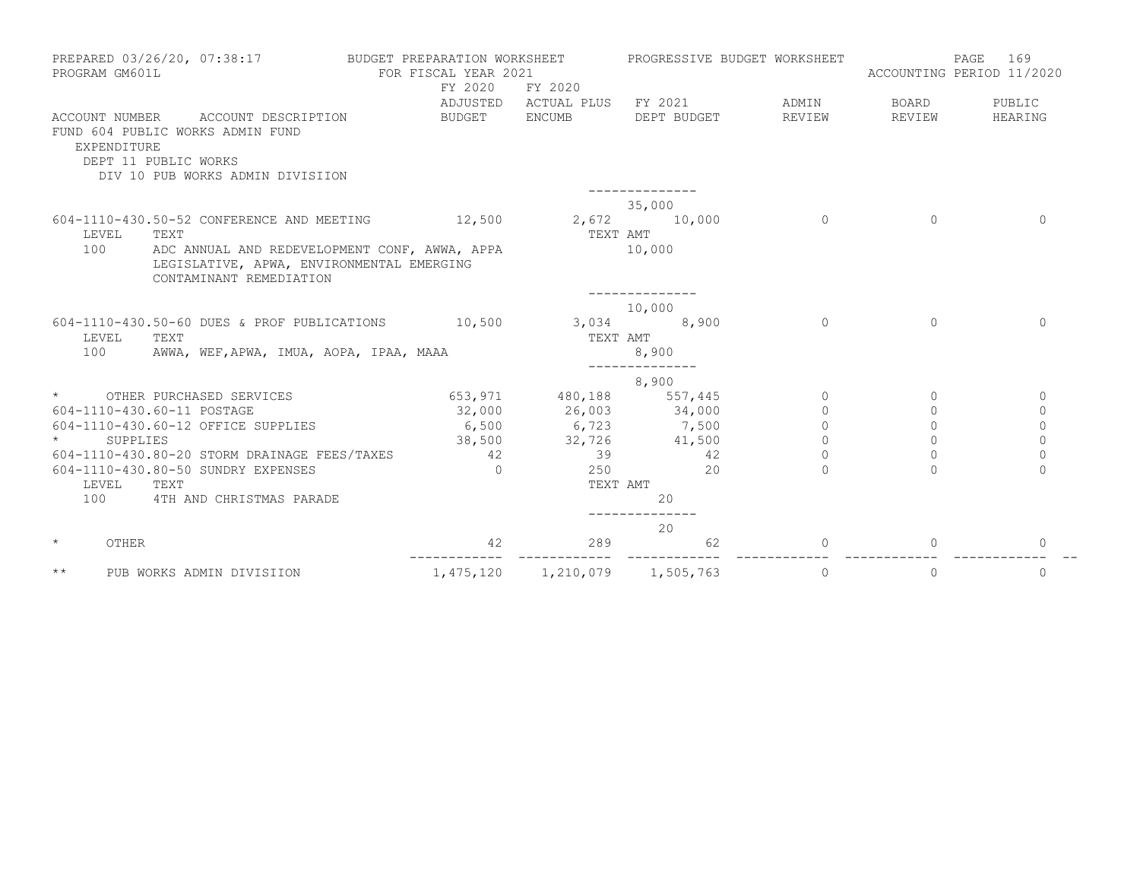| PROGRAM GM601L                | PREPARED 03/26/20, 07:38:17                                                                                           | BUDGET PREPARATION WORKSHEET<br>FOR FISCAL YEAR 2021<br>FY 2020 | FY 2020                      | PROGRESSIVE BUDGET WORKSHEET |          | PAGE<br>ACCOUNTING PERIOD 11/2020 | 169            |
|-------------------------------|-----------------------------------------------------------------------------------------------------------------------|-----------------------------------------------------------------|------------------------------|------------------------------|----------|-----------------------------------|----------------|
|                               |                                                                                                                       |                                                                 | ADJUSTED ACTUAL PLUS FY 2021 |                              | ADMIN    | BOARD                             | PUBLIC         |
| ACCOUNT NUMBER<br>EXPENDITURE | ACCOUNT DESCRIPTION<br>FUND 604 PUBLIC WORKS ADMIN FUND<br>DEPT 11 PUBLIC WORKS<br>DIV 10 PUB WORKS ADMIN DIVISIION   | BUDGET                                                          | <b>ENCUMB</b>                | DEPT BUDGET                  | REVIEW   | REVIEW                            | HEARING        |
|                               |                                                                                                                       |                                                                 |                              |                              |          |                                   |                |
| LEVEL                         | 604-1110-430.50-52 CONFERENCE AND MEETING<br>TEXT                                                                     | 12,500                                                          | 2,672 10,000<br>TEXT AMT     | 35,000                       | $\Omega$ | $\Omega$                          | $\Omega$       |
| 100                           | ADC ANNUAL AND REDEVELOPMENT CONF, AWWA, APPA<br>LEGISLATIVE, APWA, ENVIRONMENTAL EMERGING<br>CONTAMINANT REMEDIATION |                                                                 |                              | 10,000                       |          |                                   |                |
|                               |                                                                                                                       |                                                                 |                              | 10,000                       |          |                                   |                |
| LEVEL<br>100                  | 604-1110-430.50-60 DUES & PROF PUBLICATIONS<br>TEXT<br>AWWA, WEF, APWA, IMUA, AOPA, IPAA, MAAA                        | 10,500                                                          | 3,034<br>TEXT AMT            | 8,900<br>8,900               | $\Omega$ | $\bigcap$                         | $\Omega$       |
|                               |                                                                                                                       |                                                                 |                              |                              |          |                                   |                |
|                               |                                                                                                                       |                                                                 |                              | 8,900                        |          |                                   |                |
| $\star$                       | OTHER PURCHASED SERVICES                                                                                              |                                                                 | 653, 971 480, 188 557, 445   |                              | $\circ$  | $\mathbf{0}$                      | $\circ$        |
|                               | 604-1110-430.60-11 POSTAGE                                                                                            | 32,000                                                          |                              | 26,003 34,000                | $\Omega$ | $\Omega$                          | $\mathbf{0}$   |
|                               | 604-1110-430.60-12 OFFICE SUPPLIES                                                                                    | 6,500                                                           | 6,723                        | 7,500                        | $\Omega$ | $\Omega$                          | $\Omega$       |
| SUPPLIES                      |                                                                                                                       | 38,500                                                          | 32,726 41,500                |                              | $\Omega$ | $\Omega$                          | $\mathbf{0}$   |
|                               | 604-1110-430.80-20 STORM DRAINAGE FEES/TAXES                                                                          | 42                                                              | 39                           | 42                           | $\cap$   | $\Omega$                          | $\Omega$       |
|                               | 604-1110-430.80-50 SUNDRY EXPENSES                                                                                    | $\Omega$                                                        | 250                          | 20                           | $\cap$   | $\cap$                            | $\Omega$       |
| LEVEL                         | TEXT                                                                                                                  |                                                                 | TEXT AMT                     |                              |          |                                   |                |
| 100                           | 4TH AND CHRISTMAS PARADE                                                                                              |                                                                 |                              | 20                           |          |                                   |                |
|                               |                                                                                                                       |                                                                 |                              | -----------<br>20            |          |                                   |                |
| $\star$<br>OTHER              |                                                                                                                       | 42                                                              | 289                          | 62                           | $\Omega$ | 0                                 | $\mathbf{0}$   |
| $\star\star$                  | PUB WORKS ADMIN DIVISIION                                                                                             | 1,475,120                                                       | 1,210,079                    | 1,505,763                    | $\Omega$ | $\Omega$                          | $\overline{0}$ |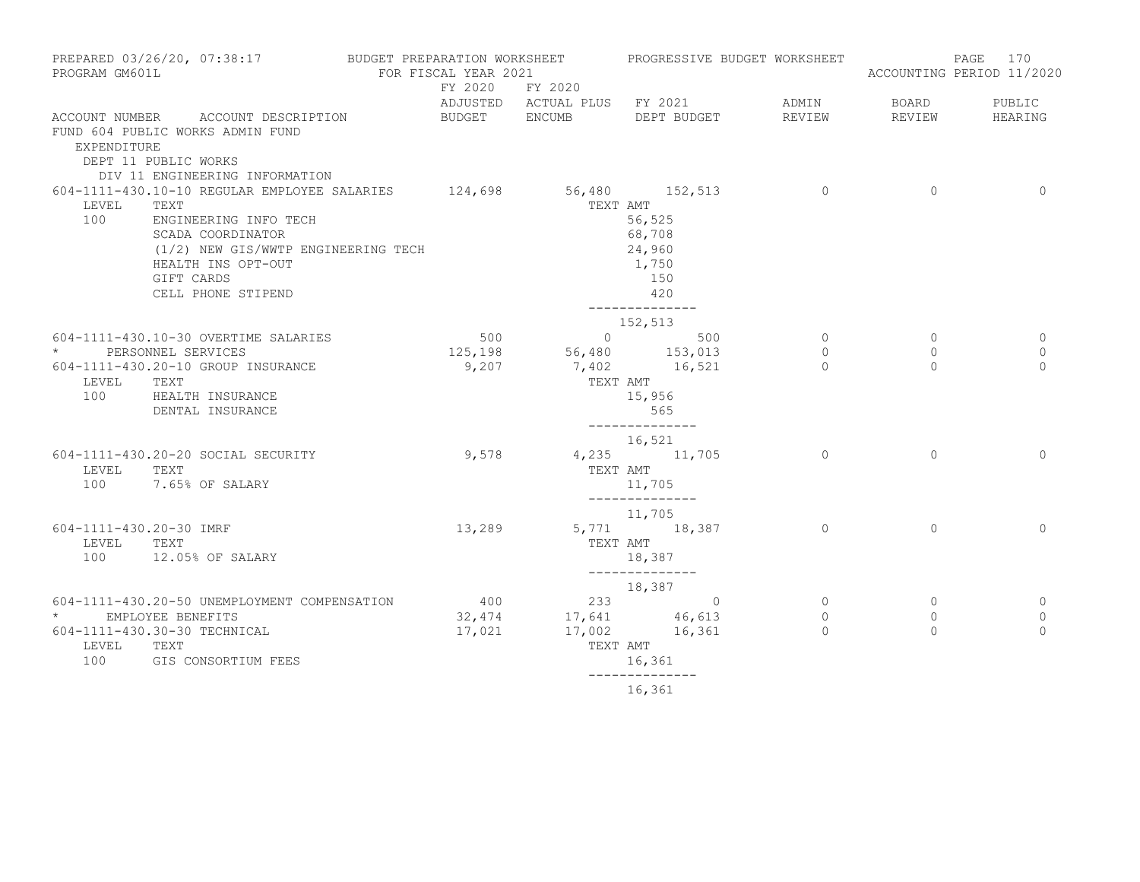| PROGRAM GM601L                    | PREPARED 03/26/20, 07:38:17 BUDGET PREPARATION WORKSHEET PROGRESSIVE BUDGET WORKSHEET                                            | FOR FISCAL YEAR 2021 |                                             |                                                                |                                              |                                        | PAGE 170<br>ACCOUNTING PERIOD 11/2020 |
|-----------------------------------|----------------------------------------------------------------------------------------------------------------------------------|----------------------|---------------------------------------------|----------------------------------------------------------------|----------------------------------------------|----------------------------------------|---------------------------------------|
|                                   |                                                                                                                                  | FY 2020 FY 2020      |                                             | ADJUSTED ACTUAL PLUS FY 2021 ADMIN                             |                                              | <b>BOARD</b>                           | PUBLIC                                |
| EXPENDITURE                       | ACCOUNT NUMBER ACCOUNT DESCRIPTION<br>FUND 604 PUBLIC WORKS ADMIN FUND<br>DEPT 11 PUBLIC WORKS<br>DIV 11 ENGINEERING INFORMATION |                      |                                             | BUDGET ENCUMB DEPT BUDGET                                      | REVIEW                                       | REVIEW                                 | HEARING                               |
| LEVEL<br>100                      | 604-1111-430.10-10 REGULAR EMPLOYEE SALARIES 124,698 56,480 152,513<br>TEXT<br>ENGINEERING INFO TECH                             |                      |                                             | TEXT AMT<br>56,525                                             | $\sim$ 0                                     | $\circ$                                | $\overline{0}$                        |
|                                   | SCADA COORDINATOR<br>(1/2) NEW GIS/WWTP ENGINEERING TECH<br>HEALTH INS OPT-OUT<br>GIFT CARDS<br>CELL PHONE STIPEND               |                      |                                             | 68,708<br>24,960<br>1,750<br>150<br>420<br>______________      |                                              |                                        |                                       |
|                                   |                                                                                                                                  |                      |                                             | 152,513                                                        |                                              |                                        |                                       |
|                                   | 604-1111-430.10-30 OVERTIME SALARIES                                                                                             | 500                  |                                             | $\sim$ 0 500                                                   | $\circ$                                      | $\circ$                                | 0                                     |
| $\star$<br>LEVEL TEXT             | PERSONNEL SERVICES<br>604-1111-430.20-10 GROUP INSURANCE<br>100 HEALTH INSURANCE<br>DENTAL INSURANCE                             | 9,207                | $125,198$ $56,480$ $153,013$<br>TEXT AMT    | 7,402 16,521<br>15,956<br>565<br>______________                | $\circ$<br>$\Omega$                          | $\circ$<br>$\Omega$                    | 0<br>$\Omega$                         |
| LEVEL<br>100                      | 604-1111-430.20-20 SOCIAL SECURITY<br>TEXT<br>7.65% OF SALARY                                                                    | 9,578                | TEXT AMT                                    | 16,521<br>4,235 11,705<br>11,705                               | $\Omega$                                     | $\Omega$                               | $\Omega$                              |
| 604-1111-430.20-30 IMRF<br>LEVEL  | TEXT<br>100 12.05% OF SALARY                                                                                                     | 13,289               |                                             | --------------<br>11,705<br>5,771 18,387<br>TEXT AMT<br>18,387 | $\Omega$                                     | $\Omega$                               | $\Omega$                              |
|                                   |                                                                                                                                  |                      |                                             | --------------<br>18,387                                       |                                              |                                        |                                       |
| * EMPLOYEE BENEFITS<br>LEVEL TEXT | 604-1111-430.20-50 UNEMPLOYMENT COMPENSATION<br>604-1111-430.30-30 TECHNICAL<br>100 GIS CONSORTIUM FEES                          | 400<br>17,021        | $400$ $233$ 0<br>$32,474$ $17,641$ $46,613$ | 17,002 16,361<br>TEXT AMT<br>16,361                            | $\overline{0}$<br>$\overline{0}$<br>$\Omega$ | $\overline{0}$<br>$\Omega$<br>$\Omega$ | $\circ$<br>$\mathbf{0}$<br>$\Omega$   |
|                                   |                                                                                                                                  |                      |                                             | ______________<br>16,361                                       |                                              |                                        |                                       |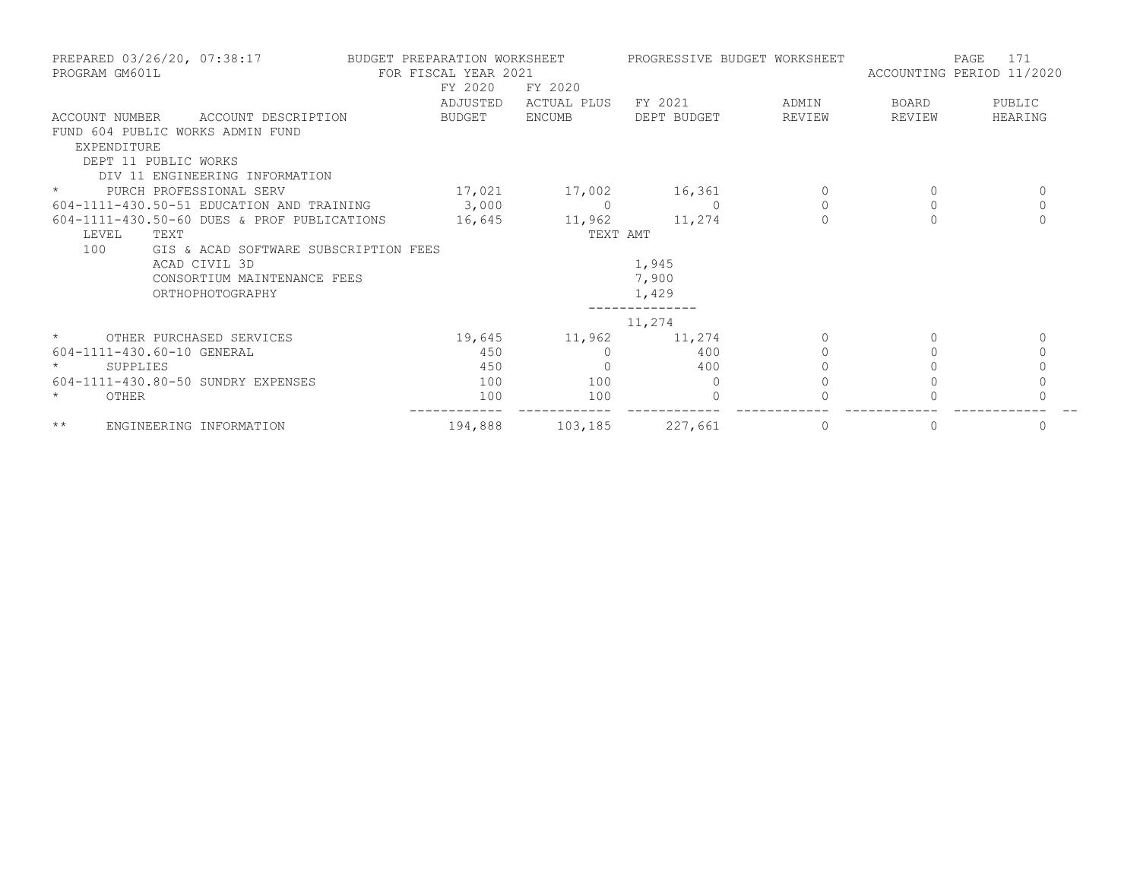| PREPARED 03/26/20, 07:38:17<br>PROGRAM GM601L |                                               | FOR FISCAL YEAR 2021 | BUDGET PREPARATION WORKSHEET |             | PROGRESSIVE BUDGET WORKSHEET | 171<br>PAGE<br>ACCOUNTING PERIOD 11/2020 |              |
|-----------------------------------------------|-----------------------------------------------|----------------------|------------------------------|-------------|------------------------------|------------------------------------------|--------------|
|                                               |                                               | FY 2020              | FY 2020                      |             |                              |                                          |              |
|                                               |                                               | ADJUSTED             | ACTUAL PLUS                  | FY 2021     | ADMIN                        | BOARD                                    | PUBLIC       |
| ACCOUNT NUMBER                                | ACCOUNT DESCRIPTION                           | BUDGET               | <b>ENCUMB</b>                | DEPT BUDGET | REVIEW                       | REVIEW                                   | HEARING      |
|                                               | FUND 604 PUBLIC WORKS ADMIN FUND              |                      |                              |             |                              |                                          |              |
| EXPENDITURE                                   |                                               |                      |                              |             |                              |                                          |              |
|                                               | DEPT 11 PUBLIC WORKS                          |                      |                              |             |                              |                                          |              |
|                                               | DIV 11 ENGINEERING INFORMATION                |                      |                              |             |                              |                                          |              |
| $\star$                                       | PURCH PROFESSIONAL SERV                       | 17,021               | 17,002                       | 16,361      | 0                            | 0                                        | 0            |
|                                               | 604-1111-430.50-51 EDUCATION AND TRAINING     | 3,000                | $\overline{0}$               | $\Omega$    | $\circ$                      | $\circ$                                  | $\mathbf 0$  |
|                                               | $604-1111-430.50-60$ DUES & PROF PUBLICATIONS | 16,645               | 11,962                       | 11,274      |                              |                                          | $\mathbf{0}$ |
| LEVEL                                         | TEXT                                          |                      | TEXT AMT                     |             |                              |                                          |              |
| 100                                           | GIS & ACAD SOFTWARE SUBSCRIPTION FEES         |                      |                              |             |                              |                                          |              |
|                                               | ACAD CIVIL 3D                                 |                      |                              | 1,945       |                              |                                          |              |
|                                               | CONSORTIUM MAINTENANCE FEES                   |                      |                              | 7,900       |                              |                                          |              |
|                                               | ORTHOPHOTOGRAPHY                              |                      |                              | 1,429       |                              |                                          |              |
|                                               |                                               |                      |                              |             |                              |                                          |              |
|                                               |                                               |                      |                              | 11,274      |                              |                                          |              |
| $\star$ and $\star$                           | OTHER PURCHASED SERVICES                      |                      | 19,645 11,962                | 11,274      | $\Omega$                     |                                          | $\mathbf{0}$ |
|                                               | 604-1111-430.60-10 GENERAL                    | 450                  |                              | 400         |                              |                                          | $\circ$      |
| SUPPLIES                                      |                                               | 450                  |                              | 400         |                              |                                          | $\Omega$     |
|                                               | 604-1111-430.80-50 SUNDRY EXPENSES            | 100                  | 100                          | $\Omega$    |                              |                                          |              |
| $\star$<br>OTHER                              |                                               | 100                  | 100                          | $\Omega$    |                              |                                          |              |
| $\star\star$                                  | ENGINEERING INFORMATION                       | 194,888              | 103,185                      | 227,661     | 0                            | 0                                        | 0            |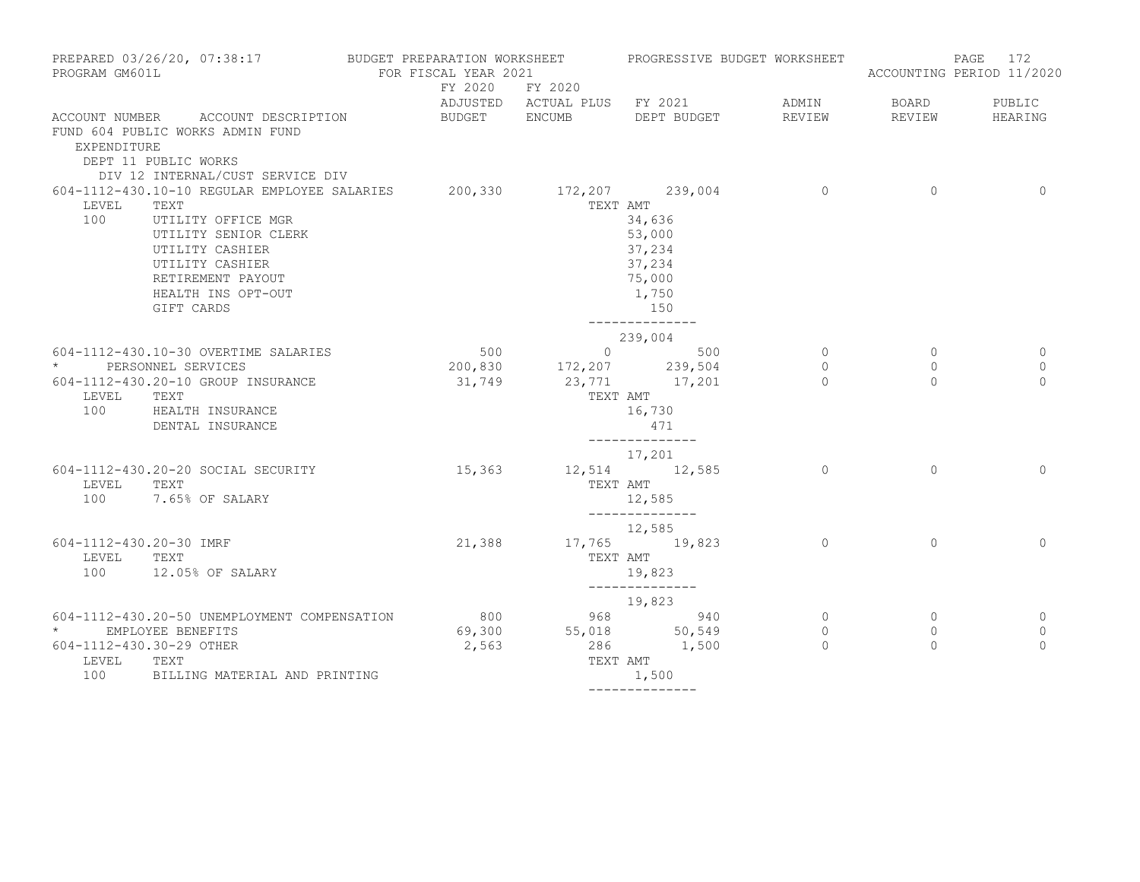| PROGRAM GM601L                                                  | PREPARED 03/26/20, 07:38:17                                                                                                                                                                       | BUDGET PREPARATION WORKSHEET <b>FROGRESSIVE BUDGET WORKSHEET</b><br>FOR FISCAL YEAR 2021 |                                                                                   |                                                                                                   |                                |                                       | PAGE 172<br>ACCOUNTING PERIOD 11/2020 |
|-----------------------------------------------------------------|---------------------------------------------------------------------------------------------------------------------------------------------------------------------------------------------------|------------------------------------------------------------------------------------------|-----------------------------------------------------------------------------------|---------------------------------------------------------------------------------------------------|--------------------------------|---------------------------------------|---------------------------------------|
|                                                                 |                                                                                                                                                                                                   | FY 2020 FY 2020                                                                          |                                                                                   | ADJUSTED ACTUAL PLUS FY 2021                                                                      | ADMIN                          | BOARD                                 | PUBLIC                                |
| EXPENDITURE                                                     | ACCOUNT NUMBER ACCOUNT DESCRIPTION<br>FUND 604 PUBLIC WORKS ADMIN FUND<br>DEPT 11 PUBLIC WORKS<br>DIV 12 INTERNAL/CUST SERVICE DIV                                                                | BUDGET ENCUMB                                                                            |                                                                                   | DEPT BUDGET                                                                                       | REVIEW                         | REVIEW                                | HEARING                               |
| LEVEL<br>100                                                    | 604-1112-430.10-10 REGULAR EMPLOYEE SALARIES<br>TEXT<br>UTILITY OFFICE MGR<br>UTILITY SENIOR CLERK<br>UTILITY CASHIER<br>UTILITY CASHIER<br>RETIREMENT PAYOUT<br>HEALTH INS OPT-OUT<br>GIFT CARDS |                                                                                          | 200,330 172,207 239,004                                                           | TEXT AMT<br>34,636<br>53,000<br>37,234<br>37,234<br>75,000<br>1,750<br>150<br>______________      | $\overline{0}$                 | $\circ$                               | $\Omega$                              |
| $\star$<br>LEVEL<br>100                                         | 604-1112-430.10-30 OVERTIME SALARIES<br>PERSONNEL SERVICES<br>604-1112-430.20-10 GROUP INSURANCE<br>TEXT<br>HEALTH INSURANCE<br>DENTAL INSURANCE                                                  |                                                                                          | $200,830$<br>$31,749$<br>$23,771$<br>$17,201$<br>$23,771$<br>$17,201$<br>TEXT AMT | 239,004<br>16,730<br>471<br>--------------                                                        | $\circ$<br>0<br>$\bigcap$      | $\overline{0}$<br>$\circ$<br>$\Omega$ | 0<br>0<br>$\Omega$                    |
| LEVEL<br>100                                                    | 604-1112-430.20-20 SOCIAL SECURITY<br>TEXT<br>7.65% OF SALARY                                                                                                                                     | 15,363                                                                                   | TEXT AMT                                                                          | 17,201<br>12,514 12,585<br>12,585<br>______________                                               | $\Omega$                       | $\Omega$                              | $\Omega$                              |
| 604-1112-430.20-30 IMRF<br>LEVEL<br>100                         | TEXT<br>12.05% OF SALARY                                                                                                                                                                          | 21,388                                                                                   |                                                                                   | 12,585<br>17,765 19,823<br>TEXT AMT<br>19,823<br>--------------                                   | $\circ$                        | $\Omega$                              | $\Omega$                              |
| * EMPLOYEE BENEFITS<br>604-1112-430.30-29 OTHER<br>LEVEL<br>100 | 604-1112-430.20-50 UNEMPLOYMENT COMPENSATION<br>TEXT<br>BILLING MATERIAL AND PRINTING                                                                                                             | 2,563                                                                                    |                                                                                   | 19,823<br>800 968 940<br>69,300 55,018 50,549<br>286 1,500<br>TEXT AMT<br>1,500<br>-------------- | $\circ$<br>$\circ$<br>$\Omega$ | $\circ$<br>$\circ$<br>$\Omega$        | 0<br>$\circ$<br>$\Omega$              |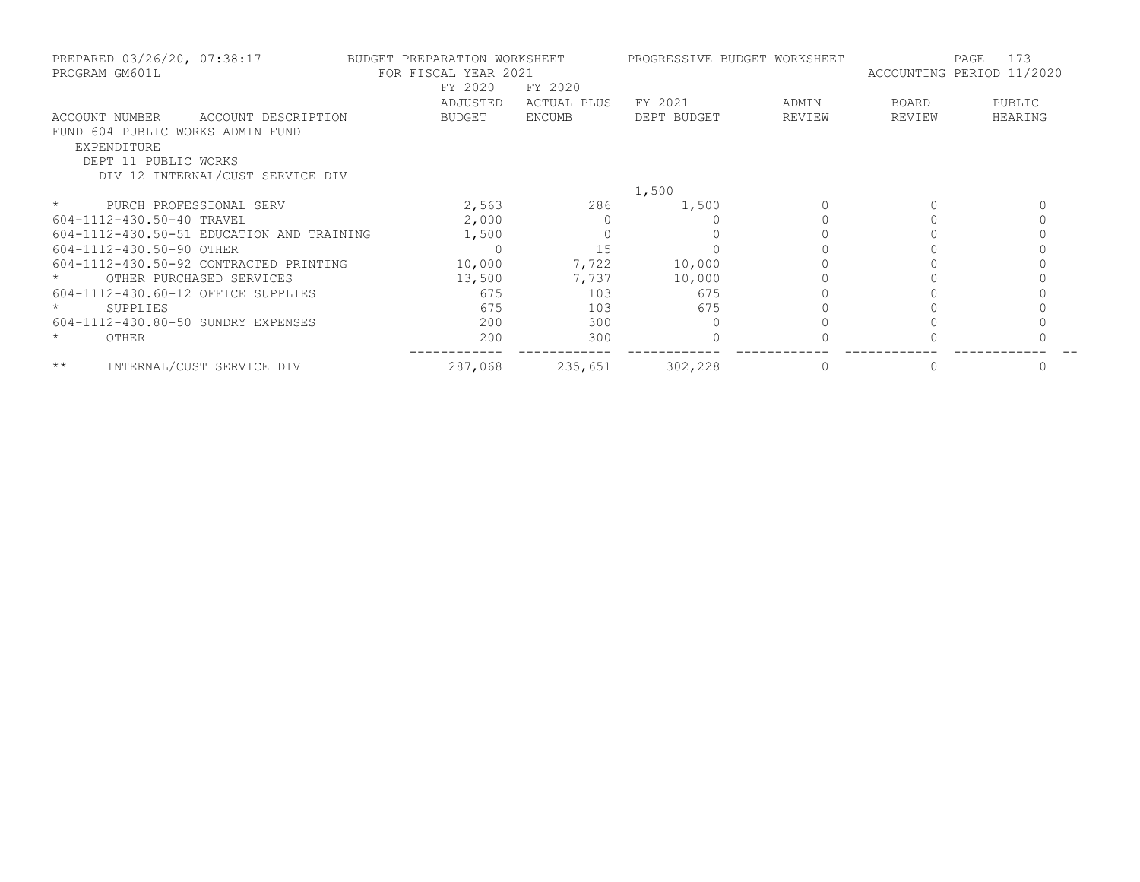|         | PREPARED 03/26/20, 07:38:17<br>PROGRAM GM601L | BUDGET PREPARATION WORKSHEET<br>FOR FISCAL YEAR 2021 |               | PROGRESSIVE BUDGET WORKSHEET |        | ACCOUNTING PERIOD 11/2020 | 173<br>PAGE |
|---------|-----------------------------------------------|------------------------------------------------------|---------------|------------------------------|--------|---------------------------|-------------|
|         |                                               | FY 2020                                              | FY 2020       |                              |        |                           |             |
|         |                                               | ADJUSTED                                             | ACTUAL PLUS   | FY 2021                      | ADMIN  | BOARD                     | PUBLIC      |
|         | ACCOUNT DESCRIPTION<br>ACCOUNT NUMBER         | BUDGET                                               | <b>ENCUMB</b> | DEPT BUDGET                  | REVIEW | REVIEW                    | HEARING     |
|         | FUND 604 PUBLIC WORKS ADMIN FUND              |                                                      |               |                              |        |                           |             |
|         | EXPENDITURE                                   |                                                      |               |                              |        |                           |             |
|         | DEPT 11 PUBLIC WORKS                          |                                                      |               |                              |        |                           |             |
|         | DIV 12 INTERNAL/CUST SERVICE DIV              |                                                      |               |                              |        |                           |             |
|         |                                               |                                                      |               | 1,500                        |        |                           |             |
| $\star$ | PURCH PROFESSIONAL SERV                       | 2,563                                                | 286           | 1,500                        |        |                           |             |
|         | 604-1112-430.50-40 TRAVEL                     | 2,000                                                |               |                              |        |                           |             |
|         | 604-1112-430.50-51 EDUCATION AND TRAINING     | 1,500                                                |               |                              |        |                           |             |
|         | 604-1112-430.50-90 OTHER                      |                                                      | 15            |                              |        |                           |             |
|         | 604-1112-430.50-92 CONTRACTED PRINTING        | 10,000                                               | 7,722         | 10,000                       |        |                           |             |
|         | OTHER PURCHASED SERVICES                      | 13,500                                               | 7,737         | 10,000                       |        |                           |             |
|         | 604-1112-430.60-12 OFFICE SUPPLIES            | 675                                                  | 103           | 675                          |        |                           |             |
|         | SUPPLIES                                      | 675                                                  | 103           | 675                          |        |                           |             |
|         | 604-1112-430.80-50 SUNDRY EXPENSES            | 200                                                  | 300           |                              |        |                           |             |
| $\star$ | OTHER                                         | 200                                                  | 300           |                              |        |                           |             |
| $***$   | INTERNAL/CUST SERVICE DIV                     | 287,068                                              | 235,651       | 302,228                      |        |                           |             |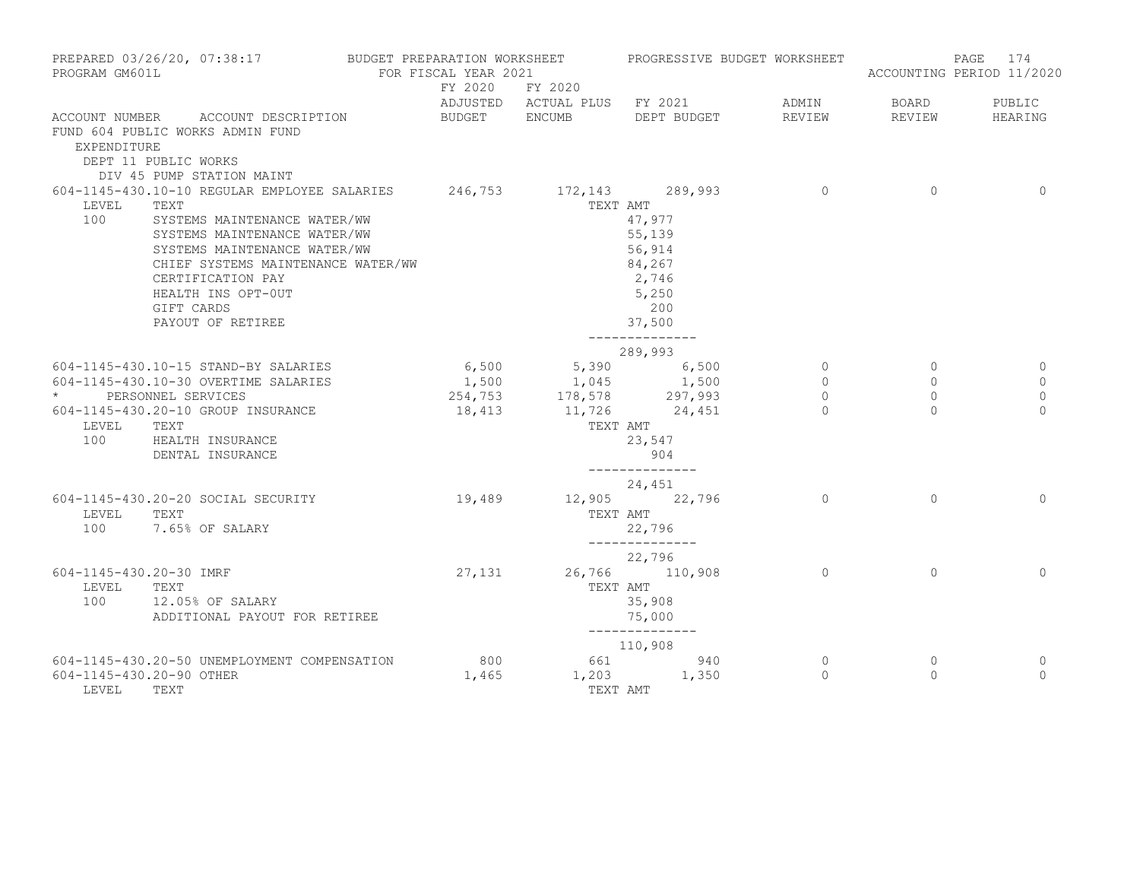| PROGRAM GM601L                          | PREPARED 03/26/20, 07:38:17                                                                                                                                                                                                                                                                      | BUDGET PREPARATION WORKSHEET<br>FOR FISCAL YEAR 2021 |                                                                | PROGRESSIVE BUDGET WORKSHEET                                                        |                                           |                                           | 174<br>PAGE<br>ACCOUNTING PERIOD 11/2020    |
|-----------------------------------------|--------------------------------------------------------------------------------------------------------------------------------------------------------------------------------------------------------------------------------------------------------------------------------------------------|------------------------------------------------------|----------------------------------------------------------------|-------------------------------------------------------------------------------------|-------------------------------------------|-------------------------------------------|---------------------------------------------|
|                                         |                                                                                                                                                                                                                                                                                                  | FY 2020 FY 2020                                      |                                                                | ADJUSTED ACTUAL PLUS FY 2021                                                        | ADMIN                                     | BOARD                                     | PUBLIC                                      |
| EXPENDITURE                             | ACCOUNT NUMBER ACCOUNT DESCRIPTION<br>FUND 604 PUBLIC WORKS ADMIN FUND<br>DEPT 11 PUBLIC WORKS<br>DIV 45 PUMP STATION MAINT                                                                                                                                                                      | BUDGET ENCUMB                                        |                                                                | DEPT BUDGET                                                                         | REVIEW                                    | REVIEW                                    | HEARING                                     |
| LEVEL<br>100                            | 604-1145-430.10-10 REGULAR EMPLOYEE SALARIES 246,753 172,143 289,993<br>TEXT<br>SYSTEMS MAINTENANCE WATER/WW<br>SYSTEMS MAINTENANCE WATER/WW<br>SYSTEMS MAINTENANCE WATER/WW<br>CHIEF SYSTEMS MAINTENANCE WATER/WW<br>CERTIFICATION PAY<br>HEALTH INS OPT-OUT<br>GIFT CARDS<br>PAYOUT OF RETIREE |                                                      |                                                                | TEXT AMT<br>47,977<br>55,139<br>56,914<br>84,267<br>2,746<br>5,250<br>200<br>37,500 | $\circ$                                   | $\circ$                                   | $\mathbf 0$                                 |
| LEVEL<br>100                            | 604-1145-430.10-15 STAND-BY SALARIES<br>604-1145-430.10-30 OVERTIME SALARIES<br>* PERSONNEL SERVICES<br>604-1145-430.20-10 GROUP INSURANCE<br>TEXT<br>HEALTH INSURANCE<br>DENTAL INSURANCE                                                                                                       | 6,500<br>18,413                                      | $1,500$ $1,045$ $1,500$<br>254,753 178,578 297,993<br>TEXT AMT | --------------<br>289,993<br>5,390 6,500<br>11,726 24,451<br>23,547<br>904          | $\circ$<br>$\circ$<br>$\circ$<br>$\Omega$ | $\circ$<br>$\circ$<br>$\circ$<br>$\Omega$ | 0<br>$\mathbf 0$<br>$\mathbf 0$<br>$\Omega$ |
| LEVEL                                   | 604-1145-430.20-20 SOCIAL SECURITY<br>TEXT<br>100 7.65% OF SALARY                                                                                                                                                                                                                                | 19,489                                               | TEXT AMT                                                       | 24,451<br>12,905 22,796<br>22,796<br>--------------                                 | $\circ$                                   | $\Omega$                                  | $\mathbf 0$                                 |
| 604-1145-430.20-30 IMRF<br>LEVEL<br>100 | TEXT<br>12.05% OF SALARY<br>ADDITIONAL PAYOUT FOR RETIREE                                                                                                                                                                                                                                        | 27,131                                               | TEXT AMT                                                       | 22,796<br>26,766 110,908<br>35,908<br>75,000<br>--------------                      | $\circ$                                   | $\circ$                                   | $\Omega$                                    |
| 604-1145-430.20-90 OTHER<br>LEVEL       | 604-1145-430.20-50 UNEMPLOYMENT COMPENSATION<br>TEXT                                                                                                                                                                                                                                             | 800<br>1,465                                         | TEXT AMT                                                       | 110,908<br>661 940<br>$1,203$ $1,350$                                               | $\circ$<br>$\Omega$                       | $\circ$<br>$\circ$                        | 0<br>$\Omega$                               |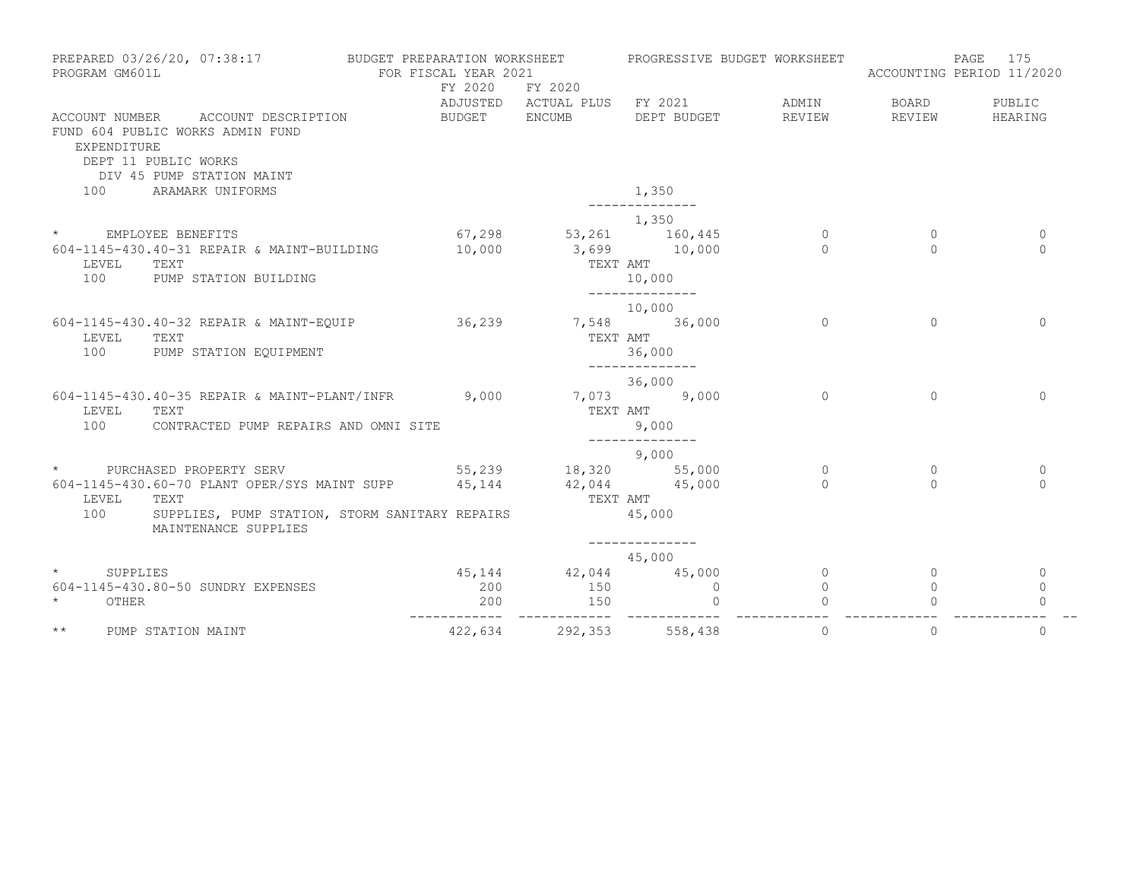| PROGRAM GM601L                                      | PREPARED 03/26/20, 07:38:17                                                                                                                                                      | BUDGET PREPARATION WORKSHEET<br>FOR FISCAL YEAR 2021<br>FY 2020 | FY 2020                                                  | PROGRESSIVE BUDGET WORKSHEET                                       |                     | PAGE<br>ACCOUNTING PERIOD 11/2020 | 175                             |
|-----------------------------------------------------|----------------------------------------------------------------------------------------------------------------------------------------------------------------------------------|-----------------------------------------------------------------|----------------------------------------------------------|--------------------------------------------------------------------|---------------------|-----------------------------------|---------------------------------|
| EXPENDITURE                                         | ACCOUNT NUMBER ACCOUNT DESCRIPTION<br>FUND 604 PUBLIC WORKS ADMIN FUND<br>DEPT 11 PUBLIC WORKS<br>DIV 45 PUMP STATION MAINT                                                      | BUDGET ENCUMB                                                   |                                                          | ADJUSTED ACTUAL PLUS FY 2021 ADMIN<br>DEPT BUDGET REVIEW           |                     | BOARD PUBLIC<br>REVIEW            | HEARING                         |
| 100                                                 | ARAMARK UNIFORMS                                                                                                                                                                 |                                                                 |                                                          | 1,350                                                              |                     |                                   |                                 |
| * EMPLOYEE BENEFITS<br>LEVEL<br>100                 | 604-1145-430.40-31 REPAIR & MAINT-BUILDING<br>TEXT<br>PUMP STATION BUILDING                                                                                                      | 10,000                                                          | $67,298$ $53,261$ $160,445$<br>$10,000$ $3,699$ $10,000$ | 1,350<br>TEXT AMT<br>10,000                                        | $\Omega$<br>$\cap$  | $\Omega$<br>$\cap$                | $\Omega$<br>$\Omega$            |
| LEVEL<br>100                                        | 604-1145-430.40-32 REPAIR & MAINT-EOUIP 36,239<br>TEXT<br>PUMP STATION EQUIPMENT                                                                                                 |                                                                 | TEXT AMT                                                 | ______________<br>10,000<br>7,548 36,000<br>36,000                 | $\Omega$            | $\Omega$                          | $\Omega$                        |
| LEVEL TEXT<br>100                                   | 604-1145-430.40-35 REPAIR & MAINT-PLANT/INFR 9,000<br>CONTRACTED PUMP REPAIRS AND OMNI SITE                                                                                      |                                                                 | TEXT AMT                                                 | --------------<br>36,000<br>7,073 9,000<br>9,000<br>______________ | $\Omega$            | $\Omega$                          | $\Omega$                        |
| LEVEL<br>100                                        | * PURCHASED PROPERTY SERV<br>604-1145-430.60-70 PLANT OPER/SYS MAINT SUPP 45,144 42,044 45,000<br>TEXT<br>SUPPLIES, PUMP STATION, STORM SANITARY REPAIRS<br>MAINTENANCE SUPPLIES | $55,239$ 18,320 55,000                                          | TEXT AMT                                                 | 9,000<br>45,000                                                    | $\circ$<br>$\cap$   | $\Omega$<br>$\cap$                | $\mathbf{0}$<br>$\Omega$        |
| $\star$ and $\star$<br>SUPPLIES<br>$\star$<br>OTHER | 604-1145-430.80-50 SUNDRY EXPENSES                                                                                                                                               | 200<br>200<br>---------                                         | 45, 144 42, 044<br>150<br>150<br>-------------           | 45,000<br>45,000<br>$\overline{0}$<br>$\mathbf 0$                  | $\circ$<br>$\Omega$ | $\Omega$                          | $\circ$<br>$\Omega$<br>$\Omega$ |
| $\star\star$                                        | PUMP STATION MAINT                                                                                                                                                               |                                                                 | 422,634 292,353 558,438                                  |                                                                    | $\Omega$            | $\Omega$                          | $\Omega$                        |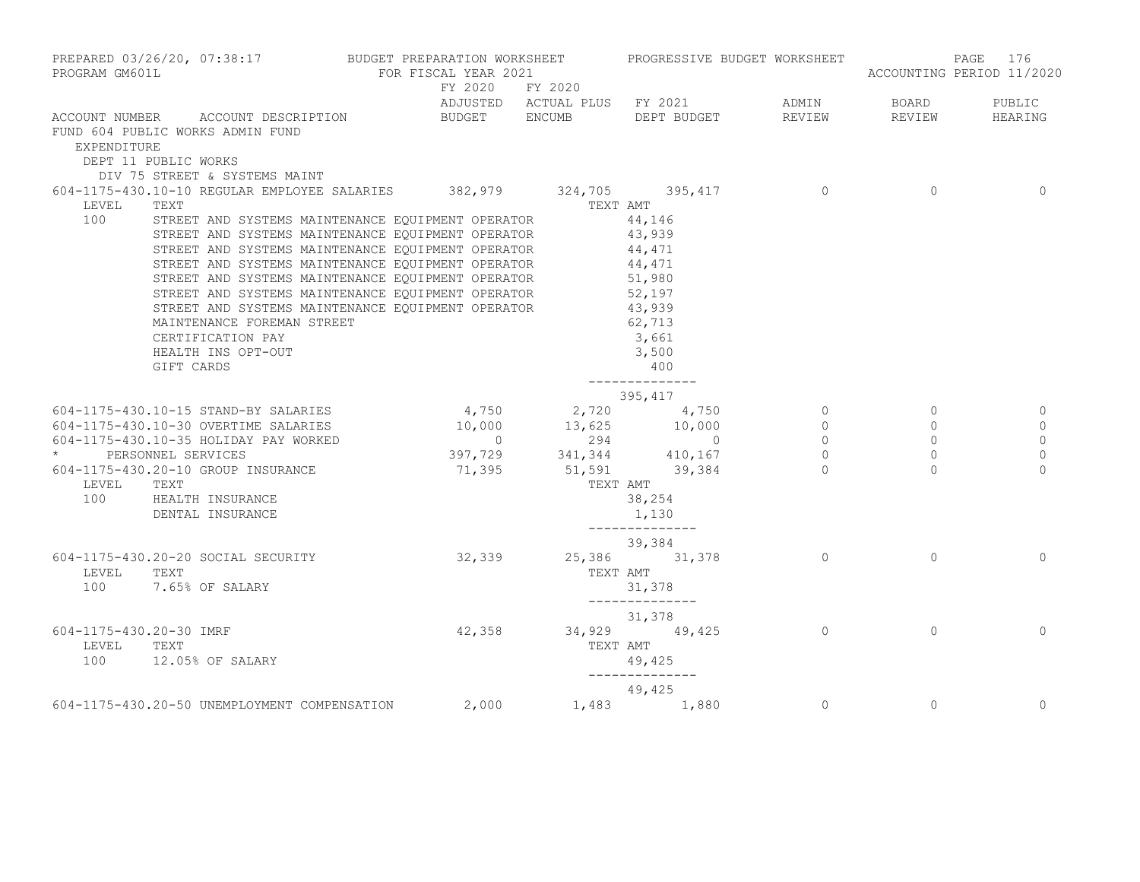| PROGRAM GM601L                   | PREPARED 03/26/20, 07:38:17 BUDGET PREPARATION WORKSHEET PROGRESSIVE BUDGET WORKSHEET                                                                                                                                                                                                                                                                                                                                                                                                                                                                                    | FOR FISCAL YEAR 2021 |          |                                                                                |                |                                                                                  | PAGE 176<br>ACCOUNTING PERIOD 11/2020                              |
|----------------------------------|--------------------------------------------------------------------------------------------------------------------------------------------------------------------------------------------------------------------------------------------------------------------------------------------------------------------------------------------------------------------------------------------------------------------------------------------------------------------------------------------------------------------------------------------------------------------------|----------------------|----------|--------------------------------------------------------------------------------|----------------|----------------------------------------------------------------------------------|--------------------------------------------------------------------|
|                                  | ADJUSTED ACTUAL PLUS FY 2021 ADMIN BOARD PUBLIC<br>ACCOUNT NUMBER ACCOUNT DESCRIPTION BUDGET ENCUMB DEPT_BUDGET REVIEW REVIEW REVIEW HEARING                                                                                                                                                                                                                                                                                                                                                                                                                             | FY 2020 FY 2020      |          |                                                                                |                |                                                                                  |                                                                    |
| EXPENDITURE                      | FUND 604 PUBLIC WORKS ADMIN FUND<br>DEPT 11 PUBLIC WORKS                                                                                                                                                                                                                                                                                                                                                                                                                                                                                                                 |                      |          |                                                                                |                |                                                                                  |                                                                    |
| LEVEL<br>100                     | DIV 75 STREET & SYSTEMS MAINT<br>604-1175-430.10-10 REGULAR EMPLOYEE SALARIES 382,979 324,705 395,417 0<br>TEXT<br>STREET AND SYSTEMS MAINTENANCE EQUIPMENT OPERATOR $44,146$<br>STREET AND SYSTEMS MAINTENANCE EQUIPMENT OPERATOR 43,939<br>STREET AND SYSTEMS MAINTENANCE EQUIPMENT OPERATOR 43,939<br>STREET AND SYSTEMS MAINTENANCE EQUIPMENT OPERATOR 44,471<br>STREET AND SYSTEMS MAINTENANCE EQUIPMENT OPERATO<br>STREET AND SYSTEMS MAINTENANCE EQUIPMENT OPERATOR 43,939<br>MAINTENANCE FOREMAN STREET<br>CERTIFICATION PAY<br>HEALTH INS OPT-OUT<br>GIFT CARDS |                      | TEXT AMT | 62,713<br>3,661<br>3,500<br>400<br>_______________                             |                | $\overline{0}$                                                                   | $\overline{0}$                                                     |
| LEVEL                            | 395, 417 395, 417<br>604-1175-430.10-15 STAND-BY SALARIES 4, 750 2, 720 4, 750<br>604-1175-430.10-15 STAND-BY SALARIES<br>604-1175-430.10-30 OVERTIME SALARIES<br>604-1175-430.10-35 HOLIDAY PAY WORKED<br>* BERSONNEL SERVICES<br>604-1175-430.20-10 GROUP INSUPANCE<br>604-1175-430.20-10 GROUP INSUPANCE<br>604-1175-430.20-10 GROUP INSURANCE 71,395 51,591 39,384 0<br>TEXT<br>100 HEALTH INSURANCE<br>DENTAL INSURANCE                                                                                                                                             |                      | TEXT AMT | 38,254<br>1,130                                                                |                | $\overline{0}$<br>$\circ$<br>$\begin{matrix} 0 \\ 0 \\ 0 \end{matrix}$<br>$\cap$ | $\mathbf 0$<br>$\mathbf 0$<br>$\mathbf 0$<br>$\mathbf 0$<br>$\cap$ |
| LEVEL                            | 39,384<br>604-1175-430.20-20 SOCIAL SECURITY 32,339 32,339 35,386 31,378 31,378<br>TEXT<br>100 7.65% OF SALARY                                                                                                                                                                                                                                                                                                                                                                                                                                                           |                      | TEXT AMT | _______________<br>31,378<br>--------------                                    |                | $\Omega$                                                                         | $\Omega$                                                           |
| 604-1175-430.20-30 IMRF<br>LEVEL | TEXT<br>100 12.05% OF SALARY                                                                                                                                                                                                                                                                                                                                                                                                                                                                                                                                             |                      | TEXT AMT | $31,378$<br>$42,358$<br>$34,929$<br>$49,425$<br>0<br>49,425<br>_______________ |                | $\Omega$                                                                         | $\Omega$                                                           |
|                                  | 49,425 49,425 49,425 49,425 50 UNEMPLOYMENT COMPENSATION 2,000                                                                                                                                                                                                                                                                                                                                                                                                                                                                                                           |                      |          |                                                                                | $\overline{0}$ | $\overline{0}$                                                                   | $\overline{0}$                                                     |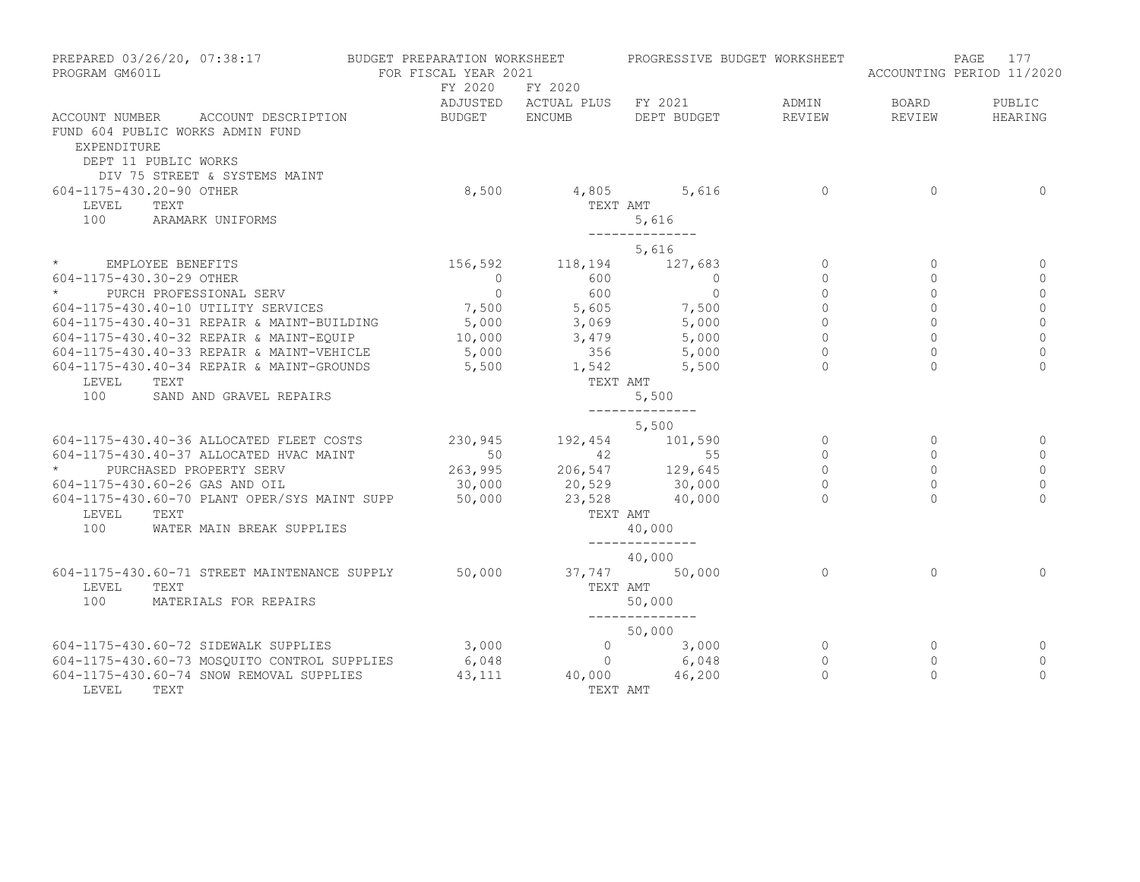| PREPARED 03/26/20, 07:38:17<br>PROGRAM GM601L                                                                                                                                                                               | BUDGET PREPARATION WORKSHEET<br>FOR FISCAL YEAR 2021 |                                                          | PROGRESSIVE BUDGET WORKSHEET |                |                | 177<br>PAGE<br>ACCOUNTING PERIOD 11/2020 |
|-----------------------------------------------------------------------------------------------------------------------------------------------------------------------------------------------------------------------------|------------------------------------------------------|----------------------------------------------------------|------------------------------|----------------|----------------|------------------------------------------|
|                                                                                                                                                                                                                             | FY 2020                                              | FY 2020                                                  | ADJUSTED ACTUAL PLUS FY 2021 | ADMIN          | BOARD          | PUBLIC                                   |
| ACCOUNT NUMBER ACCOUNT DESCRIPTION                                                                                                                                                                                          | BUDGET ENCUMB                                        |                                                          | DEPT BUDGET                  | REVIEW         | REVIEW         | HEARING                                  |
| FUND 604 PUBLIC WORKS ADMIN FUND<br>EXPENDITURE<br>DEPT 11 PUBLIC WORKS<br>DIV 75 STREET & SYSTEMS MAINT                                                                                                                    |                                                      |                                                          |                              |                |                |                                          |
| 604-1175-430.20-90 OTHER                                                                                                                                                                                                    | 8,500                                                |                                                          | 4,805 5,616                  | $\overline{0}$ | $\Omega$       | $\Omega$                                 |
| TEXT<br>LEVEL                                                                                                                                                                                                               |                                                      |                                                          | TEXT AMT                     |                |                |                                          |
| 100<br>ARAMARK UNIFORMS                                                                                                                                                                                                     |                                                      |                                                          | 5,616                        |                |                |                                          |
|                                                                                                                                                                                                                             |                                                      |                                                          | ______________<br>5,616      |                |                |                                          |
| * EMPLOYEE BENEFITS                                                                                                                                                                                                         |                                                      |                                                          |                              | $\circ$        | $\circ$        | 0                                        |
| 604-1175-430.30-29 OTHER                                                                                                                                                                                                    |                                                      | 156,592 118,194 127,683<br>0 600 0                       |                              | $\overline{0}$ | $\Omega$       | $\circ$                                  |
| PURCH PROFESSIONAL SERV<br>$\star$                                                                                                                                                                                          | $\overline{0}$                                       | 600                                                      | $\circ$                      | $\circ$        | $\Omega$       | $\mathbf 0$                              |
| 604-1175-430.40-10 UTILITY SERVICES                                                                                                                                                                                         |                                                      | 7,500 5,605<br>5,000 3,069                               |                              | $\mathbb O$    | $\circ$        | $\mathbb O$                              |
| 604-1175-430.40-31 REPAIR & MAINT-BUILDING                                                                                                                                                                                  |                                                      |                                                          | $7,500$<br>5,000             | $\Omega$       | $\Omega$       | $\mathbb O$                              |
|                                                                                                                                                                                                                             |                                                      |                                                          |                              | $\overline{0}$ | $\overline{0}$ | $\overline{0}$                           |
|                                                                                                                                                                                                                             |                                                      |                                                          |                              | $\circ$        | $\circ$        | $\mathbf 0$                              |
| 604-1175-430.40-32 REPAIR & MAINT-EQUIP<br>604-1175-430.40-33 REPAIR & MAINT-VEHICLE<br>604-1175-430.40-33 REPAIR & MAINT-VEHICLE<br>604-1175-430.40-34 REPAIR & MAINT-GROUNDS<br>5,500<br>5,500<br>5,500<br>1,542<br>5,500 |                                                      |                                                          |                              |                | $\Omega$       | $\Omega$                                 |
| LEVEL<br>TEXT                                                                                                                                                                                                               |                                                      | TEXT AMT                                                 |                              |                |                |                                          |
| 100<br>SAND AND GRAVEL REPAIRS                                                                                                                                                                                              |                                                      |                                                          | 5,500<br>--------------      |                |                |                                          |
|                                                                                                                                                                                                                             |                                                      |                                                          | 5,500                        |                |                |                                          |
| 604-1175-430.40-36 ALLOCATED FLEET COSTS                                                                                                                                                                                    | 230,945                                              |                                                          | 192,454 101,590              | $\overline{a}$ | $\Omega$       | 0                                        |
| 604-1175-430.40-37 ALLOCATED HVAC MAINT                                                                                                                                                                                     |                                                      |                                                          |                              | $\circ$        | $\mathbf{0}$   | $\mathbf{0}$                             |
| $\star$<br>PURCHASED PROPERTY SERV                                                                                                                                                                                          |                                                      | 50<br>263,995<br>206,547<br>205,645<br>206,547<br>29,645 |                              | $\Omega$       | $\Omega$       | $\circ$                                  |
| 604-1175-430.60-26 GAS AND OIL                                                                                                                                                                                              |                                                      | $30,000$ 20,529 30,000                                   |                              | $\circ$        | $\overline{0}$ | $\mathbf 0$                              |
| 604-1175-430.60-70 PLANT OPER/SYS MAINT SUPP 50,000                                                                                                                                                                         |                                                      |                                                          | 23,528 40,000                | $\Omega$       | $\Omega$       | $\Omega$                                 |
| LEVEL<br>TEXT                                                                                                                                                                                                               |                                                      | TEXT AMT                                                 |                              |                |                |                                          |
| 100<br>WATER MAIN BREAK SUPPLIES                                                                                                                                                                                            |                                                      |                                                          | 40,000                       |                |                |                                          |
|                                                                                                                                                                                                                             |                                                      |                                                          | 40,000                       |                |                |                                          |
| 604-1175-430.60-71 STREET MAINTENANCE SUPPLY                                                                                                                                                                                | 50,000                                               |                                                          | 37,747 50,000                | $\Omega$       | $\Omega$       | $\Omega$                                 |
| LEVEL<br>TEXT                                                                                                                                                                                                               |                                                      | TEXT AMT                                                 |                              |                |                |                                          |
| 100<br>MATERIALS FOR REPAIRS                                                                                                                                                                                                |                                                      |                                                          | 50,000                       |                |                |                                          |
|                                                                                                                                                                                                                             |                                                      |                                                          | 50,000                       |                |                |                                          |
| 604-1175-430.60-72 SIDEWALK SUPPLIES                                                                                                                                                                                        | 3,000                                                |                                                          |                              | $\overline{0}$ | $\circ$        | 0                                        |
| 604-1175-430.60-73 MOSOUITO CONTROL SUPPLIES                                                                                                                                                                                | 6,048                                                |                                                          | $0$ $3,000$<br>0 $6,048$     | $\circ$        | $\circ$        | $\circ$                                  |
| 604-1175-430.60-74 SNOW REMOVAL SUPPLIES                                                                                                                                                                                    | 43,111                                               |                                                          | $40,000$ $46,200$            | $\Omega$       | $\Omega$       | $\Omega$                                 |
| LEVEL<br>TEXT                                                                                                                                                                                                               |                                                      |                                                          | TEXT AMT                     |                |                |                                          |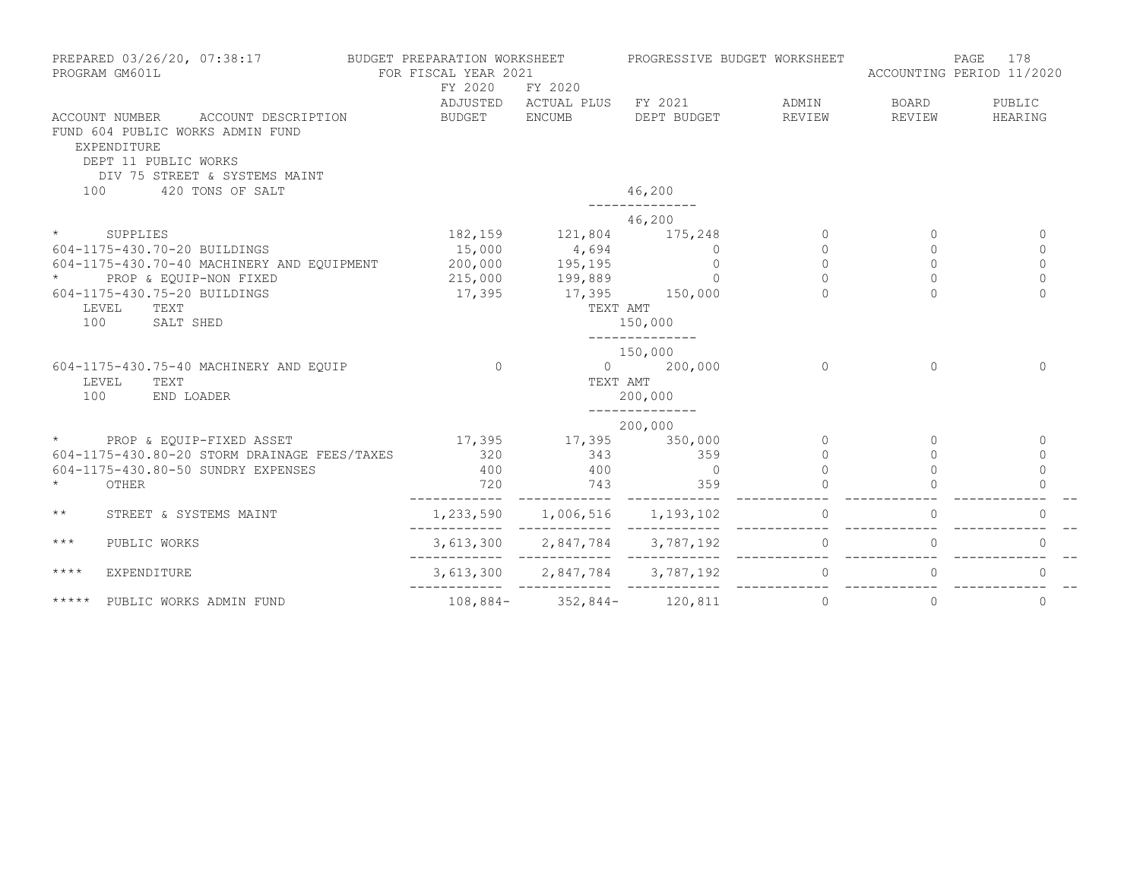| PREPARED 03/26/20, 07:38:17<br>PROGRAM GM601L |                                                                                                                                                          |                             | BUDGET PREPARATION WORKSHEET<br>FOR FISCAL YEAR 2021<br>FY 2020<br>FY 2020                |                                     | PROGRESSIVE BUDGET WORKSHEET | 178<br>PAGE<br>ACCOUNTING PERIOD 11/2020 |                |
|-----------------------------------------------|----------------------------------------------------------------------------------------------------------------------------------------------------------|-----------------------------|-------------------------------------------------------------------------------------------|-------------------------------------|------------------------------|------------------------------------------|----------------|
|                                               |                                                                                                                                                          |                             |                                                                                           | ADJUSTED ACTUAL PLUS FY 2021 ADMIN  |                              | BOARD                                    | PUBLIC         |
|                                               | ACCOUNT NUMBER<br>ACCOUNT DESCRIPTION<br>FUND 604 PUBLIC WORKS ADMIN FUND<br><b>EXPENDITURE</b><br>DEPT 11 PUBLIC WORKS<br>DIV 75 STREET & SYSTEMS MAINT | BUDGET ENCUMB               |                                                                                           | DEPT BUDGET                         | REVIEW                       | REVIEW                                   | HEARING        |
| 100                                           | 420 TONS OF SALT                                                                                                                                         |                             |                                                                                           | 46,200                              |                              |                                          |                |
|                                               |                                                                                                                                                          |                             |                                                                                           | 46,200                              |                              |                                          |                |
| $\star$                                       | SUPPLIES                                                                                                                                                 |                             | 182, 159 121, 804 175, 248                                                                |                                     | $\circ$                      | $\circ$                                  | $\mathbf{0}$   |
|                                               | 604-1175-430.70-20 BUILDINGS                                                                                                                             |                             | 15,000  4,694  0<br>200,000  195,195  0<br>215,000  199,889  0<br>17,395  17,395  150,000 |                                     | $\Omega$                     | $\Omega$                                 | $\mathbf{0}$   |
|                                               | 604-1175-430.70-40 MACHINERY AND EQUIPMENT 200,000                                                                                                       |                             |                                                                                           |                                     | $\Omega$                     | $\Omega$                                 | $\Omega$       |
| $\star$                                       | PROP & EQUIP-NON FIXED                                                                                                                                   |                             |                                                                                           |                                     | $\Omega$                     | $\Omega$                                 | $\Omega$       |
|                                               | 604-1175-430.75-20 BUILDINGS                                                                                                                             |                             |                                                                                           |                                     | $\Omega$                     | $\Omega$                                 | $\Omega$       |
|                                               | LEVEL<br>TEXT                                                                                                                                            |                             | TEXT AMT                                                                                  |                                     |                              |                                          |                |
| 100                                           | SALT SHED                                                                                                                                                |                             |                                                                                           | 150,000                             |                              |                                          |                |
|                                               |                                                                                                                                                          |                             |                                                                                           | 150,000                             |                              |                                          |                |
|                                               | 604-1175-430.75-40 MACHINERY AND EQUIP                                                                                                                   | $\Omega$                    | $\overline{0}$                                                                            | 200,000                             | $\Omega$                     | $\Omega$                                 | $\Omega$       |
| LEVEL                                         | TEXT                                                                                                                                                     |                             | TEXT AMT                                                                                  |                                     |                              |                                          |                |
| 100                                           | END LOADER                                                                                                                                               |                             |                                                                                           | 200,000<br>--------------           |                              |                                          |                |
|                                               |                                                                                                                                                          |                             |                                                                                           | 200,000                             |                              |                                          |                |
|                                               | * PROP & EQUIP-FIXED ASSET                                                                                                                               | $17,395$ $17,395$ $350,000$ |                                                                                           |                                     | $\Omega$                     | $\Omega$                                 | $\Omega$       |
|                                               | 604-1175-430.80-20 STORM DRAINAGE FEES/TAXES                                                                                                             |                             | 320 343 359                                                                               |                                     | $\Omega$                     | $\bigcap$                                | $\Omega$       |
|                                               | 604-1175-430.80-50 SUNDRY EXPENSES                                                                                                                       |                             | 400 400 0                                                                                 |                                     | $\Omega$                     |                                          | $\Omega$       |
|                                               | OTHER                                                                                                                                                    | 720                         |                                                                                           | 743 359                             |                              |                                          |                |
| $\star\star$                                  | STREET & SYSTEMS MAINT                                                                                                                                   |                             | 1,233,590 1,006,516 1,193,102                                                             |                                     | $\circ$                      | $\circ$                                  | $\mathbf{0}$   |
| $***$                                         | PUBLIC WORKS                                                                                                                                             |                             |                                                                                           |                                     |                              | $\circ$                                  | $\mathbf{0}$   |
| $***$ * * *                                   | EXPENDITURE                                                                                                                                              |                             |                                                                                           | 3, 613, 300 2, 847, 784 3, 787, 192 | $\circ$                      | $\circ$                                  | $\mathbf{0}$   |
| $***$ * * *                                   | PUBLIC WORKS ADMIN FUND                                                                                                                                  |                             | $108,884-352,844-120,811$                                                                 |                                     | $\overline{0}$               | $\circ$                                  | $\overline{0}$ |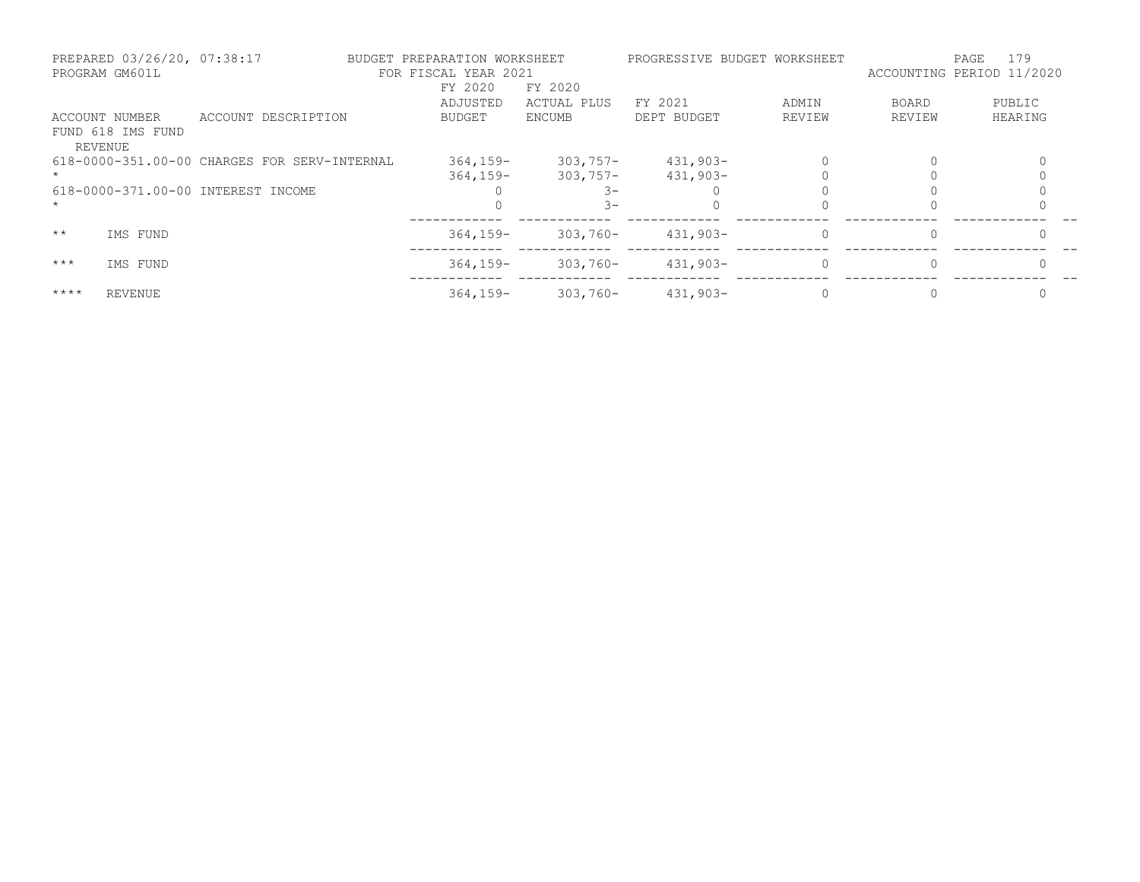| PROGRAM GM601L | PREPARED 03/26/20, 07:38:17 |                                              | BUDGET PREPARATION WORKSHEET<br>FOR FISCAL YEAR 2021 |               |             | PROGRESSIVE BUDGET WORKSHEET | ACCOUNTING PERIOD 11/2020 | 179<br>PAGE |
|----------------|-----------------------------|----------------------------------------------|------------------------------------------------------|---------------|-------------|------------------------------|---------------------------|-------------|
|                |                             |                                              | FY 2020                                              | FY 2020       |             |                              |                           |             |
|                |                             |                                              | ADJUSTED                                             | ACTUAL PLUS   | FY 2021     | ADMIN                        | BOARD                     | PUBLIC      |
| ACCOUNT NUMBER |                             | ACCOUNT DESCRIPTION                          | BUDGET                                               | <b>ENCUMB</b> | DEPT BUDGET | REVIEW                       | REVIEW                    | HEARING     |
| REVENUE        | FUND 618 IMS FUND           |                                              |                                                      |               |             |                              |                           |             |
|                |                             | 618-0000-351.00-00 CHARGES FOR SERV-INTERNAL | $364, 159 -$                                         | $303,757-$    | $431,903-$  |                              | $\Omega$                  |             |
|                |                             |                                              | $364, 159 -$                                         | $303,757-$    | $431,903-$  |                              |                           |             |
|                |                             | 618-0000-371.00-00 INTEREST INCOME           |                                                      | $-3-$         |             |                              |                           |             |
|                |                             |                                              |                                                      | $3 -$         |             |                              |                           |             |
| $\star\star$   | IMS FUND                    |                                              | $364, 159 -$                                         | $303,760-$    | $431,903-$  | $\Omega$                     | 0                         |             |
| $***$          | IMS FUND                    |                                              | $364, 159 -$                                         | $303,760-$    | $431,903-$  | $\Omega$                     | $\Omega$                  |             |
| $***$ * * *    | <b>REVENUE</b>              |                                              | $364, 159 -$                                         | $303,760-$    | $431,903-$  |                              | $\Omega$                  |             |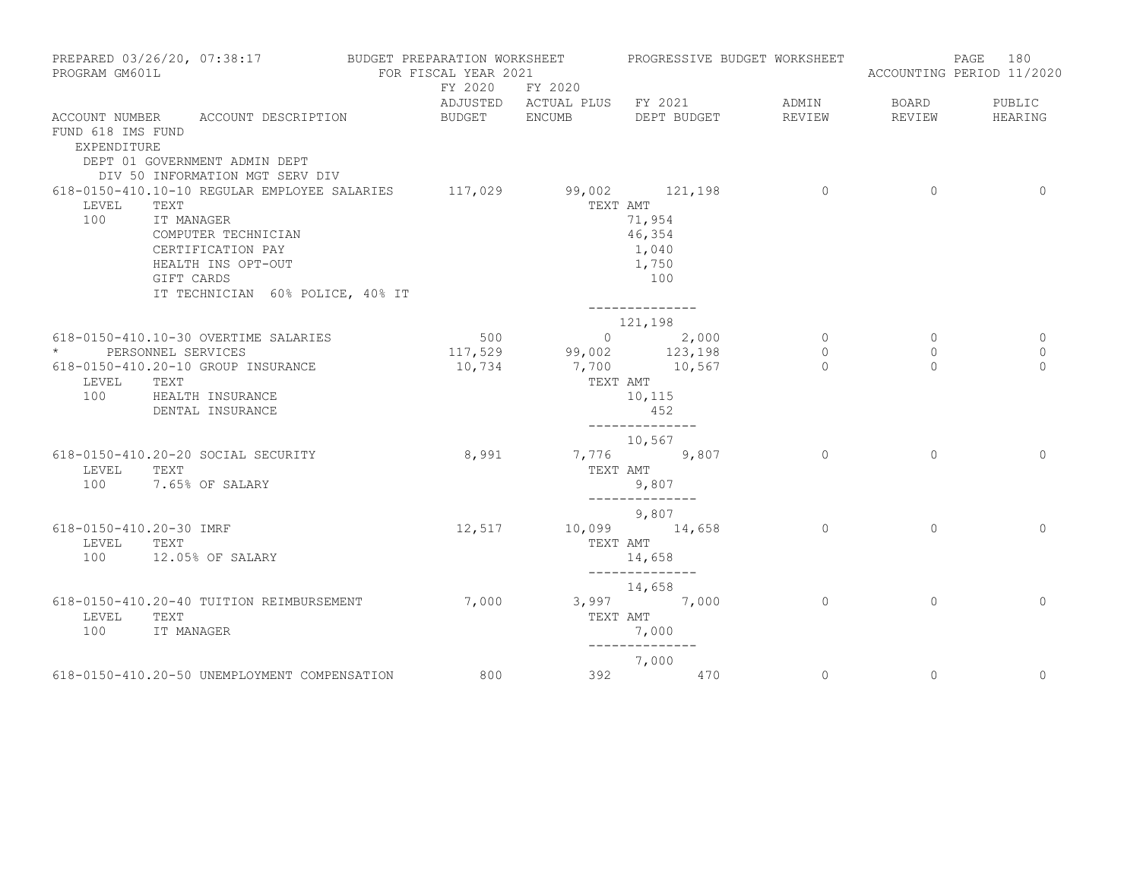| PROGRAM GM601L                   | PREPARED 03/26/20, 07:38:17                                                                                                                                                                                   | BUDGET PREPARATION WORKSHEET<br>FOR FISCAL YEAR 2021 |                          | PROGRESSIVE BUDGET WORKSHEET                                             |                           |                    | 180<br>PAGE<br>ACCOUNTING PERIOD 11/2020 |
|----------------------------------|---------------------------------------------------------------------------------------------------------------------------------------------------------------------------------------------------------------|------------------------------------------------------|--------------------------|--------------------------------------------------------------------------|---------------------------|--------------------|------------------------------------------|
|                                  |                                                                                                                                                                                                               | FY 2020 FY 2020                                      |                          | ADJUSTED ACTUAL PLUS FY 2021                                             | ADMIN                     | BOARD              | PUBLIC                                   |
| FUND 618 IMS FUND<br>EXPENDITURE | ACCOUNT NUMBER ACCOUNT DESCRIPTION<br>DEPT 01 GOVERNMENT ADMIN DEPT<br>DIV 50 INFORMATION MGT SERV DIV                                                                                                        | BUDGET ENCUMB                                        |                          | DEPT BUDGET                                                              | REVIEW                    | REVIEW             | HEARING                                  |
| LEVEL<br>100                     | 618-0150-410.10-10 REGULAR EMPLOYEE SALARIES 117,029 99,002 121,198<br>TEXT<br>IT MANAGER<br>COMPUTER TECHNICIAN<br>CERTIFICATION PAY<br>HEALTH INS OPT-OUT<br>GIFT CARDS<br>IT TECHNICIAN 60% POLICE, 40% IT |                                                      | TEXT AMT                 | 71,954<br>46,354<br>1,040<br>1,750<br>100<br>______________              | $\overline{0}$            | $\circ$            | $\circ$                                  |
|                                  |                                                                                                                                                                                                               |                                                      |                          | 121,198                                                                  |                           |                    |                                          |
| $\star$                          | 618-0150-410.10-30 OVERTIME SALARIES<br>PERSONNEL SERVICES                                                                                                                                                    | 500                                                  | $117,529$ 99,002 123,198 | $0 \t 2,000$                                                             | $\overline{0}$<br>$\circ$ | $\circ$<br>$\circ$ | 0<br>$\circ$                             |
| LEVEL<br>100                     | 618-0150-410.20-10 GROUP INSURANCE<br>TEXT<br>HEALTH INSURANCE<br>DENTAL INSURANCE                                                                                                                            | 10,734                                               |                          | 7,700 10,567<br>TEXT AMT<br>10,115<br>452<br>. _ _ _ _ _ _ _ _ _ _ _ _ _ | $\cap$                    | $\Omega$           | $\Omega$                                 |
| LEVEL                            | 618-0150-410.20-20 SOCIAL SECURITY<br>TEXT                                                                                                                                                                    | 8,991                                                |                          | 10,567<br>7,776 9,807<br>TEXT AMT                                        | $\Omega$                  | $\Omega$           | $\Omega$                                 |
| 100                              | 7.65% OF SALARY                                                                                                                                                                                               |                                                      |                          | 9,807<br>______________                                                  |                           |                    |                                          |
| 618-0150-410.20-30 IMRF<br>LEVEL | TEXT                                                                                                                                                                                                          | 12,517                                               |                          | 9,807<br>10,099 14,658<br>TEXT AMT                                       | $\Omega$                  | $\Omega$           | $\Omega$                                 |
| 100                              | 12.05% OF SALARY                                                                                                                                                                                              |                                                      |                          | 14,658<br>--------------                                                 |                           |                    |                                          |
| LEVEL<br>100                     | 618-0150-410.20-40 TUITION REIMBURSEMENT<br>TEXT<br>IT MANAGER                                                                                                                                                | 7,000                                                | TEXT AMT                 | 14,658<br>$3,997$ 7,000<br>7,000<br>--------------                       | $\overline{0}$            | $\circ$            | $\circ$                                  |
|                                  |                                                                                                                                                                                                               |                                                      |                          | 7,000                                                                    |                           |                    |                                          |
|                                  | 618-0150-410.20-50 UNEMPLOYMENT COMPENSATION                                                                                                                                                                  | 800                                                  |                          | 392 470                                                                  | $\circ$                   | $\circ$            | $\circ$                                  |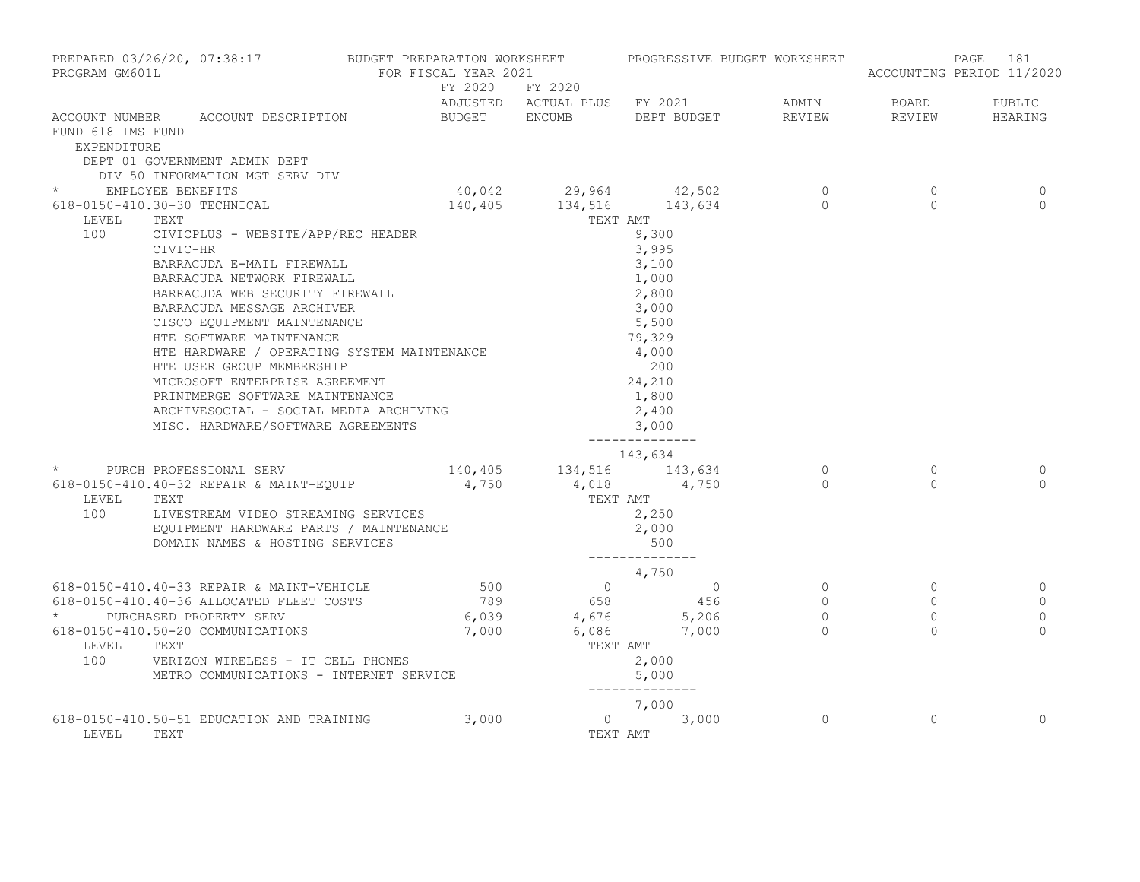| PREPARED 03/26/20, 07:38:17 BUDGET PREPARATION WORKSHEET PROGRESSIVE BUDGET WORKSHEET<br>PROGRAM GM601L |                                                                                                                                                                                                                                                | FOR FISCAL YEAR 2021 |                 |                               |  |                                  | PAGE<br>181<br>ACCOUNTING PERIOD 11/2020 |
|---------------------------------------------------------------------------------------------------------|------------------------------------------------------------------------------------------------------------------------------------------------------------------------------------------------------------------------------------------------|----------------------|-----------------|-------------------------------|--|----------------------------------|------------------------------------------|
|                                                                                                         | ADJUSTED ACTUAL PLUS FY 2021 ADMIN BOARD PUBLIC<br>ACCOUNT NUMBER ACCOUNT DESCRIPTION BUDGET ENCUMB DEPT_BUDGET REVIEW REVIEW REVIEW HEARING                                                                                                   |                      | FY 2020 FY 2020 |                               |  |                                  |                                          |
| FUND 618 IMS FUND<br>EXPENDITURE                                                                        |                                                                                                                                                                                                                                                |                      |                 |                               |  |                                  |                                          |
|                                                                                                         | DEPT 01 GOVERNMENT ADMIN DEPT                                                                                                                                                                                                                  |                      |                 |                               |  |                                  |                                          |
|                                                                                                         | DIV 50 INFORMATION MGT SERV DIV                                                                                                                                                                                                                |                      |                 |                               |  |                                  |                                          |
|                                                                                                         | * EMPLOYEE BENEFITS                                                                                                                                                                                                                            |                      |                 |                               |  | $\overline{0}$<br>$\overline{0}$ | 0<br>$\Omega$                            |
| LEVEL                                                                                                   | TEXT                                                                                                                                                                                                                                           |                      | TEXT AMT        |                               |  |                                  |                                          |
| 100                                                                                                     | CIVICPLUS - WEBSITE/APP/REC HEADER                                                                                                                                                                                                             |                      |                 | 9,300                         |  |                                  |                                          |
|                                                                                                         | CIVIC-HR                                                                                                                                                                                                                                       |                      |                 | 3,995                         |  |                                  |                                          |
|                                                                                                         |                                                                                                                                                                                                                                                |                      |                 |                               |  |                                  |                                          |
|                                                                                                         |                                                                                                                                                                                                                                                |                      |                 |                               |  |                                  |                                          |
|                                                                                                         |                                                                                                                                                                                                                                                |                      |                 |                               |  |                                  |                                          |
|                                                                                                         |                                                                                                                                                                                                                                                |                      |                 |                               |  |                                  |                                          |
|                                                                                                         |                                                                                                                                                                                                                                                |                      |                 |                               |  |                                  |                                          |
|                                                                                                         | CIVIC-HR<br>BARRACUDA E-MAIL FIREWALL<br>BARRACUDA NETWORK FIREWALL<br>BARRACUDA WEB SECURITY FIREWALL<br>2,800<br>BARRACUDA MESSAGE ARCHIVER<br>CISCO EQUIPMENT MAINTENANCE<br>HTE SOFTWARE MAINTENANCE<br>79,329<br>4,000                    |                      |                 |                               |  |                                  |                                          |
|                                                                                                         | HTE HARDWARE / OPERATING SYSTEM MAINTENANCE                                                                                                                                                                                                    |                      |                 | $\frac{4,000}{200}$<br>24,210 |  |                                  |                                          |
|                                                                                                         |                                                                                                                                                                                                                                                |                      |                 |                               |  |                                  |                                          |
|                                                                                                         | HIB HANDWALL / CLEARLAND POST PRINCIPS<br>HTE USER GROUP MEMBERSHIP<br>PRINTMERGE SOFTWARE MAINTENANCE                                                                                                                                         |                      |                 | 1,800                         |  |                                  |                                          |
|                                                                                                         |                                                                                                                                                                                                                                                |                      |                 | 2,400                         |  |                                  |                                          |
|                                                                                                         | ARCHIVESOCIAL - SOCIAL MEDIA ARCHIVING<br>MICO - UADDWARE (COETMARE ACREMENTS                                                                                                                                                                  |                      |                 | 3,000                         |  |                                  |                                          |
|                                                                                                         | MISC. HARDWARE/SOFTWARE AGREEMENTS                                                                                                                                                                                                             |                      |                 | ______________                |  |                                  |                                          |
|                                                                                                         | <sup>413,634</sup><br><sup>2</sup> PURCH PROFESSIONAL SERV 140,405 134,516 143,634                                                                                                                                                             |                      |                 |                               |  |                                  |                                          |
|                                                                                                         |                                                                                                                                                                                                                                                |                      |                 |                               |  | $\overline{0}$                   | 0                                        |
| LEVEL                                                                                                   | 618-0150-410.40-32 REPAIR & MAINT-EQUIP $4,750$ $4,018$ $4,750$                                                                                                                                                                                |                      |                 |                               |  | $\cap$                           | $\cap$                                   |
|                                                                                                         | 100 LIVESTREAM VIDEO STREAMING SERVICES                                                                                                                                                                                                        |                      |                 |                               |  |                                  |                                          |
|                                                                                                         |                                                                                                                                                                                                                                                |                      |                 |                               |  |                                  |                                          |
|                                                                                                         |                                                                                                                                                                                                                                                |                      |                 |                               |  |                                  |                                          |
|                                                                                                         | 618-0150-410.40-33 REPAIR & MAINT-VEHICLE<br>618-0150-410.40-33 REPAIR & MAINT-VEHICLE<br>618-0150-410.40-36 ALLOCATED FLEET COSTS<br>618-0150-410.50-20 COMMUNICATIONS<br>618-0150-410.50-20 COMMUNICATIONS<br>67,000<br>6,086<br>6,086<br>7, |                      |                 |                               |  |                                  |                                          |
|                                                                                                         |                                                                                                                                                                                                                                                |                      |                 |                               |  |                                  |                                          |
|                                                                                                         |                                                                                                                                                                                                                                                |                      |                 |                               |  |                                  | 0                                        |
|                                                                                                         |                                                                                                                                                                                                                                                |                      |                 |                               |  |                                  | $\mathbf 0$<br>$\mathbf{0}$              |
|                                                                                                         |                                                                                                                                                                                                                                                |                      |                 |                               |  |                                  | $\Omega$                                 |
| LEVEL TEXT                                                                                              |                                                                                                                                                                                                                                                |                      |                 |                               |  |                                  |                                          |
|                                                                                                         | 100 VERIZON WIRELESS - IT CELL PHONES                                                                                                                                                                                                          |                      |                 |                               |  |                                  |                                          |
| METRO COMMUNICATIONS - INTERNET SERVICE                                                                 |                                                                                                                                                                                                                                                |                      |                 |                               |  |                                  |                                          |
|                                                                                                         |                                                                                                                                                                                                                                                |                      |                 |                               |  |                                  |                                          |
|                                                                                                         | 7,000 7,000<br>618-0150-410.50-51 EDUCATION AND TRAINING 3,000 0 3,000 3,000                                                                                                                                                                   |                      |                 |                               |  | $\Omega$                         | $\Omega$                                 |
| LEVEL                                                                                                   | TEXT                                                                                                                                                                                                                                           |                      | TEXT AMT        |                               |  |                                  |                                          |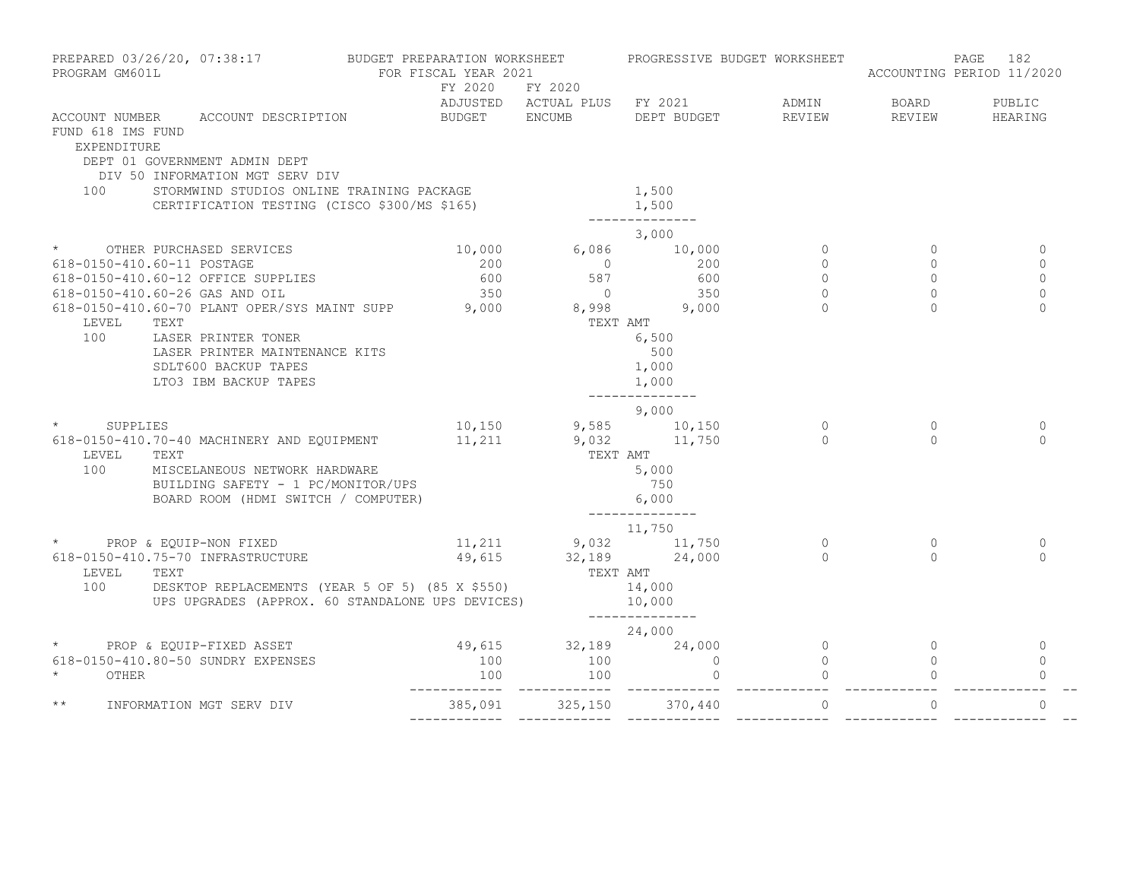| PREPARED 03/26/20, 07:38:17<br>PROGRAM GM601L |                                                                                                    | BUDGET PREPARATION WORKSHEET<br>FOR FISCAL YEAR 2021<br>FY 2020 FY 2020 |                      | PROGRESSIVE BUDGET WORKSHEET                                      |                | ACCOUNTING PERIOD 11/2020 | PAGE 182       |
|-----------------------------------------------|----------------------------------------------------------------------------------------------------|-------------------------------------------------------------------------|----------------------|-------------------------------------------------------------------|----------------|---------------------------|----------------|
|                                               |                                                                                                    |                                                                         |                      | ADJUSTED ACTUAL PLUS FY 2021 ADMIN BOARD PUBLIC                   |                |                           |                |
|                                               | ACCOUNT NUMBER ACCOUNT DESCRIPTION                                                                 |                                                                         |                      | BUDGET ENCUMB DEPT BUDGET                                         |                | REVIEW REVIEW HEARING     |                |
| FUND 618 IMS FUND                             |                                                                                                    |                                                                         |                      |                                                                   |                |                           |                |
| <b>EXPENDITURE</b>                            | DEPT 01 GOVERNMENT ADMIN DEPT                                                                      |                                                                         |                      |                                                                   |                |                           |                |
|                                               | DIV 50 INFORMATION MGT SERV DIV                                                                    |                                                                         |                      |                                                                   |                |                           |                |
| 100                                           | STORMWIND STUDIOS ONLINE TRAINING PACKAGE                                                          |                                                                         |                      | 1,500                                                             |                |                           |                |
|                                               | CERTIFICATION TESTING (CISCO \$300/MS \$165)                                                       |                                                                         |                      | 1,500                                                             |                |                           |                |
|                                               |                                                                                                    |                                                                         |                      |                                                                   |                |                           |                |
|                                               |                                                                                                    |                                                                         |                      | 3,000                                                             |                |                           |                |
|                                               | * OTHER PURCHASED SERVICES                                                                         |                                                                         |                      | $10,000$ 6,086 10,000                                             | $\Omega$       | $\Omega$                  | $\mathbf{0}$   |
|                                               | 618-0150-410.60-11 POSTAGE                                                                         |                                                                         |                      | $\begin{array}{cccc} 200 & 0 & 200 \ 600 & 587 & 600 \end{array}$ | $\Omega$       | $\Omega$                  | $\Omega$       |
|                                               | 618-0150-410.60-12 OFFICE SUPPLIES                                                                 |                                                                         |                      |                                                                   | $\Omega$       | $\Omega$                  | $\Omega$       |
|                                               | - 118-0150-410.60-26 GAS AND OIL<br>618-0150-410.60-70 PLANT OPER/SYS MAINT SUPP 3,000 8,998 9,000 |                                                                         |                      |                                                                   | $\Omega$       | $\Omega$                  | $\Omega$       |
|                                               |                                                                                                    |                                                                         | TEXT AMT             |                                                                   | $\cap$         |                           | $\Omega$       |
| LEVEL TEXT<br>100                             |                                                                                                    |                                                                         |                      |                                                                   |                |                           |                |
|                                               | LASER PRINTER TONER<br>LASER PRINTER MAINTENANCE KITS                                              |                                                                         |                      | 6,500                                                             |                |                           |                |
|                                               | SDLT600 BACKUP TAPES                                                                               |                                                                         |                      | 500<br>1,000                                                      |                |                           |                |
|                                               | LTO3 IBM BACKUP TAPES                                                                              |                                                                         |                      | 1,000                                                             |                |                           |                |
|                                               |                                                                                                    |                                                                         |                      | .                                                                 |                |                           |                |
|                                               |                                                                                                    |                                                                         |                      | 9,000                                                             |                |                           |                |
|                                               |                                                                                                    |                                                                         |                      |                                                                   | $\Omega$       | $\Omega$                  | $\circ$        |
|                                               | * SUPPLIES<br>618-0150-410.70-40 MACHINERY AND EQUIPMENT 11,211 9,032 11,750                       |                                                                         |                      |                                                                   |                |                           | $\Omega$       |
| LEVEL TEXT                                    |                                                                                                    |                                                                         | TEXT AMT             |                                                                   |                |                           |                |
| 100                                           | MISCELANEOUS NETWORK HARDWARE                                                                      |                                                                         |                      | 5,000                                                             |                |                           |                |
|                                               | BUILDING SAFETY - 1 PC/MONITOR/UPS                                                                 |                                                                         |                      | 750                                                               |                |                           |                |
|                                               | BOARD ROOM (HDMI SWITCH / COMPUTER)                                                                |                                                                         |                      | 6,000                                                             |                |                           |                |
|                                               |                                                                                                    |                                                                         |                      | ______________                                                    |                |                           |                |
|                                               | * PROP & EQUIP-NON FIXED                                                                           |                                                                         |                      | 11,750<br>11, 211 9, 032 11, 750                                  | $\Omega$       | $\Omega$                  | $\mathbf 0$    |
|                                               | 618-0150-410.75-70 INFRASTRUCTURE                                                                  |                                                                         | 49,615 32,189 24,000 |                                                                   | $\Omega$       | $\cap$                    | $\Omega$       |
| LEVEL TEXT                                    |                                                                                                    |                                                                         |                      |                                                                   |                |                           |                |
|                                               | 100 DESKTOP REPLACEMENTS (YEAR 5 OF 5) (85 X \$550)                                                |                                                                         |                      | TEXT AMT<br>14,000                                                |                |                           |                |
|                                               | UPS UPGRADES (APPROX. 60 STANDALONE UPS DEVICES)                                                   |                                                                         |                      | 10,000                                                            |                |                           |                |
|                                               |                                                                                                    |                                                                         |                      | ______________                                                    |                |                           |                |
|                                               |                                                                                                    |                                                                         |                      | 24,000                                                            |                |                           |                |
|                                               | * PROP & EQUIP-FIXED ASSET                                                                         |                                                                         |                      | $49,615$ $32,189$ $24,000$<br>100 $100$ 0                         | $\sim$ 0       | $\circ$                   | $\overline{0}$ |
|                                               | 618-0150-410.80-50 SUNDRY EXPENSES                                                                 |                                                                         |                      |                                                                   | $\overline{0}$ |                           | $\Omega$       |
| $\star$<br>OTHER                              |                                                                                                    |                                                                         |                      | $\overline{0}$                                                    |                |                           | $\Omega$       |
| $\star\star$                                  | INFORMATION MGT SERV DIV                                                                           |                                                                         |                      | 385,091 325,150 370,440                                           | $\Omega$       | $\Omega$                  | $\Omega$       |
|                                               |                                                                                                    |                                                                         |                      |                                                                   |                |                           |                |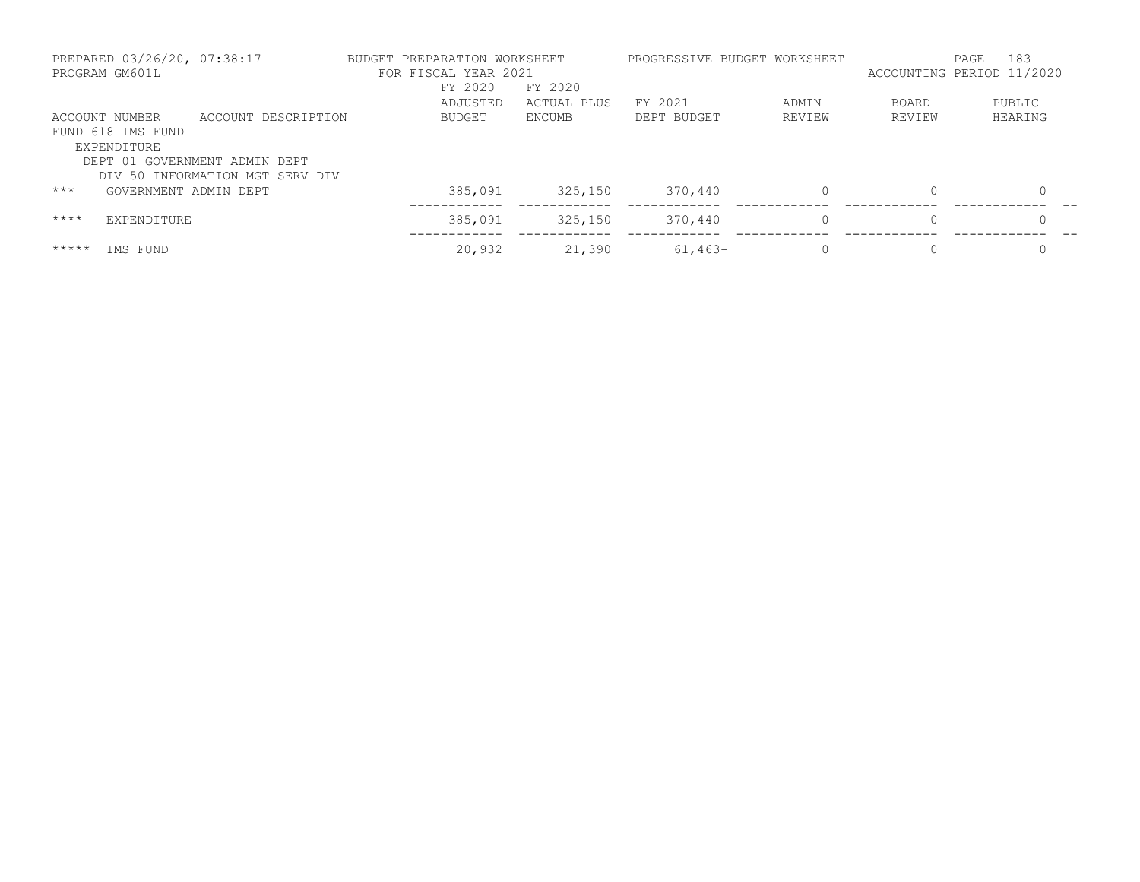|         | PREPARED 03/26/20, 07:38:17<br>PROGRAM GM601L |                                                                  | BUDGET PREPARATION WORKSHEET<br>FOR FISCAL YEAR 2021 |                        |             | PROGRESSIVE BUDGET WORKSHEET | ACCOUNTING PERIOD 11/2020 | 183<br>PAGE |
|---------|-----------------------------------------------|------------------------------------------------------------------|------------------------------------------------------|------------------------|-------------|------------------------------|---------------------------|-------------|
|         |                                               |                                                                  | FY 2020<br>ADJUSTED                                  | FY 2020<br>ACTUAL PLUS | FY 2021     | ADMIN                        | <b>BOARD</b>              | PUBLIC      |
|         | ACCOUNT NUMBER                                | ACCOUNT DESCRIPTION                                              | BUDGET                                               | ENCUMB                 | DEPT BUDGET | REVIEW                       | REVIEW                    | HEARING     |
|         | FUND 618 IMS FUND<br>EXPENDITURE              |                                                                  |                                                      |                        |             |                              |                           |             |
|         |                                               | DEPT 01 GOVERNMENT ADMIN DEPT<br>DIV 50 INFORMATION MGT SERV DIV |                                                      |                        |             |                              |                           |             |
| $***$   | GOVERNMENT ADMIN DEPT                         |                                                                  | 385,091                                              | 325,150                | 370,440     | 0                            | $\mathbf{0}$              |             |
| $***$ * | EXPENDITURE                                   |                                                                  | 385,091                                              | 325,150                | 370,440     | $\mathbf{0}$                 | $\circ$                   |             |
| *****   | IMS FUND                                      |                                                                  | 20,932                                               | 21,390                 | $61,463-$   |                              | $\Omega$                  |             |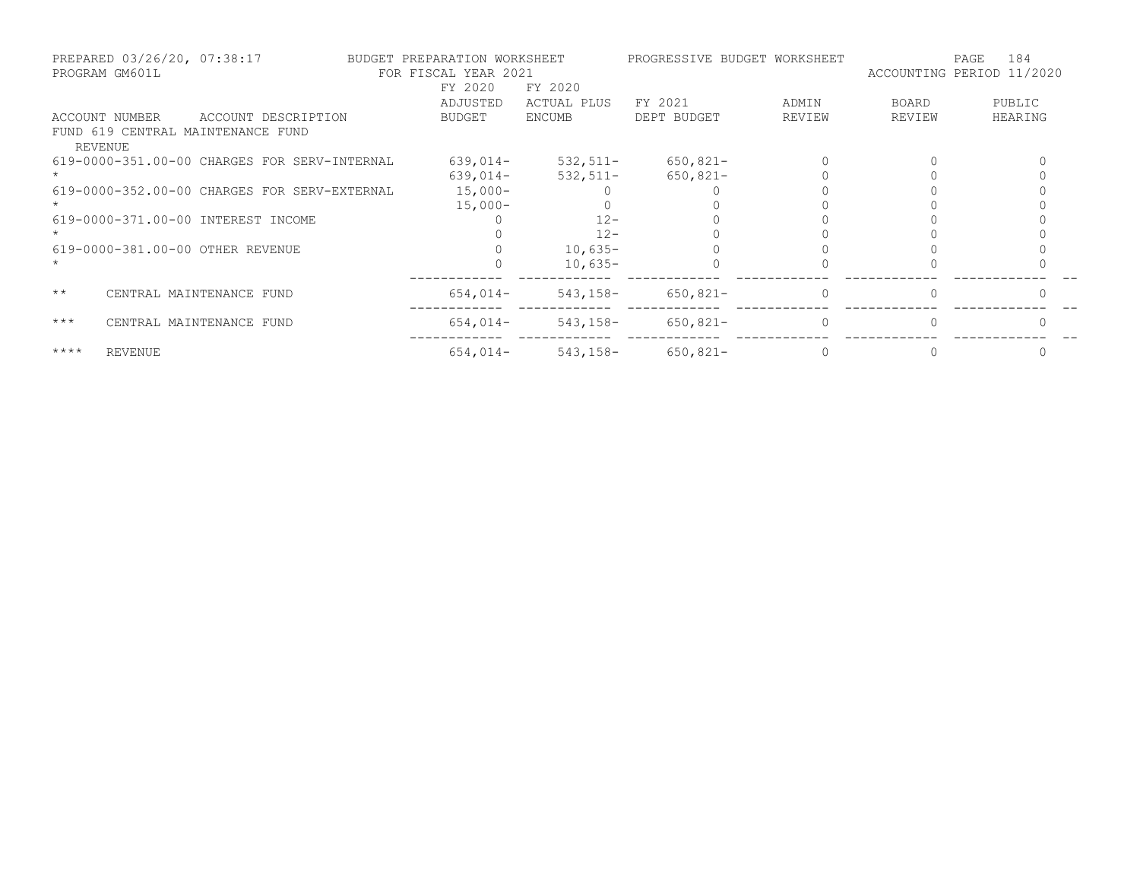|              | PREPARED 03/26/20, 07:38:17<br>PROGRAM GM601L |                                              | BUDGET PREPARATION WORKSHEET<br>FOR FISCAL YEAR 2021 |                        | PROGRESSIVE BUDGET WORKSHEET |          | 184<br>PAGE<br>ACCOUNTING PERIOD 11/2020 |         |
|--------------|-----------------------------------------------|----------------------------------------------|------------------------------------------------------|------------------------|------------------------------|----------|------------------------------------------|---------|
|              |                                               |                                              | FY 2020<br>ADJUSTED                                  | FY 2020<br>ACTUAL PLUS | FY 2021                      | ADMIN    | BOARD                                    | PUBLIC  |
|              | ACCOUNT NUMBER                                | ACCOUNT DESCRIPTION                          | BUDGET                                               | ENCUMB                 | DEPT BUDGET                  | REVIEW   | REVIEW                                   | HEARING |
|              | <b>REVENUE</b>                                | FUND 619 CENTRAL MAINTENANCE FUND            |                                                      |                        |                              |          |                                          |         |
|              |                                               | 619-0000-351.00-00 CHARGES FOR SERV-INTERNAL | $639,014-$                                           | $532,511-$             | $650,821-$                   |          |                                          |         |
|              |                                               |                                              | 639,014-                                             | 532,511-               | 650,821-                     |          |                                          |         |
|              |                                               | 619-0000-352.00-00 CHARGES FOR SERV-EXTERNAL | $15,000-$                                            |                        |                              |          |                                          |         |
|              |                                               |                                              | $15,000-$                                            |                        |                              |          |                                          |         |
|              |                                               | 619-0000-371.00-00 INTEREST INCOME           |                                                      | $12 -$                 |                              |          |                                          |         |
|              |                                               |                                              |                                                      | $12 -$                 |                              |          |                                          |         |
|              |                                               | 619-0000-381.00-00 OTHER REVENUE             |                                                      | $10,635-$              |                              |          |                                          |         |
|              |                                               |                                              |                                                      | $10,635-$              |                              |          |                                          |         |
| $\star\star$ |                                               | CENTRAL MAINTENANCE FUND                     | $654,014-$                                           | $543, 158 -$           | $650,821-$                   |          |                                          |         |
| $***$        |                                               | CENTRAL MAINTENANCE FUND                     | $654,014-$                                           | $543, 158 -$           | $650,821-$                   | $\Omega$ |                                          |         |
| $***$ *      | REVENUE                                       |                                              | $654,014-$                                           | 543,158-               | $650,821-$                   |          |                                          |         |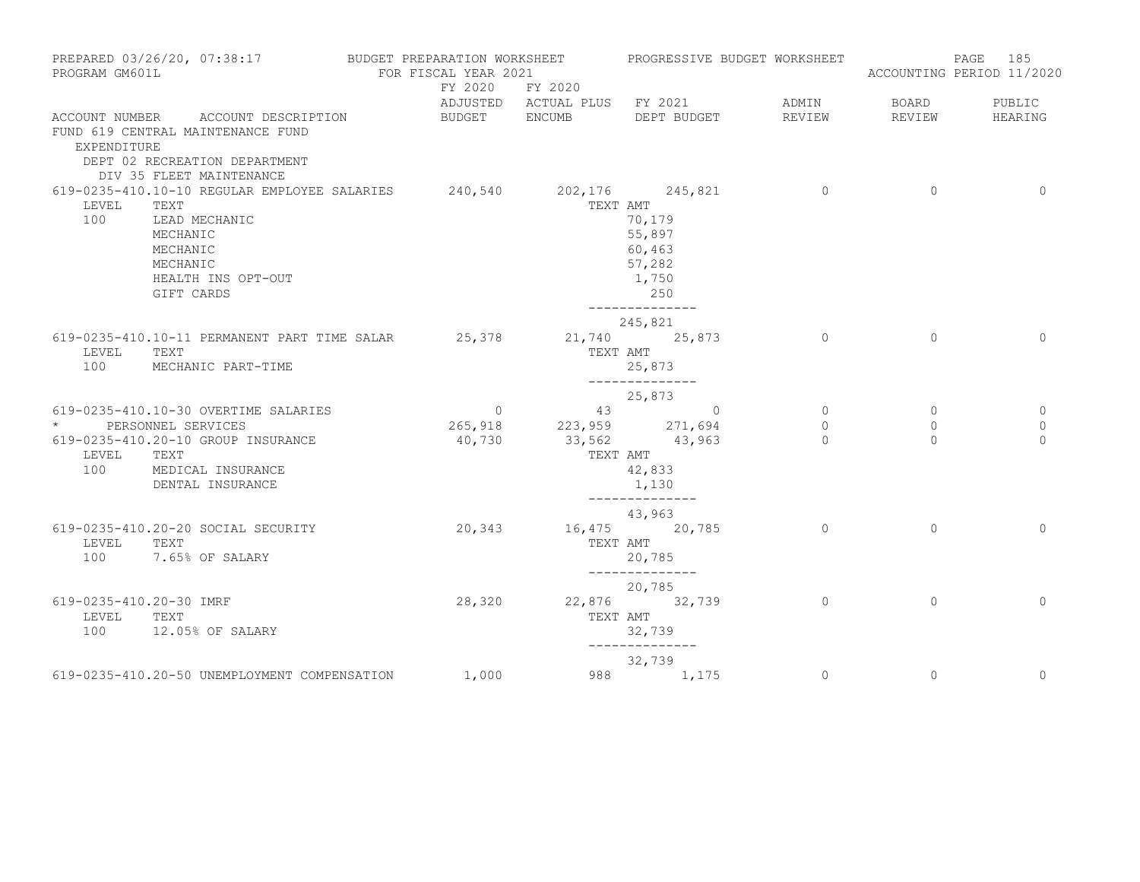| PROGRAM GM601L                          | PREPARED 03/26/20, 07:38:17                                                                                                                                           | BUDGET PREPARATION WORKSHEET<br>FOR FISCAL YEAR 2021 |                         | PROGRESSIVE BUDGET WORKSHEET                                                       |                     |                     | 185<br>PAGE<br>ACCOUNTING PERIOD 11/2020 |
|-----------------------------------------|-----------------------------------------------------------------------------------------------------------------------------------------------------------------------|------------------------------------------------------|-------------------------|------------------------------------------------------------------------------------|---------------------|---------------------|------------------------------------------|
|                                         |                                                                                                                                                                       |                                                      | FY 2020 FY 2020         | ADJUSTED ACTUAL PLUS FY 2021                                                       | ADMIN               | BOARD               | PUBLIC                                   |
| EXPENDITURE                             | ACCOUNT NUMBER ACCOUNT DESCRIPTION<br>FUND 619 CENTRAL MAINTENANCE FUND<br>DEPT 02 RECREATION DEPARTMENT<br>DIV 35 FLEET MAINTENANCE                                  | BUDGET ENCUMB                                        |                         | DEPT BUDGET                                                                        | REVIEW              | REVIEW              | HEARING                                  |
| LEVEL<br>100                            | 619-0235-410.10-10 REGULAR EMPLOYEE SALARIES 240,540 202,176 245,821<br>TEXT<br>LEAD MECHANIC<br>MECHANIC<br>MECHANIC<br>MECHANIC<br>HEALTH INS OPT-OUT<br>GIFT CARDS |                                                      |                         | TEXT AMT<br>70,179<br>55,897<br>60,463<br>57,282<br>1,750<br>250<br>______________ | $\overline{0}$      | $\circ$             | $\Omega$                                 |
| LEVEL<br>100                            | 619-0235-410.10-11 PERMANENT PART TIME SALAR<br>TEXT<br>MECHANIC PART-TIME                                                                                            | 25,378                                               |                         | 245,821<br>21,740 25,873<br>TEXT AMT<br>25,873                                     | $\circ$             | $\circ$             | $\Omega$                                 |
|                                         | 619-0235-410.10-30 OVERTIME SALARIES                                                                                                                                  |                                                      | $\overline{0}$          | --------------<br>25,873<br>43 0                                                   | $\overline{0}$      | $\circ$             | $\overline{0}$                           |
| LEVEL                                   | * PERSONNEL SERVICES<br>619-0235-410.20-10 GROUP INSURANCE<br>TEXT<br>100 MEDICAL INSURANCE<br>DENTAL INSURANCE                                                       | 40,730                                               | 265,918 223,959 271,694 | 33,562 43,963<br>TEXT AMT<br>42,833<br>1,130                                       | $\circ$<br>$\Omega$ | $\circ$<br>$\Omega$ | $\mathbf{0}$<br>$\Omega$                 |
| LEVEL<br>100                            | 619-0235-410.20-20 SOCIAL SECURITY<br>TEXT<br>7.65% OF SALARY                                                                                                         |                                                      | 20,343                  | --------------<br>43,963<br>16,475 20,785<br>TEXT AMT<br>20,785                    | $\Omega$            | $\Omega$            | $\Omega$                                 |
| 619-0235-410.20-30 IMRF<br>LEVEL<br>100 | TEXT<br>12.05% OF SALARY                                                                                                                                              | 28,320                                               |                         | ______________<br>20,785<br>22,876 32,739<br>TEXT AMT<br>32,739                    | $\overline{0}$      | $\mathbf{0}$        | $\mathbf 0$                              |
|                                         | 619-0235-410.20-50 UNEMPLOYMENT COMPENSATION                                                                                                                          | 1,000                                                |                         | ______________<br>32,739<br>988 1,175                                              | $\circ$             | $\circ$             | $\circ$                                  |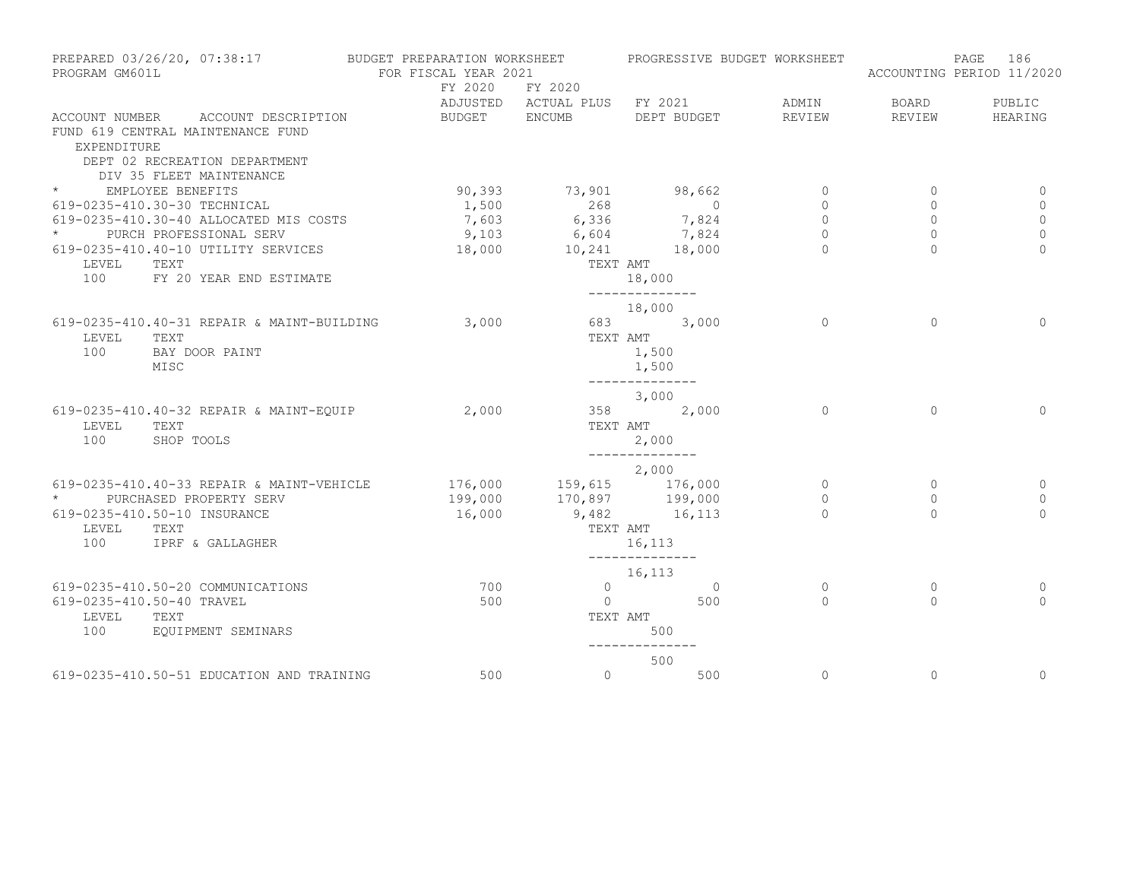| PREPARED 03/26/20, 07:38:17<br>PROGRAM GM601L |                                                                                                                                      | BUDGET PREPARATION WORKSHEET<br>FOR FISCAL YEAR 2021                              |                                                 |                              | PROGRESSIVE BUDGET WORKSHEET |                | PAGE<br>186<br>ACCOUNTING PERIOD 11/2020 |  |
|-----------------------------------------------|--------------------------------------------------------------------------------------------------------------------------------------|-----------------------------------------------------------------------------------|-------------------------------------------------|------------------------------|------------------------------|----------------|------------------------------------------|--|
|                                               |                                                                                                                                      |                                                                                   | FY 2020 FY 2020<br>ADJUSTED ACTUAL PLUS FY 2021 |                              | ADMIN                        | <b>BOARD</b>   | PUBLIC                                   |  |
| EXPENDITURE                                   | ACCOUNT NUMBER ACCOUNT DESCRIPTION<br>FUND 619 CENTRAL MAINTENANCE FUND<br>DEPT 02 RECREATION DEPARTMENT<br>DIV 35 FLEET MAINTENANCE | BUDGET ENCUMB                                                                     |                                                 | DEPT BUDGET                  | REVIEW                       | REVIEW         | HEARING                                  |  |
| * EMPLOYEE BENEFITS                           |                                                                                                                                      | 90,393                                                                            |                                                 | 73,901 98,662                | $\overline{0}$               | $\circ$        | 0                                        |  |
|                                               | 619-0235-410.30-30 TECHNICAL                                                                                                         | 1,500                                                                             | 268                                             | $\overline{0}$               | $\circ$                      | $\circ$        | 0                                        |  |
|                                               | 619-0235-410.30-40 ALLOCATED MIS COSTS                                                                                               |                                                                                   | 7,603 6,336 7,824                               |                              | $\circ$                      | $\circ$        | $\mathbf{0}$                             |  |
|                                               | * PURCH PROFESSIONAL SERV                                                                                                            | 9,103                                                                             |                                                 | 7,824                        | $\circ$                      | $\circledcirc$ | $\mathbb O$                              |  |
|                                               | 619-0235-410.40-10 UTILITY SERVICES                                                                                                  | 18,000                                                                            | 6,604                                           | 6,604 7,824<br>10,241 18,000 | $\Omega$                     | $\Omega$       | $\Omega$                                 |  |
| LEVEL                                         | TEXT                                                                                                                                 |                                                                                   |                                                 | TEXT AMT                     |                              |                |                                          |  |
| 100                                           | FY 20 YEAR END ESTIMATE                                                                                                              |                                                                                   |                                                 | 18,000<br>______________     |                              |                |                                          |  |
|                                               |                                                                                                                                      |                                                                                   |                                                 | 18,000                       |                              |                |                                          |  |
|                                               | 619-0235-410.40-31 REPAIR & MAINT-BUILDING                                                                                           | 3,000                                                                             |                                                 | 683 3,000                    | $\Omega$                     | $\Omega$       | $\Omega$                                 |  |
| LEVEL                                         | TEXT                                                                                                                                 |                                                                                   | TEXT AMT                                        |                              |                              |                |                                          |  |
| 100                                           | BAY DOOR PAINT                                                                                                                       |                                                                                   |                                                 | 1,500                        |                              |                |                                          |  |
|                                               | MISC                                                                                                                                 |                                                                                   |                                                 | 1,500<br>--------------      |                              |                |                                          |  |
|                                               |                                                                                                                                      |                                                                                   |                                                 | 3,000                        |                              |                |                                          |  |
|                                               | 619-0235-410.40-32 REPAIR & MAINT-EQUIP                                                                                              | 2,000                                                                             |                                                 | 358 2,000                    | $\Omega$                     | $\Omega$       | $\Omega$                                 |  |
| LEVEL                                         | TEXT                                                                                                                                 |                                                                                   |                                                 | TEXT AMT                     |                              |                |                                          |  |
| 100                                           | SHOP TOOLS                                                                                                                           |                                                                                   |                                                 | 2,000<br>--------------      |                              |                |                                          |  |
|                                               |                                                                                                                                      |                                                                                   |                                                 | 2,000                        |                              |                |                                          |  |
|                                               | 619-0235-410.40-33 REPAIR & MAINT-VEHICLE                                                                                            | $176,000$ $159,615$ $176,000$<br>199,000 $170,897$ 199,000<br>16,000 9,482 16,113 |                                                 |                              | $\circ$                      | $\circ$        | 0                                        |  |
| $\star$                                       | PURCHASED PROPERTY SERV                                                                                                              |                                                                                   |                                                 |                              | $\circ$                      | $\circ$        | $\mathbf 0$                              |  |
|                                               | 619-0235-410.50-10 INSURANCE                                                                                                         |                                                                                   |                                                 |                              | $\cap$                       | $\Omega$       | $\Omega$                                 |  |
| LEVEL                                         | TEXT                                                                                                                                 |                                                                                   |                                                 | TEXT AMT                     |                              |                |                                          |  |
| 100                                           | IPRF & GALLAGHER                                                                                                                     |                                                                                   |                                                 | 16,113<br>______________     |                              |                |                                          |  |
|                                               |                                                                                                                                      |                                                                                   |                                                 | 16,113                       |                              |                |                                          |  |
|                                               | 619-0235-410.50-20 COMMUNICATIONS                                                                                                    | 700                                                                               | $\overline{0}$                                  | $\overline{0}$               | $\mathbf{0}$                 | $\circ$        | 0                                        |  |
|                                               | 619-0235-410.50-40 TRAVEL                                                                                                            | 500                                                                               | $\overline{0}$                                  | 500                          | $\Omega$                     | $\Omega$       | $\Omega$                                 |  |
| LEVEL                                         | TEXT                                                                                                                                 |                                                                                   |                                                 | TEXT AMT                     |                              |                |                                          |  |
| 100                                           | EQUIPMENT SEMINARS                                                                                                                   |                                                                                   | 500                                             |                              |                              |                |                                          |  |
|                                               |                                                                                                                                      |                                                                                   |                                                 | 500                          |                              |                |                                          |  |
|                                               | 619-0235-410.50-51 EDUCATION AND TRAINING                                                                                            | 500                                                                               | $\circ$                                         | 500                          | $\circ$                      | $\circ$        | $\mathbf 0$                              |  |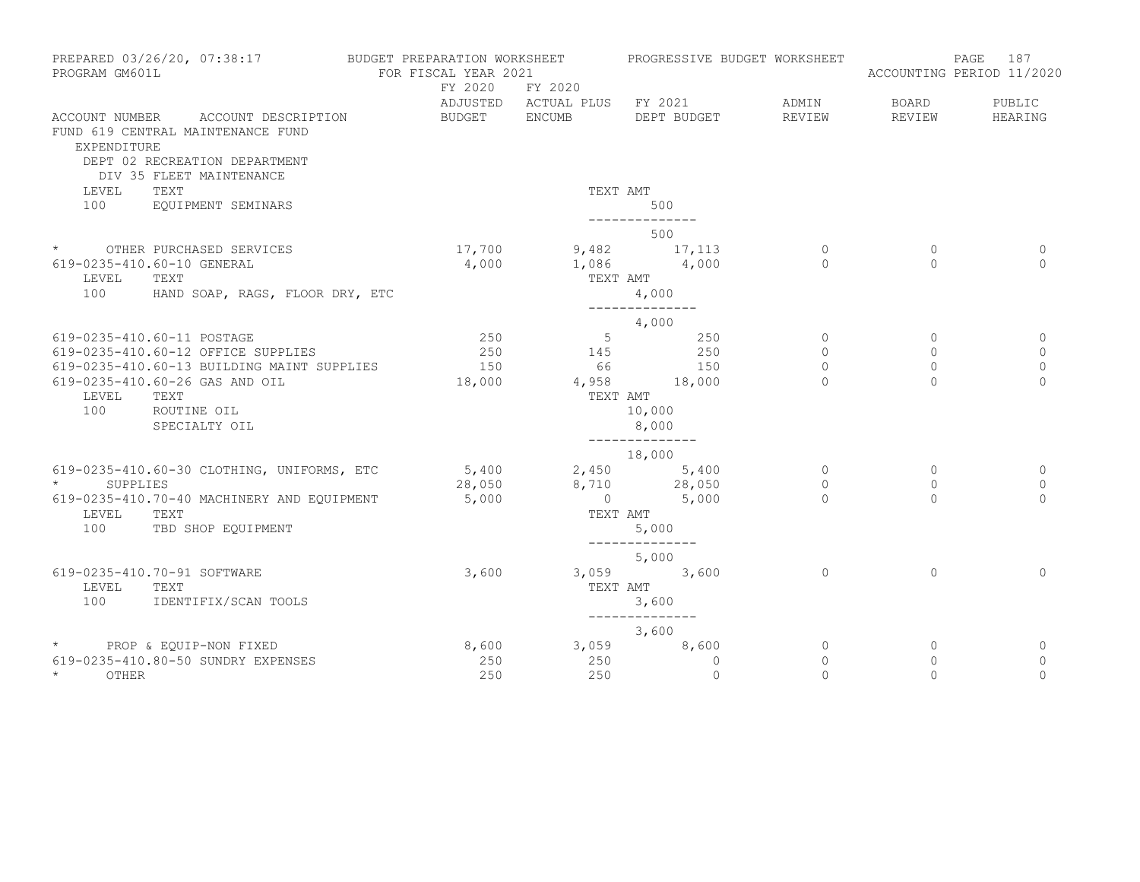| PREPARED 03/26/20, 07:38:17<br>PROGRAM GM601L                                |                                                                     | BUDGET PREPARATION WORKSHEET<br>FOR FISCAL YEAR 2021 |                         | PROGRESSIVE BUDGET WORKSHEET |                   |                        | 187<br>PAGE<br>ACCOUNTING PERIOD 11/2020 |  |
|------------------------------------------------------------------------------|---------------------------------------------------------------------|------------------------------------------------------|-------------------------|------------------------------|-------------------|------------------------|------------------------------------------|--|
|                                                                              |                                                                     | FY 2020                                              | FY 2020                 | ADJUSTED ACTUAL PLUS FY 2021 | ADMIN             | BOARD                  | PUBLIC                                   |  |
| FUND 619 CENTRAL MAINTENANCE FUND<br>EXPENDITURE<br>DIV 35 FLEET MAINTENANCE | ACCOUNT NUMBER ACCOUNT DESCRIPTION<br>DEPT 02 RECREATION DEPARTMENT | BUDGET ENCUMB                                        |                         | DEPT BUDGET                  | REVIEW            | REVIEW                 | HEARING                                  |  |
| LEVEL<br>TEXT<br>100                                                         | EQUIPMENT SEMINARS                                                  |                                                      | TEXT AMT                | 500<br>--------------        |                   |                        |                                          |  |
|                                                                              |                                                                     |                                                      |                         | 500                          |                   |                        |                                          |  |
| * OTHER PURCHASED SERVICES<br>619-0235-410.60-10 GENERAL<br>LEVEL<br>TEXT    |                                                                     | 4,000                                                | $17,700$ 9,482 17,113   | $1,086$ $4,000$<br>TEXT AMT  | $\circ$<br>$\cap$ | $\mathbf{0}$<br>$\cap$ | 0<br>$\Omega$                            |  |
| 100                                                                          | HAND SOAP, RAGS, FLOOR DRY, ETC                                     |                                                      |                         |                              |                   |                        |                                          |  |
|                                                                              |                                                                     |                                                      |                         | 4,000                        |                   |                        |                                          |  |
| 619-0235-410.60-11 POSTAGE                                                   |                                                                     | 250                                                  |                         | $5 \t 250$                   | $\circ$           | $\circ$                | 0                                        |  |
| 619-0235-410.60-12 OFFICE SUPPLIES                                           |                                                                     | 250                                                  | 145                     | 250                          | $\circ$           | $\circ$                | $\mathbf{0}$                             |  |
| 619-0235-410.60-26 GAS AND OIL                                               | 619-0235-410.60-13 BUILDING MAINT SUPPLIES                          | 150<br>18,000                                        | 66<br>4,958 18,000      | 150                          | $\circ$<br>$\cap$ | $\circ$<br>$\cap$      | $\mathbf{0}$<br>$\Omega$                 |  |
| LEVEL<br>TEXT                                                                |                                                                     |                                                      | TEXT AMT                |                              |                   |                        |                                          |  |
| 100                                                                          | ROUTINE OIL                                                         | 10,000                                               |                         |                              |                   |                        |                                          |  |
|                                                                              | SPECIALTY OIL                                                       |                                                      | 8,000                   |                              |                   |                        |                                          |  |
|                                                                              |                                                                     |                                                      |                         | --------------<br>18,000     |                   |                        |                                          |  |
|                                                                              | 619-0235-410.60-30 CLOTHING, UNIFORMS, ETC                          |                                                      | $5,400$ $2,450$ $5,400$ |                              | $\circ$           | $\circ$                | 0                                        |  |
| $\star$<br>SUPPLIES                                                          |                                                                     |                                                      | 28,050 8,710 28,050     |                              | $\circ$           | $\Omega$               | $\circ$                                  |  |
| LEVEL<br>TEXT                                                                | 619-0235-410.70-40 MACHINERY AND EQUIPMENT                          | 5,000                                                | TEXT AMT                | $0 \t 5,000$                 | $\Omega$          | $\Omega$               | $\Omega$                                 |  |
| 100                                                                          | TBD SHOP EQUIPMENT                                                  |                                                      |                         | 5,000                        |                   |                        |                                          |  |
|                                                                              |                                                                     |                                                      |                         | --------------<br>5,000      |                   |                        |                                          |  |
| 619-0235-410.70-91 SOFTWARE                                                  |                                                                     | 3,600                                                |                         | 3,059 3,600                  | $\overline{0}$    | $\Omega$               | $\Omega$                                 |  |
| LEVEL<br>TEXT<br>100                                                         | IDENTIFIX/SCAN TOOLS                                                |                                                      | TEXT AMT<br>3,600       |                              |                   |                        |                                          |  |
|                                                                              |                                                                     |                                                      |                         |                              |                   |                        |                                          |  |
| * PROP & EQUIP-NON FIXED                                                     |                                                                     |                                                      | 8,600 3,059             | 3,600<br>8,600               | 0                 | 0                      | 0                                        |  |
| 619-0235-410.80-50 SUNDRY EXPENSES                                           |                                                                     | 250                                                  | 250                     | $\mathbf{0}$                 | $\circ$           | $\mathbf{0}$           | 0                                        |  |
| $\star$ and $\star$<br>OTHER                                                 |                                                                     | 250                                                  | 250                     | $\mathbf{0}$                 | $\mathbf 0$       | $\Omega$               | $\overline{0}$                           |  |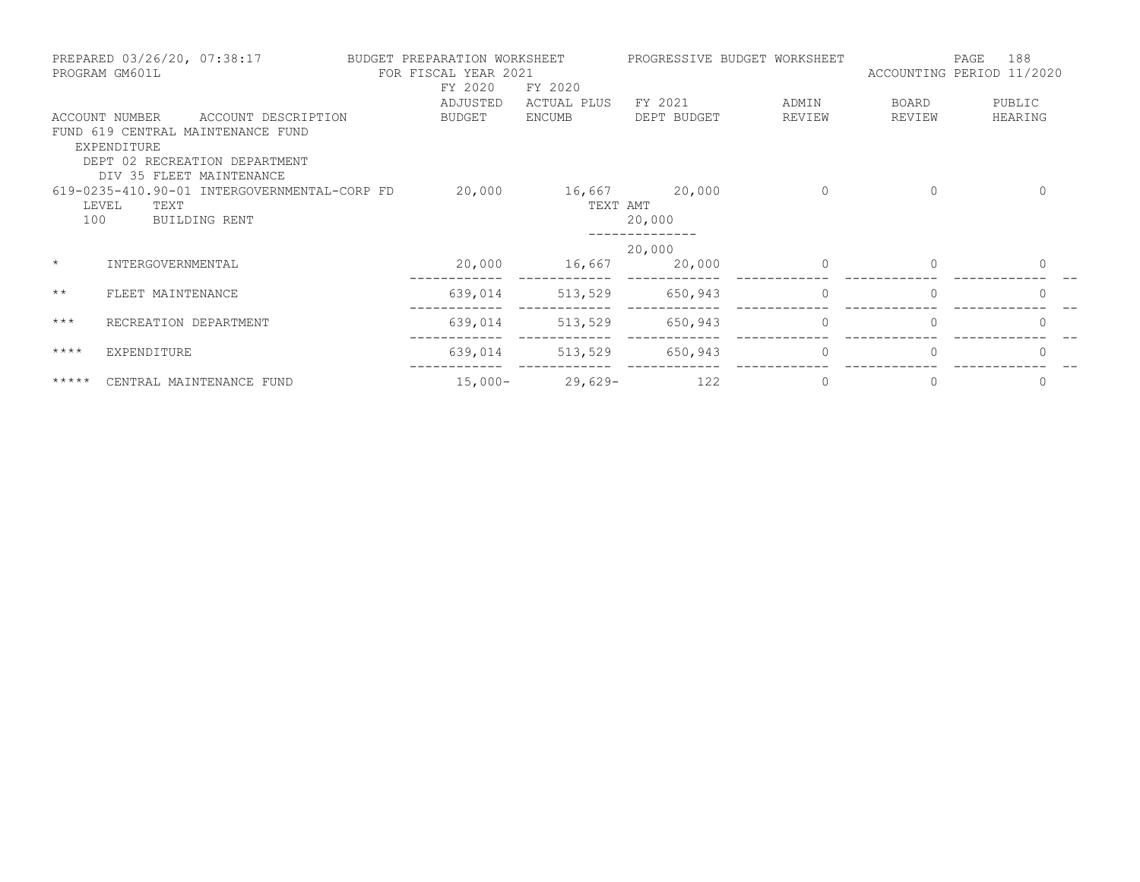|              | PREPARED 03/26/20, 07:38:17<br>PROGRAM GM601L |                                              | BUDGET PREPARATION WORKSHEET<br>FOR FISCAL YEAR 2021 |             |               | PROGRESSIVE BUDGET WORKSHEET |          | 188<br>PAGE<br>ACCOUNTING PERIOD 11/2020 |
|--------------|-----------------------------------------------|----------------------------------------------|------------------------------------------------------|-------------|---------------|------------------------------|----------|------------------------------------------|
|              |                                               |                                              | FY 2020                                              | FY 2020     |               |                              |          |                                          |
|              |                                               |                                              | ADJUSTED                                             | ACTUAL PLUS | FY 2021       | ADMIN                        | BOARD    | PUBLIC                                   |
|              | ACCOUNT NUMBER                                | ACCOUNT DESCRIPTION                          | BUDGET                                               | ENCUMB      | DEPT BUDGET   | REVIEW                       | REVIEW   | HEARING                                  |
|              |                                               | FUND 619 CENTRAL MAINTENANCE FUND            |                                                      |             |               |                              |          |                                          |
|              | EXPENDITURE                                   |                                              |                                                      |             |               |                              |          |                                          |
|              |                                               | DEPT 02 RECREATION DEPARTMENT                |                                                      |             |               |                              |          |                                          |
|              | DIV 35 FLEET MAINTENANCE                      |                                              |                                                      |             |               | $\Omega$                     |          | $\Omega$                                 |
|              | LEVEL<br>TEXT                                 | 619-0235-410.90-01 INTERGOVERNMENTAL-CORP FD | 20,000                                               | TEXT AMT    | 16,667 20,000 |                              | $\Omega$ |                                          |
| 100          |                                               | BUILDING RENT                                |                                                      |             | 20,000        |                              |          |                                          |
|              |                                               |                                              |                                                      |             |               |                              |          |                                          |
|              |                                               |                                              |                                                      |             | 20,000        |                              |          |                                          |
| $\star$      | INTERGOVERNMENTAL                             |                                              | 20,000                                               | 16,667      | 20,000        | $\Omega$                     | $\Omega$ | 0                                        |
| $\star\star$ | FLEET MAINTENANCE                             |                                              | 639,014                                              | 513,529     | 650,943       | $\Omega$                     | $\Omega$ |                                          |
| $***$        | RECREATION DEPARTMENT                         |                                              | 639,014                                              | 513,529     | 650,943       | $\Omega$                     | $\Omega$ | $\Omega$                                 |
|              |                                               |                                              |                                                      |             |               |                              |          |                                          |
| $***$ * * *  | EXPENDITURE                                   |                                              | 639,014                                              | 513,529     | 650,943       | $\Omega$                     | $\Omega$ | $\Omega$                                 |
| $******$     | CENTRAL MAINTENANCE FUND                      |                                              | $15,000-$                                            | 29,629-     | 122           | $\Omega$                     |          | $\Omega$                                 |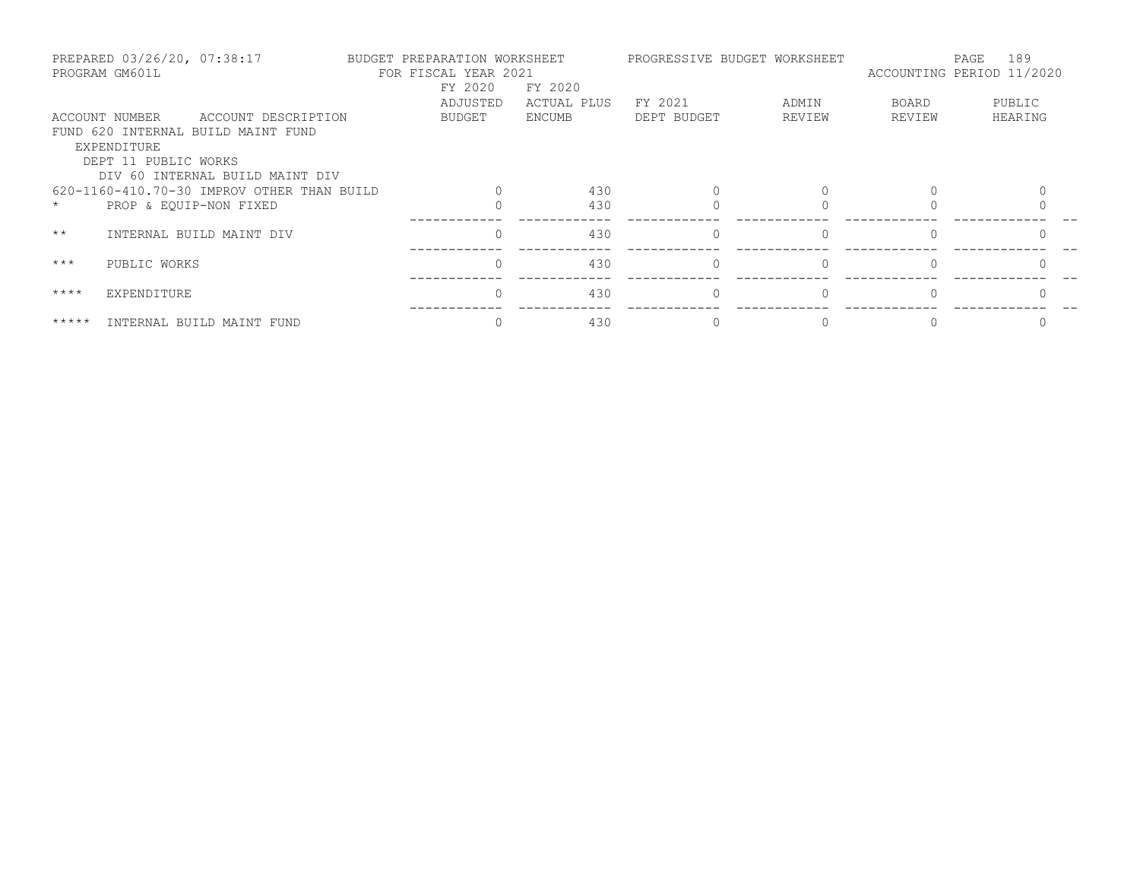| PREPARED 03/26/20, 07:38:17<br>PROGRAM GM601L |                               |                                                           | BUDGET PREPARATION WORKSHEET<br>FOR FISCAL YEAR 2021<br>FY 2020<br>FY 2020 |          |             |             | PROGRESSIVE BUDGET WORKSHEET | 189<br>PAGE<br>ACCOUNTING PERIOD 11/2020 |         |
|-----------------------------------------------|-------------------------------|-----------------------------------------------------------|----------------------------------------------------------------------------|----------|-------------|-------------|------------------------------|------------------------------------------|---------|
|                                               |                               |                                                           |                                                                            | ADJUSTED | ACTUAL PLUS | FY 2021     | ADMIN                        | BOARD                                    | PUBLIC  |
|                                               | ACCOUNT NUMBER<br>EXPENDITURE | ACCOUNT DESCRIPTION<br>FUND 620 INTERNAL BUILD MAINT FUND |                                                                            | BUDGET   | ENCUMB      | DEPT BUDGET | REVIEW                       | REVIEW                                   | HEARING |
|                                               | DEPT 11 PUBLIC WORKS          | DIV 60 INTERNAL BUILD MAINT DIV                           |                                                                            |          |             |             |                              |                                          |         |
|                                               |                               | 620-1160-410.70-30 IMPROV OTHER THAN BUILD                |                                                                            |          | 430         |             |                              |                                          |         |
| $\star$                                       | PROP & EQUIP-NON FIXED        |                                                           |                                                                            |          | 430         |             |                              |                                          |         |
| $\star\star$                                  |                               | INTERNAL BUILD MAINT DIV                                  |                                                                            |          | 430         | $\Omega$    |                              |                                          |         |
| $***$                                         | PUBLIC WORKS                  |                                                           |                                                                            |          | 430         | $\Omega$    | $\Omega$                     |                                          |         |
| $***$ * * *                                   | EXPENDITURE                   |                                                           |                                                                            |          | 430         |             |                              |                                          |         |
| *****                                         |                               | INTERNAL BUILD MAINT FUND                                 |                                                                            |          | 430         |             |                              |                                          |         |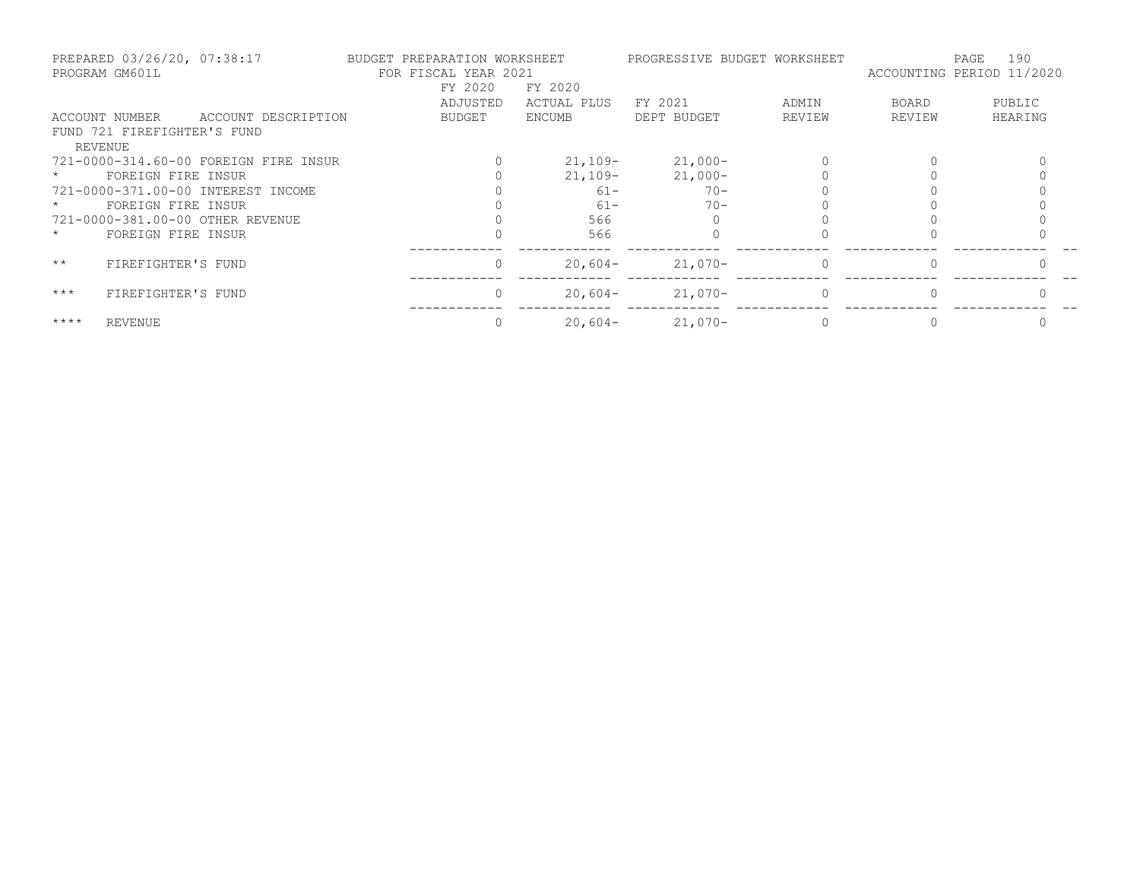| PREPARED 03/26/20, 07:38:17<br>PROGRAM GM601L |                                       |  | BUDGET PREPARATION WORKSHEET<br>FOR FISCAL YEAR 2021 |  |          | PROGRESSIVE BUDGET WORKSHEET |             | 190<br>PAGE<br>ACCOUNTING PERIOD 11/2020 |          |         |
|-----------------------------------------------|---------------------------------------|--|------------------------------------------------------|--|----------|------------------------------|-------------|------------------------------------------|----------|---------|
|                                               |                                       |  |                                                      |  | FY 2020  | FY 2020                      |             |                                          |          |         |
|                                               |                                       |  |                                                      |  | ADJUSTED | ACTUAL PLUS                  | FY 2021     | ADMIN                                    | BOARD    | PUBLIC  |
|                                               | ACCOUNT NUMBER                        |  | ACCOUNT DESCRIPTION                                  |  | BUDGET   | <b>ENCUMB</b>                | DEPT BUDGET | REVIEW                                   | REVIEW   | HEARING |
|                                               | FUND 721 FIREFIGHTER'S FUND           |  |                                                      |  |          |                              |             |                                          |          |         |
|                                               | REVENUE                               |  |                                                      |  |          |                              |             |                                          |          |         |
|                                               | 721-0000-314.60-00 FOREIGN FIRE INSUR |  |                                                      |  |          | $21,109-$                    | $21,000-$   |                                          |          |         |
|                                               | FOREIGN FIRE INSUR                    |  |                                                      |  |          | $21,109-$                    | $21,000-$   |                                          |          |         |
|                                               | 721-0000-371.00-00 INTEREST INCOME    |  |                                                      |  |          | $61 -$                       | $70-$       |                                          |          |         |
|                                               | FOREIGN FIRE INSUR                    |  |                                                      |  |          | $61 -$                       | $70 -$      |                                          |          |         |
|                                               | 721-0000-381.00-00 OTHER REVENUE      |  |                                                      |  |          | 566                          |             |                                          |          |         |
| $\star$                                       | FOREIGN FIRE INSUR                    |  |                                                      |  |          | 566                          |             |                                          |          |         |
| $\star\star$                                  | FIREFIGHTER'S FUND                    |  |                                                      |  | $\Omega$ | $20,604-$                    | $21,070-$   | $\circ$                                  | $\Omega$ |         |
| $***$                                         | FIREFIGHTER'S FUND                    |  |                                                      |  | $\Omega$ | $20,604-$                    | $21,070-$   | $\Omega$                                 |          |         |
| $***$ * * *                                   | REVENUE                               |  |                                                      |  |          | $20,604-$                    | $21,070-$   |                                          |          |         |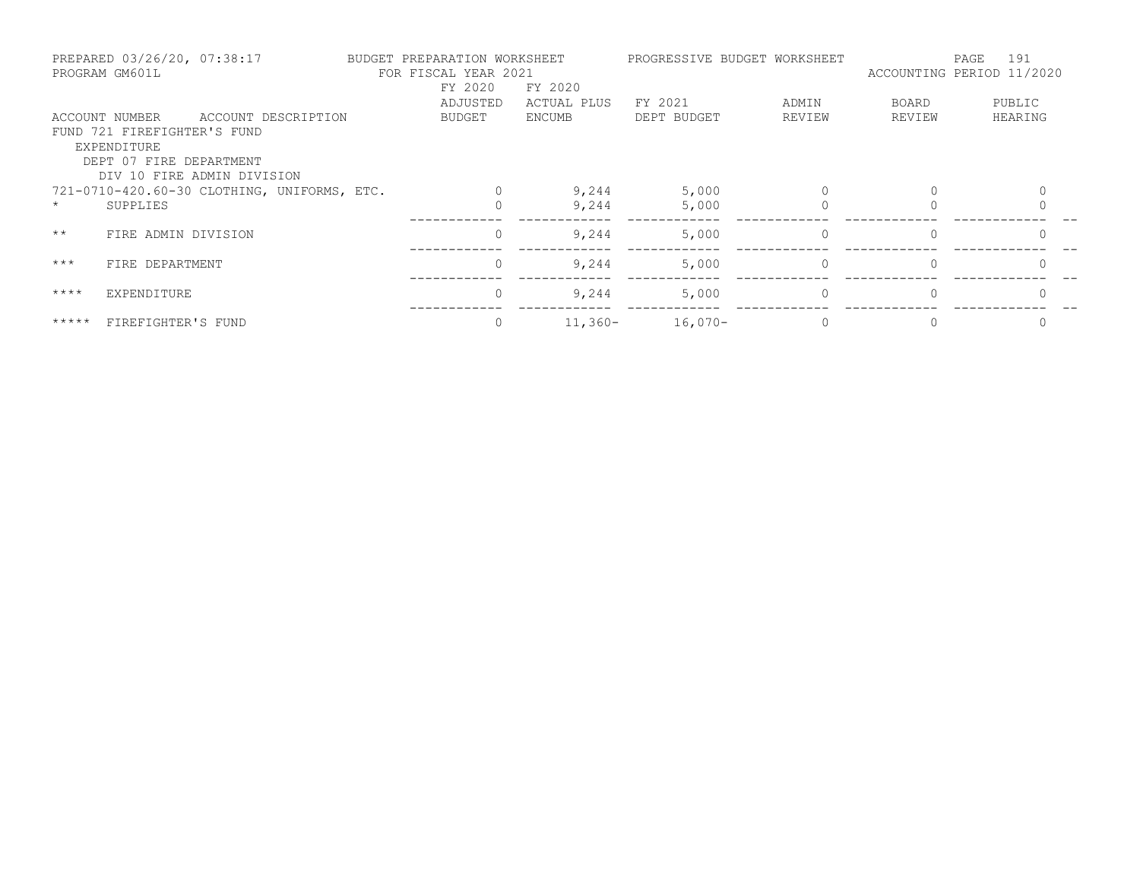| PREPARED 03/26/20, 07:38:17<br>PROGRAM GM601L |                                               |                                             | BUDGET PREPARATION WORKSHEET<br>FOR FISCAL YEAR 2021 |                |             |             | PROGRESSIVE BUDGET WORKSHEET | 191<br>PAGE<br>ACCOUNTING PERIOD 11/2020 |          |  |
|-----------------------------------------------|-----------------------------------------------|---------------------------------------------|------------------------------------------------------|----------------|-------------|-------------|------------------------------|------------------------------------------|----------|--|
|                                               |                                               |                                             |                                                      | FY 2020        | FY 2020     |             |                              |                                          |          |  |
|                                               |                                               |                                             |                                                      | ADJUSTED       | ACTUAL PLUS | FY 2021     | ADMIN                        | BOARD                                    | PUBLIC   |  |
|                                               | ACCOUNT NUMBER<br>FUND 721 FIREFIGHTER'S FUND | ACCOUNT DESCRIPTION                         |                                                      | BUDGET         | ENCUMB      | DEPT BUDGET | REVIEW                       | REVIEW                                   | HEARING  |  |
|                                               | EXPENDITURE<br>DEPT 07 FIRE DEPARTMENT        | DIV 10 FIRE ADMIN DIVISION                  |                                                      |                |             |             |                              |                                          |          |  |
|                                               |                                               | 721-0710-420.60-30 CLOTHING, UNIFORMS, ETC. |                                                      |                | 9,244       | 5,000       |                              |                                          |          |  |
| $\star$                                       | SUPPLIES                                      |                                             |                                                      |                | 9,244       | 5,000       |                              |                                          |          |  |
| $\star\star$                                  | FIRE ADMIN DIVISION                           |                                             |                                                      | 0              | 9,244       | 5,000       | $\circ$                      | $\mathbf{0}$                             | $\Omega$ |  |
| $***$                                         | FIRE DEPARTMENT                               |                                             |                                                      | $\overline{0}$ | 9,244       | 5,000       | $\circ$                      | $\Omega$                                 | $\Omega$ |  |
| $***$ * * *                                   | EXPENDITURE                                   |                                             |                                                      | $\Omega$       | 9,244       | 5,000       | $\Omega$                     |                                          |          |  |
| $***$ * * * *                                 | FIREFIGHTER'S FUND                            |                                             |                                                      |                | $11,360-$   | $16,070-$   |                              |                                          |          |  |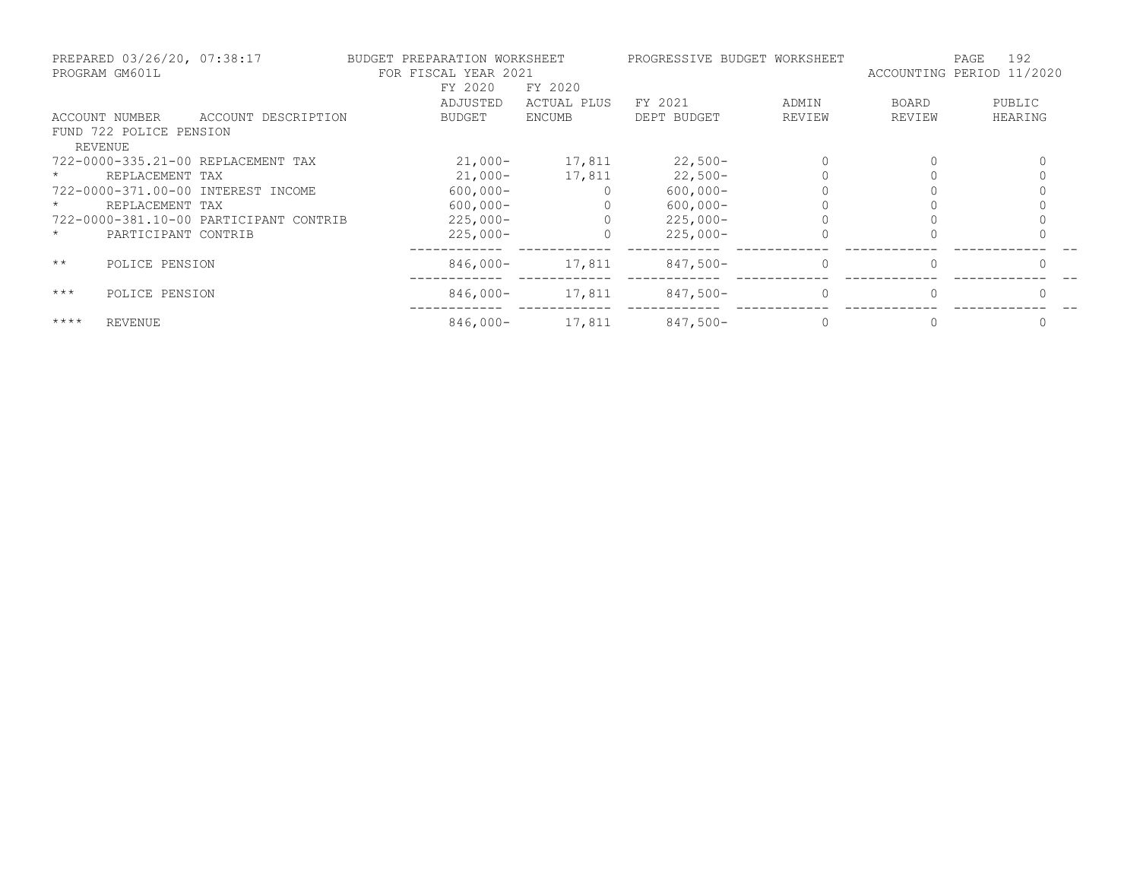| PREPARED 03/26/20, 07:38:17<br>PROGRAM GM601L |                         | BUDGET PREPARATION WORKSHEET<br>FOR FISCAL YEAR 2021 |               | PROGRESSIVE BUDGET WORKSHEET |             | 192<br>PAGE<br>ACCOUNTING PERIOD 11/2020 |              |         |
|-----------------------------------------------|-------------------------|------------------------------------------------------|---------------|------------------------------|-------------|------------------------------------------|--------------|---------|
|                                               |                         |                                                      | FY 2020       | FY 2020                      |             |                                          |              |         |
|                                               |                         |                                                      | ADJUSTED      | ACTUAL PLUS                  | FY 2021     | ADMIN                                    | <b>BOARD</b> | PUBLIC  |
|                                               | ACCOUNT NUMBER          | ACCOUNT DESCRIPTION                                  | <b>BUDGET</b> | <b>ENCUMB</b>                | DEPT BUDGET | REVIEW                                   | REVIEW       | HEARING |
|                                               | FUND 722 POLICE PENSION |                                                      |               |                              |             |                                          |              |         |
|                                               | REVENUE                 |                                                      |               |                              |             |                                          |              |         |
|                                               |                         | 722-0000-335.21-00 REPLACEMENT TAX                   | $21,000-$     | 17,811                       | $22,500-$   |                                          |              |         |
|                                               | REPLACEMENT TAX         |                                                      | $21,000-$     | 17,811                       | $22,500-$   |                                          |              |         |
|                                               |                         | 722-0000-371.00-00 INTEREST INCOME                   | $600,000 -$   |                              | $600,000 -$ |                                          |              |         |
|                                               | REPLACEMENT TAX         |                                                      | $600,000 -$   |                              | $600,000 -$ |                                          |              |         |
|                                               |                         | 722-0000-381.10-00 PARTICIPANT CONTRIB               | $225,000-$    |                              | $225,000-$  |                                          |              |         |
| $\star$                                       | PARTICIPANT CONTRIB     |                                                      | $225,000-$    |                              | $225,000-$  |                                          |              |         |
| $\star\star$                                  | POLICE PENSION          |                                                      | $846,000-$    | 17,811                       | $847,500-$  | $\mathbf{0}$                             |              |         |
| $***$                                         | POLICE PENSION          |                                                      | $846,000-$    | 17,811                       | $847,500-$  | $\Omega$                                 |              |         |
| $***$ *                                       | <b>REVENUE</b>          |                                                      | $846,000-$    | 17,811                       | $847,500-$  |                                          |              |         |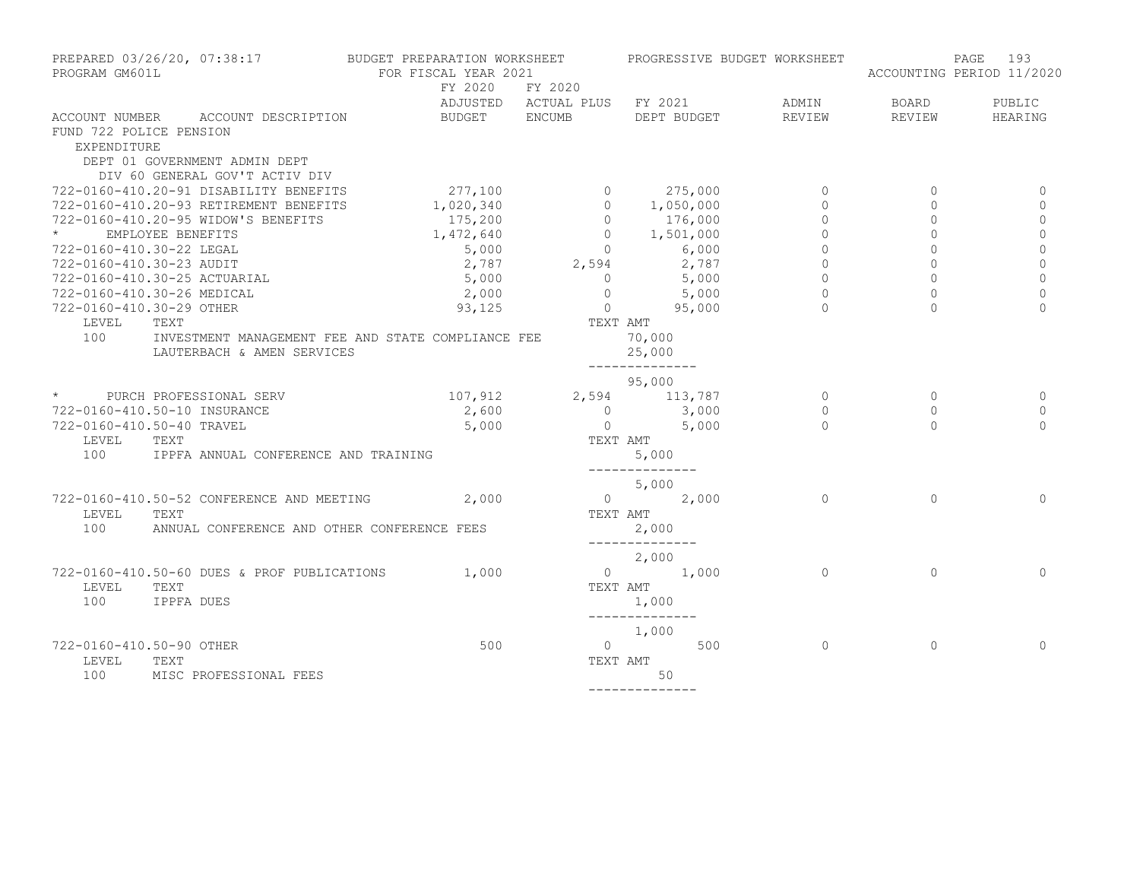| PROGRAM GM601L                                | PREPARED 03/26/20, 07:38:17 BUDGET PREPARATION WORKSHEET | FOR FISCAL YEAR 2021                                                                                                                                    |          | PROGRESSIVE BUDGET WORKSHEET                                                                                                                       |                |                | 193<br>PAGE<br>ACCOUNTING PERIOD 11/2020 |
|-----------------------------------------------|----------------------------------------------------------|---------------------------------------------------------------------------------------------------------------------------------------------------------|----------|----------------------------------------------------------------------------------------------------------------------------------------------------|----------------|----------------|------------------------------------------|
|                                               |                                                          | FY 2020 FY 2020                                                                                                                                         |          |                                                                                                                                                    |                |                |                                          |
|                                               |                                                          |                                                                                                                                                         |          | ADJUSTED ACTUAL PLUS FY 2021                                                                                                                       | ADMIN          | <b>BOARD</b>   | PUBLIC                                   |
|                                               | ACCOUNT NUMBER ACCOUNT DESCRIPTION                       | BUDGET ENCUMB                                                                                                                                           |          | DEPT BUDGET                                                                                                                                        | REVIEW         | REVIEW         | HEARING                                  |
| FUND 722 POLICE PENSION<br><b>EXPENDITURE</b> |                                                          |                                                                                                                                                         |          |                                                                                                                                                    |                |                |                                          |
|                                               | DEPT 01 GOVERNMENT ADMIN DEPT                            |                                                                                                                                                         |          |                                                                                                                                                    |                |                |                                          |
|                                               | DIV 60 GENERAL GOV'T ACTIV DIV                           |                                                                                                                                                         |          |                                                                                                                                                    |                |                |                                          |
|                                               | 722-0160-410.20-91 DISABILITY BENEFITS                   | 277,100                                                                                                                                                 |          |                                                                                                                                                    | $\circ$        | $\mathbf{0}$   | $\Omega$                                 |
|                                               | 722-0160-410.20-93 RETIREMENT BENEFITS                   | $\begin{array}{cccc} 277,100 & 0 & 275,000 \\ 1,020,340 & 0 & 1,050,000 \\ 175,200 & 0 & 176,000 \\ 1,472,640 & 0 & 1,501,000 \end{array}$<br>1,020,340 |          |                                                                                                                                                    | $\circ$        | $\circ$        | $\mathbf{0}$                             |
|                                               | 722-0160-410.20-95 WIDOW'S BENEFITS                      |                                                                                                                                                         |          |                                                                                                                                                    | $\mathbf 0$    | 0              | 0                                        |
| $\star$                                       | EMPLOYEE BENEFITS                                        |                                                                                                                                                         |          |                                                                                                                                                    | $\circ$        | $\Omega$       | $\circ$                                  |
| 722-0160-410.30-22 LEGAL                      |                                                          | 5,000                                                                                                                                                   |          |                                                                                                                                                    | $\overline{0}$ | $\Omega$       | $\mathbf 0$                              |
|                                               |                                                          |                                                                                                                                                         |          | $\begin{array}{ccccccccc} 5,000 & & & & 0 & & 6,000 \ 2,787 & & & 2,594 & & 2,787 \ 5,000 & & & 0 & & 5,000 \ 2,000 & & & 0 & & 5,000 \end{array}$ | $\circ$        | $\circ$        | $\mathbf 0$                              |
|                                               | 722-0160-410.30-23 AUDIT<br>722-0160-410.30-25 ACTUARIAL |                                                                                                                                                         |          |                                                                                                                                                    | $\overline{0}$ | $\circ$        | $\mathsf{O}\xspace$                      |
|                                               | 722-0160-410.30-26 MEDICAL                               | 2,000                                                                                                                                                   |          | 5,000                                                                                                                                              | $\circ$        | $\mathsf{O}$   | $\overline{0}$                           |
| 722-0160-410.30-29 OTHER                      |                                                          | 93,125                                                                                                                                                  |          | $0 \t 95,000$                                                                                                                                      | $\Omega$       | $\Omega$       | $\Omega$                                 |
| LEVEL                                         | TEXT                                                     |                                                                                                                                                         | TEXT AMT |                                                                                                                                                    |                |                |                                          |
|                                               | 100 INVESTMENT MANAGEMENT FEE AND STATE COMPLIANCE FEE   |                                                                                                                                                         |          | 70,000                                                                                                                                             |                |                |                                          |
|                                               | LAUTERBACH & AMEN SERVICES                               |                                                                                                                                                         |          | 25,000                                                                                                                                             |                |                |                                          |
|                                               |                                                          |                                                                                                                                                         |          | --------------                                                                                                                                     |                |                |                                          |
|                                               |                                                          |                                                                                                                                                         |          | 95,000                                                                                                                                             |                |                |                                          |
|                                               | * PURCH PROFESSIONAL SERV                                | 107,912 2,594 113,787                                                                                                                                   |          |                                                                                                                                                    | $\circ$        | $\overline{0}$ | $\Omega$                                 |
|                                               | 722-0160-410.50-10 INSURANCE                             | 2,600                                                                                                                                                   |          |                                                                                                                                                    | $\overline{0}$ | $\Omega$       | $\mathbf{0}$                             |
| 722-0160-410.50-40 TRAVEL                     |                                                          | 5,000                                                                                                                                                   |          | $\begin{array}{ccc} 0 & \quad & 3\,,\,0\,0 \ 0 & \quad & 5\,,\,0\,0 \end{array}$                                                                   | $\Omega$       | $\cap$         | $\Omega$                                 |
| LEVEL                                         | TEXT                                                     |                                                                                                                                                         |          | TEXT AMT                                                                                                                                           |                |                |                                          |
| 100                                           | IPPFA ANNUAL CONFERENCE AND TRAINING                     |                                                                                                                                                         |          | 5,000                                                                                                                                              |                |                |                                          |
|                                               |                                                          |                                                                                                                                                         |          | --------------                                                                                                                                     |                |                |                                          |
|                                               |                                                          |                                                                                                                                                         |          | 5,000                                                                                                                                              |                |                |                                          |
|                                               | 722-0160-410.50-52 CONFERENCE AND MEETING                | 2,000                                                                                                                                                   |          | $0 \t 2,000$                                                                                                                                       | $\bigcap$      | $\Omega$       | $\Omega$                                 |
| LEVEL                                         | TEXT                                                     |                                                                                                                                                         |          | TEXT AMT                                                                                                                                           |                |                |                                          |
| 100                                           | ANNUAL CONFERENCE AND OTHER CONFERENCE FEES              |                                                                                                                                                         |          | 2,000                                                                                                                                              |                |                |                                          |
|                                               |                                                          |                                                                                                                                                         |          | ______________                                                                                                                                     |                |                |                                          |
|                                               |                                                          |                                                                                                                                                         |          | 2,000                                                                                                                                              |                |                |                                          |
|                                               | 722-0160-410.50-60 DUES & PROF PUBLICATIONS              | 1,000                                                                                                                                                   |          | $\frac{2}{1,000}$                                                                                                                                  | $\Omega$       | $\Omega$       | $\Omega$                                 |
| LEVEL                                         | TEXT                                                     |                                                                                                                                                         |          | TEXT AMT                                                                                                                                           |                |                |                                          |
| 100                                           | IPPFA DUES                                               |                                                                                                                                                         |          | 1,000                                                                                                                                              |                |                |                                          |
|                                               |                                                          |                                                                                                                                                         |          | --------------                                                                                                                                     |                |                |                                          |
|                                               |                                                          |                                                                                                                                                         |          | 1,000                                                                                                                                              |                |                |                                          |
| 722-0160-410.50-90 OTHER                      |                                                          | 500                                                                                                                                                     |          | $0 \qquad \qquad 500$                                                                                                                              | $\overline{0}$ | $\circ$        | 0                                        |
| LEVEL                                         | TEXT                                                     |                                                                                                                                                         |          | TEXT AMT                                                                                                                                           |                |                |                                          |
| 100                                           | MISC PROFESSIONAL FEES                                   |                                                                                                                                                         |          | 50                                                                                                                                                 |                |                |                                          |
|                                               |                                                          |                                                                                                                                                         |          | --------------                                                                                                                                     |                |                |                                          |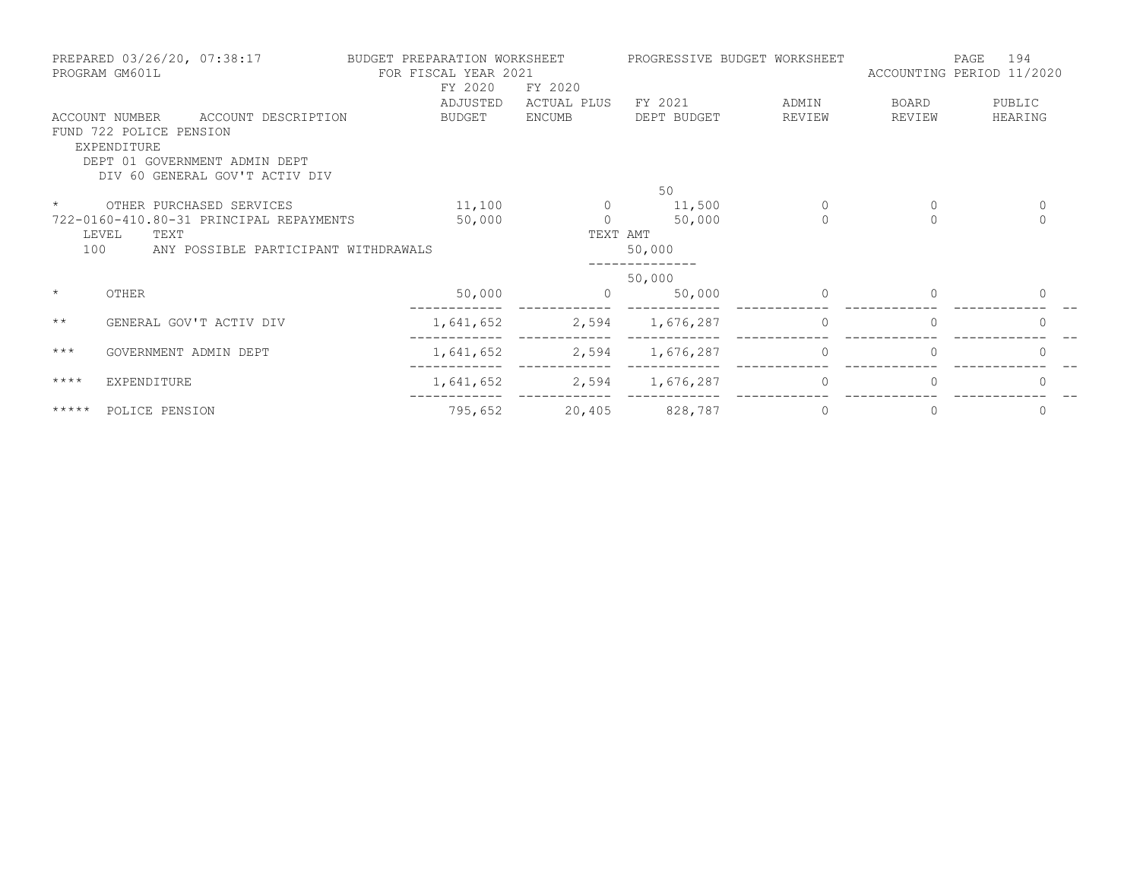| PREPARED 03/26/20, 07:38:17<br>PROGRAM GM601L                |                                                                                                                                                    | BUDGET PREPARATION WORKSHEET<br>FOR FISCAL YEAR 2021<br>FY 2020<br>FY 2020 |                       | PROGRESSIVE BUDGET WORKSHEET |                 | 194<br>PAGE<br>ACCOUNTING PERIOD 11/2020 |                   |  |
|--------------------------------------------------------------|----------------------------------------------------------------------------------------------------------------------------------------------------|----------------------------------------------------------------------------|-----------------------|------------------------------|-----------------|------------------------------------------|-------------------|--|
|                                                              | ACCOUNT DESCRIPTION<br>ACCOUNT NUMBER<br>FUND 722 POLICE PENSION<br>EXPENDITURE<br>DEPT 01 GOVERNMENT ADMIN DEPT<br>DIV 60 GENERAL GOV'T ACTIV DIV | ADJUSTED<br>BUDGET                                                         | ACTUAL PLUS<br>ENCUMB | FY 2021<br>DEPT BUDGET       | ADMIN<br>REVIEW | BOARD<br>REVIEW                          | PUBLIC<br>HEARING |  |
|                                                              |                                                                                                                                                    |                                                                            |                       | 50                           |                 |                                          |                   |  |
| $\star$                                                      | OTHER PURCHASED SERVICES                                                                                                                           | 11,100                                                                     | $\Omega$              | 11,500                       | $\circ$         | $\circ$                                  | $\mathbf{0}$      |  |
|                                                              | 722-0160-410.80-31 PRINCIPAL REPAYMENTS                                                                                                            | 50,000                                                                     | $\Omega$              | 50,000                       | $\bigcap$       | $\Omega$                                 | $\Omega$          |  |
| LEVEL<br>TEXT<br>100<br>ANY POSSIBLE PARTICIPANT WITHDRAWALS |                                                                                                                                                    |                                                                            | TEXT AMT<br>50,000    |                              |                 |                                          |                   |  |
|                                                              |                                                                                                                                                    |                                                                            |                       | 50,000                       |                 |                                          |                   |  |
| $\star$                                                      | OTHER                                                                                                                                              | 50,000                                                                     |                       | 50,000                       | $\Omega$        | 0                                        | 0                 |  |
| $\star\star$                                                 | GENERAL GOV'T ACTIV DIV                                                                                                                            | 1,641,652                                                                  |                       | 2,594 1,676,287              | 0               | $\mathbf{0}$                             | 0                 |  |
| $***$                                                        | GOVERNMENT ADMIN DEPT                                                                                                                              | 1,641,652                                                                  | 2,594                 | 1,676,287                    | 0               | 0                                        | 0                 |  |
| $***$ *                                                      | EXPENDITURE                                                                                                                                        | 1,641,652                                                                  |                       | 2,594 1,676,287              | 0               | 0                                        | 0                 |  |
| $***$ * * * *                                                | POLICE PENSION                                                                                                                                     | 795,652                                                                    | 20,405                | 828,787                      | $\circ$         | 0                                        | $\Omega$          |  |